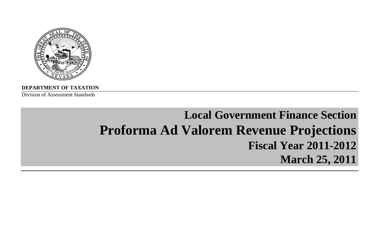

**DEPARTMENT OF TAXATION**

Division of Assessment Standards

# **Local Government Finance Section Proforma Ad Valorem Revenue Projections Fiscal Year 2011-2012March 25, 2011**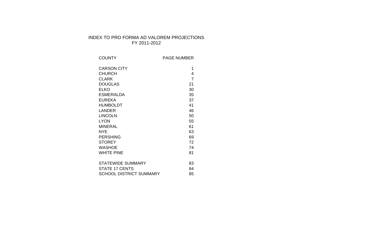# INDEX TO PRO FORMA AD VALOREM PROJECTIONS FY 2011-2012

| <b>COUNTY</b>                  | <b>PAGE NUMBER</b> |
|--------------------------------|--------------------|
| <b>CARSON CITY</b>             | 1                  |
| <b>CHURCH</b>                  | 4                  |
| <b>CLARK</b>                   | $\overline{7}$     |
| <b>DOUGLAS</b>                 | 21                 |
| <b>ELKO</b>                    | 30                 |
| <b>ESMERALDA</b>               | 35                 |
| <b>EUREKA</b>                  | 37                 |
| <b>HUMBOLDT</b>                | 41                 |
| <b>LANDER</b>                  | 46                 |
| <b>LINCOLN</b>                 | 50                 |
| <b>LYON</b>                    | 55                 |
| <b>MINERAL</b>                 | 61                 |
| <b>NYE</b>                     | 63                 |
| <b>PERSHING</b>                | 69                 |
| <b>STOREY</b>                  | 72                 |
| <b>WASHOE</b>                  | 74                 |
| <b>WHITE PINE</b>              | 81                 |
|                                |                    |
| <b>STATEWIDE SUMMARY</b>       | 83                 |
| <b>STATE 17 CENTS</b>          | 84                 |
| <b>SCHOOL DISTRICT SUMMARY</b> | 85                 |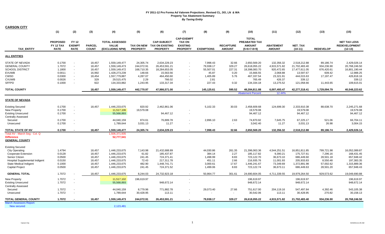| <b>CARSON CITY</b>                         |                                             |                                              |                               |                                                          |                                      |                                                                 |                                                                          |                   |                                   |                                                                 |                                   |                             |                  |                                                          |
|--------------------------------------------|---------------------------------------------|----------------------------------------------|-------------------------------|----------------------------------------------------------|--------------------------------------|-----------------------------------------------------------------|--------------------------------------------------------------------------|-------------------|-----------------------------------|-----------------------------------------------------------------|-----------------------------------|-----------------------------|------------------|----------------------------------------------------------|
|                                            | (1)                                         | (2)                                          | (3)                           | (4)                                                      | (5)                                  | (6)                                                             | (7)                                                                      | (8)               | (9)                               | (10)                                                            | (11)                              | (12)                        | (13)             | (15)                                                     |
| <b>TAX ENTITY</b>                          | <b>PROPOSED</b><br>FY 12 TAX<br><b>RATE</b> | <b>FY 12</b><br><b>EXEMPT</b><br><b>RATE</b> | <b>PARCEL</b><br><b>COUNT</b> | <b>TOTAL ASSESSED</b><br><b>VALUE</b><br>(EXCLUDING NPM) | <b>TAX ON NEW</b><br><b>PROPERTY</b> | <b>CAP-SUBJECT</b><br><b>TAX ON EXISTING</b><br><b>PROPERTY</b> | <b>CAP-EXEMPT</b><br><b>TAX ON</b><br><b>EXISTING</b><br><b>PROPERTY</b> | <b>EXEMPTIONS</b> | <b>RECAPTURE</b><br><b>AMOUNT</b> | <b>TOTAL</b><br>PREABATED TAX<br><b>AMOUNT</b><br>$(5+6+7-8+9)$ | <b>ABATEMENT</b><br><b>AMOUNT</b> | <b>NET TAX</b><br>$(10-11)$ | <b>REDEVELOP</b> | <b>NET TAX LESS</b><br><b>REDEVELOPMENT</b><br>$(12-13)$ |
| <b>ALL ENTITIES</b>                        |                                             |                                              |                               |                                                          |                                      |                                                                 |                                                                          |                   |                                   |                                                                 |                                   |                             |                  |                                                          |
| <b>STATE OF NEVADA</b>                     | 0.1700                                      | $\blacksquare$                               | 18,457                        | 1,559,149,477                                            | 24,305.74                            | 2,634,229.23                                                    |                                                                          | 7,998.43          | 32.66                             | 2,650,569.20                                                    | 132,356.32                        | 2,518,212.88                | 89,186.74        | 2,429,026.14                                             |
| <b>GENERAL COUNTY</b>                      | 1.7072                                      | $\sim$                                       | 18,457                        | 1,559,149,473                                            | 244,072.91                           | 26,453,591.21                                                   | $\sim$                                                                   | 79,938.17         | 329.27                            | 26,618,055.22                                                   | 4,915,571.82                      | 21,702,483.40               | 934,236.90       | 20,768,246.50                                            |
| <b>SCHOOL DISTRICT</b>                     | 1.1800                                      | $\blacksquare$                               | 18,457                        | 1,559,149,472                                            | 168,710.35                           | 18,284,653.05                                                   |                                                                          | 55,507.01         | 227.31                            | 18,398,083.70                                                   | 920,472.65                        | 17,477,611.05               | 676,420.61       | 16,801,190.44                                            |
| <b>EVUWB</b>                               | 0.0011                                      | $\sim$                                       | 16,992                        | 1,428,273,239                                            | 148.66                               | 15,563.56                                                       | $\sim$                                                                   | 45.87             | 0.20                              | 15,666.55                                                       | 2,068.88                          | 13,597.67                   | 609.42           | 12,988.25                                                |
| CWSD                                       | 0.0300                                      | $\sim$                                       | 18,454                        | 1,557,779,887                                            | 4,287.07                             | 464,450.60                                                      | $\sim$                                                                   | 1,405.89          | 5.76                              | 467,337.54                                                      | 23,321.91                         | 444,015.63                  | 17,197.47        | 426,818.16                                               |
| <b>CVUWB</b>                               | 0.0026                                      | $\blacksquare$                               | 329                           | 29,515,475                                               | 2.29                                 | 766.02                                                          |                                                                          | 2.81              | $\sim$                            | 765.49                                                          | 426.37                            | 339.12                      |                  | 339.12                                                   |
| <b>SFFPD</b>                               | 0.1000                                      | $\blacksquare$                               | 922                           | 134,333,882                                              | 1,243.95                             | 133,317.34                                                      | $\sim$                                                                   | 227.43            | 0.32                              | 134,334.18                                                      | 13,275.52                         | 121,058.66                  | 11,443.65        | 109,615.01                                               |
| <b>TOTAL COUNTY</b>                        |                                             |                                              | 18,457                        | 1,559,149,477                                            | 442,770.97                           | 47,986,571.00                                                   | $\sim$                                                                   | 145,125.61        | 595.52                            | 48,284,811.88                                                   | 6,007,493.47                      | 42,277,318.41               | 1,729,094.79     | 40,548,223.62                                            |
|                                            |                                             |                                              |                               |                                                          |                                      |                                                                 |                                                                          |                   |                                   | <b>Abatement Percent</b>                                        | 12.44%                            |                             |                  |                                                          |
| <b>STATE OF NEVADA</b>                     |                                             |                                              |                               |                                                          |                                      |                                                                 |                                                                          |                   |                                   |                                                                 |                                   |                             |                  |                                                          |
| <b>Existing Secured</b>                    | 0.1700                                      | $\blacksquare$                               | 18,457                        | 1,446,233,675                                            | 820.92                               | 2,462,861.06                                                    |                                                                          | 5,102.33          | 30.03                             | 2,458,609.68                                                    | 124,699.30                        | 2,333,910.38                | 88,638.70        | 2,245,271.68                                             |
| <b>New Property</b>                        | 0.1700                                      | $\blacksquare$                               |                               | 11,517,106                                               | 19.579.08                            |                                                                 |                                                                          |                   |                                   | 19.579.08                                                       |                                   | 19.579.08                   |                  | 19.579.08                                                |
| <b>Existing Unsecured</b>                  | 0.1700                                      | $\blacksquare$                               |                               | 55,568,893                                               |                                      | 94,467.12                                                       | $\sim$                                                                   |                   |                                   | 94,467.12                                                       |                                   | 94,467.12                   |                  | 94,467.12                                                |
| <b>Centrally Assessed</b>                  |                                             |                                              |                               |                                                          |                                      |                                                                 |                                                                          |                   |                                   |                                                                 |                                   |                             |                  |                                                          |
| Secured                                    | 0.1700                                      | $\blacksquare$                               |                               | 44,040,159                                               | 874.61                               | 76,889.78                                                       | $\sim$                                                                   | 2,896.10          | 2.63                              | 74,870.92                                                       | 7,645.75                          | 67,225.17                   | 521.06           | 66,704.11                                                |
| Unsecured                                  | 0.1700                                      | $\sim$                                       |                               | 1,789,644                                                | 3,031.13                             | 11.27                                                           |                                                                          |                   | $\overline{\phantom{a}}$          | 3.042.40                                                        | 11.27                             | 3,031.13                    | 26.98            | 3.004.15                                                 |
| TOTAL STATE OF NV                          | 0.1700                                      |                                              | 18.457                        | 1,559,149,477                                            | 24,305.74                            | 2,634,229.23                                                    |                                                                          | 7.998.43          | 32.66                             | 2,650,569.20                                                    | 132,356.32                        | 2,518,212.88                | 89,186.74        | 2,429,026.14                                             |
| Total AV - March Seg - Col. Q              |                                             |                                              |                               | 1,506,371,935                                            |                                      |                                                                 |                                                                          |                   |                                   |                                                                 |                                   |                             |                  |                                                          |
| <b>Difference</b><br><b>GENERAL COUNTY</b> |                                             |                                              |                               | 52,777,541                                               |                                      |                                                                 |                                                                          |                   |                                   |                                                                 |                                   |                             |                  |                                                          |
| <b>Existing Secured</b>                    |                                             |                                              |                               |                                                          |                                      |                                                                 |                                                                          |                   |                                   |                                                                 |                                   |                             |                  |                                                          |
| <b>City Operating</b>                      | 1.4794                                      |                                              | 18,457                        | 1,446,233,675                                            | 7,143.98                             | 21,432,688.89                                                   |                                                                          | 44,030.86         | 261.35                            | 21,396,063.36                                                   | 4,544,251.51                      | 16,851,811.85               | 799,721.98       | 16,052,089.87                                            |
| Cooperate Extension                        | 0.0128                                      |                                              | 18,457                        | 1,446,233,675                                            | 61.82                                | 185,437.87                                                      |                                                                          | 384.14            | 2.27                              | 185,117.82                                                      | 9,390.21                          | 175,727.61                  | 7,296.16         | 168,431.45                                               |
| Senior Citizen                             | 0.0500                                      |                                              | 18,457                        | 1,446,233,675                                            | 241.45                               | 724,371.41                                                      |                                                                          | 1,498.99          | 8.83                              | 723,122.70                                                      | 36,673.10                         | 686,449.60                  | 28,501.18        | 657,948.42                                               |
| Hospital Supplemental Indigent             | 0.0150                                      |                                              | 18,457                        | 1,446,233,675                                            | 72.43                                | 217,311.78                                                      |                                                                          | 451.11            | 2.66                              | 216,935.76                                                      | 11,001.93                         | 205,933.83                  | 8,550.48         | 197,383.35                                               |
| State Medical Indigent                     | 0.1000                                      |                                              | 18,457                        | 1,446,233,675                                            | 482.90                               | 1,448,741.71                                                    |                                                                          | 3,000.61          | 17.67                             | 1,446,241.67                                                    | 73,349.69                         | 1,372,891.98                | 57,002.62        | 1,315,889.36                                             |
| <b>Capital Project</b>                     | 0.0500                                      |                                              | 18,457                        | 1,446,233,675                                            | 241.45                               | 724,371.52                                                      |                                                                          | 1,499.06          | 8.83                              | 723,122.74                                                      | 36,673.11                         | 686,449.63                  | 28,501.20        | 657,948.43                                               |
| <b>GENERAL TOTAL</b>                       | 1.7072                                      |                                              | 18.457                        | 1,446,233,675                                            | 8.244.03                             | 24,732,923.18                                                   | $\sim$                                                                   | 50,864.77         | 301.61                            | 24.690.604.05                                                   | 4,711,339.55                      | 19,979,264.50               | 929,573.62       | 19,049,690.88                                            |
| <b>New Property</b>                        | 1.7072                                      | $\blacksquare$                               |                               | 11,517,102                                               | 196,619.97                           |                                                                 |                                                                          |                   |                                   | 196,619.97                                                      |                                   | 196,619.97                  |                  | 196,619.97                                               |
| <b>Existing Unsecured</b>                  | 1.7072                                      | $\sim$                                       |                               | 55,568,893                                               |                                      | 948,672.14                                                      |                                                                          |                   |                                   | 948,672.14                                                      |                                   | 948,672.14                  |                  | 948,672.14                                               |
| <b>Centrally Assessed</b>                  |                                             |                                              |                               |                                                          |                                      |                                                                 |                                                                          |                   |                                   |                                                                 |                                   |                             |                  |                                                          |
| Secured                                    | 1.7072                                      | $\blacksquare$                               |                               | 44,040,159                                               | 8,779.96                             | 771,882.78                                                      |                                                                          | 29,073.40         | 27.66                             | 751,617.00                                                      | 204,119.16                        | 547,497.84                  | 4,392.46         | 543,105.38                                               |
| Unsecured                                  | 1.7072                                      | $\sim$                                       |                               | 1,789,644                                                | 30,428.95                            | 113.11                                                          |                                                                          |                   |                                   | 30,542.06                                                       | 113.11                            | 30,428.95                   | 270.82           | 30,158.13                                                |
| <b>TOTAL GENERAL COUNTY</b>                | 1.7072                                      |                                              | 18,457                        | 1,559,149,473                                            | 244,072.91                           | 26,453,591.21                                                   | $\sim$                                                                   | 79,938.17         | 329.27                            | 26,618,055.22                                                   | 4,915,571.82                      | 21,702,483.40               | 934,236.90       | 20,768,246.50                                            |
| <b>March Assessors Report:</b>             |                                             |                                              |                               |                                                          |                                      |                                                                 |                                                                          |                   |                                   |                                                                 |                                   |                             |                  |                                                          |
| New secured                                |                                             |                                              |                               | 2,123,481                                                |                                      |                                                                 |                                                                          |                   |                                   |                                                                 |                                   |                             |                  |                                                          |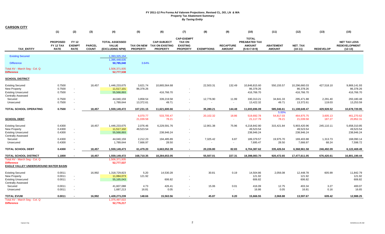| <b>CARSON CITY</b>                                                                                |                                             |                                              |                               |                                                          |                       |                                                                     |                                                                          |                          |                                   |                                                                 |                                   |                                          |                    |                                                          |
|---------------------------------------------------------------------------------------------------|---------------------------------------------|----------------------------------------------|-------------------------------|----------------------------------------------------------|-----------------------|---------------------------------------------------------------------|--------------------------------------------------------------------------|--------------------------|-----------------------------------|-----------------------------------------------------------------|-----------------------------------|------------------------------------------|--------------------|----------------------------------------------------------|
|                                                                                                   | (1)                                         | (2)                                          | (3)                           | (4)                                                      | (5)                   | (6)                                                                 | (7)                                                                      | (8)                      | (9)                               | (10)                                                            | (11)                              | (12)                                     | (13)               | (15)                                                     |
| TAX_ENTITY                                                                                        | <b>PROPOSED</b><br>FY 12 TAX<br><b>RATE</b> | <b>FY 12</b><br><b>EXEMPT</b><br><b>RATE</b> | <b>PARCEL</b><br><b>COUNT</b> | <b>TOTAL ASSESSED</b><br><b>VALUE</b><br>(EXCLUDING NPM) | <b>PROPERTY</b>       | <b>CAP-SUBJECT</b><br>TAX ON NEW TAX ON EXISTING<br><b>PROPERTY</b> | <b>CAP-EXEMPT</b><br><b>TAX ON</b><br><b>EXISTING</b><br><b>PROPERTY</b> | <b>EXEMPTIONS</b>        | <b>RECAPTURE</b><br><b>AMOUNT</b> | <b>TOTAL</b><br>PREABATED TAX<br><b>AMOUNT</b><br>$(5+6+7-8+9)$ | <b>ABATEMENT</b><br><b>AMOUNT</b> | NET_TAX<br>$(10-11)$                     | <b>REDEVELOP</b>   | <b>NET TAX LESS</b><br><b>REDEVELOPMENT</b><br>$(12-13)$ |
|                                                                                                   |                                             |                                              |                               |                                                          |                       |                                                                     |                                                                          |                          |                                   |                                                                 |                                   |                                          |                    |                                                          |
| <b>Existing Secured</b><br><b>Difference</b>                                                      |                                             |                                              |                               | 1,393,325,154<br>1,395,448,635<br>50,785,040             | 3.64%                 |                                                                     |                                                                          |                          |                                   |                                                                 |                                   |                                          |                    |                                                          |
| Total AV - March Seg - Col. Q<br><b>Difference</b>                                                |                                             |                                              |                               | 1,506,371,935<br>52,777,538                              |                       |                                                                     |                                                                          |                          |                                   |                                                                 |                                   |                                          |                    |                                                          |
| <b>SCHOOL DISTRICT</b>                                                                            |                                             |                                              |                               |                                                          |                       |                                                                     |                                                                          |                          |                                   |                                                                 |                                   |                                          |                    |                                                          |
| <b>Existing Secured</b><br>New Property<br><b>Existing Unsecured</b><br><b>Centrally Assessed</b> | 0.7500<br>0.7500<br>0.7500                  | $\sim$<br>$\blacksquare$                     | 18,457                        | 1,446,233,675<br>11,517,101<br>55,568,893                | 3,621.74<br>86,378.26 | 10,865,564.68<br>416,766.70                                         | $\overline{\phantom{a}}$<br>$\blacksquare$                               | 22,503.31                | 132.49                            | 10,846,815.60<br>86,378.26<br>416,766.70                        | 550,155.57                        | 10,296,660.03<br>86,378.26<br>416,766.70 | 427,518.10         | 9,869,141.93<br>86,378.26<br>416,766.70                  |
| Secured                                                                                           | 0.7500                                      | $\blacksquare$                               |                               | 44,040,159                                               | 3,858.54              | 339,219.58                                                          |                                                                          | 12,776.90                | 11.99                             | 330,313.21                                                      | 34,841.33                         | 295,471.88                               | 2,291.40           | 293,180.48                                               |
| Unsecured                                                                                         | 0.7500                                      |                                              |                               | 1,789,644                                                | 13,372.61             | 49.71                                                               |                                                                          |                          |                                   | 13,422.32                                                       | 49.71                             | 13,372.61                                | 119.03             | 13,253.59                                                |
| <b>TOTAL SCHOOL OPERATING</b>                                                                     | 0.7500                                      |                                              | 18,457                        | 1,559,149,472                                            | 107,231.15            | 11,621,600.66                                                       | $\sim$                                                                   | 35,280.21                | 144.48                            | 11,693,696.09                                                   | 585,046.61                        | 11,108,649.47                            | 429,928.52         | 10,678,720.95                                            |
|                                                                                                   |                                             |                                              |                               |                                                          |                       |                                                                     | $\sim$                                                                   |                          |                                   |                                                                 | 5.00%                             |                                          |                    |                                                          |
| <b>SCHOOL DEBT</b>                                                                                |                                             |                                              |                               |                                                          | 6,070.77<br>21,039.58 | 533,705.47<br>78.21                                                 |                                                                          | 20,102.32<br>$\sim$      | 18.86<br>$\sim$                   | 519,692.78<br>21,117.79                                         | 54,817.03<br>78.21                | 464,875.75<br>21,039.58                  | 3,605.13<br>187.27 | 461,270.62<br>20,852.31                                  |
| <b>Existing Secured</b>                                                                           | 0.4300                                      |                                              | 18,457                        | 1,446,233,675                                            | 2,076.46              | 6,229,591.76                                                        |                                                                          | 12,901.38                | 75.96                             | 6,218,842.80                                                    | 315,421.84                        | 5,903,420.96                             | 245,110.11         | 5,658,310.85                                             |
| <b>New Property</b>                                                                               | 0.4300                                      | $\overline{\phantom{a}}$                     |                               | 11,517,102                                               | 49,523.54             |                                                                     |                                                                          |                          |                                   | 49,523.54                                                       |                                   | 49,523.54                                |                    | 49,523.54                                                |
| <b>Existing Unsecured</b><br><b>Centrally Assessed</b>                                            | 0.4300                                      | $\sim$                                       |                               | 55,568,893                                               |                       | 238,946.24                                                          | $\mathbf{r}$                                                             |                          |                                   | 238,946.24                                                      |                                   | 238,946.24                               |                    | 238,946.24                                               |
| Secured                                                                                           | 0.4300                                      | $\overline{\phantom{a}}$                     |                               | 44,040,159                                               | 2,212.23              | 194,485.89                                                          | $\overline{\phantom{a}}$                                                 | 7,325.42                 | 6.87                              | 189,379.57                                                      | 19,975.70                         | 169,403.88                               | 1,313.73           | 168,090.14                                               |
| Unsecured                                                                                         | 0.4300                                      | $\blacksquare$                               |                               | 1,789,644                                                | 7,666.97              | 28.50                                                               |                                                                          | $\overline{\phantom{a}}$ | $\sim$                            | 7,695.47                                                        | 28.50                             | 7,666.97                                 | 68.24              | 7,598.72                                                 |
| <b>TOTAL SCHOOL DEBT</b>                                                                          | 0.4300                                      |                                              | 18,457                        | 1,559,149,473                                            | 61,479.20             | 6,663,052.39                                                        | $\sim$                                                                   | 20,226.80                | 82.83                             | 6,704,387.62                                                    | 335,426.04                        | 6,368,961.58                             | 246,492.09         | 6,122,469.49                                             |
| <b>TOTAL SCHOOL DISTRICT</b>                                                                      | 1.1800                                      | $\overline{\phantom{a}}$                     | 18,457                        | 1,559,149,472                                            | 168,710.35            | 18,284,653.05                                                       | $\sim$                                                                   | 55,507.01                | 227.31                            | 18,398,083.70                                                   | 920,472.65                        | 17,477,611.05                            | 676,420.61         | 16,801,190.44                                            |
| Total AV - March Seg - Col. Q<br><b>Difference</b><br>EAGLE VALLEY UNDERGROUND WATER BASIN        |                                             |                                              |                               | 1,506,371,935<br>52,777,537                              |                       |                                                                     |                                                                          |                          |                                   |                                                                 |                                   |                                          |                    |                                                          |
| <b>Existing Secured</b>                                                                           | 0.0011                                      |                                              | 16,992                        | 1,318,729,823                                            | 5.20                  | 14,530.28                                                           |                                                                          | 30.81                    | 0.19                              | 14,504.86                                                       | 2,056.08                          | 12,448.78                                | 605.99             | 11,842.79                                                |
| New Property                                                                                      | 0.0011                                      | $\overline{\phantom{a}}$                     |                               | 11,084,073                                               | 121.92                |                                                                     |                                                                          |                          |                                   | 121.92                                                          |                                   | 121.92                                   |                    | 121.92                                                   |
| <b>Existing Unsecured</b>                                                                         | 0.0011                                      | $\blacksquare$                               |                               | 55,165,043                                               |                       | 606.82                                                              | $\blacksquare$                                                           |                          |                                   | 606.82                                                          |                                   | 606.82                                   |                    | 606.82                                                   |
| <b>Centrally Assessed</b>                                                                         |                                             |                                              |                               |                                                          |                       |                                                                     |                                                                          |                          |                                   |                                                                 |                                   |                                          |                    |                                                          |
| Secured<br>Unsecured                                                                              | 0.0011<br>0.0011                            | $\sim$                                       |                               | 41,607,088<br>1,687,213                                  | 4.73<br>16.81         | 426.41<br>0.05                                                      |                                                                          | 15.06<br>$\sim$          | 0.01<br>$\sim$                    | 416.09<br>16.86                                                 | 12.75<br>0.05                     | 403.34<br>16.81                          | 3.27<br>0.16       | 400.07<br>16.65                                          |
|                                                                                                   |                                             |                                              |                               |                                                          |                       |                                                                     |                                                                          |                          |                                   |                                                                 |                                   |                                          |                    |                                                          |
| <b>TOTAL EVUW</b>                                                                                 | 0.0011                                      |                                              | 16.992                        | 1,428,273,239                                            | 148.66                | 15.563.56                                                           |                                                                          | 45.87                    | 0.20                              | 15.666.55                                                       | 2,068.88                          | 13,597.67                                | 609.42             | 12.988.25                                                |
| Total AV - March Seg - Col. Q<br><b>Difference</b>                                                |                                             |                                              |                               | 1,375,497,022<br>52,776,217                              |                       |                                                                     |                                                                          |                          |                                   |                                                                 |                                   |                                          |                    |                                                          |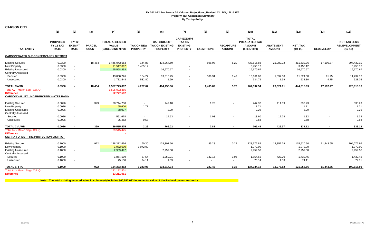| <b>CARSON CITY</b>                                                                                       |                                             |                                                      |                               |                                                          |                                      |                                                                 |                                                                          |                   |                                   |                                                                 |                                   |                                     |                          |                                                          |
|----------------------------------------------------------------------------------------------------------|---------------------------------------------|------------------------------------------------------|-------------------------------|----------------------------------------------------------|--------------------------------------|-----------------------------------------------------------------|--------------------------------------------------------------------------|-------------------|-----------------------------------|-----------------------------------------------------------------|-----------------------------------|-------------------------------------|--------------------------|----------------------------------------------------------|
|                                                                                                          | (1)                                         | (2)                                                  | (3)                           | (4)                                                      | (5)                                  | (6)                                                             | (7)                                                                      | (8)               | (9)                               | (10)                                                            | (11)                              | (12)                                | (13)                     | (15)                                                     |
| <b>TAX ENTITY</b>                                                                                        | <b>PROPOSED</b><br>FY 12 TAX<br><b>RATE</b> | <b>FY 12</b><br><b>EXEMPT</b><br><b>RATE</b>         | <b>PARCEL</b><br><b>COUNT</b> | <b>TOTAL ASSESSED</b><br><b>VALUE</b><br>(EXCLUDING NPM) | <b>TAX ON NEW</b><br><b>PROPERTY</b> | <b>CAP-SUBJECT</b><br><b>TAX ON EXISTING</b><br><b>PROPERTY</b> | <b>CAP-EXEMPT</b><br><b>TAX ON</b><br><b>EXISTING</b><br><b>PROPERTY</b> | <b>EXEMPTIONS</b> | <b>RECAPTURE</b><br><b>AMOUNT</b> | <b>TOTAL</b><br>PREABATED TAX<br><b>AMOUNT</b><br>$(5+6+7-8+9)$ | <b>ABATEMENT</b><br><b>AMOUNT</b> | <b>NET TAX</b><br>$(10-11)$         | <b>REDEVELOP</b>         | <b>NET TAX LESS</b><br><b>REDEVELOPMENT</b><br>$(12-13)$ |
| <b>CARSON WATER SUBCONSERVANCY DISTRICT</b>                                                              |                                             |                                                      |                               |                                                          |                                      |                                                                 |                                                                          |                   |                                   |                                                                 |                                   |                                     |                          |                                                          |
| <b>Existing Secured</b><br>New Property<br><b>Existing Unsecured</b><br><b>Centrally Assessed</b>        | 0.0300<br>0.0300<br>0.0300                  | $\sim$<br>$\blacksquare$                             | 18.454                        | 1,445,042,653<br>11,517,067<br>55,568,893                | 144.88<br>3,455.12                   | 434.264.69<br>16,670.67                                         | $\overline{\phantom{a}}$<br>$\overline{\phantom{a}}$                     | 898.98            | 5.29                              | 433,515.88<br>3,455.12<br>16,670.67                             | 21.982.92                         | 411,532.96<br>3,455.12<br>16,670.67 | 17,100.77                | 394,432.19<br>3,455.12<br>16,670.67                      |
| Secured<br>Unsecured                                                                                     | 0.0300<br>0.0300                            | $\blacksquare$<br>$\overline{\phantom{a}}$           |                               | 43,868,726<br>1,782,548                                  | 154.27<br>532.80                     | 13,513.25<br>1.99                                               | $\overline{\phantom{a}}$                                                 | 506.91<br>$\sim$  | 0.47<br>$\sim$                    | 13,161.08<br>534.79                                             | 1,337.00<br>1.99                  | 11,824.08<br>532.80                 | 91.95<br>4.75            | 11,732.13<br>528.05                                      |
| <b>TOTAL CWSD</b>                                                                                        | 0.0300                                      | $\sim$                                               | 18,454                        | 1,557,779,887                                            | 4.287.07                             | 464,450.60                                                      | $\blacksquare$                                                           | 1,405.89          | 5.76                              | 467,337.54                                                      | 23,321.91                         | 444,015.63                          | 17,197.47                | 426,818.16                                               |
| Total AV - March Seg - Col. Q<br><b>Difference</b><br><b>CARSON VALLEY UNDERGROUND WATER BASIN</b>       |                                             |                                                      |                               | 1,505,002,385<br>52,777,502                              |                                      |                                                                 |                                                                          |                   |                                   |                                                                 |                                   |                                     |                          |                                                          |
| <b>Existing Secured</b><br><b>New Property</b><br><b>Existing Unsecured</b><br><b>Centrally Assessed</b> | 0.0026<br>0.0026<br>0.0026                  | $\sim$<br>$\sim$                                     | 329                           | 28,744,738<br>65,600<br>88,007                           | $\sim$<br>1.71                       | 749.10<br>2.29                                                  |                                                                          | 1.78              | $\overline{\phantom{a}}$          | 747.32<br>1.71<br>2.29                                          | 414.09                            | 333.23<br>1.71<br>2.29              |                          | 333.23<br>1.71<br>2.29                                   |
| Secured<br>Unsecured                                                                                     | 0.0026<br>0.0026                            | $\overline{\phantom{a}}$<br>$\sim$                   |                               | 591.678<br>25,452                                        | $\sim$<br>0.58                       | 14.63<br>$\sim$                                                 | $\overline{a}$                                                           | 1.03<br>$\sim$    | $\sim$                            | 13.60<br>0.58                                                   | 12.28                             | 1.32<br>0.58                        | $\overline{\phantom{a}}$ | 1.32<br>0.58                                             |
| <b>TOTAL CVUWB</b>                                                                                       | 0.0026                                      | $\sim$                                               | 329                           | 29,515,475                                               | 2.29                                 | 766.02                                                          | $\overline{\phantom{a}}$                                                 | 2.81              | $\blacksquare$                    | 765.49                                                          | 426.37                            | 339.12                              | $\overline{\phantom{a}}$ | 339.12                                                   |
| Total AV - March Seg - Col. Q<br><b>Difference</b><br>SIERRA FOREST FIRE PROTECTION DISTRICT             |                                             |                                                      |                               | 29,515,475                                               |                                      |                                                                 |                                                                          |                   |                                   |                                                                 |                                   |                                     |                          |                                                          |
| <b>Existing Secured</b><br><b>New Property</b><br><b>Existing Unsecured</b><br><b>Centrally Assessed</b> | 0.1000<br>0.1000<br>0.1000                  | $\sim$<br>$\blacksquare$                             | 922                           | 128,372,636<br>1,072,000<br>2,959,497                    | 60.30<br>1,072.00                    | 128,397.60<br>2,959.50                                          |                                                                          | 85.28             | 0.27                              | 128,372.89<br>1,072.00<br>2,959.50                              | 12,852.29                         | 115,520.60<br>1,072.00<br>2,959.50  | 11,443.65                | 104,076.95<br>1,072.00<br>2,959.50                       |
| Secured<br>Unsecured                                                                                     | 0.1000<br>0.1000                            | $\overline{\phantom{a}}$<br>$\overline{\phantom{a}}$ |                               | 1,854,599<br>75,150                                      | 37.54<br>74.11                       | 1,959.21<br>1.03                                                |                                                                          | 142.15<br>$\sim$  | 0.05<br>$\sim$                    | 1,854.65<br>75.14                                               | 422.20<br>1.03                    | 1,432.45<br>74.11                   |                          | 1,432.45<br>74.11                                        |
| <b>TOTAL SFFPD</b>                                                                                       | 0.1000                                      | $\overline{\phantom{a}}$                             | 922                           | 134,333,882                                              | 1,243.95                             | 133,317.34                                                      | $\sim$                                                                   | 227.43            | 0.32                              | 134,334.18                                                      | 13,275.52                         | 121,058.66                          | 11,443.65                | 109,615.01                                               |
| Total AV - March Seg - Col. Q<br><b>Difference</b>                                                       |                                             |                                                      |                               | 121, 122, 801<br>13,211,081                              |                                      |                                                                 |                                                                          |                   |                                   |                                                                 |                                   |                                     |                          |                                                          |

**Note: The total existing secured value in column (4) includes \$60,597,033 incremental value of the Redevelopment Authority.**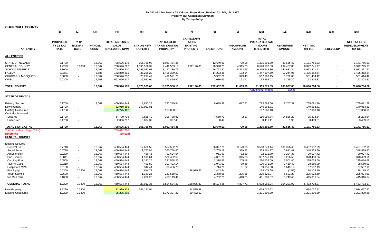| <b>CHURCHILL COUNTY</b>                                              |                                             |                                             |                               |                                                          |                                      |                                                                 |                                                                          |                   |                                   |                                                                 |                                   |                             |                  |                                                          |
|----------------------------------------------------------------------|---------------------------------------------|---------------------------------------------|-------------------------------|----------------------------------------------------------|--------------------------------------|-----------------------------------------------------------------|--------------------------------------------------------------------------|-------------------|-----------------------------------|-----------------------------------------------------------------|-----------------------------------|-----------------------------|------------------|----------------------------------------------------------|
|                                                                      | (1)                                         | (2)                                         | (3)                           | (4)                                                      | (5)                                  | (6)                                                             | (7)                                                                      | (8)               | (9)                               | (10)                                                            | (11)                              | (12)                        | (13)             | (15)                                                     |
| <b>TAX ENTITY</b>                                                    | <b>PROPOSED</b><br>FY 12 TAX<br><b>RATE</b> | <b>FY12</b><br><b>EXEMPT</b><br><b>RATE</b> | <b>PARCEL</b><br><b>COUNT</b> | <b>TOTAL ASSESSED</b><br><b>VALUE</b><br>(EXCLUDING NPM) | <b>TAX ON NEW</b><br><b>PROPERTY</b> | <b>CAP-SUBJECT</b><br><b>TAX ON EXISTING</b><br><b>PROPERTY</b> | <b>CAP-EXEMPT</b><br><b>TAX ON</b><br><b>EXISTING</b><br><b>PROPERTY</b> | <b>EXEMPTIONS</b> | <b>RECAPTURE</b><br><b>AMOUNT</b> | <b>TOTAL</b><br>PREABATED TAX<br><b>AMOUNT</b><br>$(5+6+7-8+9)$ | <b>ABATEMENT</b><br><b>AMOUNT</b> | <b>NET TAX</b><br>$(10-11)$ | <b>REDEVELOP</b> | <b>NET TAX LESS</b><br><b>REDEVELOPMENT</b><br>$(12-13)$ |
| <b>ALL ENTITIES</b>                                                  |                                             |                                             |                               |                                                          |                                      |                                                                 |                                                                          |                   |                                   |                                                                 |                                   |                             |                  |                                                          |
| STATE OF NEVADA                                                      | 0.1700                                      | $\sim$                                      | 12,067                        | 708,526,176                                              | 155,756.98                           | 1,061,484.35                                                    | $\blacksquare$                                                           | 12,649.61         | 700.08                            | 1,205,291.80                                                    | 33,535.47                         | 1,171,756.33                |                  | 1,171,756.33                                             |
| GENERAL COUNTY                                                       | 1.2229                                      | 0.0300                                      | 12,067                        | 708,526,227                                              | 1,095,566.32                         | 7,448,503.16                                                    | 212,196.85                                                               | 90,998.73         | 4,915.23                          | 8,670,182.83                                                    | 297,437.06                        | 8,372,745.77                |                  | 8,372,745.77                                             |
| SCHOOL DISTRICT                                                      | 1.3000                                      | $\sim$                                      | 12,067                        | 708,526,220                                              | 1,191,082.68                         | 8,117,230.75                                                    |                                                                          | 96,722.22         | 5,352.65                          | 9,216,943.86                                                    | 244,632.34                        | 8,972,311.52                |                  | 8,972,311.52                                             |
| FALLON                                                               | 0.8371                                      | $\sim$                                      | 3,685                         | 172,850,611                                              | 36,298.20                            | 1,425,389.23                                                    |                                                                          | 14,273.38         | 183.54                            | 1,447,597.59                                                    | 12,244.95                         | 1,435,352.64                |                  | 1,435,352.64                                             |
| CHURCHILL MOSQUITO                                                   | 0.0800                                      | ٠                                           | 12,067                        | 708,526,237                                              | 73,297.42                            | 499,521.76                                                      | $\blacksquare$                                                           | 5,952.21          | 329.48                            | 567,196.45                                                      | 15,782.03                         | 551,414.42                  |                  | 551,414.42                                               |
| CWSD                                                                 | 0.0300                                      | $\sim$                                      | 11.703                        | 661,066,217                                              | 26,922.04                            | 173.450.90                                                      | $\sim$                                                                   | 2,036.63          | 122.71                            | 198,459.02                                                      | 5,255.20                          | 193,203.82                  | $\sim$           | 193,203.82                                               |
| TOTAL COUNTY                                                         |                                             |                                             | 12.067                        | 708,526,176                                              | 2,578,923.63                         | 18,725,580.16                                                   | 212,196.85                                                               | 222,632.78        | 11,603.69                         | 21,305,671.55                                                   | 608,887.05                        | 20,696,784.50               | $\sim$           | 20,696,784.50                                            |
|                                                                      |                                             |                                             |                               |                                                          |                                      |                                                                 |                                                                          |                   |                                   | <b>Abatement Percent</b>                                        | 2.86%                             |                             |                  |                                                          |
| STATE OF NEVADA                                                      |                                             |                                             |                               |                                                          |                                      |                                                                 |                                                                          |                   |                                   |                                                                 |                                   |                             |                  |                                                          |
| <b>Existing Secured</b>                                              | 0.1700                                      |                                             | 12,067                        | 460,584,444                                              | 3,880.29                             | 787,299.84                                                      |                                                                          | 8,089.38          | 697.91                            | 783,788.66                                                      | 18,707.37                         | 765,081.29                  |                  | 765,081.29                                               |
| New Property                                                         | 0.1700                                      |                                             |                               | 82,919,886                                               | 140,963.81                           |                                                                 |                                                                          |                   |                                   | 140,963.81                                                      |                                   | 140,963.81                  |                  | 140,963.81                                               |
| <b>Existing Unsecured</b>                                            | 0.1700                                      | $\blacksquare$                              |                               | 98,275,402                                               |                                      | 167,068.18                                                      | $\overline{\phantom{a}}$                                                 |                   |                                   | 167,068.18                                                      |                                   | 167,068.18                  |                  | 167,068.18                                               |
| <b>Centrally Assessed</b>                                            |                                             |                                             |                               |                                                          |                                      |                                                                 |                                                                          |                   |                                   |                                                                 |                                   |                             |                  |                                                          |
| Secured                                                              | 0.1700                                      |                                             |                               | 64,739,736                                               | 7,828.49                             | 106,788.87                                                      | $\overline{\phantom{a}}$                                                 | 4,559.79          | 2.17                              | 110,059.74                                                      | 14,826.20                         | 95,233.54                   |                  | 95,233.54                                                |
| Unsecured                                                            | 0.1700                                      | $\blacksquare$                              |                               | 2,006,707                                                | 3.084.39                             | 327.46                                                          | $\sim$                                                                   | 0.44              | $\sim$                            | 3,411.41                                                        | 1.90                              | 3,409.51                    |                  | 3.409.51                                                 |
| TOTAL STATE OF NV                                                    | 0.1700                                      |                                             | 12.067                        | 708,526,176                                              | 155.756.98                           | 1.061.484.35                                                    |                                                                          | 12.649.61         | 700.08                            | 1.205.291.80                                                    | 33.535.47                         | 1,171,756.33                |                  | 1,171,756.33                                             |
| Total AV - March Seg - Col. Q<br>Difference<br><u>GENERAL COUNTY</u> |                                             |                                             |                               | 708,612,795<br>(86, 619)                                 |                                      |                                                                 |                                                                          |                   |                                   |                                                                 |                                   |                             |                  |                                                          |
| <b>Existing Secured</b>                                              |                                             |                                             |                               |                                                          |                                      |                                                                 |                                                                          |                   |                                   |                                                                 |                                   |                             |                  |                                                          |
| General Co.                                                          | 0.7740                                      |                                             | 12,067                        | 460,584,444                                              | 17,666.52                            | 3,584,532.71                                                    |                                                                          | 36,827.79         | 3,178.00                          | 3,568,549.44                                                    | 101,396.45                        | 3,467,152.99                |                  | 3,467,152.99                                             |
| Social Servs.                                                        | 0.0779                                      | $\blacksquare$                              | 12,067                        | 460,584,444                                              | 1,777.94                             | 360,768.80                                                      | $\blacksquare$                                                           | 3,705.19          | 319.82                            | 359,161.37                                                      | 10,631.47                         | 348,529.90                  |                  | 348,529.90                                               |
| Ag Extension                                                         | 0.0200                                      | ٠                                           | 12,067                        | 460,584,444                                              | 456.45                               | 92,624.64                                                       | $\sim$                                                                   | 951.50            | 82.20                             | 92,211.79                                                       | 2,204.37                          | 90,007.42                   |                  | 90,007.42                                                |
| Pub. Library                                                         | 0.0841                                      | ٠                                           | 12,067                        | 460,584,444                                              | 1,919.61                             | 389,482.59                                                      | $\blacksquare$                                                           | 4,001.29          | 345.28                            | 387,746.19                                                      | 9,256.53                          | 378,489.66                  |                  | 378,489.66                                               |
| Cap.Imp.Fund                                                         | 0.0500                                      | ٠                                           | 12,067                        | 460,584,444                                              | 1,141.26                             | 231,558.21                                                      | $\sim$                                                                   | 2,378.56          | 205.18                            | 230,526.09                                                      | 5,501.40                          | 225,024.69                  |                  | 225,024.69                                               |
| Tax Act 1991                                                         | 0.0219                                      | $\sim$                                      | 12,067                        | 460,584,444                                              | 499.89                               | 101,423.14                                                      | $\sim$                                                                   | 1,041.52          | 89.88                             | 100,971.39                                                      | 2,410.40                          | 98,560.99                   |                  | 98,560.99                                                |
| Hosp.Care MVA                                                        | 0.0150                                      | $\sim$                                      | 12,067                        | 460,584,444                                              | 342.44                               | 69.466.70                                                       | $\sim$                                                                   | 714.28            | 61.52                             | 69.156.38                                                       | 1,649.19                          | 67,507.19                   |                  | 67,507.19                                                |
| Fire Equip.                                                          | 0.0300                                      | 0.0300                                      | 12,067                        | 460,584,444                                              | 684.72                               | $\sim$                                                          | 138,935.37                                                               | 1,443.54          | $\sim$                            | 138,176.55                                                      | (2.55)                            | 138,179.10                  |                  | 138,179.10                                               |
| <b>Youth Service</b>                                                 | 0.0500                                      | $\sim$                                      | 12,067                        | 460,584,444                                              | 1,141.26                             | 231.558.09                                                      | $\sim$                                                                   | 2,378.56          | 205.18                            | 230,525.97                                                      | 5,501.28                          | 225,024.69                  |                  | 225,024.69                                               |
| Ind Med Care                                                         | 0.1000                                      | $\sim$                                      | 12,067                        | 460,584,444                                              | 2,282.26                             | 463,119.41                                                      | $\blacksquare$                                                           | 4,752.25          | 410.65                            | 461,060.07                                                      | 15,743.43                         | 445,316.64                  |                  | 445,316.64                                               |
| <b>GENERAL TOTAL</b>                                                 | 1.2229                                      | 0.0300                                      | 12,067                        | 460,584,444                                              | 27,912.35                            | 5,524,534.29                                                    | 138,935.37                                                               | 58,194.48         | 4,897.71                          | 5,638,085.24                                                    | 154,291.97                        | 5,483,793.27                |                  | 5,483,793.27                                             |
| <b>New Property</b>                                                  | 1.2229                                      | 0.0300                                      |                               | 82,919,938                                               | 989,151.94                           |                                                                 | 24,875.98                                                                |                   |                                   | 1,014,027.92                                                    |                                   | 1,014,027.92                |                  | 1,014,027.92                                             |
| <b>Existing Unsecured</b>                                            | 1.2229                                      | 0.0300                                      |                               | 98,275,402                                               |                                      | 1,172,327.27                                                    | 29,482.62                                                                |                   |                                   | 1,201,809.89                                                    |                                   | 1,201,809.89                |                  | 1,201,809.89                                             |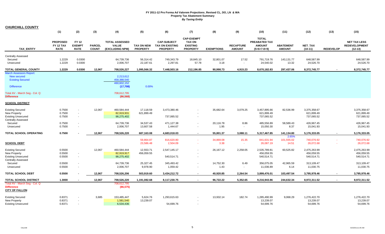| <b>CHURCHILL COUNTY</b>                                                         | (1)                                         | (2)                                          | (3)                           | (4)                                                      | (5)                           | (6)                                                             | (7)                                                 | (8)               | (9)                               | (10)                                                   | (11)                              | (12)                                     | (13)             | (15)                                                     |
|---------------------------------------------------------------------------------|---------------------------------------------|----------------------------------------------|-------------------------------|----------------------------------------------------------|-------------------------------|-----------------------------------------------------------------|-----------------------------------------------------|-------------------|-----------------------------------|--------------------------------------------------------|-----------------------------------|------------------------------------------|------------------|----------------------------------------------------------|
|                                                                                 |                                             |                                              |                               |                                                          |                               |                                                                 | <b>CAP-EXEMPT</b>                                   |                   |                                   | <b>TOTAL</b>                                           |                                   |                                          |                  |                                                          |
| <b>TAX ENTITY</b>                                                               | <b>PROPOSED</b><br>FY 12 TAX<br><b>RATE</b> | <b>FY 12</b><br><b>EXEMPT</b><br><b>RATE</b> | <b>PARCEL</b><br><b>COUNT</b> | <b>TOTAL ASSESSED</b><br><b>VALUE</b><br>(EXCLUDING NPM) | TAX ON NEW<br><b>PROPERTY</b> | <b>CAP-SUBJECT</b><br><b>TAX ON EXISTING</b><br><b>PROPERTY</b> | <b>TAX ON</b><br><b>EXISTING</b><br><b>PROPERTY</b> | <b>EXEMPTIONS</b> | <b>RECAPTURE</b><br><b>AMOUNT</b> | <b>PREABATED TAX</b><br><b>AMOUNT</b><br>$(5+6+7-8+9)$ | <b>ABATEMENT</b><br><b>AMOUNT</b> | NET_TAX<br>$(10-11)$                     | <b>REDEVELOP</b> | <b>NET TAX LESS</b><br><b>REDEVELOPMENT</b><br>$(12-13)$ |
| Centrally Assessed                                                              |                                             |                                              |                               |                                                          |                               |                                                                 |                                                     |                   |                                   |                                                        |                                   |                                          |                  |                                                          |
| Secured<br>Unsecured                                                            | 1.2229<br>1.2229                            | 0.0300<br>0.0300                             |                               | 64,739,736<br>2,006,707                                  | 56,314.42<br>22,187.61        | 749,343.79<br>2,297.81                                          | 18,845.10<br>57.78                                  | 32,801.07<br>3.18 | 17.52<br>$\sim$                   | 791,719.76<br>24,540.02                                | 143,131.77<br>13.32               | 648,587.99<br>24,526.70                  |                  | 648,587.99<br>24,526.70                                  |
| <b>TOTAL GENERAL COUNTY</b>                                                     | 1.2229                                      | 0.0300                                       | 12.067                        | 708,526,227                                              | 1,095,566.32                  | 7,448,503.16                                                    | 212,196.85                                          | 90,998.73         | 4,915.23                          | 8,670,182.83                                           | 297,437.06                        | 8,372,745.77                             | $\sim$           | 8,372,745.77                                             |
| <b>March Assessors Report:</b><br><b>New secured</b><br><b>Existing Secured</b> |                                             |                                              |                               | 2,213,612<br>458,388,540<br>460,602,152                  |                               |                                                                 |                                                     |                   |                                   |                                                        |                                   |                                          |                  |                                                          |
| <b>Difference</b>                                                               |                                             |                                              |                               | (17,708)                                                 | 0.00%                         |                                                                 |                                                     |                   |                                   |                                                        |                                   |                                          |                  |                                                          |
| Total AV - March Seg - Col. Q<br><b>Difference</b>                              |                                             |                                              |                               | 708,612,795<br>(86, 568)                                 |                               |                                                                 |                                                     |                   |                                   |                                                        |                                   |                                          |                  |                                                          |
| <b>SCHOOL DISTRICT</b>                                                          |                                             |                                              |                               |                                                          |                               |                                                                 |                                                     |                   |                                   |                                                        |                                   |                                          |                  |                                                          |
| <b>Existing Secured</b><br><b>New Property</b><br><b>Existing Unsecured</b>     | 0.7500<br>0.7500<br>0.7500                  | $\sim$<br>$\sim$                             | 12,067                        | 460,584,444<br>82,919,931<br>98,275,402                  | 17,118.59<br>621,899.49       | 3,473,380.46<br>737,065.52                                      | $\sim$                                              | 35,682.64         | 3,079.25                          | 3,457,895.66<br>621,899.49<br>737,065.52               | 82,536.99                         | 3,375,358.67<br>621,899.49<br>737,065.52 |                  | 3,375,358.67<br>621,899.49<br>737,065.52                 |
| <b>Centrally Assessed</b><br>Secured<br>Unsecured                               | 0.7500<br>0.7500                            |                                              |                               | 64,739,736<br>2,006,707                                  | 34,537.43<br>13,607.58        | 471,127.38<br>1,444.67                                          | $\sim$<br>$\blacksquare$                            | 20,116.78<br>1.95 | 8.86<br>$\sim$                    | 485,556.89<br>15,050.30                                | 58,589.43<br>8.37                 | 426,967.45<br>15,041.93                  |                  | 426,967.45<br>15,041.93                                  |
| <b>TOTAL SCHOOL OPERATING</b>                                                   | 0.7500                                      |                                              | 12,067                        | 708,526,220                                              | 687,163.08                    | 4,683,018.03                                                    | $\sim$                                              | 55,801.37         | 3,088.11                          | 5,317,467.85                                           | 141,134.80                        | 5,176,333.05                             | $\sim$           | 5,176,333.05                                             |
|                                                                                 |                                             |                                              |                               |                                                          | 59,864.87                     | 816,620.80                                                      | $\sim$                                              | 34,869.08         | 15.35                             | 841,631.94                                             | 2.65%<br>101,555.02               | 740,076.92                               | $\sim$           | 740,076.92                                               |
| <b>SCHOOL DEBT</b>                                                              |                                             |                                              |                               |                                                          | 23,586.48                     | 2,504.09                                                        | $\sim$                                              | 3.38              | $\sim$                            | 26,087.19                                              | 14.51                             | 26,072.68                                |                  | 26,072.68                                                |
| <b>Existing Secured</b>                                                         | 0.5500                                      |                                              | 12,067                        | 460,584,444                                              | 12,553.71                     | 2,547,145.17                                                    |                                                     | 26,167.12         | 2,258.05                          | 2,535,789.81                                           | 60,525.82                         | 2,475,263.99                             |                  | 2,475,263.99                                             |
| <b>New Property</b><br><b>Existing Unsecured</b><br><b>Centrally Assessed</b>   | 0.5500<br>0.5500                            | $\blacksquare$                               |                               | 82,919,917<br>98,275,402                                 | 456,059.55                    | 540,514.71                                                      | $\blacksquare$                                      |                   |                                   | 456,059.55<br>540,514.71                               |                                   | 456,059.55<br>540,514.71                 |                  | 456,059.55<br>540,514.71                                 |
| Secured<br>Unsecured                                                            | 0.5500<br>0.5500                            |                                              |                               | 64,739,736<br>2,006,707                                  | 25,327.45<br>9,978.90         | 345,493.42<br>1,059.42                                          | $\blacksquare$<br>$\sim$                            | 14,752.30<br>1.43 | 6.49<br>$\sim$                    | 356,075.05<br>11,036.89                                | 42,965.59<br>6.14                 | 313,109.47<br>11,030.75                  |                  | 313,109.47<br>11,030.75                                  |
| <b>TOTAL SCHOOL DEBT</b>                                                        | 0.5500                                      |                                              | 12,067                        | 708,526,206                                              | 503,919.60                    | 3,434,212.72                                                    |                                                     | 40,920.85         | 2,264.54                          | 3,899,476.01                                           | 103,497.54                        | 3,795,978.46                             | $\sim$           | 3,795,978.46                                             |
| TOTAL SCHOOL DISTRICT                                                           | 1.3000                                      |                                              | 12,067                        | 708,526,220                                              | 1,191,082.68                  | 8,117,230.75                                                    | $\sim$                                              | 96,722.22         | 5.352.65                          | 9,216,943.86                                           | 244,632.34                        | 8,972,311.52                             | $\sim$           | 8,972,311.52                                             |
| Total AV - March Seg - Col. Q<br><b>Difference</b><br><b>CITY OF FALLON</b>     |                                             |                                              |                               | 708,612,795<br>(86, 575)                                 |                               |                                                                 |                                                     |                   |                                   |                                                        |                                   |                                          |                  |                                                          |
| <b>Existing Secured</b><br><b>New Property</b><br><b>Existing Unsecured</b>     | 0.8371<br>0.8371<br>0.8371                  | $\blacksquare$                               | 3,685                         | 153,485,447<br>1,581,540<br>6,534,436                    | 5,624.76<br>13,239.07         | 1,293,615.63<br>54,699.76                                       | $\sim$                                              | 13,932.14         | 182.74                            | 1,285,490.99<br>13,239.07<br>54,699.76                 | 9,068.29                          | 1,276,422.70<br>13,239.07<br>54,699.76   |                  | 1,276,422.70<br>13,239.07<br>54,699.76                   |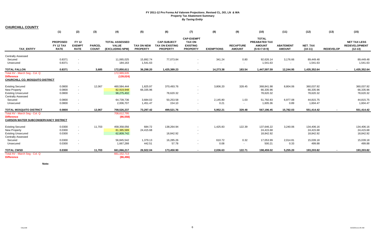|                                                                                                                                     | (1)                                         | (2)                                          | (3)                           | (4)                                                      | (5)                                  | (6)                                                             | (7)                                                                      | (8)               | (9)                               | (10)                                                            | (11)                              | (12)                                 | (13)             | (15)                                                     |
|-------------------------------------------------------------------------------------------------------------------------------------|---------------------------------------------|----------------------------------------------|-------------------------------|----------------------------------------------------------|--------------------------------------|-----------------------------------------------------------------|--------------------------------------------------------------------------|-------------------|-----------------------------------|-----------------------------------------------------------------|-----------------------------------|--------------------------------------|------------------|----------------------------------------------------------|
| <b>TAX ENTITY</b>                                                                                                                   | <b>PROPOSED</b><br>FY 12 TAX<br><b>RATE</b> | <b>FY 12</b><br><b>EXEMPT</b><br><b>RATE</b> | <b>PARCEL</b><br><b>COUNT</b> | <b>TOTAL ASSESSED</b><br><b>VALUE</b><br>(EXCLUDING NPM) | <b>TAX ON NEW</b><br><b>PROPERTY</b> | <b>CAP-SUBJECT</b><br><b>TAX ON EXISTING</b><br><b>PROPERTY</b> | <b>CAP-EXEMPT</b><br><b>TAX ON</b><br><b>EXISTING</b><br><b>PROPERTY</b> | <b>EXEMPTIONS</b> | <b>RECAPTURE</b><br><b>AMOUNT</b> | <b>TOTAL</b><br>PREABATED TAX<br><b>AMOUNT</b><br>$(5+6+7-8+9)$ | <b>ABATEMENT</b><br><b>AMOUNT</b> | <b>NET TAX</b><br>$(10-11)$          | <b>REDEVELOP</b> | <b>NET TAX LESS</b><br><b>REDEVELOPMENT</b><br>$(12-13)$ |
| <b>Centrally Assessed</b><br>Secured<br>Unsecured                                                                                   | 0.8371<br>0.8371                            | $\sim$                                       |                               | 11,065,025<br>184,163                                    | 15,892.74<br>1,541.63                | 77,073.84<br>$\sim$                                             |                                                                          | 341.24<br>$\sim$  | 0.80<br>$\sim$                    | 92,626.14<br>1,541.63                                           | 3,176.66<br>$\sim$                | 89,449.48<br>1,541.63                |                  | 89,449.48<br>1,541.63                                    |
| <b>TOTAL FALLON</b>                                                                                                                 | 0.8371                                      |                                              | 3,685                         | 172,850,611                                              | 36,298.20                            | 1,425,389.23                                                    |                                                                          | 14,273.38         | 183.54                            | 1,447,597.59                                                    | 12,244.95                         | 1,435,352.64                         | $\sim$           | 1,435,352.64                                             |
| Total AV - March Seq - Col. Q<br><b>Difference</b><br><b>CHURCHILL CO. MOSQUITO DISTRICT</b>                                        |                                             |                                              |                               | 172,989,635<br>(139, 024)                                |                                      |                                                                 |                                                                          |                   |                                   |                                                                 |                                   |                                      |                  |                                                          |
| <b>Existing Secured</b><br>New Property<br><b>Existing Unsecured</b>                                                                | 0.0800<br>0.0800<br>0.0800                  | $\sim$<br>$\sim$<br>$\sim$                   | 12,067                        | 460,584,444<br>82,919,948<br>98,275,402                  | 1,825.97<br>66,335.96                | 370,493.76<br>78,620.32                                         | $\overline{\phantom{a}}$                                                 | 3,806.20          | 328.45                            | 368,841.98<br>66,335.96<br>78,620.32                            | 8,804.06                          | 360,037.92<br>66,335.96<br>78,620.32 |                  | 360,037.92<br>66,335.96<br>78,620.32                     |
| <b>Centrally Assessed</b><br>Secured<br>Unsecured                                                                                   | 0.0800<br>0.0800                            | $\sim$                                       |                               | 64,739,736<br>2,006,707                                  | 3,684.02<br>1,451.47                 | 50,253.58<br>154.10                                             |                                                                          | 2,145.80<br>0.21  | 1.03<br>$\sim$                    | 51,792.83<br>1,605.36                                           | 6,977.08<br>0.89                  | 44,815.75<br>1,604.47                |                  | 44,815.75<br>1,604.47                                    |
| <b>TOTAL MOSQUITO DISTRICT</b><br>Total AV - March Seg - Col. Q<br><b>Difference</b><br><b>CARSON WATER SUBCONSERVANCY DISTRICT</b> | 0.0800                                      |                                              | 12,067                        | 708,526,237<br>708,612,795<br>(86, 558)                  | 73,297.42                            | 499,521.76                                                      |                                                                          | 5,952.21          | 329.48                            | 567,196.45                                                      | 15,782.03                         | 551,414.42                           | $\blacksquare$   | 551,414.42                                               |
| <b>Existing Secured</b><br>New Property<br><b>Existing Unsecured</b><br><b>Centrally Assessed</b>                                   | 0.0300<br>0.0300<br>0.0300                  | $\sim$<br>$\sim$<br>$\sim$                   | 11,703                        | 458,358,056<br>81,385,589<br>62,809,742                  | 684.72<br>24,415.68                  | 138,264.94<br>18,842.92                                         |                                                                          | 1,425.83          | 122.39                            | 137,646.22<br>24,415.68<br>18,842.92                            | 3,240.06                          | 134,406.16<br>24,415.68<br>18,842.92 |                  | 134,406.16<br>24,415.68<br>18,842.92                     |
| Secured<br>Unsecured                                                                                                                | 0.0300<br>0.0300                            | $\sim$<br>$\sim$                             |                               | 56,845,542<br>1,667,288                                  | 1,379.13<br>442.51                   | 16,285.26<br>57.78                                              | $\overline{\phantom{a}}$                                                 | 610.72<br>0.08    | 0.32<br>$\sim$                    | 17,053.99<br>500.21                                             | 2,014.81<br>0.33                  | 15,039.18<br>499.88                  |                  | 15,039.18<br>499.88                                      |
| <b>TOTAL CWSD</b><br>Total AV - March Seg - Col. Q                                                                                  | 0.0300                                      |                                              | 11,703                        | 661,066,217<br>661, 152, 713                             | 26,922.04                            | 173,450.90                                                      | $\overline{\phantom{a}}$                                                 | 2,036.63          | 122.71                            | 198,459.02                                                      | 5,255.20                          | 193,203.82                           | $\blacksquare$   | 193,203.82                                               |
| <b>Difference</b>                                                                                                                   |                                             |                                              |                               | (86, 496)                                                |                                      |                                                                 |                                                                          |                   |                                   |                                                                 |                                   |                                      |                  |                                                          |

**Note:**

**CHURCHILL COUNTY**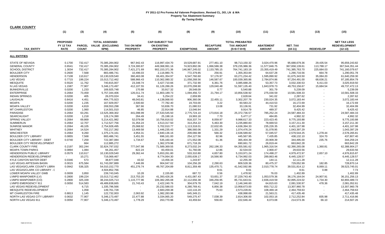| <b>CLARK COUNTY</b>                                                                                                                   |                                                    |                                             |                                                                               |                                                               |                                                                             |                                                                     |                                                      |                                                                           |                                                                 |                                                                           |                                                             |                                                                           |
|---------------------------------------------------------------------------------------------------------------------------------------|----------------------------------------------------|---------------------------------------------|-------------------------------------------------------------------------------|---------------------------------------------------------------|-----------------------------------------------------------------------------|---------------------------------------------------------------------|------------------------------------------------------|---------------------------------------------------------------------------|-----------------------------------------------------------------|---------------------------------------------------------------------------|-------------------------------------------------------------|---------------------------------------------------------------------------|
|                                                                                                                                       | (1)                                                | (3)                                         | (4)                                                                           | (5)                                                           | (6)                                                                         | (8)                                                                 | (9)                                                  | (10)                                                                      | (11)                                                            | (12)                                                                      | (13)                                                        | (15)                                                                      |
| TAX_ENTITY                                                                                                                            | <b>PROPOSED</b><br><b>FY 12 TAX</b><br><b>RATE</b> | <b>PARCEL</b><br><b>COUNT</b>               | <b>TOTAL ASSESSED</b><br>VALUE (EXCLUDING<br>NPM)                             | <b>TAX ON NEW</b><br><b>PROPERTY</b>                          | <b>CAP-SUBJECT TAX</b><br><b>ON EXISTING</b><br><b>PROPERTY</b>             | <b>EXEMPTIONS</b>                                                   | <b>RECAPTURE</b><br><b>AMOUNT</b>                    | <b>TOTAL PREABATED</b><br><b>TAX AMOUNT</b><br>$(5+6+7-8+9)$              | <b>ABATEMENT</b><br><b>AMOUNT</b>                               | <b>NET TAX</b><br>$(10-11)$                                               | <b>REDEVELOP</b>                                            | <b>NET TAX LESS</b><br><b>REDEVELOPMENT</b><br>$(12-13)$                  |
| <b>ALL ENTITIES</b>                                                                                                                   |                                                    |                                             |                                                                               |                                                               |                                                                             |                                                                     |                                                      |                                                                           |                                                                 |                                                                           |                                                             |                                                                           |
| <b>STATE OF NEVADA</b><br><b>GENERAL COUNTY</b><br><b>SCHOOL DISTRICT</b><br><b>BOULDER CITY</b>                                      | 0.1700<br>0.6541<br>1.3034<br>0.2600               | 732,417<br>732,417<br>732,417<br>7,568      | 70,385,284,902<br>70,385,284,902<br>70,385,284,902<br>883,486,741             | 967,942.43<br>3,724,300.87<br>7,421,271.69<br>10,496.03       | 116,997,434.70<br>449,368,991.16<br>902, 153, 371. 36<br>2,116,980.75       | 19,529,687.91<br>74,923,892.06<br>146,967,245.02<br>772,379.85      | 277,461.10<br>1,066,586.38<br>2,133,785.15<br>256.91 | 98,713,150.32<br>379,235,986.36<br>764,741,183.19<br>1,355,353.84         | 3,024,470.96<br>11,577,846.75<br>23,355,419.49<br>64,637.28     | 95,688,679.36<br>367,658,139.61<br>741,385,763.70<br>1,290,716.56         | 29,435.54<br>113,788.17<br>225,684.03<br>664.78             | 95,659,243.82<br>367,544,351.44<br>741,160,079.67<br>1,290,051.78         |
| <b>HENDERSON</b><br><b>LAS VEGAS</b><br><b>MESQUITE</b><br>N LAS VEGAS                                                                | 0.7108<br>0.7715<br>0.5520<br>1.1587               | 110,617<br>199,224<br>11,762<br>77,907      | 10,130,029,540<br>15,013,712,462<br>740,815,007<br>5,346,173,497              | 360,463.08<br>588,966.43<br>23,348.74<br>412,107.55           | 69,401,354.97<br>110,362,080.32<br>3,427,710.66<br>61,126,286.26            | 6,547,760.60<br>11,058,268.56<br>371,732.90<br>10,070,298.90        | 57,176.97<br>146,587.67<br>6,361.76<br>129,040.48    | 63,271,234.42<br>100,039,365.86<br>3,085,688.26<br>51,597,135.40          | 1,595,890.92<br>2,784,874.86<br>53,357.73<br>1,843,978.73       | 61,675,343.50<br>97,254,491.00<br>3,032,330.53<br>49,753,156.67           | 35,084.20<br>68,636.21<br>6,411.03<br>15,684.54             | 61,640,259.30<br>97,185,854.79<br>3,025,919.50<br>49,737,472.13           |
| <b>BUNKERVILLE</b><br><b>ENTERPRISE</b><br><b>INDIAN SPRINGS</b><br><b>LAUGHLIN</b>                                                   | 0.0200<br>0.2064<br>0.0200<br>0.8416               | 1,233<br>73,459<br>405<br>4,451             | 169,925,748<br>5,757,344,406<br>26,070,024<br>494,775,923                     | 170.88<br>126,011.74<br>34.41<br>48,043.81                    | 33,917.32<br>11,803,189.73<br>5,254.22<br>4,138,068.93                      | 28,548.09<br>1,094,456.72<br>2,659.99<br>906,360.06                 | 0.77<br>21,794.17<br>22,455.11                       | 5,540.88<br>10,856,538.92<br>2,628.64<br>3,302,207.79                     | 301.79<br>275,030.59<br>341.02<br>230,024.35                    | 5,239.09<br>10,581,508.33<br>2,287.62<br>3,072,183.44                     |                                                             | 5,239.09<br>10,581,508.33<br>2,287.62<br>3,072,183.44                     |
| <b>MOAPA</b><br><b>MOAPA VALLEY</b><br><b>MT CHARLESTON</b><br>PARADISE<br><b>SEARCHLIGHT</b>                                         | 0.0200<br>0.0200<br>0.0200<br>0.2064<br>0.0200     | 1,235<br>4,819<br>1,060<br>63,291<br>1,218  | 167,929,057<br>269,553,298<br>114,501,010<br>13,525,369,302<br>126, 174, 390  | 2,500.60<br>367.66<br>46.85<br>441,098.99<br>264.49           | 77,782.40<br>53,836.70<br>22,914.88<br>27,533,545.50<br>25,198.16           | 19,703.00<br>21,080.53<br>13,046.94<br>2,775,724.10<br>19,993.18    | 3.22<br>13.08<br>173,816.18<br>7.70                  | 60,583.22<br>33,136.91<br>9,914.79<br>25,372,736.57<br>5,477.17           | 44,410.53<br>731.92<br>489.37<br>785,252.24<br>484.85           | 16,172.69<br>32,404.99<br>9,425.42<br>24,587,484.33<br>4,992.32           |                                                             | 16,172.69<br>32,404.99<br>9,425.42<br>24,587,484.33<br>4,992.32           |
| <b>SPRING VALLEY</b><br><b>SUMMERLIN</b><br><b>SUNRISE MANOR</b><br><b>WHITNEY</b>                                                    | 0.2064<br>0.2064<br>0.2064<br>0.2064               | 69,869<br>12,707<br>49,105<br>14,524        | 5,214,421,982<br>1,712,527,756<br>2,754,928,495<br>702,217,392                | 52,079.08<br>31,354.24<br>25,068.92<br>13,469.58              | 10,756,816.02<br>3,513,317.50<br>5,702,010.77<br>1,446,235.43               | 818,337.74<br>314,254.22<br>1,113,318.01<br>386,560.06              | 8,059.97<br>5,463.30<br>22,632.65<br>1,331.29        | 9,998,617.33<br>3,235,880.83<br>4,636,394.33<br>1,074,476.24              | 223,423.45<br>78,669.53<br>235,226.35<br>31,078.95              | 9,775,193.88<br>3, 157, 211.30<br>4,401,167.98<br>1,043,397.29            | $\sim$                                                      | 9,775,193.88<br>3,157,211.30<br>4,401,167.98<br>1,043,397.29              |
| <b>WINCHESTER</b><br><b>BOULDER CITY LIBRARY</b><br><b>BOULDER CITY LIBRARY - DEBT</b><br><b>BOULDER CITY REDEVELOPMENT</b>           | 0.2064<br>0.0855<br>0.0740<br>$\sim$               | 9,260<br>7,568<br>7,259<br>664              | 1,375,174,161<br>883,486,741<br>722,387,084<br>112,885,272                    | 4,954.31<br>3,451.55<br>1,734.67                              | 2,840,136.16<br>696,161.00<br>535,160.44<br>1,362,379.98                    | 209,066.98<br>254,127.56<br>171,552.08<br>671,718.26                | 566.32<br>82.96<br>61.36                             | 2,636,589.82<br>445,567.95<br>365,404.39<br>690,661.72                    | 57,045.57<br>7,435.85<br>20,909.39<br>26,819.44                 | 2,579,544.25<br>438,132.10<br>344,495.00<br>663,842.28                    | 1,278.44<br>324.70<br>235.76<br>$\blacksquare$              | 2,578,265.81<br>437,807.40<br>344,259.24<br>663,842.28                    |
| <b>CLARK COUNTY FIRE</b><br><b>MOAPA TOWN PARKS</b><br><b>HENDERSON PUBLIC LIBRARY</b><br>HENDERSON REDEVELOPMENT                     | 0.2197<br>0.0894<br>0.0579<br>$\sim$               | 302,244<br>1,084<br>110,617<br>10,271       | 32,824,797,032<br>94,261,457<br>10,130,029,540<br>716,069,467                 | 777,047.98<br>822.24<br>29,362.44<br>$\overline{\phantom{a}}$ | 71,589,369.55<br>83,459.01<br>5,653,261.80<br>8,774,064.30                  | 8,273,032.24<br>51,760.08<br>533,310.80<br>2,055,639.17             | 262,196.33<br>12.86<br>4,657.80<br>16,566.90         | 64,355,581.62<br>32,534.03<br>5,153,971.24<br>6,734,992.03                | 1,965,316.54<br>2,900.47<br>174,498.27<br>289,863.46            | 62,390,265.08<br>29,633.56<br>4,979,472.97<br>6,445,128.57                | 1,360.81<br>$\sim$<br>2,657.10<br>$\sim$                    | 62,388,904.27<br>29,633.56<br>4,976,815.87<br>6,445,128.57                |
| KYLE CANYON WATER DEBT<br>LAS VEGAS ARTESIAN BASIN<br>LAS VEGAS/CLARK COUNTY LIBRA<br>LAS VEGAS/CLARK CO LIBRARY - [                  | 0.0346<br>0.0015<br>0.0942<br>$\sim$               | 573<br>675,584<br>536,325                   | 38,877,048<br>61,743,097,889<br>54,010,152,770<br>4,504,852,766               | 43.02<br>7,446.99<br>451,276.74<br>$\sim$                     | 13,456.34<br>904,047.02<br>49,767,204.89                                    | 1,243.97<br>104,256.28<br>8,811,359.48<br>$\blacksquare$            | $\sim$<br>2,290.63<br>135,470.71<br>8.61             | 12,255.39<br>809,528.36<br>41,542,592.86<br>8.61                          | 144.11<br>80,475.37<br>2,010,778.74<br>$\sim$                   | 12,111.28<br>729,052.99<br>39,531,814.12<br>8.61                          | $\blacksquare$<br>182.85<br>8,069.11<br>0.88                | 12,111.28<br>728,870.14<br>39,523,745.01<br>7.73                          |
| LOWER MOAPA VALLEY GWB<br>LVMPD MANPOWER (LV)<br>LVMPD MANPOWER (CO)<br>LVMPD EMERGENCY 911                                           | 0.0009<br>0.2800<br>0.2800<br>0.0050               | 3,850<br>199,224<br>325,339<br>514,583      | 239,743,045<br>15,013,712,462<br>38,244,025,713<br>49,489,838,665             | 10.28<br>213,753.20<br>1,115,777.96<br>21,743.43              | 2,155.80<br>41,393,426.26<br>106,382,265.08<br>2,422,240.76                 | 687.72<br>4,431,087.43<br>22,112,656.38<br>304,679.78               | 0.56<br>53,651.37<br>346,256.95<br>7,042.19          | 1,478.92<br>37,229,743.40<br>85,731,643.61<br>2,146,346.60                | 76.03<br>1,053,579.36<br>2,836,419.59<br>64,815.63              | 1,402.89<br>36,176,164.04<br>82,895,224.02<br>2,081,530.97                | $\sim$<br>24,907.91<br>1,734.30<br>478.36                   | 1,402.89<br>36, 151, 256. 13<br>82,893,489.72<br>2,081,052.61             |
| LAS VEGAS REDEVELOPMENT<br>MESQUITE REDEVELOPMENT<br><b>MT CHARLESTON FIRE</b><br>NORTH LAS VEGAS CITY LIBRARY<br>NORTH LAS VEGAS 911 | 0.8813<br>0.0632<br>0.0050                         | 6,715<br>1,058<br>1,145<br>77,907<br>77.907 | 1,335,796,566<br>149,761,728<br>122,732,003<br>5,346,173,497<br>5,346,173,497 | $\sim$<br>2,063.92<br>22,477.88<br>1,778.29                   | 20,232,586.03<br>2,683,269.38<br>1,082,283.98<br>3,334,065.20<br>263,770.96 | 6,280,769.41<br>110,116.20<br>645,349.21<br>549,275.47<br>43,459.64 | 6,856.38<br>75.63<br>7,038.39<br>556.83              | 13,958,673.00<br>2,573,228.81<br>438,998.69<br>2,814,306.00<br>222,646.44 | 650,712.22<br>108,469.18<br>21,563.21<br>102,053.16<br>8,073.08 | 13,307,960.78<br>2,464,759.63<br>417,435.48<br>2,712,252.84<br>214,573.36 | ÷.<br>$\overline{\phantom{a}}$<br>$\sim$<br>835.98<br>66.10 | 13,307,960.78<br>2,464,759.63<br>417,435.48<br>2,711,416.86<br>214,507.26 |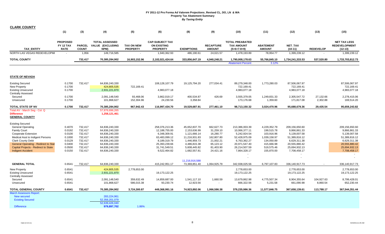| <b>CLARK COUNTY</b>                                                         |                                                    |                               |                                                   |                               |                                                                 |                   |                                   |                                                              |                                   |                             |                  |                                                          |
|-----------------------------------------------------------------------------|----------------------------------------------------|-------------------------------|---------------------------------------------------|-------------------------------|-----------------------------------------------------------------|-------------------|-----------------------------------|--------------------------------------------------------------|-----------------------------------|-----------------------------|------------------|----------------------------------------------------------|
|                                                                             | (1)                                                | (3)                           | (4)                                               | (5)                           | (6)                                                             | (8)               | (9)                               | (10)                                                         | (11)                              | (12)                        | (13)             | (15)                                                     |
| <b>TAX ENTITY</b>                                                           | <b>PROPOSED</b><br><b>FY 12 TAX</b><br><b>RATE</b> | <b>PARCEL</b><br><b>COUNT</b> | <b>TOTAL ASSESSED</b><br>VALUE (EXCLUDING<br>NPM) | TAX ON NEW<br><b>PROPERTY</b> | <b>CAP-SUBJECT TAX</b><br><b>ON EXISTING</b><br><b>PROPERTY</b> | <b>EXEMPTIONS</b> | <b>RECAPTURE</b><br><b>AMOUNT</b> | <b>TOTAL PREABATED</b><br><b>TAX AMOUNT</b><br>$(5+6+7-8+9)$ | <b>ABATEMENT</b><br><b>AMOUNT</b> | <b>NET TAX</b><br>$(10-11)$ | <b>REDEVELOP</b> | <b>NET TAX LESS</b><br><b>REDEVELOPMENT</b><br>$(12-13)$ |
| NORTH LAS VEGAS REDEVELOPMI                                                 |                                                    | 1,956                         | 149,716,585                                       | $\omega$                      | 1,940,362.93                                                    | 486,190.61        | 24,021.57                         | 1,478,193.89                                                 | 78,954.77                         | 1,399,239.12                |                  | 1,399,239.12                                             |
| <b>TOTAL COUNTY</b>                                                         |                                                    | 732,417                       | 70,385,284,902                                    | 16,903,152.96                 | 2,102,021,424.64                                                | 333,856,647.19    | 4,940,248.21                      | 1,790,008,178.63<br><b>Abatement Percent</b>                 | 55,766,845.10<br>3.12%            | 1,734,241,333.53            | 537,520.80       | 1,733,703,812.73                                         |
|                                                                             |                                                    |                               |                                                   |                               |                                                                 |                   |                                   |                                                              |                                   |                             |                  |                                                          |
| <b>STATE OF NEVADA</b>                                                      |                                                    |                               |                                                   |                               |                                                                 |                   |                                   |                                                              |                                   |                             |                  |                                                          |
| <b>Existing Secured</b>                                                     | 0.1700                                             | 732,417                       | 64,836,240,330                                    |                               | 108,128,107.79                                                  | 19,125,794.20     | 277,034.41                        | 89,279,348.00                                                | 1,773,280.03                      | 87,506,067.97               |                  | 87,506,067.97                                            |
| New Property                                                                | 0.1700                                             |                               | 424,805,535                                       | 722,169.41                    |                                                                 |                   |                                   | 722,169.41                                                   |                                   | 722,169.41                  |                  | 722,169.41                                               |
| <b>Existing Unsecured</b>                                                   | 0.1700                                             |                               | 2,931,221,870                                     |                               | 4,983,077.18                                                    |                   |                                   | 4,983,077.18                                                 |                                   | 4,983,077.18                |                  | 4,983,077.18                                             |
| <b>Centrally Assessed</b>                                                   |                                                    |                               |                                                   |                               |                                                                 |                   |                                   |                                                              |                                   |                             |                  |                                                          |
| Secured                                                                     | 0.1700                                             |                               | 2,091,148,540                                     | 93,468.06                     | 3,862,019.17                                                    | 400,534.87        | 426.69                            | 3,555,379.05                                                 | 1,249,831.33                      | 2,305,547.72                | 27,132.66        | 2,278,415.06                                             |
| Unsecured                                                                   | 0.1700                                             |                               | 101,868,627                                       | 152,304.96                    | 24,230.56                                                       | 3,358.84          |                                   | 173,176.68                                                   | 1,359.60                          | 171,817.08                  | 2,302.88         | 169,514.20                                               |
| TOTAL STATE OF NV                                                           | 0.1700                                             | 732,417                       | 70,385,284,902                                    | 967,942.43                    | 116,997,434.70                                                  | 19,529,687.91     | 277,461.10                        | 98,713,150.32                                                | 3,024,470.96                      | 95,688,679.36               | 29,435.54        | 95,659,243.82                                            |
| Total AV - March Seg - Col. Q<br><b>Difference</b><br><b>GENERAL COUNTY</b> |                                                    |                               | 57,876,696,265<br>1,258,121,461                   |                               |                                                                 |                   |                                   |                                                              |                                   |                             |                  |                                                          |
| <b>Existing Secured</b>                                                     |                                                    |                               |                                                   |                               |                                                                 |                   |                                   |                                                              |                                   |                             |                  |                                                          |
| <b>General Operating</b>                                                    | 0.4070                                             | 732,417                       | 64,836,240,330                                    |                               | 258,376,213.36                                                  | 45,652,837.70     | 662,627.73                        | 213,386,003.39                                               | 4,229,352.79                      | 209,156,650.60              |                  | 209,156,650.60                                           |
| <b>Family Court</b>                                                         | 0.0192                                             | 732,417                       | 64,836,240,330                                    |                               | 12,188,755.00                                                   | 2,153,636.99      | 31,259.10                         | 10,066,377.11                                                | 199,515.78                        | 9,866,861.33                |                  | 9,866,861.33                                             |
| Cooperate Extension                                                         | 0.0100                                             | 732,417                       | 64,836,240,330                                    |                               | 6,348,309.91                                                    | 1,121,666.14      | 16,280.77                         | 5,242,924.54                                                 | 103,916.96                        | 5,139,007.58                |                  | 5,139,007.58                                             |
| Medical Asst to Indigent Persons                                            | 0.1000                                             | 732,417                       | 64,836,240,330                                    |                               | 63,483,099.12                                                   | 11,216,931.83     | 162,807.80                        | 52,428,975.09                                                | 1,039,158.97                      | 51,389,816.12               |                  | 51,389,816.12                                            |
| <b>Clark County Debt</b>                                                    | 0.0129                                             | 732,417                       | 64,836,240,330                                    |                               | 8,189,319.79                                                    | 1,446,959.73      | 21,002.21                         | 6,763,362.27                                                 | 134,050.89                        | 6,629,311.38                |                  | 6,629,311.38                                             |
| <b>General Operating - Redirect to Stat</b>                                 | 0.0400                                             | 732,417                       | 64,836,240,330                                    |                               | 25,393,239.66                                                   | 4,486,815.38      | 65,123.12                         | 20,971,547.40                                                | 415,666.98                        | 20,555,880.42               |                  | 20,555,880.42                                            |
| Capital Projects - Redirect to State                                        | 0.0500                                             | 732,417                       | 64,836,240,330                                    |                               | 31,741,549.51                                                   | 5,608,445.82      | 81,403.90                         | 26,214,507.59                                                | 519,575.46                        | 25,694,932.13               |                  | 25,694,932.13                                            |
| <b>Indigent Accident</b>                                                    | 0.0150                                             | 732,417                       | 64,836,240,330                                    |                               | 9,522,464.82                                                    | 1,682,557.81      | 24,421.16                         | 7,864,328.17                                                 | 155,870.00                        | 7,708,458.17                |                  | 7,708,458.17                                             |
|                                                                             |                                                    |                               |                                                   |                               |                                                                 |                   |                                   | $\blacksquare$                                               |                                   | $\blacksquare$<br>$\sim$    |                  |                                                          |
|                                                                             |                                                    |                               |                                                   |                               |                                                                 | 11,216,916,588    |                                   |                                                              |                                   |                             |                  |                                                          |
| <b>GENERAL TOTAL</b>                                                        | 0.6541                                             | 732,417                       | 64,836,240,330                                    |                               | 415,242,951.17                                                  | 73,369,851.40     | 1,064,925.79                      | 342,938,025.56                                               | 6,797,107.83                      | 336,140,917.73              | $\sim$           | 336,140,917.73                                           |
| <b>New Property</b>                                                         | 0.6541                                             |                               | 424,805,535                                       | 2,778,653.00                  |                                                                 |                   |                                   | 2,778,653.00                                                 |                                   | 2,778,653.00                |                  | 2,778,653.00                                             |
| <b>Existing Unsecured</b>                                                   | 0.6541                                             |                               | 2,931,221,870                                     |                               | 19, 173, 122. 25                                                |                   |                                   | 19,173,122.25                                                |                                   | 19,173,122.25               |                  | 19,173,122.25                                            |
| <b>Centrally Assessed</b>                                                   |                                                    |                               |                                                   |                               |                                                                 |                   |                                   |                                                              |                                   |                             |                  |                                                          |
| Secured                                                                     | 0.6541                                             |                               | 2,091,148,540                                     | 359,632.49                    | 14,859,687.00                                                   | 1,541,117.10      | 1,660.59                          | 13,679,862.98                                                | 4,775,507.34                      | 8,904,355.64                | 104,927.63       | 8,799,428.01                                             |
| Unsecured                                                                   | 0.6541                                             |                               | 101,868,627                                       | 586,015.38                    | 93,230.74                                                       | 12,923.56         |                                   | 666,322.56                                                   | 5,231.58                          | 661,090.98                  | 8,860.54         | 652,230.44                                               |
| <b>TOTAL GENERAL COUNTY</b>                                                 | 0.6541                                             | 732,417                       | 70,385,284,902                                    | 3,724,300.87                  | 449,368,991.16                                                  | 74,923,892.06     | 1,066,586.38                      | 379,235,986.36                                               | 11,577,846.75                     | 367,658,139.61              | 113,788.17       | 367,544,351.44                                           |
| <b>March Assessors Report:</b>                                              |                                                    |                               |                                                   |                               |                                                                 |                   |                                   |                                                              |                                   |                             |                  |                                                          |
| <b>New secured</b>                                                          |                                                    |                               | 283,224,961                                       |                               |                                                                 |                   |                                   |                                                              |                                   |                             |                  |                                                          |
| <b>Existing Secured</b>                                                     |                                                    |                               | 52,356,201,079<br>52,639,426,040                  |                               |                                                                 |                   |                                   |                                                              |                                   |                             |                  |                                                          |
| <b>Difference</b>                                                           |                                                    |                               | 979,897,702                                       | 1.86%                         |                                                                 |                   |                                   |                                                              |                                   |                             |                  |                                                          |
|                                                                             |                                                    |                               |                                                   |                               |                                                                 |                   |                                   |                                                              |                                   |                             |                  |                                                          |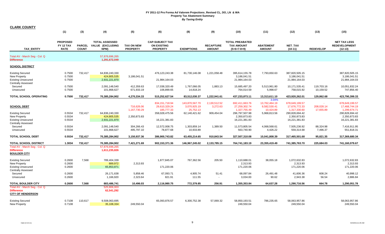| <b>CLARK COUNTY</b>                                                                                       |                                             |                               |                                                          |                                      |                                                                 |                                             |                                   |                                                              |                                                     |                                                 |                                   |                                                          |
|-----------------------------------------------------------------------------------------------------------|---------------------------------------------|-------------------------------|----------------------------------------------------------|--------------------------------------|-----------------------------------------------------------------|---------------------------------------------|-----------------------------------|--------------------------------------------------------------|-----------------------------------------------------|-------------------------------------------------|-----------------------------------|----------------------------------------------------------|
|                                                                                                           | (1)                                         | (3)                           | (4)                                                      | (5)                                  | (6)                                                             | (8)                                         | (9)                               | (10)                                                         | (11)                                                | (12)                                            | (13)                              | (15)                                                     |
| <b>TAX ENTITY</b>                                                                                         | <b>PROPOSED</b><br>FY 12 TAX<br><b>RATE</b> | <b>PARCEL</b><br><b>COUNT</b> | <b>TOTAL ASSESSED</b><br><b>VALUE (EXCLUDING</b><br>NPM) | <b>TAX ON NEW</b><br><b>PROPERTY</b> | <b>CAP-SUBJECT TAX</b><br><b>ON EXISTING</b><br><b>PROPERTY</b> | <b>EXEMPTIONS</b>                           | <b>RECAPTURE</b><br><b>AMOUNT</b> | <b>TOTAL PREABATED</b><br><b>TAX AMOUNT</b><br>$(5+6+7-8+9)$ | <b>ABATEMENT</b><br><b>AMOUNT</b>                   | NET_TAX<br>$(10-11)$                            | <b>REDEVELOP</b>                  | <b>NET TAX LESS</b><br><b>REDEVELOPMENT</b><br>$(12-13)$ |
| Total AV - March Seg - Col. Q<br><b>Difference</b>                                                        |                                             |                               | 57,876,696,265<br>1,291,672,049                          |                                      |                                                                 |                                             |                                   |                                                              |                                                     |                                                 |                                   |                                                          |
| <b>SCHOOL DISTRICT</b>                                                                                    |                                             |                               |                                                          |                                      |                                                                 |                                             |                                   |                                                              |                                                     |                                                 |                                   |                                                          |
| <b>Existing Secured</b><br>New Property<br><b>Existing Unsecured</b>                                      | 0.7500<br>0.7500<br>0.7500                  | 732,417                       | 64,836,240,330<br>424,805,535<br>2,931,221,870           | 3,186,041.51                         | 476,123,243.38<br>21,984,164.03                                 | 81,730,146.08                               | 1,221,058.48                      | 395,614,155.78<br>3,186,041.51<br>21,984,164.03              | 7,793,650.63                                        | 387,820,505.15<br>3,186,041.51<br>21,984,164.03 |                                   | 387,820,505.15<br>3,186,041.51<br>21,984,164.03          |
| <b>Centrally Assessed</b><br>Secured<br>Unsecured                                                         | 0.7500<br>0.7500                            |                               | 2,091,148,540<br>101,868,627                             | 412,359.63<br>671,933.19             | 17,038,320.49<br>106,899.65                                     | 1,767,066.05<br>14,818.24                   | 1,883.13<br>$\sim$                | 15,685,497.20<br>764,014.59                                  | 5,513,961.80<br>5,998.67                            | 10,171,535.41<br>758,015.92                     | 119,703.16<br>10,159.52           | 10,051,832.24<br>747,856.40                              |
| <b>TOTAL SCHOOL OPERATING</b>                                                                             | 0.7500                                      | 732,417                       | 70,385,284,902                                           | 4,270,334.33                         | 515,252,627.54                                                  | 83,512,030.37                               | 1,222,941.61                      | 437,233,873.11                                               | 13,313,611.10                                       | 423,920,262.01                                  | 129,862.68                        | 423,790,399.33                                           |
| <b>SCHOOL DEBT</b>                                                                                        |                                             |                               |                                                          | 716,626.06<br>1,167,730.29           | 834, 151, 718.94<br>29,610,329.24<br>185,777.33                 | 143,870,567.70<br>3,070,925.19<br>25,752.13 | 2,130,512.52<br>3,272.63          | 692,411,663.76<br>27,259,302.74<br>1,327,755.49              | 3.04%<br>13,762,464.19<br>9,582,530.41<br>10,424.89 | 678,649,199.57<br>17,676,772.33<br>1,317,330.60 | $\sim$<br>208,028.14<br>17,655.89 | 678,649,199.57<br>17,468,744.19<br>1,299,674.71          |
| <b>Existing Secured</b><br>New Property<br><b>Existing Unsecured</b><br><b>Centrally Assessed</b>         | 0.5534<br>0.5534<br>0.5534                  | 732,417                       | 64,836,240,330<br>424,805,535<br>2,931,221,870           | 2,350,873.83                         | 358,028,475.56<br>16,221,381.83                                 | 62,140,421.62                               | 909,454.04                        | 296,797,507.98<br>2,350,873.83<br>16,221,381.83              | 5,968,813.56                                        | 290,828,694.42<br>2,350,873.83<br>16,221,381.83 |                                   | 290,828,694.42<br>2,350,873.83<br>16,221,381.83          |
| Secured<br>Unsecured                                                                                      | 0.5534<br>0.5534                            |                               | 2,091,148,540<br>101,868,627                             | 304,266.43<br>495,797.10             | 12,572,008.75<br>78,877.68                                      | 1,303,859.14<br>10,933.89                   | 1,389.50<br>$\sim$                | 11,573,805.54<br>563,740.90                                  | 4,068,568.61<br>4,426.22                            | 7,505,236.92<br>559,314.68                      | 88,324.98<br>7,496.37             | 7,416,911.95<br>551,818.31                               |
| <b>TOTAL SCHOOL DEBT</b>                                                                                  | 0.5534                                      | 732,417                       | 70,385,284,902                                           | 3,150,937.36                         | 386,900,743.82                                                  | 63,455,214.65                               | 910,843.54                        | 327,507,310.08                                               | 10,041,808.39                                       | 317,465,501.68                                  | 95,821.35                         | 317,369,680.34                                           |
| <b>TOTAL SCHOOL DISTRICT</b><br>Total AV - March Seg - Col. Q<br><b>Difference</b><br><b>BOULDER CITY</b> | 1.3034                                      | 732,417                       | 70,385,284,902<br>57,876,696,265<br>1,611,235,826        | 7,421,271.69                         | 902,153,371.36                                                  | 146,967,245.02                              | 2,133,785.15                      | 764,741,183.19                                               | 23,355,419.49                                       | 741,385,763.70                                  | 225,684.03                        | 741,160,079.67                                           |
| <b>Existing Secured</b><br>New Property<br><b>Existing Unsecured</b><br><b>Centrally Assessed</b>         | 0.2600<br>0.2600<br>0.2600                  | 7,568                         | 789,404,339<br>889,972<br>65,853,871                     | 2,313.93                             | 1,877,845.07<br>171,220.06                                      | 767,362.56                                  | 205.50                            | 1,110,688.01<br>2,313.93<br>171,220.06                       | 38,055.18                                           | 1,072,632.83<br>2,313.93<br>171,220.06          |                                   | 1,072,632.83<br>2,313.93<br>171,220.06                   |
| Secured<br>Unsecured                                                                                      | 0.2600<br>0.2600                            |                               | 26,171,638<br>1,166,920                                  | 5,858.46<br>2,323.64                 | 67,093.71<br>821.91                                             | 4,905.74<br>111.55                          | 51.41<br>$\sim$                   | 68,097.84<br>3,034.00                                        | 26,491.48<br>90.62                                  | 41,606.36<br>2,943.38                           | 608.24<br>56.54                   | 40,998.12<br>2,886.84                                    |
| TOTAL BOULDER CITY<br>Total AV - March Seg - Col. Q<br><b>Difference</b><br><b>CITY OF HENDERSON</b>      | 0.2600                                      | 7,568                         | 883,486,741<br>525,806,003<br>62,541,292                 | 10,496.03                            | 2,116,980.75                                                    | 772,379.85                                  | 256.91                            | 1,355,353.84                                                 | 64,637.28                                           | 1,290,716.56                                    | 664.78                            | 1,290,051.78                                             |
| <b>Existing Secured</b><br><b>New Property</b>                                                            | 0.7108<br>0.7108                            | 110,617                       | 9,508,063,695<br>35,108,334                              | 249,550.04                           | 65,093,876.57                                                   | 6,300,752.38                                | 57,069.32                         | 58,850,193.51<br>249,550.04                                  | 786,235.65                                          | 58,063,957.86<br>249,550.04                     |                                   | 58,063,957.86<br>249,550.04                              |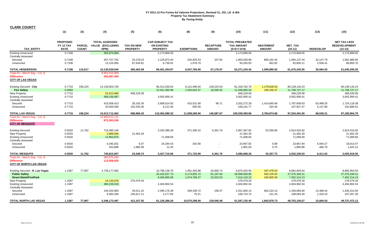|  | <b>CLARK COUNTY</b> |  |
|--|---------------------|--|
|  |                     |  |

|                                                                                | (1)                                                | (3)                           | (4)                                                      | (5)                                  | (6)                                                             | (8)                          | (9)                               | (10)                                                         | (11)                              | (12)                          | (13)                  | (15)                                                     |
|--------------------------------------------------------------------------------|----------------------------------------------------|-------------------------------|----------------------------------------------------------|--------------------------------------|-----------------------------------------------------------------|------------------------------|-----------------------------------|--------------------------------------------------------------|-----------------------------------|-------------------------------|-----------------------|----------------------------------------------------------|
| <b>TAX ENTITY</b>                                                              | <b>PROPOSED</b><br><b>FY 12 TAX</b><br><b>RATE</b> | <b>PARCEL</b><br><b>COUNT</b> | <b>TOTAL ASSESSED</b><br><b>VALUE (EXCLUDING</b><br>NPM) | <b>TAX ON NEW</b><br><b>PROPERTY</b> | <b>CAP-SUBJECT TAX</b><br><b>ON EXISTING</b><br><b>PROPERTY</b> | <b>EXEMPTIONS</b>            | <b>RECAPTURE</b><br><b>AMOUNT</b> | <b>TOTAL PREABATED</b><br><b>TAX AMOUNT</b><br>$(5+6+7-8+9)$ | <b>ABATEMENT</b><br><b>AMOUNT</b> | NET_TAX<br>$(10-11)$          | <b>REDEVELOP</b>      | <b>NET TAX LESS</b><br><b>REDEVELOPMENT</b><br>$(12-13)$ |
| <b>Existing Unsecured</b>                                                      | 0.7108                                             |                               | 305,974,684                                              |                                      | 2,174,868.05                                                    |                              |                                   | 2,174,868.05                                                 |                                   | 2,174,868.05                  |                       | 2,174,868.05                                             |
| <b>Centrally Assessed</b>                                                      |                                                    |                               |                                                          |                                      |                                                                 |                              |                                   |                                                              |                                   |                               |                       |                                                          |
| Secured<br>Unsecured                                                           | 0.7108<br>0.7108                                   |                               | 267,757,762<br>13,125,065                                | 23,278.23<br>87,634.81               | 2,125,873.44<br>6,736.91                                        | 245,929.43<br>1,078.79       | 107.65                            | 1,903,329.89<br>93,292.93                                    | 809,192.45<br>462.82              | 1,094,137.44<br>92,830.11     | 32,147.79<br>2,936.41 | 1,061,989.65<br>89,893.70                                |
|                                                                                |                                                    |                               |                                                          |                                      |                                                                 |                              |                                   |                                                              |                                   |                               |                       |                                                          |
| <b>TOTAL HENDERSON</b>                                                         | 0.7108                                             | 110,617                       | 10,130,029,540                                           | 360,463.08                           | 69,401,354.97                                                   | 6,547,760.60                 | 57,176.97                         | 63,271,234.42                                                | 1,595,890.92                      | 61,675,343.50                 | 35,084.20             | 61,640,259.30                                            |
| Total AV - March Seg - Col. Q<br><b>Difference</b><br><b>CITY OF LAS VEGAS</b> |                                                    |                               | 8,941,510,959<br>302,087,464                             |                                      |                                                                 |                              |                                   |                                                              |                                   |                               |                       |                                                          |
| <b>Existing Secured - City</b>                                                 | 0.7715                                             | 199,224                       | 14,136,003,720                                           |                                      | 90,312,035.64                                                   | 9,121,496.92                 | 128,224.04                        | 81,318,762.76                                                | 1,179,628.53                      | 80,139,134.23                 |                       | 80,139,134.23                                            |
| <b>Fire Safety</b>                                                             | 0.0950                                             |                               |                                                          |                                      | 13,451,360.99                                                   | 1,520,644.37                 | 18,266.92                         | 11,948,983.54                                                | 190,256.37                        | 11,758,727.17                 |                       | 11,758,727.17                                            |
| <b>New Property</b>                                                            | 0.7715                                             |                               | 52,913,686                                               | 408,229.09                           |                                                                 |                              |                                   | 408,229.09                                                   |                                   | 408,229.09                    |                       | 408,229.09                                               |
| <b>Existing Unsecured</b>                                                      | 0.7715                                             |                               | 389,236,087                                              |                                      | 3,002,956.41                                                    |                              |                                   | 3,002,956.41                                                 |                                   | 3,002,956.41                  |                       | 3,002,956.41                                             |
| <b>Centrally Assessed</b><br>Secured                                           | 0.7715                                             |                               | 415,058,413                                              | 28,192.34                            | 3,589,514.92                                                    | 415,531.68                   | 96.71                             | 3,202,272.29                                                 | 1,414,665.66                      | 1,787,606.63                  | 63,488.25             | 1,724,118.38                                             |
| Unsecured                                                                      | 0.7715                                             |                               | 20,500,556                                               | 152,545.00                           | 6,212.36                                                        | 595.59                       |                                   | 158,161.77                                                   | 324.30                            | 157,837.47                    | 5,147.96              | 152,689.51                                               |
| <b>TOTAL LAS VEGAS</b>                                                         | 0.7715                                             | 199,224                       | 15,013,712,462                                           | 588,966.43                           | 110,362,080.32                                                  | 11,058,268.56                | 146,587.67                        | 100,039,365.86                                               | 2,784,874.86                      | 97,254,491.00                 | 68,636.21             | 97,185,854.79                                            |
| Total AV - March Seg - Col. Q<br><b>Difference</b><br><b>CITY OF MESQUITE</b>  |                                                    |                               | 12,958,012,131<br>873,393,536                            |                                      |                                                                 |                              |                                   |                                                              |                                   |                               |                       |                                                          |
| <b>Existing Secured</b>                                                        | 0.5520                                             | 11,762                        | 719,380,146                                              |                                      | 3,332,396.28                                                    | 371,390.22                   | 6,361.76                          | 2,967,367.82                                                 | 53,356.90                         | 2,914,010.92                  |                       | 2,914,010.92                                             |
| <b>New Property</b>                                                            | 0.5520                                             |                               | 3,888,096                                                | 21,462.29                            |                                                                 |                              |                                   | 21,462.29                                                    |                                   | 21,462.29                     |                       | 21,462.29                                                |
| <b>Existing Unsecured</b>                                                      | 0.5520                                             |                               | 12,863,876                                               |                                      | 71,008.60                                                       |                              |                                   | 71,008.60                                                    |                                   | 71,008.60                     |                       | 71,008.60                                                |
| <b>Centrally Assessed</b>                                                      |                                                    |                               |                                                          |                                      |                                                                 |                              |                                   |                                                              |                                   |                               |                       |                                                          |
| Secured                                                                        | 0.5520                                             |                               | 4,340,201                                                | 6.07                                 | 24,294.53                                                       | 342.68                       |                                   | 23,957.92                                                    | 0.08                              | 23,957.84                     | 5,944.27              | 18,013.57                                                |
| Unsecured                                                                      | 0.5520                                             |                               | 342,688                                                  | 1,880.38                             | 11.25                                                           |                              |                                   | 1,891.63                                                     | 0.75                              | 1,890.88                      | 466.76                | 1,424.12                                                 |
| <b>TOTAL MESQUITE</b>                                                          | 0.5520                                             | 11,762                        | 740,815,007                                              | 23,348.74                            | 3,427,710.66                                                    | 371,732.90                   | 6,361.76                          | 3,085,688.26                                                 | 53,357.73                         | 3,032,330.53                  | 6,411.03              | 3,025,919.50                                             |
| Total AV - March Seg - Col. Q                                                  |                                                    |                               | 560,975,540                                              |                                      |                                                                 |                              |                                   |                                                              |                                   |                               |                       |                                                          |
| <b>Difference</b><br><b>CITY OF NORTH LAS VEGAS</b>                            |                                                    |                               | 112,558,630                                              |                                      |                                                                 |                              |                                   |                                                              |                                   |                               |                       |                                                          |
| Existing Secured - N. Las Vegas                                                | 1.1587                                             | 77,907                        | 4,738,177,082                                            |                                      | 10,796,136.70                                                   | 1,951,363.88                 | 25,660.74                         | 8,870,433.56                                                 | 187,479.52                        | 8,682,954.04                  |                       | 8,682,954.04                                             |
| <b>Public Safety</b><br><b>Street Maint/Fire/Park</b>                          |                                                    |                               |                                                          |                                      | 34, 162, 027. 73<br>9,265,865.06                                | 6,174,655.72<br>1,674,769.37 | 81,197.84<br>22,023.53            | 28,068,569.85<br>7,613,119.22                                | 593,229.64<br>160,905.09          | 27,475,340.21<br>7,452,214.13 |                       | 27,475,340.21<br>7,452,214.13                            |
| New Property<br><b>Existing Unsecured</b><br><b>Centrally Assessed</b>         | 1.1587<br>1.1587                                   |                               | 24,120,078<br>380,159,018                                | 279,479.34                           | 4,404,902.54                                                    |                              |                                   | 279,479.34<br>4,404,902.54                                   |                                   | 279,479.34<br>4,404,902.54    |                       | 279,479.34<br>4,404,902.54                               |
| Secured<br>Unsecured                                                           | 1.1587<br>1.1587                                   |                               | 194,333,983<br>9,383,336                                 | 26,011.10<br>106,617.11              | 2,495,176.39<br>2,177.84                                        | 269,439.72<br>70.21          | 158.37                            | 2,251,906.14<br>108,724.74                                   | 902,223.14<br>141.34              | 1,349,683.00<br>108,583.40    | 14,368.44<br>1,316.10 | 1,335,314.56<br>107,267.30                               |
| <b>TOTAL NORTH LAS VEGAS</b>                                                   | 1.1587                                             | 77.907                        | 5.346.173.497                                            | 412.107.55                           | 61.126.286.26                                                   | 10.070.298.90                | 129.040.48                        | 51.597.135.40                                                | 1,843,978.73                      | 49.753.156.67                 | 15.684.54             | 49.737.472.13                                            |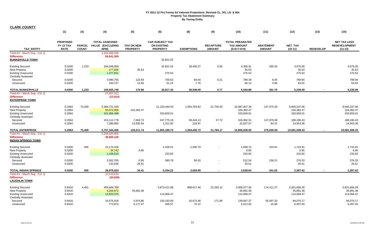|                                                                                                           | (1)                                                | (3)                           | (4)                                                      | (5)                                  | (6)                                                             | (8)                 | (9)                               | (10)                                                         | (11)                              | (12)                                     | (13)             | (15)                                                     |
|-----------------------------------------------------------------------------------------------------------|----------------------------------------------------|-------------------------------|----------------------------------------------------------|--------------------------------------|-----------------------------------------------------------------|---------------------|-----------------------------------|--------------------------------------------------------------|-----------------------------------|------------------------------------------|------------------|----------------------------------------------------------|
| <b>TAX ENTITY</b>                                                                                         | <b>PROPOSED</b><br><b>FY 12 TAX</b><br><b>RATE</b> | <b>PARCEL</b><br><b>COUNT</b> | <b>TOTAL ASSESSED</b><br><b>VALUE (EXCLUDING</b><br>NPM) | <b>TAX ON NEW</b><br><b>PROPERTY</b> | <b>CAP-SUBJECT TAX</b><br><b>ON EXISTING</b><br><b>PROPERTY</b> | <b>EXEMPTIONS</b>   | <b>RECAPTURE</b><br><b>AMOUNT</b> | <b>TOTAL PREABATED</b><br><b>TAX AMOUNT</b><br>$(5+6+7-8+9)$ | <b>ABATEMENT</b><br><b>AMOUNT</b> | <b>NET TAX</b><br>$(10-11)$              | <b>REDEVELOP</b> | <b>NET TAX LESS</b><br><b>REDEVELOPMENT</b><br>$(12-13)$ |
| Total AV - March Seq - Col. Q<br><b>Difference</b><br><b>BUNKERVILLE TOWN</b>                             |                                                    |                               | 4,434,688,599<br>65,641,369                              |                                      | 32,821.02                                                       |                     |                                   |                                                              |                                   |                                          |                  |                                                          |
| <b>Existing Secured</b><br><b>New Property</b><br><b>Existing Unsecured</b><br><b>Centrally Assessed</b>  | 0.0200<br>0.0200<br>0.0200                         | 1,233                         | 164,048,959<br>177,656<br>1,377,651                      | 35.53                                | 32,821.02<br>275.53                                             | 28,456.27           | 0.56                              | 4,365.31<br>35.53<br>275.53                                  | 290.26                            | 4,075.05<br>35.53<br>275.53              |                  | 4,075.05<br>35.53<br>275.53                              |
| Secured<br>Unsecured                                                                                      | 0.0200<br>0.0200                                   |                               | 3,990,755<br>330,727                                     | 122.69<br>12.66                      | 759.53<br>61.24                                                 | 84.04<br>7.78       | 0.21<br>$\sim$                    | 798.39<br>66.12                                              | 8.45<br>3.08                      | 789.94<br>63.04                          |                  | 789.94<br>63.04                                          |
| <b>TOTAL BUNKERVILLE</b>                                                                                  | 0.0200                                             | 1,233                         | 169,925,748                                              | 170.88                               | 33,917.32                                                       | 28,548.09           | 0.77                              | 5,540.88                                                     | 301.79                            | 5,239.09                                 | $\blacksquare$   | 5,239.09                                                 |
| Total AV - March Seg - Col. Q<br><b>Difference</b><br><b>ENTERPRISE TOWN</b>                              |                                                    |                               | 27,657,312<br>(12, 914)                                  |                                      |                                                                 |                     |                                   |                                                              |                                   |                                          |                  |                                                          |
| <b>Existing Secured</b><br><b>New Property</b><br><b>Existing Unsecured</b>                               | 0.2064<br>0.2064<br>0.2064                         | 73,459                        | 5,384,721,430<br>50,572,900<br>161,656,498               | 104,382.47                           | 11,120,444.53<br>333,659.01                                     | 1,054,793.62        | 21,756.45                         | 10,087,407.36<br>104,382.47<br>333,659.01                    | 147,070.30                        | 9,940,337.06<br>104,382.47<br>333,659.01 |                  | 9,940,337.06<br>104,382.47<br>333,659.01                 |
| <b>Centrally Assessed</b><br>Secured<br>Unsecured                                                         | 0.2064<br>0.2064                                   |                               | 153,112,778<br>7,280,800                                 | 7,693.73<br>13,935.54                | 347,775.19<br>1,311.00                                          | 39,444.13<br>218.97 | 37.72<br>$\sim$                   | 316,062.51<br>15,027.57                                      | 127,876.08<br>84.21               | 188,186.43<br>14,943.36                  |                  | 188,186.43<br>14,943.36                                  |
| <b>TOTAL ENTERPRISE</b>                                                                                   | 0.2064                                             | 73,459                        | 5,757,344,406                                            | 126,011.74                           | 11,803,189.73                                                   | 1,094,456.72        | 21,794.17                         | 10,856,538.92                                                | 275,030.59                        | 10,581,508.33                            |                  | 10,581,508.33                                            |
| Total AV - March Seg - Col. Q<br><b>Difference</b><br><b>INDIAN SPRINGS TOWN</b>                          |                                                    |                               | 5,209,640,855<br>36,660,130                              |                                      |                                                                 |                     |                                   |                                                              |                                   |                                          |                  |                                                          |
| <b>Existing Secured</b><br>New Property<br><b>Existing Unsecured</b><br><b>Centrally Assessed</b>         | 0.0200<br>0.0200<br>0.0200                         | 405                           | 22,170,436<br>34,742<br>1,169,610                        | 6.95                                 | 4,439.51<br>233.92                                              | 2,590.79            |                                   | 1,848.72<br>6.95<br>233.92                                   | 104.81                            | 1,743.91<br>6.95<br>233.92               |                  | 1,743.91<br>6.95<br>233.92                               |
| Secured                                                                                                   | 0.0200                                             |                               | 2,562,700                                                | 0.95                                 | 580.79                                                          | 69.20               |                                   | 512.54                                                       | 236.21                            | 276.33                                   |                  | 276.33                                                   |
| Unsecured                                                                                                 | 0.0200                                             |                               | 132,536                                                  | 26.51                                |                                                                 | $\sim$              |                                   | 26.51                                                        |                                   | 26.51                                    |                  | 26.51                                                    |
| <b>TOTAL INDIAN SPRINGS</b><br>Total AV - March Seg - Col. Q<br><b>Difference</b><br><b>LAUGHLIN TOWN</b> | 0.0200                                             | 405                           | 26,070,024<br>13,143,010<br>(26, 936)                    | 34.41                                | 5,254.22                                                        | 2,659.99            | $\sim$                            | 2,628.64                                                     | 341.02                            | 2,287.62                                 | $\sim$           | 2,287.62                                                 |
| <b>Existing Secured</b><br><b>New Property</b><br><b>Existing Unsecured</b><br><b>Centrally Assessed</b>  | 0.8416<br>0.8416<br>0.8416                         | 4,451                         | 459,609,788<br>4,264,672<br>13,552,575                   | 35,891.48                            | 3,873,411.89<br>114,058.47                                      | 889,617.46          | 22,283.12                         | 3,006,077.55<br>35,891.48<br>114,058.47                      | 174,411.27                        | 2,831,666.28<br>35,891.48<br>114,058.47  |                  | 2,831,666.28<br>35,891.48<br>114,058.47                  |
| Secured<br>Unsecured                                                                                      | 0.8416<br>0.8416                                   |                               | 16,575,016<br>773,872                                    | 5,974.86<br>6.177.47                 | 150,193.00<br>405.57                                            | 16,672.48<br>70.12  | 171.99<br>$\sim$                  | 139,667.37<br>6,512.92                                       | 55,597.20<br>15.88                | 84,070.17<br>6,497.04                    |                  | 84,070.17<br>6,497.04                                    |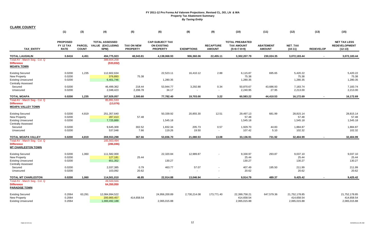|  | <b>CLARK COUNTY</b> |  |
|--|---------------------|--|
|  |                     |  |
|  |                     |  |

|                                                                                 | (1)                                         | (3)                           | (4)                                                      | (5)                                  | (6)                                                             | (8)               | (9)                               | (10)                                                         | (11)                              | (12)                        | (13)             | (15)                                                     |
|---------------------------------------------------------------------------------|---------------------------------------------|-------------------------------|----------------------------------------------------------|--------------------------------------|-----------------------------------------------------------------|-------------------|-----------------------------------|--------------------------------------------------------------|-----------------------------------|-----------------------------|------------------|----------------------------------------------------------|
| <b>TAX ENTITY</b>                                                               | <b>PROPOSED</b><br>FY 12 TAX<br><b>RATE</b> | <b>PARCEL</b><br><b>COUNT</b> | <b>TOTAL ASSESSED</b><br><b>VALUE (EXCLUDING</b><br>NPM) | <b>TAX ON NEW</b><br><b>PROPERTY</b> | <b>CAP-SUBJECT TAX</b><br><b>ON EXISTING</b><br><b>PROPERTY</b> | <b>EXEMPTIONS</b> | <b>RECAPTURE</b><br><b>AMOUNT</b> | <b>TOTAL PREABATED</b><br><b>TAX AMOUNT</b><br>$(5+6+7-8+9)$ | <b>ABATEMENT</b><br><b>AMOUNT</b> | <b>NET TAX</b><br>$(10-11)$ | <b>REDEVELOP</b> | <b>NET TAX LESS</b><br><b>REDEVELOPMENT</b><br>$(12-13)$ |
| <b>TOTAL LAUGHLIN</b>                                                           | 0.8416                                      | 4,451                         | 494,775,923                                              | 48,043.81                            | 4,138,068.93                                                    | 906,360.06        | 22,455.11                         | 3,302,207.79                                                 | 230,024.35                        | 3,072,183.44                | $\sim$           | 3,072,183.44                                             |
| Total AV - March Seg - Col. Q<br><b>Difference</b><br><b>MOAPA TOWN</b>         |                                             |                               | 389,604,258<br>(533, 832)                                |                                      |                                                                 |                   |                                   |                                                              |                                   |                             |                  |                                                          |
| <b>Existing Secured</b><br>New Property                                         | 0.0200<br>0.0200                            | 1,235                         | 112,602,634<br>376,893                                   | 75.38                                | 22,523.11                                                       | 16,410.12         | 2.88                              | 6,115.87<br>75.38                                            | 695.65                            | 5,420.22<br>75.38           |                  | 5,420.22<br>75.38                                        |
| <b>Existing Unsecured</b><br><b>Centrally Assessed</b>                          | 0.0200                                      |                               | 6,401,746                                                |                                      | 1,280.35                                                        |                   |                                   | 1,280.35                                                     |                                   | 1,280.35                    |                  | 1,280.35                                                 |
| Secured                                                                         | 0.0200                                      |                               | 46,499,362                                               | 218.44                               | 53,944.77                                                       | 3,292.88          | 0.34                              | 50,870.67                                                    | 43,686.93                         | 7,183.74                    |                  | 7,183.74                                                 |
| Unsecured                                                                       | 0.0200                                      |                               | 2,048,423                                                | 2,206.78                             | 34.17                                                           | $\sim$            | $\sim$                            | 2,240.95                                                     | 27.95                             | 2,213.00                    |                  | 2,213.00                                                 |
| <b>TOTAL MOAPA</b>                                                              | 0.0200                                      | 1,235                         | 167,929,057                                              | 2,500.60                             | 77,782.40                                                       | 19,703.00         | 3.22                              | 60,583.22                                                    | 44,410.53                         | 16,172.69                   |                  | 16,172.69                                                |
| Total AV - March Seg - Col. Q<br><b>Difference</b><br><b>MOAPA VALLEY TOWN</b>  |                                             |                               | 85,891,533<br>(13,076)                                   |                                      |                                                                 |                   |                                   |                                                              |                                   |                             |                  |                                                          |
| <b>Existing Secured</b>                                                         | 0.0200                                      | 4,819                         | 251,357,640                                              |                                      | 50,339.92                                                       | 20,855.30         | 12.51                             | 29,497.13                                                    | 681.99                            | 28,815.14                   |                  | 28,815.14                                                |
| <b>New Property</b><br><b>Existing Unsecured</b><br><b>Centrally Assessed</b>   | 0.0200<br>0.0200                            |                               | 287,413<br>7,725,889                                     | 57.48                                | 1,545.18                                                        |                   |                                   | 57.48<br>1,545.18                                            |                                   | 57.48<br>1,545.18           |                  | 57.48<br>1,545.18                                        |
| Secured<br>Unsecured                                                            | 0.0200<br>0.0200                            |                               | 9,645,309<br>537,048                                     | 302.52<br>7.66                       | 1,832.34<br>119.26                                              | 205.73<br>19.50   | 0.57<br>$\sim$                    | 1,929.70<br>107.42                                           | 44.83<br>5.10                     | 1,884.87<br>102.32          |                  | 1,884.87<br>102.32                                       |
| <b>TOTAL MOAPA VALLEY</b>                                                       | 0.0200                                      | 4,819                         | 269,553,298                                              | 367.66                               | 53,836.70                                                       | 21,080.53         | 13.08                             | 33,136.91                                                    | 731.92                            | 32,404.99                   |                  | 32,404.99                                                |
| Total AV - March Seg - Col. Q<br><b>Difference</b><br><b>MT CHARLESTON TOWN</b> |                                             |                               | 165,563,494<br>(286, 696)                                |                                      |                                                                 |                   |                                   |                                                              |                                   |                             |                  |                                                          |
| <b>Existing Secured</b><br>New Property<br><b>Existing Unsecured</b>            | 0.0200<br>0.0200<br>0.0200                  | 1,060                         | 111,582,000<br>127,181<br>651,352                        | 25.44                                | 22,320.84<br>130.27                                             | 12,989.87         |                                   | 9,330.97<br>25.44<br>130.27                                  | 293.87                            | 9,037.10<br>25.44<br>130.27 |                  | 9,037.10<br>25.44<br>130.27                              |
| <b>Centrally Assessed</b><br>Secured                                            | 0.0200                                      |                               | 2,037,385                                                | 0.79                                 | 463.77                                                          | 57.07             |                                   | 407.49                                                       | 195.50                            | 211.99                      |                  | 211.99                                                   |
| Unsecured                                                                       | 0.0200                                      |                               | 103,092                                                  | 20.62                                | $\blacksquare$                                                  | $\sim$            | $\blacksquare$                    | 20.62                                                        |                                   | 20.62                       |                  | 20.62                                                    |
| TOTAL MT CHARLESTON                                                             | 0.0200                                      | 1,060                         | 114,501,010                                              | 46.85                                | 22,914.88                                                       | 13,046.94         |                                   | 9,914.79                                                     | 489.37                            | 9,425.42                    |                  | 9,425.42                                                 |
| Total AV - March Seg - Col. Q<br><b>Difference</b><br><b>PARADISE TOWN</b>      |                                             |                               | 49,500,566<br>64,350,950                                 |                                      |                                                                 |                   |                                   |                                                              |                                   |                             |                  |                                                          |
| <b>Existing Secured</b><br>New Property                                         | 0.2064<br>0.2064                            | 63,291                        | 12,084,994,522<br>200,900,457                            | 414,658.54                           | 24,956,200.89                                                   | 2,730,214.08      | 173,771.40                        | 22,399,758.21<br>414,658.54                                  | 647,579.36                        | 21,752,178.85<br>414,658.54 |                  | 21,752,178.85<br>414,658.54                              |
| <b>Existing Unsecured</b>                                                       | 0.2064                                      |                               | 1,000,492,188                                            |                                      | 2,065,015.88                                                    |                   |                                   | 2,065,015.88                                                 |                                   | 2,065,015.88                |                  | 2,065,015.88                                             |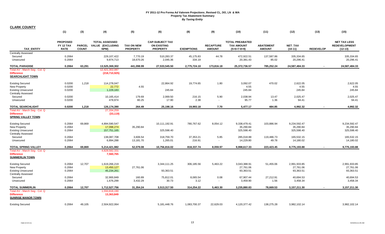|                                                                                                           | (1)                                                | (3)                           | (4)                                               | (5)                                  | (6)                                                             | (8)                 | (9)                               | (10)                                                         | (11)                              | (12)                                    | (13)             | (15)                                                     |
|-----------------------------------------------------------------------------------------------------------|----------------------------------------------------|-------------------------------|---------------------------------------------------|--------------------------------------|-----------------------------------------------------------------|---------------------|-----------------------------------|--------------------------------------------------------------|-----------------------------------|-----------------------------------------|------------------|----------------------------------------------------------|
| <b>TAX ENTITY</b>                                                                                         | <b>PROPOSED</b><br><b>FY 12 TAX</b><br><b>RATE</b> | <b>PARCEL</b><br><b>COUNT</b> | <b>TOTAL ASSESSED</b><br>VALUE (EXCLUDING<br>NPM) | <b>TAX ON NEW</b><br><b>PROPERTY</b> | <b>CAP-SUBJECT TAX</b><br><b>ON EXISTING</b><br><b>PROPERTY</b> | <b>EXEMPTIONS</b>   | <b>RECAPTURE</b><br><b>AMOUNT</b> | <b>TOTAL PREABATED</b><br><b>TAX AMOUNT</b><br>$(5+6+7-8+9)$ | <b>ABATEMENT</b><br><b>AMOUNT</b> | <b>NET TAX</b><br>$(10-11)$             | <b>REDEVELOP</b> | <b>NET TAX LESS</b><br><b>REDEVELOPMENT</b><br>$(12-13)$ |
| <b>Centrally Assessed</b><br>Secured<br>Unsecured                                                         | 0.2064<br>0.2064                                   |                               | 229,107,422<br>9,874,713                          | 7,770.19<br>18,670.26                | 510,283.37<br>2,045.36                                          | 45,175.83<br>334.19 | 44.78                             | 472,922.51<br>20,381.43                                      | 137,587.86<br>85.02               | 335,334.65<br>20,296.41                 |                  | 335,334.65<br>20,296.41                                  |
| <b>TOTAL PARADISE</b>                                                                                     | 0.2064                                             | 63,291                        | 13,525,369,302                                    | 441,098.99                           | 27,533,545.50                                                   | 2,775,724.10        | 173,816.18                        | 25,372,736.57                                                | 785,252.24                        | 24,587,484.33                           |                  | 24,587,484.33                                            |
| Total AV - March Seg - Col. Q<br><b>Difference</b><br><b>SEARCHLIGHT TOWN</b>                             |                                                    |                               | 12,421,302,087<br>(218, 710, 925)                 |                                      |                                                                 |                     |                                   |                                                              |                                   |                                         |                  |                                                          |
| <b>Existing Secured</b><br><b>New Property</b><br><b>Existing Unsecured</b><br><b>Centrally Assessed</b>  | 0.0200<br>0.0200<br>0.0200                         | 1,218                         | 114,278,047<br>22,772<br>1,229,183                | 4.55                                 | 22,864.92<br>245.84                                             | 19,774.65           | 1.80                              | 3,092.07<br>4.55<br>245.84                                   | 470.02                            | 2,622.05<br>4.55<br>245.84              |                  | 2,622.05<br>4.55<br>245.84                               |
| Secured<br>Unsecured                                                                                      | 0.0200<br>0.0200                                   |                               | 10,165,414<br>478,974                             | 179.69<br>80.25                      | 2,069.50<br>17.90                                               | 216.15<br>2.38      | 5.90<br>$\blacksquare$            | 2,038.94<br>95.77                                            | 13.47<br>1.36                     | 2,025.47<br>94.41                       |                  | 2,025.47<br>94.41                                        |
| <b>TOTAL SEARCHLIGHT</b>                                                                                  | 0.0200                                             | 1,218                         | 126,174,390                                       | 264.49                               | 25,198.16                                                       | 19,993.18           | 7.70                              | 5,477.17                                                     | 484.85                            | 4.992.32                                | $\blacksquare$   | 4,992.32                                                 |
| Total AV - March Seg - Col. Q<br><b>Difference</b><br><b>SPRING VALLEY TOWN</b>                           |                                                    |                               | 27,334,259<br>(33, 119)                           |                                      |                                                                 |                     |                                   |                                                              |                                   |                                         |                  |                                                          |
| <b>Existing Secured</b><br><b>New Property</b><br><b>Existing Unsecured</b><br><b>Centrally Assessed</b>  | 0.2064<br>0.2064<br>0.2064                         | 69,869                        | 4,894,590,547<br>17,098,274<br>157,751,165        | 35,290.84                            | 10,111,192.91<br>325,598.40                                     | 780,767.62          | 8,054.12                          | 9,338,479.41<br>35,290.84<br>325,598.40                      | 103,886.94                        | 9,234,592.47<br>35,290.84<br>325,598.40 |                  | 9,234,592.47<br>35,290.84<br>325,598.40                  |
| Secured<br>Unsecured                                                                                      | 0.2064<br>0.2064                                   |                               | 138,087,708<br>6,894,288                          | 3,606.54<br>13,181.70                | 318,759.70<br>1,265.01                                          | 37,353.21<br>216.91 | 5.85<br>$\blacksquare$            | 285,018.88<br>14,229.80                                      | 119,486.73<br>49.78               | 165,532.15<br>14,180.02                 |                  | 165,532.15<br>14,180.02                                  |
| <b>TOTAL SPRING VALLEY</b><br>Total AV - March Seg - Col. Q<br><b>Difference</b><br><b>SUMMERLIN TOWN</b> | 0.2064                                             | 69,869                        | 5,214,421,982<br>4,828,582,331<br>7,560,765       | 52,079.08                            | 10,756,816.02                                                   | 818,337.74          | 8,059.97                          | 9,998,617.33                                                 | 223,423.45                        | 9,775,193.88                            |                  | 9,775,193.88                                             |
| <b>Existing Secured</b><br><b>New Property</b><br><b>Existing Unsecured</b><br><b>Centrally Assessed</b>  | 0.2064<br>0.2064<br>0.2064                         | 12,707                        | 1,619,266,219<br>13,450,127<br>45,234,261         | 27,761.06                            | 3,344,111.25<br>93,363.51                                       | 306,185.56          | 5,463.22                          | 3,043,388.91<br>27,761.06<br>93,363.51                       | 51,455.06                         | 2,991,933.85<br>27,761.06<br>93,363.51  |                  | 2,991,933.85<br>27,761.06<br>93,363.51                   |
| Secured<br>Unsecured                                                                                      | 0.2064<br>0.2064                                   |                               | 32,900,849<br>1,676,299                           | 160.89<br>3,432.29                   | 75,812.01<br>30.73                                              | 8,065.54<br>3.12    | 0.08<br>$\blacksquare$            | 67,907.44<br>3,459.90                                        | 27,212.91<br>1.56                 | 40,694.53<br>3,458.34                   |                  | 40,694.53<br>3,458.34                                    |
| <b>TOTAL SUMMERLIN</b>                                                                                    | 0.2064                                             | 12,707                        | 1,712,527,756                                     | 31,354.24                            | 3,513,317.50                                                    | 314,254.22          | 5,463.30                          | 3,235,880.83                                                 | 78,669.53                         | 3,157,211.30                            |                  | 3,157,211.30                                             |
| Total AV - March Seg - Col. Q<br><b>Difference</b><br><b>SUNRISE MANOR TOWN</b>                           |                                                    |                               | 1,550,818,190<br>13,363,849                       |                                      |                                                                 |                     |                                   |                                                              |                                   |                                         |                  |                                                          |
| <b>Existing Secured</b>                                                                                   | 0.2064                                             | 49,105                        | 2,504,922,064                                     |                                      | 5,181,448.76                                                    | 1,083,700.37        | 22,629.03                         | 4,120,377.42                                                 | 138,275.28                        | 3,982,102.14                            |                  | 3,982,102.14                                             |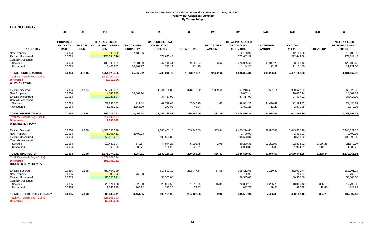|                                                | (1)              | (3)           | (4)                      | (5)               | (6)                    | (8)               | (9)              | (10)                    | (11)             | (12)                    | (13)             | (15)                    |
|------------------------------------------------|------------------|---------------|--------------------------|-------------------|------------------------|-------------------|------------------|-------------------------|------------------|-------------------------|------------------|-------------------------|
|                                                |                  |               |                          |                   |                        |                   |                  |                         |                  |                         |                  |                         |
|                                                | <b>PROPOSED</b>  |               | <b>TOTAL ASSESSED</b>    |                   | <b>CAP-SUBJECT TAX</b> |                   |                  | <b>TOTAL PREABATED</b>  |                  |                         |                  | <b>NET TAX LESS</b>     |
|                                                | <b>FY 12 TAX</b> | <b>PARCEL</b> | VALUE (EXCLUDING         | <b>TAX ON NEW</b> | <b>ON EXISTING</b>     |                   | <b>RECAPTURE</b> | <b>TAX AMOUNT</b>       | <b>ABATEMENT</b> | <b>NET TAX</b>          |                  | <b>REDEVELOPMENT</b>    |
| <b>TAX ENTITY</b>                              | <b>RATE</b>      | <b>COUNT</b>  | NPM)                     | <b>PROPERTY</b>   | <b>PROPERTY</b>        | <b>EXEMPTIONS</b> | <b>AMOUNT</b>    | $(5+6+7-8+9)$           | <b>AMOUNT</b>    | $(10-11)$               | <b>REDEVELOP</b> | $(12-13)$               |
| New Property<br><b>Existing Unsecured</b>      | 0.2064<br>0.2064 |               | 5,903,080<br>132,094,216 | 12,183.96         | 272,642.46             |                   |                  | 12,183.96<br>272,642.46 |                  | 12,183.96<br>272,642.46 |                  | 12,183.96<br>272,642.46 |
| <b>Centrally Assessed</b>                      |                  |               |                          |                   |                        |                   |                  |                         |                  |                         |                  |                         |
| Secured                                        | 0.2064           |               | 106,599,831              | 2,381.59          | 247,146.41             | 29,505.94         | 3.62             | 220,025.68              | 96,917.26        | 123,108.42              |                  | 123,108.42              |
| Unsecured                                      | 0.2064           |               | 5,409,303                | 10,503.37         | 773.14                 | 111.70            | $\sim$           | 11,164.81               | 33.81            | 11,131.00               |                  | 11,131.00               |
| <b>TOTAL SUNRISE MANOR</b>                     | 0.2064           | 49,105        | 2,754,928,495            | 25,068.92         | 5,702,010.77           | 1,113,318.01      | 22,632.65        | 4,636,394.33            | 235,226.35       | 4,401,167.98            |                  | 4,401,167.98            |
| Total AV - March Seg - Col. Q                  |                  |               | 2,232,090,252            |                   |                        |                   |                  |                         |                  |                         |                  |                         |
| <b>Difference</b>                              |                  |               | (2, 210, 386)            |                   |                        |                   |                  |                         |                  |                         |                  |                         |
| <b>WHITNEY TOWN</b>                            |                  |               |                          |                   |                        |                   |                  |                         |                  |                         |                  |                         |
|                                                |                  |               |                          |                   |                        |                   |                  |                         |                  |                         |                  |                         |
| <b>Existing Secured</b><br><b>New Property</b> | 0.2064<br>0.2064 | 14,524        | 650,249,821<br>4,845,999 | 10,002.14         | 1,344,756.80           | 378,872.82        | 1,329.69         | 967,213.67<br>10,002.14 | 6,591.14         | 960,622.53<br>10,002.14 |                  | 960,622.53<br>10,002.14 |
| <b>Existing Unsecured</b>                      | 0.2064           |               | 18,128,837               |                   | 37,417.92              |                   |                  | 37,417.92               |                  | 37,417.92               |                  | 37,417.92               |
| <b>Centrally Assessed</b>                      |                  |               |                          |                   |                        |                   |                  |                         |                  |                         |                  |                         |
| Secured                                        | 0.2064           |               | 27,596,753               | 811.24            | 63,788.69              | 7,640.30          | 1.60             | 56,961.23               | 24,476.61        | 32,484.62               |                  | 32,484.62               |
| Unsecured                                      | 0.2064           |               | 1,395,982                | 2,656.20          | 272.02                 | 46.94             | $\blacksquare$   | 2,881.28                | 11.20            | 2,870.08                |                  | 2,870.08                |
| TOTAL WHITNEY TOWN                             | 0.2064           | 14,524        | 702,217,392              | 13,469.58         | 1,446,235.43           | 386,560.06        | 1,331.29         | 1,074,476.24            | 31,078.95        | 1,043,397.29            |                  | 1,043,397.29            |
| Total AV - March Seg - Col. Q                  |                  |               | 517,649,937              |                   |                        |                   |                  |                         |                  |                         |                  |                         |
| <b>Difference</b>                              |                  |               | 1,005,042                |                   |                        |                   |                  |                         |                  |                         |                  |                         |
| <b>WINCHESTER TOWN</b>                         |                  |               |                          |                   |                        |                   |                  |                         |                  |                         |                  |                         |
| <b>Existing Secured</b>                        | 0.2064           | 9,260         | 1,300,895,090            |                   | 2,686,461.16           | 203,749.69        | 563.34           | 2,483,274.81            | 39,647.65        | 2,443,627.16            |                  | 2,443,627.16            |
| <b>New Property</b>                            | 0.2064           |               | 1,206,412                | 2,490.03          |                        |                   |                  | 2,490.03                |                  | 2,490.03                |                  | 2,490.03                |
| <b>Existing Unsecured</b>                      | 0.2064           |               | 52,613,287               |                   | 108,593.82             |                   |                  | 108,593.82              |                  | 108,593.82              |                  | 108,593.82              |
| <b>Centrally Assessed</b>                      |                  |               |                          |                   |                        |                   |                  |                         |                  |                         |                  |                         |
| Secured                                        | 0.2064           |               | 19,489,994               | 578.57            | 44,944.28              | 5,295.48          | 2.98             | 40,230.35               | 17,392.03        | 22,838.32               | 1,166.25         | 21,672.07               |
| Unsecured                                      | 0.2064           |               | 969,378                  | 1,885.71          | 136.90                 | 21.81             | $\blacksquare$   | 2,000.80                | 5.89             | 1,994.91                | 112.19           | 1,882.72                |
| <b>TOTAL WINCHESTER</b>                        | 0.2064           | 9,260         | 1,375,174,161            | 4,954.31          | 2,840,136.16           | 209,066.98        | 566.32           | 2,636,589.82            | 57,045.57        | 2,579,544.25            | 1,278.44         | 2,578,265.81            |
| Total AV - March Seg - Col. Q                  |                  |               | 1,079,707,074            |                   |                        |                   |                  |                         |                  |                         |                  |                         |
| <b>Difference</b>                              |                  |               | 196,751,152              |                   |                        |                   |                  |                         |                  |                         |                  |                         |
| <b>BOULDER CITY LIBRARY</b>                    |                  |               |                          |                   |                        |                   |                  |                         |                  |                         |                  |                         |
| <b>Existing Secured</b>                        | 0.0855           | 7,568         | 789,404,339              |                   | 617,522.12             | 252,477.64        | 67.58            | 365,112.06              | 3,110.32         | 362,001.74              |                  | 362,001.74              |
| <b>New Property</b>                            | 0.0855           |               | 889,972                  | 760.93            |                        |                   |                  | 760.93                  |                  | 760.93                  |                  | 760.93                  |
| <b>Existing Unsecured</b>                      | 0.0855           |               | 65,853,871               |                   | 56,305.06              |                   |                  | 56,305.06               |                  | 56,305.06               |                  | 56,305.06               |
| <b>Centrally Assessed</b>                      |                  |               |                          |                   |                        |                   |                  |                         |                  |                         |                  |                         |
| Secured                                        | 0.0855           |               | 26,171,638               | 1,926.50          | 22,063.52              | 1,613.25          | 15.38            | 22,392.15               | 4,295.73         | 18,096.42               | 306.10           | 17,790.32               |
| Unsecured                                      | 0.0855           |               | 1,166,920                | 764.12            | 270.30                 | 36.67             | $\sim$           | 997.75                  | 29.80            | 967.95                  | 18.60            | 949.35                  |
| TOTAL BOULDER CITY LIBRARY                     | 0.0855           | 7,568         | 883,486,741              | 3,451.55          | 696,161.00             | 254,127.56        | 82.96            | 445,567.95              | 7,435.85         | 438,132.10              | 324.70           | 437,807.40              |
| Total AV - March Seg - Col. Q                  |                  |               | 525,806,003              |                   |                        |                   |                  |                         |                  |                         |                  |                         |
| <b>Difference</b>                              |                  |               | 62,385,253               |                   |                        |                   |                  |                         |                  |                         |                  |                         |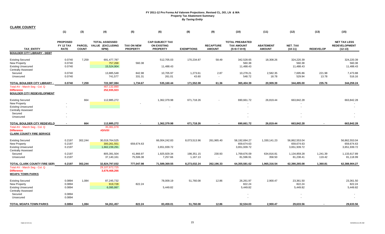|                                                                                                                                  | (1)                                                | (3)                           | (4)                                               | (5)                           | (6)                                                             | (8)                    | (9)                               | (10)                                                         | (11)                              | (12)                                                        | (13)               | (15)                                                     |
|----------------------------------------------------------------------------------------------------------------------------------|----------------------------------------------------|-------------------------------|---------------------------------------------------|-------------------------------|-----------------------------------------------------------------|------------------------|-----------------------------------|--------------------------------------------------------------|-----------------------------------|-------------------------------------------------------------|--------------------|----------------------------------------------------------|
| <b>TAX ENTITY</b>                                                                                                                | <b>PROPOSED</b><br><b>FY 12 TAX</b><br><b>RATE</b> | <b>PARCEL</b><br><b>COUNT</b> | <b>TOTAL ASSESSED</b><br>VALUE (EXCLUDING<br>NPM) | TAX ON NEW<br><b>PROPERTY</b> | <b>CAP-SUBJECT TAX</b><br><b>ON EXISTING</b><br><b>PROPERTY</b> | <b>EXEMPTIONS</b>      | <b>RECAPTURE</b><br><b>AMOUNT</b> | <b>TOTAL PREABATED</b><br><b>TAX AMOUNT</b><br>$(5+6+7-8+9)$ | <b>ABATEMENT</b><br><b>AMOUNT</b> | NET_TAX<br>$(10-11)$                                        | <b>REDEVELOP</b>   | <b>NET TAX LESS</b><br><b>REDEVELOPMENT</b><br>$(12-13)$ |
| <b>BOULDER CITY LIBRARY - DEBT</b>                                                                                               |                                                    |                               |                                                   |                               |                                                                 |                        |                                   |                                                              |                                   |                                                             |                    |                                                          |
| <b>Existing Secured</b><br><b>New Property</b><br><b>Existing Unsecured</b><br><b>Centrally Assessed</b>                         | 0.0740<br>0.0740<br>0.0740                         | 7,259                         | 691,477,787<br>757,268<br>15,524,904              | 560.38                        | 512,705.03<br>11,488.43                                         | 170,234.87             | 58.49                             | 342,528.65<br>560.38<br>11,488.43                            | 18,308.26                         | 324,220.39<br>560.38<br>11,488.43                           |                    | 324,220.39<br>560.38<br>11,488.43                        |
| Secured<br>Unsecured                                                                                                             | 0.0740<br>0.0740                                   |                               | 13,885,548<br>741,577                             | 842.98<br>331.31              | 10,705.97<br>261.01                                             | 1,273.61<br>43.60      | 2.87<br>$\sim$                    | 10,278.21<br>548.72                                          | 2,582.35<br>18.78                 | 7,695.86<br>529.94                                          | 221.98<br>13.78    | 7,473.88<br>516.16                                       |
| TOTAL BOULDER CITY LIBRARY -<br>Total AV - March Seg - Col. Q<br><b>Difference</b><br><b>BOULDER CITY REDEVELOPMENT</b>          | 0.0740                                             | 7,259                         | 722,387,084<br>467,132,890<br>252,935,923         | 1,734.67                      | 535,160.44                                                      | 171,552.08             | 61.36                             | 365,404.39                                                   | 20,909.39                         | 344,495.00                                                  | 235.76             | 344,259.24                                               |
| <b>Existing Secured</b><br><b>New Property</b><br><b>Existing Unsecured</b><br><b>Centrally Assessed</b><br>Secured<br>Unsecured |                                                    | 664                           | 112,885,272                                       |                               | 1,362,379.98                                                    | 671,718.26             |                                   | 690,661.72                                                   | 26,819.44                         | 663,842.28                                                  |                    | 663,842.28                                               |
| <b>TOTAL BOULDER CITY REDEVELO</b><br>Total AV - March Seg - Col. Q<br><b>Difference</b><br><b>CLARK COUNTY FIRE SERVICE</b>     | $\sim$                                             | 664                           | 112,885,272<br>35,081,078<br>#DIV/0!              |                               | 1,362,379.98                                                    | 671,718.26             |                                   | 690,661.72                                                   | 26,819.44                         | 663,842.28                                                  |                    | 663.842.28                                               |
| <b>Existing Secured</b><br>New Property<br><b>Existing Unsecured</b><br><b>Centrally Assessed</b>                                | 0.2197<br>0.2197<br>0.2197                         | 302,244                       | 30,019,764,525<br>300,261,551<br>1,662,239,291    | 659,674.63                    | 66,004,242.83<br>3,651,939.72                                   | 8,073,513.96           | 261,965.40                        | 58,192,694.27<br>659,674.63<br>3,651,939.72                  | 1,330,141.23                      | 56,862,553.04<br>659,674.63<br>3,651,939.72                 |                    | 56.862.553.04<br>659,674.63<br>3,651,939.72              |
| Secured<br>Unsecured                                                                                                             | 0.2197<br>0.2197                                   |                               | 805,391,504<br>37,140,161                         | 41,866.97<br>75,506.38        | 1,925,929.34<br>7,257.66                                        | 198,351.15<br>1,167.13 | 230.93<br>$\blacksquare$          | 1,769,676.09<br>81,596.91                                    | 634,816.81<br>358.50              | 1,134,859.28<br>81,238.41                                   | 1,241.39<br>119.42 | 1,133,617.89<br>81,118.99                                |
| <b>TOTAL CLARK COUNTY FIRE SERV</b><br>Total AV - March Seg - Col. Q<br><b>Difference</b><br><b>MOAPA TOWN PARKS</b>             | 0.2197                                             | 302,244                       | 32,824,797,032<br>29,107,672,725<br>3,679,468,266 | 777,047.98                    | 71,589,369.55                                                   | 8,273,032.24           | 262,196.33                        | 64,355,581.62                                                | 1,965,316.54                      | 62,390,265.08                                               | 1,360.81           | 62,388,904.27                                            |
| <b>Existing Secured</b><br>New Property<br><b>Existing Unsecured</b><br><b>Centrally Assessed</b><br>Secured<br>Unsecured        | 0.0894<br>0.0894<br>0.0894<br>0.0894<br>0.0894     | 1,084                         | 87,245,732<br>919,728<br>6,095,997                | 822.24                        | 78,009.19<br>5,449.82                                           | 51,760.08              | 12.86                             | 26,261.97<br>822.24<br>5,449.82                              | 2,900.47                          | 23,361.50<br>822.24<br>5,449.82<br>$\overline{\phantom{a}}$ |                    | 23,361.50<br>822.24<br>5,449.82                          |
| <b>TOTAL MOAPA TOWN PARKS</b>                                                                                                    | 0.0894                                             | 1.084                         | 94,261,457                                        | 822.24                        | 83.459.01                                                       | 51.760.08              | 12.86                             | 32.534.03                                                    | 2.900.47                          | 29.633.56                                                   |                    | 29,633.56                                                |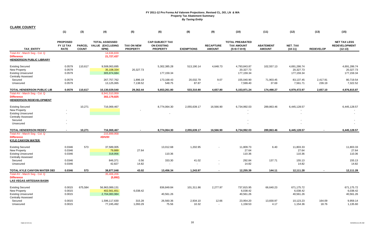|                                                                                                                      | (1)                                                | (3)                           | (4)                                               | (5)                                  | (6)                                                             | (8)                | (9)                               | (10)                                                         | (11)                              | (12)                                    | (13)               | (15)                                                     |
|----------------------------------------------------------------------------------------------------------------------|----------------------------------------------------|-------------------------------|---------------------------------------------------|--------------------------------------|-----------------------------------------------------------------|--------------------|-----------------------------------|--------------------------------------------------------------|-----------------------------------|-----------------------------------------|--------------------|----------------------------------------------------------|
| <b>TAX ENTITY</b>                                                                                                    | <b>PROPOSED</b><br><b>FY 12 TAX</b><br><b>RATE</b> | <b>PARCEL</b><br><b>COUNT</b> | <b>TOTAL ASSESSED</b><br>VALUE (EXCLUDING<br>NPM) | <b>TAX ON NEW</b><br><b>PROPERTY</b> | <b>CAP-SUBJECT TAX</b><br><b>ON EXISTING</b><br><b>PROPERTY</b> | <b>EXEMPTIONS</b>  | <b>RECAPTURE</b><br><b>AMOUNT</b> | <b>TOTAL PREABATED</b><br><b>TAX AMOUNT</b><br>$(5+6+7-8+9)$ | <b>ABATEMENT</b><br><b>AMOUNT</b> | NET_TAX<br>$(10-11)$                    | <b>REDEVELOP</b>   | <b>NET TAX LESS</b><br><b>REDEVELOPMENT</b><br>$(12-13)$ |
| Total AV - March Seg - Col. Q<br><b>Difference</b><br><b>HENDERSON PUBLIC LIBRARY</b>                                |                                                    |                               | 14,636,839<br>21,727,437                          |                                      |                                                                 |                    |                                   |                                                              |                                   |                                         |                    |                                                          |
| <b>Existing Secured</b><br><b>New Property</b><br><b>Existing Unsecured</b><br><b>Centrally Assessed</b>             | 0.0579<br>0.0579<br>0.0579                         | 110,617                       | 9,508,063,695<br>35,108,334<br>305,974,684        | 20,327.73                            | 5,302,385.28<br>177,159.34                                      | 513,190.14         | 4,648.73                          | 4,793,843.87<br>20,327.73<br>177,159.34                      | 102,557.13                        | 4,691,286.74<br>20,327.73<br>177,159.34 |                    | 4,691,286.74<br>20,327.73<br>177,159.34                  |
| Secured<br>Unsecured                                                                                                 | 0.0579<br>0.0579                                   |                               | 267,757,762<br>13,125,065                         | 1,896.19<br>7,138.52                 | 173,168.43<br>548.75                                            | 20,032.79<br>87.87 | 9.07<br>$\sim$                    | 155,040.90<br>7,599.40                                       | 71,903.45<br>37.69                | 83,137.45<br>7,561.71                   | 2,417.91<br>239.19 | 80,719.54<br>7,322.52                                    |
| TOTAL HENDERSON PUBLIC LIB                                                                                           | 0.0579                                             | 110,617                       | 10,130,029,540                                    | 29,362.44                            | 5,653,261.80                                                    | 533,310.80         | 4,657.80                          | 5,153,971.24                                                 | 174,498.27                        | 4,979,472.97                            | 2,657.10           | 4,976,815.87                                             |
| Total AV - March Seg - Col. Q<br><b>Difference</b><br><b>HENDERSON REDEVELOPMENT</b>                                 |                                                    |                               | 8,941,510,959<br>302,179,825                      |                                      |                                                                 |                    |                                   |                                                              |                                   |                                         |                    |                                                          |
| <b>Existing Secured</b><br><b>New Property</b><br><b>Existing Unsecured</b>                                          |                                                    | 10,271                        | 716,069,467                                       |                                      | 8,774,064.30                                                    | 2,055,639.17       | 16,566.90                         | 6,734,992.03<br>$\blacksquare$                               | 289,863.46                        | 6,445,128.57<br>$\sim$                  |                    | 6,445,128.57                                             |
| <b>Centrally Assessed</b><br>Secured<br>Unsecured                                                                    |                                                    |                               |                                                   |                                      |                                                                 |                    |                                   |                                                              |                                   |                                         |                    | $\sim$                                                   |
| <b>TOTAL HENDERSON REDEV</b>                                                                                         | $\blacksquare$                                     | 10,271                        | 716,069,467                                       |                                      | 8,774,064.30                                                    | 2,055,639.17       | 16,566.90                         | 6,734,992.03                                                 | 289,863.46                        | 6,445,128.57                            |                    | 6,445,128.57                                             |
| Total AV - March Seg - Col. Q<br><b>Difference</b><br><b>KYLE CANYON WATER</b>                                       |                                                    |                               | 215,899,958<br>#DIV/0!                            |                                      |                                                                 |                    |                                   |                                                              |                                   |                                         |                    |                                                          |
| <b>Existing Secured</b><br><b>New Property</b><br><b>Existing Unsecured</b><br><b>Centrally Assessed</b>             | 0.0346<br>0.0346<br>0.0346                         | 573                           | 37,589,005<br>79,889<br>318,956                   | 27.64                                | 13,012.68<br>110.36                                             | 1,202.95           |                                   | 11,809.73<br>27.64<br>110.36                                 | 6.40                              | 11,803.33<br>27.64<br>110.36            |                    | 11,803.33<br>27.64<br>110.36                             |
| Secured<br>Unsecured                                                                                                 | 0.0346<br>0.0346                                   |                               | 846,371<br>42,827                                 | 0.56<br>14.82                        | 333.30                                                          | 41.02              |                                   | 292.84<br>14.82                                              | 137.71                            | 155.13<br>14.82                         |                    | 155.13<br>14.82                                          |
| TOTAL KYLE CANYON WATER DEI<br>Total AV - March Seg - Col. Q<br><b>Difference</b><br><b>LAS VEGAS ARTESIAN BASIN</b> | 0.0346                                             | 573                           | 38,877,048<br>35,406,206<br>(5,892)               | 43.02                                | 13,456.34                                                       | 1,243.97           |                                   | 12,255.39                                                    | 144.11                            | 12,111.28                               |                    | 12,111.28                                                |
| <b>Existing Secured</b><br><b>New Property</b><br><b>Existing Unsecured</b><br><b>Centrally Assessed</b>             | 0.0015<br>0.0015<br>0.0015                         | 675,584                       | 56,963,089,131<br>402,561,651<br>2,704,083,984    | 6,038.42                             | 836,849.84<br>40,561.26                                         | 101,311.86         | 2,277.97                          | 737,815.95<br>6,038.42<br>40,561.26                          | 66,640.23                         | 671,175.72<br>6,038.42<br>40,561.26     |                    | 671,175.72<br>6,038.42<br>40,561.26                      |
| Secured<br>Unsecured                                                                                                 | 0.0015<br>0.0015                                   |                               | 1,596,117,630<br>77,245,492                       | 315.28<br>1,093.29                   | 26,560.36<br>75.56                                              | 2,934.10<br>10.32  | 12.66<br>$\sim$                   | 23,954.20<br>1,158.53                                        | 13,830.97<br>4.17                 | 10,123.23<br>1,154.36                   | 164.09<br>18.76    | 9,959.14<br>1,135.60                                     |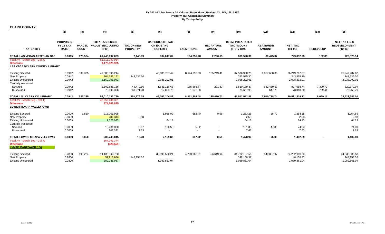| <b>CLARK COUNTY</b>                                                                                      |                                             |                               |                                                   |                                      |                                                                 |                          |                                   |                                                              |                                   |                                             |                  |                                                          |
|----------------------------------------------------------------------------------------------------------|---------------------------------------------|-------------------------------|---------------------------------------------------|--------------------------------------|-----------------------------------------------------------------|--------------------------|-----------------------------------|--------------------------------------------------------------|-----------------------------------|---------------------------------------------|------------------|----------------------------------------------------------|
|                                                                                                          | (1)                                         | (3)                           | (4)                                               | (5)                                  | (6)                                                             | (8)                      | (9)                               | (10)                                                         | (11)                              | (12)                                        | (13)             | (15)                                                     |
| <b>TAX ENTITY</b>                                                                                        | <b>PROPOSED</b><br>FY 12 TAX<br><b>RATE</b> | <b>PARCEL</b><br><b>COUNT</b> | <b>TOTAL ASSESSED</b><br>VALUE (EXCLUDING<br>NPM) | <b>TAX ON NEW</b><br><b>PROPERTY</b> | <b>CAP-SUBJECT TAX</b><br><b>ON EXISTING</b><br><b>PROPERTY</b> | <b>EXEMPTIONS</b>        | <b>RECAPTURE</b><br><b>AMOUNT</b> | <b>TOTAL PREABATED</b><br><b>TAX AMOUNT</b><br>$(5+6+7-8+9)$ | <b>ABATEMENT</b><br><b>AMOUNT</b> | <b>NET TAX</b><br>$(10-11)$                 | <b>REDEVELOP</b> | <b>NET TAX LESS</b><br><b>REDEVELOPMENT</b><br>$(12-13)$ |
| TOTAL LAS VEGAS ARTESIAN BAS                                                                             | 0.0015                                      | 675,584                       | 61,743,097,889                                    | 7,446.99                             | 904,047.02                                                      | 104,256.28               | 2,290.63                          | 809,528.36                                                   | 80,475.37                         | 729,052.99                                  | 182.85           | 728,870.14                                               |
| Total AV - March Seg - Col. Q<br><b>Difference</b><br><b>LAS VEGAS/CLARK COUNTY LIBRARY</b>              |                                             |                               | 53,815,047,964<br>1,173,925,925                   |                                      |                                                                 |                          |                                   |                                                              |                                   |                                             |                  |                                                          |
| <b>Existing Secured</b><br><b>New Property</b><br><b>Existing Unsecured</b><br><b>Centrally Assessed</b> | 0.0942<br>0.0942<br>0.0942                  | 536,325                       | 49,800,595,214<br>364,687,151<br>2,163,791,943    | 343,535.30                           | 46,085,737.47<br>2,038,292.01                                   | 8,644,018.63             | 135,249.41                        | 37,576,968.25<br>343,535.30<br>2,038,292.01                  | 1,327,680.38                      | 36,249,287.87<br>343,535.30<br>2,038,292.01 |                  | 36,249,287.87<br>343,535.30<br>2,038,292.01              |
| Secured                                                                                                  | 0.0942                                      |                               | 1,602,885,156                                     | 44,470.16                            | 1,631,116.68                                                    | 165,668.77               | 221.30                            | 1,510,139.37                                                 | 682,450.63                        | 827,688.74                                  | 7,309.70         | 820,379.04                                               |
| Unsecured                                                                                                | 0.0942                                      |                               | 78,193,306                                        | 63,271.28                            | 12,058.73                                                       | 1,672.08                 |                                   | 73,657.93                                                    | 647.73                            | 73,010.20                                   | 759.41           | 72,250.79                                                |
| TOTAL LV / CLARK CO LIBRARY                                                                              | 0.0942                                      | 536,325                       | 54,010,152,770                                    | 451,276.74                           | 49,767,204.89                                                   | 8,811,359.48             | 135,470.71                        | 41,542,592.86                                                | 2,010,778.74                      | 39,531,814.12                               | 8,069.11         | 39,523,745.01                                            |
| Total AV - March Seg - Col. Q<br><b>Difference</b><br><b>LOWER MOAPA VALLEY GWB</b>                      |                                             |                               | 43,959,248,351<br>874,663,835                     |                                      |                                                                 |                          |                                   |                                                              |                                   |                                             |                  |                                                          |
| <b>Existing Secured</b><br>New Property<br><b>Existing Unsecured</b><br><b>Centrally Assessed</b>        | 0.0009<br>0.0009<br>0.0009                  | 3,850                         | 218,001,998<br>286,313<br>7,126,033               | 2.58                                 | 1,965.09<br>64.13                                               | 682.40                   | 0.56                              | 1,283.25<br>2.58<br>64.13                                    | 28.70                             | 1,254.55<br>2.58<br>64.13                   |                  | 1,254.55<br>2.58<br>64.13                                |
| Secured                                                                                                  | 0.0009                                      |                               | 13,481,380                                        | 0.07                                 | 126.58                                                          | 5.32                     |                                   | 121.33                                                       | 47.33                             | 74.00                                       |                  | 74.00                                                    |
| Unsecured                                                                                                | 0.0009                                      |                               | 847,321                                           | 7.63                                 | $\sim$                                                          | $\overline{\phantom{a}}$ |                                   | 7.63                                                         |                                   | 7.63                                        |                  | 7.63                                                     |
| TOTAL LOWER MOAPA VLLY GWB                                                                               | 0.0009                                      | 3,850                         | 239,743,045                                       | 10.28                                | 2,155.80                                                        | 687.72                   | 0.56                              | 1,478.92                                                     | 76.03                             | 1,402.89                                    |                  | 1,402.89                                                 |
| Total AV - March Seq - Col. Q<br><b>Difference</b><br><b>LVMPD MANPOWER (LV)</b>                         |                                             |                               | 164,241,374<br>(320, 551)                         |                                      |                                                                 |                          |                                   |                                                              |                                   |                                             |                  |                                                          |
| <b>Existing Secured</b><br>New Property<br><b>Existing Unsecured</b>                                     | 0.2800<br>0.2800<br>0.2800                  | 199,224                       | 14,136,003,720<br>52,913,686<br>389,236,087       | 148,158.32                           | 38,998,570.21<br>1,089,861.04                                   | 4,280,062.61             | 53,619.90                         | 34,772,127.50<br>148,158.32<br>1,089,861.04                  | 540,037.97                        | 34,232,089.53<br>148,158.32<br>1,089,861.04 |                  | 34,232,089.53<br>148,158.32<br>1,089,861.04              |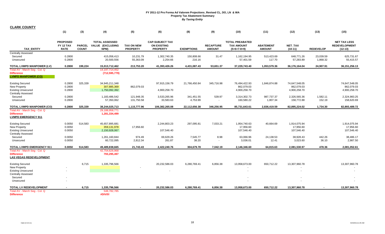|  | <b>CLARK COUNTY</b> |
|--|---------------------|
|  |                     |

|                                                                                                                     | (1)                                         | (3)                           | (4)                                               | (5)                                  | (6)                                                             | (8)                    | (9)                               | (10)                                                         | (11)                              | (12)                                        | (13)                  | (15)                                                     |
|---------------------------------------------------------------------------------------------------------------------|---------------------------------------------|-------------------------------|---------------------------------------------------|--------------------------------------|-----------------------------------------------------------------|------------------------|-----------------------------------|--------------------------------------------------------------|-----------------------------------|---------------------------------------------|-----------------------|----------------------------------------------------------|
| <b>TAX ENTITY</b>                                                                                                   | <b>PROPOSED</b><br>FY 12 TAX<br><b>RATE</b> | <b>PARCEL</b><br><b>COUNT</b> | <b>TOTAL ASSESSED</b><br>VALUE (EXCLUDING<br>NPM) | <b>TAX ON NEW</b><br><b>PROPERTY</b> | <b>CAP-SUBJECT TAX</b><br><b>ON EXISTING</b><br><b>PROPERTY</b> | <b>EXEMPTIONS</b>      | <b>RECAPTURE</b><br><b>AMOUNT</b> | <b>TOTAL PREABATED</b><br><b>TAX AMOUNT</b><br>$(5+6+7-8+9)$ | <b>ABATEMENT</b><br><b>AMOUNT</b> | NET_TAX<br>$(10-11)$                        | <b>REDEVELOP</b>      | <b>NET TAX LESS</b><br><b>REDEVELOPMENT</b><br>$(12-13)$ |
| Centrally Assessed<br>Secured<br>Unsecured                                                                          | 0.2800<br>0.2800                            |                               | 415,058,413<br>20,500,556                         | 10,231.79<br>55,363.09               | 1,302,740.35<br>2,254.66                                        | 150,808.66<br>216.16   | 31.47<br>$\sim$                   | 1,162,194.95<br>57,401.59                                    | 513,423.69<br>117.70              | 648,771.26<br>57,283.89                     | 23,039.59<br>1,868.32 | 625,731.67<br>55,415.57                                  |
| TOTAL LVMPD MANPOWER (LV)                                                                                           | 0.2800                                      | 199,224                       | 15,013,712,462                                    | 213,753.20                           | 41,393,426.26                                                   | 4,431,087.43           | 53,651.37                         | 37,229,743.40                                                | 1,053,579.36                      | 36,176,164.04                               | 24,907.91             | 36, 151, 256. 13                                         |
| Total AV - March Seg - Col. Q<br><b>Difference</b><br><b>LVMPD MANPOWER (CO)</b>                                    |                                             |                               | 14, 197, 714, 452<br>(712, 595, 779)              |                                      |                                                                 |                        |                                   |                                                              |                                   |                                             |                       |                                                          |
| <b>Existing Secured</b><br><b>New Property</b><br><b>Existing Unsecured</b>                                         | 0.2800<br>0.2800<br>0.2800                  | 325,339                       | 34,945,211,348<br>307,885,369<br>1,750,092,392    | 862,079.03                           | 97,915,156.79<br>4,900,258.70                                   | 21,766,450.84          | 345,716.98                        | 76,494,422.93<br>862,079.03<br>4,900,258.70                  | 1,846,874.88                      | 74,647,548.05<br>862,079.03<br>4,900,258.70 |                       | 74,647,548.05<br>862,079.03<br>4,900,258.70              |
| <b>Centrally Assessed</b><br>Secured<br>Unsecured                                                                   | 0.2800<br>0.2800                            |                               | 1,183,486,542<br>57,350,062                       | 121,948.35<br>131,750.58             | 3,533,265.96<br>33,583.63                                       | 341,451.55<br>4,753.99 | 539.97<br>$\blacksquare$          | 3,314,302.73<br>160,580.22                                   | 987,737.37<br>1,807.34            | 2,326,565.36<br>158,772.88                  | 1,582.11<br>152.19    | 2,324,983.25<br>158,620.69                               |
| <b>TOTAL LVMPD MANPOWER (CO)</b>                                                                                    | 0.2800                                      | 325,339                       | 38,244,025,713                                    | 1,115,777.96                         | 106,382,265.08                                                  | 22,112,656.38          | 346,256.95                        | 85,731,643.61                                                | 2,836,419.59                      | 82,895,224.02                               | 1,734.30              | 82,893,489.72                                            |
| Total AV - March Seg - Col. Q<br><b>Difference</b><br><b>LVMPD EMERGENCY 911</b>                                    |                                             |                               | 29,188,958,771<br>1,281,334,499                   |                                      |                                                                 |                        |                                   |                                                              |                                   |                                             |                       |                                                          |
| <b>Existing Secured</b><br>New Property<br><b>Existing Unsecured</b><br>Centrally Assessed                          | 0.0050<br>0.0050<br>0.0050                  | 514,583                       | 45,657,895,681<br>359,131,978<br>2,150,928,067    | 17,956.60                            | 2,244,803.23<br>107,546.40                                      | 297,095.81             | 7,033.21                          | 1,954,740.63<br>17,956.60<br>107,546.40                      | 40,664.69                         | 1,914,075.94<br>17,956.60<br>107,546.40     |                       | 1,914,075.94<br>17,956.60<br>107,546.40                  |
| Secured<br>Unsecured                                                                                                | 0.0050<br>0.0050                            |                               | 1,261,160,844<br>60,722,095                       | 974.49<br>2,812.34                   | 69,629.26<br>261.87                                             | 7,545.77<br>38.20      | 8.98<br>$\sim$                    | 63,066.96<br>3,036.01                                        | 24,138.53<br>12.41                | 38,928.43<br>3,023.60                       | 442.26<br>36.10       | 38,486.17<br>2,987.50                                    |
| <b>TOTAL LVMPD EMERGENCY 911</b>                                                                                    | 0.0050                                      | 514,583                       | 49,489,838,665                                    | 21,743.43                            | 2,422,240.76                                                    | 304,679.78             | 7,042.19                          | 2,146,346.60                                                 | 64,815.63                         | 2,081,530.97                                | 478.36                | 2,081,052.61                                             |
| Total AV - March Seg - Col. Q<br><b>Difference</b><br><b>LAS VEGAS REDEVELOPMENT</b>                                |                                             |                               | 42,754,626,968<br>793,295,497                     |                                      |                                                                 |                        |                                   |                                                              |                                   |                                             |                       |                                                          |
| <b>Existing Secured</b><br><b>New Property</b><br><b>Existing Unsecured</b><br><b>Centrally Assessed</b><br>Secured |                                             | 6,715                         | 1,335,796,566                                     |                                      | 20,232,586.03                                                   | 6,280,769.41           | 6,856.38                          | 13,958,673.00                                                | 650,712.22                        | 13,307,960.78                               |                       | 13,307,960.78                                            |
| Unsecured                                                                                                           |                                             |                               |                                                   |                                      |                                                                 |                        |                                   |                                                              |                                   |                                             |                       |                                                          |
| TOTAL LV REDEVELOPMENT<br>Total AV - March Seg - Col. Q<br><b>Difference</b>                                        |                                             | 6,715                         | 1,335,796,566<br>548,782,785<br>#DIV/0!           |                                      | 20,232,586.03                                                   | 6,280,769.41           | 6.856.38                          | 13,958,673.00                                                | 650,712.22                        | 13,307,960.78                               |                       | 13,307,960.78                                            |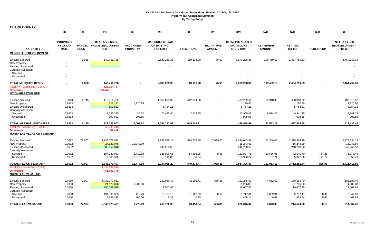|                                                                                                                       | (1)                                         | (3)                           | (4)                                               | (5)                                  | (6)                                                             | (8)               | (9)                               | (10)                                                         | (11)                              | (12)                                    | (13)             | (15)                                                     |
|-----------------------------------------------------------------------------------------------------------------------|---------------------------------------------|-------------------------------|---------------------------------------------------|--------------------------------------|-----------------------------------------------------------------|-------------------|-----------------------------------|--------------------------------------------------------------|-----------------------------------|-----------------------------------------|------------------|----------------------------------------------------------|
| <b>TAX ENTITY</b>                                                                                                     | <b>PROPOSED</b><br>FY 12 TAX<br><b>RATE</b> | <b>PARCEL</b><br><b>COUNT</b> | <b>TOTAL ASSESSED</b><br>VALUE (EXCLUDING<br>NPM) | <b>TAX ON NEW</b><br><b>PROPERTY</b> | <b>CAP-SUBJECT TAX</b><br><b>ON EXISTING</b><br><b>PROPERTY</b> | <b>EXEMPTIONS</b> | <b>RECAPTURE</b><br><b>AMOUNT</b> | <b>TOTAL PREABATED</b><br><b>TAX AMOUNT</b><br>$(5+6+7-8+9)$ | <b>ABATEMENT</b><br><b>AMOUNT</b> | NET_TAX<br>$(10-11)$                    | <b>REDEVELOP</b> | <b>NET TAX LESS</b><br><b>REDEVELOPMENT</b><br>$(12-13)$ |
| <b>MESQUITE REDEVELOPMENT</b>                                                                                         |                                             |                               |                                                   |                                      |                                                                 |                   |                                   |                                                              |                                   |                                         |                  |                                                          |
| <b>Existing Secured</b><br><b>New Property</b><br><b>Existing Unsecured</b><br><b>Centrally Assessed</b><br>Secured   |                                             | 1,058                         | 149,761,728                                       |                                      | 2,683,269.38                                                    | 110,116.20        | 75.63                             | 2,573,228.81                                                 | 108,469.18                        | 2,464,759.63                            |                  | 2,464,759.63                                             |
| Unsecured                                                                                                             |                                             |                               |                                                   |                                      |                                                                 |                   |                                   |                                                              |                                   |                                         |                  |                                                          |
| <b>TOTAL MESQUITE REDEV</b><br>Total AV - March Seg - Col. Q<br><b>Difference</b><br><b>MT CHARLESTON FIRE</b>        | $\blacksquare$                              | 1,058                         | 149,761,728<br>121,924,767<br>#DIV/0!             |                                      | 2,683,269.38                                                    | 110,116.20        | 75.63                             | 2,573,228.81                                                 | 108,469.18                        | 2,464,759.63                            |                  | 2,464,759.63                                             |
| <b>Existing Secured</b><br><b>New Property</b><br><b>Existing Unsecured</b><br><b>Centrally Assessed</b>              | 0.8813<br>0.8813<br>0.8813                  | 1,145                         | 119,811,422<br>127,181<br>652,923                 | 1,120.85                             | 1,056,093.97<br>5,754.21                                        | 642,834.36        |                                   | 413,259.61<br>1,120.85<br>5,754.21                           | 12,948.99                         | 400,310.62<br>1,120.85<br>5,754.21      |                  | 400,310.62<br>1,120.85<br>5,754.21                       |
| Secured<br>Unsecured                                                                                                  | 0.8813<br>0.8813                            |                               | 2,037,385<br>103,092                              | 34.52<br>908.55                      | 20,435.80                                                       | 2,514.85          |                                   | 17,955.47<br>908.55                                          | 8,614.22                          | 9,341.25<br>908.55                      |                  | 9,341.25<br>908.55                                       |
| TOTAL MT CHARLESTON FIRE<br>Total AV - March Seg - Col. Q<br><b>Difference</b><br><b>NORTH LAS VEGAS CITY LIBRARY</b> | 0.8813                                      | 1,145                         | 122,732,003<br>49,738,943<br>51,456               | 2.063.92                             | 1,082,283.98                                                    | 645,349.21        |                                   | 438,998.69                                                   | 21,563.21                         | 417,435.48                              |                  | 417,435.48                                               |
| <b>Existing Secured</b><br><b>New Property</b><br><b>Existing Unsecured</b><br><b>Centrally Assessed</b>              | 0.0632<br>0.0632<br>0.0632                  | 77,907                        | 4,738,177,082<br>24,120,078<br>380,159,018        | 15,243.89                            | 2,957,589.24<br>240,260.50                                      | 534,575.38        | 7,029.73                          | 2,430,043.59<br>15,243.89<br>240,260.50                      | 51,359.40                         | 2,378,684.19<br>15,243.89<br>240,260.50 |                  | 2,378,684.19<br>15,243.89<br>240,260.50                  |
| Secured<br>Unsecured                                                                                                  | 0.0632<br>0.0632                            |                               | 194,333,983<br>9,383,336                          | 1,418.68<br>5,815.31                 | 136,096.66<br>118.80                                            | 14,696.25<br>3.84 | 8.66<br>$\blacksquare$            | 122,827.75<br>5,930.27                                       | 50,686.05<br>7.71                 | 72,141.70<br>5,922.56                   | 764.21<br>71.77  | 71,377.49<br>5,850.79                                    |
| TOTAL N LV CITY LIBRARY                                                                                               | 0.0632                                      | 77,907                        | 5,346,173,497                                     | 22,477.88                            | 3,334,065.20                                                    | 549,275.47        | 7,038.39                          | 2,814,306.00                                                 | 102,053.16                        | 2,712,252.84                            | 835.98           | 2,711,416.86                                             |
| Total AV - March Seg - Col. Q<br><b>Difference</b><br><b>NORTH LAS VEGAS 911</b>                                      |                                             |                               | 4,434,688,599<br>65,637,778                       |                                      |                                                                 |                   |                                   |                                                              |                                   |                                         |                  |                                                          |
| <b>Existing Secured</b><br><b>New Property</b><br><b>Existing Unsecured</b><br><b>Centrally Assessed</b>              | 0.0050<br>0.0050<br>0.0050                  | 77,907                        | 4,738,177,082<br>24,120,078<br>380,159,018        | 1,206.00                             | 233,986.49<br>19,007.95                                         | 42,296.71         | 556.15                            | 192,245.93<br>1,206.00<br>19,007.95                          | 4,062.53                          | 188,183.40<br>1,206.00<br>19,007.95     |                  | 188,183.40<br>1,206.00<br>19,007.95                      |
| Secured<br>Unsecured                                                                                                  | 0.0050<br>0.0050                            |                               | 194,333,983<br>9,383,336                          | 112.23<br>460.06                     | 10,767.13<br>9.39                                               | 1,162.63<br>0.30  | 0.68<br>$\overline{\phantom{a}}$  | 9,717.41<br>469.15                                           | 4,009.94<br>0.61                  | 5,707.47<br>468.54                      | 60.44<br>5.66    | 5,647.03<br>462.88                                       |
| TOTAL N LAS VEGAS 911                                                                                                 | 0.0050                                      | 77.907                        | 5,346,173,497                                     | 1,778.29                             | 263,770.96                                                      | 43,459.64         | 556.83                            | 222.646.44                                                   | 8.073.08                          | 214,573.36                              | 66.10            | 214,507.26                                               |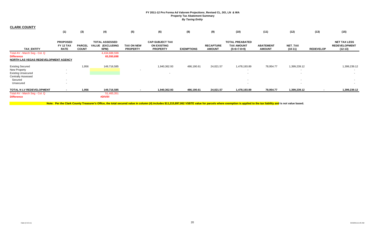| <b>CLARK COUNTY</b>                                                                        |                                             |                               |                                                           |                                      |                                                                 |                   |                                   |                                                              |                                   |                                          |                  |                                                          |
|--------------------------------------------------------------------------------------------|---------------------------------------------|-------------------------------|-----------------------------------------------------------|--------------------------------------|-----------------------------------------------------------------|-------------------|-----------------------------------|--------------------------------------------------------------|-----------------------------------|------------------------------------------|------------------|----------------------------------------------------------|
|                                                                                            | (1)                                         | (3)                           | (4)                                                       | (5)                                  | (6)                                                             | (8)               | (9)                               | (10)                                                         | (11)                              | (12)                                     | (13)             | (15)                                                     |
| <b>TAX ENTITY</b>                                                                          | <b>PROPOSED</b><br>FY 12 TAX<br><b>RATE</b> | <b>PARCEL</b><br><b>COUNT</b> | <b>TOTAL ASSESSED</b><br><b>VALUE (EXCLUDING)</b><br>NPM) | <b>TAX ON NEW</b><br><b>PROPERTY</b> | <b>CAP-SUBJECT TAX</b><br><b>ON EXISTING</b><br><b>PROPERTY</b> | <b>EXEMPTIONS</b> | <b>RECAPTURE</b><br><b>AMOUNT</b> | <b>TOTAL PREABATED</b><br><b>TAX AMOUNT</b><br>$(5+6+7-8+9)$ | <b>ABATEMENT</b><br><b>AMOUNT</b> | NET_TAX<br>$(10-11)$                     | <b>REDEVELOP</b> | <b>NET TAX LESS</b><br><b>REDEVELOPMENT</b><br>$(12-13)$ |
| Total AV - March Seg - Col. Q<br><b>Difference</b><br>NORTH LAS VEGAS REDEVELOPMENT AGENCY |                                             |                               | 4,434,688,599<br>65,550,698                               |                                      |                                                                 |                   |                                   |                                                              |                                   |                                          |                  |                                                          |
| <b>Existing Secured</b><br><b>New Property</b>                                             | $\sim$                                      | 1,956                         | 149,716,585                                               | $\overline{\phantom{a}}$             | 1,940,362.93                                                    | 486,190.61        | 24,021.57                         | 1,478,193.89                                                 | 78,954.77                         | 1,399,239.12<br>$\overline{\phantom{0}}$ |                  | 1,399,239.12                                             |
| <b>Existing Unsecured</b>                                                                  |                                             |                               |                                                           |                                      | $\overline{\phantom{a}}$                                        |                   |                                   |                                                              |                                   | $\overline{\phantom{0}}$                 |                  | $\sim$                                                   |
| <b>Centrally Assessed</b>                                                                  |                                             |                               |                                                           |                                      |                                                                 |                   |                                   |                                                              |                                   |                                          |                  |                                                          |
| Secured                                                                                    | $\sim$                                      |                               |                                                           |                                      |                                                                 |                   |                                   |                                                              |                                   | $\sim$                                   |                  | $\sim$                                                   |
| Unsecured                                                                                  | $\sim$                                      |                               |                                                           |                                      |                                                                 |                   |                                   | $\sim$                                                       |                                   | $\sim$                                   |                  | $\sim$                                                   |
| TOTAL N LV REDEVELOPMENT                                                                   | $\sim$                                      | 1,956                         | 149,716,585                                               |                                      | 1,940,362.93                                                    | 486,190.61        | 24,021.57                         | 1,478,193.89                                                 | 78,954.77                         | 1,399,239.12                             |                  | 1,399,239.12                                             |
| Total AV - March Seg - Col. Q<br><b>Difference</b>                                         |                                             |                               | 51,465,351<br>#DIV/0!                                     |                                      |                                                                 |                   |                                   |                                                              |                                   |                                          |                  |                                                          |

Note: Per the Clark County Treasurer's Office, the total secured value in column (4) includes \$11,215,897,062 VSBTE value for parcels where exemption is applied to the tax liability and is not value based.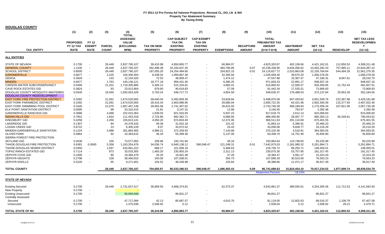|                                           | (1)                          | (2)                           | (3)           | (4)<br><b>TOTAL</b>                                  | (5)               | (6)                                                    | (7)                                                   | (8)                      | (9)              | (10)                                                  | (11)                     | (12)           | (13)                     | (15)                                            |
|-------------------------------------------|------------------------------|-------------------------------|---------------|------------------------------------------------------|-------------------|--------------------------------------------------------|-------------------------------------------------------|--------------------------|------------------|-------------------------------------------------------|--------------------------|----------------|--------------------------|-------------------------------------------------|
|                                           | <b>PROPOSED</b><br>FY 12 TAX | <b>FY 12</b><br><b>EXEMPT</b> | <b>PARCEL</b> | <b>ASSESSED</b><br><b>VALUE</b><br><b>(EXCLUDING</b> | <b>TAX ON NEW</b> | <b>CAP-SUBJECT</b><br><b>TAX ON</b><br><b>EXISTING</b> | <b>CAP-EXEMPT</b><br><b>TAX ON</b><br><b>EXISTING</b> |                          | <b>RECAPTURE</b> | <b>TOTAL</b><br><b>PREABATED TAX</b><br><b>AMOUNT</b> | <b>ABATEMENT</b>         | <b>NET TAX</b> |                          | <b>NET TAX LESS</b><br><b>REDEVELOPMEN</b><br>T |
| <b>TAX ENTITY</b>                         | <b>RATE</b>                  | <b>RATE</b>                   | <b>COUNT</b>  | NPM)                                                 | <b>PROPERTY</b>   | <b>PROPERTY</b>                                        | <b>PROPERTY</b>                                       | <b>EXEMPTIONS</b>        | <b>AMOUNT</b>    | $(5+6+7-8+9)$                                         | <b>AMOUNT</b>            | $(10-11)$      | <b>REDEVELOP</b>         | $(12-13)$                                       |
| <b>ALL ENTITIES</b>                       |                              |                               |               |                                                      |                   |                                                        |                                                       |                          |                  |                                                       |                          |                |                          |                                                 |
| STATE OF NEVADA                           | 0.1700                       | $\overline{\phantom{a}}$      | 26,449        | 2,837,790,107                                        | 39,410.98         | 4,850,893.77                                           |                                                       | 66,984.07                | $\overline{a}$   | 4,823,320.67                                          | 402,158.66               | 4,421,162.01   | 112,850.53               | 4,308,311.48                                    |
| <b>GENERAL COUNTY</b>                     | 1.1335                       | $\overline{\phantom{a}}$      | 26,449        | 2,837,790,107                                        | 262,498.38        | 32,334,637.35                                          |                                                       | 360,796.85               | 0.07             | 32,236,338.95                                         | 8,834,056.62             | 23,402,282.33  | 757,885.11               | 22,644,397.22                                   |
| <b>SCHOOL DISTRICT</b>                    | 0.8500                       |                               | 26,449        | 2,837,790,107                                        | 197,055.20        | 24,254,494.66                                          |                                                       | 334,922.15               | 0.01             | 24,116,627.72                                         | 2,010,863.08             | 22,105,764.64  | 544,494.29               | 21,561,270.35                                   |
| <b>GARDNERVILLE</b>                       | 0.6677                       |                               | 2,225         | 156,300,404                                          | 8,438.02          | 1,069,867.38                                           |                                                       | 32,356.94                |                  | 1,045,948.46                                          | 39,670.20                | 1,006,278.26   | $\overline{\phantom{a}}$ | 1,006,278.26                                    |
| <b>GENOA</b>                              | 0.3929                       |                               | 143           | 12,104,320                                           | 72.53             | 48,959.47                                              |                                                       | 1,474.12                 |                  | 47,557.88                                             | 10,367.57                | 37,190.31      | 8,947.61                 | 28,242.70                                       |
| <b>MINDEN</b>                             | 0.6677                       |                               | 1,763         | 145,136,121                                          | 18,777.18         | 959,431.40                                             |                                                       | 6,380.25                 |                  | 971,828.33                                            | 22,891.17                | 948,937.16     | $\overline{\phantom{a}}$ | 948,937.16                                      |
| CARSON WATER SUBCONSERVANCY               | 0.0300                       |                               | 21,201        | 1,719,305,885                                        | 5,309.12          | 515,234.81                                             |                                                       | 4,683.41                 |                  | 515,860.52                                            | 12,500.57                | 503,359.95     | 21,752.44                | 481,607.51                                      |
| <b>CAVE ROCK ESTATES GID</b>              | 0.3824                       |                               | 93            | 23,912,664                                           | 879.60            | 90,619.83                                              |                                                       | 57.09                    |                  | 91,442.34                                             | 17,535.51                | 73,906.83      |                          | 73,906.83                                       |
| DOUGLAS COUNTY MOSQUITO ABATEMENT         | 0.0345                       | $\overline{\phantom{a}}$      | 19,450        | 1,592,053,429                                        | 5,763.24          | 548.717.72                                             |                                                       | 4,854.59                 |                  | 549,626.37                                            | 176,488.53               | 373,137.84     | 20,953.28                | 352,184.56                                      |
| DOUGLAS COUNTY REDEVELOPMENT              | $\sim$                       |                               |               |                                                      |                   |                                                        |                                                       |                          |                  |                                                       | $\overline{\phantom{a}}$ |                |                          |                                                 |
| <b>EAST FORK FIRE PROTECTION DISTRICT</b> | 0.3282                       |                               | 21,091        | 1,674,520,565                                        | 58,640.04         | 5,493,959.38                                           |                                                       | 53,628.84                |                  | 5,498,970.58                                          | 847,420.82               | 4,651,549.76   | 222,367.88               | 4,429,181.88                                    |
| <b>EAST FORK PARAMEDIC DISTRICT</b>       | 0.1592                       | $\overline{\phantom{a}}$      | 21,091        | 1,674,520,565                                        | 28,415.43         | 2,663,986.96                                           |                                                       | 26,680.04                |                  | 2,665,722.35                                          | 63,421.96                | 2,602,300.39   | 115,277.93               | 2,487,022.46                                    |
| EAST FORK SWIMMING POOL DISTRICT          | 0.1645                       | $\overline{\phantom{a}}$      | 21,075        | 1,667,467,148                                        | 28,954.58         | 2,741,407.62                                           |                                                       | 26,615.92                |                  | 2,743,746.28                                          | 568,189.94               | 2,175,556.34   | 107,821.06               | 2,067,735.28                                    |
| <b>ELK POINT SANITATION DISTRICT</b>      | 0.0095                       |                               | 98            | 33,310,415                                           | 21.81             | 3,147.31                                               |                                                       | 12.68                    |                  | 3,156.45                                              | 763.97                   | 2.392.48       | $\sim$                   | 2.392.48                                        |
| <b>GARDNERVILLE RANCHOS GID</b>           | 0.3686                       |                               | 4,068         | 222,015,364                                          | 1,639.03          | 821,916.93                                             |                                                       | 5,937.23                 |                  | 817,618.73                                            | 2,612.13                 | 815,006.60     | $\overline{\phantom{a}}$ | 815,006.60                                      |
| <b>INDIAN HILLS GID</b>                   | 0.7901                       | $\overline{\phantom{a}}$      | 1,833         | 111,453,318                                          | 2,724.80          | 892,362.71                                             |                                                       | 6,686.60                 |                  | 888,400.90                                            | 28,007.77                | 860,393.13     | 65,349.61                | 795,043.52                                      |
| KINGSBURY GID                             | 0.4258                       |                               | 2,456         | 226,813,141                                          | 4,050.20          | 974,833.49                                             |                                                       | 12,372.06                |                  | 966,511.63                                            | 291,110.08               | 675,401.55     | $\overline{\phantom{a}}$ | 675,401.55                                      |
| LAKERIDGE GID                             | 0.1307                       |                               | 84            | 24,378,433                                           | 49.38             | 31,915.18                                              |                                                       | 101.42                   |                  | 31,863.14                                             | 6,396.91                 | 25,466.23      |                          | 25,466.23                                       |
| <b>LOGAN CREEK GID</b>                    | 0.6722                       |                               | 23            | 6,405,229                                            | 9.07              | 43.072.42                                              |                                                       | 25.43                    |                  | 43.056.06                                             | 9,839.77                 | 33.216.29      |                          | 33,216.29                                       |
| MINDEN-GARDNERVILLE SANITATION            | 0.1224                       | $\overline{a}$                | 3,988         | 301,883,465                                          | 4,986.21          | 372,259.93                                             |                                                       | 7,143.68                 |                  | 370,102.46                                            | 5,518.91                 | 364,583.55     |                          | 364,583.55                                      |
| <b>OLIVER PARK</b>                        | 0.4864                       | $\overline{\phantom{a}}$      | 92            | 10,363,615                                           | 46.34             | 55,499.36                                              |                                                       | 5,137.00                 |                  | 50,408.70                                             | 14,751.90                | 35,656.80      |                          | 35,656.80                                       |
| SIERRA FOREST FIRE PROTECTION             | $\overline{\phantom{a}}$     |                               |               |                                                      |                   |                                                        |                                                       | $\overline{\phantom{a}}$ |                  |                                                       |                          |                |                          |                                                 |
| <b>SKYLAND GID</b>                        | 0.2636                       | $\sim$                        | 235           | 73,577,055                                           | 258.96            | 193,741.84                                             |                                                       | 36.16                    |                  | 193,964.64                                            | 110,738.65               | 83,225.99      |                          | 83,225.99                                       |
| TAHOE-DOUGLAS FIRE PROTECTION             | 0.6381                       | 0.0500                        | 5,358         | 1,163,254,476                                        | 34,036.74         | 6,940,138.12                                           | 590,048.47                                            | 121,248.31               | 0.01             | 7,442,975.03                                          | 2,181,080.32             | 5,261,894.71   |                          | 5,261,894.71                                    |
| TAHOE-DOUGLAS SEWER DISTRICT              | 0.0350                       | $\sim$                        | 1,597         | 616,961,222                                          | 668.17            | 221,506.18                                             |                                                       | 5,468.63                 |                  | 216.705.72                                            | 68,255.71                | 148.450.01     |                          | 148,450.01                                      |
| TOPAZ RANCH ESTATES GID                   | 0.7114                       | $\overline{\phantom{a}}$      | 873           | 33,033,305                                           | 1,483.20          | 235,903.24                                             |                                                       | 2,311.13                 |                  | 235,075.30                                            | 53,757.85                | 181,317.45     |                          | 181,317.45                                      |
| ZEPHYR COVE GID                           | 0.1000                       |                               | 80            | 19,384,479                                           |                   |                                                        |                                                       | 37.26                    |                  | 19,384.47                                             |                          | 15,323.20      |                          | 15,323.20                                       |
|                                           |                              |                               |               |                                                      | 20.25             | 19,401.48                                              |                                                       |                          |                  |                                                       | 4,061.27                 |                |                          |                                                 |
| ZEPHYR HEIGHTS                            | 0.2798                       | $\overline{\phantom{a}}$      | 228           | 38,460,553                                           | 343.00            | 107,038.01                                             |                                                       | 294.73                   |                  | 107,086.29                                            | 30,523.06                | 76,563.23      |                          | 76,563.23                                       |
| ZEPHYR KNOLLS                             | 0.5220                       |                               | 65            | 9,271,901                                            | 104.52            | 48,439.98                                              |                                                       | 155.84                   |                  | 48,388.66                                             | 11,471.17                | 36,917.49      |                          | 36,917.49                                       |
| <b>TOTAL COUNTY</b>                       |                              |                               | 26.449        | 2,837,790,107                                        | 704,655.97        | 86,533,386.53                                          | 590.048.47                                            | 1,086,402.43             | 0.09             | 86,741,688.63                                         | 15,824,454.10            | 70,917,234.53  | 1,977,699.74             | 68,939,534.79                                   |
|                                           |                              |                               |               |                                                      |                   |                                                        |                                                       |                          |                  | <b>Abatement Percent</b>                              | 18.24%                   |                |                          |                                                 |
| <b>STATE OF NEVADA</b>                    |                              |                               |               |                                                      |                   |                                                        |                                                       |                          |                  |                                                       |                          |                |                          |                                                 |
| <b>Existing Secured</b>                   | 0.1700                       |                               | 26,449        | 2,731,637,517                                        | 36,859.93         | 4,668,374.81                                           |                                                       | 62,373.37                |                  | 4,642,861.37                                          | 389,555.91               | 4,253,305.46   | 111,712.53               | 4,141,592.93                                    |
| <b>New Property</b>                       | 0.1700                       |                               |               |                                                      |                   |                                                        |                                                       |                          |                  |                                                       |                          |                |                          |                                                 |
| <b>Existing Unsecured</b>                 | 0.1700                       | $\overline{\phantom{a}}$      |               | 56,959,568                                           |                   | 96,831.27                                              |                                                       |                          |                  | 96,831.27                                             |                          | 96,831.27      |                          | 96,831.27                                       |
| <b>Centrally Assessed</b>                 |                              |                               |               |                                                      |                   |                                                        |                                                       |                          |                  |                                                       |                          |                |                          |                                                 |
| Secured                                   | 0.1700                       |                               |               | 47,717,084                                           | 42.13             | 85,687.57                                              |                                                       | 4,610.70                 |                  | 81,119.00                                             | 12,602.63                | 68,516.37      | 1,108.79                 | 67,407.58                                       |
| Unsecured                                 | 0.1700                       |                               |               | 1,475,938                                            | 2,508.92          | 0.12                                                   |                                                       | $\blacksquare$           |                  | 2,509.04                                              | 0.12                     | 2,508.92       | 29.21                    | 2,479.71                                        |
| TOTAL STATE OF NV                         | 0.1700                       |                               | 26.449        | 2,837,790,107                                        | 39,410.98         | 4,850,893.77                                           |                                                       | 66,984.07                |                  | 4,823,320.67                                          | 402,158.66               | 4,421,162.01   | 112,850.53               | 4,308,311.48                                    |
|                                           |                              |                               |               |                                                      |                   |                                                        |                                                       |                          |                  |                                                       |                          |                |                          |                                                 |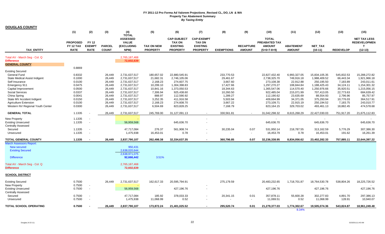|                                                    | (1)                                         | (2)                                          | (3)                           | (4)<br><b>TOTAL</b>                                   | (5)                                  | (6)                                                                       | (7)                                                                      | (8)               | (9)                               | (10)                                                            | (11)                              | (12)                        | (13)             | (15)                                                          |
|----------------------------------------------------|---------------------------------------------|----------------------------------------------|-------------------------------|-------------------------------------------------------|--------------------------------------|---------------------------------------------------------------------------|--------------------------------------------------------------------------|-------------------|-----------------------------------|-----------------------------------------------------------------|-----------------------------------|-----------------------------|------------------|---------------------------------------------------------------|
| <b>TAX ENTITY</b>                                  | <b>PROPOSED</b><br>FY 12 TAX<br><b>RATE</b> | <b>FY 12</b><br><b>EXEMPT</b><br><b>RATE</b> | <b>PARCEL</b><br><b>COUNT</b> | <b>ASSESSED</b><br><b>VALUE</b><br>(EXCLUDING<br>NPM) | <b>TAX ON NEW</b><br><b>PROPERTY</b> | <b>CAP-SUBJECT</b><br><b>TAX ON</b><br><b>EXISTING</b><br><b>PROPERTY</b> | <b>CAP-EXEMPT</b><br><b>TAX ON</b><br><b>EXISTING</b><br><b>PROPERTY</b> | <b>EXEMPTIONS</b> | <b>RECAPTURE</b><br><b>AMOUNT</b> | <b>TOTAL</b><br>PREABATED TAX<br><b>AMOUNT</b><br>$(5+6+7-8+9)$ | <b>ABATEMENT</b><br><b>AMOUNT</b> | <b>NET TAX</b><br>$(10-11)$ | <b>REDEVELOP</b> | <b>NET TAX LESS</b><br><b>REDEVELOPMEN</b><br>T.<br>$(12-13)$ |
| Total AV - March Seg - Col. Q                      |                                             |                                              |                               | 2,765,187,468                                         |                                      |                                                                           |                                                                          |                   |                                   |                                                                 |                                   |                             |                  |                                                               |
| <b>Difference</b>                                  |                                             |                                              |                               | 72,602,639                                            |                                      |                                                                           |                                                                          |                   |                                   |                                                                 |                                   |                             |                  |                                                               |
| <b>GENERAL COUNTY</b>                              |                                             |                                              |                               |                                                       |                                      |                                                                           |                                                                          |                   |                                   |                                                                 |                                   |                             |                  |                                                               |
|                                                    | 0.8869                                      |                                              |                               |                                                       |                                      |                                                                           |                                                                          |                   |                                   |                                                                 |                                   |                             |                  |                                                               |
| <b>Existing Secured</b><br><b>General Fund</b>     | 0.8332                                      |                                              | 26,449                        | 2,731,637,517                                         | 180,657.02                           | 22,880,545.91                                                             |                                                                          | 233,770.53        |                                   | 22,827,432.40                                                   | 6,993,327.05                      | 15,834,105.35               | 545.832.53       | 15,288,272.82                                                 |
| State Medical Assist Indigent                      | 0.1000                                      |                                              | 26,449                        | 2,731,637,517                                         | 21,682.31                            | 2,746,105.06                                                              |                                                                          | 29,461.67         |                                   | 2,738,325.70                                                    | 749,916.18                        | 1,988,409.52                | 66,443.34        | 1,921,966.18                                                  |
| Self Insurance                                     | 0.0100                                      |                                              | 26,449                        | 2,731,637,517                                         | 2,168.23                             | 274.607.75                                                                |                                                                          | 3,667.60          |                                   | 273,108.38                                                      | 22,912.88                         | 250,195.50                  | 7,183.89         | 243,011.61                                                    |
| Emergency 911                                      | 0.0475                                      |                                              | 26,449                        | 2,731,637,517                                         | 10,299.10                            | 1,304,398.83                                                              |                                                                          | 17,427.66         |                                   | 1,297,270.27                                                    | 108,844.84                        | 1,188,425.43                | 34,124.11        | 1,154,301.32                                                  |
| Capital Improvement                                | 0.0500                                      |                                              | 26,449                        | 2,731,637,517                                         | 10,841.16                            | 1,373,050.53                                                              |                                                                          | 18,344.63         |                                   | 1,365,547.06                                                    | 114,570.40                        | 1,250,976.66                | 35,920.51        | 1,215,056.15                                                  |
| <b>Social Services</b>                             | 0.0337                                      |                                              | 26,449                        | 2,731,637,517                                         | 7,306.94                             | 925,438.60                                                                |                                                                          | 10,260.50         |                                   | 922,485.04                                                      | 215,071.99                        | 707,413.05                  | 22,773.63        | 684,639.42                                                    |
| China Spring                                       | 0.0041                                      |                                              | 26,449                        | 2,731,637,517                                         | 888.97                               | 112,590.92                                                                |                                                                          | 1,289.27          |                                   | 112,190.62                                                      | 23,635.69                         | 88,554.93                   | 2,796.96         | 85,757.97                                                     |
| State MV Accident Indigent                         | 0.0150                                      |                                              | 26,449                        | 2,731,637,517                                         | 3,252.35                             | 411,916.58                                                                |                                                                          | 5,503.94          |                                   | 409,664.99                                                      | 34,371.05                         | 375,293.94                  | 10,776.03        | 364,517.91                                                    |
| <b>Agriculture Extension</b>                       | 0.0100                                      |                                              | 26,449                        | 2,731,637,517                                         | 2,168.23                             | 274,608.70                                                                |                                                                          | 3,667.22          |                                   | 273,109.71                                                      | 22,915.19                         | 250,194.52                  | 7,183.75         | 243,010.77                                                    |
| Western NV Regional Youth Center                   | 0.0300                                      |                                              | 26,449                        | 2,731,637,517                                         | 6,504.69                             | 823,828.25                                                                |                                                                          | 7,168.79          |                                   | 823,164.15                                                      | 329,703.02                        | 493,461.13                  | 18,882.45        | 474,578.68                                                    |
| <b>GENERAL TOTAL</b>                               | 1.1335                                      |                                              | 26,449                        | 2,731,637,517                                         | 245,769.00                           | 31,127,091.13                                                             | $\overline{a}$                                                           | 330,561.81        |                                   | 31,042,298.32                                                   | 8,615,268.29                      | 22,427,030.03               | 751,917.20       | 21,675,112.83                                                 |
| New Property                                       | 1.1335                                      | $\overline{\phantom{a}}$                     |                               |                                                       |                                      |                                                                           |                                                                          |                   |                                   | $\overline{\phantom{a}}$                                        |                                   | $\overline{\phantom{a}}$    |                  |                                                               |
| <b>Existing Unsecured</b>                          | 1.1335                                      | $\blacksquare$                               |                               | 56,959,568                                            |                                      | 645,636.70                                                                |                                                                          |                   |                                   | 645,636.70                                                      |                                   | 645,636.70                  |                  | 645,636.70                                                    |
| <b>Centrally Assessed</b>                          |                                             |                                              |                               |                                                       |                                      |                                                                           |                                                                          |                   |                                   |                                                                 |                                   |                             |                  |                                                               |
| Secured                                            | 1.1335                                      | $\overline{\phantom{a}}$                     |                               | 47,717,084                                            | 276.37                               | 561,908.74                                                                |                                                                          | 30,235.04         | 0.07                              | 531,950.14                                                      | 218,787.55                        | 313,162.59                  | 5,776.29         | 307,386.30                                                    |
| Unsecured                                          | 1.1335                                      | $\overline{\phantom{a}}$                     |                               | 1,475,938                                             | 16,453.01                            | 0.78                                                                      |                                                                          |                   | $\overline{\phantom{a}}$          | 16,453.79                                                       | 0.78                              | 16,453.01                   | 191.62           | 16.261.39                                                     |
| <b>TOTAL GENERAL COUNTY</b>                        | 1.1335                                      | $\sim$                                       | 26,449                        | 2,837,790,107                                         | 262,498.38                           | 32,334,637.35                                                             |                                                                          | 360,796.85        | 0.07                              | 32,236,338.95                                                   | 8,834,056.62                      | 23,402,282.33               | 757,885.11       | 22,644,397.22                                                 |
| <b>March Assessors Report:</b>                     |                                             |                                              |                               |                                                       |                                      |                                                                           |                                                                          |                   |                                   |                                                                 |                                   |                             |                  |                                                               |
| New secured                                        |                                             |                                              |                               | 950,431                                               |                                      |                                                                           |                                                                          |                   |                                   |                                                                 |                                   |                             |                  |                                                               |
| <b>Existing Secured</b>                            |                                             |                                              |                               | 2.638.020.644                                         |                                      |                                                                           |                                                                          |                   |                                   |                                                                 |                                   |                             |                  |                                                               |
| <b>Difference</b>                                  |                                             |                                              |                               | 2,638,971,075<br>92.666.442                           | 3.51%                                |                                                                           |                                                                          |                   |                                   |                                                                 |                                   |                             |                  |                                                               |
|                                                    |                                             |                                              |                               |                                                       |                                      |                                                                           |                                                                          |                   |                                   |                                                                 |                                   |                             |                  |                                                               |
| Total AV - March Seg - Col. Q<br><b>Difference</b> |                                             |                                              |                               | 2,765,187,468<br>72,602,639                           |                                      |                                                                           |                                                                          |                   |                                   |                                                                 |                                   |                             |                  |                                                               |
| <b>SCHOOL DISTRICT</b>                             |                                             |                                              |                               |                                                       |                                      |                                                                           |                                                                          |                   |                                   |                                                                 |                                   |                             |                  |                                                               |
|                                                    |                                             |                                              |                               |                                                       |                                      |                                                                           |                                                                          |                   |                                   |                                                                 |                                   |                             |                  |                                                               |
| <b>Existing Secured</b><br>New Property            | 0.7500<br>0.7500                            | $\overline{\phantom{a}}$                     | 26,449                        | 2,731,637,517                                         | 162,617.33                           | 20,595,794.91                                                             |                                                                          | 275,179.59        |                                   | 20,483,232.65                                                   | 1,718,701.87                      | 18,764,530.78               | 538,804.26       | 18,225,726.52                                                 |
| <b>Existing Unsecured</b>                          | 0.7500                                      | $\overline{\phantom{a}}$                     |                               | 56,959,568                                            |                                      | 427,196.76                                                                |                                                                          |                   |                                   | 427,196.76                                                      |                                   | 427,196.76                  |                  | 427,196.76                                                    |
| <b>Centrally Assessed</b>                          |                                             |                                              |                               |                                                       |                                      |                                                                           |                                                                          |                   |                                   |                                                                 |                                   |                             |                  |                                                               |
| Secured                                            | 0.7500                                      | $\overline{\phantom{a}}$                     |                               | 47,717,084                                            | 185.92                               | 378,033.33                                                                |                                                                          | 20,341.15         | 0.01                              | 357,878.11                                                      | 55,600.28                         | 302,277.83                  | 4,891.70         | 297,386.13                                                    |
| Unsecured                                          | 0.7500                                      | $\overline{\phantom{a}}$                     |                               | 1,475,938                                             | 11,068.99                            | 0.52                                                                      |                                                                          |                   |                                   | 11,069.51                                                       | 0.52                              | 11,068.99                   | 128.91           | 10,940.07                                                     |
| <b>TOTAL SCHOOL OPERATING</b>                      | 0.7500                                      |                                              | 26,449                        | 2,837,790,107                                         | 173,872.24                           | 21,401,025.52                                                             | $\sim$                                                                   | 295,520.74        | 0.01                              | 21,279,377.03                                                   | 1,774,302.67                      | 19,505,074.36               | 543,824.87       | 18,961,249.48                                                 |
|                                                    |                                             |                                              |                               |                                                       |                                      |                                                                           |                                                                          |                   |                                   |                                                                 | 8.34%                             |                             |                  |                                                               |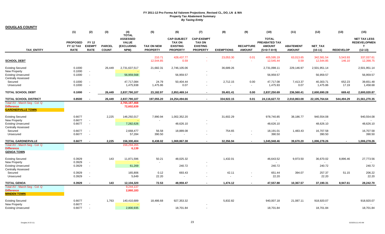|                                                                                                  | (1)                                                | (2)                                          | (3)                           | (4)<br><b>TOTAL</b>                                          | (5)                                  | (6)                                                                       | (7)                                                                      | (8)                               | (9)                                                  | (10)                                                            | (11)                              | (12)                        | (13)               | (15)                                                          |
|--------------------------------------------------------------------------------------------------|----------------------------------------------------|----------------------------------------------|-------------------------------|--------------------------------------------------------------|--------------------------------------|---------------------------------------------------------------------------|--------------------------------------------------------------------------|-----------------------------------|------------------------------------------------------|-----------------------------------------------------------------|-----------------------------------|-----------------------------|--------------------|---------------------------------------------------------------|
| <b>TAX ENTITY</b>                                                                                | <b>PROPOSED</b><br><b>FY 12 TAX</b><br><b>RATE</b> | <b>FY 12</b><br><b>EXEMPT</b><br><b>RATE</b> | <b>PARCEL</b><br><b>COUNT</b> | <b>ASSESSED</b><br><b>VALUE</b><br><b>(EXCLUDING</b><br>NPM) | <b>TAX ON NEW</b><br><b>PROPERTY</b> | <b>CAP-SUBJECT</b><br><b>TAX ON</b><br><b>EXISTING</b><br><b>PROPERTY</b> | <b>CAP-EXEMPT</b><br><b>TAX ON</b><br><b>EXISTING</b><br><b>PROPERTY</b> | <b>EXEMPTIONS</b>                 | <b>RECAPTURE</b><br><b>AMOUNT</b>                    | <b>TOTAL</b><br>PREABATED TAX<br><b>AMOUNT</b><br>$(5+6+7-8+9)$ | <b>ABATEMENT</b><br><b>AMOUNT</b> | <b>NET TAX</b><br>$(10-11)$ | <b>REDEVELOP</b>   | <b>NET TAX LESS</b><br><b>REDEVELOPMEN</b><br>T.<br>$(12-13)$ |
| <b>SCHOOL DEBT</b>                                                                               |                                                    |                                              |                               |                                                              | 210.71<br>12,544.85                  | 428, 437. 77<br>0.59                                                      |                                                                          | 23,053.30<br>$\sim$               | 0.01<br>$\sim$                                       | 405,595.19<br>12,545.44                                         | 63,013.65<br>0.59                 | 342,581.54<br>12,544.85     | 5,543.93<br>146.10 | 337,037.61<br>12,398.75                                       |
| <b>Existing Secured</b><br><b>New Property</b><br><b>Existing Unsecured</b>                      | 0.1000<br>0.1000<br>0.1000                         | $\overline{\phantom{a}}$                     | 26,449                        | 2,731,637,517<br>56,959,568                                  | 21,682.31                            | 2,746,105.06<br>56,959.57                                                 | $\overline{\phantom{a}}$                                                 | 36,689.26                         |                                                      | 2,731,098.11<br>56,959.57                                       | 229,146.97                        | 2,501,951.14<br>56,959.57   |                    | 2,501,951.14<br>56,959.57                                     |
| <b>Centrally Assessed</b><br>Secured<br>Unsecured                                                | 0.1000<br>0.1000                                   |                                              |                               | 47,717,084<br>1,475,938                                      | 24.79<br>1,475.86                    | 50,404.44<br>0.07                                                         |                                                                          | 2,712.15                          | 0.00<br>$\overline{a}$                               | 47,717.08<br>1,475.93                                           | 7,413.37<br>0.07                  | 40,303.71<br>1,475.86       | 652.23<br>17.19    | 39,651.48<br>1,458.68                                         |
| <b>TOTAL SCHOOL DEBT</b>                                                                         | 0.1000                                             |                                              | 26.449                        | 2,837,790,107                                                | 23,182.97                            | 2,853,469.14                                                              |                                                                          | 39,401.41                         | 0.00                                                 | 2,837,250.69                                                    | 236,560.41                        | 2,600,690.28                | 669.42             | 2,600,020.87                                                  |
| <b>TOTAL SCHOOL DISTRICT</b><br>Total AV - March Seq - Col. Q                                    | 0.8500                                             |                                              | 26,449                        | 2,837,790,107<br>2,765,187,468                               | 197,055.20                           | 24,254,494.66                                                             | $\sim$                                                                   | 334,922.15                        | 0.01                                                 | 24,116,627.72                                                   | 2,010,863.08                      | 22,105,764.64               | 544,494.29         | 21,561,270.35                                                 |
| <b>Difference</b><br><b>GARDNERVILLE TOWN</b>                                                    |                                                    |                                              |                               | 72,602,639                                                   |                                      |                                                                           |                                                                          |                                   |                                                      |                                                                 |                                   |                             |                    |                                                               |
| <b>Existing Secured</b><br><b>New Property</b><br><b>Existing Unsecured</b>                      | 0.6677<br>0.6677<br>0.6677                         | $\blacksquare$<br>$\blacksquare$             | 2,225                         | 146,292,017<br>7,282,626                                     | 7,990.94                             | 1,002,352.20<br>48,626.10                                                 |                                                                          | 31,602.29                         |                                                      | 978,740.85<br>48,626.10                                         | 38,186.77                         | 940,554.08<br>48,626.10     |                    | 940,554.08<br>48,626.10                                       |
| <b>Centrally Assessed</b><br>Secured<br>Unsecured                                                | 0.6677<br>0.6677                                   | $\overline{\phantom{a}}$                     |                               | 2,668,477<br>57,284                                          | 56.58<br>390.50                      | 18,889.08                                                                 |                                                                          | 754.65<br>$\overline{a}$          | $\sim$                                               | 18,191.01<br>390.50                                             | 1,483.43                          | 16,707.58<br>390.50         |                    | 16,707.58<br>390.50                                           |
| <b>TOTAL GARDNERVILLE</b><br>Total AV - March Seg - Col. Q<br><b>Difference</b>                  | 0.6677                                             |                                              | 2,225                         | 156,300,404<br>156,294,265<br>6,139                          | 8,438.02                             | 1,069,867.38                                                              |                                                                          | 32,356.94                         |                                                      | 1,045,948.46                                                    | 39,670.20                         | 1,006,278.26                |                    | 1,006,278.26                                                  |
| <b>GENOA TOWN</b><br><b>Existing Secured</b><br><b>New Property</b><br><b>Existing Unsecured</b> | 0.3929<br>0.3929<br>0.3929                         | $\blacksquare$                               | 143                           | 11,871,596<br>61,269                                         | 50.21                                | 48,025.32<br>240.72                                                       |                                                                          | 1,432.01                          |                                                      | 46,643.52<br>240.72                                             | 9,973.50                          | 36,670.02<br>240.72         | 8,896.46           | 27,773.56<br>240.72                                           |
| <b>Centrally Assessed</b><br>Secured<br>Unsecured                                                | 0.3929<br>0.3929                                   |                                              |                               | 165,806<br>5,649                                             | 0.12<br>22.20                        | 693.43                                                                    |                                                                          | 42.11<br>$\overline{\phantom{a}}$ | $\overline{\phantom{a}}$<br>$\overline{\phantom{a}}$ | 651.44<br>22.20                                                 | 394.07                            | 257.37<br>22.20             | 51.15              | 206.22<br>22.20                                               |
| <b>TOTAL GENOA</b><br>Total AV - March Seg - Col. Q                                              | 0.3929                                             |                                              | 143                           | 12,104,320<br>9,244,137                                      | 72.53                                | 48,959.47                                                                 |                                                                          | 1,474.12                          |                                                      | 47,557.88                                                       | 10,367.57                         | 37,190.31                   | 8,947.61           | 28,242.70                                                     |
| <b>Difference</b><br><b>MINDEN TOWN</b>                                                          |                                                    |                                              |                               | 2,860,183                                                    |                                      |                                                                           |                                                                          |                                   |                                                      |                                                                 |                                   |                             |                    |                                                               |
| <b>Existing Secured</b><br>New Property<br><b>Existing Unsecured</b>                             | 0.6677<br>0.6677<br>0.6677                         |                                              | 1,763                         | 140,410,689<br>2,800,935                                     | 18,486.68                            | 927,353.32<br>18,701.84                                                   |                                                                          | 5,832.82                          |                                                      | 940,007.18<br>18,701.84                                         | 21,087.11                         | 918,920.07<br>18,701.84     |                    | 918,920.07<br>18,701.84                                       |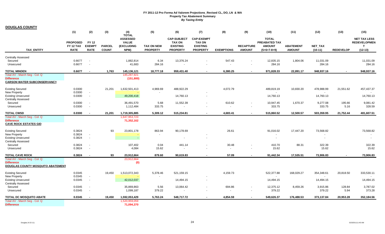#### **DOUGLAS COUNTY**

|                                                                                                   | (1)                                         | (2)                                                  | (3)                           | (4)                                                                   | (5)                                  | (6)                                                                       | (7)                                                                      | (8)                                | (9)                               | (10)                                                                   | (11)                              | (12)                                  | (13)             | (15)                                                          |
|---------------------------------------------------------------------------------------------------|---------------------------------------------|------------------------------------------------------|-------------------------------|-----------------------------------------------------------------------|--------------------------------------|---------------------------------------------------------------------------|--------------------------------------------------------------------------|------------------------------------|-----------------------------------|------------------------------------------------------------------------|-----------------------------------|---------------------------------------|------------------|---------------------------------------------------------------|
| TAX_ENTITY                                                                                        | <b>PROPOSED</b><br>FY 12 TAX<br><b>RATE</b> | <b>FY 12</b><br><b>EXEMPT</b><br><b>RATE</b>         | <b>PARCEL</b><br><b>COUNT</b> | <b>TOTAL</b><br><b>ASSESSED</b><br><b>VALUE</b><br>(EXCLUDING<br>NPM) | <b>TAX ON NEW</b><br><b>PROPERTY</b> | <b>CAP-SUBJECT</b><br><b>TAX ON</b><br><b>EXISTING</b><br><b>PROPERTY</b> | <b>CAP-EXEMPT</b><br><b>TAX ON</b><br><b>EXISTING</b><br><b>PROPERTY</b> | <b>EXEMPTIONS</b>                  | <b>RECAPTURE</b><br><b>AMOUNT</b> | <b>TOTAL</b><br><b>PREABATED TAX</b><br><b>AMOUNT</b><br>$(5+6+7-8+9)$ | <b>ABATEMENT</b><br><b>AMOUNT</b> | NET_TAX<br>$(10-11)$                  | <b>REDEVELOP</b> | <b>NET TAX LESS</b><br><b>REDEVELOPMEN</b><br>T.<br>$(12-13)$ |
| <b>Centrally Assessed</b>                                                                         |                                             |                                                      |                               |                                                                       |                                      |                                                                           |                                                                          |                                    |                                   |                                                                        |                                   |                                       |                  |                                                               |
| Secured<br>Unsecured                                                                              | 0.6677<br>0.6677                            | $\overline{\phantom{a}}$<br>$\overline{\phantom{a}}$ |                               | 1,882,814<br>41,683                                                   | 6.34<br>284.16                       | 13,376.24                                                                 |                                                                          | 547.43                             |                                   | 12,835.15<br>284.16                                                    | 1,804.06                          | 11,031.09<br>284.16                   |                  | 11,031.09<br>284.16                                           |
| <b>TOTAL MINDEN</b>                                                                               | 0.6677                                      | $\sim$                                               | 1,763                         | 145,136,121                                                           | 18,777.18                            | 959,431.40                                                                |                                                                          | 6,380.25                           |                                   | 971,828.33                                                             | 22,891.17                         | 948,937.16                            |                  | 948,937.16                                                    |
| Total AV - March Seg - Col. Q<br><b>Difference</b><br><b>CARSON WATER SUBCONSERVANCY</b>          |                                             |                                                      |                               | 145,287,921<br>(151, 800)                                             |                                      |                                                                           |                                                                          |                                    |                                   |                                                                        |                                   |                                       |                  |                                                               |
| <b>Existing Secured</b>                                                                           | 0.0300                                      |                                                      | 21,201                        | 1,632,501,413                                                         | 4,969.69                             | 488,922.29                                                                |                                                                          | 4,072.79                           |                                   | 489,819.19                                                             | 10,830.20                         | 478,988.99                            | 21,551.62        | 457,437.37                                                    |
| New Property<br><b>Existing Unsecured</b><br><b>Centrally Assessed</b>                            | 0.0300<br>0.0300                            | $\sim$<br>$\sim$                                     |                               | 49,200,418                                                            | $\sim$                               | 14,760.13                                                                 |                                                                          |                                    |                                   | 14,760.13                                                              |                                   | $\overline{a}$<br>14,760.13           |                  | 14,760.13                                                     |
| Secured<br>Unsecured                                                                              | 0.0300<br>0.0300                            | $\overline{\phantom{a}}$<br>$\overline{\phantom{a}}$ |                               | 36,491,570<br>1,112,484                                               | 5.68<br>333.75                       | 11,552.39                                                                 |                                                                          | 610.62<br>$\overline{\phantom{a}}$ | $\overline{\phantom{a}}$          | 10,947.45<br>333.75                                                    | 1,670.37                          | 9,277.08<br>333.75                    | 195.66<br>5.16   | 9,081.42<br>328.59                                            |
| <b>TOTAL CWSD</b>                                                                                 | 0.0300                                      | $\sim$                                               | 21,201                        | 1,719,305,885                                                         | 5.309.12                             | 515,234.81                                                                | $\sim$                                                                   | 4,683.41                           | $\sim$                            | 515,860.52                                                             | 12.500.57                         | 503,359.95                            | 21,752.44        | 481,607.51                                                    |
| Total AV - March Seg - Col. Q<br><b>Difference</b><br><b>CAVE ROCK ESTATES GID</b>                |                                             |                                                      |                               | 1,647,953,723<br>71,352,162                                           |                                      |                                                                           |                                                                          |                                    |                                   |                                                                        |                                   |                                       |                  |                                                               |
| <b>Existing Secured</b><br>New Property<br><b>Existing Unsecured</b><br><b>Centrally Assessed</b> | 0.3824<br>0.3824<br>0.3824                  | $\sim$<br>$\sim$                                     | 93                            | 23,801,178                                                            | 863.94                               | 90,178.69                                                                 |                                                                          | 26.61                              |                                   | 91,016.02                                                              | 17,447.20                         | 73,568.82<br>$\overline{\phantom{a}}$ |                  | 73,568.82                                                     |
| Secured<br>Unsecured                                                                              | 0.3824<br>0.3824                            | $\sim$<br>$\overline{\phantom{a}}$                   |                               | 107,402<br>4,084                                                      | 0.04<br>15.62                        | 441.14                                                                    |                                                                          | 30.48<br>$\overline{a}$            | $\overline{\phantom{a}}$          | 410.70<br>15.62                                                        | 88.31                             | 322.39<br>15.62                       |                  | 322.39<br>15.62                                               |
| <b>TOTAL CAVE ROCK</b>                                                                            | 0.3824                                      |                                                      | 93                            | 23,912,664                                                            | 879.60                               | 90,619.83                                                                 |                                                                          | 57.09                              |                                   | 91,442.34                                                              | 17,535.51                         | 73,906.83                             |                  | 73,906.83                                                     |
| Total AV - March Seg - Col. Q<br><b>Difference</b><br>DOUGLAS COUNTY MOSQUITO ABATEMENT           |                                             |                                                      |                               | 23,912,664<br>(0)                                                     |                                      |                                                                           |                                                                          |                                    |                                   |                                                                        |                                   |                                       |                  |                                                               |
| <b>Existing Secured</b><br><b>New Property</b>                                                    | 0.0345<br>0.0345                            | $\sim$                                               | 19,450                        | 1,513,072,343                                                         | 5,378.46                             | 521,159.15                                                                |                                                                          | 4,159.73                           |                                   | 522,377.88                                                             | 168,029.27                        | 354,348.61                            | 20,818.50        | 333,530.11                                                    |
| <b>Existing Unsecured</b><br><b>Centrally Assessed</b>                                            | 0.0345                                      | $\sim$                                               |                               | 42,012,037                                                            |                                      | 14,494.15                                                                 |                                                                          |                                    |                                   | 14,494.15                                                              |                                   | 14,494.15                             |                  | 14,494.15                                                     |
| Secured<br>Unsecured                                                                              | 0.0345<br>0.0345                            | $\sim$<br>$\sim$                                     |                               | 35,869,863<br>1,099,187                                               | 5.56<br>379.22                       | 13,064.42                                                                 |                                                                          | 694.86                             | $\overline{\phantom{a}}$          | 12,375.12<br>379.22                                                    | 8,459.26                          | 3,915.86<br>379.22                    | 128.84<br>5.94   | 3,787.02<br>373.28                                            |
| TOTAL DC MOSQUITO ABATE                                                                           | 0.0345                                      |                                                      | 19,450                        | 1,592,053,429                                                         | 5,763.24                             | 548,717.72                                                                |                                                                          | 4,854.59                           |                                   | 549,626.37                                                             | 176,488.53                        | 373,137.84                            | 20,953.28        | 352,184.56                                                    |
| Total AV - March Seg - Col. Q<br><b>Difference</b>                                                |                                             |                                                      |                               | 1,520,959,059<br>71,094,370                                           |                                      |                                                                           |                                                                          |                                    |                                   |                                                                        |                                   |                                       |                  |                                                               |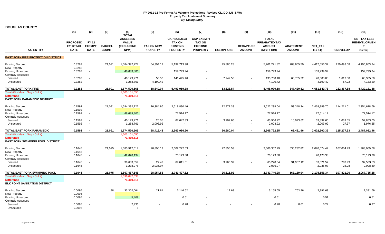|                                                                                               | (1)                                                | (2)                                                  | (3)                           | (4)<br><b>TOTAL</b>                                   | (5)                                  | (6)                                                                       | (7)                                                                      | (8)                                  | (9)                                                  | (10)                                                                   | (11)                              | (12)                             | (13)              | (15)                                                                    |
|-----------------------------------------------------------------------------------------------|----------------------------------------------------|------------------------------------------------------|-------------------------------|-------------------------------------------------------|--------------------------------------|---------------------------------------------------------------------------|--------------------------------------------------------------------------|--------------------------------------|------------------------------------------------------|------------------------------------------------------------------------|-----------------------------------|----------------------------------|-------------------|-------------------------------------------------------------------------|
| <b>TAX ENTITY</b>                                                                             | <b>PROPOSED</b><br><b>FY 12 TAX</b><br><b>RATE</b> | <b>FY 12</b><br><b>EXEMPT</b><br><b>RATE</b>         | <b>PARCEL</b><br><b>COUNT</b> | <b>ASSESSED</b><br><b>VALUE</b><br>(EXCLUDING<br>NPM) | <b>TAX ON NEW</b><br><b>PROPERTY</b> | <b>CAP-SUBJECT</b><br><b>TAX ON</b><br><b>EXISTING</b><br><b>PROPERTY</b> | <b>CAP-EXEMPT</b><br><b>TAX ON</b><br><b>EXISTING</b><br><b>PROPERTY</b> | <b>EXEMPTIONS</b>                    | <b>RECAPTURE</b><br><b>AMOUNT</b>                    | <b>TOTAL</b><br><b>PREABATED TAX</b><br><b>AMOUNT</b><br>$(5+6+7-8+9)$ | <b>ABATEMENT</b><br><b>AMOUNT</b> | <b>NET TAX</b><br>$(10-11)$      | <b>REDEVELOP</b>  | <b>NET TAX LESS</b><br><b>REDEVELOPMEN</b><br>$\mathbf{T}$<br>$(12-13)$ |
| <b>EAST FORK FIRE PROTECTION DISTRICT</b>                                                     |                                                    |                                                      |                               |                                                       |                                      |                                                                           |                                                                          |                                      |                                                      |                                                                        |                                   |                                  |                   |                                                                         |
| <b>Existing Secured</b><br>New Property                                                       | 0.3282<br>0.3282                                   | $\overline{\phantom{a}}$                             | 21,091                        | 1,584,392,227                                         | 54,394.12                            | 5,192,713.98                                                              |                                                                          | 45,886.28                            |                                                      | 5,201,221.82                                                           | 783,665.50                        | 4,417,556.32                     | 220,693.08        | 4,196,863.24                                                            |
| <b>Existing Unsecured</b><br><b>Centrally Assessed</b>                                        | 0.3282                                             | $\overline{\phantom{a}}$                             |                               | 48,689,806                                            |                                      | 159,799.94                                                                |                                                                          |                                      |                                                      | 159,799.94                                                             |                                   | 159,799.94                       |                   | 159,799.94                                                              |
| Secured<br>Unsecured                                                                          | 0.3282<br>0.3282                                   | $\overline{\phantom{a}}$<br>$\overline{\phantom{a}}$ |                               | 40,179,771<br>1,258,761                               | 55.50<br>4,190.42                    | 141,445.46                                                                |                                                                          | 7,742.56<br>$\overline{\phantom{a}}$ | $\overline{\phantom{a}}$<br>$\overline{\phantom{a}}$ | 133,758.40<br>4,190.42                                                 | 63,755.32                         | 70,003.08<br>4,190.42            | 1,617.58<br>57.22 | 68,385.50<br>4,133.20                                                   |
| <b>TOTAL EAST FORK FIRE</b>                                                                   | 0.3282                                             | $\sim$                                               | 21.091                        | 1,674,520,565                                         | 58,640.04                            | 5,493,959.38                                                              | $\sim$                                                                   | 53,628.84                            | $\sim$                                               | 5,498,970.58                                                           | 847,420.82                        | 4,651,549.76                     | 222,367.88        | 4,429,181.88                                                            |
| Total AV - March Seg - Col. Q<br><b>Difference</b><br><b>EAST FORK PARAMEDIC DISTRICT</b>     |                                                    |                                                      |                               | 1,603,101,050<br>71,419,515                           |                                      |                                                                           |                                                                          |                                      |                                                      |                                                                        |                                   |                                  |                   |                                                                         |
| <b>Existing Secured</b><br><b>New Property</b>                                                | 0.1592<br>0.1592                                   | $\sim$                                               | 21,091                        | 1,584,392,227                                         | 26,384.96                            | 2,518,830.46                                                              |                                                                          | 22,977.38                            |                                                      | 2,522,238.04                                                           | 53,348.34                         | 2,468,889.70                     | 114,211.01        | 2,354,678.69                                                            |
| <b>Existing Unsecured</b><br><b>Centrally Assessed</b>                                        | 0.1592                                             | $\overline{\phantom{a}}$                             |                               | 48,689,806                                            |                                      | 77,514.17                                                                 |                                                                          |                                      |                                                      | 77,514.17                                                              |                                   | 77,514.17                        |                   | 77,514.17                                                               |
| Secured<br>Unsecured                                                                          | 0.1592<br>0.1592                                   | $\overline{\phantom{a}}$<br>$\overline{\phantom{a}}$ |                               | 40,179,771<br>1,258,761                               | 26.55<br>2,003.92                    | 67,642.33                                                                 |                                                                          | 3,702.66<br>$\overline{\phantom{a}}$ | $\blacksquare$                                       | 63,966.22<br>2,003.92                                                  | 10,073.62                         | 53,892.60<br>2,003.92            | 1,039.55<br>27.37 | 52,853.05<br>1,976.55                                                   |
| TOTAL EAST FORK PARAMEDIC                                                                     | 0.1592                                             |                                                      | 21.091                        | 1,674,520,565                                         | 28.415.43                            | 2.663.986.96                                                              |                                                                          | 26.680.04                            |                                                      | 2.665.722.35                                                           | 63.421.96                         | 2,602,300.39                     | 115.277.93        | 2,487,022.46                                                            |
| Total AV - March Seg - Col. Q<br><b>Difference</b><br><b>EAST FORK SWIMMING POOL DISTRICT</b> |                                                    |                                                      |                               | 1,603,101,050<br>71,419,515                           |                                      |                                                                           |                                                                          |                                      |                                                      |                                                                        |                                   |                                  |                   |                                                                         |
| <b>Existing Secured</b>                                                                       | 0.1645                                             |                                                      | 21,075                        | 1,583,917,617                                         | 26,890.19                            | 2,602,272.63                                                              |                                                                          | 22,855.53                            |                                                      | 2,606,307.29                                                           | 536,232.82                        | 2,070,074.47                     | 107,004.79        | 1,963,069.68                                                            |
| <b>New Property</b><br><b>Existing Unsecured</b><br><b>Centrally Assessed</b>                 | 0.1645<br>0.1645                                   | $\overline{\phantom{a}}$<br>$\sim$                   |                               | 42,628,194                                            |                                      | 70,123.38                                                                 |                                                                          |                                      |                                                      | 70,123.38                                                              |                                   | 70,123.38                        |                   | 70,123.38                                                               |
| Secured<br>Unsecured                                                                          | 0.1645<br>0.1645                                   | $\overline{\phantom{a}}$<br>$\overline{\phantom{a}}$ |                               | 39,683,059<br>1,238,278                               | 27.42<br>2,036.97                    | 69,011.61                                                                 |                                                                          | 3,760.39<br>$\blacksquare$           |                                                      | 65,278.64<br>2,036.97                                                  | 31,957.12                         | 33,321.52<br>2,036.97            | 787.99<br>28.28   | 32,533.53<br>2,008.69                                                   |
| TOTAL EAST FORK SWIMMING POOL                                                                 | 0.1645                                             | $\sim$                                               | 21,075                        | 1,667,467,148                                         | 28,954.58                            | 2,741,407.62                                                              |                                                                          | 26,615.92                            | $\sim$                                               | 2,743,746.28                                                           | 568,189.94                        | 2,175,556.34                     | 107,821.06        | 2,067,735.28                                                            |
| Total AV - March Seg - Col. Q<br><b>Difference</b><br><b>ELK POINT SANITATION DISTRICT</b>    |                                                    |                                                      |                               | 1,596,047,633<br>71,419,515                           |                                      |                                                                           |                                                                          |                                      |                                                      |                                                                        |                                   |                                  |                   |                                                                         |
| <b>Existing Secured</b>                                                                       | 0.0095                                             |                                                      | 98                            | 33,302,064                                            | 21.81                                | 3,146.52                                                                  |                                                                          | 12.68                                |                                                      | 3,155.65                                                               | 763.96                            | 2,391.69                         |                   | 2,391.69                                                                |
| <b>New Property</b><br><b>Existing Unsecured</b><br><b>Centrally Assessed</b>                 | 0.0095<br>0.0095                                   | $\sim$<br>$\overline{\phantom{a}}$                   |                               | 5,409                                                 | $\overline{\phantom{a}}$             | 0.51                                                                      |                                                                          |                                      |                                                      | $\overline{a}$<br>0.51                                                 |                                   | 0.51                             |                   | 0.51                                                                    |
| Secured<br>Unsecured                                                                          | 0.0095<br>0.0095                                   | $\overline{\phantom{a}}$                             |                               | 2,936<br>6                                            |                                      | 0.28<br>$\sim$                                                            |                                                                          | $\overline{\phantom{a}}$             |                                                      | 0.28                                                                   | 0.01                              | 0.27<br>$\overline{\phantom{a}}$ |                   | 0.27<br>$\overline{\phantom{a}}$                                        |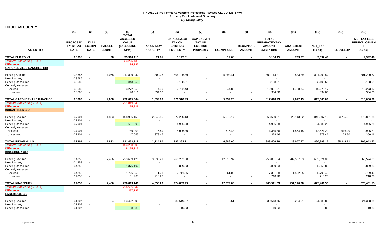|                                                                                       | (1)                                         | (2)                                                  | (3)                           | (4)<br><b>TOTAL</b>                                          | (5)                                  | (6)                                                                       | (7)                                                                      | (8)                                | (9)                                                  | (10)                                                                   | (11)                              | (12)                 | (13)              | (15)                                                         |
|---------------------------------------------------------------------------------------|---------------------------------------------|------------------------------------------------------|-------------------------------|--------------------------------------------------------------|--------------------------------------|---------------------------------------------------------------------------|--------------------------------------------------------------------------|------------------------------------|------------------------------------------------------|------------------------------------------------------------------------|-----------------------------------|----------------------|-------------------|--------------------------------------------------------------|
| <b>TAX ENTITY</b>                                                                     | <b>PROPOSED</b><br>FY 12 TAX<br><b>RATE</b> | <b>FY 12</b><br><b>EXEMPT</b><br><b>RATE</b>         | <b>PARCEL</b><br><b>COUNT</b> | <b>ASSESSED</b><br><b>VALUE</b><br><b>(EXCLUDING</b><br>NPM) | <b>TAX ON NEW</b><br><b>PROPERTY</b> | <b>CAP-SUBJECT</b><br><b>TAX ON</b><br><b>EXISTING</b><br><b>PROPERTY</b> | <b>CAP-EXEMPT</b><br><b>TAX ON</b><br><b>EXISTING</b><br><b>PROPERTY</b> | <b>EXEMPTIONS</b>                  | <b>RECAPTURE</b><br><b>AMOUNT</b>                    | <b>TOTAL</b><br><b>PREABATED TAX</b><br><b>AMOUNT</b><br>$(5+6+7-8+9)$ | <b>ABATEMENT</b><br><b>AMOUNT</b> | NET_TAX<br>$(10-11)$ | <b>REDEVELOP</b>  | <b>NET TAX LESS</b><br><b>REDEVELOPMEN</b><br>T<br>$(12-13)$ |
| <b>TOTAL ELK POINT</b>                                                                | 0.0095                                      | $\overline{a}$                                       | 98                            | 33,310,415                                                   | 21.81                                | 3,147.31                                                                  | $\sim$                                                                   | 12.68                              | $\sim$                                               | 3,156.45                                                               | 763.97                            | 2,392.48             | $\overline{a}$    | 2,392.48                                                     |
| Total AV - March Seg - Col. Q<br><b>Difference</b><br><b>GARDNERVILLE RANCHOS GID</b> |                                             |                                                      |                               | 33,225,435<br>84,980                                         |                                      |                                                                           |                                                                          |                                    |                                                      |                                                                        |                                   |                      |                   |                                                              |
| <b>Existing Secured</b>                                                               | 0.3686                                      |                                                      | 4,068                         | 217,809,042                                                  | 1,300.73                             | 806,105.89                                                                |                                                                          | 5,292.41                           |                                                      | 802,114.21                                                             | 823.39                            | 801,290.82           |                   | 801,290.82                                                   |
| New Property<br><b>Existing Unsecured</b><br><b>Centrally Assessed</b>                | 0.3686<br>0.3686                            | $\overline{\phantom{a}}$                             |                               | 843,355                                                      | $\overline{\phantom{a}}$             | 3,108.61                                                                  | $\overline{\phantom{a}}$                                                 |                                    |                                                      | 3,108.61                                                               |                                   | 3,108.61             |                   | 3,108.61                                                     |
| Secured<br>Unsecured                                                                  | 0.3686<br>0.3686                            | $\sim$                                               |                               | 3,272,355<br>90,611                                          | 4.30<br>334.00                       | 12,702.43                                                                 |                                                                          | 644.82<br>$\overline{\phantom{a}}$ |                                                      | 12,061.91<br>334.00                                                    | 1,788.74                          | 10,273.17<br>334.00  |                   | 10,273.17<br>334.00                                          |
| <b>TOTAL GARDNERVILLE RANCHOS</b>                                                     | 0.3686                                      |                                                      | 4.068                         | 222,015,364                                                  | 1,639.03                             | 821,916.93                                                                | $\sim$                                                                   | 5,937.23                           | ٠                                                    | 817,618.73                                                             | 2,612.13                          | 815,006.60           | $\sim$            | 815,006.60                                                   |
| Total AV - March Seg - Col. Q<br><b>Difference</b><br><b>INDIAN HILLS GID</b>         |                                             |                                                      |                               | 221,849,548<br>165,816                                       |                                      |                                                                           |                                                                          |                                    |                                                      |                                                                        |                                   |                      |                   |                                                              |
| <b>Existing Secured</b>                                                               | 0.7901                                      |                                                      | 1,833                         | 108,986,155                                                  | 2,340.85                             | 872,280.13                                                                |                                                                          | 5,970.17                           |                                                      | 868,650.81                                                             | 26,143.62                         | 842,507.19           | 63,705.31         | 778,801.88                                                   |
| <b>New Property</b><br><b>Existing Unsecured</b><br><b>Centrally Assessed</b>         | 0.7901<br>0.7901                            | $\overline{\phantom{a}}$<br>$\overline{\phantom{a}}$ |                               | 631,095                                                      |                                      | 4,986.28                                                                  |                                                                          |                                    |                                                      | $\overline{a}$<br>4,986.28                                             |                                   | 4,986.28             |                   | 4,986.28                                                     |
| Secured<br>Unsecured                                                                  | 0.7901<br>0.7901                            | $\overline{\phantom{a}}$                             |                               | 1,789,003<br>47,065                                          | 5.49<br>378.46                       | 15,096.30<br>$\overline{a}$                                               | $\overline{a}$                                                           | 716.43<br>$\overline{\phantom{a}}$ | $\overline{\phantom{a}}$                             | 14,385.36<br>378.46                                                    | 1,864.15                          | 12,521.21<br>378.46  | 1,616.00<br>28.30 | 10,905.21<br>350.16                                          |
| <b>TOTAL INDIAN HILLS</b>                                                             | 0.7901                                      |                                                      | 1,833                         | 111,453,318                                                  | 2,724.80                             | 892,362.71                                                                | $\sim$                                                                   | 6,686.60                           |                                                      | 888,400.90                                                             | 28,007.77                         | 860,393.13           | 65,349.61         | 795,043.52                                                   |
| Total AV - March Seg - Col. Q<br><b>Difference</b><br><b>KINGSBURY GID</b>            |                                             |                                                      |                               | 103,298,005<br>8,155,313                                     |                                      |                                                                           |                                                                          |                                    |                                                      |                                                                        |                                   |                      |                   |                                                              |
| <b>Existing Secured</b><br>New Property                                               | 0.4258<br>0.4258                            |                                                      | 2,456                         | 223,659,126                                                  | 3,830.21                             | 961,262.60                                                                |                                                                          | 12,010.97                          |                                                      | 953,081.84                                                             | 289,557.83                        | 663,524.01           |                   | 663,524.01                                                   |
| <b>Existing Unsecured</b><br><b>Centrally Assessed</b>                                | 0.4258                                      | $\overline{\phantom{a}}$                             |                               | 1,376,192                                                    |                                      | 5,859.83                                                                  | $\overline{\phantom{a}}$                                                 |                                    |                                                      | 5,859.83                                                               |                                   | 5,859.83             |                   | 5,859.83                                                     |
| Secured<br>Unsecured                                                                  | 0.4258<br>0.4258                            | $\overline{\phantom{a}}$                             |                               | 1,726,558<br>51,265                                          | 1.71<br>218.28                       | 7,711.06                                                                  | $\overline{\phantom{m}}$                                                 | 361.09<br>$\overline{\phantom{a}}$ | $\overline{\phantom{a}}$<br>$\overline{\phantom{a}}$ | 7,351.68<br>218.28                                                     | 1,552.25                          | 5,799.43<br>218.28   |                   | 5,799.43<br>218.28                                           |
| <b>TOTAL KINGSBURY</b>                                                                | 0.4258                                      | $\sim$                                               | 2,456                         | 226,813,141                                                  | 4,050.20                             | 974,833.49                                                                | $\sim$                                                                   | 12,372.06                          | $\sim$                                               | 966,511.63                                                             | 291,110.08                        | 675,401.55           | $\sim$            | 675,401.55                                                   |
| Total AV - March Seg - Col. Q<br><b>Difference</b><br><b>LAKERIDGE GID</b>            |                                             |                                                      |                               | 226,555,349<br>257,792                                       |                                      |                                                                           |                                                                          |                                    |                                                      |                                                                        |                                   |                      |                   |                                                              |
| <b>Existing Secured</b><br>New Property                                               | 0.1307<br>0.1307                            |                                                      | 84                            | 23,422,508                                                   |                                      | 30,619.37                                                                 |                                                                          | 5.61                               |                                                      | 30,613.76                                                              | 6,224.91                          | 24,388.85            |                   | 24,388.85                                                    |
| <b>Existing Unsecured</b>                                                             | 0.1307                                      | $\overline{\phantom{a}}$                             |                               | 8,289                                                        |                                      | 10.83                                                                     | $\overline{\phantom{a}}$                                                 |                                    |                                                      | 10.83                                                                  |                                   | 10.83                |                   | 10.83                                                        |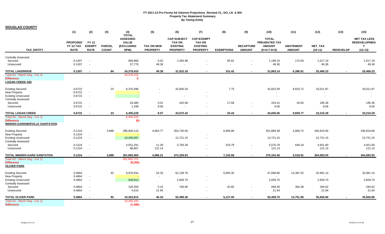**DOUGLAS COUNTY**

|                                                                                                          | (1)                                         | (2)                                                  | (3)                           | (4)                                                                   | (5)                                  | (6)                                                                       | (7)                                                                      | (8)                               | (9)                                                  | (10)                                                                   | (11)                              | (12)                                                | (13)             | (15)                                                                    |
|----------------------------------------------------------------------------------------------------------|---------------------------------------------|------------------------------------------------------|-------------------------------|-----------------------------------------------------------------------|--------------------------------------|---------------------------------------------------------------------------|--------------------------------------------------------------------------|-----------------------------------|------------------------------------------------------|------------------------------------------------------------------------|-----------------------------------|-----------------------------------------------------|------------------|-------------------------------------------------------------------------|
| <b>TAX ENTITY</b>                                                                                        | <b>PROPOSED</b><br>FY 12 TAX<br><b>RATE</b> | <b>FY 12</b><br><b>EXEMPT</b><br><b>RATE</b>         | <b>PARCEL</b><br><b>COUNT</b> | <b>TOTAL</b><br><b>ASSESSED</b><br><b>VALUE</b><br>(EXCLUDING<br>NPM) | <b>TAX ON NEW</b><br><b>PROPERTY</b> | <b>CAP-SUBJECT</b><br><b>TAX ON</b><br><b>EXISTING</b><br><b>PROPERTY</b> | <b>CAP-EXEMPT</b><br><b>TAX ON</b><br><b>EXISTING</b><br><b>PROPERTY</b> | <b>EXEMPTIONS</b>                 | <b>RECAPTURE</b><br><b>AMOUNT</b>                    | <b>TOTAL</b><br><b>PREABATED TAX</b><br><b>AMOUNT</b><br>$(5+6+7-8+9)$ | <b>ABATEMENT</b><br><b>AMOUNT</b> | NET_TAX<br>$(10-11)$                                | <b>REDEVELOP</b> | <b>NET TAX LESS</b><br><b>REDEVELOPMEN</b><br>$\mathbf{T}$<br>$(12-13)$ |
| <b>Centrally Assessed</b>                                                                                |                                             |                                                      |                               |                                                                       |                                      |                                                                           |                                                                          |                                   |                                                      |                                                                        |                                   |                                                     |                  |                                                                         |
| Secured<br>Unsecured                                                                                     | 0.1307<br>0.1307                            | $\overline{\phantom{a}}$<br>$\overline{\phantom{a}}$ |                               | 909,866<br>37,770                                                     | 0.02<br>49.36                        | 1,284.98                                                                  |                                                                          | 95.81<br>$\blacksquare$           | $\blacksquare$                                       | 1,189.19<br>49.36                                                      | 172.00                            | 1,017.19<br>49.36                                   |                  | 1,017.19<br>49.36                                                       |
| <b>TOTAL LAKERIDGE</b>                                                                                   | 0.1307                                      |                                                      | 84                            | 24,378,433                                                            | 49.38                                | 31,915.18                                                                 |                                                                          | 101.42                            |                                                      | 31,863.14                                                              | 6,396.91                          | 25,466.23                                           |                  | 25,466.23                                                               |
| Total AV - March Seg - Col. Q<br><b>Difference</b><br><b>LOGAN CREEK GID</b>                             |                                             |                                                      |                               | 24,378,433<br>0                                                       |                                      |                                                                           |                                                                          |                                   |                                                      |                                                                        |                                   |                                                     |                  |                                                                         |
| <b>Existing Secured</b><br>New Property<br><b>Existing Unsecured</b><br><b>Centrally Assessed</b>        | 0.6722<br>0.6722<br>0.6722                  | $\sim$<br>$\sim$                                     | 23                            | 6,370,496                                                             |                                      | 42,830.34                                                                 | $\overline{\phantom{a}}$                                                 | 7.75                              |                                                      | 42,822.59<br>$\overline{\phantom{0}}$                                  | 9,810.72                          | 33,011.87<br>$\overline{\phantom{a}}$               |                  | 33,011.87<br>$\overline{\phantom{a}}$<br>$\overline{\phantom{a}}$       |
| Secured<br>Unsecured                                                                                     | 0.6722<br>0.6722                            | $\overline{\phantom{a}}$<br>$\overline{\phantom{a}}$ |                               | 33,385<br>1,348                                                       | 0.01<br>9.06                         | 242.08<br>$\overline{a}$                                                  |                                                                          | 17.68<br>$\blacksquare$           | $\overline{\phantom{a}}$                             | 224.41<br>9.06                                                         | 29.05                             | 195.36<br>9.06                                      |                  | 195.36<br>9.06                                                          |
| <b>TOTAL LOGAN CREEK</b>                                                                                 | 0.6722                                      | $\sim$                                               | 23                            | 6,405,229                                                             | 9.07                                 | 43,072.42                                                                 |                                                                          | 25.43                             |                                                      | 43,056.06                                                              | 9,839.77                          | 33,216.29                                           |                  | 33,216.29                                                               |
| Total AV - March Seg - Col. Q<br><b>Difference</b><br><b>MINDEN-GARDNERVILLE SANITATION</b>              |                                             |                                                      |                               | 6,405,229<br>(0)                                                      |                                      |                                                                           |                                                                          |                                   |                                                      |                                                                        |                                   |                                                     |                  |                                                                         |
| <b>Existing Secured</b><br>New Property<br><b>Existing Unsecured</b>                                     | 0.1224<br>0.1224<br>0.1224                  | $\sim$<br>$\overline{\phantom{a}}$                   | 3,988                         | 286,840,110<br>10,393,097                                             | 4,853.77<br>$\overline{\phantom{a}}$ | 353,745.50<br>12,721.15                                                   |                                                                          | 6,909.89                          |                                                      | 351,689.38<br>$\overline{\phantom{a}}$<br>12,721.15                    | 4,869.72                          | 346,819.66<br>$\overline{\phantom{a}}$<br>12,721.15 |                  | 346,819.66<br>12,721.15                                                 |
| <b>Centrally Assessed</b><br>Secured<br>Unsecured                                                        | 0.1224<br>0.1224                            | $\overline{\phantom{a}}$<br>$\overline{\phantom{a}}$ |                               | 4,551,291<br>98,967                                                   | 11.30<br>121.14                      | 5,793.28                                                                  |                                                                          | 233.79<br>$\blacksquare$          | $\overline{\phantom{a}}$<br>$\overline{\phantom{a}}$ | 5,570.79<br>121.14                                                     | 649.19                            | 4,921.60<br>121.14                                  |                  | 4,921.60<br>121.14                                                      |
| TOTAL MINDEN-GARD SANITATION<br>Total AV - March Seg - Col. Q<br><b>Difference</b><br><b>OLIVER PARK</b> | 0.1224                                      | $\sim$                                               | 3,988                         | 301,883,465<br>301,891,721<br>(8, 256)                                | 4,986.21                             | 372,259.93                                                                |                                                                          | 7,143.68                          | $\sim$                                               | 370,102.46                                                             | 5,518.91                          | 364,583.55                                          |                  | 364,583.55                                                              |
| <b>Existing Secured</b><br>New Property<br><b>Existing Unsecured</b>                                     | 0.4864<br>0.4864<br>0.4864                  | $\overline{\phantom{a}}$<br>$\overline{\phantom{a}}$ | 92                            | 9,676,934<br>546,813                                                  | 24.25<br>$\overline{\phantom{a}}$    | 52,138.76<br>2,659.70                                                     | $\overline{\phantom{a}}$                                                 | 5,094.35                          |                                                      | 47,068.66<br>2,659.70                                                  | 14,387.52                         | 32,681.14<br>$\overline{\phantom{a}}$<br>2,659.70   |                  | 32,681.14<br>2.659.70                                                   |
| <b>Centrally Assessed</b><br>Secured<br>Unsecured                                                        | 0.4864<br>0.4864                            | $\sim$<br>$\overline{\phantom{a}}$                   |                               | 135,359<br>4,510                                                      | 0.15<br>21.94                        | 700.90                                                                    |                                                                          | 42.65<br>$\overline{\phantom{a}}$ | $\overline{\phantom{a}}$<br>$\overline{\phantom{a}}$ | 658.40<br>21.94                                                        | 364.38                            | 294.02<br>21.94                                     |                  | 294.02<br>21.94                                                         |
| <b>TOTAL OLIVER PARK</b>                                                                                 | 0.4864                                      |                                                      | 92                            | 10,363,615                                                            | 46.34                                | 55,499.36                                                                 |                                                                          | 5,137.00                          |                                                      | 50,408.70                                                              | 14,751.90                         | 35,656.80                                           |                  | 35,656.80                                                               |
| Total AV - March Seg - Col. Q<br><b>Difference</b>                                                       |                                             |                                                      |                               | 10,365,105<br>(1,490)                                                 |                                      |                                                                           |                                                                          |                                   |                                                      |                                                                        |                                   |                                                     |                  |                                                                         |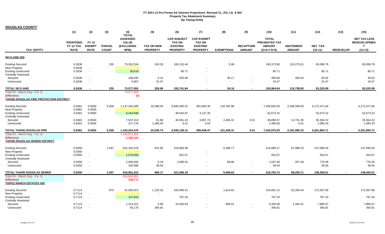**DOUGLAS COUNTY**

 $\overline{\phantom{a}}$ 

|                                                                                                     | (1)                                                | (2)                                          | (3)                           | (4)<br><b>TOTAL</b>                                   | (5)                                  | (6)                                                                       | (7)                                                                      | (8)                                | (9)                               | (10)                                                            | (11)                              | (12)                  | (13)             | (15)                                                          |
|-----------------------------------------------------------------------------------------------------|----------------------------------------------------|----------------------------------------------|-------------------------------|-------------------------------------------------------|--------------------------------------|---------------------------------------------------------------------------|--------------------------------------------------------------------------|------------------------------------|-----------------------------------|-----------------------------------------------------------------|-----------------------------------|-----------------------|------------------|---------------------------------------------------------------|
| <b>TAX ENTITY</b>                                                                                   | <b>PROPOSED</b><br><b>FY 12 TAX</b><br><b>RATE</b> | <b>FY 12</b><br><b>EXEMPT</b><br><b>RATE</b> | <b>PARCEL</b><br><b>COUNT</b> | <b>ASSESSED</b><br><b>VALUE</b><br>(EXCLUDING<br>NPM) | <b>TAX ON NEW</b><br><b>PROPERTY</b> | <b>CAP-SUBJECT</b><br><b>TAX ON</b><br><b>EXISTING</b><br><b>PROPERTY</b> | <b>CAP-EXEMPT</b><br><b>TAX ON</b><br><b>EXISTING</b><br><b>PROPERTY</b> | <b>EXEMPTIONS</b>                  | <b>RECAPTURE</b><br><b>AMOUNT</b> | <b>TOTAL</b><br>PREABATED TAX<br><b>AMOUNT</b><br>$(5+6+7-8+9)$ | <b>ABATEMENT</b><br><b>AMOUNT</b> | NET_TAX<br>$(10-11)$  | <b>REDEVELOP</b> | <b>NET TAX LESS</b><br><b>REDEVELOPMEN</b><br>T.<br>$(12-13)$ |
| <b>SKYLAND GID</b>                                                                                  |                                                    |                                              |                               |                                                       |                                      |                                                                           |                                                                          |                                    |                                   |                                                                 |                                   |                       |                  |                                                               |
| <b>Existing Secured</b>                                                                             | 0.2636                                             |                                              | 235                           | 73,352,534                                            | 243.35                               | 193,135.44                                                                |                                                                          | 5.99                               |                                   | 193,372.80                                                      | 110,273.01                        | 83,099.79             |                  | 83,099.79                                                     |
| New Property<br><b>Existing Unsecured</b><br><b>Centrally Assessed</b>                              | 0.2636<br>0.2636                                   | $\overline{\phantom{a}}$                     |                               | 30,618                                                |                                      | 80.71                                                                     |                                                                          |                                    |                                   | 80.71                                                           |                                   | 80.71                 |                  | 80.71                                                         |
| Secured<br>Unsecured                                                                                | 0.2636<br>0.2636                                   |                                              |                               | 188,035<br>5,867                                      | 0.14<br>15.47                        | 525.69                                                                    |                                                                          | 30.17<br>$\overline{\phantom{a}}$  | $\overline{a}$                    | 495.66<br>15.47                                                 | 465.64                            | 30.02<br>15.47        |                  | 30.02<br>15.47                                                |
| TOTAL SKYLAND                                                                                       | 0.2636                                             |                                              | 235                           | 73,577,055                                            | 258.96                               | 193,741.84                                                                | $\sim$                                                                   | 36.16                              |                                   | 193,964.64                                                      | 110,738.65                        | 83,225.99             | $\sim$           | 83,225.99                                                     |
| Total AV - March Seg - Col. Q<br><b>Difference</b><br><b>TAHOE-DOUGLAS FIRE PROTECTION DISTRICT</b> |                                                    |                                              |                               | 73,577,055<br>(0)                                     |                                      |                                                                           |                                                                          |                                    |                                   |                                                                 |                                   |                       |                  |                                                               |
| <b>Existing Secured</b>                                                                             | 0.6381                                             | 0.0500                                       | 5,358                         | 1,147,245,289                                         | 32,599.54                            | 6,845,040.41                                                              | 581,963.35                                                               | 118,782.90                         |                                   | 7,340,820.40                                                    | 2,168,348.56                      | 5,172,471.84          |                  | 5,172,471.84                                                  |
| New Property<br><b>Existing Unsecured</b><br><b>Centrally Assessed</b>                              | 0.6381<br>0.6381                                   | 0.0500<br>0.0500                             |                               | 8,254,696                                             |                                      | 48,545.87                                                                 | 4,127.35                                                                 |                                    |                                   | 52,673.22                                                       |                                   | 52,673.22             |                  | 52,673.22                                                     |
| Secured<br>Unsecured                                                                                | 0.6381<br>0.6381                                   | 0.0500<br>0.0500                             |                               | 7,537,313<br>217,178                                  | 51.80<br>1,385.40                    | 46,551.43<br>0.41                                                         | 3,957.74<br>0.03                                                         | 2,465.41                           | 0.01<br>$\overline{\phantom{a}}$  | 48,095.57<br>1,385.84                                           | 12,731.35<br>0.41                 | 35,364.22<br>1,385.43 |                  | 35,364.22<br>1,385.43                                         |
| <b>TOTAL TAHOE-DOUGLAS FIRE</b>                                                                     | 0.6381                                             | 0.0500                                       | 5,358                         | 1,163,254,476                                         | 34,036.74                            | 6,940,138.12                                                              | 590,048.47                                                               | 121,248.31                         | 0.01                              | 7,442,975.03                                                    | 2,181,080.32                      | 5,261,894.71          |                  | 5,261,894.71                                                  |
| Total AV - March Seg - Col. Q<br><b>Difference</b><br><b>TAHOE-DOUGLAS SEWER DISTRICT</b>           |                                                    |                                              |                               | 1,162,071,353<br>1,183,123                            |                                      |                                                                           |                                                                          |                                    |                                   |                                                                 |                                   |                       |                  |                                                               |
| <b>Existing Secured</b><br><b>New Property</b>                                                      | 0.0350<br>0.0350                                   |                                              | 1,597                         | 612,342,578                                           | 631.95                               | 219,856.99                                                                |                                                                          | 5,399.77                           |                                   | 215,089.17                                                      | 67,998.23                         | 147,090.94            |                  | 147,090.94                                                    |
| <b>Existing Unsecured</b><br>Centrally Assessed                                                     | 0.0350                                             | $\overline{\phantom{a}}$                     |                               | 1,579,056                                             |                                      | 552.67                                                                    |                                                                          |                                    |                                   | 552.67                                                          |                                   | 552.67                |                  | 552.67                                                        |
| Secured<br>Unsecured                                                                                | 0.0350<br>0.0350                                   | $\overline{\phantom{a}}$                     |                               | 2,936,592<br>102,996                                  | 0.18<br>36.04                        | 1,096.52                                                                  |                                                                          | 68.86<br>$\overline{\phantom{a}}$  |                                   | 1,027.84<br>36.04                                               | 257.48                            | 770.36<br>36.04       |                  | 770.36<br>36.04                                               |
| <b>TOTAL TAHOE-DOUGLAS SEWER</b>                                                                    | 0.0350                                             |                                              | 1.597                         | 616,961,222                                           | 668.17                               | 221,506.18                                                                |                                                                          | 5.468.63                           |                                   | 216,705.72                                                      | 68.255.71                         | 148,450.01            |                  | 148,450.01                                                    |
| Total AV - March Seg - Col. Q<br><b>Difference</b><br><b>TOPAZ RANCH ESTATES GID</b>                |                                                    |                                              |                               | 616,642,451<br>318,771                                |                                      |                                                                           |                                                                          |                                    |                                   |                                                                 |                                   |                       |                  |                                                               |
| <b>Existing Secured</b>                                                                             | 0.7114                                             |                                              | 873                           | 31,560,972                                            | 1,125.33                             | 225,090.41                                                                |                                                                          | 1,614.62                           |                                   | 224,601.12                                                      | 52,293.44                         | 172,307.68            |                  | 172,307.68                                                    |
| New Property<br><b>Existing Unsecured</b><br><b>Centrally Assessed</b>                              | 0.7114<br>0.7114                                   | $\overline{\phantom{a}}$                     |                               | 107,843                                               | $\overline{\phantom{a}}$             | 767.20                                                                    | $\overline{\phantom{a}}$                                                 |                                    |                                   | 767.20                                                          |                                   | 767.20                |                  | 767.20                                                        |
| Secured<br>Unsecured                                                                                | 0.7114<br>0.7114                                   |                                              |                               | 1,314,321<br>50,170                                   | 0.96<br>356.91                       | 10,045.63<br>$\overline{\phantom{a}}$                                     |                                                                          | 696.51<br>$\overline{\phantom{a}}$ |                                   | 9,350.08<br>356.91                                              | 1,464.41                          | 7,885.67<br>356.91    |                  | 7,885.67<br>356.91                                            |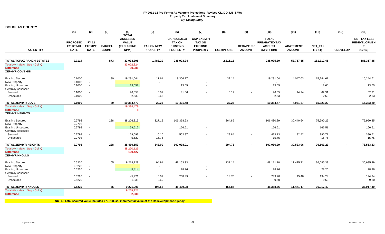**DOUGLAS COUNTY**

|                                                        | (1)                                         | (2)                                          | (3)                           | (4)<br><b>TOTAL</b>                                          | (5)                                  | (6)                                                                       | (7)                                                                      | (8)                      | (9)                               | (10)                                                            | (11)                              | (12)                        | (13)             | (15)                                                          |
|--------------------------------------------------------|---------------------------------------------|----------------------------------------------|-------------------------------|--------------------------------------------------------------|--------------------------------------|---------------------------------------------------------------------------|--------------------------------------------------------------------------|--------------------------|-----------------------------------|-----------------------------------------------------------------|-----------------------------------|-----------------------------|------------------|---------------------------------------------------------------|
| <b>TAX ENTITY</b>                                      | <b>PROPOSED</b><br>FY 12 TAX<br><b>RATE</b> | <b>FY 12</b><br><b>EXEMPT</b><br><b>RATE</b> | <b>PARCEL</b><br><b>COUNT</b> | <b>ASSESSED</b><br><b>VALUE</b><br><b>(EXCLUDING</b><br>NPM) | <b>TAX ON NEW</b><br><b>PROPERTY</b> | <b>CAP-SUBJECT</b><br><b>TAX ON</b><br><b>EXISTING</b><br><b>PROPERTY</b> | <b>CAP-EXEMPT</b><br><b>TAX ON</b><br><b>EXISTING</b><br><b>PROPERTY</b> | <b>EXEMPTIONS</b>        | <b>RECAPTURE</b><br><b>AMOUNT</b> | <b>TOTAL</b><br>PREABATED TAX<br><b>AMOUNT</b><br>$(5+6+7-8+9)$ | <b>ABATEMENT</b><br><b>AMOUNT</b> | <b>NET TAX</b><br>$(10-11)$ | <b>REDEVELOP</b> | <b>NET TAX LESS</b><br><b>REDEVELOPMEN</b><br>T.<br>$(12-13)$ |
| <b>TOTAL TOPAZ RANCH ESTATES</b>                       | 0.7114                                      |                                              | 873                           | 33,033,305                                                   | 1,483.20                             | 235,903.24                                                                | $\sim$                                                                   | 2,311.13                 | $\sim$                            | 235,075.30                                                      | 53,757.85                         | 181,317.45                  |                  | 181,317.45                                                    |
| Total AV - March Seg - Col. Q                          |                                             |                                              |                               | 33,002,324                                                   |                                      |                                                                           |                                                                          |                          |                                   |                                                                 |                                   |                             |                  |                                                               |
| <b>Difference</b>                                      |                                             |                                              |                               | 30,981                                                       |                                      |                                                                           |                                                                          |                          |                                   |                                                                 |                                   |                             |                  |                                                               |
| <b>ZEPHYR COVE GID</b>                                 |                                             |                                              |                               |                                                              |                                      |                                                                           |                                                                          |                          |                                   |                                                                 |                                   |                             |                  |                                                               |
| <b>Existing Secured</b>                                | 0.1000                                      |                                              | 80                            | 19,291,644                                                   | 17.61                                | 19,306.17                                                                 |                                                                          | 32.14                    |                                   | 19,291.64                                                       | 4,047.03                          | 15,244.61                   |                  | 15,244.61                                                     |
| New Property                                           | 0.1000                                      | $\overline{\phantom{a}}$                     |                               |                                                              | $\overline{\phantom{a}}$             |                                                                           |                                                                          |                          |                                   | $\sim$                                                          |                                   |                             |                  |                                                               |
| <b>Existing Unsecured</b><br><b>Centrally Assessed</b> | 0.1000                                      | $\overline{\phantom{a}}$                     |                               | 13,652                                                       |                                      | 13.65                                                                     | $\overline{\phantom{a}}$                                                 |                          |                                   | 13.65                                                           |                                   | 13.65                       |                  | 13.65                                                         |
| Secured                                                | 0.1000                                      |                                              |                               | 76,553                                                       | 0.01                                 | 81.66                                                                     |                                                                          | 5.12                     |                                   | 76.55                                                           | 14.24                             | 62.31                       |                  | 62.31                                                         |
| Unsecured                                              | 0.1000                                      |                                              |                               | 2,630                                                        | 2.63                                 | $\blacksquare$                                                            |                                                                          | $\overline{\phantom{a}}$ |                                   | 2.63                                                            |                                   | 2.63                        |                  | 2.63                                                          |
| <b>TOTAL ZEPHYR COVE</b>                               | 0.1000                                      |                                              | 80                            | 19,384,479                                                   | 20.25                                | 19,401.48                                                                 |                                                                          | 37.26                    |                                   | 19,384.47                                                       | 4,061.27                          | 15,323.20                   |                  | 15,323.20                                                     |
| Total AV - March Seg - Col. Q                          |                                             |                                              |                               | 19,384,479                                                   |                                      |                                                                           |                                                                          |                          |                                   |                                                                 |                                   |                             |                  |                                                               |
| <b>Difference</b><br><b>ZEPHYR HEIGHTS</b>             |                                             |                                              |                               | $\Omega$                                                     |                                      |                                                                           |                                                                          |                          |                                   |                                                                 |                                   |                             |                  |                                                               |
| <b>Existing Secured</b>                                | 0.2798                                      |                                              | 228                           | 38,226,319                                                   | 327.15                               | 106,368.63                                                                |                                                                          | 264.89                   |                                   | 106,430.89                                                      | 30,440.64                         | 75,990.25                   |                  | 75,990.25                                                     |
| <b>New Property</b>                                    | 0.2798                                      |                                              |                               |                                                              | $\overline{\phantom{a}}$             |                                                                           |                                                                          |                          |                                   |                                                                 |                                   |                             |                  |                                                               |
| <b>Existing Unsecured</b>                              | 0.2798                                      | $\overline{\phantom{a}}$                     |                               | 59,512                                                       |                                      | 166.51                                                                    | $\overline{\phantom{a}}$                                                 |                          |                                   | 166.51                                                          |                                   | 166.51                      |                  | 166.51                                                        |
| <b>Centrally Assessed</b>                              |                                             |                                              |                               |                                                              |                                      |                                                                           |                                                                          |                          |                                   |                                                                 |                                   |                             |                  |                                                               |
| Secured                                                | 0.2798                                      |                                              |                               | 169,093                                                      | 0.10                                 | 502.87                                                                    |                                                                          | 29.84                    |                                   | 473.13                                                          | 82.42                             | 390.71                      |                  | 390.71                                                        |
| Unsecured                                              | 0.2798                                      | $\overline{\phantom{a}}$                     |                               | 5,629                                                        | 15.75                                | $\overline{\phantom{a}}$                                                  |                                                                          | $\overline{\phantom{a}}$ | $\overline{\phantom{a}}$          | 15.75                                                           |                                   | 15.75                       |                  | 15.75                                                         |
| <b>TOTAL ZEPHYR HEIGHTS</b>                            | 0.2798                                      |                                              | 228                           | 38,460,553                                                   | 343.00                               | 107,038.01                                                                |                                                                          | 294.73                   | $\sim$                            | 107,086.29                                                      | 30,523.06                         | 76,563.23                   |                  | 76,563.23                                                     |
| Total AV - March Seg - Col. Q                          |                                             |                                              |                               | 38,270,126                                                   |                                      |                                                                           |                                                                          |                          |                                   |                                                                 |                                   |                             |                  |                                                               |
| <b>Difference</b><br><b>ZEPHYR KNOLLS</b>              |                                             |                                              |                               | 190,427                                                      |                                      |                                                                           |                                                                          |                          |                                   |                                                                 |                                   |                             |                  |                                                               |
|                                                        |                                             |                                              |                               |                                                              |                                      |                                                                           |                                                                          |                          |                                   |                                                                 |                                   |                             |                  |                                                               |
| <b>Existing Secured</b>                                | 0.5220                                      |                                              | 65                            | 9,218,729                                                    | 94.91                                | 48,153.33                                                                 |                                                                          | 137.14                   |                                   | 48,111.10                                                       | 11,425.71                         | 36,685.39                   |                  | 36,685.39                                                     |
| New Property                                           | 0.5220                                      |                                              |                               |                                                              | $\overline{\phantom{a}}$             |                                                                           |                                                                          |                          |                                   |                                                                 |                                   |                             |                  |                                                               |
| <b>Existing Unsecured</b><br><b>Centrally Assessed</b> | 0.5220                                      | $\overline{\phantom{a}}$                     |                               | 5,414                                                        |                                      | 28.26                                                                     |                                                                          |                          |                                   | 28.26                                                           |                                   | 28.26                       |                  | 28.26                                                         |
| Secured                                                | 0.5220                                      |                                              |                               | 45,921                                                       | 0.01                                 | 258.39                                                                    |                                                                          | 18.70                    |                                   | 239.70                                                          | 45.46                             | 194.24                      |                  | 194.24                                                        |
| Unsecured                                              | 0.5220                                      | $\overline{\phantom{a}}$                     |                               | 1,838                                                        | 9.60                                 | $\overline{\phantom{a}}$                                                  |                                                                          | $\overline{\phantom{a}}$ | $\overline{\phantom{a}}$          | 9.60                                                            |                                   | 9.60                        |                  | 9.60                                                          |
| <b>TOTAL ZEPHYR KNOLLS</b>                             | 0.5220                                      |                                              | 65                            | 9,271,901                                                    | 104.52                               | 48,439.98                                                                 |                                                                          | 155.84                   |                                   | 48,388.66                                                       | 11,471.17                         | 36,917.49                   |                  | 36,917.49                                                     |
| Total AV - March Seq - Col. Q                          |                                             |                                              |                               | 9,269,221                                                    |                                      |                                                                           |                                                                          |                          |                                   |                                                                 |                                   |                             |                  |                                                               |
| <b>Difference</b>                                      |                                             |                                              |                               | 2,680                                                        |                                      |                                                                           |                                                                          |                          |                                   |                                                                 |                                   |                             |                  |                                                               |

**NOTE: Total secured value includes \$73,758,625 incremental value of the Redevelopment Agency.**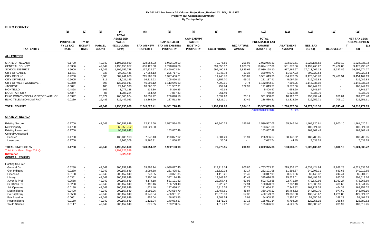| <b>ELKO COUNTY</b>                |                 |               |               |                                 |                   |                        |                                    |                   |                          |                               |                  |                |                          |                     |
|-----------------------------------|-----------------|---------------|---------------|---------------------------------|-------------------|------------------------|------------------------------------|-------------------|--------------------------|-------------------------------|------------------|----------------|--------------------------|---------------------|
|                                   | (1)             | (2)           | (3)           | (4)                             | (5)               | (6)                    | (7)                                | (8)               | (9)                      | (10)                          | (11)             | (12)           | (13)                     | (15)                |
|                                   |                 |               |               | <b>TOTAL</b>                    |                   |                        |                                    |                   |                          |                               |                  |                |                          | <b>NET TAX LESS</b> |
|                                   | <b>PROPOSED</b> | <b>FY 12</b>  |               | <b>ASSESSED</b><br><b>VALUE</b> |                   | <b>CAP-SUBJECT</b>     | <b>CAP-EXEMPT</b><br><b>TAX ON</b> |                   |                          | <b>TOTAL</b><br>PREABATED TAX |                  |                |                          | <b>REDEVELOPMEN</b> |
|                                   | FY 12 TAX       | <b>EXEMPT</b> | <b>PARCEL</b> | (EXCLUDING                      | <b>TAX ON NEW</b> | <b>TAX ON EXISTING</b> | <b>EXISTING</b>                    |                   | <b>RECAPTURE</b>         | <b>AMOUNT</b>                 | <b>ABATEMENT</b> | <b>NET TAX</b> |                          | (12)<br>T           |
| <b>TAX ENTITY</b>                 | <b>RATE</b>     | <b>RATE</b>   | <b>COUNT</b>  | NPM)                            | <b>PROPERTY</b>   | <b>PROPERTY</b>        | <b>PROPERTY</b>                    | <b>EXEMPTIONS</b> | <b>AMOUNT</b>            | $(5+6+7-8+9)$                 | <b>AMOUNT</b>    | $(10-11)$      | <b>REDEVELOP</b>         | 13)                 |
| <b>ALL ENTITIES</b>               |                 |               |               |                                 |                   |                        |                                    |                   |                          |                               |                  |                |                          |                     |
|                                   |                 |               |               |                                 |                   |                        |                                    |                   |                          |                               |                  |                |                          |                     |
| <b>STATE OF NEVADA</b>            | 0.1700          | $\sim$        | 42,049        | 1,195,155,660                   | 128,954.02        | 1,982,190.93           |                                    | 79,276.55         | 206.93                   | 2,032,075.33                  | 103,939.51       | 1,928,135.82   | 3,800.10                 | 1,924,335.72        |
| <b>GENERAL COUNTY</b>             | 0.8386          | $\sim$        | 42,049        | 1,195,155,857                   | 636,122.58        | 9,778,046.86           |                                    | 391,053.12        | 1,020.77                 | 10,024,137.08                 | 531,373.86       | 9,492,763.22   | 20,472.80                | 9,472,290.42        |
| <b>SCHOOL DISTRICT</b>            | 1.5000          | $\sim$        | 42,049        | 1,195,155,728                   | 1,137,829.57      | 17,490,003.54          |                                    | 699,490.63        | 1,825.62                 | 17,930,168.10                 | 917,165.97       | 17,013,002.13  | 18,327.86                | 16,994,674.27       |
| <b>CITY OF CARLIN</b>             | 1.1481          | $\sim$        | 938           | 27,953,445                      | 27,264.13         | 295,717.07             |                                    | 2,047.78          | 13.35                    | 320,946.77                    | 11,017.23        | 309,929.54     | $\blacksquare$           | 309,929.54          |
| CITY OF ELKO                      | 0.9200          | $\sim$        | 5,688         | 389,241,680                     | 215,282.63        | 3,377,486.61           |                                    | 11,745.76         | 595.87                   | 3,581,619.35                  | 104,973.65       | 3,476,645.70   | 22,481.51                | 3,454,164.19        |
| <b>CITY OF WELLS</b>              | 0.9605          | $\sim$        | 811           | 23,021,145                      | 16,815.62         | 205,460.13             |                                    | 1,157.70          | 69.36                    | 221,187.41                    | 5,097.58         | 216,089.83     |                          | 216,089.83          |
| CITY OF WEST WENDOVER             | 0.9360          | $\sim$        | 808           | 123,166,941                     | 46,295.12         | 1,113,646.53           |                                    | 7,099.11          | 0.74                     | 1,152,843.27                  | 7,508.25         | 1,145,335.02   |                          | 1,145,335.02        |
| <b>JACKPOT</b>                    | 0.5891          | $\sim$        | 183           | 29,145,598                      | 10,368.62         | 161,587.91             |                                    | 259.94            | 122.92                   | 171,819.51                    | 3,572.36         | 168,247.15     | $\overline{\phantom{a}}$ | 168,247.15          |
| <b>MONTELLO</b>                   | 0.4858          | $\sim$        | 167           | 1,077,138                       | 136.30            | 5,310.85               |                                    | 46.68             | $\sim$                   | 5,400.47                      | 658.50           | 4,741.97       |                          | 4,741.97            |
| <b>MOUNTAIN CITY</b>              | 0.4347          | $\sim$        | 86            | 1,785,224                       | 254.42            | 7,867.33               |                                    | 361.40            | $\sim$                   | 7,760.34                      | 1,823.58         | 5,936.76       |                          | 5,936.76            |
| ELKO CONVENTION & VISITORS AUTHOR | 0.0392          | $\sim$        | 25,677        | 768,663,874                     | 16,831.92         | 286,890.18             |                                    | 2.392.20          | 28.11                    | 301,358.01                    | 10,923.57        | 290,434.44     | 958.04                   | 289,476.40          |
| ELKO TELEVISION DISTRICT          | 0.0289          |               | 25,483        | 825,447,083                     | 13,368.50         | 227,512.46             |                                    | 2,321.21          | 20.46                    | 238,580.21                    | 12,323.50        | 226,256.71     | 705.10                   | 225,551.61          |
| <b>TOTAL COUNTY</b>               |                 |               | 42,049        | 1,195,155,660                   | 2,249,523.41      | 34,931,720.40          |                                    | 1,197,252.08      | 3,904.13                 | 35,987,895.86                 | 1,710,377.56     | 34,277,518.30  | 66,745.41                | 34,210,772.89       |
|                                   |                 |               |               |                                 |                   |                        |                                    |                   |                          | <b>Abatement Percent</b>      | 4.75%            |                |                          |                     |
| <b>STATE OF NEVADA</b>            |                 |               |               |                                 |                   |                        |                                    |                   |                          |                               |                  |                |                          |                     |
| <b>Existing Secured</b>           | 0.1700          |               | 42,049        | 900,157,849                     | 12,717.60         | 1,587,594.65           |                                    | 69,940.22         | 195.02                   | 1,530,567.05                  | 65,746.44        | 1,464,820.61   | 3,800.10                 | 1,461,020.51        |
| <b>New Property</b>               | 0.1700          |               |               | 60,953,752                      | 103,621.38        |                        |                                    |                   |                          | 103,621.38                    |                  | 103,621.38     |                          | 103,621.38          |
| <b>Existing Unsecured</b>         | 0.1700          |               |               | 96,392,642                      |                   | 163,867.49             |                                    |                   |                          | 163,867.49                    |                  | 163,867.49     |                          | 163,867.49          |
| <b>Centrally Assessed</b>         |                 |               |               |                                 |                   |                        |                                    |                   |                          |                               |                  |                |                          |                     |
| Secured                           | 0.1700          |               |               | 133,485,108                     | 7,348.13          | 228,877.92             |                                    | 9,301.29          | 11.91                    | 226,936.67                    | 38,148.62        | 188,788.05     |                          | 188,788.05          |
| Unsecured                         | 0.1700          |               |               | 4,166,309                       | 5,266.91          | 1,850.87               |                                    | 35.04             | $\overline{\phantom{a}}$ | 7,082.74                      | 44.45            | 7,038.29       |                          | 7,038.29            |
| TOTAL STATE OF NV                 | 0.1700          |               | 42,049        | 1,195,155,660                   | 128,954.02        | 1,982,190.93           | $\sim$                             | 79,276.55         | 206.93                   | 2,032,075.33                  | 103,939.51       | 1,928,135.82   | 3,800.10                 | 1,924,335.72        |
| Total AV - March Seg - Col. Q     |                 |               |               | 1,192,226,529                   |                   |                        |                                    |                   |                          |                               |                  |                |                          |                     |
| <b>Difference</b>                 |                 |               |               |                                 |                   |                        |                                    |                   |                          |                               |                  |                |                          |                     |
| <b>GENERAL COUNTY</b>             |                 |               |               | 2,929,131                       |                   |                        |                                    |                   |                          |                               |                  |                |                          |                     |
| <b>Existing Secured</b>           |                 |               |               |                                 |                   |                        |                                    |                   |                          |                               |                  |                |                          |                     |
| General Co.                       | 0.5280          | $\sim$        | 42,049        | 900,157,849                     | 39,498.14         | 4,930,877.45           |                                    | 217,218.14        | 605.86                   | 4,753,763.31                  | 219,338.47       | 4,534,424.84   | 12,886.28                | 4,521,538.56        |
| Gen Indigent                      | 0.0280          | $\sim$        | 42,049        | 900,157,849                     | 2,094.58          | 261,495.61             |                                    | 11,520.38         | 32.17                    | 252,101.98                    | 11,398.67        | 240,703.31     | 683.66                   | 240,019.65          |
| Extension                         | 0.0100          | $\sim$        | 42,049        | 900,157,849                     | 748.35            | 93,371.35              |                                    | 4,113.21          | 11.49                    | 90,017.98                     | 3,871.66         | 86,146.32      | 244.41                   | 85,901.91           |
|                                   |                 |               |               |                                 |                   |                        |                                    |                   |                          |                               |                  |                |                          |                     |
| Library                           | 0.0361          | $\sim$        | 42,049        | 900,157,849                     | 2,700.46          | 337,124.49             |                                    | 14,849.80         | 41.41                    | 325,016.56                    | 15,523.01        | 309,493.55     | 880.39                   | 308,613.16          |
| Juvenile Prob                     | 0.0558          | $\sim$        | 42,049        | 900,157,849                     | 4.174.18          | 521,121.82             |                                    | 22,957.43         | 63.98                    | 502,402.55                    | 22,771.59        | 479,630.96     | 1,362.27                 | 478,268.69          |
| Sr Citizen Sv                     | 0.0200          | $\sim$        | 42,049        | 900,157,849                     | 1,496.16          | 186,779.40             |                                    | 8,228.22          | 22.94                    | 180,070.28                    | 7,737.18         | 172,333.10     | 488.65                   | 171,844.45          |
| Jail Operatns                     | 0.0190          | $\sim$        | 42,049        | 900,157,849                     | 1,421.40          | 177,436.11             |                                    | 7,815.09          | 21.79                    | 171,064.21                    | 7,342.82         | 163,721.39     | 464.37                   | 163,257.02          |
| Med Indigent                      | 0.0400          | $\sim$        | 42,049        | 900,157,849                     | 2,992.26          | 373,564.70             |                                    | 16,457.61         | 45.87                    | 360,145.22                    | 15,464.52        | 344,680.70     | 977.60                   | 343,703.10          |
| Co Captl Proj                     | 0.0500          | $\sim$        | 42,049        | 900,157,849                     | 3,740.84          | 466,951.91             |                                    | 20,570.33         | 57.33                    | 450,179.75                    | 19,336.08        | 430,843.67     | 1,221.85                 | 429,621.82          |
| Fair Board Im                     | 0.0061          | $\sim$        | 42,049        | 900,157,849                     | 456.04            | 56,953.85              |                                    | 2,508.54          | 6.98                     | 54,908.33                     | 2,357.77         | 52,550.56      | 149.23                   | 52,401.33           |
| Hosp Indigent                     | 0.0150          | $\sim$        | 42,049        | 900,157,849                     | 1,121.94          | 140,083.27             |                                    | 6,171.25          | 17.18                    | 135,051.14                    | 5,794.98         | 129,256.16     | 366.54                   | 128,889.62          |
| Youth Service                     | 0.0117          |               | 42.049        | 900,157,849                     | 875.35            | 109,250.84             |                                    | 4,812.67          | 13.45                    | 105,326.97                    | 4,521.55         | 100,805.42     | 285.97                   | 100,519.45          |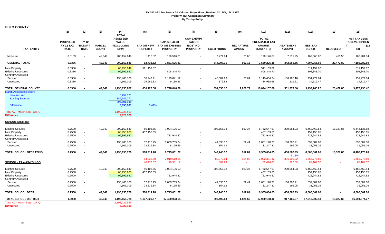|--|

|                                                                                                   | (1)                          | (2)                              | (3)           | (4)<br><b>TOTAL</b>                           | (5)                     | (6)                                          | (7)                                                   | (8)                 | (9)              | (10)                                           | (11)                 | (12)                                     | (13)             | (15)                                                               |
|---------------------------------------------------------------------------------------------------|------------------------------|----------------------------------|---------------|-----------------------------------------------|-------------------------|----------------------------------------------|-------------------------------------------------------|---------------------|------------------|------------------------------------------------|----------------------|------------------------------------------|------------------|--------------------------------------------------------------------|
|                                                                                                   | <b>PROPOSED</b><br>FY 12 TAX | <b>FY 12</b><br><b>EXEMPT</b>    | <b>PARCEL</b> | <b>ASSESSED</b><br><b>VALUE</b><br>(EXCLUDING | <b>TAX ON NEW</b>       | <b>CAP-SUBJECT</b><br><b>TAX ON EXISTING</b> | <b>CAP-EXEMPT</b><br><b>TAX ON</b><br><b>EXISTING</b> |                     | <b>RECAPTURE</b> | <b>TOTAL</b><br>PREABATED TAX<br><b>AMOUNT</b> | <b>ABATEMENT</b>     | <b>NET TAX</b>                           |                  | <b>NET TAX LESS</b><br><b>REDEVELOPMEN</b><br>(12)<br>$\mathbf{T}$ |
| <b>TAX ENTITY</b>                                                                                 | <b>RATE</b>                  | <b>RATE</b>                      | <b>COUNT</b>  | NPM)                                          | <b>PROPERTY</b>         | <b>PROPERTY</b>                              | <b>PROPERTY</b>                                       | <b>EXEMPTIONS</b>   | <b>AMOUNT</b>    | $(5+6+7-8+9)$                                  | <b>AMOUNT</b>        | $(10-11)$                                | <b>REDEVELOP</b> | 13)                                                                |
| Museum                                                                                            | 0.0189                       | $\sim$                           | 42,049        | 900,157,849                                   | 1,413.82                | 176,516.01                                   |                                                       | 7,774.64            | 21.68            | 170,176.87                                     | 7,511.25             | 162,665.62                               | 461.58           | 162,204.04                                                         |
| <b>GENERAL TOTAL</b>                                                                              | 0.8386                       |                                  | 42,049        | 900,157,849                                   | 62,733.52               | 7,831,526.81                                 |                                                       | 344,997.31          | 962.13           | 7,550,225.15                                   | 342,969.55           | 7,207,255.60                             | 20,472.80        | 7,186,782.80                                                       |
| <b>New Property</b><br><b>Existing Unsecured</b><br><b>Centrally Assessed</b>                     | 0.8386<br>0.8386             | $\sim$                           |               | 60,953,949<br>96,392,642                      | 511,159.82              | 808,348.70                                   |                                                       |                     |                  | 511,159.82<br>808,348.70                       |                      | 511,159.82<br>808,348.70                 |                  | 511,159.82<br>808,348.70                                           |
| Secured<br>Unsecured                                                                              | 0.8386<br>0.8386             | $\blacksquare$<br>$\sim$         |               | 133,485,108<br>4,166,309                      | 36,247.91<br>25,981.33  | 1,129,041.12<br>9,130.23                     |                                                       | 45,882.93<br>172.88 | 58.64            | 1,119,464.74<br>34,938.68                      | 188,185.10<br>219.21 | 931,279.64<br>34,719.47                  |                  | 931,279.64<br>34,719.47                                            |
| <b>TOTAL GENERAL COUNTY</b>                                                                       | 0.8386                       | $\blacksquare$                   | 42,049        | 1,195,155,857                                 | 636,122.58              | 9,778,046.86                                 |                                                       | 391,053.12          | 1,020.77         | 10,024,137.08                                  | 531,373.86           | 9,492,763.22                             | 20,472.80        | 9,472,290.42                                                       |
| <b>March Assessors Report:</b><br><b>New secured</b><br><b>Existing Secured</b>                   |                              |                                  |               | 6,754,171<br>889,747,777<br>896,501,948       |                         |                                              |                                                       |                     |                  |                                                |                      |                                          |                  |                                                                    |
| <b>Difference</b>                                                                                 |                              |                                  |               | 3,655,901                                     | 0.41%                   |                                              |                                                       |                     |                  |                                                |                      |                                          |                  |                                                                    |
| Total AV - March Seg - Col. Q<br><b>Difference</b>                                                |                              |                                  |               | 1,192,226,529<br>2,929,328                    |                         |                                              |                                                       |                     |                  |                                                |                      |                                          |                  |                                                                    |
| <b>SCHOOL DISTRICT</b>                                                                            |                              |                                  |               |                                               |                         |                                              |                                                       |                     |                  |                                                |                      |                                          |                  |                                                                    |
| <b>Existing Secured</b><br>New Property<br><b>Existing Unsecured</b>                              | 0.7500<br>0.7500<br>0.7500   | $\sim$<br>$\sim$                 | 42.049        | 900,157,849<br>60,953,820<br>96,392,642       | 56,106.55<br>457,153.65 | 7.004.136.03<br>722,944.82                   |                                                       | 308,555.38          | 860.37           | 6,752,547.57<br>457,153.65<br>722,944.82       | 290,084.03           | 6,462,463.54<br>457,153.65<br>722,944.82 | 18,327.86        | 6,444,135.68<br>457,153.65<br>722,944.82                           |
| <b>Centrally Assessed</b><br>Secured<br>Unsecured                                                 | 0.7500<br>0.7500             | $\sim$<br>$\sim$                 |               | 133,485,108<br>4,166,309                      | 32,418.25<br>23,236.34  | 1,009,755.34<br>8,165.59                     | $\blacksquare$                                        | 41,035.32<br>154.62 | 52.44<br>$\sim$  | 1,001,190.71<br>31,247.31                      | 168,302.91<br>196.05 | 832,887.80<br>31,051.26                  |                  | 832,887.80<br>31,051.26                                            |
| <b>TOTAL SCHOOL OPERATING</b>                                                                     | 0.7500                       |                                  | 42,049        | 1,195,155,728                                 | 568,914.78              | 8,745,001.77                                 | $\sim$                                                | 349,745.32          | 912.81           | 8,965,084.05                                   | 458,582.99           | 8,506,501.06                             | 18,327.86        | 8,488,173.20                                                       |
|                                                                                                   |                              |                                  |               |                                               | 64,836.50               | 2,019,510.68                                 |                                                       | 82,070.64           | 104.88           | 2,002,381.42                                   | 5.12%<br>336,605.82  | 1,665,775.60                             |                  | 1,665,775.60                                                       |
| SCHOOL - PAY-AS-YOU-GO                                                                            |                              |                                  |               |                                               | 46,472.67               | 16,331.17                                    |                                                       | 309.23              | $\sim$           | 62,494.61                                      | 392.09               | 62,102.52                                |                  | 62,102.52                                                          |
| <b>Existing Secured</b><br>New Property<br><b>Existing Unsecured</b><br><b>Centrally Assessed</b> | 0.7500<br>0.7500<br>0.7500   | $\blacksquare$<br>$\blacksquare$ | 42.049        | 900,157,849<br>60,953,820<br>96,392,642       | 56,106.55<br>457,153.65 | 7,004,136.03<br>722,944.82                   |                                                       | 308,555.38          | 860.37           | 6,752,547.57<br>457,153.65<br>722,944.82       | 290,084.03           | 6,462,463.54<br>457,153.65<br>722,944.82 |                  | 6,462,463.54<br>457,153.65<br>722,944.82                           |
| Secured<br>Unsecured                                                                              | 0.7500<br>0.7500             | $\blacksquare$<br>$\omega$       |               | 133,485,108<br>4,166,309                      | 32,418.25<br>23,236.34  | 1,009,755.34<br>8,165.59                     |                                                       | 41,035.32<br>154.62 | 52.44<br>$\sim$  | 1,001,190.71<br>31,247.31                      | 168,302.91<br>196.05 | 832,887.80<br>31,051.26                  |                  | 832,887.80<br>31,051.26                                            |
| <b>TOTAL SCHOOL DEBT</b>                                                                          | 0.7500                       |                                  | 42.049        | 1,195,155,728                                 | 568,914.78              | 8,745,001.77                                 | ۰.                                                    | 349,745.32          | 912.81           | 8,965,084.05                                   | 458.582.99           | 8,506,501.06                             | $\blacksquare$   | 8,506,501.06                                                       |
| <b>TOTAL SCHOOL DISTRICT</b>                                                                      | 1.5000                       |                                  | 42,049        | 1,195,155,728                                 | 1,137,829.57            | 17,490,003.54                                |                                                       | 699,490.63          | 1,825.62         | 17,930,168.10                                  | 917,165.97           | 17,013,002.13                            | 18,327.86        | 16,994,674.27                                                      |
| Total AV - March Seg - Col. Q<br><b>Difference</b>                                                |                              |                                  |               | 1,192,226,529<br>2,929,199                    |                         |                                              |                                                       |                     |                  |                                                |                      |                                          |                  |                                                                    |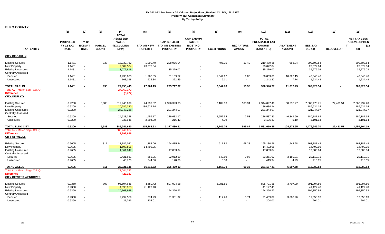|                                                        | (1)                      | (2)                          | (3)                           | (4)<br><b>TOTAL</b>             | (5)                                  | (6)                                       | (7)                                | (8)               | (9)<br>(10)                       |                                | (11)                              | (12)                   | (13)             | (15)                                       |
|--------------------------------------------------------|--------------------------|------------------------------|-------------------------------|---------------------------------|--------------------------------------|-------------------------------------------|------------------------------------|-------------------|-----------------------------------|--------------------------------|-----------------------------------|------------------------|------------------|--------------------------------------------|
|                                                        | <b>PROPOSED</b>          | <b>FY 12</b>                 |                               | <b>ASSESSED</b><br><b>VALUE</b> |                                      | <b>CAP-SUBJECT</b>                        | <b>CAP-EXEMPT</b><br><b>TAX ON</b> |                   |                                   | <b>TOTAL</b><br>PREABATED TAX  |                                   |                        |                  | <b>NET TAX LESS</b><br><b>REDEVELOPMEN</b> |
| <b>TAX ENTITY</b>                                      | FY 12 TAX<br><b>RATE</b> | <b>EXEMPT</b><br><b>RATE</b> | <b>PARCEL</b><br><b>COUNT</b> | (EXCLUDING<br>NPM)              | <b>TAX ON NEW</b><br><b>PROPERTY</b> | <b>TAX ON EXISTING</b><br><b>PROPERTY</b> | <b>EXISTING</b><br><b>PROPERTY</b> | <b>EXEMPTIONS</b> | <b>RECAPTURE</b><br><b>AMOUNT</b> | <b>AMOUNT</b><br>$(5+6+7-8+9)$ | <b>ABATEMENT</b><br><b>AMOUNT</b> | NET_TAX<br>$(10-11)$   | <b>REDEVELOP</b> | (12)<br>$\mathbf{T}$<br>13)                |
| <b>CITY OF CARLIN</b>                                  |                          |                              |                               |                                 |                                      |                                           |                                    |                   |                                   |                                |                                   |                        |                  |                                            |
| <b>Existing Secured</b>                                | 1.1481                   |                              | 938                           | 18,332,762                      | 1,999.40                             | 208,976.04                                |                                    | 497.05            | 11.49                             | 210,489.88                     | 986.34                            | 209,503.54             |                  | 209,503.54                                 |
| New Property<br><b>Existing Unsecured</b>              | 1.1481<br>1.1481         | $\sim$<br>$\sim$             |                               | 2,009,584<br>3,072,818          | 23,072.04                            | 35,279.02                                 |                                    |                   |                                   | 23,072.04<br>35,279.02         |                                   | 23,072.04<br>35,279.02 |                  | 23,072.04<br>35,279.02                     |
| <b>Centrally Assessed</b>                              |                          |                              |                               |                                 |                                      |                                           |                                    |                   |                                   |                                |                                   |                        |                  |                                            |
| Secured                                                | 1.1481                   | $\omega$                     |                               | 4,430,083                       | 1,266.85                             | 51,139.52                                 | $\blacksquare$                     | 1,544.62          | 1.86                              | 50,863.61                      | 10,023.15                         | 40,840.46              |                  | 40,840.46                                  |
| Unsecured                                              | 1.1481                   | $\blacksquare$               |                               | 108,198                         | 925.84                               | 322.49                                    | $\sim$                             | 6.11              | $\sim$                            | 1,242.22                       | 7.74                              | 1,234.48               |                  | 1,234.48                                   |
| <b>TOTAL CARLIN</b>                                    | 1.1481                   | $\overline{\phantom{a}}$     | 938                           | 27,953,445                      | 27,264.13                            | 295,717.07                                | ۰.                                 | 2,047.78          | 13.35                             | 320,946.77                     | 11,017.23                         | 309,929.54             | $\sim$           | 309,929.54                                 |
| Total AV - March Seg - Col. Q                          |                          |                              |                               | 27,962,172                      |                                      |                                           |                                    |                   |                                   |                                |                                   |                        |                  |                                            |
| <b>Difference</b><br><b>CITY OF ELKO</b>               |                          |                              |                               | (8,727)                         |                                      |                                           |                                    |                   |                                   |                                |                                   |                        |                  |                                            |
| <b>Existing Secured</b>                                | 0.9200                   | $\sim$                       | 5,688                         | 319.946.099                     | 24,299.32                            | 2,926,393.95                              |                                    | 7,189.13          | 593.34                            | 2,944,097.48                   | 58,618.77                         | 2,885,478.71           | 22,481.51        | 2,862,997.20                               |
| <b>New Property</b>                                    | 0.9200                   | $\sim$                       |                               | 20,286,320                      | 186,634.14                           |                                           |                                    |                   |                                   | 186,634.14                     |                                   | 186,634.14             |                  | 186,634.14                                 |
| <b>Existing Unsecured</b><br><b>Centrally Assessed</b> | 0.9200                   | $\sim$                       |                               | 24,048,268                      |                                      | 221,244.07                                | ٠                                  |                   |                                   | 221,244.07                     |                                   | 221,244.07             |                  | 221,244.07                                 |
| Secured                                                | 0.9200                   |                              |                               | 24,623,348                      | 1,455.17                             | 229,632.17                                |                                    | 4,552.54          | 2.53                              | 226,537.33                     | 46,349.69                         | 180,187.64             |                  | 180,187.64                                 |
| Unsecured                                              | 0.9200                   | $\sim$                       |                               | 337,645                         | 2,894.00                             | 216.42                                    |                                    | 4.09              | $\sim$                            | 3,106.33                       | 5.19                              | 3,101.14               |                  | 3,101.14                                   |
| <b>TOTAL ELKO CITY</b>                                 | 0.9200                   | $\sim$                       | 5,688                         | 389,241,680                     | 215,282.63                           | 3,377,486.61                              |                                    | 11,745.76         | 595.87                            | 3,581,619.35                   | 104,973.65                        | 3,476,645.70           | 22,481.51        | 3,454,164.19                               |
| Total AV - March Seg - Col. Q<br><b>Difference</b>     |                          |                              |                               | 386,249,054<br>2,992,626        |                                      |                                           |                                    |                   |                                   |                                |                                   |                        |                  |                                            |
| <b>CITY OF WELLS</b>                                   |                          |                              |                               |                                 |                                      |                                           |                                    |                   |                                   |                                |                                   |                        |                  |                                            |
| <b>Existing Secured</b>                                | 0.9605                   | $\blacksquare$               | 811                           | 17,185,021                      | 1,188.06                             | 164,485.84                                |                                    | 611.82            | 68.38                             | 165,130.46                     | 1,942.98                          | 163,187.48             |                  | 163,187.48                                 |
| <b>New Property</b>                                    | 0.9605                   | $\omega$                     |                               | 1,508,896                       | 14,492.95                            |                                           |                                    |                   |                                   | 14,492.95                      |                                   | 14,492.95              |                  | 14,492.95                                  |
| <b>Existing Unsecured</b><br><b>Centrally Assessed</b> | 0.9605                   | $\omega$                     |                               | 1,861,847                       |                                      | 17,883.04                                 |                                    |                   |                                   | 17,883.04                      |                                   | 17,883.04              |                  | 17,883.04                                  |
| Secured                                                | 0.9605                   | $\blacksquare$               |                               | 2,421,661                       | 889.95                               | 22,912.59                                 |                                    | 542.50            | 0.98                              | 23,261.02                      | 3,150.31                          | 20,110.71              |                  | 20,110.71                                  |
| Unsecured                                              | 0.9605                   | $\blacksquare$               |                               | 43,720                          | 244.66                               | 178.66                                    | ٠                                  | 3.38              | $\blacksquare$                    | 419.94                         | 4.29                              | 415.65                 |                  | 415.65                                     |
| <b>TOTAL WELLS</b>                                     | 0.9605                   | $\blacksquare$               | 811                           | 23,021,145                      | 16,815.62                            | 205,460.13                                | $\blacksquare$                     | 1,157.70          | 69.36                             | 221,187.41                     | 5,097.58                          | 216,089.83             |                  | 216,089.83                                 |
| Total AV - March Seg - Col. Q                          |                          |                              |                               | 23,044,332                      |                                      |                                           |                                    |                   |                                   |                                |                                   |                        |                  |                                            |
| <b>Difference</b><br><b>CITY OF WEST WENDOVER</b>      |                          |                              |                               | (23, 187)                       |                                      |                                           |                                    |                   |                                   |                                |                                   |                        |                  |                                            |
| <b>Existing Secured</b>                                | 0.9360                   | $\blacksquare$               | 808                           | 95,694,645                      | 4,689.42                             | 897,994.28                                |                                    | 6,981.85          | $\sim$                            | 895,701.85                     | 3,707.29                          | 891,994.56             |                  | 891,994.56                                 |
| <b>New Property</b>                                    | 0.9360                   | $\omega$                     |                               | 4,393,953                       | 41,127.40                            |                                           |                                    |                   |                                   | 41,127.40                      |                                   | 41,127.40              |                  | 41,127.40                                  |
| <b>Existing Unsecured</b><br><b>Centrally Assessed</b> | 0.9360                   | $\omega$                     |                               | 20,763,988                      |                                      | 194,350.93                                |                                    |                   |                                   | 194,350.93                     |                                   | 194,350.93             |                  | 194,350.93                                 |
| Secured                                                | 0.9360                   | $\sim$                       |                               | 2,292,559                       | 274.29                               | 21,301.32                                 |                                    | 117.26            | 0.74                              | 21,459.09                      | 3,800.96                          | 17,658.13              |                  | 17,658.13                                  |
| Unsecured                                              | 0.9360                   | $\sim$                       |                               | 21,796                          | 204.01                               | $\blacksquare$                            |                                    | $\sim$            | $\sim$                            | 204.01                         |                                   | 204.01                 |                  | 204.01                                     |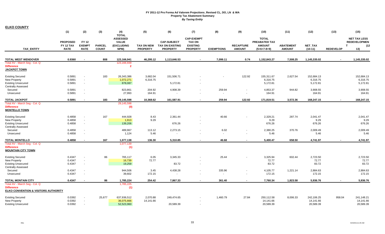| <b>ELKO COUNTY</b>                              |                 |                          |               |                                 |                   |                        |                                    |                   |                  |                               |                  |              |                  |                                            |
|-------------------------------------------------|-----------------|--------------------------|---------------|---------------------------------|-------------------|------------------------|------------------------------------|-------------------|------------------|-------------------------------|------------------|--------------|------------------|--------------------------------------------|
|                                                 | (1)             | (2)                      | (3)           | (4)                             | (5)               | (6)                    | (7)                                | (8)               | (9)              | (10)                          | (11)             | (12)         | (13)             | (15)                                       |
|                                                 |                 |                          |               | <b>TOTAL</b>                    |                   |                        |                                    |                   |                  |                               |                  |              |                  |                                            |
|                                                 | <b>PROPOSED</b> | <b>FY 12</b>             |               | <b>ASSESSED</b><br><b>VALUE</b> |                   | <b>CAP-SUBJECT</b>     | <b>CAP-EXEMPT</b><br><b>TAX ON</b> |                   |                  | <b>TOTAL</b><br>PREABATED TAX |                  |              |                  | <b>NET TAX LESS</b><br><b>REDEVELOPMEN</b> |
|                                                 | FY 12 TAX       | <b>EXEMPT</b>            | <b>PARCEL</b> | <b>(EXCLUDING</b>               | <b>TAX ON NEW</b> | <b>TAX ON EXISTING</b> | <b>EXISTING</b>                    |                   | <b>RECAPTURE</b> | <b>AMOUNT</b>                 | <b>ABATEMENT</b> | NET_TAX      |                  | $\mathbf{T}$<br>(12)                       |
| <b>TAX ENTITY</b>                               | <b>RATE</b>     | <b>RATE</b>              | <b>COUNT</b>  | NPM)                            | <b>PROPERTY</b>   | <b>PROPERTY</b>        | <b>PROPERTY</b>                    | <b>EXEMPTIONS</b> | <b>AMOUNT</b>    | $(5+6+7-8+9)$                 | <b>AMOUNT</b>    | $(10-11)$    | <b>REDEVELOP</b> | 13)                                        |
|                                                 |                 |                          |               |                                 |                   |                        |                                    |                   |                  |                               |                  |              |                  |                                            |
| <b>TOTAL WEST WENDOVER</b>                      | 0.9360          |                          | 808           | 123,166,941                     | 46,295.12         | 1,113,646.53           |                                    | 7,099.11          | 0.74             | 1,152,843.27                  | 7,508.25         | 1,145,335.02 | $\blacksquare$   | 1,145,335.02                               |
| Total AV - March Seg - Col. Q                   |                 |                          |               | 123,166,939                     |                   |                        |                                    |                   |                  |                               |                  |              |                  |                                            |
| <b>Difference</b>                               |                 |                          |               | $\overline{\mathbf{2}}$         |                   |                        |                                    |                   |                  |                               |                  |              |                  |                                            |
| <b>JACKPOT TOWN</b>                             |                 |                          |               |                                 |                   |                        |                                    |                   |                  |                               |                  |              |                  |                                            |
| <b>Existing Secured</b>                         | 0.5891          |                          | 183           | 26,343,386                      | 3,682.04          | 151,506.71             |                                    |                   | 122.92           | 155,311.67                    | 2,627.54         | 152,684.13   |                  | 152,684.13                                 |
| <b>New Property</b>                             | 0.5891          | $\sim$                   |               | 1,072,271                       | 6,316.75          |                        |                                    |                   |                  | 6,316.75                      |                  | 6,316.75     |                  | 6,316.75                                   |
| <b>Existing Unsecured</b>                       | 0.5891          | $\sim$                   |               | 878,087                         |                   | 5,172.81               |                                    |                   |                  | 5,172.81                      |                  | 5,172.81     |                  | 5,172.81                                   |
| <b>Centrally Assessed</b>                       |                 |                          |               |                                 |                   |                        |                                    |                   |                  |                               |                  |              |                  |                                            |
| Secured                                         | 0.5891          | $\sim$                   |               | 823,861                         | 204.92            | 4,908.39               |                                    | 259.94            | $\blacksquare$   | 4,853.37                      | 944.82           | 3,908.55     |                  | 3,908.55                                   |
| Unsecured                                       | 0.5891          | $\sim$                   |               | 27,993                          | 164.91            |                        |                                    | $\sim$            | $\blacksquare$   | 164.91                        |                  | 164.91       |                  | 164.91                                     |
| <b>TOTAL JACKPOT</b>                            | 0.5891          | $\overline{\phantom{a}}$ | 183           | 29,145,598                      | 10,368.62         | 161,587.91             |                                    | 259.94            | 122.92           | 171,819.51                    | 3,572.36         | 168,247.15   |                  | 168,247.15                                 |
| Total AV - March Seg - Col. Q                   |                 |                          |               | 29,145,598                      |                   |                        |                                    |                   |                  |                               |                  |              |                  |                                            |
| <b>Difference</b>                               |                 |                          |               | (0)                             |                   |                        |                                    |                   |                  |                               |                  |              |                  |                                            |
| <b>MONTELLO TOWN</b>                            |                 |                          |               |                                 |                   |                        |                                    |                   |                  |                               |                  |              |                  |                                            |
| <b>Existing Secured</b>                         | 0.4858          | $\sim$                   | 167           | 444,928                         | 8.43              | 2,361.44               |                                    | 40.66             |                  | 2,329.21                      | 287.74           | 2,041.47     |                  | 2,041.47                                   |
| <b>New Property</b>                             | 0.4858          | $\sim$                   |               | 1,913                           | 9.29              |                        |                                    |                   |                  | 9.29                          |                  | 9.29         |                  | 9.29                                       |
| <b>Existing Unsecured</b>                       | 0.4858          | $\sim$                   |               | 139,206                         |                   | 676.26                 | $\blacksquare$                     |                   |                  | 676.26                        |                  | 676.26       |                  | 676.26                                     |
| <b>Centrally Assessed</b>                       |                 |                          |               |                                 |                   |                        |                                    |                   |                  |                               |                  |              |                  |                                            |
| Secured                                         | 0.4858          | $\sim$                   |               | 489,967                         | 113.12            | 2,273.15               |                                    | 6.02              |                  | 2,380.25                      | 370.76           | 2,009.49     |                  | 2,009.49                                   |
| Unsecured                                       | 0.4858          | $\sim$                   |               | 1,124                           | 5.46              |                        |                                    | $\sim$            |                  | 5.46                          |                  | 5.46         |                  | 5.46                                       |
| <b>TOTAL MONTELLO</b>                           | 0.4858          | $\overline{\phantom{a}}$ | 167           | 1,077,138                       | 136.30            | 5,310.85               |                                    | 46.68             | $\blacksquare$   | 5,400.47                      | 658.50           | 4,741.97     | $\blacksquare$   | 4,741.97                                   |
| Total AV - March Seg - Col. Q                   |                 |                          |               | 1,077,139                       |                   |                        |                                    |                   |                  |                               |                  |              |                  |                                            |
| <b>Difference</b>                               |                 |                          |               | (1)                             |                   |                        |                                    |                   |                  |                               |                  |              |                  |                                            |
| <b>MOUNTAIN CITY TOWN</b>                       |                 |                          |               |                                 |                   |                        |                                    |                   |                  |                               |                  |              |                  |                                            |
| <b>Existing Secured</b>                         | 0.4347          | $\overline{\phantom{a}}$ | 86            | 765,117                         | 6.05              | 3,345.33               |                                    | 25.44             |                  | 3,325.94                      | 602.44           | 2,723.50     |                  | 2,723.50                                   |
| <b>New Property</b>                             | 0.4347          | $\sim$                   |               | 16,739                          | 72.77             |                        |                                    |                   |                  | 72.77                         |                  | 72.77        |                  | 72.77                                      |
| <b>Existing Unsecured</b>                       | 0.4347          | $\sim$                   |               | 19,259                          |                   | 83.72                  | $\blacksquare$                     |                   |                  | 83.72                         |                  | 83.72        |                  | 83.72                                      |
| <b>Centrally Assessed</b>                       |                 |                          |               |                                 |                   |                        |                                    |                   |                  |                               |                  |              |                  |                                            |
| Secured                                         | 0.4347          | $\sim$                   |               | 944,506                         | 3.45              | 4,438.28               | $\blacksquare$                     | 335.96            | $\blacksquare$   | 4,105.77                      | 1,221.14         | 2,884.63     |                  | 2,884.63                                   |
| Unsecured                                       | 0.4347          | $\overline{\phantom{a}}$ |               | 39,602                          | 172.15            | $\blacksquare$         | $\blacksquare$                     |                   | $\blacksquare$   | 172.15                        |                  | 172.15       |                  | 172.15                                     |
| TOTAL MONTAIN CITY                              | 0.4347          |                          | 86            | 1,785,224                       | 254.42            | 7,867.33               |                                    | 361.40            | $\blacksquare$   | 7,760.34                      | 1,823.58         | 5,936.76     |                  | 5,936.76                                   |
| Total AV - March Seg - Col. Q                   |                 |                          |               | 1,785,225                       |                   |                        |                                    |                   |                  |                               |                  |              |                  |                                            |
| <b>Difference</b>                               |                 |                          |               | (1)                             |                   |                        |                                    |                   |                  |                               |                  |              |                  |                                            |
| <b>ELKO CONVENTION &amp; VISITORS AUTHORITY</b> |                 |                          |               |                                 |                   |                        |                                    |                   |                  |                               |                  |              |                  |                                            |
| <b>Existing Secured</b>                         | 0.0392          |                          | 25,677        | 637,936,512                     | 2,070.88          | 249,474.65             |                                    | 1,460.79          | 27.84            | 250,112.58                    | 8,006.33         | 242,106.25   | 958.04           | 241,148.21                                 |
| <b>New Property</b>                             | 0.0392          | $\sim$                   |               | 36,075,666                      | 14,141.66         |                        |                                    |                   |                  | 14,141.66                     |                  | 14,141.66    |                  | 14,141.66                                  |
| <b>Existing Unsecured</b>                       | 0.0392          |                          |               | 52,523,960                      |                   | 20.589.39              | $\blacksquare$                     |                   |                  | 20,589.39                     |                  | 20,589.39    |                  | 20,589.39                                  |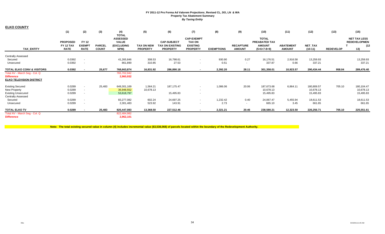| <b>ELKO COUNTY</b>                                   |                 |                          |               |                     |                   |                        |                   |                   |                  |               |                  |            |                  |                     |
|------------------------------------------------------|-----------------|--------------------------|---------------|---------------------|-------------------|------------------------|-------------------|-------------------|------------------|---------------|------------------|------------|------------------|---------------------|
|                                                      | (1)             | (2)                      | (3)           | (4)<br><b>TOTAL</b> | (5)               | (6)                    | (7)               | (8)               | (9)              | (10)          | (11)             | (12)       | (13)             | (15)                |
|                                                      |                 |                          |               | <b>ASSESSED</b>     |                   |                        | <b>CAP-EXEMPT</b> |                   |                  | <b>TOTAL</b>  |                  |            |                  | <b>NET TAX LESS</b> |
|                                                      | <b>PROPOSED</b> | <b>FY 12</b>             |               | <b>VALUE</b>        |                   | <b>CAP-SUBJECT</b>     | <b>TAX ON</b>     |                   |                  | PREABATED TAX |                  |            |                  | <b>REDEVELOPMEN</b> |
|                                                      | FY 12 TAX       | <b>EXEMPT</b>            | <b>PARCEL</b> | <b>(EXCLUDING</b>   | <b>TAX ON NEW</b> | <b>TAX ON EXISTING</b> | <b>EXISTING</b>   |                   | <b>RECAPTURE</b> | <b>AMOUNT</b> | <b>ABATEMENT</b> | NET_TAX    |                  | (12)                |
| <b>TAX ENTITY</b>                                    | <b>RATE</b>     | <b>RATE</b>              | <b>COUNT</b>  | NPM)                | <b>PROPERTY</b>   | <b>PROPERTY</b>        | <b>PROPERTY</b>   | <b>EXEMPTIONS</b> | <b>AMOUNT</b>    | $(5+6+7-8+9)$ | <b>AMOUNT</b>    | $(10-11)$  | <b>REDEVELOP</b> | 13)                 |
| <b>Centrally Assessed</b>                            |                 |                          |               |                     |                   |                        |                   |                   |                  |               |                  |            |                  |                     |
| Secured                                              | 0.0392          | $\sim$                   |               | 41,265,846          | 308.53            | 16,798.61              |                   | 930.90            | 0.27             | 16,176.51     | 2,916.58         | 13,259.93  |                  | 13,259.93           |
| Unsecured                                            | 0.0392          | $\sim$                   |               | 861,890             | 310.85            | 27.53                  | $\sim$            | 0.51              | $\sim$           | 337.87        | 0.66             | 337.21     |                  | 337.21              |
| <b>TOTAL ELKO CONV &amp; VISITORS</b>                | 0.0392          | $\overline{\phantom{a}}$ | 25,677        | 768,663,874         | 16,831.92         | 286,890.18             |                   | 2,392.20          | 28.11            | 301,358.01    | 10,923.57        | 290,434.44 | 958.04           | 289,476.40          |
| Total AV - March Seg - Col. Q                        |                 |                          |               | 765,702,942         |                   |                        |                   |                   |                  |               |                  |            |                  |                     |
| <b>Difference</b><br><b>ELKO TELEVISION DISTRICT</b> |                 |                          |               | 2,960,932           |                   |                        |                   |                   |                  |               |                  |            |                  |                     |
| <b>Existing Secured</b>                              | 0.0289          | $\sim$                   | 25,483        | 649,301,169         | 1,564.21          | 187,175.47             | $\sim$            | 1,086.06          | 20.06            | 187,673.68    | 6,864.11         | 180,809.57 | 705.10           | 180,104.47          |
| New Property                                         | 0.0289          | $\sim$                   |               | 36,948,552          | 10,678.13         |                        | . .               |                   |                  | 10,678.13     |                  | 10,678.13  |                  | 10,678.13           |
| <b>Existing Unsecured</b>                            | 0.0289          | $\sim$                   |               | 53,618,797          |                   | 15,495.83              |                   |                   |                  | 15,495.83     |                  | 15,495.83  |                  | 15,495.83           |
| <b>Centrally Assessed</b>                            |                 |                          |               |                     |                   |                        |                   |                   |                  |               |                  |            |                  |                     |
| Secured                                              | 0.0289          | $\sim$                   |               | 83,277,082          | 602.24            | 24,697.25              | $\sim$            | 1,232.42          | 0.40             | 24,067.47     | 5,455.94         | 18,611.53  |                  | 18,611.53           |
| Unsecured                                            | 0.0289          | $\sim$                   |               | 2,301,483           | 523.92            | 143.91                 | . .               | 2.73              | $\sim$           | 665.10        | 3.45             | 661.65     |                  | 661.65              |
| <b>TOTAL ELKO TV</b>                                 | 0.0289          | $\sim$                   | 25,483        | 825,447,083         | 13,368.50         | 227,512.46             | $\sim$            | 2,321.21          | 20.46            | 238,580.21    | 12,323.50        | 226,256.71 | 705.10           | 225,551.61          |
| Total AV - March Seg - Col. Q                        |                 |                          |               | 822,484,982         |                   |                        |                   |                   |                  |               |                  |            |                  |                     |
| <b>Difference</b>                                    |                 |                          |               | 2,962,101           |                   |                        |                   |                   |                  |               |                  |            |                  |                     |

**Note: The total existing secured value in column (4) includes incremental value (\$3,538,068) of parcels located within the boundary of the Redevelopment Authority.**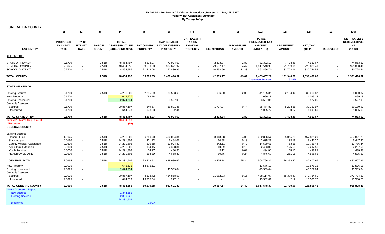| <b>ESMERALDA COUNTY</b>                                                                                  |                                             |                                              |                               |                                                          |                                    |                                                                     |                                                                          |                                    |                                   |                                                                 |                                    |                                       |                  |                                                                     |
|----------------------------------------------------------------------------------------------------------|---------------------------------------------|----------------------------------------------|-------------------------------|----------------------------------------------------------|------------------------------------|---------------------------------------------------------------------|--------------------------------------------------------------------------|------------------------------------|-----------------------------------|-----------------------------------------------------------------|------------------------------------|---------------------------------------|------------------|---------------------------------------------------------------------|
|                                                                                                          | (1)                                         | (2)                                          | (3)                           | (4)                                                      | (5)                                | (6)                                                                 | (7)                                                                      | (8)                                | (9)                               | (10)                                                            | (11)                               | (12)                                  | (13)             | (15)                                                                |
| <b>TAX ENTITY</b>                                                                                        | <b>PROPOSED</b><br>FY 12 TAX<br><b>RATE</b> | <b>FY 12</b><br><b>EXEMPT</b><br><b>RATE</b> | <b>PARCEL</b><br><b>COUNT</b> | <b>TOTAL</b><br><b>ASSESSED VALUE</b><br>(EXCLUDING NPM) | <b>PROPERTY</b>                    | <b>CAP-SUBJECT</b><br>TAX ON NEW TAX ON EXISTING<br><b>PROPERTY</b> | <b>CAP-EXEMPT</b><br><b>TAX ON</b><br><b>EXISTING</b><br><b>PROPERTY</b> | <b>EXEMPTIONS</b>                  | <b>RECAPTURE</b><br><b>AMOUNT</b> | <b>TOTAL</b><br>PREABATED TAX<br><b>AMOUNT</b><br>$(5+6+7-8+9)$ | <b>ABATEMENT</b><br><b>AMOUNT</b>  | NET_TAX<br>$(10-11)$                  | <b>REDEVELOP</b> | <b>NET TAX LESS</b><br><b>REDEVELOPME</b><br><b>NT</b><br>$(12-13)$ |
| <b>ALL ENTITIES</b>                                                                                      |                                             |                                              |                               |                                                          |                                    |                                                                     |                                                                          |                                    |                                   |                                                                 |                                    |                                       |                  |                                                                     |
| <b>STATE OF NEVADA</b><br><b>GENERAL COUNTY</b><br><b>SCHOOL DISTRICT</b>                                | 0.1700<br>2.0995<br>0.7500                  | $\sim$                                       | 2,518<br>2,518<br>2,518       | 48,464,497<br>48,464,555<br>48,464,556                   | 4,808.07<br>59,379.68<br>21,212.08 | 79,974.60<br>987,691.37<br>352,830.96                               | $\sim$                                                                   | 2,393.34<br>29,557.17<br>10,558.66 | 2.80<br>34.49<br>12.33            | 82,392.13<br>1,017,548.37<br>363,496.70                         | 7,428.46<br>91,739.96<br>32,772.16 | 74.963.67<br>925,808.41<br>330,724.54 |                  | 74,963.67<br>925,808.41<br>330,724.54                               |
| <b>TOTAL COUNTY</b>                                                                                      |                                             |                                              | 2,518                         | 48,464,497                                               | 85,399.83                          | 1,420,496.92                                                        |                                                                          | 42,509.17                          | 49.62                             | 1,463,437.20                                                    | 131,940.58                         | 1,331,496.62                          |                  | 1,331,496.62                                                        |
|                                                                                                          |                                             |                                              |                               |                                                          |                                    |                                                                     |                                                                          |                                    |                                   | <b>Abatement Percent</b>                                        | 9.02%                              |                                       |                  |                                                                     |
| <b>STATE OF NEVADA</b>                                                                                   |                                             |                                              |                               |                                                          |                                    |                                                                     |                                                                          |                                    |                                   |                                                                 |                                    |                                       |                  |                                                                     |
| <b>Existing Secured</b><br><b>New Property</b><br><b>Existing Unsecured</b><br><b>Centrally Assessed</b> | 0.1700<br>0.1700<br>0.1700                  |                                              | 2,518                         | 24,231,506<br>646,577<br>2,074,734                       | 2,285.89<br>1,099.18               | 39,593.66<br>3,527.05                                               |                                                                          | 686.30                             | 2.06                              | 41,195.31<br>1,099.18<br>3,527.05                               | 2,134.44                           | 39,060.87<br>1,099.18<br>3,527.05     |                  | 39,060.87<br>1,099.18<br>3,527.05                                   |
| Secured<br>Unsecured                                                                                     | 0.1700<br>0.1700                            |                                              |                               | 20,867,107<br>644,573                                    | 349.67<br>1,073.33                 | 36,831.45<br>22.44                                                  |                                                                          | 1,707.04                           | 0.74<br>$\sim$                    | 35,474.82<br>1,095.77                                           | 5,293.85<br>0.17                   | 30,180.97<br>1,095.60                 |                  | 30,180.97<br>1,095.60                                               |
| TOTAL STATE OF NV                                                                                        | 0.1700                                      |                                              | 2,518                         | 48,464,497                                               | 4,808.07                           | 79,974.60                                                           | $\sim$                                                                   | 2,393.34                           | 2.80                              | 82,392.13                                                       | 7,428.46                           | 74,963.67                             |                  | 74,963.67                                                           |
| Total AV - March Seg - Col. Q<br><b>Difference</b><br><b>GENERAL COUNTY</b>                              |                                             |                                              |                               | 48,464,553<br>(56)                                       |                                    |                                                                     |                                                                          |                                    |                                   |                                                                 |                                    |                                       |                  |                                                                     |
| <b>Existing Secured</b>                                                                                  |                                             |                                              |                               |                                                          |                                    |                                                                     |                                                                          |                                    |                                   |                                                                 |                                    |                                       |                  |                                                                     |
| <b>General Fund</b>                                                                                      | 1.9925                                      |                                              | 2,518                         | 24,231,506                                               | 26,790.90                          | 464,064.84                                                          |                                                                          | 8,043.28                           | 24.06                             | 482,836.52                                                      | 25,015.23                          | 457,821.29                            |                  | 457,821.29                                                          |
| State Indigent                                                                                           | 0.0150                                      | ٠                                            | 2,518                         | 24,231,506                                               | 201.72                             | 3,494.07                                                            |                                                                          | 60.58                              | 0.18                              | 3,635.39                                                        | 188.19                             | 3,447.20                              |                  | 3,447.20                                                            |
| <b>County Medical Assistance</b>                                                                         | 0.0600                                      | $\sim$                                       | 2,518                         | 24,231,506                                               | 806.68                             | 13,974.40                                                           |                                                                          | 242.11                             | 0.72                              | 14,539.69                                                       | 753.25                             | 13,786.44                             |                  | 13,786.44                                                           |
| <b>Agriculture Extension</b>                                                                             | 0.0100                                      |                                              | 2,518                         | 24,231,506                                               | 134.45                             | 2,328.81                                                            |                                                                          | 40.29                              | 0.12                              | 2,423.09                                                        | 125.53                             | 2,297.56                              |                  | 2,297.56                                                            |
| Youth Services<br>HEALTH/WELFARE                                                                         | 0.0020                                      |                                              | 2,518<br>2,518                | 24,231,506                                               | 26.87                              | 466.20                                                              |                                                                          | 8.12<br>80.76                      | 0.02<br>0.24                      | 484.97                                                          | 25.12                              | 459.85                                |                  | 459.85<br>4,595.62                                                  |
|                                                                                                          | 0.0200                                      |                                              |                               | 24,231,506                                               | 268.89                             | 4,658.30                                                            |                                                                          |                                    |                                   | 4,846.67                                                        | 251.05                             | 4,595.62                              |                  |                                                                     |
| <b>GENERAL TOTAL</b>                                                                                     | 2.0995                                      |                                              | 2,518                         | 24,231,506                                               | 28,229.51                          | 488,986.62                                                          | $\sim$                                                                   | 8,475.14                           | 25.34                             | 508,766.33                                                      | 26,358.37                          | 482,407.96                            |                  | 482,407.96                                                          |
| <b>New Property</b>                                                                                      | 2.0995                                      |                                              |                               | 646,635                                                  | 13,576.11                          |                                                                     | $\sim$                                                                   |                                    |                                   | 13,576.11                                                       |                                    | 13,576.11                             |                  | 13,576.11                                                           |
| <b>Existing Unsecured</b><br><b>Centrally Assessed</b>                                                   | 2.0995                                      |                                              |                               | 2,074,734                                                |                                    | 43,559.04                                                           |                                                                          |                                    |                                   | 43,559.04                                                       |                                    | 43,559.04                             |                  | 43,559.04                                                           |
| Secured                                                                                                  | 2.0995                                      |                                              |                               | 20,867,107                                               | 4,318.42                           | 454,868.53                                                          |                                                                          | 21,082.03                          | 9.15                              | 438,114.07                                                      | 65,379.47                          | 372,734.60                            |                  | 372,734.60                                                          |
| Unsecured                                                                                                | 2.0995                                      |                                              |                               | 644,573                                                  | 13,255.64                          | 277.18                                                              |                                                                          |                                    | $\sim$                            | 13,532.82                                                       | 2.12                               | 13,530.70                             |                  | 13,530.70                                                           |
| <b>TOTAL GENERAL COUNTY</b>                                                                              | 2.0995                                      | $\mathbf{r}$                                 | 2,518                         | 48,464,555                                               | 59,379.68                          | 987,691.37                                                          | $\mathbf{r}$                                                             | 29,557.17                          | 34.49                             | 1,017,548.37                                                    | 91,739.96                          | 925,808.41                            |                  | 925,808.41                                                          |
| <b>March Assessors Report:</b><br>New secured<br><b>Existing Secured</b><br><b>Difference</b>            |                                             |                                              |                               | 1,344,585<br>22,886,921<br>24,231,506                    | 0.00%                              |                                                                     |                                                                          |                                    |                                   |                                                                 |                                    |                                       |                  |                                                                     |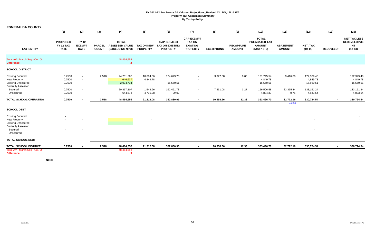| <b>ESMERALDA COUNTY</b>                                                                           |                                             |                                              |                               |                                                          |                                      |                                                                 |                                                                          |                   |                                   |                                                                 |                                   |                                     |                  |                                                                     |
|---------------------------------------------------------------------------------------------------|---------------------------------------------|----------------------------------------------|-------------------------------|----------------------------------------------------------|--------------------------------------|-----------------------------------------------------------------|--------------------------------------------------------------------------|-------------------|-----------------------------------|-----------------------------------------------------------------|-----------------------------------|-------------------------------------|------------------|---------------------------------------------------------------------|
|                                                                                                   | (1)                                         | (2)                                          | (3)                           | (4)                                                      | (5)                                  | (6)                                                             | (7)                                                                      | (8)               | (9)                               | (10)                                                            | (11)                              | (12)                                | (13)             | (15)                                                                |
| <b>TAX ENTITY</b>                                                                                 | <b>PROPOSED</b><br>FY 12 TAX<br><b>RATE</b> | <b>FY 12</b><br><b>EXEMPT</b><br><b>RATE</b> | <b>PARCEL</b><br><b>COUNT</b> | <b>TOTAL</b><br><b>ASSESSED VALUE</b><br>(EXCLUDING NPM) | <b>TAX ON NEW</b><br><b>PROPERTY</b> | <b>CAP-SUBJECT</b><br><b>TAX ON EXISTING</b><br><b>PROPERTY</b> | <b>CAP-EXEMPT</b><br><b>TAX ON</b><br><b>EXISTING</b><br><b>PROPERTY</b> | <b>EXEMPTIONS</b> | <b>RECAPTURE</b><br><b>AMOUNT</b> | <b>TOTAL</b><br>PREABATED TAX<br><b>AMOUNT</b><br>$(5+6+7-8+9)$ | <b>ABATEMENT</b><br><b>AMOUNT</b> | NET_TAX<br>$(10-11)$                | <b>REDEVELOP</b> | <b>NET TAX LESS</b><br><b>REDEVELOPME</b><br><b>NT</b><br>$(12-13)$ |
|                                                                                                   |                                             |                                              |                               |                                                          |                                      |                                                                 |                                                                          |                   |                                   |                                                                 |                                   |                                     |                  |                                                                     |
| Total AV - March Seg - Col. Q<br><b>Difference</b>                                                |                                             |                                              |                               | 48,464,553<br>$\overline{2}$                             |                                      |                                                                 |                                                                          |                   |                                   |                                                                 |                                   |                                     |                  |                                                                     |
| <b>SCHOOL DISTRICT</b>                                                                            |                                             |                                              |                               |                                                          |                                      |                                                                 |                                                                          |                   |                                   |                                                                 |                                   |                                     |                  |                                                                     |
| <b>Existing Secured</b><br>New Property<br><b>Existing Unsecured</b><br><b>Centrally Assessed</b> | 0.7500<br>0.7500<br>0.7500                  | $\sim$                                       | 2,518                         | 24,231,506<br>646,637<br>2,074,734                       | 10,084.36<br>4,849.78                | 174,679.70<br>15,560.51                                         | $\sim$<br>$\sim$                                                         | 3,027.58          | 9.06                              | 181,745.54<br>4,849.78<br>15,560.51                             | 9,416.06                          | 172,329.48<br>4,849.78<br>15,560.51 |                  | 172,329.48<br>4,849.78<br>15,560.51                                 |
| Secured<br>Unsecured                                                                              | 0.7500<br>0.7500                            |                                              |                               | 20,867,107<br>644,573                                    | 1,542.66<br>4,735.28                 | 162,491.73<br>99.02                                             | $\sim$                                                                   | 7,531.08          | 3.27<br>$\sim$                    | 156,506.58<br>4,834.30                                          | 23,355.34<br>0.76                 | 133, 151.24<br>4,833.54             |                  | 133,151.24<br>4,833.54                                              |
| <b>TOTAL SCHOOL OPERATING</b>                                                                     | 0.7500                                      |                                              | 2,518                         | 48,464,556                                               | 21,212.08                            | 352,830.96                                                      | $\sim$                                                                   | 10,558.66         | 12.33                             | 363,496.70                                                      | 32,772.16<br>9.02%                | 330,724.54                          |                  | 330,724.54                                                          |
| <b>SCHOOL DEBT</b>                                                                                |                                             |                                              |                               |                                                          |                                      |                                                                 |                                                                          |                   |                                   |                                                                 |                                   |                                     |                  |                                                                     |
| <b>Existing Secured</b><br>New Property                                                           |                                             |                                              |                               |                                                          |                                      |                                                                 |                                                                          |                   |                                   |                                                                 |                                   |                                     |                  |                                                                     |
| <b>Existing Unsecured</b><br><b>Centrally Assessed</b><br>Secured                                 |                                             |                                              |                               |                                                          |                                      |                                                                 |                                                                          |                   |                                   |                                                                 |                                   |                                     |                  |                                                                     |
| Unsecured                                                                                         |                                             |                                              |                               |                                                          |                                      |                                                                 |                                                                          |                   |                                   |                                                                 |                                   |                                     |                  | $\sim$                                                              |
| <b>TOTAL SCHOOL DEBT</b>                                                                          | $\blacksquare$                              |                                              |                               |                                                          |                                      |                                                                 |                                                                          |                   |                                   |                                                                 |                                   |                                     |                  |                                                                     |
| <b>TOTAL SCHOOL DISTRICT</b>                                                                      | 0.7500                                      | $\sim$                                       | 2,518                         | 48,464,556                                               | 21,212.08                            | 352,830.96                                                      | $\sim$                                                                   | 10,558.66         | 12.33                             | 363,496.70                                                      | 32,772.16                         | 330,724.54                          | $\sim$           | 330,724.54                                                          |
| Total AV - March Seg - Col. Q<br><b>Difference</b>                                                |                                             |                                              |                               | 48,464,553<br>-3                                         |                                      |                                                                 |                                                                          |                   |                                   |                                                                 |                                   |                                     |                  |                                                                     |

**Note:**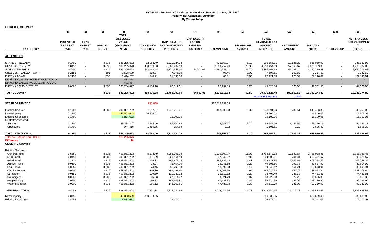| <b>EUREKA COUNTY</b>             |                              |                               |               |                                                               |                   |                                              |                                                       |                   |                  |                                                |                  |               |                          |                                                            |
|----------------------------------|------------------------------|-------------------------------|---------------|---------------------------------------------------------------|-------------------|----------------------------------------------|-------------------------------------------------------|-------------------|------------------|------------------------------------------------|------------------|---------------|--------------------------|------------------------------------------------------------|
|                                  | (1)                          | (2)                           | (3)           | (4)                                                           | (5)               | (6)                                          | (7)                                                   | (8)               | (9)              | (10)                                           | (11)             | (12)          | (13)                     | (15)                                                       |
|                                  | <b>PROPOSED</b><br>FY 12 TAX | <b>FY 12</b><br><b>EXEMPT</b> | <b>PARCEL</b> | <b>TOTAL</b><br><b>ASSESSED</b><br><b>VALUE</b><br>(EXCLUDING | <b>TAX ON NEW</b> | <b>CAP-SUBJECT</b><br><b>TAX ON EXISTING</b> | <b>CAP-EXEMPT</b><br><b>TAX ON</b><br><b>EXISTING</b> |                   | <b>RECAPTURE</b> | <b>TOTAL</b><br>PREABATED TAX<br><b>AMOUNT</b> | <b>ABATEMENT</b> | NET_TAX       |                          | <b>NET TAX LESS</b><br><b>REDEVELOPMEN</b><br>$\mathbf{T}$ |
| <b>TAX ENTITY</b>                | <b>RATE</b>                  | <b>RATE</b>                   | <b>COUNT</b>  | NPM)                                                          | <b>PROPERTY</b>   | <b>PROPERTY</b>                              | <b>PROPERTY</b>                                       | <b>EXEMPTIONS</b> | <b>AMOUNT</b>    | $(5+6+7-8+9)$                                  | <b>AMOUNT</b>    | $(10-11)$     | <b>REDEVELOP</b>         | $(12-13)$                                                  |
| <b>ALL ENTITIES</b>              |                              |                               |               |                                                               |                   |                                              |                                                       |                   |                  |                                                |                  |               |                          |                                                            |
| <b>STATE OF NEVADA</b>           | 0.1700                       |                               | 3,836         | 586,205,092                                                   | 82,083.40         | 1,320,324.18                                 | $\overline{\phantom{a}}$                              | 405,857.37        | 5.10             | 996,555.31                                     | 10,525.32        | 986,029.99    |                          | 986,029.99                                                 |
| <b>GENERAL COUNTY</b>            | 0.8458                       | $\sim$                        | 3,836         | 586,205,078                                                   | 408,389.08        | 6,568,999.63                                 | $\sim$                                                | 2,019,259.40      | 25.38            | 4,958,154.69                                   | 52,365.69        | 4,905,789.00  | $\overline{\phantom{a}}$ | 4,905,789.00                                               |
| <b>SCHOOL DISTRICT</b>           | 0.7500                       | $\sim$                        | 3,836         | 586,205,073                                                   | 362,132.64        | 5,770,953.30                                 | 54,007.05                                             | 1,790,547.11      | 21.70            | 4,396,567.58                                   | 45,788.10        | 4,350,779.48  |                          | 4,350,779.48                                               |
| <b>CRESCENT VALLEY TOWN</b>      | 0.2153                       | $\sim$                        | 501           | 3,528,679                                                     | 518.87            | 7,176.09                                     | $\sim$                                                | 97.46             | 0.02             | 7,597.51                                       | 369.89           | 7,227.62      | $\sim$                   | 7,227.62                                                   |
| EUREKA TOWN                      | 0.2153                       | $\sim$                        | 393           | 10,414,207                                                    | 848.71            | 21,636.88                                    | $\sim$                                                | 63.81             | 0.05             | 22,421.83                                      | 275.02           | 22,146.81     | $\sim$                   | 22,146.81                                                  |
| DIAMOND VALLEY RODENT CONTROL D  | $\sim$                       |                               | $\sim$        | 431,464                                                       | $\sim$            |                                              | $\sim$                                                |                   | $\sim$           | $\sim$                                         | $\sim$           |               |                          |                                                            |
| DIAMOND VALLEY WEED CONTROL DIST |                              |                               | $\sim$        | 431,464                                                       | ×.                |                                              |                                                       |                   | $\sim$           | ٠                                              | $\sim$           |               |                          |                                                            |
| EUREKA CO TV DISTRICT            | 0.0085                       |                               | 3,836         | 586,204,427                                                   | 4,104.18          | 66,017.01                                    | $\sim$                                                | 20,292.89         | 0.25             | 49,828.56                                      | 526.66           | 49,301.90     | $\blacksquare$           | 49,301.90                                                  |
| <b>TOTAL COUNTY</b>              |                              |                               | 3,836         | 586,205,092                                                   | 858,076.88        | 13,755,107.09                                | 54,007.05                                             | 4,236,118.04      | 52.50            | 10,431,125.48                                  | 109,850.68       | 10,321,274.80 | $\sim$                   | 10,321,274.80                                              |
|                                  |                              |                               |               |                                                               |                   |                                              |                                                       |                   |                  | <b>Abatement Percent</b>                       | 1.05%            |               |                          |                                                            |
| <b>STATE OF NEVADA</b>           |                              |                               |               |                                                               | 930,629           |                                              |                                                       | 237,416,988.24    |                  |                                                |                  |               |                          |                                                            |
| <b>Existing Secured</b>          | 0.1700                       |                               | 3,836         | 498,051,202                                                   | 1,582.07          | 1,248,715.41                                 |                                                       | 403,608.88        | 3.36             | 846,691.96                                     | 3,238.61         | 843,453.35    |                          | 843,453.35                                                 |
| <b>New Property</b>              | 0.1700                       |                               |               | 45,003,543                                                    | 76,506.02         |                                              |                                                       |                   |                  | 76.506.02                                      |                  | 76.506.02     |                          | 76,506.02                                                  |
| <b>Existing Unsecured</b>        | 0.1700                       |                               |               | 8,887,682                                                     |                   | 15,109.06                                    | $\overline{\phantom{a}}$                              |                   |                  | 15,109.06                                      |                  | 15,109.06     |                          | 15,109.06                                                  |
|                                  |                              |                               |               |                                                               |                   |                                              |                                                       |                   |                  |                                                |                  |               |                          |                                                            |
| <b>Centrally Assessed</b>        |                              |                               |               |                                                               |                   |                                              |                                                       |                   |                  |                                                |                  |               |                          |                                                            |
| Secured                          | 0.1700                       |                               |               | 33,318,247                                                    | 2,544.46          | 56,344.83                                    |                                                       | 2,248.27          | 1.74             | 56,642.76                                      | 7,286.59         | 49,356.17     |                          | 49,356.17                                                  |
| Unsecured                        | 0.1700                       |                               |               | 944,418                                                       | 1,450.85          | 154.88                                       | $\blacksquare$                                        | 0.22              | $\sim$           | 1,605.51                                       | 0.12             | 1,605.39      |                          | 1,605.39                                                   |
| TOTAL STATE OF NV                | 0.1700                       |                               | 3,836         | 586,205,092                                                   | 82,083.40         | 1,320,324.18                                 | $\overline{\phantom{a}}$                              | 405,857.37        | 5.10             | 996,555.31                                     | 10,525.32        | 986,029.99    |                          | 986,029.99                                                 |
| Total AV - March Seg - Col. Q    |                              |                               |               | 586,205,076                                                   |                   |                                              |                                                       |                   |                  |                                                |                  |               |                          |                                                            |
| <b>Difference</b>                |                              |                               |               | 16                                                            |                   |                                              |                                                       |                   |                  |                                                |                  |               |                          |                                                            |
| <b>GENERAL COUNTY</b>            |                              |                               |               |                                                               |                   |                                              |                                                       |                   |                  |                                                |                  |               |                          |                                                            |
| <b>Existing Secured</b>          |                              |                               |               |                                                               |                   |                                              |                                                       |                   |                  |                                                |                  |               |                          |                                                            |
| General Fund                     | 0.5559                       |                               | 3,836         | 498,051,202                                                   | 5,173.49          | 4,083,295.38                                 | $\sim$                                                | 1,319,800.77      | 11.03            | 2,768,679.13                                   | 10,590.67        | 2,758,088.46  |                          | 2,758,088.46                                               |
| RTC Fund                         | 0.0410                       |                               | 3,836         | 498,051,202                                                   | 381.59            | 301,161.19                                   | $\sim$                                                | 97,340.97         | 0.80             | 204,202.61                                     | 781.04           | 203,421.57    |                          | 203,421.57                                                 |
| Road Fund                        | 0.1221                       | $\sim$                        | 3,836         | 498,051,202                                                   | 1,136.33          | 896,871.28                                   | $\sim$                                                | 289,886.18        | 2.41             | 608,123.84                                     | 2,325.52         | 605,798.32    |                          | 605,798.32                                                 |
| Agr Ext Fund                     | 0.0100                       | $\sim$                        | 3,836         | 498,051,202                                                   | 93.04             | 73,454.10                                    | $\sim$                                                | 23,741.68         | 0.20             | 49,805.66                                      | 190.76           | 49,614.90     |                          | 49,614.90                                                  |
| Fair Board                       | 0.0080                       | $\sim$                        | 3,836         | 498,051,202                                                   | 74.46             | 58,763.83                                    | $\sim$                                                | 18,993.33         | 0.16             | 39,845.12                                      | 151.21           | 39,693.91     |                          | 39,693.91                                                  |
| Cap Imprvment                    | 0.0500                       | $\sim$                        | 3,836         | 498,051,202                                                   | 465.30            | 367,268.90                                   | $\blacksquare$                                        | 118,708.56        | 0.99             | 249,026.63                                     | 952.79           | 248,073.84    |                          | 248,073.84                                                 |
| St Indigent                      | 0.0150                       | $\sim$                        | 3,836         | 498,051,202                                                   | 139.60            | 110,180.22                                   | $\sim$                                                | 35,612.62         | 0.29             | 74,707.49                                      | 285.68           | 74,421.81     |                          | 74,421.81                                                  |
| Co Indigent                      | 0.0038                       | $\sim$                        | 3,836         | 498,051,202                                                   | 35.33             | 27,914.47                                    | $\sim$                                                | 9,021.79          | 0.07             | 18,928.08                                      | 72.28            | 18,855.80     |                          | 18,855.80                                                  |
| Hospital Indg                    | 0.0200                       | $\sim$                        | 3,836         | 498,051,202                                                   | 186.12            | 146,907.81                                   | $\sim$                                                | 47,483.33         | 0.39             | 99,610.99                                      | 381.09           | 99,229.90     |                          | 99,229.90                                                  |
| <b>Water Mitigation</b>          | 0.0200                       | $\sim$                        | 3,836         | 498,051,202                                                   | 186.12            | 146,907.81                                   | $\sim$                                                | 47,483.33         | 0.39             | 99,610.99                                      | 381.09           | 99,229.90     |                          | 99,229.90                                                  |
| <b>GENERAL TOTAL</b>             | 0.8458                       |                               | 3,836         | 498,051,202                                                   | 7,871.38          | 6,212,724.99                                 | $\sim$                                                | 2,008,072.56      | 16.73            | 4,212,540.54                                   | 16,112.13        | 4,196,428.41  |                          | 4,196,428.41                                               |
| New Property                     | 0.8458                       |                               |               | 45,003,529                                                    | 380,639.85        |                                              | $\sim$                                                |                   |                  | 380,639.85                                     |                  | 380,639.85    |                          | 380,639.85                                                 |
| <b>Existing Unsecured</b>        | 0.8458                       |                               |               | 8,887,682                                                     |                   | 75,172.01                                    | $\sim$                                                |                   |                  | 75,172.01                                      |                  | 75,172.01     |                          | 75,172.01                                                  |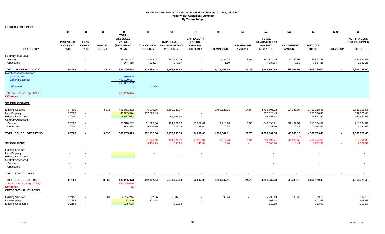| <b>EUREKA COUNTY</b>                                                                                                             |                                             |                                                  |                               |                                                                       |                                      |                                                                 |                                                                          |                   |                                   |                                                                 |                                   |                                         |                  |                                                                         |
|----------------------------------------------------------------------------------------------------------------------------------|---------------------------------------------|--------------------------------------------------|-------------------------------|-----------------------------------------------------------------------|--------------------------------------|-----------------------------------------------------------------|--------------------------------------------------------------------------|-------------------|-----------------------------------|-----------------------------------------------------------------|-----------------------------------|-----------------------------------------|------------------|-------------------------------------------------------------------------|
|                                                                                                                                  | (1)                                         | (2)                                              | (3)                           | (4)                                                                   | (5)                                  | (6)                                                             | (7)                                                                      | (8)               | (9)                               | (10)                                                            | (11)                              | (12)                                    | (13)             | (15)                                                                    |
| TAX_ENTITY                                                                                                                       | <b>PROPOSED</b><br>FY 12 TAX<br><b>RATE</b> | <b>FY 12</b><br><b>EXEMPT</b><br><b>RATE</b>     | <b>PARCEL</b><br><b>COUNT</b> | <b>TOTAL</b><br><b>ASSESSED</b><br><b>VALUE</b><br>(EXCLUDING<br>NPM) | <b>TAX ON NEW</b><br><b>PROPERTY</b> | <b>CAP-SUBJECT</b><br><b>TAX ON EXISTING</b><br><b>PROPERTY</b> | <b>CAP-EXEMPT</b><br><b>TAX ON</b><br><b>EXISTING</b><br><b>PROPERTY</b> | <b>EXEMPTIONS</b> | <b>RECAPTURE</b><br><b>AMOUNT</b> | <b>TOTAL</b><br>PREABATED TAX<br><b>AMOUNT</b><br>$(5+6+7-8+9)$ | <b>ABATEMENT</b><br><b>AMOUNT</b> | NET_TAX<br>$(10-11)$                    | <b>REDEVELOP</b> | <b>NET TAX LESS</b><br><b>REDEVELOPMEN</b><br>$\mathbf{T}$<br>$(12-13)$ |
|                                                                                                                                  |                                             |                                                  |                               |                                                                       |                                      |                                                                 |                                                                          |                   |                                   |                                                                 |                                   |                                         |                  |                                                                         |
| <b>Centrally Assessed</b><br>Secured<br>Unsecured                                                                                |                                             |                                                  |                               | 33,318,247<br>944,418                                                 | 12,659.48<br>7,218.37                | 280,332.06<br>770.57                                            | $\sim$                                                                   | 11,185.74<br>1.10 | 8.65<br>$\sim$                    | 281,814.45<br>7,987.84                                          | 36,252.97<br>0.59                 | 245,561.48<br>7,987.25                  |                  | 245,561.48<br>7,987.25                                                  |
| <b>TOTAL GENERAL COUNTY</b>                                                                                                      | 0.8458                                      |                                                  | 3,836                         | 586,205,078                                                           | 408,389.08                           | 6,568,999.63                                                    | $\overline{\phantom{a}}$                                                 | 2,019,259.40      | 25.38                             | 4,958,154.69                                                    | 52,365.69                         | 4,905,789.00                            |                  | 4,905,789.00                                                            |
| <b>March Assessors Report:</b><br>New secured<br><b>Existing Secured</b><br><b>Difference</b><br>Total AV - March Seg - Col. Q   |                                             |                                                  |                               | 930,645<br>497,120,557<br>498,051,202<br>$\sim$<br>586,205,076        | 0.00%                                |                                                                 |                                                                          |                   |                                   |                                                                 |                                   |                                         |                  |                                                                         |
| <b>Difference</b>                                                                                                                |                                             |                                                  |                               | $\overline{2}$                                                        |                                      |                                                                 |                                                                          |                   |                                   |                                                                 |                                   |                                         |                  |                                                                         |
| <b>SCHOOL DISTRICT</b>                                                                                                           |                                             |                                                  |                               |                                                                       |                                      |                                                                 |                                                                          |                   |                                   |                                                                 |                                   |                                         |                  |                                                                         |
| <b>Existing Secured</b><br><b>New Property</b><br><b>Existing Unsecured</b><br><b>Centrally Assessed</b>                         | 0.7500<br>0.7500<br>0.7500                  | ÷,<br>$\overline{\phantom{a}}$<br>$\blacksquare$ | 3,836                         | 498,051,202<br>45,003,524<br>8,887,682                                | 6,979.86<br>337,526.43               | 5,509,039.37<br>66,657.62                                       | $\sim$<br>$\sim$                                                         | 1,780,627.35      | 14.84                             | 3,735,406.72<br>337,526.43<br>66,657.62                         | 14,288.07                         | 3,721,118.65<br>337,526.43<br>66,657.62 |                  | 3,721,118.65<br>337,526.43<br>66,657.62                                 |
| Secured<br>Unsecured                                                                                                             | 0.7500<br>0.7500                            | $\blacksquare$                                   |                               | 33,318,247<br>944,418                                                 | 11,225.56<br>6,400.79                | 194,721.06<br>535.25                                            | 53,859.01<br>148.04                                                      | 9,918.78<br>0.98  | 6.86<br>$\blacksquare$            | 249,893.71<br>7,083.10                                          | 31,499.62<br>0.41                 | 218,394.09<br>7,082.69                  |                  | 218,394.09<br>7,082.69                                                  |
| TOTAL SCHOOL OPERATING                                                                                                           | 0.7500                                      |                                                  | 3,836                         | 586,205,073                                                           | 362,132.64                           | 5,770,953.30                                                    | 54,007.05                                                                | 1,790,547.11      | 21.70                             | 4,396,567.58                                                    | 45,788.10                         | 4,350,779.48                            | $\sim$           | 4,350,779.48                                                            |
| <b>SCHOOL DEBT</b>                                                                                                               |                                             |                                                  |                               |                                                                       | 11,225.56<br>6,400.79                | 194,721.06<br>535.25                                            | 53,859.01<br>148.04                                                      | 9,918.78<br>0.98  | 6.86<br>$\sim$                    | 249,893.71<br>7,083.10                                          | 1.04%<br>31,499.62<br>0.41        | 218,394.09<br>7,082.69                  |                  | 218,394.09<br>7,082.69                                                  |
| <b>Existing Secured</b><br><b>New Property</b><br><b>Existing Unsecured</b><br><b>Centrally Assessed</b><br>Secured<br>Unsecured |                                             |                                                  |                               |                                                                       |                                      |                                                                 |                                                                          |                   |                                   |                                                                 |                                   |                                         |                  |                                                                         |
| <b>TOTAL SCHOOL DEBT</b>                                                                                                         |                                             |                                                  |                               |                                                                       |                                      |                                                                 |                                                                          |                   |                                   |                                                                 |                                   |                                         |                  |                                                                         |
|                                                                                                                                  |                                             |                                                  |                               |                                                                       |                                      |                                                                 |                                                                          |                   |                                   |                                                                 |                                   |                                         |                  |                                                                         |
| <b>TOTAL SCHOOL DISTRICT</b><br>Total AV - March Seg - Col. Q<br><b>Difference</b><br><b>CRESCENT VALLEY TOWN</b>                | 0.7500                                      |                                                  | 3,836                         | 586,205,073<br>586,205,076<br>(3)                                     | 362,132.64                           | 5,770,953.30                                                    | 54,007.05                                                                | 1,790,547.11      | 21.70                             | 4,396,567.58                                                    | 45,788.10                         | 4,350,779.48                            | $\sim$           | 4,350,779.48                                                            |
| <b>Existing Secured</b><br><b>New Property</b><br><b>Existing Unsecured</b>                                                      | 0.2153<br>0.2153<br>0.2153                  | $\blacksquare$<br>$\blacksquare$                 | 501                           | 2,754,244<br>187,449<br>145,693                                       | 72.86<br>403.58                      | 5,887.51<br>313.68                                              |                                                                          | 30.24             |                                   | 5,930.13<br>403.58<br>313.68                                    | 190.98                            | 5,739.15<br>403.58<br>313.68            |                  | 5,739.15<br>403.58<br>313.68                                            |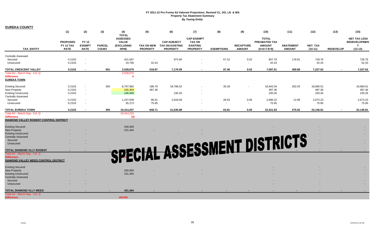| <b>EUREKA COUNTY</b>                                               |                              |                               |               |                                                               |                 |                                              |                                                       |                   |                  |                                                |                  |           |                  |                                                            |
|--------------------------------------------------------------------|------------------------------|-------------------------------|---------------|---------------------------------------------------------------|-----------------|----------------------------------------------|-------------------------------------------------------|-------------------|------------------|------------------------------------------------|------------------|-----------|------------------|------------------------------------------------------------|
|                                                                    | (1)                          | (2)                           | (3)           | (4)                                                           | (5)             | (6)                                          | (7)                                                   | (8)               | (9)              | (10)                                           | (11)             | (12)      | (13)             | (15)                                                       |
|                                                                    | <b>PROPOSED</b><br>FY 12 TAX | <b>FY 12</b><br><b>EXEMPT</b> | <b>PARCEL</b> | <b>TOTAL</b><br><b>ASSESSED</b><br><b>VALUE</b><br>(EXCLUDING | TAX ON NEW      | <b>CAP-SUBJECT</b><br><b>TAX ON EXISTING</b> | <b>CAP-EXEMPT</b><br><b>TAX ON</b><br><b>EXISTING</b> |                   | <b>RECAPTURE</b> | <b>TOTAL</b><br>PREABATED TAX<br><b>AMOUNT</b> | <b>ABATEMENT</b> | NET_TAX   |                  | <b>NET TAX LESS</b><br><b>REDEVELOPMEN</b><br>$\mathbf{T}$ |
| <b>TAX ENTITY</b>                                                  | <b>RATE</b>                  | <b>RATE</b>                   | <b>COUNT</b>  | NPM)                                                          | <b>PROPERTY</b> | <b>PROPERTY</b>                              | <b>PROPERTY</b>                                       | <b>EXEMPTIONS</b> | <b>AMOUNT</b>    | $(5+6+7-8+9)$                                  | <b>AMOUNT</b>    | $(10-11)$ | <b>REDEVELOP</b> | $(12-13)$                                                  |
| <b>Centrally Assessed</b>                                          |                              |                               |               |                                                               |                 |                                              |                                                       |                   |                  |                                                |                  |           |                  |                                                            |
| Secured                                                            | 0.2153                       | $\sim$                        |               | 421,587                                                       | $\sim$          | 974.90                                       | $\blacksquare$                                        | 67.22             | 0.02             | 907.70                                         | 178.91           | 728.79    |                  | 728.79                                                     |
| Unsecured                                                          | 0.2153                       |                               |               | 19,706                                                        | 42.43           |                                              |                                                       | $\sim$            | $\sim$           | 42.43                                          |                  | 42.43     |                  | 42.43                                                      |
| TOTAL CRESCENT VALLEY                                              | 0.2153                       |                               | 501           | 3,528,679                                                     | 518.87          | 7,176.09                                     | $\blacksquare$                                        | 97.46             | 0.02             | 7,597.51                                       | 369.89           | 7,227.62  |                  | 7,227.62                                                   |
| Total AV - March Seg - Col. Q                                      |                              |                               |               | 3,528,675                                                     |                 |                                              |                                                       |                   |                  |                                                |                  |           |                  |                                                            |
| <b>Difference</b>                                                  |                              |                               |               |                                                               |                 |                                              |                                                       |                   |                  |                                                |                  |           |                  |                                                            |
| <b>EUREKA TOWN</b>                                                 |                              |                               |               |                                                               |                 |                                              |                                                       |                   |                  |                                                |                  |           |                  |                                                            |
| <b>Existing Secured</b>                                            | 0.2153                       | $\sim$                        | 393           | 8,797,982                                                     | 188.79          | 18,788.53                                    | $\overline{\phantom{a}}$                              | 35.28             | $\sim$           | 18,942.04                                      | 262.03           | 18,680.01 |                  | 18,680.01                                                  |
| New Property                                                       | 0.2153                       | $\sim$                        |               | 226,363                                                       | 487.36          |                                              | $\overline{\phantom{a}}$                              |                   |                  | 487.36                                         |                  | 487.36    |                  | 487.36                                                     |
| <b>Existing Unsecured</b>                                          | 0.2153                       | $\sim$                        |               | 106,949                                                       |                 | 230.26                                       | $\blacksquare$                                        |                   |                  | 230.26                                         |                  | 230.26    |                  | 230.26                                                     |
| Centrally Assessed                                                 |                              |                               |               |                                                               |                 |                                              |                                                       |                   |                  |                                                |                  |           |                  |                                                            |
| Secured                                                            | 0.2153                       |                               |               | 1,247,639                                                     | 96.61           | 2,618.09                                     | $\overline{\phantom{a}}$                              | 28.53             | 0.05             | 2,686.22                                       | 12.99            | 2,673.23  |                  | 2,673.23                                                   |
| Unsecured                                                          | 0.2153                       | $\sim$                        |               | 35,273                                                        | 75.95           | $\sim$                                       | $\sim$                                                | $\sim$            | $\sim$           | 75.95                                          |                  | 75.95     |                  | 75.95                                                      |
| <b>TOTAL EUREKA TOWN</b>                                           | 0.2153                       |                               | 393           | 10,414,207                                                    | 848.71          | 21.636.88                                    | $\blacksquare$                                        | 63.81             | 0.05             | 22.421.83                                      | 275.02           | 22,146.81 |                  | 22,146.81                                                  |
| Total AV - March Seg - Col. Q                                      |                              |                               |               | 10,414,210                                                    |                 |                                              |                                                       |                   |                  |                                                |                  |           |                  |                                                            |
| <b>Difference</b><br><b>DIAMOND VALLEY RODENT CONTROL DISTRICT</b> |                              |                               |               | (3)                                                           |                 |                                              |                                                       |                   |                  |                                                |                  |           |                  |                                                            |
|                                                                    |                              |                               |               |                                                               |                 |                                              |                                                       |                   |                  |                                                |                  |           |                  |                                                            |
| <b>Existing Secured</b>                                            |                              |                               |               | 200,000                                                       |                 |                                              |                                                       |                   |                  |                                                |                  |           |                  |                                                            |
| <b>New Property</b>                                                |                              |                               |               | 231,464                                                       |                 |                                              |                                                       |                   |                  |                                                |                  |           |                  |                                                            |
| <b>Existing Unsecured</b>                                          |                              |                               |               |                                                               |                 |                                              |                                                       |                   |                  |                                                |                  |           |                  |                                                            |
| <b>Centrally Assessed</b>                                          |                              |                               |               |                                                               |                 |                                              |                                                       |                   |                  |                                                |                  |           |                  |                                                            |
| Secured                                                            |                              |                               |               |                                                               |                 |                                              |                                                       |                   |                  |                                                |                  |           |                  |                                                            |
| Unsecured                                                          |                              |                               |               |                                                               |                 |                                              |                                                       |                   |                  |                                                |                  |           |                  |                                                            |
| TOTAL DIAMOND VLLY RODENT                                          |                              |                               |               |                                                               |                 |                                              |                                                       |                   |                  | SSESSMENT DISTRICTS                            |                  |           |                  |                                                            |
| Total AV - March Seg - Col. Q                                      |                              |                               |               |                                                               |                 |                                              |                                                       |                   |                  |                                                |                  |           |                  |                                                            |
| <b>Difference</b>                                                  |                              |                               |               |                                                               |                 |                                              |                                                       |                   |                  |                                                |                  |           |                  |                                                            |
| DIAMOND VALLEY WEED CONTROL DISTRICT                               |                              |                               |               |                                                               |                 |                                              |                                                       |                   |                  |                                                |                  |           |                  |                                                            |
| <b>Existing Secured</b>                                            |                              |                               |               |                                                               |                 |                                              |                                                       |                   |                  |                                                |                  |           |                  |                                                            |
| <b>New Property</b>                                                |                              |                               |               | 200,000                                                       |                 |                                              |                                                       |                   |                  |                                                |                  |           |                  |                                                            |
| <b>Existing Unsecured</b>                                          |                              |                               |               | 231,464                                                       |                 |                                              |                                                       |                   |                  |                                                |                  |           |                  |                                                            |
| <b>Centrally Assessed</b>                                          |                              |                               |               |                                                               |                 |                                              |                                                       |                   |                  |                                                |                  |           |                  |                                                            |
| Secured                                                            |                              |                               |               |                                                               |                 |                                              |                                                       |                   |                  |                                                |                  |           |                  |                                                            |
| Unsecured                                                          |                              |                               |               |                                                               |                 |                                              |                                                       |                   |                  |                                                |                  |           |                  |                                                            |
| TOTAL DIAMOND VLLY WEED                                            |                              |                               |               | 431,464                                                       |                 |                                              |                                                       |                   |                  |                                                |                  |           |                  |                                                            |
| Total AV - March Seg - Col. Q                                      |                              |                               |               |                                                               |                 |                                              |                                                       |                   |                  |                                                |                  |           |                  |                                                            |
| <b>Difference</b>                                                  |                              |                               |               | #DIV/0!                                                       |                 |                                              |                                                       |                   |                  |                                                |                  |           |                  |                                                            |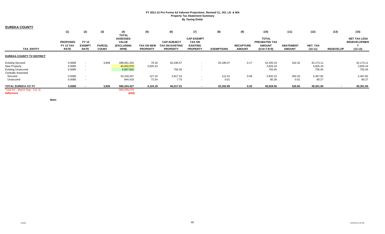| <b>EUREKA COUNTY</b>                               |                                             |                                              |                               |                                                              |                                      |                                                          |                                                                          |                   |                                   |                                                                 |                                   |                      |                  |                                                         |
|----------------------------------------------------|---------------------------------------------|----------------------------------------------|-------------------------------|--------------------------------------------------------------|--------------------------------------|----------------------------------------------------------|--------------------------------------------------------------------------|-------------------|-----------------------------------|-----------------------------------------------------------------|-----------------------------------|----------------------|------------------|---------------------------------------------------------|
|                                                    | (1)                                         | (2)                                          | (3)                           | (4)<br><b>TOTAL</b>                                          | (5)                                  | (6)                                                      | (7)                                                                      | (8)               | (9)                               | (10)                                                            | (11)                              | (12)                 | (13)             | (15)                                                    |
| <b>TAX ENTITY</b>                                  | <b>PROPOSED</b><br>FY 12 TAX<br><b>RATE</b> | <b>FY 12</b><br><b>EXEMPT</b><br><b>RATE</b> | <b>PARCEL</b><br><b>COUNT</b> | <b>ASSESSED</b><br><b>VALUE</b><br><b>(EXCLUDING</b><br>NPM) | <b>TAX ON NEW</b><br><b>PROPERTY</b> | <b>CAP-SUBJECT</b><br>TAX ON EXISTING<br><b>PROPERTY</b> | <b>CAP-EXEMPT</b><br><b>TAX ON</b><br><b>EXISTING</b><br><b>PROPERTY</b> | <b>EXEMPTIONS</b> | <b>RECAPTURE</b><br><b>AMOUNT</b> | <b>TOTAL</b><br>PREABATED TAX<br><b>AMOUNT</b><br>$(5+6+7-8+9)$ | <b>ABATEMENT</b><br><b>AMOUNT</b> | NET_TAX<br>$(10-11)$ | <b>REDEVELOP</b> | <b>NET TAX LESS</b><br><b>REDEVELOPMEN</b><br>$(12-13)$ |
| <b>EUREKA COUNTY TV DISTRICT</b>                   |                                             |                                              |                               |                                                              |                                      |                                                          |                                                                          |                   |                                   |                                                                 |                                   |                      |                  |                                                         |
| <b>Existing Secured</b>                            | 0.0085                                      | $\sim$                                       | 3,836                         | 498,051,202                                                  | 79.16                                | 62,436.57                                                | $\sim$                                                                   | 20,180.47         | 0.17                              | 42,335.43                                                       | 162.32                            | 42,173.11            |                  | 42,173.11                                               |
| New Property                                       | 0.0085                                      | $\sim$                                       |                               | 45,002,878                                                   | 3,825.24                             |                                                          | $\overline{\phantom{a}}$                                                 |                   |                                   | 3,825.24                                                        |                                   | 3,825.24             |                  | 3,825.24                                                |
| <b>Existing Unsecured</b>                          | 0.0085                                      | $\sim$                                       |                               | 8,887,682                                                    |                                      | 755.45                                                   |                                                                          |                   |                                   | 755.45                                                          |                                   | 755.45               |                  | 755.45                                                  |
| <b>Centrally Assessed</b>                          |                                             |                                              |                               |                                                              |                                      |                                                          |                                                                          |                   |                                   |                                                                 |                                   |                      |                  |                                                         |
| Secured                                            | 0.0085                                      | $\sim$                                       |                               | 33,318,247                                                   | 127.24                               | 2,817.24                                                 | $\sim$                                                                   | 112.41            | 0.08                              | 2,832.15                                                        | 364.33                            | 2,467.82             |                  | 2,467.82                                                |
| Unsecured                                          | 0.0085                                      | $\sim$                                       |                               | 944,418                                                      | 72.54                                | 7.75                                                     | $\sim$                                                                   | 0.01              | $\sim$                            | 80.28                                                           | 0.01                              | 80.27                |                  | 80.27                                                   |
| <b>TOTAL EUREKA CO TV</b>                          | 0.0085                                      |                                              | 3,836                         | 586,204,427                                                  | 4,104.18                             | 66,017.01                                                | $\overline{\phantom{a}}$                                                 | 20,292.89         | 0.25                              | 49,828.56                                                       | 526.66                            | 49,301.90            |                  | 49,301.90                                               |
| Total AV - March Seg - Col. Q<br><b>Difference</b> |                                             |                                              |                               | 586,205,076<br>(649)                                         |                                      |                                                          |                                                                          |                   |                                   |                                                                 |                                   |                      |                  |                                                         |

**Note:**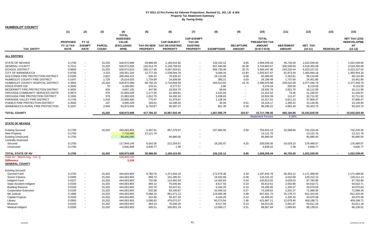| <b>HUMBOLDT COUNTY</b>                             |                  |                |               |                            |                 |                            |                          |                   |                  |                          |                  |               |                          |                     |
|----------------------------------------------------|------------------|----------------|---------------|----------------------------|-----------------|----------------------------|--------------------------|-------------------|------------------|--------------------------|------------------|---------------|--------------------------|---------------------|
|                                                    | (1)              | (2)            | (3)           | (4)                        | (5)             | (6)                        | (7)                      | (8)               | (9)              | (10)                     | (11)             | (12)          | (13)                     | (15)                |
|                                                    |                  |                |               | <b>TOTAL</b>               |                 |                            |                          |                   |                  |                          |                  |               |                          |                     |
|                                                    |                  |                |               | <b>ASSESSED</b>            |                 |                            | <b>CAP-EXEMPT</b>        |                   |                  | <b>TOTAL</b>             |                  |               |                          | <b>NET TAX LESS</b> |
|                                                    | <b>PROPOSED</b>  | <b>FY 12</b>   |               | <b>VALUE</b>               |                 | <b>CAP-SUBJECT</b>         | <b>TAX ON</b>            |                   |                  | PREABATED TAX            |                  |               |                          | <b>REDEVELOPME</b>  |
|                                                    | <b>FY 12 TAX</b> | <b>EXEMPT</b>  | <b>PARCEL</b> | <b>(EXCLUDING</b>          |                 | TAX ON NEW TAX ON EXISTING | <b>EXISTING</b>          |                   | <b>RECAPTURE</b> | <b>AMOUNT</b>            | <b>ABATEMENT</b> | NET_TAX       |                          | NT                  |
| <b>TAX ENTITY</b>                                  | <b>RATE</b>      | <b>RATE</b>    | <b>COUNT</b>  | NPM)                       | <b>PROPERTY</b> | <b>PROPERTY</b>            | <b>PROPERTY</b>          | <b>EXEMPTIONS</b> | <b>AMOUNT</b>    | $(5+6+7-8+9)$            | <b>AMOUNT</b>    | $(10-11)$     | <b>REDEVELOP</b>         | $(12-13)$           |
| <b>ALL ENTITIES</b>                                |                  |                |               |                            |                 |                            |                          |                   |                  |                          |                  |               |                          |                     |
| STATE OF NEVADA                                    | 0.1700           | $\sim$         | 15,202        | 628,972,698                | 29,988.69       | 1,165,415.92               | $\sim$                   | 126,152.12        | 6.85             | 1,069,259.34             | 46,720.29        | 1,022,539.05  | $\sim$                   | 1,022,539.05        |
| <b>GENERAL COUNTY</b>                              | 0.7512           | $\sim$         | 15,202        | 628,972,626                | 132,514.70      | 5,149,759.55               | $\sim$                   | 557,440.96        | 30.38            | 4,724,863.67             | 206,508.59       | 4,518,355.08  | $\blacksquare$           | 4,518,355.08        |
| <b>SCHOOL DISTRICT</b>                             | 0.8850           | $\blacksquare$ | 15,202        | 628,972,623                | 156,117.56      | 6,067,024.61               | $\blacksquare$           | 656,730.46        | 35.75            | 5,566,447.46             | 243,220.44       | 5,323,227.02  | $\overline{\phantom{a}}$ | 5,323,227.02        |
| <b>CITY OF WINNEMUCCA</b>                          | 0.9700           | $\sim$         | 3,153         | 159,361,234                | 13,777.30       | 1,538,594.78               | $\overline{\phantom{a}}$ | 6,568.34          | 13.93            | 1,545,817.67             | 61,873.49        | 1,483,944.18  |                          | 1,483,944.18        |
| <b>GOLCONDA FIRE PROTECTION DISTRICT</b>           | 0.0290           | $\sim$         | 2,822         | 208,484,415                | 636.32          | 78,935.15                  | $\overline{\phantom{a}}$ | 19,110.95         | 0.08             | 60,460.60                | 2,343.61         | 58,116.99     |                          | 58,116.99           |
| HUMBOLDT COUNTY FIRE DISTRICT                      | 0.1047           | $\blacksquare$ | 1,729         | 25,014,620                 | 1,734.99        | 24,839.69                  | $\sim$                   | 385.21            | 0.03             | 26,189.49                | 1,737.69         | 24,451.80     |                          | 24,451.80           |
| HUMBOLDT COUNTY HOSPITAL DISTRICT                  | 0.3954           | $\blacksquare$ | 15,202        | 628,972,586                | 69,750.16       | 2,710,626.59               | $\blacksquare$           | 293,413.63        | 15.76            | 2,486,978.88             | 109,532.09       | 2,377,446.79  |                          | 2,377,446.79        |
| KINGS RIVER GID                                    | 0.2000           |                | 76            | 4,189,082                  | 103.41          | 8,277.57                   |                          | 2.80              |                  | 8,378.18                 | 258.59           | 8,119.59      |                          | 8,119.59            |
| MCDERMITT FIRE PROTECTION DISTRICT                 | 0.4655           |                | 434           | 4,067,135                  | 447.90          | 18,554.70                  | $\overline{\phantom{a}}$ | 69.84             |                  | 18,932.76                | 2,821.70         | 16,111.06     | $\sim$                   | 16,111.06           |
| OROVADA COMMUNITY SERVICES DISTR                   | 0.0974           | $\blacksquare$ | 378           | 21,883,028                 | 1,177.05        | 22,369.81                  | $\blacksquare$           | 2,232.84          |                  | 21,314.02                | 73.05            | 21,240.97     |                          | 21,240.97           |
| OROVADA FIRE PROTECTION DISTRICT                   | 0.1500           | $\blacksquare$ | 378           | 21,883,028                 | 1,812.70        | 34,450.34                  | $\blacksquare$           | 3,438.65          |                  | 32,824.39                | 112.47           | 32,711.92     |                          | 32,711.92           |
| PARADISE VALLEY FIRE DISTRICT                      | 0.1745           | $\blacksquare$ | 1,418         | 23,850,450                 | 775.97          | 41,979.97                  | $\blacksquare$           | 1,138.34          | $\sim$           | 41,617.61                | 3,811.14         | 37,806.47     | $\overline{\phantom{a}}$ | 37,806.47           |
| PUEBLO FIRE PROTECTION DISTRICT                    | 0.3500           | $\sim$         | 197           | 4.690.229                  | 169.61          | 16,286.40                  |                          | 40.35             | 0.51             | 16.416.17                | 1,285.22         | 15.130.95     |                          | 15,130.95           |
| WINNEMUCCA RURAL FIRE PROTECTION                   | 0.1047           |                | 2,949         | 93,874,093                 | 8,759.87        | 90,387.37                  | $\overline{\phantom{a}}$ | 861.30            | 0.28             | 98,286.22                | 4,862.49         | 93,423.73     |                          | 93,423.73           |
|                                                    |                  |                |               |                            |                 |                            |                          |                   |                  |                          |                  |               |                          |                     |
| <b>TOTAL COUNTY</b>                                |                  |                | 15,202        | 628,972,698                | 417,766.22      | 16,967,502.45              | $\sim$                   | 1,667,585.79      | 103.57           | 15,717,786.45            | 685,160.86       | 15,032,625.59 | $\overline{\phantom{a}}$ | 15,032,625.59       |
|                                                    |                  |                |               |                            |                 |                            |                          |                   |                  | <b>Abatement Percent</b> | $4.36^{\circ}$   |               |                          |                     |
| <b>STATE OF NEVADA</b>                             |                  |                |               |                            |                 |                            |                          |                   |                  |                          |                  |               |                          |                     |
| <b>Existing Secured</b>                            | 0.1700           |                | 15,202        | 444,063,903                | 5,487.61        | 857,279.97                 |                          | 107,860.05        | 2.60             | 754,910.13               | 22,689.68        | 732,220.45    |                          | 732,220.45          |
| <b>New Property</b>                                | 0.1700           |                |               | 7,718,680                  | 13,121.76       |                            |                          |                   |                  | 13,121.76                |                  | 13,121.76     |                          | 13,121.76           |
| <b>Existing Unsecured</b>                          | 0.1700           |                |               | 56,400,000                 |                 | 95,880.00                  | $\sim$                   |                   |                  | 95,880.00                |                  | 95,880.00     |                          | 95,880.00           |
| <b>Centrally Assessed</b>                          |                  |                |               |                            |                 |                            |                          |                   |                  |                          |                  |               |                          |                     |
| Secured                                            | 0.1700           |                |               | 117,944,146                | 6,542.55        | 212,254.57                 | $\overline{\phantom{a}}$ | 18,292.07         | 4.25             | 200,509.30               | 24,029.23        | 176,480.07    |                          | 176,480.07          |
| Unsecured                                          | 0.1700           |                |               | 2,845,969                  | 4,836.77        | 1.38                       | $\sim$                   |                   | $\sim$           | 4,838.15                 | 1.38             | 4,836.77      |                          | 4,836.77            |
|                                                    |                  |                |               |                            |                 |                            |                          |                   |                  |                          |                  |               |                          |                     |
| TOTAL STATE OF NV<br>Total AV - March Seg - Col. Q | 0.1700           |                | 15,202        | 628,972,698<br>628,969,539 | 29,988.69       | 1,165,415.92               | $\blacksquare$           | 126,152.12        | 6.85             | 1,069,259.34             | 46,720.29        | 1,022,539.05  |                          | 1,022,539.05        |
| <b>Difference</b>                                  |                  |                |               | 3,159                      |                 |                            |                          |                   |                  |                          |                  |               |                          |                     |
| <b>GENERAL COUNTY</b>                              |                  |                |               |                            |                 |                            |                          |                   |                  |                          |                  |               |                          |                     |
| <b>Existing Secured</b>                            |                  |                |               |                            |                 |                            |                          |                   |                  |                          |                  |               |                          |                     |
| <b>General Fund</b>                                | 0.2720           | $\sim$         | 15,202        | 444,063,903                | 8,780.70        | 1,371,634.15               | $\overline{\phantom{a}}$ | 172,576.36        | 4.29             | 1,207,842.78             | 36,353.12        | 1,171,489.66  |                          | 1,171,489.66        |
| <b>Senior Citizens</b>                             | 0.0300           | $\sim$         | 15,202        | 444,063,903                | 968.72          | 151,285.91                 |                          | 19,032.89         | 0.48             | 133,222.22               | 4,010.09         | 129,212.13    |                          | 129,212.13          |
| Indigent Fund                                      | 0.0227           | $\sim$         | 15,202        | 444,063,903                | 732.68          | 114,482.83                 | $\sim$                   | 14,402.83         | 0.34             | 100,813.02               | 3,029.03         | 97,783.99     |                          | 97,783.99           |
| <b>State Accident Indigent</b>                     | 0.0150           | $\sim$         | 15,202        | 444,063,903                | 484.12          | 75,646.66                  | $\blacksquare$           | 9.517.50          | 0.23             | 66.613.51                | 2,002.80         | 64.610.71     |                          | 64,610.71           |
| <b>Building Reserve</b>                            | 0.0100           | $\blacksquare$ | 15,202        | 444,063,903                | 322.70          | 50,427.41                  | $\overline{\phantom{a}}$ | 6,344.25          | 0.14             | 44,406.00                | 1,335.37         | 43,070.63     |                          | 43,070.63           |
| <b>Cooperative Extension</b>                       | 0.0165           | $\blacksquare$ | 15,202        | 444,063,903                | 532.58          | 83,205.87                  | $\sim$                   | 10,469.10         | 0.27             | 73,269.62                | 2,201.27         | 71,068.35     |                          | 71,068.35           |
| 6th Judicial                                       | 0.1886           | $\blacksquare$ | 15,202        | 444,063,903                | 6,088.10        | 951,071.12                 | $\sim$                   | 119,660.38        | 2.88             | 837,501.72               | 25,178.72        | 812,323.00    |                          | 812,323.00          |
| <b>Capital Projects</b>                            | 0.0100           | $\blacksquare$ | 15,202        | 444,063,903                | 322.69          | 50,427.33                  | $\sim$                   | 6,344.25          | 0.14             | 44,405.91                | 1,335.33         | 43,070.58     |                          | 43,070.58           |
| Library                                            | 0.0950           | $\blacksquare$ | 15,202        | 444,063,903                | 3,066.62        | 479,072.57                 | $\blacksquare$           | 60,273.54         | 1.46             | 421,867.11               | 12,678.40        | 409,188.71    |                          | 409,188.71          |
| Museum                                             | 0.0150           | $\sim$         | 15,202        | 444,063,903                | 484.14          | 75,646.18                  |                          | 9,517.50          | 0.23             | 66,613.05                | 2,001.87         | 64,611.18     |                          | 64,611.18           |
| Medical Indigent                                   | 0.0200           | $\sim$         | 15,202        | 444,063,903                | 645.51          | 100,851.19                 |                          | 12.689.17         | 0.31             | 88.807.84                | 2.669.83         | 86,138.01     |                          | 86,138.01           |
|                                                    |                  |                |               |                            |                 |                            |                          |                   |                  |                          |                  |               |                          |                     |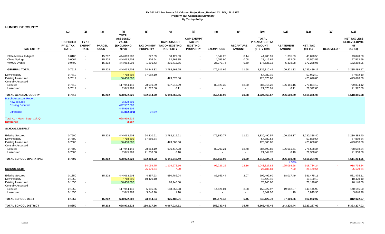**HUMBOLDT COUNTY**

|                                                                    | (1)                                                | (2)                                          | (3)                           | (4)                                                                   | (5)                    | (6)                                                                 | (7)                                                                      | (8)                  | (9)                               | (10)                                                            | (11)                              | (12)                        | (13)             | (15)                                                                |
|--------------------------------------------------------------------|----------------------------------------------------|----------------------------------------------|-------------------------------|-----------------------------------------------------------------------|------------------------|---------------------------------------------------------------------|--------------------------------------------------------------------------|----------------------|-----------------------------------|-----------------------------------------------------------------|-----------------------------------|-----------------------------|------------------|---------------------------------------------------------------------|
| <b>TAX ENTITY</b>                                                  | <b>PROPOSED</b><br><b>FY 12 TAX</b><br><b>RATE</b> | <b>FY 12</b><br><b>EXEMPT</b><br><b>RATE</b> | <b>PARCEL</b><br><b>COUNT</b> | <b>TOTAL</b><br><b>ASSESSED</b><br><b>VALUE</b><br>(EXCLUDING<br>NPM) | <b>PROPERTY</b>        | <b>CAP-SUBJECT</b><br>TAX ON NEW TAX ON EXISTING<br><b>PROPERTY</b> | <b>CAP-EXEMPT</b><br><b>TAX ON</b><br><b>EXISTING</b><br><b>PROPERTY</b> | <b>EXEMPTIONS</b>    | <b>RECAPTURE</b><br><b>AMOUNT</b> | <b>TOTAL</b><br>PREABATED TAX<br><b>AMOUNT</b><br>$(5+6+7-8+9)$ | <b>ABATEMENT</b><br><b>AMOUNT</b> | <b>NET TAX</b><br>$(10-11)$ | <b>REDEVELOP</b> | <b>NET TAX LESS</b><br><b>REDEVELOPME</b><br><b>NT</b><br>$(12-13)$ |
|                                                                    |                                                    | $\sim$                                       |                               |                                                                       |                        |                                                                     | $\sim$                                                                   |                      |                                   |                                                                 |                                   | 43,070.58                   |                  |                                                                     |
| State Medical Indigent<br>China Springs                            | 0.0100<br>0.0064                                   | $\sim$                                       | 15,202<br>15,202              | 444,063,903<br>444,063,903                                            | 322.69<br>206.64       | 50,427.33<br>32,268.85                                              | $\blacksquare$                                                           | 6,344.25<br>4,059.90 | 0.14<br>0.08                      | 44,405.91<br>28,415.67                                          | 1,335.33<br>852.08                | 27,563.59                   |                  | 43,070.58<br>27,563.59                                              |
| <b>WMCA Events</b>                                                 | 0.0400                                             | $\sim$                                       | 15,202                        | 444,063,903                                                           | 1,291.43               | 201,713.85                                                          | $\blacksquare$                                                           | 25,379.74            | 0.59                              | 177,626.13                                                      | 5,338.08                          | 172,288.05                  |                  | 172,288.05                                                          |
| <b>GENERAL TOTAL</b>                                               | 0.7512                                             |                                              | 15,202                        | 444,063,903                                                           | 24,249.32              | 3,788,161.25                                                        | $\sim$                                                                   | 476,611.66           | 11.58                             | 3,335,810.49                                                    | 100,321.32                        | 3,235,489.17                | $\sim$           | 3,235,489.17                                                        |
|                                                                    |                                                    |                                              |                               |                                                                       |                        |                                                                     |                                                                          |                      |                                   |                                                                 |                                   |                             |                  |                                                                     |
| <b>New Property</b>                                                | 0.7512                                             | $\sim$                                       |                               | 7,718,608                                                             | 57,982.19              |                                                                     | $\overline{\phantom{a}}$                                                 |                      |                                   | 57,982.19                                                       |                                   | 57,982.19                   |                  | 57,982.19                                                           |
| <b>Existing Unsecured</b>                                          | 0.7512                                             | $\sim$                                       |                               | 56,400,000                                                            |                        | 423,676.80                                                          | $\overline{\phantom{a}}$                                                 |                      |                                   | 423,676.80                                                      |                                   | 423,676.80                  |                  | 423,676.80                                                          |
| <b>Centrally Assessed</b><br>Secured                               | 0.7512                                             | $\sim$                                       |                               | 117,944,146                                                           | 28,910.39              | 937,915.39                                                          | $\overline{\phantom{a}}$                                                 | 80,829.30            | 18.80                             | 886,015.28                                                      | 106,181.16                        | 779,834.12                  |                  | 779,834.12                                                          |
| Unsecured                                                          | 0.7512                                             | $\sim$                                       |                               | 2,845,969                                                             | 21,372.80              | 6.11                                                                |                                                                          | $\blacksquare$       |                                   | 21,378.91                                                       | 6.11                              | 21,372.80                   |                  | 21,372.80                                                           |
|                                                                    |                                                    |                                              |                               |                                                                       |                        |                                                                     |                                                                          |                      |                                   |                                                                 |                                   |                             |                  |                                                                     |
| <b>TOTAL GENERAL COUNTY</b><br><b>March Assessors Report:</b>      | 0.7512                                             |                                              | 15,202                        | 628,972,626                                                           | 132,514.70             | 5,149,759.55                                                        |                                                                          | 557,440.96           | 30.38                             | 4,724,863.67                                                    | 206,508.59                        | 4,518,355.08                |                  | 4,518,355.08                                                        |
| <b>New secured</b><br><b>Existing Secured</b><br><b>Difference</b> |                                                    |                                              |                               | 3,328,501<br>442,587,603<br>445,916,104<br>(1,852,201)                | $-0.42%$               |                                                                     |                                                                          |                      |                                   |                                                                 |                                   |                             |                  |                                                                     |
| Total AV - March Seg - Col. Q<br><b>Difference</b>                 |                                                    |                                              |                               | 628,969,539<br>3,087                                                  |                        |                                                                     |                                                                          |                      |                                   |                                                                 |                                   |                             |                  |                                                                     |
| <b>SCHOOL DISTRICT</b>                                             |                                                    |                                              |                               |                                                                       |                        |                                                                     |                                                                          |                      |                                   |                                                                 |                                   |                             |                  |                                                                     |
| <b>Existing Secured</b>                                            | 0.7500                                             |                                              | 15,202                        | 444,063,903                                                           | 24,210.61              | 3,782,119.21                                                        |                                                                          | 475,850.77           | 11.52                             | 3,330,490.57                                                    | 100,102.17                        | 3,230,388.40                |                  | 3,230,388.40                                                        |
| New Property                                                       | 0.7500                                             | $\sim$                                       |                               | 7,718,605                                                             | 57,889.54              |                                                                     |                                                                          |                      |                                   | 57,889.54                                                       |                                   | 57,889.54                   |                  | 57,889.54                                                           |
| <b>Existing Unsecured</b>                                          | 0.7500                                             | $\sim$                                       |                               | 56,400,000                                                            |                        | 423,000.00                                                          | $\blacksquare$                                                           |                      |                                   | 423,000.00                                                      |                                   | 423,000.00                  |                  | 423,000.00                                                          |
| <b>Centrally Assessed</b>                                          |                                                    |                                              |                               |                                                                       |                        |                                                                     |                                                                          |                      |                                   |                                                                 |                                   |                             |                  |                                                                     |
| Secured                                                            | 0.7500                                             | $\sim$                                       |                               | 117,944,146                                                           | 28,864.19              | 936,417.08                                                          | $\overline{\phantom{a}}$                                                 | 80,700.21            | 18.78                             | 884,599.85                                                      | 106,011.51                        | 778,588.34                  |                  | 778,588.34                                                          |
| Unsecured                                                          | 0.7500                                             | $\sim$                                       |                               | 2,845,969                                                             | 21,338.68              | 6.10                                                                | $\blacksquare$                                                           | $\sim$               |                                   | 21,344.78                                                       | 6.10                              | 21,338.68                   |                  | 21,338.68                                                           |
| TOTAL SCHOOL OPERATING                                             | 0.7500                                             |                                              | 15,202                        | 628,972,623                                                           | 132,303.02             | 5,141,542.40                                                        | $\sim$                                                                   | 556,550.98           | 30.30                             | 4,717,324.73                                                    | 206,119.78                        | 4,511,204.95                | $\sim$           | 4,511,204.95                                                        |
|                                                                    |                                                    |                                              |                               |                                                                       |                        |                                                                     |                                                                          |                      |                                   |                                                                 | 4.37%                             |                             | $\sim$           |                                                                     |
| <b>SCHOOL DEBT</b>                                                 |                                                    |                                              |                               |                                                                       | 34,059.75<br>25,179.64 | 1,104,972.16<br>7.20                                                | $\sim$<br>$\sim$                                                         | 95,226.25<br>$\sim$  | 22.16                             | 1,043,827.82<br>25,186.84                                       | 125,093.58<br>7.20                | 918,734.24<br>25,179.64     | $\sim$           | 918,734.24<br>25,179.64                                             |
|                                                                    |                                                    |                                              |                               |                                                                       |                        |                                                                     |                                                                          |                      |                                   |                                                                 |                                   |                             |                  |                                                                     |
| <b>Existing Secured</b>                                            | 0.1350<br>0.1350                                   | $\sim$                                       | 15,202                        | 444,063,903<br>7,718,590                                              | 4,357.93<br>10,420.10  | 680,786.04                                                          | $\overline{\phantom{a}}$                                                 | 85,653.44            | 2.07                              | 599,492.60<br>10,420.10                                         | 18,017.49                         | 581,475.11<br>10,420.10     |                  | 581,475.11<br>10,420.10                                             |
| New Property<br><b>Existing Unsecured</b>                          | 0.1350                                             | $\sim$                                       |                               | 56,400,000                                                            |                        | 76,140.00                                                           | $\overline{\phantom{a}}$                                                 |                      |                                   | 76,140.00                                                       |                                   | 76,140.00                   |                  | 76,140.00                                                           |
| Centrally Assessed                                                 |                                                    |                                              |                               |                                                                       |                        |                                                                     |                                                                          |                      |                                   |                                                                 |                                   |                             |                  |                                                                     |
| Secured                                                            | 0.1350                                             |                                              |                               | 117,944,146                                                           | 5,195.56               | 168,555.08                                                          |                                                                          | 14,526.04            | 3.38                              | 159,227.97                                                      | 19,082.07                         | 140,145.90                  |                  | 140,145.90                                                          |
| Unsecured                                                          | 0.1350                                             |                                              |                               | 2,845,969                                                             | 3,840.96               | 1.10                                                                | $\blacksquare$                                                           | $\blacksquare$       |                                   | 3,842.06                                                        | 1.10                              | 3,840.96                    |                  | 3,840.96                                                            |
| <b>TOTAL SCHOOL DEBT</b>                                           | 0.1350                                             |                                              | 15,202                        | 628,972,608                                                           | 23,814.54              | 925,482.21                                                          | $\overline{\phantom{a}}$                                                 | 100,179.48           | 5.45                              | 849,122.73                                                      | 37,100.66                         | 812,022.07                  |                  | 812,022.07                                                          |
|                                                                    |                                                    |                                              |                               |                                                                       |                        |                                                                     |                                                                          |                      |                                   |                                                                 |                                   |                             |                  |                                                                     |
| <b>TOTAL SCHOOL DISTRICT</b>                                       | 0.8850                                             |                                              | 15,202                        | 628,972,623                                                           | 156,117.56             | 6,067,024.61                                                        | $\overline{\phantom{a}}$                                                 | 656.730.46           | 35.75                             | 5,566,447.46                                                    | 243,220.44                        | 5,323,227.02                |                  | 5,323,227.02                                                        |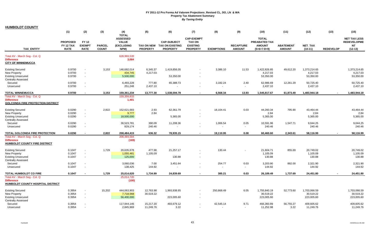|  |  | <b>HUMBOLDT COUNTY</b> |  |  |
|--|--|------------------------|--|--|
|  |  |                        |  |  |

|                                                                                                | (1)                                         | (2)                                          | (3)                           | (4)<br><b>TOTAL</b>                                          | (5)                    | (6)                                                                 | (7)                                                                      | (8)               | (9)                               | (10)                                                            | (11)                              | (12)                                    | (13)             | (15)                                                                |
|------------------------------------------------------------------------------------------------|---------------------------------------------|----------------------------------------------|-------------------------------|--------------------------------------------------------------|------------------------|---------------------------------------------------------------------|--------------------------------------------------------------------------|-------------------|-----------------------------------|-----------------------------------------------------------------|-----------------------------------|-----------------------------------------|------------------|---------------------------------------------------------------------|
| <b>TAX ENTITY</b>                                                                              | <b>PROPOSED</b><br>FY 12 TAX<br><b>RATE</b> | <b>FY 12</b><br><b>EXEMPT</b><br><b>RATE</b> | <b>PARCEL</b><br><b>COUNT</b> | <b>ASSESSED</b><br><b>VALUE</b><br><b>(EXCLUDING</b><br>NPM) | <b>PROPERTY</b>        | <b>CAP-SUBJECT</b><br>TAX ON NEW TAX ON EXISTING<br><b>PROPERTY</b> | <b>CAP-EXEMPT</b><br><b>TAX ON</b><br><b>EXISTING</b><br><b>PROPERTY</b> | <b>EXEMPTIONS</b> | <b>RECAPTURE</b><br><b>AMOUNT</b> | <b>TOTAL</b><br>PREABATED TAX<br><b>AMOUNT</b><br>$(5+6+7-8+9)$ | <b>ABATEMENT</b><br><b>AMOUNT</b> | NET_TAX<br>$(10-11)$                    | <b>REDEVELOP</b> | <b>NET TAX LESS</b><br><b>REDEVELOPME</b><br><b>NT</b><br>$(12-13)$ |
| Total AV - March Seg - Col. Q<br><b>Difference</b>                                             |                                             |                                              |                               | 628,969,539<br>3,084                                         |                        |                                                                     |                                                                          |                   |                                   |                                                                 |                                   |                                         |                  |                                                                     |
| <b>CITY OF WINNEMUCCA</b>                                                                      |                                             |                                              |                               |                                                              |                        |                                                                     |                                                                          |                   |                                   |                                                                 |                                   |                                         |                  |                                                                     |
| <b>Existing Secured</b><br><b>New Property</b><br><b>Existing Unsecured</b>                    | 0.9700<br>0.9700<br>0.9700                  | $\sim$                                       | 3,153                         | 146,682,014<br>434,745<br>5,500,000                          | 6,345.37<br>4,217.03   | 1,419,856.05<br>53,350.00                                           | $\blacksquare$<br>$\overline{\phantom{a}}$                               | 3,386.10          | 11.53                             | 1,422,826.85<br>4,217.03<br>53,350.00                           | 49,612.20                         | 1,373,214.65<br>4,217.03<br>53,350.00   |                  | 1,373,214.65<br>4,217.03<br>53,350.00                               |
| <b>Centrally Assessed</b><br>Secured                                                           | 0.9700                                      |                                              |                               | 6,493,228                                                    | 777.80                 | 65,388.73                                                           | $\blacksquare$                                                           | 3,182.24          | 2.40                              | 62,986.69                                                       | 12,261.29                         | 50,725.40                               |                  | 50,725.40                                                           |
| Unsecured                                                                                      | 0.9700                                      | $\sim$                                       |                               | 251,248                                                      | 2,437.10               |                                                                     | $\blacksquare$                                                           | $\omega$          | $\sim$                            | 2,437.10                                                        |                                   | 2,437.10                                |                  | 2,437.10                                                            |
| <b>TOTAL WINNEMUCCA</b>                                                                        | 0.9700                                      |                                              | 3,153                         | 159,361,234                                                  | 13,777.30              | 1,538,594.78                                                        |                                                                          | 6,568.34          | 13.93                             | 1,545,817.67                                                    | 61,873.49                         | 1,483,944.18                            |                  | 1,483,944.18                                                        |
| Total AV - March Seg - Col. Q<br><b>Difference</b><br><b>GOLCONDA FIRE PROTECTION DISTRICT</b> |                                             |                                              |                               | 159,359,833<br>1,401                                         |                        |                                                                     |                                                                          |                   |                                   |                                                                 |                                   |                                         |                  |                                                                     |
| <b>Existing Secured</b>                                                                        | 0.0290                                      |                                              | 2,822                         | 152,621,683                                                  | 2.93                   | 62,361.79                                                           |                                                                          | 18,104.41         | 0.03                              | 44,260.34                                                       | 795.90                            | 43,464.44                               |                  | 43,464.44                                                           |
| <b>New Property</b><br><b>Existing Unsecured</b><br><b>Centrally Assessed</b>                  | 0.0290<br>0.0290                            | $\sim$<br>$\sim$                             |                               | 9,777<br>18,500,000                                          | 2.84                   | 5,365.00                                                            | $\overline{\phantom{a}}$                                                 |                   |                                   | 2.84<br>5,365.00                                                |                                   | 2.84<br>5,365.00                        |                  | 2.84<br>5,365.00                                                    |
| Secured<br>Unsecured                                                                           | 0.0290<br>0.0290                            | $\sim$<br>$\sim$                             |                               | 36,523,781<br>829,174                                        | 390.09<br>240.46       | 11,208.36                                                           | $\overline{\phantom{a}}$<br>$\blacksquare$                               | 1,006.54          | 0.05                              | 10,591.96<br>240.46                                             | 1,547.71                          | 9,044.25<br>240.46                      |                  | 9,044.25<br>240.46                                                  |
| TOTAL GOLCONDA FIRE PROTECTION                                                                 | 0.0290                                      | $\overline{\phantom{a}}$                     | 2.822                         | 208,484,415                                                  | 636.32                 | 78,935.15                                                           | $\overline{\phantom{a}}$                                                 | 19,110.95         | 0.08                              | 60,460.60                                                       | 2,343.61                          | 58,116.99                               |                  | 58,116.99                                                           |
| Total AV - March Seg - Col. Q<br><b>Difference</b><br><b>HUMBOLDT COUNTY FIRE DISTRICT</b>     |                                             |                                              |                               | 208,484,584<br>(169)                                         |                        |                                                                     |                                                                          |                   |                                   |                                                                 |                                   |                                         |                  |                                                                     |
| <b>Existing Secured</b><br><b>New Property</b>                                                 | 0.1047<br>0.1047                            | $\sim$<br>$\sim$                             | 1,729                         | 20,635,678<br>1,055,481<br>125,000                           | 477.98<br>1,105.09     | 21,257.17<br>130.88                                                 |                                                                          | 130.44            |                                   | 21,604.71<br>1,105.09                                           | 855.69                            | 20,749.02<br>1,105.09<br>130.88         |                  | 20,749.02<br>1,105.09<br>130.88                                     |
| <b>Existing Unsecured</b><br><b>Centrally Assessed</b><br>Secured                              | 0.1047<br>0.1047                            | $\sim$                                       |                               | 3,060,036                                                    | 7.00                   | 3,451.64                                                            | $\overline{\phantom{a}}$<br>$\blacksquare$                               | 254.77            | 0.03                              | 130.88<br>3,203.90                                              | 882.00                            | 2,321.90                                |                  | 2,321.90                                                            |
| Unsecured                                                                                      | 0.1047                                      |                                              |                               | 138,425                                                      | 144.92                 |                                                                     |                                                                          | $\sim$            | $\sim$                            | 144.92                                                          |                                   | 144.92                                  |                  | 144.92                                                              |
| <b>TOTAL HUMBOLDT CO FIRE</b>                                                                  | 0.1047                                      |                                              | 1,729                         | 25,014,620                                                   | 1,734.99               | 24,839.69                                                           | $\blacksquare$                                                           | 385.21            | 0.03                              | 26,189.49                                                       | 1,737.69                          | 24,451.80                               |                  | 24,451.80                                                           |
| Total AV - March Seg - Col. Q<br><b>Difference</b><br>HUMBOLDT COUNTY HOSPITAL DISTRICT        |                                             |                                              |                               | 25,014,720<br>(100)                                          |                        |                                                                     |                                                                          |                   |                                   |                                                                 |                                   |                                         |                  |                                                                     |
| <b>Existing Secured</b><br><b>New Property</b><br><b>Existing Unsecured</b>                    | 0.3954<br>0.3954<br>0.3954                  | $\sim$<br>$\sim$                             | 15,202                        | 444,063,903<br>7,718,568<br>56,400,000                       | 12,763.98<br>30,519.22 | 1,993,938.65<br>223,005.60                                          | $\blacksquare$                                                           | 250,868.49        | 6.05                              | 1,755,840.19<br>30,519.22<br>223,005.60                         | 52,773.60                         | 1,703,066.59<br>30,519.22<br>223,005.60 |                  | 1,703,066.59<br>30,519.22<br>223,005.60                             |
| <b>Centrally Assessed</b><br>Secured<br>Unsecured                                              | 0.3954<br>0.3954                            | $\sim$                                       |                               | 117,944,146<br>2,845,969                                     | 15,217.20<br>11,249.76 | 493,679.12<br>3.22                                                  | $\blacksquare$                                                           | 42,545.14         | 9.71<br>$\sim$                    | 466,360.89<br>11,252.98                                         | 56,755.27<br>3.22                 | 409,605.62<br>11,249.76                 |                  | 409,605.62<br>11,249.76                                             |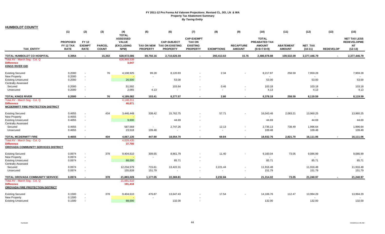**HUMBOLDT COUNTY**

|                                                                                           | (1)                                         | (2)                                          | (3)                           | (4)<br><b>TOTAL</b>                                          | (5)                                  | (6)                                                             | (7)                                                                      | (8)               | (9)                               | (10)                                                            | (11)                              | (12)                 | (13)             | (15)                                                                |
|-------------------------------------------------------------------------------------------|---------------------------------------------|----------------------------------------------|-------------------------------|--------------------------------------------------------------|--------------------------------------|-----------------------------------------------------------------|--------------------------------------------------------------------------|-------------------|-----------------------------------|-----------------------------------------------------------------|-----------------------------------|----------------------|------------------|---------------------------------------------------------------------|
| TAX_ENTITY                                                                                | <b>PROPOSED</b><br>FY 12 TAX<br><b>RATE</b> | <b>FY 12</b><br><b>EXEMPT</b><br><b>RATE</b> | <b>PARCEL</b><br><b>COUNT</b> | <b>ASSESSED</b><br><b>VALUE</b><br><b>(EXCLUDING</b><br>NPM) | <b>TAX ON NEW</b><br><b>PROPERTY</b> | <b>CAP-SUBJECT</b><br><b>TAX ON EXISTING</b><br><b>PROPERTY</b> | <b>CAP-EXEMPT</b><br><b>TAX ON</b><br><b>EXISTING</b><br><b>PROPERTY</b> | <b>EXEMPTIONS</b> | <b>RECAPTURE</b><br><b>AMOUNT</b> | <b>TOTAL</b><br>PREABATED TAX<br><b>AMOUNT</b><br>$(5+6+7-8+9)$ | <b>ABATEMENT</b><br><b>AMOUNT</b> | NET_TAX<br>$(10-11)$ | <b>REDEVELOP</b> | <b>NET TAX LESS</b><br><b>REDEVELOPME</b><br><b>NT</b><br>$(12-13)$ |
| TOTAL HUMBOLDT CO HOSPITAL                                                                | 0.3954                                      | $\sim$                                       | 15,202                        | 628,972,586                                                  | 69,750.16                            | 2,710,626.59                                                    | $\blacksquare$                                                           | 293,413.63        | 15.76                             | 2,486,978.88                                                    | 109,532.09                        | 2,377,446.79         | $\sim$           | 2,377,446.79                                                        |
| Total AV - March Seg - Col. Q<br><b>Difference</b><br><b>KINGS RIVER GID</b>              |                                             |                                              |                               | 628,969,539<br>3,047                                         |                                      |                                                                 |                                                                          |                   |                                   |                                                                 |                                   |                      |                  |                                                                     |
| <b>Existing Secured</b>                                                                   | 0.2000                                      | $\blacksquare$                               | 76                            | 4,108,925                                                    | 99.28                                | 8,120.93                                                        | $\blacksquare$                                                           | 2.34              |                                   | 8,217.87                                                        | 258.59                            | 7,959.28             |                  | 7,959.28                                                            |
| <b>New Property</b>                                                                       | 0.2000                                      | $\blacksquare$                               |                               |                                                              |                                      |                                                                 |                                                                          |                   |                                   | $\blacksquare$                                                  |                                   |                      |                  |                                                                     |
| <b>Existing Unsecured</b>                                                                 | 0.2000                                      | $\sim$                                       |                               | 26,500                                                       |                                      | 53.00                                                           | $\sim$                                                                   |                   |                                   | 53.00                                                           |                                   | 53.00                |                  | 53.00                                                               |
| <b>Centrally Assessed</b>                                                                 |                                             |                                              |                               |                                                              |                                      |                                                                 |                                                                          |                   |                                   |                                                                 |                                   |                      |                  |                                                                     |
| Secured<br>Unsecured                                                                      | 0.2000<br>0.2000                            | $\sim$<br>$\sim$                             |                               | 51,592<br>2,065                                              | $\sim$<br>4.13                       | 103.64                                                          | $\sim$                                                                   | 0.46<br>$\sim$    |                                   | 103.18<br>4.13                                                  |                                   | 103.18<br>4.13       |                  | 103.18<br>4.13                                                      |
|                                                                                           |                                             |                                              |                               |                                                              |                                      |                                                                 |                                                                          |                   |                                   |                                                                 |                                   |                      |                  |                                                                     |
| <b>TOTAL KINGS RIVER</b>                                                                  | 0.2000                                      | $\sim$                                       | 76                            | 4,189,082                                                    | 103.41                               | 8,277.57                                                        | $\blacksquare$                                                           | 2.80              |                                   | 8,378.18                                                        | 258.59                            | 8,119.59             |                  | 8,119.59                                                            |
| Total AV - March Seg - Col. Q                                                             |                                             |                                              |                               | 4,148,211                                                    |                                      |                                                                 |                                                                          |                   |                                   |                                                                 |                                   |                      |                  |                                                                     |
| <b>Difference</b><br><b>MCDERMITT FIRE PROTECTION DISTRICT</b>                            |                                             |                                              |                               | 40,871                                                       |                                      |                                                                 |                                                                          |                   |                                   |                                                                 |                                   |                      |                  |                                                                     |
| <b>Existing Secured</b>                                                                   | 0.4655                                      | $\sim$                                       | 434                           | 3,446,448                                                    | 338.42                               | 15,762.75                                                       |                                                                          | 57.71             |                                   | 16,043.46                                                       | 2,083.21                          | 13,960.25            |                  | 13,960.25                                                           |
| New Property                                                                              | 0.4655                                      | $\sim$                                       |                               |                                                              |                                      |                                                                 |                                                                          |                   |                                   |                                                                 |                                   | $\sim$               |                  |                                                                     |
| <b>Existing Unsecured</b><br><b>Centrally Assessed</b>                                    | 0.4655                                      | $\sim$                                       |                               | 9,600                                                        |                                      | 44.69                                                           | $\sim$                                                                   |                   |                                   | 44.69                                                           |                                   | 44.69                |                  | 44.69                                                               |
| Secured                                                                                   | 0.4655                                      | $\blacksquare$                               |                               | 587,568                                                      | $\sim$                               | 2,747.26                                                        | $\overline{\phantom{a}}$                                                 | 12.13             |                                   | 2,735.13                                                        | 738.49                            | 1,996.64             |                  | 1,996.64                                                            |
| Unsecured                                                                                 | 0.4655                                      | $\blacksquare$                               |                               | 23,518                                                       | 109.48                               |                                                                 | $\overline{\phantom{a}}$                                                 | $\blacksquare$    | $\sim$                            | 109.48                                                          |                                   | 109.48               |                  | 109.48                                                              |
|                                                                                           |                                             |                                              |                               |                                                              |                                      |                                                                 |                                                                          |                   |                                   |                                                                 |                                   |                      |                  |                                                                     |
| <b>TOTAL MCDERMITT FIRE</b>                                                               | 0.4655                                      |                                              | 434                           | 4,067,135                                                    | 447.90                               | 18,554.70                                                       | $\blacksquare$                                                           | 69.84             | $\blacksquare$                    | 18,932.76                                                       | 2,821.70                          | 16,111.06            |                  | 16,111.06                                                           |
| Total AV - March Seg - Col. Q<br><b>Difference</b><br>OROVADA COMMUNITY SERVICES DISTRICT |                                             |                                              |                               | 4,029,435<br>37,700                                          |                                      |                                                                 |                                                                          |                   |                                   |                                                                 |                                   |                      |                  |                                                                     |
| <b>Existing Secured</b>                                                                   | 0.0974                                      | $\sim$                                       | 378                           | 9,404,610                                                    | 309.65                               | 8,861.79                                                        |                                                                          | 11.40             |                                   | 9,160.04                                                        | 73.05                             | 9,086.99             |                  | 9,086.99                                                            |
| <b>New Property</b>                                                                       | 0.0974                                      | $\blacksquare$                               |                               |                                                              | $\sim$                               |                                                                 |                                                                          |                   |                                   | $\blacksquare$                                                  |                                   |                      |                  |                                                                     |
| <b>Existing Unsecured</b>                                                                 | 0.0974                                      | $\sim$                                       |                               | 88,000                                                       |                                      | 85.71                                                           | $\sim$                                                                   |                   |                                   | 85.71                                                           |                                   | 85.71                |                  | 85.71                                                               |
| <b>Centrally Assessed</b><br>Secured                                                      | 0.0974                                      | $\sim$                                       |                               | 12,234,579                                                   | 715.61                               | 13,422.31                                                       | $\overline{\phantom{a}}$                                                 | 2,221.44          |                                   | 11,916.48                                                       |                                   | 11,916.48            |                  | 11,916.48                                                           |
| Unsecured                                                                                 | 0.0974                                      | $\sim$                                       |                               | 155,839                                                      | 151.79                               | $\sim$                                                          | $\overline{a}$                                                           | $\overline{a}$    |                                   | 151.79                                                          |                                   | 151.79               |                  | 151.79                                                              |
|                                                                                           |                                             |                                              |                               |                                                              |                                      |                                                                 |                                                                          |                   |                                   |                                                                 |                                   |                      |                  |                                                                     |
| TOTAL OROVADA COMMUNITY SERVICE                                                           | 0.0974                                      |                                              | 378                           | 21,883,028                                                   | 1,177.05                             | 22,369.81                                                       | $\blacksquare$                                                           | 2,232.84          |                                   | 21,314.02                                                       | 73.05                             | 21,240.97            |                  | 21,240.97                                                           |
| Total AV - March Seq - Col. Q<br><b>Difference</b><br>OROVADA FIRE PROTECTION DISTRICT    |                                             |                                              |                               | 21,691,610<br>191,418                                        |                                      |                                                                 |                                                                          |                   |                                   |                                                                 |                                   |                      |                  |                                                                     |
| <b>Existing Secured</b>                                                                   | 0.1500                                      |                                              | 378                           | 9,404,610                                                    | 476.87                               | 13,647.43                                                       |                                                                          | 17.54             |                                   | 14,106.76                                                       | 112.47                            | 13,994.29            |                  | 13,994.29                                                           |
| <b>New Property</b>                                                                       | 0.1500                                      | $\blacksquare$                               |                               |                                                              |                                      |                                                                 |                                                                          |                   |                                   |                                                                 |                                   |                      |                  |                                                                     |
| <b>Existing Unsecured</b>                                                                 | 0.1500                                      | $\sim$                                       |                               | 88,000                                                       |                                      | 132.00                                                          | $\sim$                                                                   |                   |                                   | 132.00                                                          |                                   | 132.00               |                  | 132.00                                                              |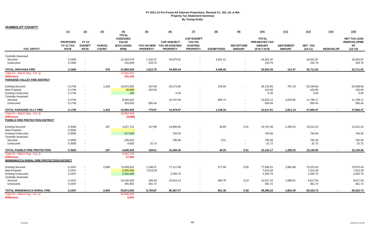**HUMBOLDT COUNTY**

|                                                        | (1)                                                | (2)                                          | (3)                           | (4)<br><b>TOTAL</b>                                   | (5)                                  | (6)                                                             | (7)                                                                      | (8)               | (9)                               | (10)                                                            | (11)                              | (12)                 | (13)             | (15)                                                                |
|--------------------------------------------------------|----------------------------------------------------|----------------------------------------------|-------------------------------|-------------------------------------------------------|--------------------------------------|-----------------------------------------------------------------|--------------------------------------------------------------------------|-------------------|-----------------------------------|-----------------------------------------------------------------|-----------------------------------|----------------------|------------------|---------------------------------------------------------------------|
| <b>TAX ENTITY</b>                                      | <b>PROPOSED</b><br><b>FY 12 TAX</b><br><b>RATE</b> | <b>FY 12</b><br><b>EXEMPT</b><br><b>RATE</b> | <b>PARCEL</b><br><b>COUNT</b> | <b>ASSESSED</b><br><b>VALUE</b><br>(EXCLUDING<br>NPM) | <b>TAX ON NEW</b><br><b>PROPERTY</b> | <b>CAP-SUBJECT</b><br><b>TAX ON EXISTING</b><br><b>PROPERTY</b> | <b>CAP-EXEMPT</b><br><b>TAX ON</b><br><b>EXISTING</b><br><b>PROPERTY</b> | <b>EXEMPTIONS</b> | <b>RECAPTURE</b><br><b>AMOUNT</b> | <b>TOTAL</b><br>PREABATED TAX<br><b>AMOUNT</b><br>$(5+6+7-8+9)$ | <b>ABATEMENT</b><br><b>AMOUNT</b> | NET_TAX<br>$(10-11)$ | <b>REDEVELOP</b> | <b>NET TAX LESS</b><br><b>REDEVELOPME</b><br><b>NT</b><br>$(12-13)$ |
| <b>Centrally Assessed</b>                              |                                                    |                                              |                               |                                                       |                                      |                                                                 |                                                                          |                   |                                   |                                                                 |                                   |                      |                  |                                                                     |
| Secured                                                | 0.1500                                             | $\sim$                                       |                               | 12,234,579                                            | 1,102.07                             | 20,670.91                                                       |                                                                          | 3,421.11          | $\sim$                            | 18,351.87                                                       |                                   | 18,351.87            |                  | 18,351.87                                                           |
| Unsecured                                              | 0.1500                                             | $\overline{\phantom{a}}$                     |                               | 155,839                                               | 233.76                               |                                                                 |                                                                          | $\sim$            | $\sim$                            | 233.76                                                          |                                   | 233.76               |                  | 233.76                                                              |
| TOTAL OROVADA FIRE                                     | 0.1500                                             | $\overline{\phantom{a}}$                     | 378                           | 21,883,028                                            | 1,812.70                             | 34,450.34                                                       | $\sim$                                                                   | 3,438.65          | $\sim$                            | 32,824.39                                                       | 112.47                            | 32,711.92            | $\sim$           | 32,711.92                                                           |
| Total AV - March Seg - Col. Q                          |                                                    |                                              |                               | 21,691,610                                            |                                      |                                                                 |                                                                          |                   |                                   |                                                                 |                                   |                      |                  |                                                                     |
| <b>Difference</b>                                      |                                                    |                                              |                               | 191,418                                               |                                      |                                                                 |                                                                          |                   |                                   |                                                                 |                                   |                      |                  |                                                                     |
| PARADISE VALLEY FIRE DISTRICT                          |                                                    |                                              |                               |                                                       |                                      |                                                                 |                                                                          |                   |                                   |                                                                 |                                   |                      |                  |                                                                     |
| <b>Existing Secured</b>                                | 0.1745                                             |                                              | 1,418                         | 14,972,652                                            | 107.60                               | 26,271.85                                                       |                                                                          | 253.60            |                                   | 26,125.85                                                       | 787.19                            | 25,338.66            |                  | 25,338.66                                                           |
| <b>New Property</b>                                    | 0.1745                                             | $\overline{\phantom{a}}$                     |                               | 58,988                                                | 102.93                               |                                                                 |                                                                          |                   |                                   | 102.93                                                          |                                   | 102.93               |                  | 102.93                                                              |
| <b>Existing Unsecured</b>                              | 0.1745                                             | $\overline{\phantom{a}}$                     |                               | 150                                                   |                                      | 0.26                                                            |                                                                          |                   |                                   | 0.26                                                            |                                   | 0.26                 |                  | 0.26                                                                |
| <b>Centrally Assessed</b>                              |                                                    |                                              |                               |                                                       |                                      |                                                                 |                                                                          |                   |                                   |                                                                 |                                   |                      |                  |                                                                     |
| Secured                                                | 0.1745                                             | $\sim$                                       |                               | 8,494,624                                             |                                      | 15,707.86                                                       |                                                                          | 884.74            |                                   | 14,823.12                                                       | 3,023.95                          | 11,799.17            |                  | 11,799.17                                                           |
| Unsecured                                              | 0.1745                                             | $\blacksquare$                               |                               | 324,035                                               | 565.44                               |                                                                 |                                                                          | $\sim$            | $\overline{\phantom{a}}$          | 565.44                                                          |                                   | 565.44               |                  | 565.44                                                              |
| TOTAL PARADISE VLLY FIRE                               | 0.1745                                             | $\blacksquare$                               | 1,418                         | 23,850,450                                            | 775.97                               | 41,979.97                                                       |                                                                          | 1,138.34          | $\sim$                            | 41,617.61                                                       | 3,811.14                          | 37,806.47            |                  | 37,806.47                                                           |
| Total AV - March Seg - Col. Q                          |                                                    |                                              |                               | 23,853,548                                            |                                      |                                                                 |                                                                          |                   |                                   |                                                                 |                                   |                      |                  |                                                                     |
| <b>Difference</b>                                      |                                                    |                                              |                               | (3,098)                                               |                                      |                                                                 |                                                                          |                   |                                   |                                                                 |                                   |                      |                  |                                                                     |
| PUEBLO FIRE PROTECTION DISTRICT                        |                                                    |                                              |                               |                                                       |                                      |                                                                 |                                                                          |                   |                                   |                                                                 |                                   |                      |                  |                                                                     |
| <b>Existing Secured</b>                                | 0.3500                                             | $\overline{\phantom{a}}$                     | 197                           | 4,227,741                                             | 137.89                               | 14,695.90                                                       |                                                                          | 36.84             | 0.51                              | 14,797.46                                                       | 1,285.22                          | 13,512.24            |                  | 13,512.24                                                           |
| New Property                                           | 0.3500                                             | $\overline{\phantom{a}}$                     |                               |                                                       |                                      |                                                                 |                                                                          |                   |                                   |                                                                 |                                   |                      |                  |                                                                     |
| <b>Existing Unsecured</b><br><b>Centrally Assessed</b> | 0.3500                                             | $\sim$                                       |                               | 227,000                                               |                                      | 794.50                                                          |                                                                          |                   |                                   | 794.50                                                          |                                   | 794.50               |                  | 794.50                                                              |
| Secured                                                | 0.3500                                             | $\blacksquare$                               |                               | 226,425                                               | $\sim$                               | 796.00                                                          |                                                                          | 3.51              |                                   | 792.49                                                          |                                   | 792.49               |                  | 792.49                                                              |
| Unsecured                                              | 0.3500                                             |                                              |                               | 9,063                                                 | 31.72                                |                                                                 |                                                                          | $\sim$            | $\sim$                            | 31.72                                                           |                                   | 31.72                |                  | 31.72                                                               |
| TOTAL PUEBLO FIRE PROTECTION                           | 0.3500                                             |                                              | 197                           | 4,690,229                                             | 169.61                               | 16,286.40                                                       |                                                                          | 40.35             | 0.51                              | 16,416.17                                                       | 1,285.22                          | 15,130.95            |                  | 15,130.95                                                           |
| Total AV - March Seg - Col. Q                          |                                                    |                                              |                               | 4,662,729                                             |                                      |                                                                 |                                                                          |                   |                                   |                                                                 |                                   |                      |                  |                                                                     |
| <b>Difference</b>                                      |                                                    |                                              |                               | 27,500                                                |                                      |                                                                 |                                                                          |                   |                                   |                                                                 |                                   |                      |                  |                                                                     |
| <b>WINNEMUCCA RURAL FIRE PROTECTION DISTRICT</b>       |                                                    |                                              |                               |                                                       |                                      |                                                                 |                                                                          |                   |                                   |                                                                 |                                   |                      |                  |                                                                     |
| <b>Existing Secured</b>                                | 0.1047                                             | $\blacksquare$                               | 2,949                         | 74,439,813                                            | 1,198.37                             | 77,117.49                                                       |                                                                          | 377.60            | 0.05                              | 77,938.31                                                       | 2,862.88                          | 75,075.43            |                  | 75,075.43                                                           |
| <b>New Property</b>                                    | 0.1047                                             | $\blacksquare$                               |                               | 6,698,466                                             | 7,013.29                             |                                                                 |                                                                          |                   |                                   | 7,013.29                                                        |                                   | 7,013.29             |                  | 7,013.29                                                            |
| <b>Existing Unsecured</b>                              | 0.1047                                             | $\blacksquare$                               |                               | 2,250,000                                             |                                      | 2,355.75                                                        |                                                                          |                   |                                   | 2,355.75                                                        |                                   | 2,355.75             |                  | 2,355.75                                                            |
| <b>Centrally Assessed</b>                              |                                                    |                                              |                               |                                                       |                                      |                                                                 |                                                                          |                   |                                   |                                                                 |                                   |                      |                  |                                                                     |
| Secured                                                | 0.1047                                             | $\overline{\phantom{a}}$                     |                               | 10,140,332                                            | 186.49                               | 10,914.13                                                       |                                                                          | 483.70            | 0.23                              | 10,617.15                                                       | 1,999.61                          | 8,617.54             |                  | 8,617.54                                                            |
| Unsecured                                              | 0.1047                                             |                                              |                               | 345,482                                               | 361.72                               | $\blacksquare$                                                  |                                                                          | $\sim$            | $\sim$                            | 361.72                                                          |                                   | 361.72               |                  | 361.72                                                              |
| TOTAL WINNEMUCCA RURAL FIRE                            | 0.1047                                             |                                              | 2.949                         | 93,874,093                                            | 8,759.87                             | 90,387.37                                                       |                                                                          | 861.30            | 0.28                              | 98,286.22                                                       | 4,862.49                          | 93,423.73            |                  | 93,423.73                                                           |
| Total AV - March Seg - Col. Q                          |                                                    |                                              |                               | 93,869,049                                            |                                      |                                                                 |                                                                          |                   |                                   |                                                                 |                                   |                      |                  |                                                                     |
| <b>Difference</b>                                      |                                                    |                                              |                               | 5,044                                                 |                                      |                                                                 |                                                                          |                   |                                   |                                                                 |                                   |                      |                  |                                                                     |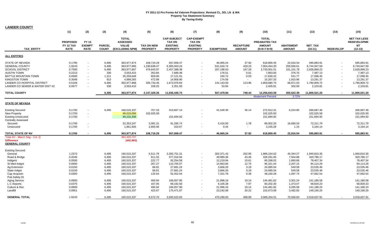| <b>LANDER COUNTY</b>                                                                                                                                                                                                   |                                                                                                            |                                              |                                                                                                 |                                                                                                                                                                   |                                                                                                            |                                                                                                                                                     |                                                                          |                                                                                                                                          |                                                                                              |                                                                                                                                                    |                                                                                                                               |                                                                                                                                                    |                  |                                                                                                                                                    |
|------------------------------------------------------------------------------------------------------------------------------------------------------------------------------------------------------------------------|------------------------------------------------------------------------------------------------------------|----------------------------------------------|-------------------------------------------------------------------------------------------------|-------------------------------------------------------------------------------------------------------------------------------------------------------------------|------------------------------------------------------------------------------------------------------------|-----------------------------------------------------------------------------------------------------------------------------------------------------|--------------------------------------------------------------------------|------------------------------------------------------------------------------------------------------------------------------------------|----------------------------------------------------------------------------------------------|----------------------------------------------------------------------------------------------------------------------------------------------------|-------------------------------------------------------------------------------------------------------------------------------|----------------------------------------------------------------------------------------------------------------------------------------------------|------------------|----------------------------------------------------------------------------------------------------------------------------------------------------|
|                                                                                                                                                                                                                        | (1)                                                                                                        | (2)                                          | (3)                                                                                             | (4)                                                                                                                                                               | (5)                                                                                                        | (6)                                                                                                                                                 | (7)                                                                      | (8)                                                                                                                                      | (9)                                                                                          | (10)                                                                                                                                               | (11)                                                                                                                          | (12)                                                                                                                                               | (13)             | (15)                                                                                                                                               |
| <b>TAX ENTITY</b>                                                                                                                                                                                                      | <b>PROPOSED</b><br>FY 12 TAX<br><b>RATE</b>                                                                | <b>FY 12</b><br><b>EXEMPT</b><br><b>RATE</b> | <b>PARCEL</b><br><b>COUNT</b>                                                                   | <b>TOTAL</b><br><b>ASSESSED</b><br><b>VALUE</b><br>(EXCLUDING NPM)                                                                                                | <b>TAX ON NEW</b><br><b>PROPERTY</b>                                                                       | <b>CAP-SUBJECT</b><br><b>TAX ON</b><br><b>EXISTING</b><br><b>PROPERTY</b>                                                                           | <b>CAP-EXEMPT</b><br><b>TAX ON</b><br><b>EXISTING</b><br><b>PROPERTY</b> | <b>EXEMPTIONS</b>                                                                                                                        | <b>RECAPTURE</b><br><b>AMOUNT</b>                                                            | <b>TOTAL</b><br>PREABATED TAX<br><b>AMOUNT</b><br>$(5+6+7-8+9)$                                                                                    | <b>ABATEMENT</b><br><b>AMOUNT</b>                                                                                             | NET_TAX<br>$(10-11)$                                                                                                                               | <b>REDEVELOP</b> | <b>NET TAX LESS</b><br><b>REDEVELOPME</b><br><b>NT</b><br>$(12-13)$                                                                                |
| <b>ALL ENTITIES</b>                                                                                                                                                                                                    |                                                                                                            |                                              |                                                                                                 |                                                                                                                                                                   |                                                                                                            |                                                                                                                                                     |                                                                          |                                                                                                                                          |                                                                                              |                                                                                                                                                    |                                                                                                                               |                                                                                                                                                    |                  |                                                                                                                                                    |
| <b>STATE OF NEVADA</b><br><b>GENERAL COUNTY</b><br><b>SCHOOL DISTRICT</b><br><b>AUSTIN TOWN</b><br>BATTLE MOUNTAIN TOWN<br><b>KINGSTON TOWN</b>                                                                        | 0.1700<br>1.9243<br>0.7500<br>0.2213<br>0.0500<br>0.3048                                                   | $\sim$<br>$\sim$<br>$\sim$                   | 6,495<br>6,495<br>6,495<br>330<br>1,311<br>913                                                  | 363,977,874<br>363,977,865<br>363,977,867<br>3,553,410<br>35,259,648<br>4,989,265                                                                                 | 108,719.29<br>1,230,638.47<br>479,643.97<br>353.84<br>659.00<br>472.99                                     | 557,008.47<br>6,305,003.24<br>2,457,388.38<br>7,686.48<br>17,121.91<br>14,908.90                                                                    |                                                                          | 46,965.24<br>531,616.74<br>207,198.63<br>176.51<br>150.72<br>174.56                                                                      | 37.92<br>429.23<br>167.29<br>0.01<br>0.03<br>$\sim$                                          | 618,800.45<br>7,004,454.20<br>2,730,001.01<br>7,863.83<br>17,630.22<br>15,207.33                                                                   | 22,916.54<br>259,506.61<br>101,101.78<br>376.70<br>531.77<br>1,915.96                                                         | 595,883.91<br>6,744,947.59<br>2,628,899.23<br>7,487.13<br>17,098.45<br>13,291.37                                                                   |                  | 595,883.91<br>6,744,947.59<br>2,628,899.23<br>7,487.13<br>17,098.45<br>13,291.37                                                                   |
| LANDER CO HOSPITAL DISTRICT<br>LANDER CO SEWER & WATER DIST #2                                                                                                                                                         | 0.5109<br>0.0677                                                                                           |                                              | 6,495<br>330                                                                                    | 363,977,868<br>3,553,410                                                                                                                                          | 326,733.45<br>108.25                                                                                       | 1,673,976.84<br>2,351.50                                                                                                                            |                                                                          | 141,143.50<br>53.94                                                                                                                      | 113.96<br>$\sim$                                                                             | 1,859,680.75<br>2,405.81                                                                                                                           | 68,871.03<br>302.00                                                                                                           | 1,790,809.72<br>2,103.81                                                                                                                           |                  | 1,790,809.72<br>2,103.81                                                                                                                           |
| <b>TOTAL COUNTY</b>                                                                                                                                                                                                    |                                                                                                            |                                              | 6.495                                                                                           | 363,977,874                                                                                                                                                       | 2,147,329.26                                                                                               | 11,035,445.73                                                                                                                                       |                                                                          | 927,479.84                                                                                                                               | 748.44                                                                                       | 12.256.043.59<br><b>Abatement Percent</b>                                                                                                          | 455.522.39<br>3.72%                                                                                                           | 11,800,521.20                                                                                                                                      |                  | 11,800,521.20                                                                                                                                      |
| STATE OF NEVADA                                                                                                                                                                                                        |                                                                                                            |                                              |                                                                                                 |                                                                                                                                                                   |                                                                                                            |                                                                                                                                                     |                                                                          |                                                                                                                                          |                                                                                              |                                                                                                                                                    |                                                                                                                               |                                                                                                                                                    |                  |                                                                                                                                                    |
| <b>Existing Secured</b><br>New Property<br><b>Existing Unsecured</b><br><b>Centrally Assessed</b>                                                                                                                      | 0.1700<br>0.1700<br>0.1700                                                                                 | $\sim$<br>$\sim$                             | 6,495                                                                                           | 160,515,337<br>60,015,056<br>89,232,308                                                                                                                           | 757.33<br>102,025.59                                                                                       | 313,667.14<br>151,694.92                                                                                                                            |                                                                          | 41,548.30                                                                                                                                | 36.14                                                                                        | 272,912.31<br>102,025.59<br>151,694.92                                                                                                             | 6,224.85                                                                                                                      | 266,687.46<br>102,025.59<br>151,694.92                                                                                                             |                  | 266,687.46<br>102,025.59<br>151,694.92                                                                                                             |
| Secured<br>Unsecured                                                                                                                                                                                                   | 0.1700<br>0.1700                                                                                           | $\overline{\phantom{a}}$                     |                                                                                                 | 52,353,247<br>1,861,926                                                                                                                                           | 3,081.31<br>2,855.06                                                                                       | 91,335.74<br>310.67                                                                                                                                 |                                                                          | 5,416.50<br>0.44                                                                                                                         | 1.78<br>$\sim$                                                                               | 89,002.33<br>3,165.29                                                                                                                              | 16,690.54<br>1.15                                                                                                             | 72,311.79<br>3,164.14                                                                                                                              |                  | 72,311.79<br>3,164.14                                                                                                                              |
| TOTAL STATE OF NV<br>Total AV - March Seg - Col. Q<br><b>Difference</b><br><b>GENERAL COUNTY</b>                                                                                                                       | 0.1700                                                                                                     |                                              | 6,495                                                                                           | 363,977,874<br>364,420,737<br>(442, 863)                                                                                                                          | 108,719.29                                                                                                 | 557,008.47                                                                                                                                          | $\blacksquare$                                                           | 46,965.24                                                                                                                                | 37.92                                                                                        | 618,800.45                                                                                                                                         | 22,916.54                                                                                                                     | 595,883.91                                                                                                                                         |                  | 595,883.91                                                                                                                                         |
| <b>Existing Secured</b><br>General<br>Road & Bridge<br>Indigent<br>St Med Indant<br>Ag Extension<br>State Indgnt<br>Cap Acquistn<br>Pub Safety Dt<br><b>Aging Service</b><br>L C Airports<br>Culture & Rec<br>Landfill | 1.2372<br>0.2045<br>0.0500<br>0.0600<br>0.0150<br>0.0150<br>0.0300<br>0.0900<br>0.0375<br>0.0900<br>0.0951 |                                              | 6,495<br>6,495<br>6,495<br>6,495<br>6,495<br>6,495<br>6,495<br>6,495<br>6,495<br>6,495<br>6,495 | 160,515,337<br>160,515,337<br>160,515,337<br>160,515,337<br>160,515,337<br>160,515,337<br>160,515,337<br>160,515,337<br>160,515,337<br>160,515,337<br>160,515,337 | 5,511.78<br>911.02<br>222.77<br>267.27<br>66.81<br>66.81<br>133.64<br>400.94<br>167.05<br>400.94<br>423.67 | 2,282,751.31<br>377,316.94<br>92,254.58<br>110,705.07<br>27,681.24<br>27,681.24<br>55,352.04<br>166,057.90<br>69,192.56<br>166,057.90<br>175,471.87 | $\sim$<br>$\sim$<br>$\sim$                                               | 302,371.42<br>49,980.36<br>12,219.94<br>14,663.65<br>3,666.20<br>3,666.20<br>7,331.78<br>21,996.16<br>9,165.28<br>21,996.16<br>23,242.68 | 262.95<br>43.45<br>10.61<br>12.75<br>3.19<br>3.19<br>6.38<br>19.14<br>7.97<br>19.14<br>20.22 | 1,986,154.62<br>328,291.05<br>80,268.02<br>96,321.44<br>24,085.04<br>24,085.04<br>48,160.28<br>144,481.82<br>60,202.30<br>144,481.82<br>152,673.08 | 45,344.27<br>7,504.88<br>1,860.68<br>2,207.15<br>549.58<br>549.58<br>1,097.74<br>3,301.24<br>1,373.07<br>3,295.58<br>3,482.83 | 1,940,810.35<br>320,786.17<br>78,407.34<br>94,114.29<br>23,535.46<br>23,535.46<br>47,062.54<br>141,180.58<br>58,829.23<br>141,186.24<br>149,190.25 |                  | 1,940,810.35<br>320,786.17<br>78,407.34<br>94,114.29<br>23,535.46<br>23,535.46<br>47,062.54<br>141,180.58<br>58,829.23<br>141,186.24<br>149,190.25 |
| <b>GENERAL TOTAL</b>                                                                                                                                                                                                   | 1.9243                                                                                                     |                                              | 6,495                                                                                           | 160,515,337                                                                                                                                                       | 8.572.70                                                                                                   | 3,550,522.65                                                                                                                                        |                                                                          | 470.299.83                                                                                                                               | 408.99                                                                                       | 3,089,204.51                                                                                                                                       | 70.566.60                                                                                                                     | 3,018,637.91                                                                                                                                       |                  | 3,018,637.91                                                                                                                                       |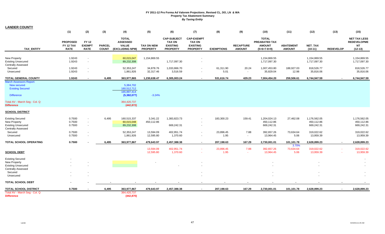| <b>LANDER COUNTY</b>                                                                                                                         |                                             |                                              |                               |                                                                                     |                               |                                                                           |                                                                          |                   |                                   |                                                                        |                                   |                                          |                  |                                                                     |
|----------------------------------------------------------------------------------------------------------------------------------------------|---------------------------------------------|----------------------------------------------|-------------------------------|-------------------------------------------------------------------------------------|-------------------------------|---------------------------------------------------------------------------|--------------------------------------------------------------------------|-------------------|-----------------------------------|------------------------------------------------------------------------|-----------------------------------|------------------------------------------|------------------|---------------------------------------------------------------------|
|                                                                                                                                              | (1)                                         | (2)                                          | (3)                           | (4)                                                                                 | (5)                           | (6)                                                                       | (7)                                                                      | (8)               | (9)                               | (10)                                                                   | (11)                              | (12)                                     | (13)             | (15)                                                                |
| <b>TAX ENTITY</b>                                                                                                                            | <b>PROPOSED</b><br>FY 12 TAX<br><b>RATE</b> | <b>FY 12</b><br><b>EXEMPT</b><br><b>RATE</b> | <b>PARCEL</b><br><b>COUNT</b> | <b>TOTAL</b><br><b>ASSESSED</b><br><b>VALUE</b><br>(EXCLUDING NPM)                  | TAX ON NEW<br><b>PROPERTY</b> | <b>CAP-SUBJECT</b><br><b>TAX ON</b><br><b>EXISTING</b><br><b>PROPERTY</b> | <b>CAP-EXEMPT</b><br><b>TAX ON</b><br><b>EXISTING</b><br><b>PROPERTY</b> | <b>EXEMPTIONS</b> | <b>RECAPTURE</b><br><b>AMOUNT</b> | <b>TOTAL</b><br><b>PREABATED TAX</b><br><b>AMOUNT</b><br>$(5+6+7-8+9)$ | <b>ABATEMENT</b><br><b>AMOUNT</b> | NET_TAX<br>$(10-11)$                     | <b>REDEVELOP</b> | <b>NET TAX LESS</b><br><b>REDEVELOPME</b><br><b>NT</b><br>$(12-13)$ |
| New Property<br><b>Existing Unsecured</b><br><b>Centrally Assessed</b>                                                                       | 1.9243<br>1.9243                            | $\sim$                                       |                               | 60,015,047<br>89,232,308                                                            | 1,154,869.55                  | 1,717,097.30                                                              |                                                                          |                   |                                   | 1,154,869.55<br>1,717,097.30                                           |                                   | 1,154,869.55<br>1,717,097.30             |                  | 1,154,869.55<br>1,717,097.30                                        |
| Secured<br>Unsecured                                                                                                                         | 1.9243<br>1.9243                            | $\sim$<br>$\sim$                             |                               | 52,353,247<br>1,861,926                                                             | 34,878.76<br>32,317.46        | 1,033,866.70<br>3,516.59                                                  |                                                                          | 61,311.90<br>5.01 | 20.24<br>$\sim$                   | 1,007,453.80<br>35,829.04                                              | 188,927.03<br>12.98               | 818,526.77<br>35,816.06                  |                  | 818,526.77<br>35,816.06                                             |
| <b>TOTAL GENERAL COUNTY</b>                                                                                                                  | 1.9243                                      |                                              | 6.495                         | 363,977,865                                                                         | 1,230,638.47                  | 6,305,003.24                                                              |                                                                          | 531.616.74        | 429.23                            | 7,004,454.20                                                           | 259,506.61                        | 6,744,947.59                             |                  | 6,744,947.59                                                        |
| March Assessors Report:<br>New secured<br><b>Existing Secured</b><br><b>Difference</b><br>Total AV - March Seg - Col. Q<br><b>Difference</b> |                                             |                                              |                               | 5,384,702<br>160,512,712<br>165,897,414<br>(5,382,077)<br>364,420,737<br>(442, 872) | $-3.24%$                      |                                                                           |                                                                          |                   |                                   |                                                                        |                                   |                                          |                  |                                                                     |
| <b>SCHOOL DISTRICT</b>                                                                                                                       |                                             |                                              |                               |                                                                                     |                               |                                                                           |                                                                          |                   |                                   |                                                                        |                                   |                                          |                  |                                                                     |
| <b>Existing Secured</b><br>New Property<br><b>Existing Unsecured</b><br><b>Centrally Assessed</b>                                            | 0.7500<br>0.7500<br>0.7500                  | $\sim$<br>$\sim$                             | 6,495                         | 160,515,337<br>60,015,048<br>89,232,308                                             | 3,341.22<br>450,112.86        | 1,383,823.73<br>669,242.31                                                | $\sim$                                                                   | 183,300.23        | 159.41                            | 1,204,024.13<br>450,112.86<br>669,242.31                               | 27,462.08                         | 1,176,562.05<br>450,112.86<br>669,242.31 |                  | 1,176,562.05<br>450,112.86<br>669,242.31                            |
| Secured<br>Unsecured                                                                                                                         | 0.7500<br>0.7500                            |                                              |                               | 52,353,247<br>1,861,926                                                             | 13,594.09<br>12,595.80        | 402,951.74<br>1,370.60                                                    |                                                                          | 23,896.45<br>1.95 | 7.88<br>$\sim$                    | 392,657.26<br>13,964.45                                                | 73,634.64<br>5.06                 | 319,022.62<br>13,959.39                  |                  | 319,022.62<br>13,959.39                                             |
| TOTAL SCHOOL OPERATING                                                                                                                       | 0.7500                                      |                                              | 6,495                         | 363,977,867                                                                         | 479,643.97                    | 2,457,388.38                                                              | $\blacksquare$                                                           | 207,198.63        | 167.29                            | 2,730,001.01                                                           | 101,101.78                        | 2,628,899.23                             | $\sim$           | 2,628,899.23                                                        |
| <b>SCHOOL DEBT</b>                                                                                                                           |                                             |                                              |                               |                                                                                     | 13,594.09<br>12,595.80        | 402,951.74<br>1,370.60                                                    |                                                                          | 23,896.45<br>1.95 | 7.88<br><b>A</b>                  | 392,657.26<br>13,964.45                                                | 3.70%<br>73,634.64<br>5.06        | 319,022.62<br>13,959.39                  |                  | 319,022.62<br>13,959.39                                             |
| <b>Existing Secured</b><br>New Property<br><b>Existing Unsecured</b><br><b>Centrally Assessed</b><br>Secured<br>Unsecured                    |                                             |                                              |                               |                                                                                     |                               |                                                                           |                                                                          |                   |                                   |                                                                        |                                   |                                          |                  |                                                                     |
| <b>TOTAL SCHOOL DEBT</b>                                                                                                                     |                                             |                                              |                               |                                                                                     |                               |                                                                           |                                                                          |                   |                                   |                                                                        |                                   |                                          |                  |                                                                     |
| <b>TOTAL SCHOOL DISTRICT</b>                                                                                                                 | 0.7500                                      |                                              | 6,495                         | 363,977,867                                                                         | 479,643.97                    | 2,457,388.38                                                              | $\blacksquare$                                                           | 207,198.63        | 167.29                            | 2,730,001.01                                                           | 101,101.78                        | 2,628,899.23                             | $\sim$           | 2,628,899.23                                                        |
| Total AV - March Seg - Col. Q<br><b>Difference</b>                                                                                           |                                             |                                              |                               | 364,420,737<br>(442, 870)                                                           |                               |                                                                           |                                                                          |                   |                                   |                                                                        |                                   |                                          |                  |                                                                     |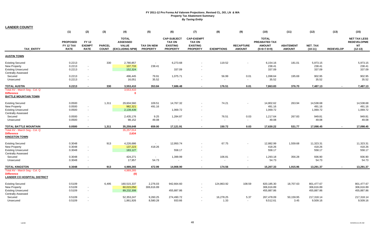| <b>LANDER COUNTY</b>                                                                                              |                                             |                                       |                               |                                                                    |                                      |                                                                           |                                                                          |                                   |                                   |                                                                 |                                   |                                        |                  |                                                                     |
|-------------------------------------------------------------------------------------------------------------------|---------------------------------------------|---------------------------------------|-------------------------------|--------------------------------------------------------------------|--------------------------------------|---------------------------------------------------------------------------|--------------------------------------------------------------------------|-----------------------------------|-----------------------------------|-----------------------------------------------------------------|-----------------------------------|----------------------------------------|------------------|---------------------------------------------------------------------|
|                                                                                                                   | (1)                                         | (2)                                   | (3)                           | (4)                                                                | (5)                                  | (6)                                                                       | (7)                                                                      | (8)                               | (9)                               | (10)                                                            | (11)                              | (12)                                   | (13)             | (15)                                                                |
| <b>TAX ENTITY</b>                                                                                                 | <b>PROPOSED</b><br>FY 12 TAX<br><b>RATE</b> | FY 12<br><b>EXEMPT</b><br><b>RATE</b> | <b>PARCEL</b><br><b>COUNT</b> | <b>TOTAL</b><br><b>ASSESSED</b><br><b>VALUE</b><br>(EXCLUDING NPM) | <b>TAX ON NEW</b><br><b>PROPERTY</b> | <b>CAP-SUBJECT</b><br><b>TAX ON</b><br><b>EXISTING</b><br><b>PROPERTY</b> | <b>CAP-EXEMPT</b><br><b>TAX ON</b><br><b>EXISTING</b><br><b>PROPERTY</b> | <b>EXEMPTIONS</b>                 | <b>RECAPTURE</b><br><b>AMOUNT</b> | <b>TOTAL</b><br>PREABATED TAX<br><b>AMOUNT</b><br>$(5+6+7-8+9)$ | <b>ABATEMENT</b><br><b>AMOUNT</b> | NET_TAX<br>$(10-11)$                   | <b>REDEVELOP</b> | <b>NET TAX LESS</b><br><b>REDEVELOPME</b><br><b>NT</b><br>$(12-13)$ |
| <b>AUSTIN TOWN</b>                                                                                                |                                             |                                       |                               |                                                                    |                                      |                                                                           |                                                                          |                                   |                                   |                                                                 |                                   |                                        |                  |                                                                     |
| <b>Existing Secured</b><br><b>New Property</b><br><b>Existing Unsecured</b><br><b>Centrally Assessed</b>          | 0.2213<br>0.2213<br>0.2213                  | $\sim$<br>$\sim$                      | 330                           | 2,780,857<br>107,733<br>152,324                                    | $\sim$<br>238.41                     | 6,273.68<br>337.09                                                        | $\sim$<br>$\sim$                                                         | 119.52                            |                                   | 6,154.16<br>238.41<br>337.09                                    | 181.01                            | 5,973.15<br>238.41<br>337.09           |                  | 5,973.15<br>238.41<br>337.09                                        |
| Secured<br>Unsecured                                                                                              | 0.2213<br>0.2213                            | $\sim$<br>$\overline{\phantom{a}}$    |                               | 496,445<br>16,051                                                  | 79.91<br>35.52                       | 1,075.71                                                                  |                                                                          | 56.99<br>$\sim$                   | 0.01<br>$\sim$                    | 1,098.64<br>35.52                                               | 195.69                            | 902.95<br>35.52                        |                  | 902.95<br>35.52                                                     |
| <b>TOTAL AUSTIN</b>                                                                                               | 0.2213                                      |                                       | 330                           | 3,553,410                                                          | 353.84                               | 7,686.48                                                                  |                                                                          | 176.51                            | 0.01                              | 7,863.83                                                        | 376.70                            | 7,487.13                               |                  | 7,487.13                                                            |
| Total AV - March Seg - Col. Q<br><b>Difference</b><br><b>BATTLE MOUNTAIN TOWN</b>                                 |                                             |                                       |                               | 3,553,410<br>$\mathbf 0$                                           |                                      |                                                                           |                                                                          |                                   |                                   |                                                                 |                                   |                                        |                  |                                                                     |
| <b>Existing Secured</b><br>New Property<br><b>Existing Unsecured</b><br><b>Centrally Assessed</b>                 | 0.0500<br>0.0500<br>0.0500                  | $\sim$<br>$\sim$                      | 1,311                         | 29,604,560<br>982,321<br>2,139,439                                 | 109.51<br>491.16                     | 14,767.32<br>1,069.72                                                     | $\sim$                                                                   | 74.21                             |                                   | 14,802.62<br>491.16<br>1,069.72                                 | 263.94                            | 14,538.68<br>491.16<br>1,069.72        |                  | 14,538.68<br>491.16<br>1,069.72                                     |
| Secured<br>Unsecured                                                                                              | 0.0500<br>0.0500                            | $\sim$                                |                               | 2,435,176<br>98,152                                                | 9.25<br>49.08                        | 1,284.87                                                                  | $\sim$                                                                   | 76.51<br>$\overline{\phantom{a}}$ | 0.03<br>$\sim$                    | 1,217.64<br>49.08                                               | 267.83                            | 949.81<br>49.08                        |                  | 949.81<br>49.08                                                     |
| <b>TOTAL BATTLE MOUNTAIN</b><br>Total AV - March Seq - Col. Q<br><b>Difference</b><br><b>KINGSTON TOWN</b>        | 0.0500                                      | $\overline{\phantom{a}}$              | 1,311                         | 35,259,648<br>35,257,014<br>2,634                                  | 659.00                               | 17,121.91                                                                 | $\overline{\phantom{a}}$                                                 | 150.72                            | 0.03                              | 17,630.22                                                       | 531.77                            | 17,098.45                              |                  | 17,098.45                                                           |
| <b>Existing Secured</b><br><b>New Property</b><br><b>Existing Unsecured</b><br><b>Centrally Assessed</b>          | 0.3048<br>0.3048<br>0.3048                  | $\sim$<br>$\sim$                      | 913                           | 4,226,686<br>137,223<br>183,127                                    | 418.26                               | 12,950.74<br>558.17                                                       | $\sim$                                                                   | 67.75                             |                                   | 12,882.99<br>418.26<br>558.17                                   | 1,559.68                          | 11,323.31<br>418.26<br>558.17          |                  | 11,323.31<br>418.26<br>558.17                                       |
| Secured<br>Unsecured                                                                                              | 0.3048<br>0.3048                            | $\sim$<br>$\overline{\phantom{a}}$    |                               | 424,271<br>17,957                                                  | $\sim$<br>54.73                      | 1,399.99                                                                  | $\sim$                                                                   | 106.81<br>$\sim$                  | $\sim$                            | 1,293.18<br>54.73                                               | 356.28                            | 936.90<br>54.73                        |                  | 936.90<br>54.73                                                     |
| <b>TOTAL KINGSTON</b><br>Total AV - March Seg - Col. Q<br><b>Difference</b><br><b>LANDER CO HOSPITAL DISTRICT</b> | 0.3048                                      | $\overline{\phantom{a}}$              | 913                           | 4,989,265<br>4,989,265<br>(0)                                      | 472.99                               | 14,908.90                                                                 | $\sim$                                                                   | 174.56                            | $\sim$                            | 15,207.33                                                       | 1,915.96                          | 13,291.37                              |                  | 13,291.37                                                           |
| <b>Existing Secured</b><br>New Property<br><b>Existing Unsecured</b><br><b>Centrally Assessed</b>                 | 0.5109<br>0.5109<br>0.5109                  | $\overline{\phantom{a}}$<br>$\sim$    | 6,495                         | 160,515,337<br>60,015,050<br>89,232,308                            | 2,276.03<br>306,616.89               | 942,664.60<br>455,887.86                                                  | $\sim$<br>$\sim$                                                         | 124,863.92                        | 108.59                            | 820,185.30<br>306,616.89<br>455,887.86                          | 18,707.63                         | 801,477.67<br>306,616.89<br>455,887.86 |                  | 801,477.67<br>306,616.89<br>455,887.86                              |
| Secured<br>Unsecured                                                                                              | 0.5109<br>0.5109                            | $\sim$                                |                               | 52,353,247<br>1,861,926                                            | 9,260.25<br>8,580.28                 | 274,490.72<br>933.66                                                      |                                                                          | 16,278.25<br>1.33                 | 5.37<br>$\sim$                    | 267,478.09<br>9.512.61                                          | 50,159.95<br>3.45                 | 217,318.14<br>9,509.16                 |                  | 217,318.14<br>9,509.16                                              |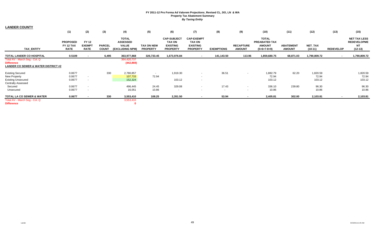| <b>LANDER COUNTY</b>                                                                                 |                                             |                                              |                               |                                                                    |                                      |                                                                           |                                                                          |                   |                                   |                                                                 |                                   |                      |                          |                                                                     |
|------------------------------------------------------------------------------------------------------|---------------------------------------------|----------------------------------------------|-------------------------------|--------------------------------------------------------------------|--------------------------------------|---------------------------------------------------------------------------|--------------------------------------------------------------------------|-------------------|-----------------------------------|-----------------------------------------------------------------|-----------------------------------|----------------------|--------------------------|---------------------------------------------------------------------|
|                                                                                                      | (1)                                         | (2)                                          | (3)                           | (4)                                                                | (5)                                  | (6)                                                                       | (7)                                                                      | (8)               | (9)                               | (10)                                                            | (11)                              | (12)                 | (13)                     | (15)                                                                |
| <b>TAX ENTITY</b>                                                                                    | <b>PROPOSED</b><br>FY 12 TAX<br><b>RATE</b> | <b>FY 12</b><br><b>EXEMPT</b><br><b>RATE</b> | <b>PARCEL</b><br><b>COUNT</b> | <b>TOTAL</b><br><b>ASSESSED</b><br><b>VALUE</b><br>(EXCLUDING NPM) | <b>TAX ON NEW</b><br><b>PROPERTY</b> | <b>CAP-SUBJECT</b><br><b>TAX ON</b><br><b>EXISTING</b><br><b>PROPERTY</b> | <b>CAP-EXEMPT</b><br><b>TAX ON</b><br><b>EXISTING</b><br><b>PROPERTY</b> | <b>EXEMPTIONS</b> | <b>RECAPTURE</b><br><b>AMOUNT</b> | <b>TOTAL</b><br>PREABATED TAX<br><b>AMOUNT</b><br>$(5+6+7-8+9)$ | <b>ABATEMENT</b><br><b>AMOUNT</b> | NET_TAX<br>$(10-11)$ | <b>REDEVELOP</b>         | <b>NET TAX LESS</b><br><b>REDEVELOPME</b><br><b>NT</b><br>$(12-13)$ |
| <b>TOTAL LANDER CO HOSPITAL</b>                                                                      | 0.5109                                      |                                              | 6,495                         | 363,977,868                                                        | 326,733.45                           | 1,673,976.84                                                              | $\sim$                                                                   | 141,143.50        | 113.96                            | 1,859,680.75                                                    | 68,871.03                         | 1,790,809.72         | $\overline{\phantom{a}}$ | 1,790,809.72                                                        |
| Total AV - March Seg - Col. Q<br><b>Difference</b><br><b>LANDER CO SEWER &amp; WATER DISTRICT #2</b> |                                             |                                              |                               | 364,420,737<br>(442, 869)                                          |                                      |                                                                           |                                                                          |                   |                                   |                                                                 |                                   |                      |                          |                                                                     |
| <b>Existing Secured</b>                                                                              | 0.0677                                      |                                              | 330                           | 2,780,857                                                          |                                      | 1,919.30                                                                  | $\sim$                                                                   | 36.51             |                                   | 1,882.79                                                        | 62.20                             | 1,820.59             |                          | 1,820.59                                                            |
| <b>New Property</b>                                                                                  | 0.0677                                      | $\sim$                                       |                               | 107,733                                                            | 72.94                                |                                                                           | $\sim$                                                                   |                   |                                   | 72.94                                                           |                                   | 72.94                |                          | 72.94                                                               |
| <b>Existing Unsecured</b><br><b>Centrally Assessed</b>                                               | 0.0677                                      | $\sim$                                       |                               | 152,324                                                            |                                      | 103.12                                                                    | $\sim$                                                                   |                   |                                   | 103.12                                                          |                                   | 103.12               |                          | 103.12                                                              |
| Secured                                                                                              | 0.0677                                      | $\sim$                                       |                               | 496,445                                                            | 24.45                                | 329.08                                                                    | $\sim$                                                                   | 17.43             | $\sim$                            | 336.10                                                          | 239.80                            | 96.30                |                          | 96.30                                                               |
| Unsecured                                                                                            | 0.0677                                      | $\sim$                                       |                               | 16,051                                                             | 10.86                                | $\sim$                                                                    | $\sim$                                                                   | $\sim$            | $\sim$                            | 10.86                                                           |                                   | 10.86                |                          | 10.86                                                               |
| <b>TOTAL LA CO SEWER &amp; WATER</b>                                                                 | 0.0677                                      | $\sim$                                       | 330                           | 3,553,410                                                          | 108.25                               | 2,351.50                                                                  | $\overline{\phantom{a}}$                                                 | 53.94             | $\sim$                            | 2,405.81                                                        | 302.00                            | 2,103.81             |                          | 2,103.81                                                            |
| Total AV - March Seg - Col. Q                                                                        |                                             |                                              |                               | 3,553,410                                                          |                                      |                                                                           |                                                                          |                   |                                   |                                                                 |                                   |                      |                          |                                                                     |
| <b>Difference</b>                                                                                    |                                             |                                              |                               |                                                                    |                                      |                                                                           |                                                                          |                   |                                   |                                                                 |                                   |                      |                          |                                                                     |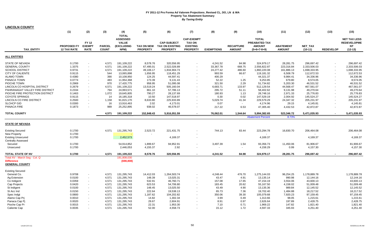| (1)<br>(2)<br>(3)<br>(5)<br>(6)<br>(7)<br>(8)<br>(9)<br>(11)<br>(15)<br>(4)<br>(10)<br>(12)<br>(13)<br><b>TOTAL</b><br><b>ASSESSED</b><br><b>CAP-EXEMPT</b><br><b>TOTAL</b><br><b>NET TAX LESS</b><br>FY 12<br><b>VALUE</b><br><b>CAP-SUBJECT</b><br><b>TAX ON</b><br>PREABATED TAX<br><b>REDEVELOPME</b><br><b>EXEMPT</b><br><b>PROPOSED FY</b><br><b>PARCEL</b><br><b>TAX ON NEW</b><br><b>TAX ON EXISTING</b><br><b>EXISTING</b><br><b>RECAPTURE</b><br><b>AMOUNT</b><br><b>ABATEMENT</b><br><b>NET TAX</b><br><b>NT</b><br><b>(EXCLUDING</b><br><b>RATE</b><br><b>AMOUNT</b><br><b>TAX ENTITY</b><br><b>12 TAX RATE</b><br><b>COUNT</b><br>NPM)<br><b>PROPERTY</b><br><b>PROPERTY</b><br><b>PROPERTY</b><br><b>EXEMPTIONS</b><br><b>AMOUNT</b><br>$(10-11)$<br><b>REDEVELOP</b><br>$(12-13)$<br>$(5+6+7-8+9)$<br>0.1700<br>4,571<br>8,578.76<br>320,556.95<br>4,241.52<br>84.98<br>324,979.17<br>296,697.42<br>STATE OF NEVADA<br>191,109,222<br>28,281.75<br>296,697.42<br>$\overline{\phantom{a}}$<br>668.75<br>2,333,506.03<br>1.3375<br>4,571<br>191,109,222<br>67,495.01<br>2,522,026.89<br>33,367.78<br>2,556,822.87<br>223,316.84<br>2,333,506.03<br>$\sim$<br><b>SCHOOL DISTRICT</b><br>4,571<br>24,277.42<br>486.60<br>1,698,333.95<br>0.9731<br>191,109,222<br>49,106.17<br>1,834,904.73<br>1,860,220.08<br>161,886.13<br>1,698,333.95<br>$\blacksquare$<br>544<br>CITY OF CALIENTE<br>0.9115<br>13,065,898<br>1,656.95<br>118,451.29<br>993.59<br>66.67<br>119,181.32<br>6,508.79<br>112,672.53<br>112,672.53<br>$\sim$<br>34,336.96<br><b>ALAMO TOWN</b><br>0.4380<br>390<br>10,108,950<br>124.25<br>44,597.41<br>400.29<br>44,321.37<br>9,984.41<br>34,336.96<br>$\sim$<br>$\blacksquare$<br>PANACA TOWN<br>483<br>1.25<br>8,574.05<br>0.0774<br>11,954,368<br>173.39<br>9,131.43<br>52.22<br>9,253.85<br>679.80<br>8,574.05<br>$\sim$<br>$\sim$<br>46,531.52<br>PIOCHE TOWN<br>0.2969<br>970<br>17,420,775<br>958.95<br>51,095.08<br>321.50<br>2.29<br>51,734.82<br>5,203.30<br>46,531.52<br>LINCOLN CO HOSPITAL DISTRICT<br>4,571<br>191,109,222<br>6,683.71<br>133.97<br>512,129.54<br>44,568.47<br>467,561.07<br>467,561.07<br>0.2679<br>13,519.24<br>505,160.04<br>PAHRANAGAT VALLEY FIRE DISTRICT<br>0.2334<br>794<br>24,993,571<br>861.10<br>57,786.13<br>295.72<br>58,402.62<br>9,131.98<br>49,270.64<br>49,270.64<br>51.11<br>$\sim$<br>$\sim$<br>$\overline{\phantom{a}}$<br>PIOCHE FIRE PROTECTION DISTRICT<br>1.072<br>19,645,805<br>180.93<br>2,971.33<br>25,776.83<br>0.1463<br>790.27<br>28,137.69<br>1.13<br>28,748.16<br>25,776.83<br>$\sim$<br><b>COYOTE SPRINGS</b><br>14<br>16,185,318<br>0.30<br>0.02<br>2,004.92<br>145,524.27<br>145,524.27<br>0.9115<br>10.50<br>147,518.97<br>147,529.19<br>$\sim$<br><b>LINCOLN CO FIRE DISTRICT</b><br>1.158<br>5,029.74<br>24,347.32<br>205,231.97<br>0.2500<br>91,815,170<br>8,633.80<br>225,933.89<br>41.34<br>229,579.29<br>205,231.97<br><b>SLCHCP GID</b><br>16<br>13,916,463<br>2.02<br>4,173.01<br>0.07<br>4,174.96<br>29.15<br>4,145.81<br>0.0300<br>4,145.81<br>$\sim$<br>PANACA FIRE<br>0.1873<br>989<br>25,252,895<br>938.02<br>46,578.07<br>217.22<br>6.53<br>47,305.40<br>4,432.53<br>42,872.87<br>42,872.87<br>$\overline{\phantom{a}}$<br>$\overline{\phantom{a}}$<br>4,571<br>152,848.43<br>5,916,051.59<br>76,062.01<br>1,544.64<br>5,994,382.65<br>523,346.72<br>5,471,035.93<br>5,471,035.93<br>191,109,222<br>$\blacksquare$<br><b>Abatement Percent</b><br>8.73%<br>0.1700<br>4,571<br>131,295,743<br>2,523.72<br>221,431.75<br>744.13<br>83.44<br>223,294.78<br>16,830.70<br>206,464.08<br>206,464.08<br>0.1700<br>2,452,573<br>4,169.37<br>4,169.37<br>4,169.37<br>4,169.37<br>0.1700<br>0.1700<br>1,899.67<br>94,952.91<br>3,497.39<br>1.54<br>93,356.73<br>11,450.06<br>81,906.67<br>54,914,852<br>81,906.67<br>Secured<br>$\sim$<br>0.1700<br>2,446,053<br>4,155.37<br>2.92<br>4,158.29<br>0.99<br>4,157.30<br>4,157.30<br>Unsecured<br>0.1700<br>4,571<br>320,556.95<br>84.98<br>296,697.42<br><b>TOTAL STATE OF NV</b><br>191,109,222<br>8,578.76<br>4,241.52<br>324,979.17<br>28,281.75<br>296,697.42<br>$\sim$<br>Total AV - March Seg - Col. Q<br>191,808,030<br>(698, 808)<br><b>Difference</b><br><b>Existing Secured</b><br>131,295,743<br>General Co.<br>0.9708<br>4,571<br>14,412.03<br>1,264,503.74<br>4,248.44<br>476.70<br>1,275,144.03<br>96,254.25<br>1,178,889.78<br>1,178,889.78<br>$\sim$<br>4,571<br>131,295,743<br>148.39<br>13,025.31<br>43.47<br>4.91<br>13,135.14<br>990.98<br>12,144.16<br>12,144.16<br>Ag Extension<br>0.0100<br>$\sim$<br>4,571<br>131,295,743<br>46,760.71<br>17.65<br>3,554.06<br>43,600.13<br>Co Indigent<br>0.0359<br>532.91<br>157.08<br>47,154.19<br>43,600.13<br>$\sim$<br>$\sim$<br>Cap Projects<br>0.0420<br>4,571<br>131,295,743<br>623.53<br>54,706.80<br>183.45<br>20.62<br>55,167.50<br>4,158.02<br>51,009.48<br>51,009.48<br>$\sim$<br>4,571<br>4.90<br>12,145.52<br>St Indigent<br>0.0100<br>131,295,743<br>148.45<br>13,025.50<br>43.49<br>989.84<br>12,145.52<br>13,135.36<br>$\sim$<br>St Acc Ind<br>4,571<br>131,295,743<br>222.64<br>19,538.13<br>65.73<br>7.36<br>19,702.40<br>1,484.88<br>18,217.52<br>18,217.52<br>0.0150<br>$\sim$<br>97,159.45<br>0.0800<br>4,571<br>131,295,743<br>1,187.62<br>104,202.82<br>350.06<br>39.30<br>105,079.68<br>7,920.23<br>97,159.45<br>Spec Indgt<br>$\sim$<br>Alamo Cap Prj<br>0.0010<br>4,571<br>131,295,743<br>14.82<br>1,302.34<br>3.99<br>0.49<br>1,313.66<br>98.05<br>1,215.61<br>1,215.61<br>$\overline{\phantom{a}}$<br>2,428.75<br>Panaca Cap Pi<br>4.571<br>131,295,743<br>29.67<br>2,604.91<br>8.91<br>0.97<br>2,626.64<br>197.89<br>2,428.75<br>0.0020<br>1,953.30<br>1,821.40<br>Pioche Cap Pr<br>0.0015<br>4,571<br>131,295,743<br>22.31<br>7.10<br>0.71<br>1,969.22<br>147.82<br>1,821.40 | <b>LINCOLN COUNTY</b>     |        |       |             |       |          |       |      |          |        |          |          |
|---------------------------------------------------------------------------------------------------------------------------------------------------------------------------------------------------------------------------------------------------------------------------------------------------------------------------------------------------------------------------------------------------------------------------------------------------------------------------------------------------------------------------------------------------------------------------------------------------------------------------------------------------------------------------------------------------------------------------------------------------------------------------------------------------------------------------------------------------------------------------------------------------------------------------------------------------------------------------------------------------------------------------------------------------------------------------------------------------------------------------------------------------------------------------------------------------------------------------------------------------------------------------------------------------------------------------------------------------------------------------------------------------------------------------------------------------------------------------------------------------------------------------------------------------------------------------------------------------------------------------------------------------------------------------------------------------------------------------------------------------------------------------------------------------------------------------------------------------------------------------------------------------------------------------------------------------------------------------------------------------------------------------------------------------------------------------------------------------------------------------------------------------------------------------------------------------------------------------------------------------------------------------------------------------------------------------------------------------------------------------------------------------------------------------------------------------------------------------------------------------------------------------------------------------------------------------------------------------------------------------------------------------------------------------------------------------------------------------------------------------------------------------------------------------------------------------------------------------------------------------------------------------------------------------------------------------------------------------------------------------------------------------------------------------------------------------------------------------------------------------------------------------------------------------------------------------------------------------------------------------------------------------------------------------------------------------------------------------------------------------------------------------------------------------------------------------------------------------------------------------------------------------------------------------------------------------------------------------------------------------------------------------------------------------------------------------------------------------------------------------------------------------------------------------------------------------------------------------------------------------------------------------------------------------------------------------------------------------------------------------------------------------------------------------------------------------------------------------------------------------------------------------------------------------------------------------------------------------------------------------------------------------------------------------------------------------------------------------------------------------------------------------------------------------------------------------------------------------------------------------------------------------------------------------------------------------------------------------------------------------------------------------------------------------------------------------------------------------------------------------------------------------------------------------------------------------------------------------------------------------------------------------------------------------------------------------------------------------------------------------------------------------------------------------------------------------------------------------------------------------------------------------------------------------------------------------------------------------------------------------------------------------------------------------------------------------------------------------------------------------------------------------------------------------------------------------------------------------------------------------------------------------------------------------------------------------------------------------------------------------------------------------------------------------------------------------------------------------------------------------------------------------------------------------------------------|---------------------------|--------|-------|-------------|-------|----------|-------|------|----------|--------|----------|----------|
|                                                                                                                                                                                                                                                                                                                                                                                                                                                                                                                                                                                                                                                                                                                                                                                                                                                                                                                                                                                                                                                                                                                                                                                                                                                                                                                                                                                                                                                                                                                                                                                                                                                                                                                                                                                                                                                                                                                                                                                                                                                                                                                                                                                                                                                                                                                                                                                                                                                                                                                                                                                                                                                                                                                                                                                                                                                                                                                                                                                                                                                                                                                                                                                                                                                                                                                                                                                                                                                                                                                                                                                                                                                                                                                                                                                                                                                                                                                                                                                                                                                                                                                                                                                                                                                                                                                                                                                                                                                                                                                                                                                                                                                                                                                                                                                                                                                                                                                                                                                                                                                                                                                                                                                                                                                                                                                                                                                                                                                                                                                                                                                                                                                                                                                                                                                                                     |                           |        |       |             |       |          |       |      |          |        |          |          |
|                                                                                                                                                                                                                                                                                                                                                                                                                                                                                                                                                                                                                                                                                                                                                                                                                                                                                                                                                                                                                                                                                                                                                                                                                                                                                                                                                                                                                                                                                                                                                                                                                                                                                                                                                                                                                                                                                                                                                                                                                                                                                                                                                                                                                                                                                                                                                                                                                                                                                                                                                                                                                                                                                                                                                                                                                                                                                                                                                                                                                                                                                                                                                                                                                                                                                                                                                                                                                                                                                                                                                                                                                                                                                                                                                                                                                                                                                                                                                                                                                                                                                                                                                                                                                                                                                                                                                                                                                                                                                                                                                                                                                                                                                                                                                                                                                                                                                                                                                                                                                                                                                                                                                                                                                                                                                                                                                                                                                                                                                                                                                                                                                                                                                                                                                                                                                     |                           |        |       |             |       |          |       |      |          |        |          |          |
|                                                                                                                                                                                                                                                                                                                                                                                                                                                                                                                                                                                                                                                                                                                                                                                                                                                                                                                                                                                                                                                                                                                                                                                                                                                                                                                                                                                                                                                                                                                                                                                                                                                                                                                                                                                                                                                                                                                                                                                                                                                                                                                                                                                                                                                                                                                                                                                                                                                                                                                                                                                                                                                                                                                                                                                                                                                                                                                                                                                                                                                                                                                                                                                                                                                                                                                                                                                                                                                                                                                                                                                                                                                                                                                                                                                                                                                                                                                                                                                                                                                                                                                                                                                                                                                                                                                                                                                                                                                                                                                                                                                                                                                                                                                                                                                                                                                                                                                                                                                                                                                                                                                                                                                                                                                                                                                                                                                                                                                                                                                                                                                                                                                                                                                                                                                                                     |                           |        |       |             |       |          |       |      |          |        |          |          |
|                                                                                                                                                                                                                                                                                                                                                                                                                                                                                                                                                                                                                                                                                                                                                                                                                                                                                                                                                                                                                                                                                                                                                                                                                                                                                                                                                                                                                                                                                                                                                                                                                                                                                                                                                                                                                                                                                                                                                                                                                                                                                                                                                                                                                                                                                                                                                                                                                                                                                                                                                                                                                                                                                                                                                                                                                                                                                                                                                                                                                                                                                                                                                                                                                                                                                                                                                                                                                                                                                                                                                                                                                                                                                                                                                                                                                                                                                                                                                                                                                                                                                                                                                                                                                                                                                                                                                                                                                                                                                                                                                                                                                                                                                                                                                                                                                                                                                                                                                                                                                                                                                                                                                                                                                                                                                                                                                                                                                                                                                                                                                                                                                                                                                                                                                                                                                     |                           |        |       |             |       |          |       |      |          |        |          |          |
|                                                                                                                                                                                                                                                                                                                                                                                                                                                                                                                                                                                                                                                                                                                                                                                                                                                                                                                                                                                                                                                                                                                                                                                                                                                                                                                                                                                                                                                                                                                                                                                                                                                                                                                                                                                                                                                                                                                                                                                                                                                                                                                                                                                                                                                                                                                                                                                                                                                                                                                                                                                                                                                                                                                                                                                                                                                                                                                                                                                                                                                                                                                                                                                                                                                                                                                                                                                                                                                                                                                                                                                                                                                                                                                                                                                                                                                                                                                                                                                                                                                                                                                                                                                                                                                                                                                                                                                                                                                                                                                                                                                                                                                                                                                                                                                                                                                                                                                                                                                                                                                                                                                                                                                                                                                                                                                                                                                                                                                                                                                                                                                                                                                                                                                                                                                                                     | <b>ALL ENTITIES</b>       |        |       |             |       |          |       |      |          |        |          |          |
|                                                                                                                                                                                                                                                                                                                                                                                                                                                                                                                                                                                                                                                                                                                                                                                                                                                                                                                                                                                                                                                                                                                                                                                                                                                                                                                                                                                                                                                                                                                                                                                                                                                                                                                                                                                                                                                                                                                                                                                                                                                                                                                                                                                                                                                                                                                                                                                                                                                                                                                                                                                                                                                                                                                                                                                                                                                                                                                                                                                                                                                                                                                                                                                                                                                                                                                                                                                                                                                                                                                                                                                                                                                                                                                                                                                                                                                                                                                                                                                                                                                                                                                                                                                                                                                                                                                                                                                                                                                                                                                                                                                                                                                                                                                                                                                                                                                                                                                                                                                                                                                                                                                                                                                                                                                                                                                                                                                                                                                                                                                                                                                                                                                                                                                                                                                                                     |                           |        |       |             |       |          |       |      |          |        |          |          |
|                                                                                                                                                                                                                                                                                                                                                                                                                                                                                                                                                                                                                                                                                                                                                                                                                                                                                                                                                                                                                                                                                                                                                                                                                                                                                                                                                                                                                                                                                                                                                                                                                                                                                                                                                                                                                                                                                                                                                                                                                                                                                                                                                                                                                                                                                                                                                                                                                                                                                                                                                                                                                                                                                                                                                                                                                                                                                                                                                                                                                                                                                                                                                                                                                                                                                                                                                                                                                                                                                                                                                                                                                                                                                                                                                                                                                                                                                                                                                                                                                                                                                                                                                                                                                                                                                                                                                                                                                                                                                                                                                                                                                                                                                                                                                                                                                                                                                                                                                                                                                                                                                                                                                                                                                                                                                                                                                                                                                                                                                                                                                                                                                                                                                                                                                                                                                     | <b>GENERAL COUNTY</b>     |        |       |             |       |          |       |      |          |        |          |          |
|                                                                                                                                                                                                                                                                                                                                                                                                                                                                                                                                                                                                                                                                                                                                                                                                                                                                                                                                                                                                                                                                                                                                                                                                                                                                                                                                                                                                                                                                                                                                                                                                                                                                                                                                                                                                                                                                                                                                                                                                                                                                                                                                                                                                                                                                                                                                                                                                                                                                                                                                                                                                                                                                                                                                                                                                                                                                                                                                                                                                                                                                                                                                                                                                                                                                                                                                                                                                                                                                                                                                                                                                                                                                                                                                                                                                                                                                                                                                                                                                                                                                                                                                                                                                                                                                                                                                                                                                                                                                                                                                                                                                                                                                                                                                                                                                                                                                                                                                                                                                                                                                                                                                                                                                                                                                                                                                                                                                                                                                                                                                                                                                                                                                                                                                                                                                                     |                           |        |       |             |       |          |       |      |          |        |          |          |
|                                                                                                                                                                                                                                                                                                                                                                                                                                                                                                                                                                                                                                                                                                                                                                                                                                                                                                                                                                                                                                                                                                                                                                                                                                                                                                                                                                                                                                                                                                                                                                                                                                                                                                                                                                                                                                                                                                                                                                                                                                                                                                                                                                                                                                                                                                                                                                                                                                                                                                                                                                                                                                                                                                                                                                                                                                                                                                                                                                                                                                                                                                                                                                                                                                                                                                                                                                                                                                                                                                                                                                                                                                                                                                                                                                                                                                                                                                                                                                                                                                                                                                                                                                                                                                                                                                                                                                                                                                                                                                                                                                                                                                                                                                                                                                                                                                                                                                                                                                                                                                                                                                                                                                                                                                                                                                                                                                                                                                                                                                                                                                                                                                                                                                                                                                                                                     |                           |        |       |             |       |          |       |      |          |        |          |          |
|                                                                                                                                                                                                                                                                                                                                                                                                                                                                                                                                                                                                                                                                                                                                                                                                                                                                                                                                                                                                                                                                                                                                                                                                                                                                                                                                                                                                                                                                                                                                                                                                                                                                                                                                                                                                                                                                                                                                                                                                                                                                                                                                                                                                                                                                                                                                                                                                                                                                                                                                                                                                                                                                                                                                                                                                                                                                                                                                                                                                                                                                                                                                                                                                                                                                                                                                                                                                                                                                                                                                                                                                                                                                                                                                                                                                                                                                                                                                                                                                                                                                                                                                                                                                                                                                                                                                                                                                                                                                                                                                                                                                                                                                                                                                                                                                                                                                                                                                                                                                                                                                                                                                                                                                                                                                                                                                                                                                                                                                                                                                                                                                                                                                                                                                                                                                                     |                           |        |       |             |       |          |       |      |          |        |          |          |
|                                                                                                                                                                                                                                                                                                                                                                                                                                                                                                                                                                                                                                                                                                                                                                                                                                                                                                                                                                                                                                                                                                                                                                                                                                                                                                                                                                                                                                                                                                                                                                                                                                                                                                                                                                                                                                                                                                                                                                                                                                                                                                                                                                                                                                                                                                                                                                                                                                                                                                                                                                                                                                                                                                                                                                                                                                                                                                                                                                                                                                                                                                                                                                                                                                                                                                                                                                                                                                                                                                                                                                                                                                                                                                                                                                                                                                                                                                                                                                                                                                                                                                                                                                                                                                                                                                                                                                                                                                                                                                                                                                                                                                                                                                                                                                                                                                                                                                                                                                                                                                                                                                                                                                                                                                                                                                                                                                                                                                                                                                                                                                                                                                                                                                                                                                                                                     |                           |        |       |             |       |          |       |      |          |        |          |          |
|                                                                                                                                                                                                                                                                                                                                                                                                                                                                                                                                                                                                                                                                                                                                                                                                                                                                                                                                                                                                                                                                                                                                                                                                                                                                                                                                                                                                                                                                                                                                                                                                                                                                                                                                                                                                                                                                                                                                                                                                                                                                                                                                                                                                                                                                                                                                                                                                                                                                                                                                                                                                                                                                                                                                                                                                                                                                                                                                                                                                                                                                                                                                                                                                                                                                                                                                                                                                                                                                                                                                                                                                                                                                                                                                                                                                                                                                                                                                                                                                                                                                                                                                                                                                                                                                                                                                                                                                                                                                                                                                                                                                                                                                                                                                                                                                                                                                                                                                                                                                                                                                                                                                                                                                                                                                                                                                                                                                                                                                                                                                                                                                                                                                                                                                                                                                                     |                           |        |       |             |       |          |       |      |          |        |          |          |
|                                                                                                                                                                                                                                                                                                                                                                                                                                                                                                                                                                                                                                                                                                                                                                                                                                                                                                                                                                                                                                                                                                                                                                                                                                                                                                                                                                                                                                                                                                                                                                                                                                                                                                                                                                                                                                                                                                                                                                                                                                                                                                                                                                                                                                                                                                                                                                                                                                                                                                                                                                                                                                                                                                                                                                                                                                                                                                                                                                                                                                                                                                                                                                                                                                                                                                                                                                                                                                                                                                                                                                                                                                                                                                                                                                                                                                                                                                                                                                                                                                                                                                                                                                                                                                                                                                                                                                                                                                                                                                                                                                                                                                                                                                                                                                                                                                                                                                                                                                                                                                                                                                                                                                                                                                                                                                                                                                                                                                                                                                                                                                                                                                                                                                                                                                                                                     |                           |        |       |             |       |          |       |      |          |        |          |          |
|                                                                                                                                                                                                                                                                                                                                                                                                                                                                                                                                                                                                                                                                                                                                                                                                                                                                                                                                                                                                                                                                                                                                                                                                                                                                                                                                                                                                                                                                                                                                                                                                                                                                                                                                                                                                                                                                                                                                                                                                                                                                                                                                                                                                                                                                                                                                                                                                                                                                                                                                                                                                                                                                                                                                                                                                                                                                                                                                                                                                                                                                                                                                                                                                                                                                                                                                                                                                                                                                                                                                                                                                                                                                                                                                                                                                                                                                                                                                                                                                                                                                                                                                                                                                                                                                                                                                                                                                                                                                                                                                                                                                                                                                                                                                                                                                                                                                                                                                                                                                                                                                                                                                                                                                                                                                                                                                                                                                                                                                                                                                                                                                                                                                                                                                                                                                                     |                           |        |       |             |       |          |       |      |          |        |          |          |
|                                                                                                                                                                                                                                                                                                                                                                                                                                                                                                                                                                                                                                                                                                                                                                                                                                                                                                                                                                                                                                                                                                                                                                                                                                                                                                                                                                                                                                                                                                                                                                                                                                                                                                                                                                                                                                                                                                                                                                                                                                                                                                                                                                                                                                                                                                                                                                                                                                                                                                                                                                                                                                                                                                                                                                                                                                                                                                                                                                                                                                                                                                                                                                                                                                                                                                                                                                                                                                                                                                                                                                                                                                                                                                                                                                                                                                                                                                                                                                                                                                                                                                                                                                                                                                                                                                                                                                                                                                                                                                                                                                                                                                                                                                                                                                                                                                                                                                                                                                                                                                                                                                                                                                                                                                                                                                                                                                                                                                                                                                                                                                                                                                                                                                                                                                                                                     |                           |        |       |             |       |          |       |      |          |        |          |          |
|                                                                                                                                                                                                                                                                                                                                                                                                                                                                                                                                                                                                                                                                                                                                                                                                                                                                                                                                                                                                                                                                                                                                                                                                                                                                                                                                                                                                                                                                                                                                                                                                                                                                                                                                                                                                                                                                                                                                                                                                                                                                                                                                                                                                                                                                                                                                                                                                                                                                                                                                                                                                                                                                                                                                                                                                                                                                                                                                                                                                                                                                                                                                                                                                                                                                                                                                                                                                                                                                                                                                                                                                                                                                                                                                                                                                                                                                                                                                                                                                                                                                                                                                                                                                                                                                                                                                                                                                                                                                                                                                                                                                                                                                                                                                                                                                                                                                                                                                                                                                                                                                                                                                                                                                                                                                                                                                                                                                                                                                                                                                                                                                                                                                                                                                                                                                                     |                           |        |       |             |       |          |       |      |          |        |          |          |
|                                                                                                                                                                                                                                                                                                                                                                                                                                                                                                                                                                                                                                                                                                                                                                                                                                                                                                                                                                                                                                                                                                                                                                                                                                                                                                                                                                                                                                                                                                                                                                                                                                                                                                                                                                                                                                                                                                                                                                                                                                                                                                                                                                                                                                                                                                                                                                                                                                                                                                                                                                                                                                                                                                                                                                                                                                                                                                                                                                                                                                                                                                                                                                                                                                                                                                                                                                                                                                                                                                                                                                                                                                                                                                                                                                                                                                                                                                                                                                                                                                                                                                                                                                                                                                                                                                                                                                                                                                                                                                                                                                                                                                                                                                                                                                                                                                                                                                                                                                                                                                                                                                                                                                                                                                                                                                                                                                                                                                                                                                                                                                                                                                                                                                                                                                                                                     |                           |        |       |             |       |          |       |      |          |        |          |          |
|                                                                                                                                                                                                                                                                                                                                                                                                                                                                                                                                                                                                                                                                                                                                                                                                                                                                                                                                                                                                                                                                                                                                                                                                                                                                                                                                                                                                                                                                                                                                                                                                                                                                                                                                                                                                                                                                                                                                                                                                                                                                                                                                                                                                                                                                                                                                                                                                                                                                                                                                                                                                                                                                                                                                                                                                                                                                                                                                                                                                                                                                                                                                                                                                                                                                                                                                                                                                                                                                                                                                                                                                                                                                                                                                                                                                                                                                                                                                                                                                                                                                                                                                                                                                                                                                                                                                                                                                                                                                                                                                                                                                                                                                                                                                                                                                                                                                                                                                                                                                                                                                                                                                                                                                                                                                                                                                                                                                                                                                                                                                                                                                                                                                                                                                                                                                                     |                           |        |       |             |       |          |       |      |          |        |          |          |
|                                                                                                                                                                                                                                                                                                                                                                                                                                                                                                                                                                                                                                                                                                                                                                                                                                                                                                                                                                                                                                                                                                                                                                                                                                                                                                                                                                                                                                                                                                                                                                                                                                                                                                                                                                                                                                                                                                                                                                                                                                                                                                                                                                                                                                                                                                                                                                                                                                                                                                                                                                                                                                                                                                                                                                                                                                                                                                                                                                                                                                                                                                                                                                                                                                                                                                                                                                                                                                                                                                                                                                                                                                                                                                                                                                                                                                                                                                                                                                                                                                                                                                                                                                                                                                                                                                                                                                                                                                                                                                                                                                                                                                                                                                                                                                                                                                                                                                                                                                                                                                                                                                                                                                                                                                                                                                                                                                                                                                                                                                                                                                                                                                                                                                                                                                                                                     |                           |        |       |             |       |          |       |      |          |        |          |          |
|                                                                                                                                                                                                                                                                                                                                                                                                                                                                                                                                                                                                                                                                                                                                                                                                                                                                                                                                                                                                                                                                                                                                                                                                                                                                                                                                                                                                                                                                                                                                                                                                                                                                                                                                                                                                                                                                                                                                                                                                                                                                                                                                                                                                                                                                                                                                                                                                                                                                                                                                                                                                                                                                                                                                                                                                                                                                                                                                                                                                                                                                                                                                                                                                                                                                                                                                                                                                                                                                                                                                                                                                                                                                                                                                                                                                                                                                                                                                                                                                                                                                                                                                                                                                                                                                                                                                                                                                                                                                                                                                                                                                                                                                                                                                                                                                                                                                                                                                                                                                                                                                                                                                                                                                                                                                                                                                                                                                                                                                                                                                                                                                                                                                                                                                                                                                                     |                           |        |       |             |       |          |       |      |          |        |          |          |
|                                                                                                                                                                                                                                                                                                                                                                                                                                                                                                                                                                                                                                                                                                                                                                                                                                                                                                                                                                                                                                                                                                                                                                                                                                                                                                                                                                                                                                                                                                                                                                                                                                                                                                                                                                                                                                                                                                                                                                                                                                                                                                                                                                                                                                                                                                                                                                                                                                                                                                                                                                                                                                                                                                                                                                                                                                                                                                                                                                                                                                                                                                                                                                                                                                                                                                                                                                                                                                                                                                                                                                                                                                                                                                                                                                                                                                                                                                                                                                                                                                                                                                                                                                                                                                                                                                                                                                                                                                                                                                                                                                                                                                                                                                                                                                                                                                                                                                                                                                                                                                                                                                                                                                                                                                                                                                                                                                                                                                                                                                                                                                                                                                                                                                                                                                                                                     | <b>TOTAL COUNTY</b>       |        |       |             |       |          |       |      |          |        |          |          |
|                                                                                                                                                                                                                                                                                                                                                                                                                                                                                                                                                                                                                                                                                                                                                                                                                                                                                                                                                                                                                                                                                                                                                                                                                                                                                                                                                                                                                                                                                                                                                                                                                                                                                                                                                                                                                                                                                                                                                                                                                                                                                                                                                                                                                                                                                                                                                                                                                                                                                                                                                                                                                                                                                                                                                                                                                                                                                                                                                                                                                                                                                                                                                                                                                                                                                                                                                                                                                                                                                                                                                                                                                                                                                                                                                                                                                                                                                                                                                                                                                                                                                                                                                                                                                                                                                                                                                                                                                                                                                                                                                                                                                                                                                                                                                                                                                                                                                                                                                                                                                                                                                                                                                                                                                                                                                                                                                                                                                                                                                                                                                                                                                                                                                                                                                                                                                     |                           |        |       |             |       |          |       |      |          |        |          |          |
|                                                                                                                                                                                                                                                                                                                                                                                                                                                                                                                                                                                                                                                                                                                                                                                                                                                                                                                                                                                                                                                                                                                                                                                                                                                                                                                                                                                                                                                                                                                                                                                                                                                                                                                                                                                                                                                                                                                                                                                                                                                                                                                                                                                                                                                                                                                                                                                                                                                                                                                                                                                                                                                                                                                                                                                                                                                                                                                                                                                                                                                                                                                                                                                                                                                                                                                                                                                                                                                                                                                                                                                                                                                                                                                                                                                                                                                                                                                                                                                                                                                                                                                                                                                                                                                                                                                                                                                                                                                                                                                                                                                                                                                                                                                                                                                                                                                                                                                                                                                                                                                                                                                                                                                                                                                                                                                                                                                                                                                                                                                                                                                                                                                                                                                                                                                                                     | <b>STATE OF NEVADA</b>    |        |       |             |       |          |       |      |          |        |          |          |
|                                                                                                                                                                                                                                                                                                                                                                                                                                                                                                                                                                                                                                                                                                                                                                                                                                                                                                                                                                                                                                                                                                                                                                                                                                                                                                                                                                                                                                                                                                                                                                                                                                                                                                                                                                                                                                                                                                                                                                                                                                                                                                                                                                                                                                                                                                                                                                                                                                                                                                                                                                                                                                                                                                                                                                                                                                                                                                                                                                                                                                                                                                                                                                                                                                                                                                                                                                                                                                                                                                                                                                                                                                                                                                                                                                                                                                                                                                                                                                                                                                                                                                                                                                                                                                                                                                                                                                                                                                                                                                                                                                                                                                                                                                                                                                                                                                                                                                                                                                                                                                                                                                                                                                                                                                                                                                                                                                                                                                                                                                                                                                                                                                                                                                                                                                                                                     | <b>Existing Secured</b>   |        |       |             |       |          |       |      |          |        |          |          |
|                                                                                                                                                                                                                                                                                                                                                                                                                                                                                                                                                                                                                                                                                                                                                                                                                                                                                                                                                                                                                                                                                                                                                                                                                                                                                                                                                                                                                                                                                                                                                                                                                                                                                                                                                                                                                                                                                                                                                                                                                                                                                                                                                                                                                                                                                                                                                                                                                                                                                                                                                                                                                                                                                                                                                                                                                                                                                                                                                                                                                                                                                                                                                                                                                                                                                                                                                                                                                                                                                                                                                                                                                                                                                                                                                                                                                                                                                                                                                                                                                                                                                                                                                                                                                                                                                                                                                                                                                                                                                                                                                                                                                                                                                                                                                                                                                                                                                                                                                                                                                                                                                                                                                                                                                                                                                                                                                                                                                                                                                                                                                                                                                                                                                                                                                                                                                     | <b>New Property</b>       |        |       |             |       |          |       |      |          |        |          |          |
|                                                                                                                                                                                                                                                                                                                                                                                                                                                                                                                                                                                                                                                                                                                                                                                                                                                                                                                                                                                                                                                                                                                                                                                                                                                                                                                                                                                                                                                                                                                                                                                                                                                                                                                                                                                                                                                                                                                                                                                                                                                                                                                                                                                                                                                                                                                                                                                                                                                                                                                                                                                                                                                                                                                                                                                                                                                                                                                                                                                                                                                                                                                                                                                                                                                                                                                                                                                                                                                                                                                                                                                                                                                                                                                                                                                                                                                                                                                                                                                                                                                                                                                                                                                                                                                                                                                                                                                                                                                                                                                                                                                                                                                                                                                                                                                                                                                                                                                                                                                                                                                                                                                                                                                                                                                                                                                                                                                                                                                                                                                                                                                                                                                                                                                                                                                                                     | <b>Existing Unsecured</b> |        |       |             |       |          |       |      |          |        |          |          |
|                                                                                                                                                                                                                                                                                                                                                                                                                                                                                                                                                                                                                                                                                                                                                                                                                                                                                                                                                                                                                                                                                                                                                                                                                                                                                                                                                                                                                                                                                                                                                                                                                                                                                                                                                                                                                                                                                                                                                                                                                                                                                                                                                                                                                                                                                                                                                                                                                                                                                                                                                                                                                                                                                                                                                                                                                                                                                                                                                                                                                                                                                                                                                                                                                                                                                                                                                                                                                                                                                                                                                                                                                                                                                                                                                                                                                                                                                                                                                                                                                                                                                                                                                                                                                                                                                                                                                                                                                                                                                                                                                                                                                                                                                                                                                                                                                                                                                                                                                                                                                                                                                                                                                                                                                                                                                                                                                                                                                                                                                                                                                                                                                                                                                                                                                                                                                     | <b>Centrally Assessed</b> |        |       |             |       |          |       |      |          |        |          |          |
|                                                                                                                                                                                                                                                                                                                                                                                                                                                                                                                                                                                                                                                                                                                                                                                                                                                                                                                                                                                                                                                                                                                                                                                                                                                                                                                                                                                                                                                                                                                                                                                                                                                                                                                                                                                                                                                                                                                                                                                                                                                                                                                                                                                                                                                                                                                                                                                                                                                                                                                                                                                                                                                                                                                                                                                                                                                                                                                                                                                                                                                                                                                                                                                                                                                                                                                                                                                                                                                                                                                                                                                                                                                                                                                                                                                                                                                                                                                                                                                                                                                                                                                                                                                                                                                                                                                                                                                                                                                                                                                                                                                                                                                                                                                                                                                                                                                                                                                                                                                                                                                                                                                                                                                                                                                                                                                                                                                                                                                                                                                                                                                                                                                                                                                                                                                                                     |                           |        |       |             |       |          |       |      |          |        |          |          |
|                                                                                                                                                                                                                                                                                                                                                                                                                                                                                                                                                                                                                                                                                                                                                                                                                                                                                                                                                                                                                                                                                                                                                                                                                                                                                                                                                                                                                                                                                                                                                                                                                                                                                                                                                                                                                                                                                                                                                                                                                                                                                                                                                                                                                                                                                                                                                                                                                                                                                                                                                                                                                                                                                                                                                                                                                                                                                                                                                                                                                                                                                                                                                                                                                                                                                                                                                                                                                                                                                                                                                                                                                                                                                                                                                                                                                                                                                                                                                                                                                                                                                                                                                                                                                                                                                                                                                                                                                                                                                                                                                                                                                                                                                                                                                                                                                                                                                                                                                                                                                                                                                                                                                                                                                                                                                                                                                                                                                                                                                                                                                                                                                                                                                                                                                                                                                     |                           |        |       |             |       |          |       |      |          |        |          |          |
|                                                                                                                                                                                                                                                                                                                                                                                                                                                                                                                                                                                                                                                                                                                                                                                                                                                                                                                                                                                                                                                                                                                                                                                                                                                                                                                                                                                                                                                                                                                                                                                                                                                                                                                                                                                                                                                                                                                                                                                                                                                                                                                                                                                                                                                                                                                                                                                                                                                                                                                                                                                                                                                                                                                                                                                                                                                                                                                                                                                                                                                                                                                                                                                                                                                                                                                                                                                                                                                                                                                                                                                                                                                                                                                                                                                                                                                                                                                                                                                                                                                                                                                                                                                                                                                                                                                                                                                                                                                                                                                                                                                                                                                                                                                                                                                                                                                                                                                                                                                                                                                                                                                                                                                                                                                                                                                                                                                                                                                                                                                                                                                                                                                                                                                                                                                                                     |                           |        |       |             |       |          |       |      |          |        |          |          |
|                                                                                                                                                                                                                                                                                                                                                                                                                                                                                                                                                                                                                                                                                                                                                                                                                                                                                                                                                                                                                                                                                                                                                                                                                                                                                                                                                                                                                                                                                                                                                                                                                                                                                                                                                                                                                                                                                                                                                                                                                                                                                                                                                                                                                                                                                                                                                                                                                                                                                                                                                                                                                                                                                                                                                                                                                                                                                                                                                                                                                                                                                                                                                                                                                                                                                                                                                                                                                                                                                                                                                                                                                                                                                                                                                                                                                                                                                                                                                                                                                                                                                                                                                                                                                                                                                                                                                                                                                                                                                                                                                                                                                                                                                                                                                                                                                                                                                                                                                                                                                                                                                                                                                                                                                                                                                                                                                                                                                                                                                                                                                                                                                                                                                                                                                                                                                     |                           |        |       |             |       |          |       |      |          |        |          |          |
|                                                                                                                                                                                                                                                                                                                                                                                                                                                                                                                                                                                                                                                                                                                                                                                                                                                                                                                                                                                                                                                                                                                                                                                                                                                                                                                                                                                                                                                                                                                                                                                                                                                                                                                                                                                                                                                                                                                                                                                                                                                                                                                                                                                                                                                                                                                                                                                                                                                                                                                                                                                                                                                                                                                                                                                                                                                                                                                                                                                                                                                                                                                                                                                                                                                                                                                                                                                                                                                                                                                                                                                                                                                                                                                                                                                                                                                                                                                                                                                                                                                                                                                                                                                                                                                                                                                                                                                                                                                                                                                                                                                                                                                                                                                                                                                                                                                                                                                                                                                                                                                                                                                                                                                                                                                                                                                                                                                                                                                                                                                                                                                                                                                                                                                                                                                                                     |                           |        |       |             |       |          |       |      |          |        |          |          |
|                                                                                                                                                                                                                                                                                                                                                                                                                                                                                                                                                                                                                                                                                                                                                                                                                                                                                                                                                                                                                                                                                                                                                                                                                                                                                                                                                                                                                                                                                                                                                                                                                                                                                                                                                                                                                                                                                                                                                                                                                                                                                                                                                                                                                                                                                                                                                                                                                                                                                                                                                                                                                                                                                                                                                                                                                                                                                                                                                                                                                                                                                                                                                                                                                                                                                                                                                                                                                                                                                                                                                                                                                                                                                                                                                                                                                                                                                                                                                                                                                                                                                                                                                                                                                                                                                                                                                                                                                                                                                                                                                                                                                                                                                                                                                                                                                                                                                                                                                                                                                                                                                                                                                                                                                                                                                                                                                                                                                                                                                                                                                                                                                                                                                                                                                                                                                     | <b>GENERAL COUNTY</b>     |        |       |             |       |          |       |      |          |        |          |          |
|                                                                                                                                                                                                                                                                                                                                                                                                                                                                                                                                                                                                                                                                                                                                                                                                                                                                                                                                                                                                                                                                                                                                                                                                                                                                                                                                                                                                                                                                                                                                                                                                                                                                                                                                                                                                                                                                                                                                                                                                                                                                                                                                                                                                                                                                                                                                                                                                                                                                                                                                                                                                                                                                                                                                                                                                                                                                                                                                                                                                                                                                                                                                                                                                                                                                                                                                                                                                                                                                                                                                                                                                                                                                                                                                                                                                                                                                                                                                                                                                                                                                                                                                                                                                                                                                                                                                                                                                                                                                                                                                                                                                                                                                                                                                                                                                                                                                                                                                                                                                                                                                                                                                                                                                                                                                                                                                                                                                                                                                                                                                                                                                                                                                                                                                                                                                                     |                           |        |       |             |       |          |       |      |          |        |          |          |
|                                                                                                                                                                                                                                                                                                                                                                                                                                                                                                                                                                                                                                                                                                                                                                                                                                                                                                                                                                                                                                                                                                                                                                                                                                                                                                                                                                                                                                                                                                                                                                                                                                                                                                                                                                                                                                                                                                                                                                                                                                                                                                                                                                                                                                                                                                                                                                                                                                                                                                                                                                                                                                                                                                                                                                                                                                                                                                                                                                                                                                                                                                                                                                                                                                                                                                                                                                                                                                                                                                                                                                                                                                                                                                                                                                                                                                                                                                                                                                                                                                                                                                                                                                                                                                                                                                                                                                                                                                                                                                                                                                                                                                                                                                                                                                                                                                                                                                                                                                                                                                                                                                                                                                                                                                                                                                                                                                                                                                                                                                                                                                                                                                                                                                                                                                                                                     |                           |        |       |             |       |          |       |      |          |        |          |          |
|                                                                                                                                                                                                                                                                                                                                                                                                                                                                                                                                                                                                                                                                                                                                                                                                                                                                                                                                                                                                                                                                                                                                                                                                                                                                                                                                                                                                                                                                                                                                                                                                                                                                                                                                                                                                                                                                                                                                                                                                                                                                                                                                                                                                                                                                                                                                                                                                                                                                                                                                                                                                                                                                                                                                                                                                                                                                                                                                                                                                                                                                                                                                                                                                                                                                                                                                                                                                                                                                                                                                                                                                                                                                                                                                                                                                                                                                                                                                                                                                                                                                                                                                                                                                                                                                                                                                                                                                                                                                                                                                                                                                                                                                                                                                                                                                                                                                                                                                                                                                                                                                                                                                                                                                                                                                                                                                                                                                                                                                                                                                                                                                                                                                                                                                                                                                                     |                           |        |       |             |       |          |       |      |          |        |          |          |
|                                                                                                                                                                                                                                                                                                                                                                                                                                                                                                                                                                                                                                                                                                                                                                                                                                                                                                                                                                                                                                                                                                                                                                                                                                                                                                                                                                                                                                                                                                                                                                                                                                                                                                                                                                                                                                                                                                                                                                                                                                                                                                                                                                                                                                                                                                                                                                                                                                                                                                                                                                                                                                                                                                                                                                                                                                                                                                                                                                                                                                                                                                                                                                                                                                                                                                                                                                                                                                                                                                                                                                                                                                                                                                                                                                                                                                                                                                                                                                                                                                                                                                                                                                                                                                                                                                                                                                                                                                                                                                                                                                                                                                                                                                                                                                                                                                                                                                                                                                                                                                                                                                                                                                                                                                                                                                                                                                                                                                                                                                                                                                                                                                                                                                                                                                                                                     |                           |        |       |             |       |          |       |      |          |        |          |          |
|                                                                                                                                                                                                                                                                                                                                                                                                                                                                                                                                                                                                                                                                                                                                                                                                                                                                                                                                                                                                                                                                                                                                                                                                                                                                                                                                                                                                                                                                                                                                                                                                                                                                                                                                                                                                                                                                                                                                                                                                                                                                                                                                                                                                                                                                                                                                                                                                                                                                                                                                                                                                                                                                                                                                                                                                                                                                                                                                                                                                                                                                                                                                                                                                                                                                                                                                                                                                                                                                                                                                                                                                                                                                                                                                                                                                                                                                                                                                                                                                                                                                                                                                                                                                                                                                                                                                                                                                                                                                                                                                                                                                                                                                                                                                                                                                                                                                                                                                                                                                                                                                                                                                                                                                                                                                                                                                                                                                                                                                                                                                                                                                                                                                                                                                                                                                                     |                           |        |       |             |       |          |       |      |          |        |          |          |
|                                                                                                                                                                                                                                                                                                                                                                                                                                                                                                                                                                                                                                                                                                                                                                                                                                                                                                                                                                                                                                                                                                                                                                                                                                                                                                                                                                                                                                                                                                                                                                                                                                                                                                                                                                                                                                                                                                                                                                                                                                                                                                                                                                                                                                                                                                                                                                                                                                                                                                                                                                                                                                                                                                                                                                                                                                                                                                                                                                                                                                                                                                                                                                                                                                                                                                                                                                                                                                                                                                                                                                                                                                                                                                                                                                                                                                                                                                                                                                                                                                                                                                                                                                                                                                                                                                                                                                                                                                                                                                                                                                                                                                                                                                                                                                                                                                                                                                                                                                                                                                                                                                                                                                                                                                                                                                                                                                                                                                                                                                                                                                                                                                                                                                                                                                                                                     |                           |        |       |             |       |          |       |      |          |        |          |          |
|                                                                                                                                                                                                                                                                                                                                                                                                                                                                                                                                                                                                                                                                                                                                                                                                                                                                                                                                                                                                                                                                                                                                                                                                                                                                                                                                                                                                                                                                                                                                                                                                                                                                                                                                                                                                                                                                                                                                                                                                                                                                                                                                                                                                                                                                                                                                                                                                                                                                                                                                                                                                                                                                                                                                                                                                                                                                                                                                                                                                                                                                                                                                                                                                                                                                                                                                                                                                                                                                                                                                                                                                                                                                                                                                                                                                                                                                                                                                                                                                                                                                                                                                                                                                                                                                                                                                                                                                                                                                                                                                                                                                                                                                                                                                                                                                                                                                                                                                                                                                                                                                                                                                                                                                                                                                                                                                                                                                                                                                                                                                                                                                                                                                                                                                                                                                                     |                           |        |       |             |       |          |       |      |          |        |          |          |
|                                                                                                                                                                                                                                                                                                                                                                                                                                                                                                                                                                                                                                                                                                                                                                                                                                                                                                                                                                                                                                                                                                                                                                                                                                                                                                                                                                                                                                                                                                                                                                                                                                                                                                                                                                                                                                                                                                                                                                                                                                                                                                                                                                                                                                                                                                                                                                                                                                                                                                                                                                                                                                                                                                                                                                                                                                                                                                                                                                                                                                                                                                                                                                                                                                                                                                                                                                                                                                                                                                                                                                                                                                                                                                                                                                                                                                                                                                                                                                                                                                                                                                                                                                                                                                                                                                                                                                                                                                                                                                                                                                                                                                                                                                                                                                                                                                                                                                                                                                                                                                                                                                                                                                                                                                                                                                                                                                                                                                                                                                                                                                                                                                                                                                                                                                                                                     |                           |        |       |             |       |          |       |      |          |        |          |          |
|                                                                                                                                                                                                                                                                                                                                                                                                                                                                                                                                                                                                                                                                                                                                                                                                                                                                                                                                                                                                                                                                                                                                                                                                                                                                                                                                                                                                                                                                                                                                                                                                                                                                                                                                                                                                                                                                                                                                                                                                                                                                                                                                                                                                                                                                                                                                                                                                                                                                                                                                                                                                                                                                                                                                                                                                                                                                                                                                                                                                                                                                                                                                                                                                                                                                                                                                                                                                                                                                                                                                                                                                                                                                                                                                                                                                                                                                                                                                                                                                                                                                                                                                                                                                                                                                                                                                                                                                                                                                                                                                                                                                                                                                                                                                                                                                                                                                                                                                                                                                                                                                                                                                                                                                                                                                                                                                                                                                                                                                                                                                                                                                                                                                                                                                                                                                                     |                           |        |       |             |       |          |       |      |          |        |          |          |
|                                                                                                                                                                                                                                                                                                                                                                                                                                                                                                                                                                                                                                                                                                                                                                                                                                                                                                                                                                                                                                                                                                                                                                                                                                                                                                                                                                                                                                                                                                                                                                                                                                                                                                                                                                                                                                                                                                                                                                                                                                                                                                                                                                                                                                                                                                                                                                                                                                                                                                                                                                                                                                                                                                                                                                                                                                                                                                                                                                                                                                                                                                                                                                                                                                                                                                                                                                                                                                                                                                                                                                                                                                                                                                                                                                                                                                                                                                                                                                                                                                                                                                                                                                                                                                                                                                                                                                                                                                                                                                                                                                                                                                                                                                                                                                                                                                                                                                                                                                                                                                                                                                                                                                                                                                                                                                                                                                                                                                                                                                                                                                                                                                                                                                                                                                                                                     |                           |        |       |             |       |          |       |      |          |        |          |          |
|                                                                                                                                                                                                                                                                                                                                                                                                                                                                                                                                                                                                                                                                                                                                                                                                                                                                                                                                                                                                                                                                                                                                                                                                                                                                                                                                                                                                                                                                                                                                                                                                                                                                                                                                                                                                                                                                                                                                                                                                                                                                                                                                                                                                                                                                                                                                                                                                                                                                                                                                                                                                                                                                                                                                                                                                                                                                                                                                                                                                                                                                                                                                                                                                                                                                                                                                                                                                                                                                                                                                                                                                                                                                                                                                                                                                                                                                                                                                                                                                                                                                                                                                                                                                                                                                                                                                                                                                                                                                                                                                                                                                                                                                                                                                                                                                                                                                                                                                                                                                                                                                                                                                                                                                                                                                                                                                                                                                                                                                                                                                                                                                                                                                                                                                                                                                                     |                           |        |       |             |       |          |       |      |          |        |          |          |
|                                                                                                                                                                                                                                                                                                                                                                                                                                                                                                                                                                                                                                                                                                                                                                                                                                                                                                                                                                                                                                                                                                                                                                                                                                                                                                                                                                                                                                                                                                                                                                                                                                                                                                                                                                                                                                                                                                                                                                                                                                                                                                                                                                                                                                                                                                                                                                                                                                                                                                                                                                                                                                                                                                                                                                                                                                                                                                                                                                                                                                                                                                                                                                                                                                                                                                                                                                                                                                                                                                                                                                                                                                                                                                                                                                                                                                                                                                                                                                                                                                                                                                                                                                                                                                                                                                                                                                                                                                                                                                                                                                                                                                                                                                                                                                                                                                                                                                                                                                                                                                                                                                                                                                                                                                                                                                                                                                                                                                                                                                                                                                                                                                                                                                                                                                                                                     | Caliente Cap              | 0.0035 | 4.571 | 131,295,743 | 52.00 | 4,558.73 | 15.12 | 1.72 | 4,597.33 | 345.93 | 4,251.40 | 4,251.40 |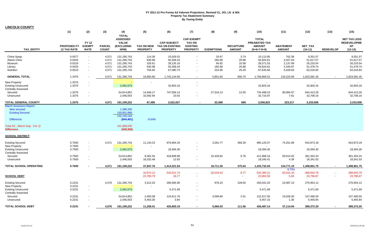**LINCOLN COUNTY**

|                                | (1)                                      | (2)                                          | (3)                           | (4)                                | (5)                                  | (6)                                                             | (7)                                                 | (8)               | (9)                               | (10)                                            | (11)                              | (12)                        | (13)             | (15)                                         |
|--------------------------------|------------------------------------------|----------------------------------------------|-------------------------------|------------------------------------|--------------------------------------|-----------------------------------------------------------------|-----------------------------------------------------|-------------------|-----------------------------------|-------------------------------------------------|-----------------------------------|-----------------------------|------------------|----------------------------------------------|
|                                |                                          |                                              |                               | <b>TOTAL</b><br><b>ASSESSED</b>    |                                      |                                                                 | <b>CAP-EXEMPT</b>                                   |                   |                                   | <b>TOTAL</b>                                    |                                   |                             |                  | <b>NET TAX LESS</b>                          |
| <b>TAX ENTITY</b>              | <b>PROPOSED FY</b><br><b>12 TAX RATE</b> | <b>FY 12</b><br><b>EXEMPT</b><br><b>RATE</b> | <b>PARCEL</b><br><b>COUNT</b> | <b>VALUE</b><br>(EXCLUDING<br>NPM) | <b>TAX ON NEW</b><br><b>PROPERTY</b> | <b>CAP-SUBJECT</b><br><b>TAX ON EXISTING</b><br><b>PROPERTY</b> | <b>TAX ON</b><br><b>EXISTING</b><br><b>PROPERTY</b> | <b>EXEMPTIONS</b> | <b>RECAPTURE</b><br><b>AMOUNT</b> | PREABATED TAX<br><b>AMOUNT</b><br>$(5+6+7-8+9)$ | <b>ABATEMENT</b><br><b>AMOUNT</b> | <b>NET TAX</b><br>$(10-11)$ | <b>REDEVELOP</b> | <b>REDEVELOPME</b><br><b>NT</b><br>$(12-13)$ |
| China Sprgs                    | 0.0077                                   | $\sim$                                       | 4,571                         | 131,295,743                        | 114.36                               | 10,029.52                                                       | $\sim$                                              | 33.67             | 3.74                              | 10,113.95                                       | 762.38                            | 9,351.57                    |                  | 9,351.57                                     |
| Alamo Clinic                   | 0.0425                                   | $\blacksquare$                               | 4,571                         | 131,295,743                        | 630.98                               | 55,358.43                                                       | $\sim$                                              | 185.68            | 20.88                             | 55,824.61                                       | 4,207.04                          | 51,617.57                   |                  | 51,617.57                                    |
| Museum                         | 0.0216                                   | $\blacksquare$                               | 4,571                         | 131,295,743                        | 320.61                               | 28,135.16                                                       | $\sim$                                              | 94.82             | 10.58                             | 28,371.53                                       | 2,137.99                          | 26,233.54                   |                  | 26,233.54                                    |
| Library                        | 0.0425                                   | $\sim$                                       | 4,571                         | 131,295,743                        | 630.98                               | 55,358.43                                                       | $\sim$                                              | 185.68            | 20.88                             | 55,824.61                                       | 4,345.87                          | 51,478.74                   |                  | 51,478.74                                    |
| Nutrition                      | 0.0515                                   | $\blacksquare$                               | 4,571                         | 131,295,743                        | 764.60                               | 67,080.73                                                       | $\sim$                                              | 224.96            | 25.29                             | 67,645.66                                       | 5,628.83                          | 62,016.83                   |                  | 62,016.83                                    |
| <b>GENERAL TOTAL</b>           | 1.3375                                   |                                              | 4,571                         | 131,295,743                        | 19,855.90                            | 1,742,144.56                                                    | $\sim$                                              | 5,851.65          | 656.70                            | 1,756,805.51                                    | 133,224.06                        | 1,623,581.45                | $\sim$           | 1,623,581.45                                 |
| <b>New Property</b>            | 1.3375                                   | $\overline{\phantom{a}}$                     |                               |                                    |                                      |                                                                 | $\overline{\phantom{a}}$                            |                   |                                   | $\sim$                                          |                                   |                             |                  |                                              |
| <b>Existing Unsecured</b>      | 1.3375                                   | $\blacksquare$                               |                               | 2,452,573                          |                                      | 32,803.16                                                       | $\blacksquare$                                      |                   |                                   | 32,803.16                                       |                                   | 32,803.16                   |                  | 32,803.16                                    |
| <b>Centrally Assessed</b>      |                                          |                                              |                               |                                    |                                      |                                                                 |                                                     |                   |                                   |                                                 |                                   |                             |                  |                                              |
| Secured                        | 1.3375                                   | ÷,                                           |                               | 54,914,852                         | 14,946.17                            | 747,056.14                                                      |                                                     | 27,516.13         | 12.05                             | 734,498.23                                      | 90,084.97                         | 644,413.26                  |                  | 644,413.26                                   |
| Unsecured                      | 1.3375                                   | $\blacksquare$                               |                               | 2,446,053                          | 32,692.94                            | 23.03                                                           | $\blacksquare$                                      |                   | $\sim$                            | 32,715.97                                       | 7.81                              | 32,708.16                   |                  | 32,708.16                                    |
| <b>TOTAL GENERAL COUNTY</b>    | 1.3375                                   |                                              | 4,571                         | 191,109,222                        | 67,495                               | 2,522,027                                                       |                                                     | 33,368            | 669                               | 2,556,823                                       | 223,317                           | 2,333,506                   |                  | 2,333,506                                    |
| <b>March Assessors Report:</b> |                                          |                                              |                               |                                    |                                      |                                                                 |                                                     |                   |                                   |                                                 |                                   |                             |                  |                                              |
| New secured                    |                                          |                                              |                               | 1,288,256                          |                                      |                                                                 |                                                     |                   |                                   |                                                 |                                   |                             |                  |                                              |
| <b>Existing Secured</b>        |                                          |                                              |                               | 130,851,888                        |                                      |                                                                 |                                                     |                   |                                   |                                                 |                                   |                             |                  |                                              |
|                                |                                          |                                              |                               | 132,140,144                        |                                      |                                                                 |                                                     |                   |                                   |                                                 |                                   |                             |                  |                                              |
| <b>Difference</b>              |                                          |                                              |                               | (844, 401)                         | $-0.64%$                             |                                                                 |                                                     |                   |                                   |                                                 |                                   |                             |                  |                                              |
| Total AV - March Seg - Col. Q  |                                          |                                              |                               | 191,808,030                        |                                      |                                                                 |                                                     |                   |                                   |                                                 |                                   |                             |                  |                                              |
| <b>Difference</b>              |                                          |                                              |                               | (698, 808)                         |                                      |                                                                 |                                                     |                   |                                   |                                                 |                                   |                             |                  |                                              |
| <b>SCHOOL DISTRICT</b>         |                                          |                                              |                               |                                    |                                      |                                                                 |                                                     |                   |                                   |                                                 |                                   |                             |                  |                                              |
| <b>Existing Secured</b>        | 0.7500                                   | $\blacksquare$                               | 4,571                         | 131,295,743                        | 11,134.23                            | 976,904.33                                                      |                                                     | 3,281.77          | 368.28                            | 985,125.07                                      | 74,251.89                         | 910,873.18                  |                  | 910,873.18                                   |
| <b>New Property</b>            | 0.7500                                   | $\blacksquare$                               |                               |                                    |                                      |                                                                 |                                                     |                   |                                   |                                                 |                                   |                             |                  |                                              |
| <b>Existing Unsecured</b>      | 0.7500                                   | $\blacksquare$                               |                               | 2,452,573                          |                                      | 18,394.30                                                       | $\sim$                                              |                   |                                   | 18,394.30                                       |                                   | 18,394.30                   |                  | 18,394.30                                    |
| Centrally Assessed             |                                          |                                              |                               |                                    |                                      |                                                                 |                                                     |                   |                                   |                                                 |                                   |                             |                  |                                              |
| Secured                        | 0.7500                                   | $\mathbf{r}$                                 |                               | 54,914,852                         | 8,381.04                             | 418,909.98                                                      | $\sim$                                              | 15,429.62         | 6.76                              | 411,868.16                                      | 50,514.92                         | 361,353.24                  |                  | 361,353.24                                   |
| Unsecured                      | 0.7500                                   | ä,                                           |                               | 2,446,053                          | 18,332.49                            | 12.93                                                           | $\blacksquare$                                      |                   | $\sim$                            | 18,345.41                                       | 4.39                              | 18,341.03                   |                  | 18,341.03                                    |
| TOTAL SCHOOL OPERATING         | 0.7500                                   |                                              | 4,571                         | 191,109,222                        | 37,847.76                            | 1,414,221.54                                                    | $\sim$                                              | 18,711.39         | 375.04                            | 1,433,732.94                                    | 124,771.19                        | 1,308,961.75                | $\sim$           | 1,308,961.75                                 |
|                                |                                          |                                              |                               |                                    |                                      |                                                                 |                                                     |                   |                                   |                                                 | 8.70%                             |                             |                  |                                              |
|                                |                                          |                                              |                               |                                    | 10,874.12                            | 543,521.74                                                      | $\sim$                                              | 20,019.42         | 8.77                              | 534,385.21                                      | 65,541.42                         | 468,843.79                  |                  | 468,843.79                                   |
| <b>SCHOOL DEBT</b>             |                                          |                                              |                               |                                    | 23,785.79                            | 16.77                                                           | $\sim$                                              |                   | $\sim$                            | 23,802.56                                       | 5.69                              | 23,796.87                   | $\sim$           | 23,796.87                                    |
| <b>Existing Secured</b>        | 0.2231                                   |                                              | 4,576                         | 131,295,743                        | 3,312.03                             | 290,595.90                                                      |                                                     | 976.23            | 109.55                            | 293,041.25                                      | 22,087.13                         | 270,954.12                  |                  | 270,954.12                                   |
| <b>New Property</b>            | 0.2231                                   | $\overline{\phantom{a}}$                     |                               |                                    | $\sim$                               |                                                                 |                                                     |                   |                                   |                                                 |                                   |                             |                  |                                              |
| <b>Existing Unsecured</b>      | 0.2231                                   | $\blacksquare$                               |                               | 2,452,573                          |                                      | 5,471.69                                                        | $\sim$                                              |                   |                                   | 5,471.69                                        |                                   | 5,471.69                    |                  | 5,471.69                                     |
| <b>Centrally Assessed</b>      |                                          |                                              |                               |                                    |                                      |                                                                 |                                                     |                   |                                   |                                                 |                                   |                             |                  |                                              |
| Secured                        | 0.2231                                   | $\overline{\phantom{a}}$                     |                               | 54,914,852                         | 2,493.08                             | 124,611.76                                                      | $\blacksquare$                                      | 4,589.80          | 2.01                              | 122,517.05                                      | 15,026.50                         | 107,490.55                  |                  | 107,490.55                                   |
| Unsecured                      | 0.2231                                   | ä,                                           |                               | 2,446,053                          | 5,453.30                             | 3.84                                                            | $\sim$                                              |                   | $\sim$                            | 5,457.15                                        | 1.30                              | 5,455.84                    |                  | 5,455.84                                     |
| <b>TOTAL SCHOOL DEBT</b>       | 0.2231                                   |                                              | 4,576                         | 191,109,222                        | 11,258.41                            | 420,683.19                                                      | $\sim$                                              | 5,566.03          | 111.56                            | 426,487.14                                      | 37,114.94                         | 389,372.20                  | $\blacksquare$   | 389,372.20                                   |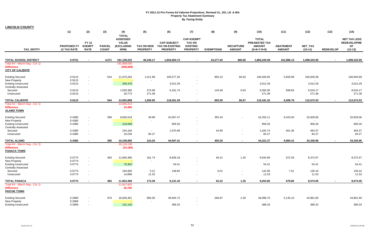| <b>LINCOLN COUNTY</b> |  |
|-----------------------|--|
|-----------------------|--|

|                                                                               | (1)                                      | (2)                                          | (3)                           | (4)                                                                   | (5)             | (6)                                                                 | (7)                                                                      | (8)               | (9)                               | (10)                                                            | (11)                              | (12)                 | (13)             | (15)                                                                |
|-------------------------------------------------------------------------------|------------------------------------------|----------------------------------------------|-------------------------------|-----------------------------------------------------------------------|-----------------|---------------------------------------------------------------------|--------------------------------------------------------------------------|-------------------|-----------------------------------|-----------------------------------------------------------------|-----------------------------------|----------------------|------------------|---------------------------------------------------------------------|
| <b>TAX ENTITY</b>                                                             | <b>PROPOSED FY</b><br><b>12 TAX RATE</b> | <b>FY 12</b><br><b>EXEMPT</b><br><b>RATE</b> | <b>PARCEL</b><br><b>COUNT</b> | <b>TOTAL</b><br><b>ASSESSED</b><br><b>VALUE</b><br>(EXCLUDING<br>NPM) | <b>PROPERTY</b> | <b>CAP-SUBJECT</b><br>TAX ON NEW TAX ON EXISTING<br><b>PROPERTY</b> | <b>CAP-EXEMPT</b><br><b>TAX ON</b><br><b>EXISTING</b><br><b>PROPERTY</b> | <b>EXEMPTIONS</b> | <b>RECAPTURE</b><br><b>AMOUNT</b> | <b>TOTAL</b><br>PREABATED TAX<br><b>AMOUNT</b><br>$(5+6+7-8+9)$ | <b>ABATEMENT</b><br><b>AMOUNT</b> | NET_TAX<br>$(10-11)$ | <b>REDEVELOP</b> | <b>NET TAX LESS</b><br><b>REDEVELOPME</b><br><b>NT</b><br>$(12-13)$ |
|                                                                               |                                          |                                              |                               |                                                                       |                 |                                                                     |                                                                          |                   |                                   |                                                                 |                                   |                      |                  |                                                                     |
| <b>TOTAL SCHOOL DISTRICT</b>                                                  | 0.9731                                   |                                              | 4,571                         | 191,109,222                                                           | 49,106.17       | 1,834,904.73                                                        | $\blacksquare$                                                           | 24,277.42         | 486.60                            | 1,860,220.08                                                    | 161,886.13                        | 1,698,333.95         |                  | 1,698,333.95                                                        |
| Total AV - March Seg - Col. Q<br><b>Difference</b><br><b>CITY OF CALIENTE</b> |                                          |                                              |                               | 191,808,030<br>(698, 808)                                             |                 |                                                                     |                                                                          |                   |                                   |                                                                 |                                   |                      |                  |                                                                     |
| <b>Existing Secured</b>                                                       | 0.9115                                   | $\sim$                                       | 544                           | 11,675,264                                                            | 1,011.89        | 106,277.26                                                          |                                                                          | 850.13            | 66.63                             | 106,505.65                                                      | 5,659.96                          | 100,845.69           |                  | 100,845.69                                                          |
| <b>New Property</b>                                                           | 0.9115                                   | $\sim$                                       |                               |                                                                       |                 |                                                                     |                                                                          |                   |                                   |                                                                 |                                   |                      |                  |                                                                     |
| <b>Existing Unsecured</b><br><b>Centrally Assessed</b>                        | 0.9115                                   | $\sim$                                       |                               | 330,476                                                               |                 | 3,012.29                                                            | $\sim$                                                                   |                   |                                   | 3,012.29                                                        |                                   | 3,012.29             |                  | 3,012.29                                                            |
| Secured                                                                       | 0.9115                                   | $\sim$                                       |                               | 1,030,385                                                             | 373.68          | 9,161.74                                                            | $\sim$                                                                   | 143.46            | 0.04                              | 9,392.00                                                        | 848.83                            | 8,543.17             |                  | 8,543.17                                                            |
| Unsecured                                                                     | 0.9115                                   |                                              |                               | 29,773                                                                | 271.38          | $\blacksquare$                                                      | $\overline{\phantom{a}}$                                                 | $\sim$            | $\mathbf{r}$                      | 271.38                                                          |                                   | 271.38               |                  | 271.38                                                              |
| <b>TOTAL CALIENTE</b>                                                         | 0.9115                                   | $\overline{\phantom{a}}$                     | 544                           | 13,065,898                                                            | 1,656.95        | 118,451.29                                                          | $\sim$                                                                   | 993.59            | 66.67                             | 119,181.32                                                      | 6,508.79                          | 112,672.53           |                  | 112,672.53                                                          |
| Total AV - March Seg - Col. Q<br><b>Difference</b><br><b>ALAMO TOWN</b>       |                                          |                                              |                               | 13,055,412<br>10,486                                                  |                 |                                                                     |                                                                          |                   |                                   |                                                                 |                                   |                      |                  |                                                                     |
| <b>Existing Secured</b>                                                       | 0.4380                                   |                                              | 390                           | 9,636,519                                                             | 39.98           | 42,567.47                                                           |                                                                          | 355.34            | $\blacksquare$                    | 42,252.11                                                       | 9,423.05                          | 32,829.06            |                  | 32,829.06                                                           |
| <b>New Property</b>                                                           | 0.4380                                   | $\sim$                                       |                               |                                                                       | $\sim$          |                                                                     | $\sim$                                                                   |                   |                                   | $\sim$                                                          |                                   |                      |                  |                                                                     |
| <b>Existing Unsecured</b><br><b>Centrally Assessed</b>                        | 0.4380                                   | $\sim$                                       |                               | 219,009                                                               |                 | 959.26                                                              | $\sim$                                                                   |                   |                                   | 959.26                                                          |                                   | 959.26               |                  | 959.26                                                              |
| Secured                                                                       | 0.4380                                   | $\overline{\phantom{a}}$                     |                               | 234,184                                                               | $\sim$          | 1,070.68                                                            | $\sim$                                                                   | 44.95             | $\blacksquare$                    | 1,025.73                                                        | 561.36                            | 464.37               |                  | 464.37                                                              |
| Unsecured                                                                     | 0.4380                                   | $\sim$                                       |                               | 19,239                                                                | 84.27           |                                                                     |                                                                          |                   | $\overline{\phantom{a}}$          | 84.27                                                           |                                   | 84.27                |                  | 84.27                                                               |
| <b>TOTAL ALAMO</b>                                                            | 0.4380                                   |                                              | 390                           | 10,108,950                                                            | 124.25          | 44,597.41                                                           | $\sim$                                                                   | 400.29            | $\blacksquare$                    | 44,321.37                                                       | 9,984.41                          | 34,336.96            |                  | 34,336.96                                                           |
| Total AV - March Seg - Col. Q<br><b>Difference</b><br><b>PANACA TOWN</b>      |                                          |                                              |                               | 10,119,136<br>(10, 186)                                               |                 |                                                                     |                                                                          |                   |                                   |                                                                 |                                   |                      |                  |                                                                     |
| <b>Existing Secured</b>                                                       | 0.0774                                   | $\blacksquare$                               | 483                           | 11,684,485                                                            | 161.74          | 8,928.18                                                            | $\blacksquare$                                                           | 46.21             | 1.25                              | 9,044.96                                                        | 672.29                            | 8,372.67             |                  | 8,372.67                                                            |
| New Property                                                                  | 0.0774                                   | $\overline{\phantom{a}}$                     |                               |                                                                       |                 |                                                                     |                                                                          |                   |                                   |                                                                 |                                   |                      |                  |                                                                     |
| <b>Existing Unsecured</b><br><b>Centrally Assessed</b>                        | 0.0774                                   | $\sim$                                       |                               | 70,302                                                                |                 | 54.41                                                               | $\sim$                                                                   |                   |                                   | 54.41                                                           |                                   | 54.41                |                  | 54.41                                                               |
| Secured                                                                       | 0.0774                                   | $\blacksquare$                               |                               | 184,683                                                               | 0.12            | 148.84                                                              | $\sim$                                                                   | 6.01              | $\blacksquare$                    | 142.95                                                          | 7.51                              | 135.44               |                  | 135.44                                                              |
| Unsecured                                                                     | 0.0774                                   | $\sim$                                       |                               | 14,898                                                                | 11.53           | $\ddot{\phantom{1}}$                                                | $\overline{\phantom{a}}$                                                 | $\sim$            | $\blacksquare$                    | 11.53                                                           |                                   | 11.53                |                  | 11.53                                                               |
| <b>TOTAL PANACA</b>                                                           | 0.0774                                   |                                              | 483                           | 11,954,368                                                            | 173.39          | 9,131.43                                                            | $\blacksquare$                                                           | 52.22             | 1.25                              | 9,253.85                                                        | 679.80                            | 8,574.05             |                  | 8,574.05                                                            |
| Total AV - March Seg - Col. Q<br><b>Difference</b><br><b>PIOCHE TOWN</b>      |                                          |                                              |                               | 11,927,602<br>26,766                                                  |                 |                                                                     |                                                                          |                   |                                   |                                                                 |                                   |                      |                  |                                                                     |
| <b>Existing Secured</b>                                                       | 0.2969                                   |                                              | 970                           | 16,835,351                                                            | 856.56          | 49,404.72                                                           |                                                                          | 266.87            | 2.29                              | 49,996.70                                                       | 5,135.10                          | 44,861.60            |                  | 44,861.60                                                           |
| <b>New Property</b>                                                           | 0.2969                                   |                                              |                               |                                                                       |                 |                                                                     |                                                                          |                   |                                   | $\sim$                                                          |                                   |                      |                  | $\sim$                                                              |
| <b>Existing Unsecured</b>                                                     | 0.2969                                   | $\sim$                                       |                               | 131,132                                                               |                 | 389.33                                                              | $\sim$                                                                   |                   |                                   | 389.33                                                          |                                   | 389.33               |                  | 389.33                                                              |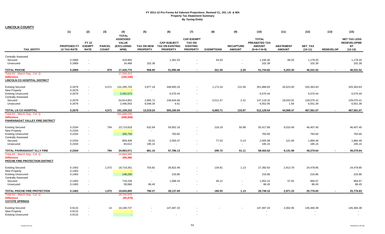**LINCOLN COUNTY**

| <b>ASSESSED</b><br><b>CAP-EXEMPT</b><br><b>TOTAL</b><br><b>NET TAX LESS</b><br><b>FY 12</b><br><b>VALUE</b><br><b>CAP-SUBJECT</b><br><b>TAX ON</b><br>PREABATED TAX<br><b>REDEVELOPME</b><br><b>NT</b><br><b>PROPOSED FY</b><br><b>EXEMPT</b><br><b>PARCEL</b><br><b>(EXCLUDING</b><br><b>TAX ON NEW</b><br><b>TAX ON EXISTING</b><br><b>EXISTING</b><br><b>RECAPTURE</b><br><b>AMOUNT</b><br><b>ABATEMENT</b><br>NET_TAX<br>TAX_ENTITY<br>NPM)<br><b>PROPERTY</b><br><b>PROPERTY</b><br><b>AMOUNT</b><br><b>AMOUNT</b><br>$(10-11)$<br>$(12-13)$<br><b>12 TAX RATE</b><br><b>RATE</b><br><b>COUNT</b><br><b>PROPERTY</b><br><b>EXEMPTIONS</b><br>$(5+6+7-8+9)$<br><b>REDEVELOP</b><br><b>Centrally Assessed</b><br>0.2969<br>1,178.20<br>1,178.20<br>Secured<br>419,804<br>1,301.03<br>54.63<br>1,246.40<br>68.20<br>$\sim$<br>$\sim$<br>$\overline{\phantom{a}}$<br>0.2969<br>34,488<br>102.39<br>102.39<br>102.39<br>102.39<br>Unsecured<br>$\sim$<br>÷<br>$\sim$<br>$\blacksquare$<br>46,531.52<br><b>TOTAL PIOCHE</b><br>0.2969<br>17,420,775<br>958.95<br>51,095.08<br>321.50<br>2.29<br>51,734.82<br>5,203.30<br>46,531.52<br>970<br>$\blacksquare$<br>Total AV - March Seg - Col. Q<br>17,526,313<br>(105, 538)<br><b>Existing Secured</b><br>0.2679<br>4,571<br>131,295,743<br>3,977.18<br>348,950.33<br>1,172.24<br>131.56<br>351,886.83<br>26,523.00<br>325,363.83<br>325,363.83<br>$\blacksquare$<br>$\overline{\phantom{a}}$<br><b>New Property</b><br>0.2679<br>$\sim$<br>2,452,573<br>6,570.44<br><b>Existing Unsecured</b><br>0.2679<br>6,570.44<br>6,570.44<br>6,570.44<br>$\Delta$<br>$\sim$<br><b>Centrally Assessed</b><br>0.2679<br>54,914,852<br>2,993.72<br>149,634.66<br>5,511.47<br>18,043.91<br>129,075.41<br>Secured<br>2.41<br>147,119.32<br>129,075.41<br>$\sim$<br>$\blacksquare$<br>0.2679<br>2,446,053<br>6,548.34<br>4.61<br>6,552.95<br>1.56<br>6,551.39<br>6,551.39<br>Unsecured<br>$\sim$<br>$\sim$<br>$\blacksquare$<br>$\sim$<br>0.2679<br>44,568.47<br>467,561.07<br>TOTAL LN CO HOSPITAL<br>4,571<br>191,109,222<br>13,519.24<br>505,160.04<br>6,683.71<br>133.97<br>512,129.54<br>467,561.07<br>$\blacksquare$<br>$\blacksquare$<br>Total AV - March Seg - Col. Q<br>191,808,030<br>(698, 808)<br>0.2334<br>794<br>23,714,819<br>632.94<br>54,952.16<br>218.19<br>50.98<br>55,417.89<br>46,407.40<br>46,407.40<br><b>Existing Secured</b><br>9,010.49<br>$\sim$<br>0.2334<br><b>New Property</b><br>$\sim$<br>$\sim$<br>$\sim$<br>783.60<br>0.2334<br>335,734<br>783.60<br>783.60<br><b>Existing Unsecured</b><br>783.60<br>$\sim$<br>$\blacksquare$<br><b>Centrally Assessed</b><br>0.2334<br>859,406<br>33.01<br>2,050.37<br>77.53<br>0.13<br>121.49<br>1,884.49<br>Secured<br>2,005.98<br>1,884.49<br>$\blacksquare$<br>$\blacksquare$<br>0.2334<br>83,612<br>195.15<br>195.15<br>195.15<br>195.15<br>Unsecured<br>$\sim$<br>÷<br>$\blacksquare$<br>$\sim$<br>0.2334<br>295.72<br>49,270.64<br>TOTAL PAHRANAGAT VLLY FIRE<br>794<br>24,993,571<br>861.10<br>57,786.13<br>51.11<br>58,402.62<br>9,131.98<br>49,270.64<br>$\sim$<br>$\sim$<br>Total AV - March Seg - Col. Q<br>24,684,585<br>308,986<br>0.1463<br>1.072<br>18,719,261<br>703.82<br>26.822.49<br>134.81<br>1.13<br>27,392.63<br>2,913.78<br>24,478.85<br>24,478.85<br><b>Existing Secured</b><br>$\sim$<br>New Property<br>0.1463<br>$\sim$<br>148,230<br>216.86<br>0.1463<br>216.86<br>216.86<br>216.86<br>$\sim$<br>$\blacksquare$<br>57.55<br>719,228<br>1,098.34<br>46.12<br>1,052.22<br>994.67<br>994.67<br>Secured<br>0.1463<br>$\sim$<br>$\sim$<br>$\blacksquare$<br>$\blacksquare$<br>0.1463<br>59,086<br>86.45<br>86.45<br>86.45<br>86.45<br>Unsecured<br>$\blacksquare$<br>$\blacksquare$<br>$\overline{\phantom{a}}$<br>TOTAL PIOCHE FIRE PROTECTION<br>1,072<br>19,645,805<br>28,137.69<br>180.93<br>1.13<br>2,971.33<br>25,776.83<br>25,776.83<br>0.1463<br>790.27<br>28,748.16<br>$\sim$<br>$\sim$<br>19,741,675<br>(95, 870)<br>16,180,727<br>147,487.33<br>2,002.95<br>145,484.38<br><b>Existing Secured</b><br>0.9115<br>14<br>147,487.33<br>145,484.38<br>0.9115<br>New Property<br>0.9115<br>$\sim$ |                                            | (1) | (2) | (3) | (4)          | (5) | (6) | (7) | (8) | (9) | (10) | (11) | (12) | (13) | (15) |
|---------------------------------------------------------------------------------------------------------------------------------------------------------------------------------------------------------------------------------------------------------------------------------------------------------------------------------------------------------------------------------------------------------------------------------------------------------------------------------------------------------------------------------------------------------------------------------------------------------------------------------------------------------------------------------------------------------------------------------------------------------------------------------------------------------------------------------------------------------------------------------------------------------------------------------------------------------------------------------------------------------------------------------------------------------------------------------------------------------------------------------------------------------------------------------------------------------------------------------------------------------------------------------------------------------------------------------------------------------------------------------------------------------------------------------------------------------------------------------------------------------------------------------------------------------------------------------------------------------------------------------------------------------------------------------------------------------------------------------------------------------------------------------------------------------------------------------------------------------------------------------------------------------------------------------------------------------------------------------------------------------------------------------------------------------------------------------------------------------------------------------------------------------------------------------------------------------------------------------------------------------------------------------------------------------------------------------------------------------------------------------------------------------------------------------------------------------------------------------------------------------------------------------------------------------------------------------------------------------------------------------------------------------------------------------------------------------------------------------------------------------------------------------------------------------------------------------------------------------------------------------------------------------------------------------------------------------------------------------------------------------------------------------------------------------------------------------------------------------------------------------------------------------------------------------------------------------------------------------------------------------------------------------------------------------------------------------------------------------------------------------------------------------------------------------------------------------------------------------------------------------------------------------------------------------------------------------------------------------------------------------------------------------------------------------------------------------------------------------------------------------------------------------------------------------------------------------------------------------------------------------------------------------------------------------------------------------------------------------------------------------------------------------------------------------------------------------------------------------------------------------|--------------------------------------------|-----|-----|-----|--------------|-----|-----|-----|-----|-----|------|------|------|------|------|
|                                                                                                                                                                                                                                                                                                                                                                                                                                                                                                                                                                                                                                                                                                                                                                                                                                                                                                                                                                                                                                                                                                                                                                                                                                                                                                                                                                                                                                                                                                                                                                                                                                                                                                                                                                                                                                                                                                                                                                                                                                                                                                                                                                                                                                                                                                                                                                                                                                                                                                                                                                                                                                                                                                                                                                                                                                                                                                                                                                                                                                                                                                                                                                                                                                                                                                                                                                                                                                                                                                                                                                                                                                                                                                                                                                                                                                                                                                                                                                                                                                                                                                                                 |                                            |     |     |     | <b>TOTAL</b> |     |     |     |     |     |      |      |      |      |      |
|                                                                                                                                                                                                                                                                                                                                                                                                                                                                                                                                                                                                                                                                                                                                                                                                                                                                                                                                                                                                                                                                                                                                                                                                                                                                                                                                                                                                                                                                                                                                                                                                                                                                                                                                                                                                                                                                                                                                                                                                                                                                                                                                                                                                                                                                                                                                                                                                                                                                                                                                                                                                                                                                                                                                                                                                                                                                                                                                                                                                                                                                                                                                                                                                                                                                                                                                                                                                                                                                                                                                                                                                                                                                                                                                                                                                                                                                                                                                                                                                                                                                                                                                 |                                            |     |     |     |              |     |     |     |     |     |      |      |      |      |      |
|                                                                                                                                                                                                                                                                                                                                                                                                                                                                                                                                                                                                                                                                                                                                                                                                                                                                                                                                                                                                                                                                                                                                                                                                                                                                                                                                                                                                                                                                                                                                                                                                                                                                                                                                                                                                                                                                                                                                                                                                                                                                                                                                                                                                                                                                                                                                                                                                                                                                                                                                                                                                                                                                                                                                                                                                                                                                                                                                                                                                                                                                                                                                                                                                                                                                                                                                                                                                                                                                                                                                                                                                                                                                                                                                                                                                                                                                                                                                                                                                                                                                                                                                 |                                            |     |     |     |              |     |     |     |     |     |      |      |      |      |      |
|                                                                                                                                                                                                                                                                                                                                                                                                                                                                                                                                                                                                                                                                                                                                                                                                                                                                                                                                                                                                                                                                                                                                                                                                                                                                                                                                                                                                                                                                                                                                                                                                                                                                                                                                                                                                                                                                                                                                                                                                                                                                                                                                                                                                                                                                                                                                                                                                                                                                                                                                                                                                                                                                                                                                                                                                                                                                                                                                                                                                                                                                                                                                                                                                                                                                                                                                                                                                                                                                                                                                                                                                                                                                                                                                                                                                                                                                                                                                                                                                                                                                                                                                 |                                            |     |     |     |              |     |     |     |     |     |      |      |      |      |      |
|                                                                                                                                                                                                                                                                                                                                                                                                                                                                                                                                                                                                                                                                                                                                                                                                                                                                                                                                                                                                                                                                                                                                                                                                                                                                                                                                                                                                                                                                                                                                                                                                                                                                                                                                                                                                                                                                                                                                                                                                                                                                                                                                                                                                                                                                                                                                                                                                                                                                                                                                                                                                                                                                                                                                                                                                                                                                                                                                                                                                                                                                                                                                                                                                                                                                                                                                                                                                                                                                                                                                                                                                                                                                                                                                                                                                                                                                                                                                                                                                                                                                                                                                 |                                            |     |     |     |              |     |     |     |     |     |      |      |      |      |      |
|                                                                                                                                                                                                                                                                                                                                                                                                                                                                                                                                                                                                                                                                                                                                                                                                                                                                                                                                                                                                                                                                                                                                                                                                                                                                                                                                                                                                                                                                                                                                                                                                                                                                                                                                                                                                                                                                                                                                                                                                                                                                                                                                                                                                                                                                                                                                                                                                                                                                                                                                                                                                                                                                                                                                                                                                                                                                                                                                                                                                                                                                                                                                                                                                                                                                                                                                                                                                                                                                                                                                                                                                                                                                                                                                                                                                                                                                                                                                                                                                                                                                                                                                 |                                            |     |     |     |              |     |     |     |     |     |      |      |      |      |      |
|                                                                                                                                                                                                                                                                                                                                                                                                                                                                                                                                                                                                                                                                                                                                                                                                                                                                                                                                                                                                                                                                                                                                                                                                                                                                                                                                                                                                                                                                                                                                                                                                                                                                                                                                                                                                                                                                                                                                                                                                                                                                                                                                                                                                                                                                                                                                                                                                                                                                                                                                                                                                                                                                                                                                                                                                                                                                                                                                                                                                                                                                                                                                                                                                                                                                                                                                                                                                                                                                                                                                                                                                                                                                                                                                                                                                                                                                                                                                                                                                                                                                                                                                 | <b>Difference</b>                          |     |     |     |              |     |     |     |     |     |      |      |      |      |      |
|                                                                                                                                                                                                                                                                                                                                                                                                                                                                                                                                                                                                                                                                                                                                                                                                                                                                                                                                                                                                                                                                                                                                                                                                                                                                                                                                                                                                                                                                                                                                                                                                                                                                                                                                                                                                                                                                                                                                                                                                                                                                                                                                                                                                                                                                                                                                                                                                                                                                                                                                                                                                                                                                                                                                                                                                                                                                                                                                                                                                                                                                                                                                                                                                                                                                                                                                                                                                                                                                                                                                                                                                                                                                                                                                                                                                                                                                                                                                                                                                                                                                                                                                 | LINCOLN CO HOSPITAL DISTRICT               |     |     |     |              |     |     |     |     |     |      |      |      |      |      |
|                                                                                                                                                                                                                                                                                                                                                                                                                                                                                                                                                                                                                                                                                                                                                                                                                                                                                                                                                                                                                                                                                                                                                                                                                                                                                                                                                                                                                                                                                                                                                                                                                                                                                                                                                                                                                                                                                                                                                                                                                                                                                                                                                                                                                                                                                                                                                                                                                                                                                                                                                                                                                                                                                                                                                                                                                                                                                                                                                                                                                                                                                                                                                                                                                                                                                                                                                                                                                                                                                                                                                                                                                                                                                                                                                                                                                                                                                                                                                                                                                                                                                                                                 |                                            |     |     |     |              |     |     |     |     |     |      |      |      |      |      |
|                                                                                                                                                                                                                                                                                                                                                                                                                                                                                                                                                                                                                                                                                                                                                                                                                                                                                                                                                                                                                                                                                                                                                                                                                                                                                                                                                                                                                                                                                                                                                                                                                                                                                                                                                                                                                                                                                                                                                                                                                                                                                                                                                                                                                                                                                                                                                                                                                                                                                                                                                                                                                                                                                                                                                                                                                                                                                                                                                                                                                                                                                                                                                                                                                                                                                                                                                                                                                                                                                                                                                                                                                                                                                                                                                                                                                                                                                                                                                                                                                                                                                                                                 |                                            |     |     |     |              |     |     |     |     |     |      |      |      |      |      |
|                                                                                                                                                                                                                                                                                                                                                                                                                                                                                                                                                                                                                                                                                                                                                                                                                                                                                                                                                                                                                                                                                                                                                                                                                                                                                                                                                                                                                                                                                                                                                                                                                                                                                                                                                                                                                                                                                                                                                                                                                                                                                                                                                                                                                                                                                                                                                                                                                                                                                                                                                                                                                                                                                                                                                                                                                                                                                                                                                                                                                                                                                                                                                                                                                                                                                                                                                                                                                                                                                                                                                                                                                                                                                                                                                                                                                                                                                                                                                                                                                                                                                                                                 |                                            |     |     |     |              |     |     |     |     |     |      |      |      |      |      |
|                                                                                                                                                                                                                                                                                                                                                                                                                                                                                                                                                                                                                                                                                                                                                                                                                                                                                                                                                                                                                                                                                                                                                                                                                                                                                                                                                                                                                                                                                                                                                                                                                                                                                                                                                                                                                                                                                                                                                                                                                                                                                                                                                                                                                                                                                                                                                                                                                                                                                                                                                                                                                                                                                                                                                                                                                                                                                                                                                                                                                                                                                                                                                                                                                                                                                                                                                                                                                                                                                                                                                                                                                                                                                                                                                                                                                                                                                                                                                                                                                                                                                                                                 |                                            |     |     |     |              |     |     |     |     |     |      |      |      |      |      |
|                                                                                                                                                                                                                                                                                                                                                                                                                                                                                                                                                                                                                                                                                                                                                                                                                                                                                                                                                                                                                                                                                                                                                                                                                                                                                                                                                                                                                                                                                                                                                                                                                                                                                                                                                                                                                                                                                                                                                                                                                                                                                                                                                                                                                                                                                                                                                                                                                                                                                                                                                                                                                                                                                                                                                                                                                                                                                                                                                                                                                                                                                                                                                                                                                                                                                                                                                                                                                                                                                                                                                                                                                                                                                                                                                                                                                                                                                                                                                                                                                                                                                                                                 |                                            |     |     |     |              |     |     |     |     |     |      |      |      |      |      |
|                                                                                                                                                                                                                                                                                                                                                                                                                                                                                                                                                                                                                                                                                                                                                                                                                                                                                                                                                                                                                                                                                                                                                                                                                                                                                                                                                                                                                                                                                                                                                                                                                                                                                                                                                                                                                                                                                                                                                                                                                                                                                                                                                                                                                                                                                                                                                                                                                                                                                                                                                                                                                                                                                                                                                                                                                                                                                                                                                                                                                                                                                                                                                                                                                                                                                                                                                                                                                                                                                                                                                                                                                                                                                                                                                                                                                                                                                                                                                                                                                                                                                                                                 |                                            |     |     |     |              |     |     |     |     |     |      |      |      |      |      |
|                                                                                                                                                                                                                                                                                                                                                                                                                                                                                                                                                                                                                                                                                                                                                                                                                                                                                                                                                                                                                                                                                                                                                                                                                                                                                                                                                                                                                                                                                                                                                                                                                                                                                                                                                                                                                                                                                                                                                                                                                                                                                                                                                                                                                                                                                                                                                                                                                                                                                                                                                                                                                                                                                                                                                                                                                                                                                                                                                                                                                                                                                                                                                                                                                                                                                                                                                                                                                                                                                                                                                                                                                                                                                                                                                                                                                                                                                                                                                                                                                                                                                                                                 |                                            |     |     |     |              |     |     |     |     |     |      |      |      |      |      |
|                                                                                                                                                                                                                                                                                                                                                                                                                                                                                                                                                                                                                                                                                                                                                                                                                                                                                                                                                                                                                                                                                                                                                                                                                                                                                                                                                                                                                                                                                                                                                                                                                                                                                                                                                                                                                                                                                                                                                                                                                                                                                                                                                                                                                                                                                                                                                                                                                                                                                                                                                                                                                                                                                                                                                                                                                                                                                                                                                                                                                                                                                                                                                                                                                                                                                                                                                                                                                                                                                                                                                                                                                                                                                                                                                                                                                                                                                                                                                                                                                                                                                                                                 |                                            |     |     |     |              |     |     |     |     |     |      |      |      |      |      |
|                                                                                                                                                                                                                                                                                                                                                                                                                                                                                                                                                                                                                                                                                                                                                                                                                                                                                                                                                                                                                                                                                                                                                                                                                                                                                                                                                                                                                                                                                                                                                                                                                                                                                                                                                                                                                                                                                                                                                                                                                                                                                                                                                                                                                                                                                                                                                                                                                                                                                                                                                                                                                                                                                                                                                                                                                                                                                                                                                                                                                                                                                                                                                                                                                                                                                                                                                                                                                                                                                                                                                                                                                                                                                                                                                                                                                                                                                                                                                                                                                                                                                                                                 | <b>Difference</b>                          |     |     |     |              |     |     |     |     |     |      |      |      |      |      |
|                                                                                                                                                                                                                                                                                                                                                                                                                                                                                                                                                                                                                                                                                                                                                                                                                                                                                                                                                                                                                                                                                                                                                                                                                                                                                                                                                                                                                                                                                                                                                                                                                                                                                                                                                                                                                                                                                                                                                                                                                                                                                                                                                                                                                                                                                                                                                                                                                                                                                                                                                                                                                                                                                                                                                                                                                                                                                                                                                                                                                                                                                                                                                                                                                                                                                                                                                                                                                                                                                                                                                                                                                                                                                                                                                                                                                                                                                                                                                                                                                                                                                                                                 | PAHRANAGAT VALLEY FIRE DISTRICT            |     |     |     |              |     |     |     |     |     |      |      |      |      |      |
|                                                                                                                                                                                                                                                                                                                                                                                                                                                                                                                                                                                                                                                                                                                                                                                                                                                                                                                                                                                                                                                                                                                                                                                                                                                                                                                                                                                                                                                                                                                                                                                                                                                                                                                                                                                                                                                                                                                                                                                                                                                                                                                                                                                                                                                                                                                                                                                                                                                                                                                                                                                                                                                                                                                                                                                                                                                                                                                                                                                                                                                                                                                                                                                                                                                                                                                                                                                                                                                                                                                                                                                                                                                                                                                                                                                                                                                                                                                                                                                                                                                                                                                                 |                                            |     |     |     |              |     |     |     |     |     |      |      |      |      |      |
|                                                                                                                                                                                                                                                                                                                                                                                                                                                                                                                                                                                                                                                                                                                                                                                                                                                                                                                                                                                                                                                                                                                                                                                                                                                                                                                                                                                                                                                                                                                                                                                                                                                                                                                                                                                                                                                                                                                                                                                                                                                                                                                                                                                                                                                                                                                                                                                                                                                                                                                                                                                                                                                                                                                                                                                                                                                                                                                                                                                                                                                                                                                                                                                                                                                                                                                                                                                                                                                                                                                                                                                                                                                                                                                                                                                                                                                                                                                                                                                                                                                                                                                                 |                                            |     |     |     |              |     |     |     |     |     |      |      |      |      |      |
|                                                                                                                                                                                                                                                                                                                                                                                                                                                                                                                                                                                                                                                                                                                                                                                                                                                                                                                                                                                                                                                                                                                                                                                                                                                                                                                                                                                                                                                                                                                                                                                                                                                                                                                                                                                                                                                                                                                                                                                                                                                                                                                                                                                                                                                                                                                                                                                                                                                                                                                                                                                                                                                                                                                                                                                                                                                                                                                                                                                                                                                                                                                                                                                                                                                                                                                                                                                                                                                                                                                                                                                                                                                                                                                                                                                                                                                                                                                                                                                                                                                                                                                                 |                                            |     |     |     |              |     |     |     |     |     |      |      |      |      |      |
|                                                                                                                                                                                                                                                                                                                                                                                                                                                                                                                                                                                                                                                                                                                                                                                                                                                                                                                                                                                                                                                                                                                                                                                                                                                                                                                                                                                                                                                                                                                                                                                                                                                                                                                                                                                                                                                                                                                                                                                                                                                                                                                                                                                                                                                                                                                                                                                                                                                                                                                                                                                                                                                                                                                                                                                                                                                                                                                                                                                                                                                                                                                                                                                                                                                                                                                                                                                                                                                                                                                                                                                                                                                                                                                                                                                                                                                                                                                                                                                                                                                                                                                                 |                                            |     |     |     |              |     |     |     |     |     |      |      |      |      |      |
|                                                                                                                                                                                                                                                                                                                                                                                                                                                                                                                                                                                                                                                                                                                                                                                                                                                                                                                                                                                                                                                                                                                                                                                                                                                                                                                                                                                                                                                                                                                                                                                                                                                                                                                                                                                                                                                                                                                                                                                                                                                                                                                                                                                                                                                                                                                                                                                                                                                                                                                                                                                                                                                                                                                                                                                                                                                                                                                                                                                                                                                                                                                                                                                                                                                                                                                                                                                                                                                                                                                                                                                                                                                                                                                                                                                                                                                                                                                                                                                                                                                                                                                                 |                                            |     |     |     |              |     |     |     |     |     |      |      |      |      |      |
|                                                                                                                                                                                                                                                                                                                                                                                                                                                                                                                                                                                                                                                                                                                                                                                                                                                                                                                                                                                                                                                                                                                                                                                                                                                                                                                                                                                                                                                                                                                                                                                                                                                                                                                                                                                                                                                                                                                                                                                                                                                                                                                                                                                                                                                                                                                                                                                                                                                                                                                                                                                                                                                                                                                                                                                                                                                                                                                                                                                                                                                                                                                                                                                                                                                                                                                                                                                                                                                                                                                                                                                                                                                                                                                                                                                                                                                                                                                                                                                                                                                                                                                                 |                                            |     |     |     |              |     |     |     |     |     |      |      |      |      |      |
|                                                                                                                                                                                                                                                                                                                                                                                                                                                                                                                                                                                                                                                                                                                                                                                                                                                                                                                                                                                                                                                                                                                                                                                                                                                                                                                                                                                                                                                                                                                                                                                                                                                                                                                                                                                                                                                                                                                                                                                                                                                                                                                                                                                                                                                                                                                                                                                                                                                                                                                                                                                                                                                                                                                                                                                                                                                                                                                                                                                                                                                                                                                                                                                                                                                                                                                                                                                                                                                                                                                                                                                                                                                                                                                                                                                                                                                                                                                                                                                                                                                                                                                                 |                                            |     |     |     |              |     |     |     |     |     |      |      |      |      |      |
|                                                                                                                                                                                                                                                                                                                                                                                                                                                                                                                                                                                                                                                                                                                                                                                                                                                                                                                                                                                                                                                                                                                                                                                                                                                                                                                                                                                                                                                                                                                                                                                                                                                                                                                                                                                                                                                                                                                                                                                                                                                                                                                                                                                                                                                                                                                                                                                                                                                                                                                                                                                                                                                                                                                                                                                                                                                                                                                                                                                                                                                                                                                                                                                                                                                                                                                                                                                                                                                                                                                                                                                                                                                                                                                                                                                                                                                                                                                                                                                                                                                                                                                                 |                                            |     |     |     |              |     |     |     |     |     |      |      |      |      |      |
|                                                                                                                                                                                                                                                                                                                                                                                                                                                                                                                                                                                                                                                                                                                                                                                                                                                                                                                                                                                                                                                                                                                                                                                                                                                                                                                                                                                                                                                                                                                                                                                                                                                                                                                                                                                                                                                                                                                                                                                                                                                                                                                                                                                                                                                                                                                                                                                                                                                                                                                                                                                                                                                                                                                                                                                                                                                                                                                                                                                                                                                                                                                                                                                                                                                                                                                                                                                                                                                                                                                                                                                                                                                                                                                                                                                                                                                                                                                                                                                                                                                                                                                                 | <b>Difference</b>                          |     |     |     |              |     |     |     |     |     |      |      |      |      |      |
|                                                                                                                                                                                                                                                                                                                                                                                                                                                                                                                                                                                                                                                                                                                                                                                                                                                                                                                                                                                                                                                                                                                                                                                                                                                                                                                                                                                                                                                                                                                                                                                                                                                                                                                                                                                                                                                                                                                                                                                                                                                                                                                                                                                                                                                                                                                                                                                                                                                                                                                                                                                                                                                                                                                                                                                                                                                                                                                                                                                                                                                                                                                                                                                                                                                                                                                                                                                                                                                                                                                                                                                                                                                                                                                                                                                                                                                                                                                                                                                                                                                                                                                                 | PIOCHE FIRE PROTECTION DISTRICT            |     |     |     |              |     |     |     |     |     |      |      |      |      |      |
|                                                                                                                                                                                                                                                                                                                                                                                                                                                                                                                                                                                                                                                                                                                                                                                                                                                                                                                                                                                                                                                                                                                                                                                                                                                                                                                                                                                                                                                                                                                                                                                                                                                                                                                                                                                                                                                                                                                                                                                                                                                                                                                                                                                                                                                                                                                                                                                                                                                                                                                                                                                                                                                                                                                                                                                                                                                                                                                                                                                                                                                                                                                                                                                                                                                                                                                                                                                                                                                                                                                                                                                                                                                                                                                                                                                                                                                                                                                                                                                                                                                                                                                                 |                                            |     |     |     |              |     |     |     |     |     |      |      |      |      |      |
|                                                                                                                                                                                                                                                                                                                                                                                                                                                                                                                                                                                                                                                                                                                                                                                                                                                                                                                                                                                                                                                                                                                                                                                                                                                                                                                                                                                                                                                                                                                                                                                                                                                                                                                                                                                                                                                                                                                                                                                                                                                                                                                                                                                                                                                                                                                                                                                                                                                                                                                                                                                                                                                                                                                                                                                                                                                                                                                                                                                                                                                                                                                                                                                                                                                                                                                                                                                                                                                                                                                                                                                                                                                                                                                                                                                                                                                                                                                                                                                                                                                                                                                                 |                                            |     |     |     |              |     |     |     |     |     |      |      |      |      |      |
|                                                                                                                                                                                                                                                                                                                                                                                                                                                                                                                                                                                                                                                                                                                                                                                                                                                                                                                                                                                                                                                                                                                                                                                                                                                                                                                                                                                                                                                                                                                                                                                                                                                                                                                                                                                                                                                                                                                                                                                                                                                                                                                                                                                                                                                                                                                                                                                                                                                                                                                                                                                                                                                                                                                                                                                                                                                                                                                                                                                                                                                                                                                                                                                                                                                                                                                                                                                                                                                                                                                                                                                                                                                                                                                                                                                                                                                                                                                                                                                                                                                                                                                                 | <b>Existing Unsecured</b>                  |     |     |     |              |     |     |     |     |     |      |      |      |      |      |
|                                                                                                                                                                                                                                                                                                                                                                                                                                                                                                                                                                                                                                                                                                                                                                                                                                                                                                                                                                                                                                                                                                                                                                                                                                                                                                                                                                                                                                                                                                                                                                                                                                                                                                                                                                                                                                                                                                                                                                                                                                                                                                                                                                                                                                                                                                                                                                                                                                                                                                                                                                                                                                                                                                                                                                                                                                                                                                                                                                                                                                                                                                                                                                                                                                                                                                                                                                                                                                                                                                                                                                                                                                                                                                                                                                                                                                                                                                                                                                                                                                                                                                                                 | <b>Centrally Assessed</b>                  |     |     |     |              |     |     |     |     |     |      |      |      |      |      |
|                                                                                                                                                                                                                                                                                                                                                                                                                                                                                                                                                                                                                                                                                                                                                                                                                                                                                                                                                                                                                                                                                                                                                                                                                                                                                                                                                                                                                                                                                                                                                                                                                                                                                                                                                                                                                                                                                                                                                                                                                                                                                                                                                                                                                                                                                                                                                                                                                                                                                                                                                                                                                                                                                                                                                                                                                                                                                                                                                                                                                                                                                                                                                                                                                                                                                                                                                                                                                                                                                                                                                                                                                                                                                                                                                                                                                                                                                                                                                                                                                                                                                                                                 |                                            |     |     |     |              |     |     |     |     |     |      |      |      |      |      |
|                                                                                                                                                                                                                                                                                                                                                                                                                                                                                                                                                                                                                                                                                                                                                                                                                                                                                                                                                                                                                                                                                                                                                                                                                                                                                                                                                                                                                                                                                                                                                                                                                                                                                                                                                                                                                                                                                                                                                                                                                                                                                                                                                                                                                                                                                                                                                                                                                                                                                                                                                                                                                                                                                                                                                                                                                                                                                                                                                                                                                                                                                                                                                                                                                                                                                                                                                                                                                                                                                                                                                                                                                                                                                                                                                                                                                                                                                                                                                                                                                                                                                                                                 |                                            |     |     |     |              |     |     |     |     |     |      |      |      |      |      |
|                                                                                                                                                                                                                                                                                                                                                                                                                                                                                                                                                                                                                                                                                                                                                                                                                                                                                                                                                                                                                                                                                                                                                                                                                                                                                                                                                                                                                                                                                                                                                                                                                                                                                                                                                                                                                                                                                                                                                                                                                                                                                                                                                                                                                                                                                                                                                                                                                                                                                                                                                                                                                                                                                                                                                                                                                                                                                                                                                                                                                                                                                                                                                                                                                                                                                                                                                                                                                                                                                                                                                                                                                                                                                                                                                                                                                                                                                                                                                                                                                                                                                                                                 |                                            |     |     |     |              |     |     |     |     |     |      |      |      |      |      |
|                                                                                                                                                                                                                                                                                                                                                                                                                                                                                                                                                                                                                                                                                                                                                                                                                                                                                                                                                                                                                                                                                                                                                                                                                                                                                                                                                                                                                                                                                                                                                                                                                                                                                                                                                                                                                                                                                                                                                                                                                                                                                                                                                                                                                                                                                                                                                                                                                                                                                                                                                                                                                                                                                                                                                                                                                                                                                                                                                                                                                                                                                                                                                                                                                                                                                                                                                                                                                                                                                                                                                                                                                                                                                                                                                                                                                                                                                                                                                                                                                                                                                                                                 | Total AV - March Seg - Col. Q              |     |     |     |              |     |     |     |     |     |      |      |      |      |      |
|                                                                                                                                                                                                                                                                                                                                                                                                                                                                                                                                                                                                                                                                                                                                                                                                                                                                                                                                                                                                                                                                                                                                                                                                                                                                                                                                                                                                                                                                                                                                                                                                                                                                                                                                                                                                                                                                                                                                                                                                                                                                                                                                                                                                                                                                                                                                                                                                                                                                                                                                                                                                                                                                                                                                                                                                                                                                                                                                                                                                                                                                                                                                                                                                                                                                                                                                                                                                                                                                                                                                                                                                                                                                                                                                                                                                                                                                                                                                                                                                                                                                                                                                 | <b>Difference</b><br><b>COYOTE SPRINGS</b> |     |     |     |              |     |     |     |     |     |      |      |      |      |      |
|                                                                                                                                                                                                                                                                                                                                                                                                                                                                                                                                                                                                                                                                                                                                                                                                                                                                                                                                                                                                                                                                                                                                                                                                                                                                                                                                                                                                                                                                                                                                                                                                                                                                                                                                                                                                                                                                                                                                                                                                                                                                                                                                                                                                                                                                                                                                                                                                                                                                                                                                                                                                                                                                                                                                                                                                                                                                                                                                                                                                                                                                                                                                                                                                                                                                                                                                                                                                                                                                                                                                                                                                                                                                                                                                                                                                                                                                                                                                                                                                                                                                                                                                 |                                            |     |     |     |              |     |     |     |     |     |      |      |      |      |      |
|                                                                                                                                                                                                                                                                                                                                                                                                                                                                                                                                                                                                                                                                                                                                                                                                                                                                                                                                                                                                                                                                                                                                                                                                                                                                                                                                                                                                                                                                                                                                                                                                                                                                                                                                                                                                                                                                                                                                                                                                                                                                                                                                                                                                                                                                                                                                                                                                                                                                                                                                                                                                                                                                                                                                                                                                                                                                                                                                                                                                                                                                                                                                                                                                                                                                                                                                                                                                                                                                                                                                                                                                                                                                                                                                                                                                                                                                                                                                                                                                                                                                                                                                 |                                            |     |     |     |              |     |     |     |     |     |      |      |      |      |      |
|                                                                                                                                                                                                                                                                                                                                                                                                                                                                                                                                                                                                                                                                                                                                                                                                                                                                                                                                                                                                                                                                                                                                                                                                                                                                                                                                                                                                                                                                                                                                                                                                                                                                                                                                                                                                                                                                                                                                                                                                                                                                                                                                                                                                                                                                                                                                                                                                                                                                                                                                                                                                                                                                                                                                                                                                                                                                                                                                                                                                                                                                                                                                                                                                                                                                                                                                                                                                                                                                                                                                                                                                                                                                                                                                                                                                                                                                                                                                                                                                                                                                                                                                 | <b>Existing Unsecured</b>                  |     |     |     |              |     |     |     |     |     |      |      |      |      |      |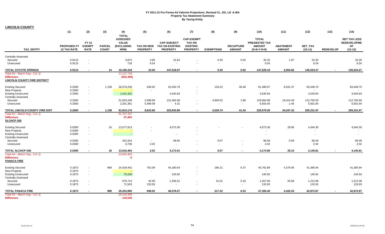**LINCOLN COUNTY**

|                                                                                                   | (1)                                      | (2)                                          | (3)                           | (4)<br><b>TOTAL</b>                                          | (5)                                  | (6)                                                             | (7)                                                                      | (8)                | (9)                               | (10)                                                            | (11)                              | (12)                   | (13)             | (15)                                                                |
|---------------------------------------------------------------------------------------------------|------------------------------------------|----------------------------------------------|-------------------------------|--------------------------------------------------------------|--------------------------------------|-----------------------------------------------------------------|--------------------------------------------------------------------------|--------------------|-----------------------------------|-----------------------------------------------------------------|-----------------------------------|------------------------|------------------|---------------------------------------------------------------------|
| <b>TAX ENTITY</b>                                                                                 | <b>PROPOSED FY</b><br><b>12 TAX RATE</b> | <b>FY 12</b><br><b>EXEMPT</b><br><b>RATE</b> | <b>PARCEL</b><br><b>COUNT</b> | <b>ASSESSED</b><br><b>VALUE</b><br><b>(EXCLUDING</b><br>NPM) | <b>TAX ON NEW</b><br><b>PROPERTY</b> | <b>CAP-SUBJECT</b><br><b>TAX ON EXISTING</b><br><b>PROPERTY</b> | <b>CAP-EXEMPT</b><br><b>TAX ON</b><br><b>EXISTING</b><br><b>PROPERTY</b> | <b>EXEMPTIONS</b>  | <b>RECAPTURE</b><br><b>AMOUNT</b> | <b>TOTAL</b><br>PREABATED TAX<br><b>AMOUNT</b><br>$(5+6+7-8+9)$ | <b>ABATEMENT</b><br><b>AMOUNT</b> | NET_TAX<br>$(10-11)$   | <b>REDEVELOP</b> | <b>NET TAX LESS</b><br><b>REDEVELOPME</b><br><b>NT</b><br>$(12-13)$ |
| <b>Centrally Assessed</b>                                                                         |                                          |                                              |                               |                                                              |                                      |                                                                 |                                                                          |                    |                                   |                                                                 |                                   |                        |                  |                                                                     |
| Secured<br>Unsecured                                                                              | 0.9115<br>0.9115                         | $\sim$<br>$\overline{\phantom{a}}$           |                               | 3,873<br>718                                                 | 3.96<br>6.54                         | 31.64<br>٠                                                      |                                                                          | 0.30<br>$\sim$     | 0.02<br>$\blacksquare$            | 35.32<br>6.54                                                   | 1.97                              | 33.35<br>6.54          |                  | 33.35<br>6.54                                                       |
| <b>TOTAL COYOTE SPRINGS</b>                                                                       | 0.9115                                   | $\sim$                                       | 14                            | 16,185,318                                                   | 10.50                                | 147.518.97                                                      | $\blacksquare$                                                           | 0.30               | 0.02                              | 147,529.19                                                      | 2.004.92                          | 145,524.27             |                  | 145,524.27                                                          |
| Total AV - March Seg - Col. Q<br><b>Difference</b><br><b>LINCOLN COUNTY FIRE DISTRICT</b>         |                                          |                                              |                               | 17,117,718<br>(932, 400)                                     |                                      |                                                                 |                                                                          |                    |                                   |                                                                 |                                   |                        |                  |                                                                     |
| <b>Existing Secured</b>                                                                           | 0.2500                                   | $\sim$                                       | 1,158                         | 36,576,230                                                   | 536.02                               | 91,033.79                                                       |                                                                          | 129.22             | 39.48                             | 91,480.07                                                       | 8,031.37                          | 83,448.70              |                  | 83,448.70                                                           |
| New Property<br><b>Existing Unsecured</b><br><b>Centrally Assessed</b>                            | 0.2500<br>0.2500                         | $\sim$<br>$\sim$                             |                               | 1,412,331                                                    |                                      | 3,530.83                                                        | $\blacksquare$                                                           |                    |                                   | 3,530.83                                                        |                                   | 3,530.83               |                  | 3,530.83                                                            |
| Secured<br>Unsecured                                                                              | 0.2500<br>0.2500                         | $\overline{\phantom{a}}$<br>$\sim$           |                               | 51,625,248<br>2,201,361                                      | 2,598.69<br>5,499.09                 | 131,364.96<br>4.31                                              | $\blacksquare$<br>$\sim$                                                 | 4,900.52<br>$\sim$ | 1.86<br>$\blacksquare$            | 129,064.99<br>5,503.40                                          | 16,314.49<br>1.46                 | 112,750.50<br>5,501.94 |                  | 112,750.50<br>5,501.94                                              |
| TOTAL LINCOLN COUNTY FIRE DIST                                                                    | 0.2500                                   | $\sim$                                       | 1,158                         | 91,815,170                                                   | 8,633.80                             | 225,933.89                                                      | $\blacksquare$                                                           | 5,029.74           | 41.34                             | 229,579.29                                                      | 24,347.32                         | 205,231.97             |                  | 205,231.97                                                          |
| Total AV - March Seg - Col. Q<br><b>Difference</b><br><b>SLCHCP GID</b>                           |                                          |                                              |                               | 91,757,767<br>57,403                                         |                                      |                                                                 |                                                                          |                    |                                   |                                                                 |                                   |                        |                  |                                                                     |
| <b>Existing Secured</b><br>New Property<br><b>Existing Unsecured</b><br><b>Centrally Assessed</b> | 0.0300<br>0.0300<br>0.0300               | $\sim$<br>$\sim$                             | 16                            | 13,577,813<br>G.                                             |                                      | 4,073.36                                                        |                                                                          |                    |                                   | 4,073.36<br>$\blacksquare$                                      | 29.06                             | 4,044.30               |                  | 4,044.30<br>$\overline{a}$                                          |
| Secured                                                                                           | 0.0300                                   |                                              |                               | 331,914                                                      | $\sim$                               | 99.65                                                           |                                                                          | 0.07               |                                   | 99.58                                                           | 0.09                              | 99.49                  |                  | 99.49                                                               |
| Unsecured                                                                                         | 0.0300                                   | $\sim$                                       |                               | 6,736                                                        | 2.02                                 |                                                                 |                                                                          | $\sim$             | $\blacksquare$                    | 2.02                                                            |                                   | 2.02                   |                  | 2.02                                                                |
| TOTAL SLCHCP GID                                                                                  | 0.0300                                   | $\sim$                                       | 16                            | 13,916,463                                                   | 2.02                                 | 4,173.01                                                        | $\blacksquare$                                                           | 0.07               | $\blacksquare$                    | 4,174.96                                                        | 29.15                             | 4,145.81               |                  | 4,145.81                                                            |
| Total AV - March Seg - Col. Q<br><b>Difference</b><br><b>PANACA FIRE</b>                          |                                          |                                              |                               | 13,916,463<br>$\Omega$                                       |                                      |                                                                 |                                                                          |                    |                                   |                                                                 |                                   |                        |                  |                                                                     |
| <b>Existing Secured</b><br>New Property                                                           | 0.1873<br>0.1873                         | $\overline{\phantom{a}}$<br>$\sim$           | 989                           | 24,429,442                                                   | 762.09                               | 45,180.64                                                       | $\overline{\phantom{a}}$                                                 | 186.21             | 6.37                              | 45,762.89                                                       | 4,376.95                          | 41,385.94              |                  | 41,385.94                                                           |
| <b>Existing Unsecured</b><br><b>Centrally Assessed</b>                                            | 0.1873                                   | $\sim$                                       |                               | 75,236                                                       |                                      | 140.92                                                          | $\sim$                                                                   |                    |                                   | 140.92                                                          |                                   | 140.92                 |                  | 140.92                                                              |
| Secured<br>Unsecured                                                                              | 0.1873<br>0.1873                         | $\sim$                                       |                               | 676,714<br>71,503                                            | 42.00<br>133.93                      | 1,256.51<br>$\blacksquare$                                      | $\blacksquare$<br>$\overline{\phantom{a}}$                               | 31.01<br>$\sim$    | 0.16<br>$\sim$                    | 1,267.66<br>133.93                                              | 55.58                             | 1,212.08<br>133.93     |                  | 1,212.08<br>133.93                                                  |
| <b>TOTAL PANACA FIRE</b>                                                                          | 0.1873                                   |                                              | 989                           | 25,252,895                                                   | 938.02                               | 46,578.07                                                       | $\blacksquare$                                                           | 217.22             | 6.53                              | 47,305.40                                                       | 4,432.53                          | 42,872.87              |                  | 42,872.87                                                           |
| Total AV - March Seg - Col. Q<br><b>Difference</b>                                                |                                          |                                              |                               | 25, 133, 359<br>119,536                                      |                                      |                                                                 |                                                                          |                    |                                   |                                                                 |                                   |                        |                  |                                                                     |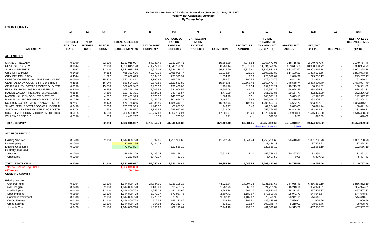| <b>LYON COUNTY</b>                         |                                                    |                                              |                               |                                                          |                                      |                                                                           |                                                                          |                   |                                   |                                                                        |                                   |                      |                          |                                                              |
|--------------------------------------------|----------------------------------------------------|----------------------------------------------|-------------------------------|----------------------------------------------------------|--------------------------------------|---------------------------------------------------------------------------|--------------------------------------------------------------------------|-------------------|-----------------------------------|------------------------------------------------------------------------|-----------------------------------|----------------------|--------------------------|--------------------------------------------------------------|
|                                            | (1)                                                | (2)                                          | (3)                           | (4)                                                      | (5)                                  | (6)                                                                       | (7)                                                                      | (8)               | (9)                               | (10)                                                                   | (11)                              | (12)                 | (13)                     | (15)                                                         |
| <b>TAX ENTITY</b>                          | <b>PROPOSED</b><br><b>FY 12 TAX</b><br><b>RATE</b> | <b>FY 12</b><br><b>EXEMPT</b><br><b>RATE</b> | <b>PARCEL</b><br><b>COUNT</b> | <b>TOTAL ASSESSED</b><br><b>VALUE</b><br>(EXCLUDING NPM) | <b>TAX ON NEW</b><br><b>PROPERTY</b> | <b>CAP-SUBJECT</b><br><b>TAX ON</b><br><b>EXISTING</b><br><b>PROPERTY</b> | <b>CAP-EXEMPT</b><br><b>TAX ON</b><br><b>EXISTING</b><br><b>PROPERTY</b> | <b>EXEMPTIONS</b> | <b>RECAPTURE</b><br><b>AMOUNT</b> | <b>TOTAL</b><br><b>PREABATED</b><br><b>TAX AMOUNT</b><br>$(5+6+7-8+9)$ | <b>ABATEMENT</b><br><b>AMOUNT</b> | NET_TAX<br>$(10-11)$ | <b>REDEVELOP</b>         | <b>NET TAX LESS</b><br><b>REDEVELOPMEN</b><br>Т<br>$(12-13)$ |
| <b>ALL ENTITIES</b>                        |                                                    |                                              |                               |                                                          |                                      |                                                                           |                                                                          |                   |                                   |                                                                        |                                   |                      |                          |                                                              |
| <b>STATE OF NEVADA</b>                     | 0.1700                                             |                                              | 32,110                        | 1,332,015,037                                            | 54,040.49                            | 2,230,244.41                                                              |                                                                          | 19,858.39         | 4,046.54                          | 2,268,473.05                                                           | 118,715.59                        | 2,149,757.46         | $\sim$                   | 2,149,757.46                                                 |
| <b>GENERAL COUNTY</b>                      | 0.8644                                             | $\sim$                                       | 32,110                        | 1,332,015,170                                            | 274,779.86                           | 11,340,128.36                                                             |                                                                          | 100,961.14        | 20,575.23                         | 11,534,522.32                                                          | 603,617.60                        | 10,930,904.72        |                          | 10,930,904.72                                                |
| <b>SCHOOL DISTRICT</b>                     | 1.3367                                             | $\sim$                                       | 32,110                        | 1,332,015,185                                            | 424,917.03                           | 17,536,234.37                                                             |                                                                          | 156,135.60        | 31,816.61                         | 17,836,832.41                                                          | 933,467.67                        | 16,903,364.74        | $\sim$                   | 16,903,364.74                                                |
| <b>CITY OF FERNLEY</b>                     | 0.5469                                             | $\sim$                                       | 9,353                         | 458,321,626                                              | 69,979.39                            | 2,458,095.74                                                              |                                                                          | 21,033.54         | 222.30                            | 2,507,263.89                                                           | 614,190.23                        | 1,893,073.66         | $\overline{\phantom{a}}$ | 1,893,073.66                                                 |
| <b>CITY OF YERINGTON</b>                   | 0.4044                                             | $\blacksquare$                               | 1,522                         | 55,656,695                                               | 5,034.12                             | 221,375.97                                                                |                                                                          | 1,334.72          | 2.73                              | 225,078.09                                                             | 1,840.92                          | 223,237.17           |                          | 223,237.17                                                   |
| CARSON WATER SUBCONSERVANCY DIST           | 0.0300                                             | $\sim$                                       | 15,822                        | 572,312,461                                              | 3,160.46                             | 169,799.34                                                                |                                                                          | 1,259.61          | 700.56                            | 172,400.76                                                             | 9,441.34                          | 162,959.42           |                          | 162,959.42                                                   |
| <b>CENTRAL LYON COUNTY FIRE DISTRICT</b>   | 0.4568                                             |                                              | 16,049                        | 580,504,175                                              | 49,870.59                            | 2,621,582.82                                                              |                                                                          | 19,648.45         | 10,668.48                         | 2,662,473.44                                                           | 178,568.74                        | 2,483,904.70         |                          | 2,483,904.70                                                 |
| CENTRAL LYON VECTOR CONTROL DISTR          | 0.0350                                             |                                              | 15,718                        | 566,652,347                                              | 3,425.38                             | 196,400.05                                                                |                                                                          | 1,491.76          | 817.54                            | 199,151.21                                                             | 10,219.39                         | 188,931.82           |                          | 188,931.82                                                   |
| FERNLEY SWIMMING POOL DISTRICT             | 0.2000                                             | $\sim$                                       | 9,455                         | 469,759,166                                              | 27,005.53                            | 921,006.57                                                                |                                                                          | 8,506.04          | 81.10                             | 939,587.16                                                             | 54,694.85                         | 884,892.31           |                          | 884,892.31                                                   |
| MASON VALLEY FIRE MAINTENANCE DISTI        | 0.2886                                             | $\sim$                                       | 3,360                         | 121,751,321                                              | 8,724.13                             | 347,429.54                                                                |                                                                          | 4,779.29          | 9.48                              | 351,383.86                                                             | 29,157.77                         | 322,226.09           |                          | 322,226.09                                                   |
| <b>MASON VALLEY MOSQUITO DISTRICT</b>      | 0.0838                                             |                                              | 4,882                         | 177,407,973                                              | 3,576.37                             | 146,755.66                                                                |                                                                          | 1,664.20          | 3.31                              | 148,671.14                                                             | 5,673.17                          | 142,997.97           |                          | 142,997.97                                                   |
| MASON VALLEY SWIMMING POOL DISTRIC         | 0.1749                                             | ÷.                                           | 4,881                         | 174,750,658                                              | 7,446.76                             | 301,656.71                                                                |                                                                          | 3,466.01          | 6.92                              | 305,644.39                                                             | 11,839.98                         | 293,804.41           | $\sim$                   | 293,804.41                                                   |
| NO LYON CO FIRE MAINTENANCE DISTRIC        | 0.2567                                             |                                              | 9,473                         | 470,734,885                                              | 34,938.50                            | 1,184,340.79                                                              |                                                                          | 10,885.44         | 103.89                            | 1,208,497.74                                                           | 124,682.73                        | 1,083,815.01         |                          | 1,083,815.01                                                 |
| SILVER SPRINGS-STAGECOACH HOSPITAL         | 0.0450                                             |                                              | 7,736                         | 153,709,359                                              | 1,446.57                             | 68,678.33                                                                 |                                                                          | 943.47            | 3.46                              | 69,184.89                                                              | 9,093.65                          | 60,091.24            |                          | 60,091.24                                                    |
| SMITH VALLEY FIRE MAINTENANCE DISTR        | 0.3074                                             | $\sim$                                       | 1,538                         | 82,226,537                                               | 4,736.55                             |                                                                           |                                                                          | 1,929.06          | $\sim$                            |                                                                        | 18,844.84                         | 233,919.71           |                          | 233,919.71                                                   |
| SOUTH LYON COUNTY HOSPITAL DISTRICT        | 0.5615                                             |                                              | 6,588                         | 280,568,002                                              | 40,767.68                            | 249,957.06<br>1,552,122.24                                                |                                                                          | 17,500.77         | 23.20                             | 252,764.55<br>1,575,412.36                                             | 59,953.86                         | 1,515,458.50         |                          | 1,515,458.50                                                 |
|                                            |                                                    |                                              |                               |                                                          |                                      |                                                                           |                                                                          |                   |                                   |                                                                        |                                   |                      |                          |                                                              |
| <b>WILLOW CREEK GID</b>                    | 0.0156                                             |                                              | 253                           | 4,477,217                                                | 3.35                                 | 700.93                                                                    |                                                                          | 5.91              |                                   | 698.37                                                                 | 8.28                              | 690.09               |                          | 690.09                                                       |
| <b>TOTAL COUNTY</b>                        |                                                    |                                              | 32,110                        | 1,332,015,037                                            | 1,013,852.79                         | 41,546,508.88                                                             |                                                                          | 371,403.40        | 69,081.35                         | 42,258,039.63                                                          | 2,784,010.61                      | 39,474,029.02        |                          | 39,474,029.02                                                |
|                                            |                                                    |                                              |                               |                                                          |                                      |                                                                           |                                                                          |                   |                                   | <b>Abatement Percent</b>                                               | 6.59%                             |                      |                          |                                                              |
| <b>STATE OF NEVADA</b>                     |                                                    |                                              |                               |                                                          |                                      |                                                                           |                                                                          |                   |                                   |                                                                        |                                   |                      |                          |                                                              |
| <b>Existing Secured</b>                    | 0.1700                                             |                                              | 32,110                        | 1,144,800,778                                            | 6,699.85                             | 1,951,389.65                                                              |                                                                          | 11,927.26         | 4,044.44                          | 1,950,206.68                                                           | 98,418.48                         | 1,851,788.20         |                          | 1,851,788.20                                                 |
| New Property                               | 0.1700                                             |                                              |                               | 22,014,255                                               | 37,424.23                            |                                                                           |                                                                          |                   |                                   | 37,424.23                                                              |                                   | 37,424.23            |                          | 37,424.23                                                    |
| <b>Existing Unsecured</b>                  | 0.1700                                             |                                              |                               | 72,091,877                                               |                                      | 122,556.19                                                                |                                                                          |                   |                                   | 122,556.19                                                             |                                   | 122,556.19           |                          | 122,556.19                                                   |
| <b>Centrally Assessed</b>                  |                                                    |                                              |                               |                                                          |                                      |                                                                           |                                                                          |                   |                                   |                                                                        |                                   |                      |                          |                                                              |
| Secured                                    | 0.1700                                             |                                              |                               | 89,874,309                                               | 4,439.24                             | 156,278.24                                                                |                                                                          | 7,931.13          | 2.10                              | 152,788.45                                                             | 20,297.03                         | 132,491.42           |                          | 132,491.42                                                   |
| Unsecured                                  | 0.1700                                             |                                              |                               | 3,233,818                                                | 5,477.17                             | 20.33                                                                     |                                                                          |                   |                                   | 5,497.50                                                               | 0.08                              | 5,497.42             |                          | 5,497.42                                                     |
|                                            |                                                    |                                              |                               |                                                          |                                      |                                                                           |                                                                          |                   |                                   |                                                                        |                                   |                      |                          |                                                              |
| <b>TOTAL STATE OF NV</b>                   | 0.1700                                             |                                              | 32,110                        | 1,332,015,037                                            | 54,040.49                            | 2,230,244.41                                                              |                                                                          | 19,858.39         | 4,046.54                          | 2,268,473.05                                                           | 118,715.59                        | 2,149,757.46         |                          | 2,149,757.46                                                 |
| Total AV - March Seg - Col. Q              |                                                    |                                              |                               | 1,332,045,833                                            |                                      |                                                                           |                                                                          |                   |                                   |                                                                        |                                   |                      |                          |                                                              |
| <b>Difference</b><br><b>GENERAL COUNTY</b> |                                                    |                                              |                               | (30, 796)                                                |                                      |                                                                           |                                                                          |                   |                                   |                                                                        |                                   |                      |                          |                                                              |
| <b>Existing Secured</b>                    |                                                    |                                              |                               |                                                          |                                      |                                                                           |                                                                          |                   |                                   |                                                                        |                                   |                      |                          |                                                              |
| General Fund                               | 0.6304                                             | $\sim$                                       | 32,110                        | 1,144,800,778                                            | 24,844.01                            | 7,236,198.18                                                              |                                                                          | 44,221.84         | 14,997.33                         | 7,231,817.68                                                           | 364,955.49                        | 6,866,862.19         |                          | 6,866,862.19                                                 |
| Gen. Indigent                              | 0.0280                                             | $\sim$                                       | 32,110                        | 1,144,800,778                                            | 1,103.29                             | 321,403.77                                                                |                                                                          | 1,967.79          | 666.10                            | 321,205.37                                                             | 16,210.76                         | 304,994.61           |                          | 304,994.61                                                   |
| Med Indigent                               | 0.0420                                             | $\sim$                                       | 32,110                        | 1,144,800,778                                            | 1,655.28                             | 482,110.62                                                                |                                                                          | 2,944.18          | 999.17                            | 481,820.89                                                             | 24,313.52                         | 457,507.37           |                          | 457,507.37                                                   |
| Spec Indigent                              | 0.0500                                             | $\sim$                                       | 32,110                        | 1,144,800,778                                            | 1,970.37                             | 573,937.75                                                                |                                                                          | 3,507.41          | 1,189.67                          | 573,590.38                                                             | 28,941.71                         | 544,648.67           |                          | 544,648.67                                                   |
| Capital Improvement                        | 0.0500                                             |                                              | 32,110                        | 1,144,800,778                                            | 1,970.37                             | 573,937.75                                                                |                                                                          | 3,507.41          | 1,189.67                          | 573,590.38                                                             | 28,941.71                         | 544,648.67           |                          | 544,648.67                                                   |
| Co-Op Extensn                              | 0.0130                                             |                                              | 32,110                        | 1,144,800,778                                            | 512.34                               | 149,222.82                                                                |                                                                          | 908.70            | 309.51                            | 149,135.97                                                             | 7,526.01                          | 141,609.96           |                          | 141,609.96                                                   |
| China Springs                              | 0.0090                                             |                                              | 32,110                        | 1,144,800,778                                            | 354.68                               | 103,312.43                                                                |                                                                          | 632.21            | 213.87                            | 103,248.77                                                             | 5,210.01                          | 98,038.76            |                          | 98,038.76                                                    |
| Juvenile Cntr                              | 0.0420                                             |                                              | 32,110                        | 1,144,800,778                                            | 1,655.28                             | 482,110.62                                                                |                                                                          | 2,944.18          | 999.17                            | 481,820.89                                                             | 24,313.52                         | 457,507.37           |                          | 457,507.37                                                   |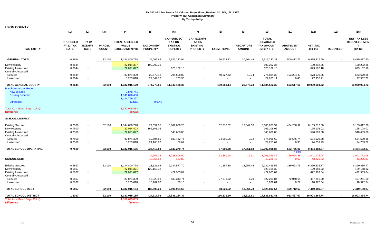| <b>LYON COUNTY</b>                                                                                                                    |                                             |                                             |                               |                                                                        |                                      |                                                                           |                                                                          |                        |                                   |                                                                        |                                   |                                                        |                  |                                                                         |
|---------------------------------------------------------------------------------------------------------------------------------------|---------------------------------------------|---------------------------------------------|-------------------------------|------------------------------------------------------------------------|--------------------------------------|---------------------------------------------------------------------------|--------------------------------------------------------------------------|------------------------|-----------------------------------|------------------------------------------------------------------------|-----------------------------------|--------------------------------------------------------|------------------|-------------------------------------------------------------------------|
|                                                                                                                                       | (1)                                         | (2)                                         | (3)                           | (4)                                                                    | (5)                                  | (6)                                                                       | (7)                                                                      | (8)                    | (9)                               | (10)                                                                   | (11)                              | (12)                                                   | (13)             | (15)                                                                    |
| <b>TAX ENTITY</b>                                                                                                                     | <b>PROPOSED</b><br>FY 12 TAX<br><b>RATE</b> | <b>FY12</b><br><b>EXEMPT</b><br><b>RATE</b> | <b>PARCEL</b><br><b>COUNT</b> | <b>TOTAL ASSESSED</b><br><b>VALUE</b><br>(EXCLUDING NPM)               | <b>TAX ON NEW</b><br><b>PROPERTY</b> | <b>CAP-SUBJECT</b><br><b>TAX ON</b><br><b>EXISTING</b><br><b>PROPERTY</b> | <b>CAP-EXEMPT</b><br><b>TAX ON</b><br><b>EXISTING</b><br><b>PROPERTY</b> | <b>EXEMPTIONS</b>      | <b>RECAPTURE</b><br><b>AMOUNT</b> | <b>TOTAL</b><br><b>PREABATED</b><br><b>TAX AMOUNT</b><br>$(5+6+7-8+9)$ | <b>ABATEMENT</b><br><b>AMOUNT</b> | <b>NET TAX</b><br>$(10-11)$                            | <b>REDEVELOP</b> | <b>NET TAX LESS</b><br><b>REDEVELOPMEN</b><br>$\mathbf{T}$<br>$(12-13)$ |
|                                                                                                                                       |                                             |                                             |                               |                                                                        |                                      |                                                                           |                                                                          |                        |                                   |                                                                        |                                   |                                                        |                  |                                                                         |
| <b>GENERAL TOTAL</b>                                                                                                                  | 0.8644                                      |                                             | 32,110                        | 1,144,800,778                                                          | 34,065.62                            | 9,922,233.94                                                              |                                                                          | 60,633.72              | 20,564.49                         | 9,916,230.33                                                           | 500,412.73                        | 9,415,817.60                                           | $\sim$           | 9,415,817.60                                                            |
| <b>New Property</b><br><b>Existing Unsecured</b><br><b>Centrally Assessed</b>                                                         | 0.8644<br>0.8644                            | $\overline{\phantom{a}}$                    |                               | 22,014,387<br>72,091,877                                               | 190,292.36                           | 623,162.18                                                                | $\sim$                                                                   |                        |                                   | 190,292.36<br>623,162.18                                               |                                   | 190,292.36<br>623,162.18                               |                  | 190,292.36<br>623,162.18                                                |
| Secured<br>Unsecured                                                                                                                  | 0.8644<br>0.8644                            | $\overline{\phantom{a}}$                    |                               | 89,874,309<br>3,233,818                                                | 22,572.12<br>27,849.76               | 794,628.89<br>103.35                                                      |                                                                          | 40,327.42              | 10.74<br>$\sim$                   | 776,884.33<br>27,953.11                                                | 103,204.47<br>0.40                | 673,679.86<br>27,952.71                                |                  | 673,679.86<br>27,952.71                                                 |
| <b>TOTAL GENERAL COUNTY</b>                                                                                                           | 0.8644                                      |                                             | 32,110                        | 1,332,015,170                                                          | 274,779.86                           | 11,340,128.36                                                             |                                                                          | 100,961.14             | 20,575.23                         | 11,534,522.32                                                          | 603,617.60                        | 10,930,904.72                                          |                  | 10,930,904.72                                                           |
| <b>March Assessors Report:</b><br><b>New secured</b><br><b>Existing Secured</b><br><b>Difference</b><br>Total AV - March Seg - Col. Q |                                             |                                             |                               | 3,878,741<br>1,140,890,486<br>1,144,769,227<br>31,551<br>1,332,045,833 | 0.00%                                |                                                                           |                                                                          |                        |                                   |                                                                        |                                   |                                                        |                  |                                                                         |
| <b>Difference</b>                                                                                                                     |                                             |                                             |                               | (30, 663)                                                              |                                      |                                                                           |                                                                          |                        |                                   |                                                                        |                                   |                                                        |                  |                                                                         |
| <b>SCHOOL DISTRICT</b>                                                                                                                |                                             |                                             |                               |                                                                        |                                      |                                                                           |                                                                          |                        |                                   |                                                                        |                                   |                                                        |                  |                                                                         |
| <b>Existing Secured</b><br><b>New Property</b><br><b>Existing Unsecured</b><br><b>Centrally Assessed</b><br>Secured                   | 0.7500<br>0.7500<br>0.7500<br>0.7500        | $\sim$<br>$\sim$<br>$\sim$<br>$\sim$        | 32,110                        | 1,144,800,778<br>22,014,403<br>72,091,877<br>89,874,309                | 29,557.05<br>165,108.02<br>19,584.80 | 8,609,038.23<br>540,689.08<br>689,462.76                                  |                                                                          | 52,616.32<br>34,990.26 | 17,842.56<br>9.32                 | 8,603,821.52<br>165,108.02<br>540,689.08<br>674,066.62                 | 434,208.92<br>89,545.74           | 8,169,612.60<br>165,108.02<br>540,689.08<br>584,520.88 |                  | 8,169,612.60<br>165,108.02<br>540,689.08<br>584,520.88                  |
| Unsecured                                                                                                                             | 0.7500                                      |                                             |                               | 3,233,818                                                              | 24,163.97                            | 89.67                                                                     |                                                                          |                        |                                   | 24,253.64                                                              | 0.35                              | 24,253.29                                              |                  | 24,253.29                                                               |
| TOTAL SCHOOL OPERATING                                                                                                                | 0.7500                                      |                                             | 32,110                        | 1,332,015,185                                                          | 238,413.83                           | 9,839,279.74                                                              | $\sim$                                                                   | 87,606.58              | 17,851.88                         | 10,007,938.87                                                          | 523,755.00                        | 9,484,183.87                                           | $\sim$           | 9,484,183.87                                                            |
| <b>SCHOOL DEBT</b>                                                                                                                    |                                             |                                             |                               |                                                                        | 34,905.33<br>43,066.63               | 1,228,806.50<br>159.82                                                    | $\sim$                                                                   | 62,361.98              | 16.61<br>$\sim$                   | 1,201,366.46<br>43,226.45                                              | 5.23%<br>159,594.38<br>0.62       | 1,041,772.08<br>43,225.83                              | $\sim$           | 1,041,772.08<br>43,225.83                                               |
| <b>Existing Secured</b><br><b>New Property</b><br><b>Existing Unsecured</b><br><b>Centrally Assessed</b>                              | 0.5867<br>0.5867<br>0.5867                  | $\sim$                                      | 32,110                        | 1,144,800,778<br>22,014,371<br>72,091,877                              | 23,121.68<br>129,158.32              | 6,734,577.70<br>422,963.04                                                |                                                                          | 41,157.30              | 13,957.44                         | 6,730,499.52<br>129,158.32<br>422,963.04                               | 339,663.75                        | 6,390,835.77<br>129,158.32<br>422,963.04               |                  | 6,390,835.77<br>129,158.32<br>422,963.04                                |
| Secured<br>Unsecured                                                                                                                  | 0.5867<br>0.5867                            | $\sim$<br>$\sim$                            |                               | 89,874,309<br>3,233,818                                                | 15,320.53<br>18,902.66               | 539,343.74<br>70.15                                                       | $\sim$<br>$\sim$                                                         | 27,371.72              | 7.29<br>$\sim$                    | 527,299.84<br>18,972.81                                                | 70,048.64<br>0.27                 | 457,251.20<br>18,972.54                                |                  | 457,251.20<br>18,972.54                                                 |
| <b>TOTAL SCHOOL DEBT</b>                                                                                                              | 0.5867                                      |                                             | 32,110                        | 1,332,015,154                                                          | 186,503.20                           | 7,696,954.63                                                              | $\sim$                                                                   | 68,529.02              | 13,964.73                         | 7,828,893.54                                                           | 409,712.67                        | 7,419,180.87                                           | $\sim$           | 7,419,180.87                                                            |
| <b>TOTAL SCHOOL DISTRICT</b>                                                                                                          | 1.3367                                      |                                             | 32,110                        | 1,332,015,185                                                          | 424,917.03                           | 17,536,234.37                                                             | $\sim$                                                                   | 156,135.60             | 31,816.61                         | 17,836,832.41                                                          | 933,467.67                        | 16,903,364.74                                          | $\blacksquare$   | 16,903,364.74                                                           |
| Total AV - March Seg - Col. Q<br><b>Difference</b>                                                                                    |                                             |                                             |                               | 1,332,045,833<br>(30, 648)                                             |                                      |                                                                           |                                                                          |                        |                                   |                                                                        |                                   |                                                        |                  |                                                                         |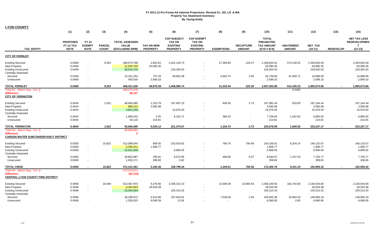|                                                                                                                             | (1)                                         | (2)                                                            | (3)                           | (4)                                                      | (5)                                  | (6)                                                                       | (7)                                                                      | (8)                | (9)                                        | (10)                                                                   | (11)                              | (12)                                    | (13)             | (15)                                                                    |
|-----------------------------------------------------------------------------------------------------------------------------|---------------------------------------------|----------------------------------------------------------------|-------------------------------|----------------------------------------------------------|--------------------------------------|---------------------------------------------------------------------------|--------------------------------------------------------------------------|--------------------|--------------------------------------------|------------------------------------------------------------------------|-----------------------------------|-----------------------------------------|------------------|-------------------------------------------------------------------------|
| <b>TAX ENTITY</b>                                                                                                           | <b>PROPOSED</b><br>FY 12 TAX<br><b>RATE</b> | <b>FY 12</b><br><b>EXEMPT</b><br><b>RATE</b>                   | <b>PARCEL</b><br><b>COUNT</b> | <b>TOTAL ASSESSED</b><br><b>VALUE</b><br>(EXCLUDING NPM) | <b>TAX ON NEW</b><br><b>PROPERTY</b> | <b>CAP-SUBJECT</b><br><b>TAX ON</b><br><b>EXISTING</b><br><b>PROPERTY</b> | <b>CAP-EXEMPT</b><br><b>TAX ON</b><br><b>EXISTING</b><br><b>PROPERTY</b> | <b>EXEMPTIONS</b>  | <b>RECAPTURE</b><br><b>AMOUNT</b>          | <b>TOTAL</b><br><b>PREABATED</b><br><b>TAX AMOUNT</b><br>$(5+6+7-8+9)$ | <b>ABATEMENT</b><br><b>AMOUNT</b> | <b>NET TAX</b><br>$(10-11)$             | <b>REDEVELOP</b> | <b>NET TAX LESS</b><br><b>REDEVELOPMEN</b><br>$\mathbf{T}$<br>$(12-13)$ |
| <b>CITY OF FERNLEY</b>                                                                                                      |                                             |                                                                |                               |                                                          |                                      |                                                                           |                                                                          |                    |                                            |                                                                        |                                   |                                         |                  |                                                                         |
| <b>Existing Secured</b><br>New Property<br><b>Existing Unsecured</b><br><b>Centrally Assessed</b>                           | 0.5469<br>0.5469<br>0.5469                  | ٠<br>$\sim$<br>÷.                                              | 9,353                         | 396,074,768<br>11,645,704<br>39,916,370                  | 2,852.61<br>63,690.35                | 2,181,130.73<br>218,302.63                                                |                                                                          | 17,369.80          | 219.47                                     | 2,166,833.01<br>63,690.35<br>218,302.63                                | 573,139.52                        | 1,593,693.49<br>63,690.35<br>218,302.63 |                  | 1,593,693.49<br>63,690.35<br>218,302.63                                 |
| Secured<br>Unsecured                                                                                                        | 0.5469<br>0.5469                            | ÷<br>$\sim$                                                    |                               | 10,191,254<br>493,530                                    | 737.33<br>2,699.10                   | 58,662.38                                                                 | $\blacksquare$<br>$\sim$                                                 | 3,663.74<br>$\sim$ | 2.83<br>$\sim$                             | 55,738.80<br>2,699.10                                                  | 41,050.71                         | 14,688.09<br>2,699.10                   |                  | 14,688.09<br>2.699.10                                                   |
| <b>TOTAL FERNLEY</b><br>Total AV - March Seg - Col. Q<br><b>Difference</b><br><b>CITY OF YERINGTON</b>                      | 0.5469                                      | $\overline{a}$                                                 | 9,353                         | 458,321,626<br>458,273,479<br>48,147                     | 69,979.39                            | 2,458,095.74                                                              | $\blacksquare$                                                           | 21,033.54          | 222.30                                     | 2,507,263.89                                                           | 614,190.23<br>0.2450              | 1,893,073.66                            |                  | 1,893,073.66                                                            |
| <b>Existing Secured</b><br><b>New Property</b><br><b>Existing Unsecured</b><br><b>Centrally Assessed</b>                    | 0.4044<br>0.4044<br>0.4044                  | $\overline{\phantom{a}}$<br>$\overline{\phantom{a}}$<br>$\sim$ | 1,522                         | 48,956,485<br>889,213<br>3,851,639                       | 1,220.78<br>3,595.98                 | 197,697.23<br>15,576.03                                                   |                                                                          | 938.30             | 2.73                                       | 197,982.44<br>3,595.98<br>15,576.03                                    | 818.00                            | 197,164.44<br>3,595.98<br>15,576.03     |                  | 197,164.44<br>3,595.98<br>15,576.03                                     |
| Secured<br>Unsecured                                                                                                        | 0.4044<br>0.4044                            | $\sim$<br>$\overline{\phantom{a}}$                             |                               | 1,906,242<br>53,116                                      | 2.55<br>214.81                       | 8,102.71                                                                  |                                                                          | 396.42             | $\blacksquare$<br>$\overline{\phantom{a}}$ | 7,708.84<br>214.81                                                     | 1,022.92                          | 6,685.92<br>214.81                      |                  | 6,685.92<br>214.81                                                      |
| <b>TOTAL YERINGTON</b><br>Total AV - March Seg - Col. Q<br><b>Difference</b><br><b>CARSON WATER SUBCONSERVANCY DISTRICT</b> | 0.4044                                      |                                                                | 1,522                         | 55,656,695<br>55,656,691                                 | 5,034.12                             | 221,375.97                                                                |                                                                          | 1,334.72           | 2.73                                       | 225,078.09                                                             | 1,840.92                          | 223,237.17                              |                  | 223,237.17                                                              |
| <b>Existing Secured</b><br><b>New Property</b><br><b>Existing Unsecured</b><br><b>Centrally Assessed</b>                    | 0.0300<br>0.0300<br>0.0300                  | $\blacksquare$<br>٠<br>$\sim$                                  | 15,822                        | 512,099,644<br>6,355,911<br>23,021,848                   | 609.05<br>1,906.77                   | 153,818.02<br>6,906.55                                                    | $\sim$                                                                   | 790.75             | 700.49                                     | 154,336.81<br>1,906.77<br>6,906.55                                     | 8,204.14                          | 146,132.67<br>1,906.77<br>6,906.55      |                  | 146,132.67<br>1,906.77<br>6,906.55                                      |
| Secured<br>Unsecured                                                                                                        | 0.0300<br>0.0300                            | $\overline{\phantom{a}}$<br>÷                                  |                               | 29,802,887<br>1,032,171                                  | 335.81<br>308.83                     | 9,073.95<br>0.82                                                          |                                                                          | 468.86             | 0.07<br>$\sim$                             | 8,940.97<br>309.65                                                     | 1,237.20                          | 7,703.77<br>309.65                      |                  | 7,703.77<br>309.65                                                      |
| <b>TOTAL CWSD</b><br>Total AV - March Seg - Col. Q<br><b>Difference</b><br><b>CENTRAL LYON COUNTY FIRE DISTRICT</b>         | 0.0300                                      |                                                                | 15,822                        | 572,312,461<br>572,374,571<br>(62, 110)                  | 3,160.46                             | 169,799.34                                                                |                                                                          | 1,259.61           | 700.56                                     | 172,400.76                                                             | 9,441.34                          | 162,959.42                              |                  | 162,959.42                                                              |
| <b>Existing Secured</b><br><b>New Property</b><br><b>Existing Unsecured</b><br><b>Centrally Assessed</b>                    | 0.4568<br>0.4568<br>0.4568                  | $\sim$<br>$\sim$<br>$\sim$                                     | 16,049                        | 513,467,973<br>6,354,943<br>23,054,564                   | 9,278.86<br>29,029.38                | 2,348,314.10<br>105,313.25                                                |                                                                          | 12,009.39          | 10,665.93                                  | 2,356,249.50<br>29,029.38<br>105,313.25                                | 162,704.66                        | 2,193,544.84<br>29,029.38<br>105,313.25 |                  | 2,193,544.84<br>29,029.38<br>105,313.25                                 |
| Secured<br>Unsecured                                                                                                        | 0.4568<br>0.4568                            |                                                                |                               | 36,299,872<br>1,326,823                                  | 5,513.96<br>6.048.39                 | 167,942.91<br>12.56                                                       | $\sim$                                                                   | 7,639.06<br>$\sim$ | 2.55<br>$\sim$                             | 165,820.36<br>6.060.95                                                 | 15,864.03<br>0.05                 | 149,956.33<br>6.060.90                  |                  | 149,956.33<br>6.060.90                                                  |

**LYON COUNTY**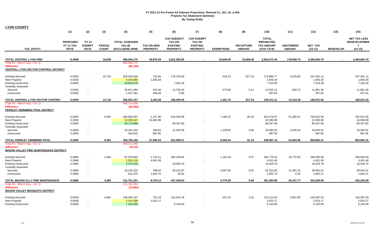| <b>LYON COUNTY</b>                                                                                                                 |                                             |                                              |                               |                                                          |                                      |                                                                           |                                                                          |                   |                                   |                                                                        |                                   |                                      |                  |                                                                         |
|------------------------------------------------------------------------------------------------------------------------------------|---------------------------------------------|----------------------------------------------|-------------------------------|----------------------------------------------------------|--------------------------------------|---------------------------------------------------------------------------|--------------------------------------------------------------------------|-------------------|-----------------------------------|------------------------------------------------------------------------|-----------------------------------|--------------------------------------|------------------|-------------------------------------------------------------------------|
|                                                                                                                                    | (1)                                         | (2)                                          | (3)                           | (4)                                                      | (5)                                  | (6)                                                                       | (7)                                                                      | (8)               | (9)                               | (10)                                                                   | (11)                              | (12)                                 | (13)             | (15)                                                                    |
| TAX_ENTITY                                                                                                                         | <b>PROPOSED</b><br>FY 12 TAX<br><b>RATE</b> | <b>FY12</b><br><b>EXEMPT</b><br><b>RATE</b>  | <b>PARCEL</b><br><b>COUNT</b> | <b>TOTAL ASSESSED</b><br><b>VALUE</b><br>(EXCLUDING NPM) | <b>TAX ON NEW</b><br><b>PROPERTY</b> | <b>CAP-SUBJECT</b><br><b>TAX ON</b><br><b>EXISTING</b><br><b>PROPERTY</b> | <b>CAP-EXEMPT</b><br><b>TAX ON</b><br><b>EXISTING</b><br><b>PROPERTY</b> | <b>EXEMPTIONS</b> | <b>RECAPTURE</b><br><b>AMOUNT</b> | <b>TOTAL</b><br><b>PREABATED</b><br><b>TAX AMOUNT</b><br>$(5+6+7-8+9)$ | <b>ABATEMENT</b><br><b>AMOUNT</b> | <b>NET TAX</b><br>$(10-11)$          | <b>REDEVELOP</b> | <b>NET TAX LESS</b><br><b>REDEVELOPMEN</b><br>$\mathbf{T}$<br>$(12-13)$ |
|                                                                                                                                    |                                             |                                              |                               |                                                          |                                      |                                                                           |                                                                          |                   |                                   |                                                                        |                                   |                                      |                  |                                                                         |
| <b>TOTAL CENTRAL LYON FIRE</b>                                                                                                     | 0.4568                                      |                                              | 16,049                        | 580,504,175                                              | 49,870.59                            | 2,621,582.82                                                              |                                                                          | 19,648.45         | 10,668.48                         | 2,662,473.44                                                           | 178,568.74                        | 2,483,904.70                         |                  | 2,483,904.70                                                            |
| Total AV - March Seg - Col. Q<br><b>Difference</b><br>CENTRAL LYON VECTOR CONTROL DISTRICT                                         |                                             |                                              |                               | 580,566,275<br>(62, 100)                                 |                                      |                                                                           |                                                                          |                   |                                   |                                                                        |                                   |                                      |                  |                                                                         |
| <b>Existing Secured</b>                                                                                                            | 0.0350                                      | $\blacksquare$                               | 15,718                        | 503,325,918                                              | 710.94                               | 176,376.60                                                                |                                                                          | 918.10            | 817.33                            | 176,986.77                                                             | 9,525.66                          | 167,461.11                           |                  | 167,461.11                                                              |
| <b>New Property</b><br><b>Existing Unsecured</b><br><b>Centrally Assessed</b>                                                      | 0.0350<br>0.0350                            | $\sim$                                       |                               | 5,243,685<br>20,903,679                                  | 1,835.29                             | 7,316.29                                                                  |                                                                          |                   |                                   | 1,835.29<br>7,316.29                                                   |                                   | 1,835.29<br>7,316.29                 |                  | 1,835.29<br>7,316.29                                                    |
| Secured<br>Unsecured                                                                                                               | 0.0350<br>0.0350                            | $\blacksquare$<br>$\sim$                     |                               | 35,871,484<br>1,307,581                                  | 422.46<br>456.69                     | 12,706.20<br>0.96                                                         |                                                                          | 573.66            | 0.21<br>$\sim$                    | 12,555.21<br>457.65                                                    | 693.73                            | 11,861.48<br>457.65                  |                  | 11,861.48<br>457.65                                                     |
| TOTAL CENTRAL LYON VECTOR CONTROI                                                                                                  | 0.0350                                      | $\overline{\phantom{a}}$                     | 15,718                        | 566,652,347                                              | 3,425.38                             | 196,400.05                                                                |                                                                          | 1,491.76          | 817.54                            | 199,151.21                                                             | 10,219.39                         | 188,931.82                           |                  | 188,931.82                                                              |
| Total AV - March Seg - Col. Q<br><b>Difference</b><br>FERNLEY SWIMMING POOL DISTRICT                                               |                                             |                                              |                               | 566,714,430<br>(62,083)                                  |                                      |                                                                           |                                                                          |                   |                                   |                                                                        |                                   |                                      |                  |                                                                         |
| <b>Existing Secured</b><br><b>New Property</b><br><b>Existing Unsecured</b>                                                        | 0.2000<br>0.2000<br>0.2000                  | $\sim$<br>$\sim$<br>$\sim$                   | 9,455                         | 406,605,037<br>12,295,447<br>40,173,898                  | 1,157.96<br>24,590.89                | 819,206.08<br>80,347.80                                                   | $\sim$                                                                   | 7,166.22          | 80.25                             | 813,278.07<br>24,590.89<br>80,347.80                                   | 51,256.51                         | 762.021.56<br>24,590.89<br>80,347.80 |                  | 762,021.56<br>24,590.89<br>80,347.80                                    |
| <b>Centrally Assessed</b><br>Secured<br>Unsecured                                                                                  | 0.2000<br>0.2000                            |                                              |                               | 10,191,254<br>493,530                                    | 269.63<br>987.05                     | 21,452.69                                                                 |                                                                          | 1,339.82          | 0.85<br>$\sim$                    | 20,383.35<br>987.05                                                    | 3,438.34                          | 16.945.01<br>987.05                  |                  | 16,945.01<br>987.05                                                     |
| TOTAL FERNLEY SWIMMING POOL<br>Total AV - March Seg - Col. Q<br><b>Difference</b><br><b>MASON VALLEY FIRE MAINTENANCE DISTRICT</b> | 0.2000                                      | $\overline{\phantom{a}}$                     | 9,455                         | 469,759,166<br>469,711,040<br>48,126                     | 27,005.53                            | 921,006.57                                                                |                                                                          | 8,506.04          | 81.10                             | 939,587.16                                                             | 54,694.85                         | 884,892.31                           |                  | 884,892.31                                                              |
| <b>Existing Secured</b><br><b>New Property</b><br><b>Existing Unsecured</b><br><b>Centrally Assessed</b>                           | 0.2886<br>0.2886<br>0.2886                  | $\blacksquare$<br>$\blacksquare$<br>$\omega$ | 3,360                         | 97,978,682<br>1,525,118<br>3,475,326                     | 1,719.11<br>4,401.49                 | 282,228.84<br>10,029.79                                                   |                                                                          | 1,181.40          | 9.47                              | 282,776.02<br>4,401.49<br>10,029.79                                    | 16,775.93                         | 266,000.09<br>4,401.49<br>10,029.79  |                  | 266,000.09<br>4,401.49<br>10,029.79                                     |
| Secured<br>Unsecured                                                                                                               | 0.2886<br>0.2886                            | $\sim$<br>$\sim$                             |                               | 18,130,220<br>641,975                                    | 768.83<br>1,834.70                   | 55,152.87<br>18.04                                                        | $\sim$                                                                   | 3,597.89          | 0.01<br>$\sim$                    | 52,323.82<br>1,852.74                                                  | 12,381.31<br>0.53                 | 39,942.51<br>1,852.21                |                  | 39,942.51<br>1,852.21                                                   |
| TOTAL MASON VLLY FIRE MAINTENANCE                                                                                                  | 0.2886                                      |                                              | 3,360                         | 121,751,321                                              | 8,724.13                             | 347,429.54                                                                |                                                                          | 4,779.29          | 9.48                              | 351,383.86                                                             | 29,157.77                         | 322,226.09                           |                  | 322,226.09                                                              |
| Total AV - March Seg - Col. Q<br><b>Difference</b><br><b>MASON VALLEY MOSQUITO DISTRICT</b>                                        |                                             |                                              |                               | 121,762,204<br>(10, 883)                                 |                                      |                                                                           |                                                                          |                   |                                   |                                                                        |                                   |                                      |                  |                                                                         |
| <b>Existing Secured</b><br><b>New Property</b><br><b>Existing Unsecured</b>                                                        | 0.0838<br>0.0838<br>0.0838                  |                                              | 4,882                         | 146,935,167<br>2,414,288<br>7,326,965                    | 752.18<br>2,023.17                   | 122,916.78<br>6.140.00                                                    | $\sim$                                                                   | 537.34            | 3.31                              | 123,134.93<br>2,023.17<br>6,140.00                                     | 2,847.90                          | 120,287.03<br>2,023.17<br>6.140.00   |                  | 120,287.03<br>2,023.17<br>6,140.00                                      |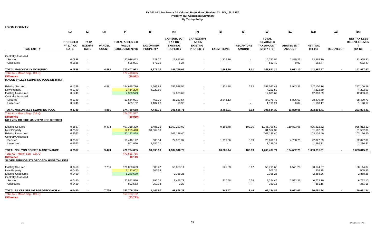| <b>LYON COUNTY</b> |
|--------------------|
|--------------------|

|                                                                 | (1)                                                | (2)                                          | (3)                           | (4)                                                      | (5)                                  | (6)                                                                       | (7)                                                                      | (8)               | (9)                               | (10)                                                                   | (11)                              | (12)                        | (13)             | (15)                                                          |
|-----------------------------------------------------------------|----------------------------------------------------|----------------------------------------------|-------------------------------|----------------------------------------------------------|--------------------------------------|---------------------------------------------------------------------------|--------------------------------------------------------------------------|-------------------|-----------------------------------|------------------------------------------------------------------------|-----------------------------------|-----------------------------|------------------|---------------------------------------------------------------|
| <b>TAX ENTITY</b>                                               | <b>PROPOSED</b><br><b>FY 12 TAX</b><br><b>RATE</b> | <b>FY 12</b><br><b>EXEMPT</b><br><b>RATE</b> | <b>PARCEL</b><br><b>COUNT</b> | <b>TOTAL ASSESSED</b><br><b>VALUE</b><br>(EXCLUDING NPM) | <b>TAX ON NEW</b><br><b>PROPERTY</b> | <b>CAP-SUBJECT</b><br><b>TAX ON</b><br><b>EXISTING</b><br><b>PROPERTY</b> | <b>CAP-EXEMPT</b><br><b>TAX ON</b><br><b>EXISTING</b><br><b>PROPERTY</b> | <b>EXEMPTIONS</b> | <b>RECAPTURE</b><br><b>AMOUNT</b> | <b>TOTAL</b><br><b>PREABATED</b><br><b>TAX AMOUNT</b><br>$(5+6+7-8+9)$ | <b>ABATEMENT</b><br><b>AMOUNT</b> | <b>NET TAX</b><br>$(10-11)$ | <b>REDEVELOP</b> | <b>NET TAX LESS</b><br><b>REDEVELOPMEN</b><br>T.<br>$(12-13)$ |
| <b>Centrally Assessed</b>                                       |                                                    |                                              |                               |                                                          |                                      |                                                                           |                                                                          |                   |                                   |                                                                        |                                   |                             |                  |                                                               |
| Secured                                                         | 0.0838                                             |                                              |                               | 20,036,463                                               | 223.77                               | 17.693.64                                                                 |                                                                          | 1,126.86          |                                   | 16,790.55                                                              | 2,825.25                          | 13.965.30                   |                  | 13,965.30                                                     |
| Unsecured                                                       | 0.0838                                             |                                              |                               | 695,091                                                  | 577.25                               | 5.24                                                                      |                                                                          |                   |                                   | 582.49                                                                 | 0.02                              | 582.47                      |                  | 582.47                                                        |
| <b>TOTAL MASON VLLY MOSQUITO</b>                                | 0.0838                                             | $\blacksquare$                               | 4,882                         | 177,407,973                                              | 3,576.37                             | 146,755.66                                                                | $\overline{\phantom{a}}$                                                 | 1,664.20          | 3.31                              | 148,671.14                                                             | 5,673.17                          | 142,997.97                  | $\sim$           | 142,997.97                                                    |
| Total AV - March Seg - Col. Q                                   |                                                    |                                              |                               | 177,418,895                                              |                                      |                                                                           |                                                                          |                   |                                   |                                                                        |                                   |                             |                  |                                                               |
| <b>Difference</b><br><b>MASON VALLEY SWIMMING POOL DISTRICT</b> |                                                    |                                              |                               | (10, 922)                                                |                                      |                                                                           |                                                                          |                   |                                   |                                                                        |                                   |                             |                  |                                                               |
| <b>Existing Secured</b>                                         | 0.1749                                             |                                              | 4,881                         | 144,675,786                                              | 1,569.88                             | 252,588.55                                                                |                                                                          | 1,121.88          | 6.92                              | 253,043.47                                                             | 5,943.31                          | 247,100.16                  |                  | 247,100.16                                                    |
| New Property                                                    | 0.1749                                             | $\sim$                                       |                               | 2,414,290                                                | 4,222.59                             |                                                                           |                                                                          |                   |                                   | 4,222.59                                                               |                                   | 4,222.59                    |                  | 4,222.59                                                      |
| <b>Existing Unsecured</b>                                       | 0.1749                                             | $\sim$                                       |                               | 7,320,579                                                |                                      | 12,803.69                                                                 |                                                                          |                   |                                   | 12,803.69                                                              |                                   | 12,803.69                   |                  | 12,803.69                                                     |
| <b>Centrally Assessed</b>                                       |                                                    |                                              |                               |                                                          |                                      |                                                                           |                                                                          |                   |                                   |                                                                        |                                   |                             |                  |                                                               |
| Secured                                                         | 0.1749                                             |                                              |                               | 19,654,901                                               | 467.01                               | 36,253.54                                                                 |                                                                          | 2,344.13          | $\sim$                            | 34,376.42                                                              | 5,896.63                          | 28,479.79                   |                  | 28,479.79                                                     |
| Unsecured                                                       | 0.1749                                             | $\overline{\phantom{a}}$                     |                               | 685,102                                                  | 1,187.28                             | 10.93                                                                     |                                                                          |                   | $\sim$                            | 1,198.21                                                               | 0.04                              | 1,198.17                    |                  | 1,198.17                                                      |
| TOTAL MASON VLLY SWIMMING POOL                                  | 0.1749                                             |                                              | 4,881                         | 174,750,658                                              | 7,446.76                             | 301,656.71                                                                |                                                                          | 3,466.01          | 6.92                              | 305,644.39                                                             | 11,839.98                         | 293,804.41                  |                  | 293,804.41                                                    |
| Total AV - March Seg - Col. Q                                   |                                                    |                                              |                               | 174,761,577                                              |                                      |                                                                           |                                                                          |                   |                                   |                                                                        |                                   |                             |                  |                                                               |
| <b>Difference</b><br>NO LYON CO FIRE MAINTENANCE DISTRICT       |                                                    |                                              |                               | (10, 919)                                                |                                      |                                                                           |                                                                          |                   |                                   |                                                                        |                                   |                             |                  |                                                               |
| <b>Existing Secured</b>                                         | 0.2567                                             |                                              | 9,473                         | 407,318,309                                              | 1,486.26                             | 1,053,283.02                                                              |                                                                          | 9,165.78          | 103.00                            | 1,045,706.50                                                           | 119,893.98                        | 925,812.52                  |                  | 925,812.52                                                    |
| <b>New Property</b>                                             | 0.2567                                             | $\overline{\phantom{a}}$                     |                               | 12,295,440                                               | 31,562.39                            |                                                                           |                                                                          |                   |                                   | 31,562.39                                                              |                                   | 31,562.39                   |                  | 31,562.39                                                     |
| <b>Existing Unsecured</b>                                       | 0.2567                                             | $\blacksquare$                               |                               | 40,173,898                                               |                                      | 103,126.40                                                                |                                                                          |                   |                                   | 103,126.40                                                             |                                   | 103,126.40                  |                  | 103,126.40                                                    |
| <b>Centrally Assessed</b>                                       |                                                    |                                              |                               |                                                          |                                      |                                                                           |                                                                          |                   |                                   |                                                                        |                                   |                             |                  |                                                               |
| Secured                                                         | 0.2567                                             |                                              |                               | 10,446,142                                               | 603.54                               | 27,931.37                                                                 |                                                                          | 1,719.66          | 0.89                              | 26,816.14                                                              | 4,788.75                          | 22,027.39                   |                  | 22,027.39                                                     |
| Unsecured                                                       | 0.2567                                             |                                              |                               | 501,096                                                  | 1,286.31                             |                                                                           |                                                                          |                   | $\sim$                            | 1,286.31                                                               |                                   | 1,286.31                    |                  | 1,286.31                                                      |
| TOTAL NO LYON CO FIRE MAINTENANCE                               | 0.2567                                             |                                              | 9,473                         | 470,734,885                                              | 34,938.50                            | 1,184,340.79                                                              |                                                                          | 10,885.44         | 103.89                            | 1,208,497.74                                                           | 124,682.73                        | 1,083,815.01                |                  | 1,083,815.01                                                  |
| Total AV - March Seg - Col. Q                                   |                                                    |                                              |                               | 470,686,766                                              |                                      |                                                                           |                                                                          |                   |                                   |                                                                        |                                   |                             |                  |                                                               |
| <b>Difference</b>                                               |                                                    |                                              |                               | 48,119                                                   |                                      |                                                                           |                                                                          |                   |                                   |                                                                        |                                   |                             |                  |                                                               |
| SILVER SPRINGS-STAGECOACH HOSPITAL DIST                         |                                                    |                                              |                               |                                                          |                                      |                                                                           |                                                                          |                   |                                   |                                                                        |                                   |                             |                  |                                                               |
| <b>Existing Secured</b>                                         | 0.0450                                             |                                              | 7,736                         | 126,000,699                                              | 385.27                               | 56,853.11                                                                 |                                                                          | 525.89            | 3.17                              | 56,715.66                                                              | 6,571.29                          | 50,144.37                   |                  | 50,144.37                                                     |
| New Property                                                    | 0.0450                                             | $\ddot{\phantom{1}}$                         |                               | 1,123,002                                                | 505.35                               |                                                                           |                                                                          |                   |                                   | 505.35                                                                 |                                   | 505.35                      |                  | 505.35                                                        |
| <b>Existing Unsecured</b>                                       | 0.0450                                             | $\blacksquare$                               |                               | 5,240,579                                                |                                      | 2,358.26                                                                  |                                                                          |                   |                                   | 2,358.26                                                               |                                   | 2,358.26                    |                  | 2,358.26                                                      |
| <b>Centrally Assessed</b>                                       |                                                    |                                              |                               |                                                          |                                      |                                                                           |                                                                          |                   |                                   |                                                                        |                                   |                             |                  |                                                               |
| Secured                                                         | 0.0450                                             |                                              |                               | 20,542,516                                               | 196.02                               | 9,465.73                                                                  |                                                                          | 417.58            | 0.29                              | 9,244.46                                                               | 2,522.36                          | 6,722.10                    |                  | 6,722.10                                                      |
| Unsecured                                                       | 0.0450                                             |                                              |                               | 802,563                                                  | 359.93                               | 1.23                                                                      |                                                                          |                   | $\overline{\phantom{a}}$          | 361.16                                                                 |                                   | 361.16                      |                  | 361.16                                                        |
| TOTAL SILVER SPRINGS-STAGECOACH HI                              | 0.0450                                             |                                              | 7,736                         | 153,709,359                                              | 1,446.57                             | 68,678.33                                                                 |                                                                          | 943.47            | 3.46                              | 69,184.89                                                              | 9,093.65                          | 60,091.24                   |                  | 60,091.24                                                     |
| Total AV - March Seg - Col. Q                                   |                                                    |                                              |                               | 153,783,132                                              |                                      |                                                                           |                                                                          |                   |                                   |                                                                        |                                   |                             |                  |                                                               |
| <b>Difference</b>                                               |                                                    |                                              |                               | (73, 773)                                                |                                      |                                                                           |                                                                          |                   |                                   |                                                                        |                                   |                             |                  |                                                               |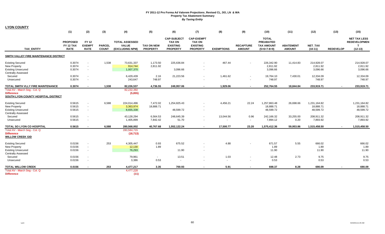|                                                                                                            | (1)                                         | (2)                                          | (3)                           | (4)                                                      | (5)                                  | (6)                                                                       | (7)                                                                      | (8)               | (9)                               | (10)                                                                   | (11)                              | (12)                                   | (13)             | (15)                                                         |
|------------------------------------------------------------------------------------------------------------|---------------------------------------------|----------------------------------------------|-------------------------------|----------------------------------------------------------|--------------------------------------|---------------------------------------------------------------------------|--------------------------------------------------------------------------|-------------------|-----------------------------------|------------------------------------------------------------------------|-----------------------------------|----------------------------------------|------------------|--------------------------------------------------------------|
| <b>TAX ENTITY</b>                                                                                          | <b>PROPOSED</b><br>FY 12 TAX<br><b>RATE</b> | <b>FY 12</b><br><b>EXEMPT</b><br><b>RATE</b> | <b>PARCEL</b><br><b>COUNT</b> | <b>TOTAL ASSESSED</b><br><b>VALUE</b><br>(EXCLUDING NPM) | <b>TAX ON NEW</b><br><b>PROPERTY</b> | <b>CAP-SUBJECT</b><br><b>TAX ON</b><br><b>EXISTING</b><br><b>PROPERTY</b> | <b>CAP-EXEMPT</b><br><b>TAX ON</b><br><b>EXISTING</b><br><b>PROPERTY</b> | <b>EXEMPTIONS</b> | <b>RECAPTURE</b><br><b>AMOUNT</b> | <b>TOTAL</b><br><b>PREABATED</b><br><b>TAX AMOUNT</b><br>$(5+6+7-8+9)$ | <b>ABATEMENT</b><br><b>AMOUNT</b> | NET_TAX<br>$(10-11)$                   | <b>REDEVELOP</b> | <b>NET TAX LESS</b><br><b>REDEVELOPMEN</b><br>т<br>$(12-13)$ |
| SMITH VALLEY FIRE MAINTENANCE DISTRICT                                                                     |                                             |                                              |                               |                                                          |                                      |                                                                           |                                                                          |                   |                                   |                                                                        |                                   |                                        |                  |                                                              |
| <b>Existing Secured</b><br><b>New Property</b><br><b>Existing Unsecured</b>                                | 0.3074<br>0.3074<br>0.3074                  | $\sim$<br>$\sim$<br>$\sim$                   | 1,538                         | 73,631,337<br>914,744<br>1,007,370                       | 1,173.50<br>2,811.92                 | 225,636.84<br>3,096.66                                                    | $\sim$                                                                   | 467.44            | $\sim$                            | 226,342.90<br>2,811.92<br>3,096.66                                     | 11,414.83                         | 214,928.07<br>2,811.92<br>3,096.66     |                  | 214,928.07<br>2,811.92<br>3,096.66                           |
| <b>Centrally Assessed</b><br>Secured<br>Unsecured                                                          | 0.3074<br>0.3074                            | $\sim$<br>$\sim$                             |                               | 6,429,439<br>243,647                                     | 2.16<br>748.97                       | 21,223.56                                                                 |                                                                          | 1,461.62          | $\sim$<br>$\sim$                  | 19,764.10<br>748.97                                                    | 7,430.01                          | 12,334.09<br>748.97                    |                  | 12,334.09<br>748.97                                          |
| TOTAL SMITH VLLY FIRE MAINTENANCE                                                                          | 0.3074                                      |                                              | 1,538                         | 82,226,537                                               | 4,736.55                             | 249,957.06                                                                |                                                                          | 1,929.06          | $\blacksquare$                    | 252,764.55                                                             | 18,844.84                         | 233,919.71                             |                  | 233,919.71                                                   |
| Total AV - March Seq - Col. Q<br><b>Difference</b><br>SOUTH LYON COUNTY HOSPITAL DISTRICT                  |                                             |                                              |                               | 82,232,392<br>(5,855)                                    |                                      |                                                                           |                                                                          |                   |                                   |                                                                        |                                   |                                        |                  |                                                              |
| <b>Existing Secured</b><br><b>New Property</b><br><b>Existing Unsecured</b><br><b>Centrally Assessed</b>   | 0.5615<br>0.5615<br>0.5615                  | $\sim$<br>$\sim$<br>$\sim$                   | 6,588                         | 224,014,496<br>3,363,974<br>8,655,338                    | 7,472.02<br>18,888.71                | 1,254,825.43<br>48,599.72                                                 | $\sim$                                                                   | 4,456.21          | 22.24                             | 1,257,863.48<br>18,888.71<br>48,599.72                                 | 26,698.66                         | 1,231,164.82<br>18,888.71<br>48,599.72 |                  | 1,231,164.82<br>18,888.71<br>48,599.72                       |
| Secured<br>Unsecured                                                                                       | 0.5615<br>0.5615                            | $\sim$<br>$\sim$                             |                               | 43,128,294<br>1,405,899                                  | 6.564.53<br>7,842.42                 | 248,645.39<br>51.70                                                       |                                                                          | 13,044.56         | 0.96<br>$\sim$                    | 242,166.32<br>7,894.12                                                 | 33.255.00<br>0.20                 | 208,911.32<br>7,893.92                 |                  | 208,911.32<br>7,893.92                                       |
| TOTAL SO LYON CO HOSPITAL<br>Total AV - March Seg - Col. Q<br><b>Difference</b><br><b>WILLOW CREEK GID</b> | 0.5615                                      | $\overline{\phantom{a}}$                     | 6,588                         | 280,568,002<br>280,584,715<br>(16, 713)                  | 40,767.68                            | 1,552,122.24                                                              | $\sim$                                                                   | 17,500.77         | 23.20                             | 1,575,412.36                                                           | 59,953.86                         | 1,515,458.50                           |                  | 1,515,458.50                                                 |
| <b>Existing Secured</b><br>New Property<br><b>Existing Unsecured</b>                                       | 0.0156<br>0.0156<br>0.0156                  | $\sim$<br>$\sim$<br>$\sim$                   | 253                           | 4,305,447<br>12,130<br>76,293                            | 0.93<br>1.89                         | 675.52<br>11.90                                                           |                                                                          | 4.88              |                                   | 671.57<br>1.89<br>11.90                                                | 5.55                              | 666.02<br>1.89<br>11.90                |                  | 666.02<br>1.89<br>11.90                                      |
| <b>Centrally Assessed</b><br>Secured<br>Unsecured                                                          | 0.0156<br>0.0156                            | $\sim$                                       |                               | 79,961<br>3,386                                          | $\sim$<br>0.53                       | 13.51<br>$\sim$                                                           |                                                                          | 1.03              | $\sim$<br>$\sim$                  | 12.48<br>0.53                                                          | 2.73                              | 9.75<br>0.53                           |                  | 9.75<br>0.53                                                 |
| <b>TOTAL WILLOW CREEK</b><br>Total AV - March Seg - Col. Q                                                 | 0.0156                                      | $\blacksquare$                               | 253                           | 4,477,217<br>4,477,228                                   | 3.35                                 | 700.93                                                                    | $\sim$                                                                   | 5.91              | $\sim$                            | 698.37                                                                 | 8.28                              | 690.09                                 | $\blacksquare$   | 690.09                                                       |
| <b>Difference</b>                                                                                          |                                             |                                              |                               | (11)                                                     |                                      |                                                                           |                                                                          |                   |                                   |                                                                        |                                   |                                        |                  |                                                              |

**LYON COUNTY**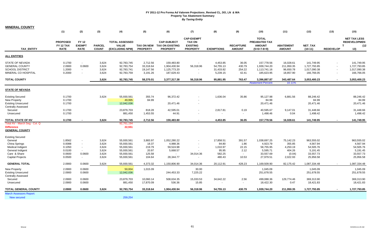| <b>MINERAL COUNTY</b>                                                                                              |                                                          |                                                          |                                                    |                                                                                  |                                                          |                                                                                  |                                                                          |                                                             |                                                    |                                                                             |                                                                 |                                                                           |                          |                                                                             |
|--------------------------------------------------------------------------------------------------------------------|----------------------------------------------------------|----------------------------------------------------------|----------------------------------------------------|----------------------------------------------------------------------------------|----------------------------------------------------------|----------------------------------------------------------------------------------|--------------------------------------------------------------------------|-------------------------------------------------------------|----------------------------------------------------|-----------------------------------------------------------------------------|-----------------------------------------------------------------|---------------------------------------------------------------------------|--------------------------|-----------------------------------------------------------------------------|
|                                                                                                                    | (1)                                                      | (2)                                                      | (3)                                                | (4)                                                                              | (5)                                                      | (6)                                                                              | (7)                                                                      | (8)                                                         | (9)                                                | (10)                                                                        | (11)                                                            | (12)                                                                      | (13)                     | (15)                                                                        |
| <b>TAX ENTITY</b>                                                                                                  | <b>PROPOSED</b><br>FY 12 TAX<br><b>RATE</b>              | <b>FY 12</b><br><b>EXEMPT</b><br><b>RATE</b>             | <b>PARCEL</b><br><b>COUNT</b>                      | <b>TOTAL ASSESSED</b><br><b>VALUE</b><br>(EXCLUDING NPM)                         | <b>PROPERTY</b>                                          | <b>CAP-SUBJECT</b><br>TAX ON NEW TAX ON EXISTING<br><b>PROPERTY</b>              | <b>CAP-EXEMPT</b><br><b>TAX ON</b><br><b>EXISTING</b><br><b>PROPERTY</b> | <b>EXEMPTIONS</b>                                           | <b>RECAPTURE</b><br><b>AMOUNT</b>                  | <b>TOTAL</b><br>PREABATED TAX<br><b>AMOUNT</b><br>$(5+6+7-8+9)$             | <b>ABATEMENT</b><br><b>AMOUNT</b>                               | NET_TAX<br>$(10-11)$                                                      | <b>REDEVELOP</b>         | <b>NET TAX LESS</b><br><b>REDEVELOPMEN</b><br>(12)<br>$\mathbf \tau$<br>13) |
| <b>ALL ENTITIES</b>                                                                                                |                                                          |                                                          |                                                    |                                                                                  |                                                          |                                                                                  |                                                                          |                                                             |                                                    |                                                                             |                                                                 |                                                                           |                          |                                                                             |
| <b>STATE OF NEVADA</b><br><b>GENERAL COUNTY</b><br><b>SCHOOL DISTRICT</b><br>MINERAL CO HOSPITAL                   | 0.1700<br>2.0900<br>1.2000<br>0.2000                     | $\sim$<br>0.0600<br>$\sim$<br>$\sim$                     | 3,624<br>3,624<br>3,624<br>3,624                   | 92,783,745<br>92,783,754<br>92,783,741<br>92,783,759                             | 2,712.56<br>33,318.64<br>19,147.56<br>3,191.26           | 159,483.80<br>1,904,430.94<br>1,125,773.20<br>187,629.43                         | 56,318.96                                                                | 4,453.85<br>54,755.13<br>31,433.82<br>5,239.15              | 36.05<br>430.79<br>254.22<br>42.41                 | 157,778.56<br>1,939,744.20<br>1,113,741.16<br>185,623.95                    | 16,028.61<br>211,950.35<br>96,650.78<br>18,857.90               | 141,749.95<br>1,727,793.85<br>1,017,090.38<br>166,766.05                  | $\overline{\phantom{a}}$ | 141,749.95<br>1,727,793.85<br>1,017,090.38<br>166,766.05                    |
| <b>TOTAL COUNTY</b>                                                                                                |                                                          |                                                          | 3,624                                              | 92,783,745                                                                       | 58,370.01                                                | 3,377,317.38                                                                     | 56,318.96                                                                | 95,881.95                                                   | 763.47                                             | 3,396,887.87<br><b>Abatement Percent</b>                                    | 343,487.64<br>10.11%                                            | 3,053,400.23                                                              | $\blacksquare$           | 3,053,400.23                                                                |
|                                                                                                                    |                                                          |                                                          |                                                    |                                                                                  |                                                          |                                                                                  |                                                                          |                                                             |                                                    |                                                                             |                                                                 |                                                                           |                          |                                                                             |
| <b>STATE OF NEVADA</b>                                                                                             |                                                          |                                                          |                                                    |                                                                                  |                                                          |                                                                                  |                                                                          |                                                             |                                                    |                                                                             |                                                                 |                                                                           |                          |                                                                             |
| <b>Existing Secured</b><br><b>New Property</b><br><b>Existing Unsecured</b><br><b>Centrally Assessed</b>           | 0.1700<br>0.1700<br>0.1700                               |                                                          | 3,624                                              | 55,930,561<br>49,995<br>12,042,036                                               | 355.74<br>84.99                                          | 96,372.42<br>20,471.46                                                           |                                                                          | 1,636.04                                                    | 35.86                                              | 95,127.98<br>84.99<br>20,471.46                                             | 6,881.56                                                        | 88,246.42<br>84.99<br>20,471.46                                           |                          | 88,246.42<br>84.99<br>20,471.46                                             |
| Secured<br>Unsecured                                                                                               | 0.1700<br>0.1700                                         |                                                          |                                                    | 23,879,703<br>881,450                                                            | 818.28<br>1,453.55                                       | 42,595.01<br>44.91                                                               |                                                                          | 2,817.81                                                    | 0.19<br>$\sim$                                     | 40,595.67<br>1,498.46                                                       | 9,147.01<br>0.04                                                | 31,448.66<br>1,498.42                                                     |                          | 31,448.66<br>1,498.42                                                       |
| TOTAL STATE OF NV                                                                                                  | 0.1700                                                   |                                                          | 3,624                                              | 92,783,745                                                                       | 2,712.56                                                 | 159,483.80                                                                       |                                                                          | 4,453.85                                                    | 36.05                                              | 157,778.56                                                                  | 16,028.61                                                       | 141,749.95                                                                |                          | 141,749.95                                                                  |
| Total AV - March Seg - Col. Q<br><b>Difference</b><br><b>GENERAL COUNTY</b>                                        |                                                          |                                                          |                                                    | 92,761,194<br>22,551                                                             |                                                          |                                                                                  |                                                                          |                                                             |                                                    |                                                                             |                                                                 |                                                                           |                          |                                                                             |
| <b>Existing Secured</b>                                                                                            |                                                          |                                                          |                                                    |                                                                                  |                                                          |                                                                                  |                                                                          |                                                             |                                                    |                                                                             |                                                                 |                                                                           |                          |                                                                             |
| General<br>China Springs<br><b>Medical Indigent</b><br>General Indigent<br>Care & Share<br><b>Capital Projects</b> | 1.8562<br>0.0088<br>0.1050<br>0.0100<br>0.0600<br>0.0500 | $\sim$<br>$\sim$<br>$\sim$<br>$\sim$<br>0.0600<br>$\sim$ | 3,624<br>3,624<br>3,624<br>3,624<br>3,624<br>3,624 | 55,930,561<br>55,930,561<br>55,930,561<br>55,930,561<br>55,930,561<br>55,930,561 | 3,883.97<br>18.37<br>219.79<br>20.97<br>125.58<br>104.64 | 1,052,280.22<br>4,988.36<br>59,524.98<br>5,668.57<br>$\blacksquare$<br>28,344.77 | $\sim$<br>34,014.36                                                      | 17,858.51<br>84.80<br>1,010.97<br>95.95<br>582.25<br>480.43 | 391.57<br>1.86<br>22.15<br>2.12<br>$\sim$<br>10.53 | 1,038,697.25<br>4,923.79<br>58,755.95<br>5,595.71<br>33,557.69<br>27,979.51 | 75,142.23<br>355.85<br>4,250.19<br>404.26<br>(0.04)<br>2,022.93 | 963,555.02<br>4,567.94<br>54,505.76<br>5,191.45<br>33,557.73<br>25,956.58 |                          | 963,555.02<br>4,567.94<br>54,505.76<br>5,191.45<br>33,557.73<br>25,956.58   |
| <b>GENERAL TOTAL</b>                                                                                               | 2.0900                                                   | 0.0600                                                   | 3,624                                              | 55,930,561                                                                       | 4,373.32                                                 | 1,150,806.90                                                                     | 34,014.36                                                                | 20,112.91                                                   | 428.23                                             | 1,169,509.90                                                                | 82,175.42                                                       | 1,087,334.48                                                              |                          | 1,087,334.48                                                                |
| <b>New Property</b><br><b>Existing Unsecured</b><br><b>Centrally Assessed</b><br>Secured<br>Unsecured              | 2.0900<br>2.0900<br>2.0900<br>2.0900                     | 0.0600<br>0.0600<br>0.0600<br>0.0600                     |                                                    | 50,004<br>12,042,036<br>23,879,703<br>881,450                                    | 1,015.09<br>10,060.14<br>17,870.09                       | 244,453.33<br>508,634.35<br>536.36                                               | 30.00<br>7,225.22<br>15,033.53<br>15.85                                  | 34,642.22                                                   | 2.56<br>$\sim$                                     | 1,045.09<br>251,678.55<br>499,088.36<br>18,422.30                           | 129,774.46<br>0.47                                              | 1,045.09<br>251,678.55<br>369,313.90<br>18,421.83                         |                          | 1,045.09<br>251,678.55<br>369,313.90<br>18,421.83                           |
| TOTAL GENERAL COUNTY                                                                                               | 2.0900                                                   | 0.0600                                                   | 3,624                                              | 92,783,754                                                                       | 33,318.64                                                | 1,904,430.94                                                                     | 56,318.96                                                                | 54,755.13                                                   | 430.79                                             | 1,939,744.20                                                                | 211,950.35                                                      | 1,727,793.85                                                              |                          | 1,727,793.85                                                                |
| <b>March Assessors Report:</b><br><b>New secured</b>                                                               |                                                          |                                                          |                                                    | 259,254                                                                          |                                                          |                                                                                  |                                                                          |                                                             |                                                    |                                                                             |                                                                 |                                                                           |                          |                                                                             |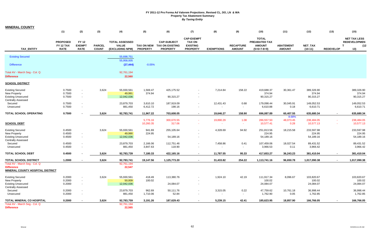| <b>MINERAL COUNTY</b>                                        |                                             |                                              |                               |                                                          |                 |                                                                     |                                                                          |                   |                                   |                                                                 |                                   |                      |                  |                                                                           |
|--------------------------------------------------------------|---------------------------------------------|----------------------------------------------|-------------------------------|----------------------------------------------------------|-----------------|---------------------------------------------------------------------|--------------------------------------------------------------------------|-------------------|-----------------------------------|-----------------------------------------------------------------|-----------------------------------|----------------------|------------------|---------------------------------------------------------------------------|
|                                                              | (1)                                         | (2)                                          | (3)                           | (4)                                                      | (5)             | (6)                                                                 | (7)                                                                      | (8)               | (9)                               | (10)                                                            | (11)                              | (12)                 | (13)             | (15)                                                                      |
| <b>TAX ENTITY</b>                                            | <b>PROPOSED</b><br>FY 12 TAX<br><b>RATE</b> | <b>FY 12</b><br><b>EXEMPT</b><br><b>RATE</b> | <b>PARCEL</b><br><b>COUNT</b> | <b>TOTAL ASSESSED</b><br><b>VALUE</b><br>(EXCLUDING NPM) | <b>PROPERTY</b> | <b>CAP-SUBJECT</b><br>TAX ON NEW TAX ON EXISTING<br><b>PROPERTY</b> | <b>CAP-EXEMPT</b><br><b>TAX ON</b><br><b>EXISTING</b><br><b>PROPERTY</b> | <b>EXEMPTIONS</b> | <b>RECAPTURE</b><br><b>AMOUNT</b> | <b>TOTAL</b><br>PREABATED TAX<br><b>AMOUNT</b><br>$(5+6+7-8+9)$ | <b>ABATEMENT</b><br><b>AMOUNT</b> | NET_TAX<br>$(10-11)$ | <b>REDEVELOP</b> | <b>NET TAX LESS</b><br><b>REDEVELOPMEN</b><br>$\mathbf{T}$<br>(12)<br>13) |
| <b>Existing Secured</b>                                      |                                             |                                              |                               | 55,698,751                                               |                 |                                                                     |                                                                          |                   |                                   |                                                                 |                                   |                      |                  |                                                                           |
|                                                              |                                             |                                              |                               | 55,958,005                                               |                 |                                                                     |                                                                          |                   |                                   |                                                                 |                                   |                      |                  |                                                                           |
| <b>Difference</b>                                            |                                             |                                              |                               | (27, 444)                                                | $-0.05%$        |                                                                     |                                                                          |                   |                                   |                                                                 |                                   |                      |                  |                                                                           |
| Total AV - March Seg - Col. Q<br><b>Difference</b>           |                                             |                                              |                               | 92,761,194<br>22,560                                     |                 |                                                                     |                                                                          |                   |                                   |                                                                 |                                   |                      |                  |                                                                           |
| <b>SCHOOL DISTRICT</b>                                       |                                             |                                              |                               |                                                          |                 |                                                                     |                                                                          |                   |                                   |                                                                 |                                   |                      |                  |                                                                           |
| <b>Existing Secured</b>                                      | 0.7500                                      | $\sim$                                       | 3,624                         | 55,930,561                                               | 1,569.47        | 425,175.52                                                          | $\blacksquare$                                                           | 7,214.84          | 158.22                            | 419,688.37                                                      | 30,361.47                         | 389,326.90           |                  | 389,326.90                                                                |
| New Property                                                 | 0.7500                                      | $\blacksquare$                               |                               | 49,991                                                   | 374.94          |                                                                     |                                                                          |                   |                                   | 374.94                                                          |                                   | 374.94               |                  | 374.94                                                                    |
| <b>Existing Unsecured</b><br><b>Centrally Assessed</b>       | 0.7500                                      | $\sim$                                       |                               | 12,042,036                                               |                 | 90,315.27                                                           |                                                                          |                   |                                   | 90,315.27                                                       |                                   | 90,315.27            |                  | 90,315.27                                                                 |
| Secured                                                      | 0.7500                                      | $\sim$                                       |                               | 23,879,703                                               | 3,610.10        | 187,919.09                                                          | $\blacksquare$                                                           | 12,431.43         | 0.68                              | 179,098.44                                                      | 30,045.91                         | 149,052.53           |                  | 149,052.53                                                                |
| Unsecured                                                    | 0.7500                                      |                                              |                               | 881,450                                                  | 6,412.72        | 198.16                                                              | $\blacksquare$                                                           |                   | $\sim$                            | 6,610.88                                                        | 0.18                              | 6,610.71             |                  | 6,610.71                                                                  |
| <b>TOTAL SCHOOL OPERATING</b>                                | 0.7500                                      |                                              | 3,624                         | 92,783,741                                               | 11,967.22       | 703,608.05                                                          | $\sim$                                                                   | 19,646.27         | 158.90                            | 696,087.89                                                      | 60,407.55                         | 635,680.34           |                  | 635,680.34                                                                |
|                                                              |                                             |                                              |                               |                                                          | 5,776.16        | 300,670.55                                                          | $\sim$                                                                   | 19,890.29         | 1.08                              | 286,557.50                                                      | 8.68%<br>48,073.45                | 238,484.05           | $\sim$           | 238,484.05                                                                |
| <b>SCHOOL DEBT</b>                                           |                                             |                                              |                               |                                                          | 10,260.35       | 317.06                                                              | $\sim$                                                                   | $\sim$            | $\sim$                            | 10,577.41                                                       | 0.28                              | 10,577.13            |                  | 10,577.13                                                                 |
| <b>Existing Secured</b>                                      | 0.4500                                      |                                              | 3,624                         | 55,930,561                                               | 941.69          | 255,105.64                                                          | $\sim$                                                                   | 4,328.69          | 94.92                             | 251,813.56                                                      | 18,215.58                         | 233,597.98           |                  | 233,597.98                                                                |
| New Property                                                 | 0.4500                                      |                                              |                               | 49,990                                                   | 224.95          |                                                                     |                                                                          |                   |                                   | 224.95                                                          |                                   | 224.95               |                  | 224.95                                                                    |
| <b>Existing Unsecured</b>                                    | 0.4500                                      | $\sim$                                       |                               | 12,042,036                                               |                 | 54,189.16                                                           | $\sim$                                                                   |                   |                                   | 54,189.16                                                       |                                   | 54,189.16            |                  | 54,189.16                                                                 |
| <b>Centrally Assessed</b>                                    |                                             |                                              |                               |                                                          |                 |                                                                     |                                                                          |                   |                                   |                                                                 |                                   |                      |                  |                                                                           |
| Secured                                                      | 0.4500                                      | $\sim$                                       |                               | 23,879,703                                               | 2,166.06        | 112,751.46                                                          | $\sim$                                                                   | 7,458.86          | 0.41                              | 107,459.06                                                      | 18,027.54                         | 89,431.52            |                  | 89,431.52                                                                 |
| Unsecured                                                    | 0.4500                                      | $\sim$                                       |                               | 881,450                                                  | 3,847.63        | 118.90                                                              | $\blacksquare$                                                           |                   | $\sim$                            | 3,966.53                                                        | 0.11                              | 3,966.42             |                  | 3,966.42                                                                  |
| <b>TOTAL SCHOOL DEBT</b>                                     | 0.4500                                      |                                              | 3,624                         | 92,783,739                                               | 7,180.33        | 422,165.16                                                          | $\sim$                                                                   | 11,787.55         | 95.33                             | 417,653.27                                                      | 36,243.23                         | 381,410.04           |                  | 381,410.04                                                                |
| <b>TOTAL SCHOOL DISTRICT</b>                                 | 1.2000                                      | $\blacksquare$                               | 3,624                         | 92,783,741                                               | 19,147.56       | 1,125,773.20                                                        | $\sim$                                                                   | 31,433.82         | 254.22                            | 1,113,741.16                                                    | 96,650.78                         | 1,017,090.38         |                  | 1,017,090.38                                                              |
| Total AV - March Seg - Col. Q                                |                                             |                                              |                               | 92,761,194                                               |                 |                                                                     |                                                                          |                   |                                   |                                                                 |                                   |                      |                  |                                                                           |
| <b>Difference</b><br><b>MINERAL COUNTY HOSPITAL DISTRICT</b> |                                             |                                              |                               | 22,547                                                   |                 |                                                                     |                                                                          |                   |                                   |                                                                 |                                   |                      |                  |                                                                           |
| <b>Existing Secured</b>                                      | 0.2000                                      | $\sim$                                       | 3,624                         | 55,930,561                                               | 418.49          | 113,380.76                                                          | $\sim$                                                                   | 1,924.10          | 42.19                             | 111,917.34                                                      | 8,096.67                          | 103,820.67           |                  | 103,820.67                                                                |
| New Property                                                 | 0.2000                                      | $\blacksquare$                               |                               | 50,009                                                   | 100.02          |                                                                     |                                                                          |                   |                                   | 100.02                                                          |                                   | 100.02               |                  | 100.02                                                                    |
| <b>Existing Unsecured</b><br><b>Centrally Assessed</b>       | 0.2000                                      | $\sim$                                       |                               | 12,042,036                                               |                 | 24,084.07                                                           | $\blacksquare$                                                           |                   |                                   | 24,084.07                                                       |                                   | 24,084.07            |                  | 24,084.07                                                                 |
| Secured                                                      | 0.2000                                      | $\sim$                                       |                               | 23,879,703                                               | 962.69          | 50,111.76                                                           | $\blacksquare$                                                           | 3,315.05          | 0.22                              | 47,759.62                                                       | 10,761.18                         | 36,998.44            |                  | 36,998.44                                                                 |
| Unsecured                                                    | 0.2000                                      | $\sim$                                       |                               | 881,450                                                  | 1,710.06        | 52.84                                                               | $\blacksquare$                                                           | $\blacksquare$    | $\sim$                            | 1,762.90                                                        | 0.05                              | 1,762.85             |                  | 1,762.85                                                                  |
| TOTAL MINERAL CO HOSPITAL                                    | 0.2000                                      |                                              | 3,624                         | 92,783,759                                               | 3,191.26        | 187,629.43                                                          | $\sim$                                                                   | 5,239.15          | 42.41                             | 185,623.95                                                      | 18,857.90                         | 166,766.05           |                  | 166,766.05                                                                |
| Total AV - March Seg - Col. Q                                |                                             |                                              |                               | 92,761,194                                               |                 |                                                                     |                                                                          |                   |                                   |                                                                 |                                   |                      |                  |                                                                           |
| <b>Difference</b>                                            |                                             |                                              |                               | 22.565                                                   |                 |                                                                     |                                                                          |                   |                                   |                                                                 |                                   |                      |                  |                                                                           |

 $\sim$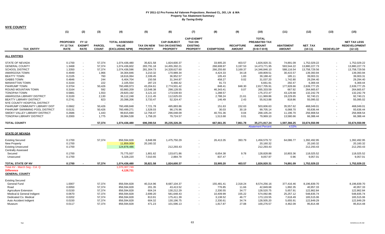| <b>NYE COUNTY</b>              |                                 |                              |                               |                                 |                               |                                           |                                    |                         |                                   |                                      |                                   |                      |                          |                                   |
|--------------------------------|---------------------------------|------------------------------|-------------------------------|---------------------------------|-------------------------------|-------------------------------------------|------------------------------------|-------------------------|-----------------------------------|--------------------------------------|-----------------------------------|----------------------|--------------------------|-----------------------------------|
|                                | (1)                             | (2)                          | (3)                           | (4)                             | (5)                           | (6)                                       | (7)                                | (8)                     | (9)                               | (10)                                 | (11)                              | (12)                 | (13)                     | (15)                              |
|                                | <b>PROPOSED</b>                 | <b>FY12</b>                  |                               | <b>TOTAL ASSESSED</b>           |                               | <b>CAP-SUBJECT</b>                        | <b>CAP-EXEMPT</b><br><b>TAX ON</b> |                         |                                   | <b>TOTAL</b><br><b>PREABATED TAX</b> |                                   |                      |                          | <b>NET TAX LESS</b>               |
| <b>TAX ENTITY</b>              | <b>FY 12 TAX</b><br><b>RATE</b> | <b>EXEMPT</b><br><b>RATE</b> | <b>PARCEL</b><br><b>COUNT</b> | <b>VALUE</b><br>(EXCLUDING NPM) | TAX ON NEW<br><b>PROPERTY</b> | <b>TAX ON EXISTING</b><br><b>PROPERTY</b> | <b>EXISTING</b><br><b>PROPERTY</b> | <b>EXEMPTIONS</b>       | <b>RECAPTURE</b><br><b>AMOUNT</b> | <b>AMOUNT</b><br>$(5+6+7-8+9)$       | <b>ABATEMENT</b><br><b>AMOUNT</b> | NET_TAX<br>$(10-11)$ | <b>REDEVELOP</b>         | <b>REDEVELOPMENT</b><br>$(12-13)$ |
| <b>ALL ENTITIES</b>            |                                 |                              |                               |                                 |                               |                                           |                                    |                         |                                   |                                      |                                   |                      |                          |                                   |
| <b>STATE OF NEVADA</b>         | 0.1700                          | $\overline{\phantom{a}}$     | 57,374                        |                                 | 35,821.58                     |                                           |                                    |                         | 403.57                            |                                      |                                   | 1,752,029.22         |                          | 1,752,029.22                      |
| <b>GENERAL COUNTY</b>          | 1.3468                          | $\sim$                       | 57,374                        | 1,074,436,480<br>1,074,436,602  | 283,791.18                    | 1,824,600.37<br>14,455,392.21             |                                    | 33,905.20<br>268,608.97 | 3,197.53                          | 1,826,920.31<br>14,473,771.95        | 74,891.09<br>593,544.22           | 13,880,227.73        |                          | 13,880,227.73                     |
| <b>SCHOOL DISTRICT</b>         | 1.3350                          | $\sim$                       | 57,374                        |                                 | 281,304.73                    |                                           |                                    |                         | 3,169.37                          |                                      | 588,116.54                        |                      |                          |                                   |
| <b>AMARGOSA TOWN</b>           | 0.4949                          |                              |                               | 1,074,436,596                   |                               | 14,328,627.60                             |                                    | 266,255.60              |                                   | 14,346,846.10                        |                                   | 13,758,729.56        |                          | 13,758,729.56                     |
|                                |                                 | $\sim$                       | 1,966                         | 34,304,846                      | 3,210.32                      | 170,989.34                                |                                    | 4,424.33                | 34.18                             | 169,809.51                           | 30,415.57                         | 139,393.94           |                          | 139,393.94                        |
| <b>BEATTY TOWN</b>             | 0.2105                          | $\sim$                       | 760                           | 18,616,064                      | 2,339.45                      | 36,952.57                                 | $\sim$                             | 105.43                  | 1.83                              | 39,188.42                            | 185.11                            | 39,003.31            | $\overline{\phantom{a}}$ | 39,003.31                         |
| <b>GABBS TOWN</b>              | 0.4846                          | $\sim$                       | 244                           | 6,404,704                       | 150.58                        | 31,344.87                                 |                                    | 458.27                  | 0.02                              | 31,037.20                            | 1,742.80                          | 29,294.40            |                          | 29,294.40                         |
| <b>MANHATTAN TOWN</b>          | 0.3164                          | $\sim$                       | 222                           | 2,105,554                       | 287.23                        | 6,466.42                                  |                                    | 91.73                   | $\sim$                            | 6,661.91                             | 292.47                            | 6,369.44             |                          | 6,369.44                          |
| PAHRUMP TOWN                   | 0.3704                          | $\sim$                       | 50,426                        | 760,499,973                     | 43,204.61                     | 2,774,501.42                              |                                    | 848.41                  | 848.30                            | 2,817,705.91                         | 177,928.66                        | 2,639,777.25         |                          | 2,639,777.25                      |
| ROUND MOUNTAIN TOWN            | 0.3164                          | $\sim$                       | 592                           | 83,860,209                      | 13,548.38                     | 298,128.55                                |                                    | 46,343.41               | 0.07                              | 265,333.59                           | 667.92                            | 264,665.67           |                          | 264,665.67                        |
| <b>TONOPAH TOWN</b>            | 0.5881                          | $\sim$                       | 1,553                         | 29,820,192                      | 3,121.10                      | 173,539.93                                |                                    | 1,288.57                | $\sim$                            | 175,372.47                           | 43,129.68                         | 132,242.79           |                          | 132,242.79                        |
| AMARGOSA LIBRARY DISTRICT      | 0.3100                          | $\sim$                       | 2,130                         | 36,112,248                      | 2,111.45                      | 112,625.03                                |                                    | 2,788.24                | 21.61                             | 111,969.86                           | 19,229.65                         | 92,740.21            |                          | 92,740.21                         |
| <b>BEATTY LIBRARY DISTRICT</b> | 0.2741                          | $\blacksquare$               | 823                           | 20,398,206                      | 3,733.47                      | 52,324.47                                 |                                    | 146.49                  | 2.43                              | 55,913.88                            | 818.86                            | 55,095.02            |                          | 55,095.02                         |
| NYE COUNTY HOSPITAL DISTRICT   | $\sim$                          | $\sim$                       |                               |                                 |                               |                                           |                                    | $\sim$                  | $\sim$                            | $\sim$                               | $\blacksquare$                    | $\sim$               |                          |                                   |
| PAHRUMP COMMUNITY LIBRARY DIST | 0.0662                          | $\sim$                       | 50,426                        | 760,499,848                     | 7,721.78                      | 495,883.86                                | $\overline{\phantom{a}}$           | 151.63                  | 152.63                            | 503,606.63                           | 35,557.62                         | 468,049.01           |                          | 468,049.01                        |
| PAHRUMP SWIMMING POOL DISTRICT | 0.0131                          | $\sim$                       | 50,426                        | 760,499,271                     | 1,528.03                      | 98,176.96                                 | $\overline{\phantom{a}}$           | 30.03                   | 30.19                             | 99,705.14                            | 6,068.70                          | 93,636.44            |                          | 93,636.44                         |
| SMOKY VALLEY LIBRARY DISTRICT  | 0.2686                          | $\sim$                       | 1,443                         | 99,815,690                      | 12,758.47                     | 296,048.09                                | $\mathbf{r}$                       | 40,701.36               | 0.04                              | 268,105.24                           | 11,196.70                         | 256,908.54           |                          | 256,908.54                        |
| TONOPAH LIBRARY DISTRICT       | 0.2000                          | $\overline{\phantom{a}}$     | 1,775                         | 39,984,538                      | 1,758.20                      | 79,724.57                                 | $\blacksquare$                     | 1,513.68                | 0.01                              | 79,969.10                            | 13,580.66                         | 66,388.44            |                          | 66,388.44                         |
| <b>TOTAL COUNTY</b>            |                                 |                              | 57.374                        | 1,074,436,480                   | 696,390.54                    | 35,235,326.26                             | $\blacksquare$                     | 667,661.35              | 7.861.78                          | 35,271,917.24                        | 1,597,366.25                      | 33,674,550.99        |                          | 33,674,550.99                     |
|                                |                                 |                              |                               |                                 |                               |                                           |                                    |                         |                                   | <b>Abatement Percent</b>             | 4.53%                             |                      |                          |                                   |
| <b>STATE OF NEVADA</b>         |                                 |                              |                               |                                 |                               |                                           |                                    |                         |                                   |                                      |                                   |                      |                          |                                   |
| <b>Existing Secured</b>        | 0.1700                          |                              | 57,374                        | 856,594,828                     | 6,848.99                      | 1,475,750.29                              |                                    | 26,413.35               | 393.79                            | 1,456,579.72                         | 64,086.77                         | 1,392,492.95         |                          | 1,392,492.95                      |
| <b>New Property</b>            | 0.1700                          |                              |                               | 11,859,009                      | 20,160.32                     |                                           |                                    |                         |                                   | 20,160.32                            |                                   | 20,160.32            |                          | 20,160.32                         |
| <b>Existing Unsecured</b>      | 0.1700                          |                              |                               | 124,878,486                     |                               | 212,293.43                                | $\sim$                             |                         |                                   | 212,293.43                           |                                   | 212,293.43           |                          | 212,293.43                        |
| <b>Centrally Assessed</b>      |                                 |                              |                               |                                 |                               |                                           |                                    |                         |                                   |                                      |                                   |                      |                          |                                   |
| Secured                        | 0.1700                          |                              |                               | 75,775,937                      | 1,801.62                      | 133,671.86                                | $\overline{\phantom{a}}$           | 6,654.38                | 9.78                              | 128,828.88                           | 10,803.36                         | 118,025.52           |                          | 118,025.52                        |
| Unsecured                      | 0.1700                          |                              |                               | 5,328,220                       | 7,010.65                      | 2.884.79                                  | $\sim$                             | 837.47                  | $\overline{\phantom{a}}$          | 9.057.97                             | 0.96                              | 9,057.01             |                          | 9,057.01                          |
| <b>TOTAL STATE OF NV</b>       | 0.1700                          |                              | 57,374                        | 1,074,436,480                   | 35,821.58                     | 1,824,600.37                              | $\blacksquare$                     | 33,905.20               | 403.57                            | 1,826,920.31                         | 74,891.09                         | 1,752,029.22         | $\blacksquare$           | 1,752,029.22                      |
| Total AV - March Seg - Col. Q  |                                 |                              |                               | 1,070,307,749                   |                               |                                           |                                    |                         |                                   |                                      |                                   |                      |                          |                                   |
| <b>Difference</b>              |                                 |                              |                               | 4,128,731                       |                               |                                           |                                    |                         |                                   |                                      |                                   |                      |                          |                                   |
| <b>GENERAL COUNTY</b>          |                                 |                              |                               |                                 |                               |                                           |                                    |                         |                                   |                                      |                                   |                      |                          |                                   |
| <b>Existing Secured</b>        |                                 |                              |                               |                                 |                               |                                           |                                    |                         |                                   |                                      |                                   |                      |                          |                                   |
| General Fund                   | 1.0007                          |                              | 57,374                        | 856,594,828                     | 40,314.96                     | 8,687,104.37                              | $\blacksquare$                     | 155,481.41              | 2,318.24                          | 8,574,256.16                         | 377,416.46                        | 8,196,839.70         |                          | 8,196,839.70                      |
| Road                           | 0.0050                          |                              | 57,374                        | 856,594,828                     | 201.35                        | 43,413.52                                 | $\blacksquare$                     | 776.85                  | 11.66                             | 42,849.68                            | 1,892.35                          | 40,957.33            |                          | 40,957.33                         |
| <b>Agriculture Extension</b>   | 0.0150                          |                              | 57,374                        | 856,594,828                     | 604.24                        | 130,212.29                                |                                    | 2,330.55                | 34.77                             | 128,520.75                           | 5,657.91                          | 122,862.84           |                          | 122,862.84                        |
| Medical & General Indigent     | 0.0670                          |                              | 57,374                        | 856,594,828                     | 2,699.20                      | 581,648.43                                |                                    | 10,409.99               | 155.22                            | 574,092.86                           | 25,257.12                         | 548,835.74           |                          | 548,835.74                        |
| Dedicated Co. Medical          | 0.0202                          |                              | 57,374                        | 856,594,828                     | 813.91                        | 175,411.39                                |                                    | 3,138.52                | 46.77                             | 173,133.55                           | 7,618.49                          | 165,515.06           |                          | 165,515.06                        |
| Auto Accident Indigent         | 0.0150                          |                              | 57,374                        | 856,594,828                     | 604.32                        | 130,196.75                                |                                    | 2,330.61                | 34.74                             | 128,505.20                           | 5,655.91                          | 122,849.29           |                          | 122,849.29                        |
| Museum                         | 0.0117                          |                              | 57.374                        | 856,594,828                     | 471.23                        | 101,596.13                                |                                    | 1.817.87                | 27.08                             | 100,276.57                           | 4.462.09                          | 95,814.48            |                          | 95.814.48                         |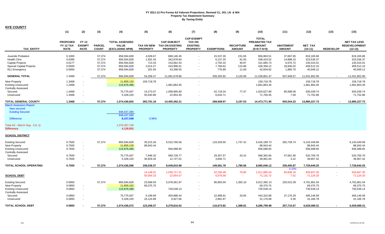|                                                                                                                                                            | (1)                                         | (2)                                          | (3)                           | (4)                                                                   | (5)                                  | (6)                                                             | (7)                                                                      | (8)               | (9)                               | (10)                                                                   | (11)                              | (12)                 | (13)             | (15)                                                     |
|------------------------------------------------------------------------------------------------------------------------------------------------------------|---------------------------------------------|----------------------------------------------|-------------------------------|-----------------------------------------------------------------------|--------------------------------------|-----------------------------------------------------------------|--------------------------------------------------------------------------|-------------------|-----------------------------------|------------------------------------------------------------------------|-----------------------------------|----------------------|------------------|----------------------------------------------------------|
| <b>TAX ENTITY</b>                                                                                                                                          | <b>PROPOSED</b><br>FY 12 TAX<br><b>RATE</b> | <b>FY 12</b><br><b>EXEMPT</b><br><b>RATE</b> | <b>PARCEL</b><br><b>COUNT</b> | <b>TOTAL ASSESSED</b><br><b>VALUE</b><br>(EXCLUDING NPM)              | <b>TAX ON NEW</b><br><b>PROPERTY</b> | <b>CAP-SUBJECT</b><br><b>TAX ON EXISTING</b><br><b>PROPERTY</b> | <b>CAP-EXEMPT</b><br><b>TAX ON</b><br><b>EXISTING</b><br><b>PROPERTY</b> | <b>EXEMPTIONS</b> | <b>RECAPTURE</b><br><b>AMOUNT</b> | <b>TOTAL</b><br><b>PREABATED TAX</b><br><b>AMOUNT</b><br>$(5+6+7-8+9)$ | <b>ABATEMENT</b><br><b>AMOUNT</b> | NET_TAX<br>$(10-11)$ | <b>REDEVELOP</b> | <b>NET TAX LESS</b><br><b>REDEVELOPMENT</b><br>$(12-13)$ |
| Juvenile Probation                                                                                                                                         | 0.1000                                      |                                              | 57,374                        | 856,594,828                                                           | 4,028.67                             | 868,140.45                                                      |                                                                          | 15,537.26         | 231.65                            | 856,863.51                                                             | 37,697.65                         | 819,165.86           |                  | 819,165.86                                               |
| <b>Health Clinc</b>                                                                                                                                        | 0.0395                                      |                                              | 57,374                        | 856,594,828                                                           | 1,591.43                             | 342,878.84                                                      |                                                                          | 6,137.25          | 91.50                             | 338,424.52                                                             | 14,888.15                         | 323,536.37           |                  | 323,536.37                                               |
| <b>Capital Projects</b>                                                                                                                                    | 0.0177                                      |                                              | 57,374                        | 856,594,828                                                           | 713.33                               | 153,681.53                                                      |                                                                          | 2,750.10          | 40.97                             | 151,685.73                                                             | 6,670.72                          | 145,015.01           |                  | 145,015.01                                               |
| <b>Special Capital Projects</b>                                                                                                                            | 0.0500                                      |                                              | 57,374                        | 856,594,828                                                           | 2,014.27                             | 433,996.61                                                      | $\sim$                                                                   | 7,768.62          | 115.86                            | 428,358.12                                                             | 18,846.02                         | 409,512.10           |                  | 409,512.10                                               |
| 911 Emergency                                                                                                                                              | 0.0050                                      |                                              | 57,374                        | 856,594,828                                                           | 201.56                               | 43,398.55                                                       |                                                                          | 776.89            | 11.60                             | 42,834.82                                                              | 1,885.70                          | 40,949.12            |                  | 40,949.12                                                |
| <b>GENERAL TOTAL</b>                                                                                                                                       | 1.3468                                      |                                              | 57,374                        | 856,594,828                                                           | 54,258.47                            | 11,691,678.86                                                   | $\sim$                                                                   | 209,255.92        | 3,120.06                          | 11,539,801.47                                                          | 507,948.57                        | 11,031,852.90        |                  | 11,031,852.90                                            |
| <b>New Property</b>                                                                                                                                        | 1.3468                                      |                                              |                               | 11,859,132                                                            | 159,718.78                           |                                                                 |                                                                          |                   |                                   | 159,718.78                                                             |                                   | 159,718.78           |                  | 159,718.78                                               |
| <b>Existing Unsecured</b>                                                                                                                                  | 1.3468                                      | $\sim$                                       |                               | 124,878,486                                                           |                                      | 1,681,863.45                                                    |                                                                          |                   |                                   | 1,681,863.45                                                           |                                   | 1,681,863.45         |                  | 1,681,863.45                                             |
| <b>Centrally Assessed</b>                                                                                                                                  |                                             |                                              |                               |                                                                       |                                      |                                                                 |                                                                          |                   |                                   |                                                                        |                                   |                      |                  |                                                          |
| Secured                                                                                                                                                    | 1.3468                                      |                                              |                               | 75,775,937                                                            | 14,273.07                            | 1,058,995.60                                                    |                                                                          | 52,718.34         | 77.47                             | 1,020,627.80                                                           | 85,588.06                         | 935,039.74           |                  | 935,039.74                                               |
| Unsecured                                                                                                                                                  | 1.3468                                      |                                              |                               | 5,328,220                                                             | 55,540.86                            | 22,854.30                                                       |                                                                          | 6,634.71          | $\sim$                            | 71,760.45                                                              | 7.59                              | 71,752.86            |                  | 71,752.86                                                |
| <b>TOTAL GENERAL COUNTY</b>                                                                                                                                | 1.3468                                      |                                              | 57,374                        | 1,074,436,602                                                         | 283,791.18                           | 14,455,392.21                                                   | $\sim$                                                                   | 268,608.97        | 3,197.53                          | 14,473,771.95                                                          | 593,544.22                        | 13,880,227.73        | $\sim$           | 13,880,227.73                                            |
| <b>March Assessors Report:</b><br><b>New secured</b><br><b>Existing Secured</b><br><b>Difference</b><br>Total AV - March Seg - Col. Q<br><b>Difference</b> |                                             |                                              |                               | 848,437,280<br>848,437,280<br>8,157,548<br>1,070,307,749<br>4,128,853 | 0.96%                                |                                                                 |                                                                          |                   |                                   |                                                                        |                                   |                      |                  |                                                          |
| SCHOOL DISTRICT                                                                                                                                            |                                             |                                              |                               |                                                                       |                                      |                                                                 |                                                                          |                   |                                   |                                                                        |                                   |                      |                  |                                                          |
| <b>Existing Secured</b>                                                                                                                                    | 0.7500                                      |                                              | 57,374                        | 856,594,828                                                           | 30,215.26                            | 6,510,766.56                                                    |                                                                          | 116,529.50        | 1,737.41                          | 6,426,189.73                                                           | 282,739.74                        | 6,143,449.99         |                  | 6,143,449.99                                             |
| <b>New Property</b>                                                                                                                                        | 0.7500                                      | $\overline{\phantom{a}}$                     |                               | 11,859,126                                                            | 88,943.44                            |                                                                 |                                                                          |                   |                                   | 88,943.44                                                              |                                   | 88,943.44            |                  | 88,943.44                                                |
| <b>Existing Unsecured</b>                                                                                                                                  | 0.7500                                      | $\sim$                                       |                               | 124,878,486                                                           |                                      | 936,588.65                                                      |                                                                          |                   |                                   | 936,588.65                                                             |                                   | 936,588.65           |                  | 936,588.65                                               |
| <b>Centrally Assessed</b>                                                                                                                                  |                                             |                                              |                               |                                                                       |                                      |                                                                 |                                                                          |                   |                                   |                                                                        |                                   |                      |                  |                                                          |
| Secured                                                                                                                                                    | 0.7500                                      |                                              |                               | 75,775,937                                                            | 7,948.32                             | 589,728.77                                                      |                                                                          | 29,357.57         | 43.15                             | 568,362.66                                                             | 47,661.90                         | 520,700.76           |                  | 520,700.76                                               |
| Unsecured                                                                                                                                                  | 0.7500                                      |                                              |                               | 5,328,220                                                             | 30.929.34                            | 12,727.01                                                       |                                                                          | 3,694.71          | $\sim$                            | 39,961.64                                                              | 4.22                              | 39.957.42            |                  | 39,957.42                                                |
| <b>TOTAL SCHOOL OPERATING</b>                                                                                                                              | 0.7500                                      |                                              | 57,374                        | 1,074,436,596                                                         | 158,036.37                           | 8,049,810.98                                                    | $\sim$                                                                   | 149,581.78        | 1,780.56                          | 8,060,046.12                                                           | 330,405.87                        | 7,729,640.25         |                  | 7,729,640.25                                             |
|                                                                                                                                                            |                                             |                                              |                               |                                                                       |                                      |                                                                 |                                                                          |                   |                                   |                                                                        | 4.10%                             |                      |                  |                                                          |
|                                                                                                                                                            |                                             |                                              |                               |                                                                       | 14,148.01                            | 1,049,717.21                                                    | <b>Section</b>                                                           | 52,256.48         | 76.80                             | 1,011,685.54                                                           | 84,838.19                         | 926,847.35           | $\sim$           | 926,847.35                                               |
| <b>SCHOOL DEBT</b>                                                                                                                                         |                                             |                                              |                               |                                                                       | 55,054.23                            | 22,654.07                                                       | $\sim$                                                                   | 6,576.58          | $\sim$                            | 71,131.72                                                              | 7.52                              | 71,124.20            | $\sim$           | 71,124.20                                                |
| <b>Existing Secured</b>                                                                                                                                    | 0.5850                                      |                                              | 57,374                        | 856,594,828                                                           | 23,568.04                            | 5,078,361.97                                                    |                                                                          | 90,893.04         | 1,355.16                          | 5,012,392.13                                                           | 220,531.09                        | 4,791,861.04         |                  | 4,791,861.04                                             |
| <b>New Property</b>                                                                                                                                        | 0.5850                                      | $\blacksquare$                               |                               | 11,859,102                                                            | 69,375.75                            |                                                                 |                                                                          |                   |                                   | 69,375.75                                                              |                                   | 69,375.75            |                  | 69,375.75                                                |
| <b>Existing Unsecured</b>                                                                                                                                  | 0.5850                                      | $\sim$                                       |                               | 124,878,486                                                           |                                      | 730,539.14                                                      | $\sim$                                                                   |                   |                                   | 730,539.14                                                             |                                   | 730,539.14           |                  | 730,539.14                                               |
| <b>Centrally Assessed</b>                                                                                                                                  |                                             |                                              |                               |                                                                       |                                      |                                                                 |                                                                          |                   |                                   |                                                                        |                                   |                      |                  |                                                          |
| Secured                                                                                                                                                    | 0.5850                                      |                                              |                               | 75,775,937                                                            | 6,199.69                             | 459,988.44                                                      |                                                                          | 22,898.91         | 33.65                             | 443,322.88                                                             | 37,176.29                         | 406,146.59           |                  | 406,146.59                                               |
| Unsecured                                                                                                                                                  | 0.5850                                      |                                              |                               | 5,328,220                                                             | 24,124.89                            | 9,927.06                                                        |                                                                          | 2,881.87          | $\sim$                            | 31,170.08                                                              | 3.30                              | 31,166.78            |                  | 31,166.78                                                |
|                                                                                                                                                            |                                             |                                              |                               |                                                                       |                                      |                                                                 |                                                                          |                   |                                   |                                                                        |                                   |                      |                  |                                                          |
| <b>TOTAL SCHOOL DEBT</b>                                                                                                                                   | 0.5850                                      |                                              | 57.374                        | 1.074.436.572                                                         | 123,268.37                           | 6,278,816.62                                                    |                                                                          | 116,673.82        | 1.388.81                          | 6.286.799.98                                                           | 257.710.67                        | 6,029,089.31         |                  | 6,029,089.31                                             |

**NYE COUNTY**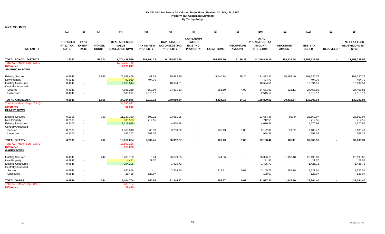| <b>NYE COUNTY</b>                                                                                        |                                             |                                              |                               |                                                          |                                      |                                                                 |                                                                          |                   |                                   |                                                                 |                                   |                                   |                  |                                                          |
|----------------------------------------------------------------------------------------------------------|---------------------------------------------|----------------------------------------------|-------------------------------|----------------------------------------------------------|--------------------------------------|-----------------------------------------------------------------|--------------------------------------------------------------------------|-------------------|-----------------------------------|-----------------------------------------------------------------|-----------------------------------|-----------------------------------|------------------|----------------------------------------------------------|
|                                                                                                          | (1)                                         | (2)                                          | (3)                           | (4)                                                      | (5)                                  | (6)                                                             | (7)                                                                      | (8)               | (9)                               | (10)                                                            | (11)                              | (12)                              | (13)             | (15)                                                     |
| <b>TAX ENTITY</b>                                                                                        | <b>PROPOSED</b><br>FY 12 TAX<br><b>RATE</b> | <b>FY 12</b><br><b>EXEMPT</b><br><b>RATE</b> | <b>PARCEL</b><br><b>COUNT</b> | <b>TOTAL ASSESSED</b><br><b>VALUE</b><br>(EXCLUDING NPM) | <b>TAX ON NEW</b><br><b>PROPERTY</b> | <b>CAP-SUBJECT</b><br><b>TAX ON EXISTING</b><br><b>PROPERTY</b> | <b>CAP-EXEMPT</b><br><b>TAX ON</b><br><b>EXISTING</b><br><b>PROPERTY</b> | <b>EXEMPTIONS</b> | <b>RECAPTURE</b><br><b>AMOUNT</b> | <b>TOTAL</b><br>PREABATED TAX<br><b>AMOUNT</b><br>$(5+6+7-8+9)$ | <b>ABATEMENT</b><br><b>AMOUNT</b> | <b>NET TAX</b><br>$(10-11)$       | <b>REDEVELOP</b> | <b>NET TAX LESS</b><br><b>REDEVELOPMENT</b><br>$(12-13)$ |
| <b>TOTAL SCHOOL DISTRICT</b>                                                                             | 1.3350                                      |                                              | 57,374                        | 1,074,436,596                                            | 281,304.73                           | 14,328,627.60                                                   |                                                                          | 266,255.60        | 3,169.37                          | 14,346,846.10                                                   | 588,116.54                        | 13,758,729.56                     | $\blacksquare$   | 13,758,729.56                                            |
| Total AV - March Seg - Col. Q<br><b>Difference</b><br><b>AMARGOSA TOWN</b>                               |                                             |                                              |                               | 1,070,307,749<br>4,128,847                               |                                      |                                                                 |                                                                          |                   |                                   |                                                                 |                                   |                                   |                  |                                                          |
| <b>Existing Secured</b><br><b>New Property</b><br><b>Existing Unsecured</b>                              | 0.4949<br>0.4949<br>0.4949                  | $\blacksquare$<br>$\blacksquare$             | 1,966                         | 26,549,468<br>99,959<br>2,160,944                        | 41.39<br>494.70                      | 135,493.30<br>10,694.51                                         |                                                                          | 4,140.74          | 29.26                             | 131,423.21<br>494.70<br>10,694.51                               | 30,192.46                         | 101,230.75<br>494.70<br>10,694.51 |                  | 101,230.75<br>494.70<br>10,694.51                        |
| <b>Centrally Assessed</b><br>Secured<br>Unsecured                                                        | 0.4949<br>0.4949                            | $\blacksquare$<br>$\blacksquare$             |                               | 4,986,258<br>508,217                                     | 159.06<br>2,515.17                   | 24,801.53                                                       |                                                                          | 283.59            | 4.92<br>$\sim$                    | 24,681.92<br>2,515.17                                           | 223.11                            | 24,458.81<br>2,515.17             |                  | 24,458.81<br>2,515.17                                    |
| <b>TOTAL AMARGOSA</b>                                                                                    | 0.4949                                      |                                              | 1,966                         | 34,304,846                                               | 3,210.32                             | 170,989.34                                                      |                                                                          | 4,424.33          | 34.18                             | 169,809.51                                                      | 30,415.57                         | 139,393.94                        | $\blacksquare$   | 139,393.94                                               |
| Total AV - March Seg - Col. Q<br><b>Difference</b><br><b>BEATTY TOWN</b>                                 |                                             |                                              |                               | 34,390,932<br>(86,086)                                   |                                      |                                                                 |                                                                          |                   |                                   |                                                                 |                                   |                                   |                  |                                                          |
| <b>Existing Secured</b><br><b>New Property</b><br><b>Existing Unsecured</b><br><b>Centrally Assessed</b> | 0.2105<br>0.2105<br>0.2105                  | $\blacksquare$<br>$\mathbf{r}$               | 760                           | 11,237,380<br>338,503<br>2,218,985                       | 603.21<br>712.55                     | 23,051.25<br>4,670.96                                           |                                                                          |                   |                                   | 23,654.46<br>712.55<br>4,670.96                                 | 93.49                             | 23,560.97<br>712.55<br>4,670.96   |                  | 23,560.97<br>712.55<br>4,670.96                          |
| Secured<br>Unsecured                                                                                     | 0.2105<br>0.2105                            | $\blacksquare$<br>$\blacksquare$             |                               | 4,365,918<br>455,277                                     | 65.33<br>958.36                      | 9,230.36                                                        |                                                                          | 105.43            | 1.83<br>$\sim$                    | 9,192.09<br>958.36                                              | 91.62                             | 9,100.47<br>958.36                |                  | 9,100.47<br>958.36                                       |
| <b>TOTAL BEATTY</b>                                                                                      | 0.2105                                      | $\blacksquare$                               | 760                           | 18,616,064                                               | 2,339.45                             | 36.952.57                                                       | $\sim$                                                                   | 105.43            | 1.83                              | 39,188.42                                                       | 185.11                            | 39,003.31                         | $\blacksquare$   | 39,003.31                                                |
| Total AV - March Seg - Col. Q<br><b>Difference</b><br><b>GABBS TOWN</b>                                  |                                             |                                              |                               | 18,500,236<br>115,828                                    |                                      |                                                                 |                                                                          |                   |                                   |                                                                 |                                   |                                   |                  |                                                          |
| <b>Existing Secured</b><br><b>New Property</b><br><b>Existing Unsecured</b>                              | 0.4846<br>0.4846<br>0.4846                  | $\blacksquare$<br>$\blacksquare$             | 244                           | 5,438,739<br>4,451<br>294,206                            | 0.94<br>21.57                        | 26,599.55<br>1,425.72                                           |                                                                          | 244.36            |                                   | 26,356.13<br>21.57<br>1,425.72                                  | 1,158.10                          | 25,198.03<br>21.57<br>1,425.72    |                  | 25,198.03<br>21.57<br>1,425.72                           |
| <b>Centrally Assessed</b><br>Secured<br>Unsecured                                                        | 0.4846<br>0.4846                            | ٠<br>$\sim$                                  |                               | 640,879<br>26,428                                        | $\sim$<br>128.07                     | 3,319.60                                                        |                                                                          | 213.91            | 0.02<br>$\sim$                    | 3,105.71<br>128.07                                              | 584.70                            | 2,521.01<br>128.07                |                  | 2,521.01<br>128.07                                       |
| <b>TOTAL GABBS</b>                                                                                       | 0.4846                                      | $\blacksquare$                               | 244                           | 6,404,704                                                | 150.58                               | 31,344.87                                                       | $\blacksquare$                                                           | 458.27            | 0.02                              | 31,037.20                                                       | 1,742.80                          | 29,294.40                         | $\blacksquare$   | 29,294.40                                                |
| Total AV - March Seg - Col. Q<br><b>Difference</b>                                                       |                                             |                                              |                               | 6,433,164<br>(28, 460)                                   |                                      |                                                                 |                                                                          |                   |                                   |                                                                 |                                   |                                   |                  |                                                          |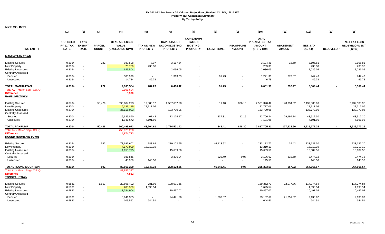|                                                                                                          | (1)                                         | (2)                                   | (3)                           | (4)                                                      | (5)                           | (6)                                                             | (7)                                                                      | (8)                      | (9)                               | (10)                                                                   | (11)                              | (12)                                    | (13)             | (15)                                                     |
|----------------------------------------------------------------------------------------------------------|---------------------------------------------|---------------------------------------|-------------------------------|----------------------------------------------------------|-------------------------------|-----------------------------------------------------------------|--------------------------------------------------------------------------|--------------------------|-----------------------------------|------------------------------------------------------------------------|-----------------------------------|-----------------------------------------|------------------|----------------------------------------------------------|
| <b>TAX ENTITY</b>                                                                                        | <b>PROPOSED</b><br>FY 12 TAX<br><b>RATE</b> | FY 12<br><b>EXEMPT</b><br><b>RATE</b> | <b>PARCEL</b><br><b>COUNT</b> | <b>TOTAL ASSESSED</b><br><b>VALUE</b><br>(EXCLUDING NPM) | TAX ON NEW<br><b>PROPERTY</b> | <b>CAP-SUBJECT</b><br><b>TAX ON EXISTING</b><br><b>PROPERTY</b> | <b>CAP-EXEMPT</b><br><b>TAX ON</b><br><b>EXISTING</b><br><b>PROPERTY</b> | <b>EXEMPTIONS</b>        | <b>RECAPTURE</b><br><b>AMOUNT</b> | <b>TOTAL</b><br><b>PREABATED TAX</b><br><b>AMOUNT</b><br>$(5+6+7-8+9)$ | <b>ABATEMENT</b><br><b>AMOUNT</b> | NET_TAX<br>$(10-11)$                    | <b>REDEVELOP</b> | <b>NET TAX LESS</b><br><b>REDEVELOPMENT</b><br>$(12-13)$ |
| <b>MANHATTAN TOWN</b>                                                                                    |                                             |                                       |                               |                                                          |                               |                                                                 |                                                                          |                          |                                   |                                                                        |                                   |                                         |                  |                                                          |
| <b>Existing Secured</b><br><b>New Property</b><br><b>Existing Unsecured</b><br><b>Centrally Assessed</b> | 0.3164<br>0.3164<br>0.3164                  | $\blacksquare$<br>$\omega$            | 222                           | 987,508<br>73,759<br>643,504                             | 7.07<br>233.38                | 3,117.34<br>2,036.05                                            |                                                                          |                          |                                   | 3,124.41<br>233.38<br>2,036.05                                         | 18.60                             | 3,105.81<br>233.38<br>2,036.05          |                  | 3,105.81<br>233.38<br>2,036.05                           |
| Secured<br>Unsecured                                                                                     | 0.3164<br>0.3164                            | $\sim$<br>$\sim$                      |                               | 385,999<br>14,784                                        | $\sim$<br>46.78               | 1,313.03                                                        |                                                                          | 91.73<br>$\sim$          | $\sim$<br>$\sim$                  | 1,221.30<br>46.78                                                      | 273.87                            | 947.43<br>46.78                         |                  | 947.43<br>46.78                                          |
| TOTAL MANHATTAN                                                                                          | 0.3164                                      |                                       | 222                           | 2,105,554                                                | 287.23                        | 6,466.42                                                        | $\blacksquare$                                                           | 91.73                    | $\blacksquare$                    | 6,661.91                                                               | 292.47                            | 6,369.44                                |                  | 6,369.44                                                 |
| Total AV - March Seg - Col. Q<br><b>Difference</b><br><b>PAHRUMP TOWN</b>                                |                                             |                                       |                               | 2,101,624<br>3,930                                       |                               |                                                                 |                                                                          |                          |                                   |                                                                        |                                   |                                         |                  |                                                          |
| <b>Existing Secured</b><br><b>New Property</b><br><b>Existing Unsecured</b><br><b>Centrally Assessed</b> | 0.3704<br>0.3704<br>0.3704                  | $\sim$<br>$\sim$                      | 50,426                        | 696,684,273<br>6,133,115<br>36,115,023                   | 12,888.17<br>22,717.06        | 2,567,607.20<br>133,770.05                                      | $\sim$                                                                   | 11.10                    | 836.15                            | 2,581,320.42<br>22,717.06<br>133,770.05                                | 148,734.52                        | 2,432,585.90<br>22,717.06<br>133,770.05 |                  | 2,432,585.90<br>22,717.06<br>133,770.05                  |
| Secured<br>Unsecured                                                                                     | 0.3704<br>0.3704                            | $\sim$<br>$\sim$                      |                               | 19,625,890<br>1,941,672                                  | 407.43<br>7,191.95            | 73,124.17                                                       | $\sim$                                                                   | 837.31<br>$\blacksquare$ | 12.15<br>$\sim$                   | 72,706.44<br>7,191.95                                                  | 29,194.14                         | 43,512.30<br>7,191.95                   |                  | 43,512.30<br>7,191.95                                    |
| <b>TOTAL PAHRUMP</b>                                                                                     | 0.3704                                      |                                       | 50,426                        | 760,499,973                                              | 43,204.61                     | 2,774,501.42                                                    |                                                                          | 848.41                   | 848.30                            | 2,817,705.91                                                           | 177,928.66                        | 2,639,777.25                            |                  | 2,639,777.25                                             |
| Total AV - March Seg - Col. Q<br><b>Difference</b><br><b>ROUND MOUNTAIN TOWN</b>                         |                                             |                                       |                               | 755,825,260<br>4,674,713                                 |                               |                                                                 |                                                                          |                          |                                   |                                                                        |                                   |                                         |                  |                                                          |
| <b>Existing Secured</b><br>New Property<br><b>Existing Unsecured</b>                                     | 0.3164<br>0.3164<br>0.3164                  | $\sim$<br>$\sim$                      | 592                           | 73,695,602<br>4,177,999<br>4,958,775                     | 183.69<br>13,219.19           | 279,102.95<br>15,689.56                                         | $\sim$                                                                   | 46,113.92                |                                   | 233,172.72<br>13,219.19<br>15,689.56                                   | 35.42                             | 233,137.30<br>13,219.19<br>15,689.56    |                  | 233,137.30<br>13,219.19<br>15,689.56                     |
| <b>Centrally Assessed</b><br>Secured<br>Unsecured                                                        | 0.3164<br>0.3164                            | $\sim$                                |                               | 981,845<br>45,989                                        | $\sim$<br>145.50              | 3,336.04                                                        | $\sim$                                                                   | 229.49<br>$\sim$         | 0.07<br>$\sim$                    | 3,106.62<br>145.50                                                     | 632.50                            | 2,474.12<br>145.50                      |                  | 2,474.12<br>145.50                                       |
| <b>TOTAL ROUND MOUNTAIN</b>                                                                              | 0.3164                                      |                                       | 592                           | 83,860,209                                               | 13,548.38                     | 298,128.55                                                      | $\sim$                                                                   | 46,343.41                | 0.07                              | 265,333.59                                                             | 667.92                            | 264,665.67                              |                  | 264,665.67                                               |
| Total AV - March Seg - Col. Q<br><b>Difference</b><br><b>TONOPAH TOWN</b>                                |                                             |                                       |                               | 83,855,387<br>4,822                                      |                               |                                                                 |                                                                          |                          |                                   |                                                                        |                                   |                                         |                  |                                                          |
| <b>Existing Secured</b><br><b>New Property</b><br><b>Existing Unsecured</b><br><b>Centrally Assessed</b> | 0.5881<br>0.5881<br>0.5881                  | $\sim$<br>$\sim$                      | 1,553                         | 23,695,422<br>288,309<br>1,784,904                       | 781.05<br>1,695.54            | 138,571.65<br>10,497.02                                         |                                                                          |                          |                                   | 139,352.70<br>1,695.54<br>10,497.02                                    | 22,077.86                         | 117,274.84<br>1,695.54<br>10,497.02     |                  | 117,274.84<br>1,695.54<br>10,497.02                      |
| Secured<br>Unsecured                                                                                     | 0.5881<br>0.5881                            | $\sim$                                |                               | 3,941,965<br>109,592                                     | $\sim$<br>644.51              | 24,471.26                                                       |                                                                          | 1,288.57<br>$\sim$       | $\sim$<br>$\sim$                  | 23,182.69<br>644.51                                                    | 21,051.82                         | 2,130.87<br>644.51                      |                  | 2,130.87<br>644.51                                       |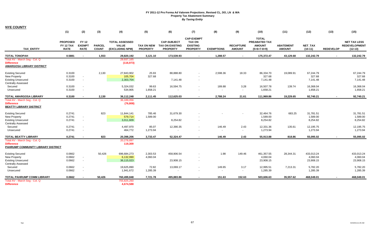**NYE COUNTY**

|                                                       | (1)                                                | (2)                                          | (3)                           | (4)                                                      | (5)                                  | (6)                                                             | (7)                                                                      | (8)                      | (9)                               | (10)                                                            | (11)                              | (12)                        | (13)             | (15)                                                     |
|-------------------------------------------------------|----------------------------------------------------|----------------------------------------------|-------------------------------|----------------------------------------------------------|--------------------------------------|-----------------------------------------------------------------|--------------------------------------------------------------------------|--------------------------|-----------------------------------|-----------------------------------------------------------------|-----------------------------------|-----------------------------|------------------|----------------------------------------------------------|
| <b>TAX ENTITY</b>                                     | <b>PROPOSED</b><br><b>FY 12 TAX</b><br><b>RATE</b> | <b>FY 12</b><br><b>EXEMPT</b><br><b>RATE</b> | <b>PARCEL</b><br><b>COUNT</b> | <b>TOTAL ASSESSED</b><br><b>VALUE</b><br>(EXCLUDING NPM) | <b>TAX ON NEW</b><br><b>PROPERTY</b> | <b>CAP-SUBJECT</b><br><b>TAX ON EXISTING</b><br><b>PROPERTY</b> | <b>CAP-EXEMPT</b><br><b>TAX ON</b><br><b>EXISTING</b><br><b>PROPERTY</b> | <b>EXEMPTIONS</b>        | <b>RECAPTURE</b><br><b>AMOUNT</b> | <b>TOTAL</b><br>PREABATED TAX<br><b>AMOUNT</b><br>$(5+6+7-8+9)$ | <b>ABATEMENT</b><br><b>AMOUNT</b> | <b>NET TAX</b><br>$(10-11)$ | <b>REDEVELOP</b> | <b>NET TAX LESS</b><br><b>REDEVELOPMENT</b><br>$(12-13)$ |
| <b>TOTAL TONOPAH</b>                                  | 0.5881                                             | $\blacksquare$                               | 1,553                         | 29,820,192                                               | 3,121.10                             | 173,539.93                                                      | $\blacksquare$                                                           | 1.288.57                 |                                   | 175,372.47                                                      | 43,129.68                         | 132,242.79                  |                  | 132,242.79                                               |
| Total AV - March Seq - Col. Q                         |                                                    |                                              |                               | 29.937.165                                               |                                      |                                                                 |                                                                          |                          |                                   |                                                                 |                                   |                             |                  |                                                          |
| <b>Difference</b><br><b>AMARGOSA LIBRARY DISTRICT</b> |                                                    |                                              |                               | (116, 973)                                               |                                      |                                                                 |                                                                          |                          |                                   |                                                                 |                                   |                             |                  |                                                          |
|                                                       |                                                    |                                              |                               |                                                          |                                      |                                                                 |                                                                          |                          |                                   |                                                                 |                                   |                             |                  |                                                          |
| <b>Existing Secured</b>                               | 0.3100                                             |                                              | 2,130                         | 27,843,902                                               | 25.93                                | 88,888.80                                                       |                                                                          | 2,598.36                 | 18.33                             | 86,334.70                                                       | 19,089.91                         | 67,244.79                   |                  | 67,244.79                                                |
| <b>New Property</b>                                   | 0.3100                                             | $\blacksquare$                               |                               | 105,704                                                  | 327.68                               |                                                                 |                                                                          |                          |                                   | 327.68                                                          |                                   | 327.68                      |                  | 327.68                                                   |
| <b>Existing Unsecured</b>                             | 0.3100                                             | $\omega$                                     |                               | 2,303,704                                                |                                      | 7,141.48                                                        | $\blacksquare$                                                           |                          |                                   | 7,141.48                                                        |                                   | 7,141.48                    |                  | 7,141.48                                                 |
| <b>Centrally Assessed</b>                             |                                                    |                                              |                               |                                                          |                                      |                                                                 |                                                                          |                          |                                   |                                                                 |                                   |                             |                  |                                                          |
| Secured                                               | 0.3100                                             | $\blacksquare$                               |                               | 5,324,032                                                | 99.63                                | 16,594.75                                                       | $\sim$                                                                   | 189.88                   | 3.28                              | 16,507.78                                                       | 139.74                            | 16,368.04                   |                  | 16,368.04                                                |
| Unsecured                                             | 0.3100                                             | $\mathbf{r}$                                 |                               | 534,905                                                  | 1,658.21                             |                                                                 |                                                                          | $\overline{\phantom{a}}$ | $\sim$                            | 1,658.21                                                        |                                   | 1,658.21                    |                  | 1,658.21                                                 |
| <b>TOTAL AMARGOSA LIBRARY</b>                         | 0.3100                                             | $\blacksquare$                               | 2,130                         | 36,112,248                                               | 2,111.45                             | 112,625.03                                                      | $\blacksquare$                                                           | 2,788.24                 | 21.61                             | 111,969.86                                                      | 19,229.65                         | 92,740.21                   |                  | 92,740.21                                                |
| Total AV - March Seg - Col. Q                         |                                                    |                                              |                               | 36,189,056                                               |                                      |                                                                 |                                                                          |                          |                                   |                                                                 |                                   |                             |                  |                                                          |
| <b>Difference</b><br><b>BEATTY LIBRARY DISTRICT</b>   |                                                    |                                              |                               | (76, 808)                                                |                                      |                                                                 |                                                                          |                          |                                   |                                                                 |                                   |                             |                  |                                                          |
| <b>Existing Secured</b>                               | 0.2741                                             |                                              | 823                           | 11,844,141                                               | 785.46                               | 31,679.30                                                       |                                                                          |                          |                                   | 32.464.76                                                       | 683.25                            | 31,781.51                   |                  | 31,781.51                                                |
| New Property                                          | 0.2741                                             | $\blacksquare$                               |                               | 579,714                                                  | 1,589.00                             |                                                                 |                                                                          |                          |                                   | 1,589.00                                                        |                                   | 1,589.00                    |                  | 1,589.00                                                 |
| <b>Existing Unsecured</b>                             | 0.2741                                             | $\blacksquare$                               |                               | 3,011,609                                                |                                      | 8,254.82                                                        | $\sim$                                                                   |                          |                                   | 8,254.82                                                        |                                   | 8,254.82                    |                  | 8,254.82                                                 |
| <b>Centrally Assessed</b>                             |                                                    |                                              |                               |                                                          |                                      |                                                                 |                                                                          |                          |                                   |                                                                 |                                   |                             |                  |                                                          |
| Secured                                               | 0.2741                                             | $\mathbf{r}$                                 |                               | 4,497,970                                                | 85.07                                | 12,390.35                                                       | $\sim$                                                                   | 146.49                   | 2.43                              | 12,331.36                                                       | 135.61                            | 12,195.75                   |                  | 12,195.75                                                |
| Unsecured                                             | 0.2741                                             | $\blacksquare$                               |                               | 464,772                                                  | 1,273.94                             |                                                                 | $\overline{\phantom{a}}$                                                 | $\blacksquare$           | $\sim$                            | 1,273.94                                                        |                                   | 1,273.94                    |                  | 1,273.94                                                 |
| <b>TOTAL BEATTY LIBRARY</b>                           | 0.2741                                             | $\blacksquare$                               | 823                           | 20,398,206                                               | 3,733.47                             | 52,324.47                                                       | $\sim$                                                                   | 146.49                   | 2.43                              | 55,913.88                                                       | 818.86                            | 55,095.02                   | $\blacksquare$   | 55,095.02                                                |
| Total AV - March Seg - Col. Q                         |                                                    |                                              |                               | 20,278,897                                               |                                      |                                                                 |                                                                          |                          |                                   |                                                                 |                                   |                             |                  |                                                          |
| <b>Difference</b>                                     |                                                    |                                              |                               | 119,309                                                  |                                      |                                                                 |                                                                          |                          |                                   |                                                                 |                                   |                             |                  |                                                          |
| PAHRUMP COMMUNITY LIBRARY DISTRICT                    |                                                    |                                              |                               |                                                          |                                      |                                                                 |                                                                          |                          |                                   |                                                                 |                                   |                             |                  |                                                          |
| <b>Existing Secured</b>                               | 0.0662                                             |                                              | 50,426                        | 696,684,273                                              | 2,303.53                             | 458,906.54                                                      |                                                                          | 1.98                     | 149.46                            | 461,357.55                                                      | 28,344.31                         | 433,013.24                  |                  | 433,013.24                                               |
| <b>New Property</b>                                   | 0.0662                                             | $\blacksquare$                               |                               | 6,132,990                                                | 4,060.04                             |                                                                 |                                                                          |                          |                                   | 4,060.04                                                        |                                   | 4,060.04                    |                  | 4,060.04                                                 |
| <b>Existing Unsecured</b>                             | 0.0662                                             | $\blacksquare$                               |                               | 36,115,023                                               |                                      | 23,908.15                                                       | $\sim$                                                                   |                          |                                   | 23,908.15                                                       |                                   | 23,908.15                   |                  | 23,908.15                                                |
| <b>Centrally Assessed</b>                             |                                                    |                                              |                               |                                                          |                                      |                                                                 |                                                                          |                          |                                   |                                                                 |                                   |                             |                  |                                                          |
| Secured                                               | 0.0662                                             | $\blacksquare$                               |                               | 19,625,890                                               | 72.82                                | 13,069.17                                                       | $\overline{\phantom{a}}$                                                 | 149.65                   | 3.17                              | 12,995.51                                                       | 7,213.31                          | 5,782.20                    |                  | 5,782.20                                                 |
| Unsecured                                             | 0.0662                                             | $\blacksquare$                               |                               | 1,941,672                                                | 1,285.39                             |                                                                 | $\overline{\phantom{a}}$                                                 | $\blacksquare$           | $\sim$                            | 1,285.39                                                        |                                   | 1,285.39                    |                  | 1,285.39                                                 |
| <b>TOTAL PAHRUMP COMM LIBRARY</b>                     | 0.0662                                             |                                              | 50,426                        | 760,499,848                                              | 7,721.78                             | 495,883.86                                                      | $\sim$                                                                   | 151.63                   | 152.63                            | 503,606.63                                                      | 35,557.62                         | 468,049.01                  |                  | 468,049.01                                               |
| Total AV - March Seq - Col. Q                         |                                                    |                                              |                               | 755,825,260                                              |                                      |                                                                 |                                                                          |                          |                                   |                                                                 |                                   |                             |                  |                                                          |
| <b>Difference</b>                                     |                                                    |                                              |                               | 4,674,588                                                |                                      |                                                                 |                                                                          |                          |                                   |                                                                 |                                   |                             |                  |                                                          |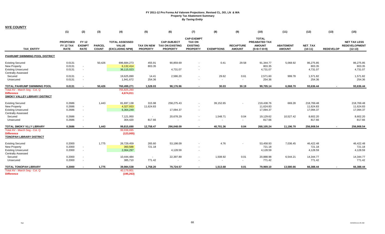|                                                                                                          | (1)                                         | (2)                                   | (3)                           | (4)                                                      | (5)                                  | (6)                                                             | (7)                                                                      | (8)                | (9)                               | (10)                                                                   | (11)                              | (12)                                 | (13)             | (15)                                                     |
|----------------------------------------------------------------------------------------------------------|---------------------------------------------|---------------------------------------|-------------------------------|----------------------------------------------------------|--------------------------------------|-----------------------------------------------------------------|--------------------------------------------------------------------------|--------------------|-----------------------------------|------------------------------------------------------------------------|-----------------------------------|--------------------------------------|------------------|----------------------------------------------------------|
| <b>TAX ENTITY</b>                                                                                        | <b>PROPOSED</b><br>FY 12 TAX<br><b>RATE</b> | FY 12<br><b>EXEMPT</b><br><b>RATE</b> | <b>PARCEL</b><br><b>COUNT</b> | <b>TOTAL ASSESSED</b><br><b>VALUE</b><br>(EXCLUDING NPM) | <b>TAX ON NEW</b><br><b>PROPERTY</b> | <b>CAP-SUBJECT</b><br><b>TAX ON EXISTING</b><br><b>PROPERTY</b> | <b>CAP-EXEMPT</b><br><b>TAX ON</b><br><b>EXISTING</b><br><b>PROPERTY</b> | <b>EXEMPTIONS</b>  | <b>RECAPTURE</b><br><b>AMOUNT</b> | <b>TOTAL</b><br><b>PREABATED TAX</b><br><b>AMOUNT</b><br>$(5+6+7-8+9)$ | <b>ABATEMENT</b><br><b>AMOUNT</b> | <b>NET TAX</b><br>$(10-11)$          | <b>REDEVELOP</b> | <b>NET TAX LESS</b><br><b>REDEVELOPMENT</b><br>$(12-13)$ |
| PAHRUMP SWIMMING POOL DISTRICT                                                                           |                                             |                                       |                               |                                                          |                                      |                                                                 |                                                                          |                    |                                   |                                                                        |                                   |                                      |                  |                                                          |
| <b>Existing Secured</b><br><b>New Property</b><br><b>Existing Unsecured</b><br><b>Centrally Assessed</b> | 0.0131<br>0.0131<br>0.0131                  | $\sim$<br>$\sim$                      | 50,426                        | 696,684,273<br>6,132,414<br>36,115,023                   | 455.91<br>803.35                     | 90,859.69<br>4,731.07                                           | $\overline{\phantom{a}}$                                                 | 0.41               | 29.58                             | 91,344.77<br>803.35<br>4,731.07                                        | 5,068.92                          | 86,275.85<br>803.35<br>4,731.07      |                  | 86,275.85<br>803.35<br>4,731.07                          |
| Secured<br>Unsecured                                                                                     | 0.0131<br>0.0131                            | $\sim$<br>$\sim$                      |                               | 19,625,890<br>1,941,672                                  | 14.41<br>254.36                      | 2,586.20<br>$\sim$                                              | $\sim$<br>$\overline{\phantom{a}}$                                       | 29.62<br>$\sim$    | 0.61<br>$\sim$                    | 2,571.60<br>254.36                                                     | 999.78                            | 1,571.82<br>254.36                   |                  | 1,571.82<br>254.36                                       |
| <b>TOTAL PAHRUMP SWIMMING POOL</b>                                                                       | 0.0131                                      | $\blacksquare$                        | 50,426                        | 760,499,271                                              | 1,528.03                             | 98,176.96                                                       | $\blacksquare$                                                           | 30.03              | 30.19                             | 99,705.14                                                              | 6,068.70                          | 93,636.44                            |                  | 93,636.44                                                |
| Total AV - March Seq - Col. Q<br><b>Difference</b><br><b>SMOKY VALLEY LIBRARY DISTRICT</b>               |                                             |                                       |                               | 755,825,260<br>4,674,011                                 |                                      |                                                                 |                                                                          |                    |                                   |                                                                        |                                   |                                      |                  |                                                          |
| <b>Existing Secured</b><br>New Property<br><b>Existing Unsecured</b><br><b>Centrally Assessed</b>        | 0.2686<br>0.2686<br>0.2686                  | $\sim$<br>$\sim$                      | 1.443                         | 81,697,138<br>4,327,933<br>6,364,249                     | 315.98<br>11,624.83                  | 258,275.43<br>17,094.37                                         | $\sim$<br>$\sim$<br>$\sim$                                               | 39,152.65          |                                   | 219,438.76<br>11.624.83<br>17,094.37                                   | 669.28                            | 218,769.48<br>11.624.83<br>17,094.37 |                  | 218,769.48<br>11,624.83<br>17,094.37                     |
| Secured<br>Unsecured                                                                                     | 0.2686<br>0.2686                            | $\sim$<br>$\sim$                      |                               | 7,121,950<br>304,420                                     | $\overline{\phantom{a}}$<br>817.66   | 20,678.29<br>$\overline{\phantom{a}}$                           | $\blacksquare$<br>$\overline{\phantom{a}}$                               | 1,548.71<br>$\sim$ | 0.04<br>$\sim$                    | 19,129.62<br>817.66                                                    | 10,527.42                         | 8,602.20<br>817.66                   |                  | 8,602.20<br>817.66                                       |
| TOTAL SMOKY VLLY LIBRARY                                                                                 | 0.2686                                      | $\sim$                                | 1,443                         | 99,815,690                                               | 12,758.47                            | 296,048.09                                                      | $\sim$                                                                   | 40,701.36          | 0.04                              | 268,105.24                                                             | 11,196.70                         | 256,908.54                           |                  | 256,908.54                                               |
| Total AV - March Seq - Col. Q<br><b>Difference</b><br><b>TONOPAH LIBRARY DISTRICT</b>                    |                                             |                                       |                               | 99,938,695<br>(123,005)                                  |                                      |                                                                 |                                                                          |                    |                                   |                                                                        |                                   |                                      |                  |                                                          |
| <b>Existing Secured</b><br><b>New Property</b><br><b>Existing Unsecured</b>                              | 0.2000<br>0.2000<br>0.2000                  | $\blacksquare$<br>$\sim$              | 1,775                         | 26,729,459<br>360,588<br>2,064,297                       | 265.60<br>721.18                     | 53,198.09<br>4,128.59                                           | $\overline{\phantom{a}}$<br>$\sim$                                       | 4.76               | $\sim$                            | 53,458.93<br>721.18<br>4,128.59                                        | 7,036.45                          | 46,422.48<br>721.18<br>4,128.59      |                  | 46,422.48<br>721.18<br>4,128.59                          |
| <b>Centrally Assessed</b><br>Secured<br>Unsecured                                                        | 0.2000<br>0.2000                            | $\blacksquare$<br>$\sim$              |                               | 10,444,484<br>385,710                                    | $\sim$<br>771.42                     | 22,397.89<br>$\blacksquare$                                     | $\overline{\phantom{a}}$<br>$\overline{\phantom{a}}$                     | 1,508.92<br>$\sim$ | 0.01<br>$\sim$                    | 20,888.98<br>771.42                                                    | 6,544.21                          | 14,344.77<br>771.42                  |                  | 14,344.77<br>771.42                                      |
| <b>TOTAL TONOPAH LIBRARY</b>                                                                             | 0.2000                                      |                                       | 1,775                         | 39,984,538                                               | 1,758.20                             | 79,724.57                                                       | $\sim$                                                                   | 1,513.68           | 0.01                              | 79,969.10                                                              | 13,580.66                         | 66,388.44                            |                  | 66,388.44                                                |
| Total AV - March Seg - Col. Q<br><b>Difference</b>                                                       |                                             |                                       |                               | 40,179,801<br>(195, 263)                                 |                                      |                                                                 |                                                                          |                    |                                   |                                                                        |                                   |                                      |                  |                                                          |

**NYE COUNTY**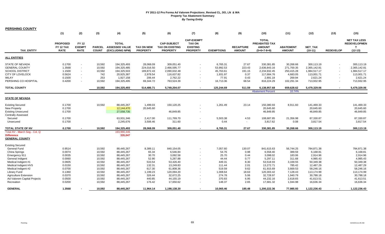| <b>PERSHING COUNTY</b>                                                                                               |                                                |                                                                |                                          |                                                                      |                                                             |                                                                      |                                                                          |                                                         |                                           |                                                                      |                                                             |                                                                      |                  |                                                                      |
|----------------------------------------------------------------------------------------------------------------------|------------------------------------------------|----------------------------------------------------------------|------------------------------------------|----------------------------------------------------------------------|-------------------------------------------------------------|----------------------------------------------------------------------|--------------------------------------------------------------------------|---------------------------------------------------------|-------------------------------------------|----------------------------------------------------------------------|-------------------------------------------------------------|----------------------------------------------------------------------|------------------|----------------------------------------------------------------------|
|                                                                                                                      | (1)                                            | (2)                                                            | (3)                                      | (4)                                                                  | (5)                                                         | (6)                                                                  | (7)                                                                      | (8)                                                     | (9)                                       | (10)                                                                 | (11)                                                        | (12)                                                                 | (13)             | (15)                                                                 |
| <b>TAX ENTITY</b>                                                                                                    | <b>PROPOSED</b><br>FY 12 TAX<br><b>RATE</b>    | <b>FY 12</b><br><b>EXEMPT</b><br><b>RATE</b>                   | <b>PARCEL</b><br><b>COUNT</b>            | <b>TOTAL</b><br><b>ASSESSED VALUE</b><br>(EXCLUDING NPM)             | <b>TAX ON NEW</b><br><b>PROPERTY</b>                        | <b>CAP-SUBJECT</b><br><b>TAX ON EXISTING</b><br><b>PROPERTY</b>      | <b>CAP-EXEMPT</b><br><b>TAX ON</b><br><b>EXISTING</b><br><b>PROPERTY</b> | <b>EXEMPTIONS</b>                                       | <b>RECAPTURE</b><br><b>AMOUNT</b>         | <b>TOTAL</b><br>PREABATED TAX<br><b>AMOUNT</b><br>$(5+6+7-8+9)$      | <b>ABATEMENT</b><br><b>AMOUNT</b>                           | NET_TAX<br>$(10-11)$                                                 | <b>REDEVELOP</b> | <b>NET TAX LESS</b><br><b>REDEVELOPMEN</b><br>$(12-13)$              |
| <b>ALL ENTITIES</b>                                                                                                  |                                                |                                                                |                                          |                                                                      |                                                             |                                                                      |                                                                          |                                                         |                                           |                                                                      |                                                             |                                                                      |                  |                                                                      |
| <b>STATE OF NEVADA</b><br><b>GENERAL COUNTY</b><br><b>SCHOOL DISTRICT</b><br><b>CITY OF LOVELOCK</b><br><b>IMLAY</b> | 0.1700<br>1.3568<br>1.1500<br>0.5624<br>0.1500 | $\blacksquare$<br>$\blacksquare$<br>$\sim$<br>$\sim$<br>$\sim$ | 10,592<br>10,592<br>10,592<br>742<br>253 | 194,325,493<br>194,325,485<br>194,325,503<br>20,925,387<br>1,927,158 | 28,068.09<br>224,016.50<br>189,872.43<br>2,978.54<br>206.44 | 309,051.40<br>2,466,595.77<br>2,090,632.48<br>116,637.82<br>2,762.22 | $\sim$<br>$\sim$<br>$\sim$<br>$\sim$<br>$\sim$                           | 6,765.31<br>53,992.53<br>45,763.61<br>1,931.97<br>77.91 | 27.67<br>223.43<br>191.15<br>0.37<br>0.43 | 330,381.85<br>2,636,843.16<br>2,234,932.45<br>117,684.76<br>2,891.18 | 30,268.66<br>271,700.35<br>250,415.28<br>4,683.05<br>269.94 | 300,113.19<br>2,365,142.81<br>1,984,517.17<br>113,001.71<br>2,621.24 |                  | 300.113.19<br>2,365,142.81<br>1,984,517.17<br>113,001.71<br>2,621.24 |
| PERSHING CO HOSPITAL                                                                                                 | 0.4200                                         | $\sim$                                                         | 10,592                                   | 194,325,495                                                          | 69,344.72                                                   | 763,524.39                                                           | $\sim$                                                                   | 16,713.36                                               | 68.54                                     | 816,224.29                                                           | 102,291.34                                                  | 713,932.95                                                           |                  | 713,932.95                                                           |
| <b>TOTAL COUNTY</b>                                                                                                  |                                                |                                                                | 10,592                                   | 194,325,493                                                          | 514,486.71                                                  | 5,749,204.07                                                         | $\sim$                                                                   | 125,244.69                                              | 511.59                                    | 6,138,957.68<br><b>Abatement Percent</b>                             | 659,628.62<br>10.74%                                        | 5,479,329.06                                                         |                  | 5,479,329.06                                                         |
|                                                                                                                      |                                                |                                                                |                                          |                                                                      |                                                             |                                                                      |                                                                          |                                                         |                                           |                                                                      |                                                             |                                                                      |                  |                                                                      |
| <b>STATE OF NEVADA</b>                                                                                               |                                                |                                                                |                                          |                                                                      |                                                             |                                                                      |                                                                          |                                                         |                                           |                                                                      |                                                             |                                                                      |                  |                                                                      |
| <b>Existing Secured</b><br><b>New Property</b><br><b>Existing Unsecured</b><br><b>Centrally Assessed</b>             | 0.1700<br>0.1700<br>0.1700                     |                                                                | 10,592                                   | 88,445,267<br>12,144,470<br>27,558,735                               | 1,499.03<br>20,645.60                                       | 150,120.25<br>46,849.85                                              | $\blacksquare$<br>$\sim$                                                 | 1,261.49                                                | 23.14                                     | 150,380.93<br>20,645.60<br>46,849.85                                 | 8,911.60                                                    | 141,469.33<br>20,645.60<br>46,849.85                                 |                  | 141,469.33<br>20,645.60<br>46,849.85                                 |
| Secured<br>Unsecured                                                                                                 | 0.1700<br>0.1700                               |                                                                |                                          | 63,931,346<br>2,245,676                                              | 2,417.00<br>3,506.46                                        | 111,769.70<br>311.60                                                 | $\sim$<br>$\sim$                                                         | 5,503.38<br>0.44                                        | 4.53<br>$\sim$                            | 108,687.85<br>3,817.62                                               | 21,356.98<br>0.08                                           | 87,330.87<br>3,817.54                                                |                  | 87,330.87<br>3,817.54                                                |
| <b>TOTAL STATE OF NV</b>                                                                                             | 0.1700                                         |                                                                | 10,592                                   | 194,325,493                                                          | 28.068.09                                                   | 309,051.40                                                           | $\sim$                                                                   | 6,765.31                                                | 27.67                                     | 330,381.85                                                           | 30.268.66                                                   | 300,113.19                                                           |                  | 300,113.19                                                           |
| Total AV - March Seg - Col. Q<br><b>Difference</b><br><b>GENERAL COUNTY</b>                                          |                                                |                                                                |                                          | 193,990,446<br>335,047                                               |                                                             |                                                                      |                                                                          |                                                         |                                           |                                                                      |                                                             |                                                                      |                  |                                                                      |
| <b>Existing Secured</b><br><b>General Fund</b>                                                                       | 0.9514                                         |                                                                | 10,592                                   | 88,445,267                                                           | 8,389.11                                                    | 840,154.05                                                           | $\sim$                                                                   | 7,057.60                                                | 130.07                                    | 841,615.63                                                           | 56,744.25                                                   | 784,871.38                                                           |                  | 784,871.38                                                           |
| China Springs<br>Emergency 911                                                                                       | 0.0074<br>0.0035                               |                                                                | 10,592<br>10,592                         | 88,445,267<br>88,445,267                                             | 65.34<br>30.70                                              | 6,546.84<br>3,092.58                                                 | $\sim$                                                                   | 54.76<br>25.70                                          | 0.98<br>0.44                              | 6,558.40<br>3,098.02                                                 | 389.59<br>183.06                                            | 6,168.81<br>2,914.96                                                 |                  | 6,168.81<br>2,914.96                                                 |
| General Indigent<br>Medical Indigent #1                                                                              | 0.0060<br>0.0605                               |                                                                | 10,592<br>10,592                         | 88,445,267<br>88,445,267                                             | 52.90<br>533.54                                             | 5,287.88<br>53,426.40                                                | $\blacksquare$<br>$\sim$                                                 | 44.44<br>449.31                                         | 0.77<br>8.30                              | 5,297.11<br>53,518.93                                                | 311.68<br>3,169.55                                          | 4,985.43<br>50,349.38                                                |                  | 4,985.43<br>50,349.38                                                |
| Medical Indigent HVS<br>Medical Indigent #2                                                                          | 0.0150<br>0.0700                               |                                                                | 10,592<br>10,592                         | 88,445,267<br>88,445,267                                             | 132.31<br>617.30                                            | 13,249.83<br>61,808.36                                               | $\sim$<br>$\sim$                                                         | 111.44<br>519.59                                        | 2.01<br>9.62                              | 13,272.71<br>61,915.69                                               | 785.42<br>3,669.53                                          | 12,487.29<br>58,246.16                                               |                  | 12,487.29<br>58,246.16                                               |
| Library Fund<br><b>Agriculture Extension</b>                                                                         | 0.1360<br>0.0370                               |                                                                | 10,592<br>10,592                         | 88,445,267<br>88,445,267                                             | 1,199.23<br>326.44                                          | 120,094.20<br>32,672.25                                              | $\sim$<br>$\sim$                                                         | 1,008.64<br>274.78                                      | 18.63<br>5.06                             | 120,303.42<br>32,728.97                                              | 7,128.43<br>1,940.79                                        | 113,174.99<br>30,788.18                                              |                  | 113,174.99<br>30,788.18                                              |
| Ad Valorem Capital Projects<br>Recreation                                                                            | 0.0500<br>0.0200                               |                                                                | 10,592<br>10,592                         | 88,445,267<br>88,445,267                                             | 440.85<br>176.42                                            | 44,155.19<br>17,650.62                                               | $\sim$<br>$\blacksquare$                                                 | 370.83<br>148.37                                        | 6.95<br>2.65                              | 44.232.16<br>17,681.32                                               | 2,618.65<br>1,044.98                                        | 41,613.51<br>16,636.34                                               |                  | 41,613.51<br>16,636.34                                               |
| <b>GENERAL</b>                                                                                                       | 1.3568                                         |                                                                | 10.592                                   | 88.445.267                                                           | 11,964.14                                                   | 1,198,138.20                                                         |                                                                          | 10.065.46                                               | 185.48                                    | 1.200.222.36                                                         | 77,985.93                                                   | 1,122,236.43                                                         |                  | 1,122,236.43                                                         |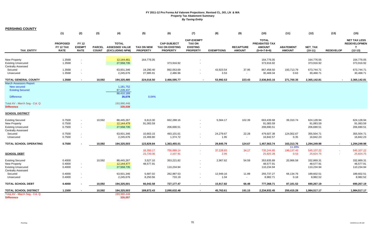**PERSHING COUNTY**

|                                                        | (1)                                         | (2)                                          | (3)                           | (4)                                                      | (5)                                  | (6)                                                             | (7)                                                                      | (8)               | (9)                               | (10)                                                            | (11)                              | (12)                     | (13)             | (15)                                                         |
|--------------------------------------------------------|---------------------------------------------|----------------------------------------------|-------------------------------|----------------------------------------------------------|--------------------------------------|-----------------------------------------------------------------|--------------------------------------------------------------------------|-------------------|-----------------------------------|-----------------------------------------------------------------|-----------------------------------|--------------------------|------------------|--------------------------------------------------------------|
| <b>TAX ENTITY</b>                                      | <b>PROPOSED</b><br>FY 12 TAX<br><b>RATE</b> | <b>FY 12</b><br><b>EXEMPT</b><br><b>RATE</b> | <b>PARCEL</b><br><b>COUNT</b> | <b>TOTAL</b><br><b>ASSESSED VALUE</b><br>(EXCLUDING NPM) | <b>TAX ON NEW</b><br><b>PROPERTY</b> | <b>CAP-SUBJECT</b><br><b>TAX ON EXISTING</b><br><b>PROPERTY</b> | <b>CAP-EXEMPT</b><br><b>TAX ON</b><br><b>EXISTING</b><br><b>PROPERTY</b> | <b>EXEMPTIONS</b> | <b>RECAPTURE</b><br><b>AMOUNT</b> | <b>TOTAL</b><br>PREABATED TAX<br><b>AMOUNT</b><br>$(5+6+7-8+9)$ | <b>ABATEMENT</b><br><b>AMOUNT</b> | NET_TAX<br>$(10-11)$     | <b>REDEVELOP</b> | <b>NET TAX LESS</b><br><b>REDEVELOPMEN</b><br>T<br>$(12-13)$ |
|                                                        |                                             |                                              |                               |                                                          |                                      |                                                                 |                                                                          |                   |                                   |                                                                 |                                   |                          |                  |                                                              |
| <b>New Property</b><br><b>Existing Unsecured</b>       | 1.3568<br>1.3568                            | $\overline{\phantom{a}}$                     |                               | 12,144,461<br>27,558,735                                 | 164,776.05                           | 373,916.92                                                      |                                                                          |                   |                                   | 164,776.05<br>373,916.92                                        |                                   | 164,776.05<br>373,916.92 |                  | 164,776.05<br>373,916.92                                     |
| <b>Centrally Assessed</b>                              |                                             |                                              |                               |                                                          |                                      |                                                                 |                                                                          |                   |                                   |                                                                 |                                   |                          |                  |                                                              |
| Secured<br>Unsecured                                   | 1.3568<br>1.3568                            |                                              |                               | 63,931,346<br>2,245,676                                  | 19,290.40<br>27,985.91               | 892,053.69<br>2,486.96                                          |                                                                          | 43,923.54<br>3.53 | 37.95                             | 867,458.50<br>30,469.34                                         | 193,713.79<br>0.63                | 673,744.71<br>30,468.71  |                  | 673,744.71<br>30,468.71                                      |
| <b>TOTAL GENERAL COUNTY</b>                            | 1.3568                                      | $\sim$                                       | 10,592                        | 194,325,485                                              | 224,016.50                           | 2,466,595.77                                                    | $\overline{\phantom{a}}$                                                 | 53,992.53         | 223.43                            | 2,636,843.16                                                    | 271,700.35                        | 2,365,142.81             | $\sim$           | 2,365,142.81                                                 |
| <b>March Assessors Report:</b>                         |                                             |                                              |                               |                                                          |                                      |                                                                 |                                                                          |                   |                                   |                                                                 |                                   |                          |                  |                                                              |
| <b>New secured</b>                                     |                                             |                                              |                               | 1,181,752                                                |                                      |                                                                 |                                                                          |                   |                                   |                                                                 |                                   |                          |                  |                                                              |
| <b>Existing Secured</b>                                |                                             |                                              |                               | 87,228,437<br>88,410,189                                 |                                      |                                                                 |                                                                          |                   |                                   |                                                                 |                                   |                          |                  |                                                              |
| <b>Difference</b>                                      |                                             |                                              |                               | 35,078                                                   | 0.04%                                |                                                                 |                                                                          |                   |                                   |                                                                 |                                   |                          |                  |                                                              |
| Total AV - March Seg - Col. Q<br><b>Difference</b>     |                                             |                                              |                               | 193,990,446<br>335,039                                   |                                      |                                                                 |                                                                          |                   |                                   |                                                                 |                                   |                          |                  |                                                              |
| <b>SCHOOL DISTRICT</b>                                 |                                             |                                              |                               |                                                          |                                      |                                                                 |                                                                          |                   |                                   |                                                                 |                                   |                          |                  |                                                              |
| <b>Existing Secured</b>                                | 0.7500                                      |                                              | 10,592                        | 88,445,267                                               | 6,613.30                             | 662,288.16                                                      | $\blacksquare$                                                           | 5,564.17          | 102.39                            | 663,439.68                                                      | 39,310.74                         | 624,128.94               |                  | 624,128.94                                                   |
| <b>New Property</b>                                    | 0.7500                                      |                                              |                               | 12,144,479                                               | 91,083.59                            |                                                                 |                                                                          |                   |                                   | 91,083.59                                                       |                                   | 91,083.59                |                  | 91,083.59                                                    |
| <b>Existing Unsecured</b>                              | 0.7500                                      | $\sim$                                       |                               | 27,558,735                                               |                                      | 206,690.51                                                      | $\sim$                                                                   |                   |                                   | 206,690.51                                                      |                                   | 206,690.51               |                  | 206,690.51                                                   |
| <b>Centrally Assessed</b>                              |                                             |                                              |                               |                                                          |                                      |                                                                 |                                                                          |                   |                                   |                                                                 |                                   |                          |                  |                                                              |
| Secured                                                | 0.7500                                      | $\sim$                                       |                               | 63,931,346                                               | 10,663.15                            | 493,101.61                                                      | $\sim$                                                                   | 24,279.67         | 22.28                             | 479,507.38                                                      | 124,002.67                        | 355,504.71               |                  | 355,504.71                                                   |
| Unsecured                                              | 0.7500                                      |                                              |                               | 2,245,676                                                | 15,469.80                            | 1,374.72                                                        | $\blacksquare$                                                           | 1.95              |                                   | 16,842.57                                                       | 0.35                              | 16,842.23                |                  | 16,842.23                                                    |
| TOTAL SCHOOL OPERATING                                 | 0.7500                                      |                                              | 10,592                        | 194,325,503                                              | 123,829.84                           | 1,363,455.01                                                    | $\sim$                                                                   | 29,845.79         | 124.67                            | 1,457,563.74                                                    | 163,313.76                        | 1,294,249.98             | $\sim$           | 1,294,249.98                                                 |
|                                                        |                                             |                                              |                               |                                                          |                                      |                                                                 |                                                                          |                   |                                   |                                                                 | 11.20%                            |                          |                  |                                                              |
| <b>SCHOOL DEBT</b>                                     |                                             |                                              |                               |                                                          | 16,350.17<br>23,720.36               | 756,089.14<br>2,107.91                                          | $\sim$<br>$\sim$                                                         | 37,228.83<br>2.99 | 34.17<br>$\sim$                   | 735,244.65<br>25,825.28                                         | 190,137.43<br>0.53                | 545,107.22<br>25,824.75  | $\sim$           | 545,107.22<br>25,824.75                                      |
|                                                        |                                             |                                              |                               |                                                          |                                      |                                                                 |                                                                          |                   |                                   |                                                                 |                                   |                          |                  |                                                              |
| <b>Existing Secured</b>                                | 0.4000                                      |                                              | 10,592                        | 88,445,267                                               | 3,527.10                             | 353,221.82                                                      | ÷.                                                                       | 2,967.62          | 54.59                             | 353,835.89                                                      | 20,966.58                         | 332,869.31               |                  | 332,869.31                                                   |
| <b>New Property</b>                                    | 0.4000                                      | $\overline{\phantom{a}}$                     |                               | 12,144,477                                               | 48,577.91                            |                                                                 |                                                                          |                   |                                   | 48,577.91                                                       |                                   | 48,577.91                |                  | 48,577.91                                                    |
| <b>Existing Unsecured</b><br><b>Centrally Assessed</b> | 0.4000                                      | $\sim$                                       |                               | 27,558,735                                               |                                      | 110,234.94                                                      | $\sim$                                                                   |                   |                                   | 110,234.94                                                      |                                   | 110,234.94               |                  | 110,234.94                                                   |
| Secured                                                | 0.4000                                      |                                              |                               | 63,931,346                                               | 5,687.02                             | 262,987.53                                                      | $\sim$                                                                   | 12,949.16         | 11.89                             | 255,737.27                                                      | 66,134.76                         | 189,602.51               |                  | 189,602.51                                                   |
| Unsecured                                              | 0.4000                                      |                                              |                               | 2,245,676                                                | 8,250.56                             | 733.19                                                          | $\blacksquare$                                                           | 1.04              | $\sim$                            | 8,982.71                                                        | 0.18                              | 8,982.52                 |                  | 8,982.52                                                     |
| <b>TOTAL SCHOOL DEBT</b>                               | 0.4000                                      |                                              | 10,592                        | 194,325,501                                              | 66,042.58                            | 727,177.47                                                      | $\sim$                                                                   | 15,917.82         | 66.48                             | 777,368.71                                                      | 87,101.52                         | 690,267.19               |                  | 690,267.19                                                   |
| <b>TOTAL SCHOOL DISTRICT</b>                           | 1.1500                                      |                                              | 10,592                        | 194,325,503                                              | 189,872.43                           | 2,090,632.48                                                    | $\blacksquare$                                                           | 45,763.61         | 191.15                            | 2,234,932.45                                                    | 250,415.28                        | 1,984,517.17             |                  | 1,984,517.17                                                 |
| Total AV - March Seg - Col. Q                          |                                             |                                              |                               | 193,990,446                                              |                                      |                                                                 |                                                                          |                   |                                   |                                                                 |                                   |                          |                  |                                                              |
| <b>Difference</b>                                      |                                             |                                              |                               | 335,057                                                  |                                      |                                                                 |                                                                          |                   |                                   |                                                                 |                                   |                          |                  |                                                              |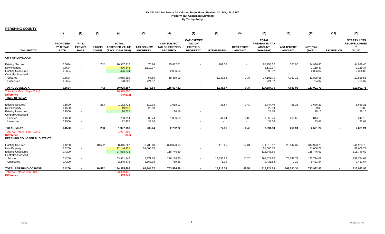**PERSHING COUNTY**

|                                                                                                           | (1)                                         | (2)                                          | (3)                           | (4)                                                      | (5)                                  | (6)                                                             | (7)                                                                      | (8)                | (9)                               | (10)                                                                   | (11)                              | (12)                                  | (13)             | (15)                                                                   |
|-----------------------------------------------------------------------------------------------------------|---------------------------------------------|----------------------------------------------|-------------------------------|----------------------------------------------------------|--------------------------------------|-----------------------------------------------------------------|--------------------------------------------------------------------------|--------------------|-----------------------------------|------------------------------------------------------------------------|-----------------------------------|---------------------------------------|------------------|------------------------------------------------------------------------|
| <b>TAX ENTITY</b>                                                                                         | <b>PROPOSED</b><br>FY 12 TAX<br><b>RATE</b> | <b>FY 12</b><br><b>EXEMPT</b><br><b>RATE</b> | <b>PARCEL</b><br><b>COUNT</b> | <b>TOTAL</b><br><b>ASSESSED VALUE</b><br>(EXCLUDING NPM) | <b>TAX ON NEW</b><br><b>PROPERTY</b> | <b>CAP-SUBJECT</b><br><b>TAX ON EXISTING</b><br><b>PROPERTY</b> | <b>CAP-EXEMPT</b><br><b>TAX ON</b><br><b>EXISTING</b><br><b>PROPERTY</b> | <b>EXEMPTIONS</b>  | <b>RECAPTURE</b><br><b>AMOUNT</b> | <b>TOTAL</b><br><b>PREABATED TAX</b><br><b>AMOUNT</b><br>$(5+6+7-8+9)$ | <b>ABATEMENT</b><br><b>AMOUNT</b> | NET_TAX<br>$(10-11)$                  | <b>REDEVELOP</b> | <b>NET TAX LESS</b><br><b>REDEVELOPMEN</b><br>$\mathbf T$<br>$(12-13)$ |
| <b>CITY OF LOVELOCK</b>                                                                                   |                                             |                                              |                               |                                                          |                                      |                                                                 |                                                                          |                    |                                   |                                                                        |                                   |                                       |                  |                                                                        |
| <b>Existing Secured</b><br>New Property<br><b>Existing Unsecured</b><br>Centrally Assessed                | 0.5624<br>0.5624<br>0.5624                  | $\overline{\phantom{a}}$<br>$\sim$           | 742                           | 16,937,816<br>376,844<br>426,034                         | 76.94<br>2,119.37                    | 95,882.71<br>2,396.02                                           | $\sim$                                                                   | 701.35             | $\blacksquare$                    | 95,258.30<br>2,119.37<br>2,396.02                                      | 321.90                            | 94,936.40<br>2,119.37<br>2,396.02     |                  | 94,936.40<br>2,119.37<br>2,396.02                                      |
| Secured<br>Unsecured                                                                                      | 0.5624<br>0.5624                            | $\overline{\phantom{a}}$                     |                               | 3,055,891<br>128,801                                     | 57.86<br>724.37                      | 18,359.09                                                       | $\sim$                                                                   | 1,230.62<br>$\sim$ | 0.37<br>$\sim$                    | 17,186.70<br>724.37                                                    | 4,361.15                          | 12,825.55<br>724.37                   |                  | 12,825.55<br>724.37                                                    |
| <b>TOTAL LOVELOCK</b>                                                                                     | 0.5624                                      |                                              | 742                           | 20,925,387                                               | 2,978.54                             | 116,637.82                                                      | $\sim$                                                                   | 1,931.97           | 0.37                              | 117,684.76                                                             | 4,683.05                          | 113,001.71                            |                  | 113,001.71                                                             |
| Total AV - March Seg - Col. Q<br><b>Difference</b><br><b>TOWN OF IMLAY</b>                                |                                             |                                              |                               | 20,975,000<br>(49, 613)                                  |                                      |                                                                 |                                                                          |                    |                                   |                                                                        |                                   |                                       |                  |                                                                        |
| <b>Existing Secured</b><br><b>New Property</b><br><b>Existing Unsecured</b><br><b>Centrally Assessed</b>  | 0.1500<br>0.1500<br>0.1500                  | $\sim$<br>$\sim$                             | 253                           | 1,162,723<br>19,390<br>18,775                            | 112.93<br>29.09                      | 1,668.03<br>28.16                                               | $\sim$                                                                   | 36.87              | 0.40                              | 1,744.49<br>29.09<br>28.16                                             | 58.28                             | 1,686.21<br>29.09<br>28.16            |                  | 1,686.21<br>29.09<br>28.16                                             |
| Secured<br>Unsecured                                                                                      | 0.1500<br>0.1500                            | $\sim$<br>$\overline{\phantom{a}}$           |                               | 703,814<br>22,456                                        | 30.74<br>33.68                       | 1,066.03                                                        |                                                                          | 41.04<br>$\sim$    | 0.03<br>$\overline{\phantom{a}}$  | 1,055.76<br>33.68                                                      | 211.66                            | 844.10<br>33.68                       |                  | 844.10<br>33.68                                                        |
| <b>TOTAL IMLAY</b><br>Total AV - March Seg - Col. Q<br><b>Difference</b><br>PERSHING CO HOSPITAL DISTRICT | 0.1500                                      |                                              | 253                           | 1,927,158<br>1,927,999<br>(841)                          | 206.44                               | 2,762.22                                                        | $\sim$                                                                   | 77.91              | 0.43                              | 2,891.18                                                               | 269.94                            | 2,621.24                              |                  | 2,621.24                                                               |
| <b>Existing Secured</b><br><b>New Property</b><br><b>Existing Unsecured</b>                               | 0.4200<br>0.4200<br>0.4200                  | $\sim$<br>$\sim$                             | 10,592                        | 88,445,267<br>12,144,471<br>27,558,735                   | 3,703.48<br>51,006.78                | 370,870.95<br>115,746.69                                        | $\sim$                                                                   | 3,115.65           | 57.34                             | 371,516.12<br>51,006.78<br>115,746.69                                  | 26,542.37                         | 344,973.75<br>51,006.78<br>115,746.69 |                  | 344,973.75<br>51,006.78<br>115,746.69                                  |
| <b>Centrally Assessed</b><br>Secured<br>Unsecured                                                         | 0.4200<br>0.4200                            |                                              |                               | 63,931,346<br>2,245,676                                  | 5,971.38<br>8,663.08                 | 276,136.90<br>769.85                                            | $\sim$                                                                   | 13,596.62<br>1.09  | 11.20<br>$\sim$                   | 268,522.86<br>9,431.84                                                 | 75,748.77<br>0.20                 | 192,774.09<br>9,431.64                |                  | 192,774.09<br>9,431.64                                                 |
| <b>TOTAL PERSHING CO HOSP</b>                                                                             | 0.4200                                      |                                              | 10,592                        | 194,325,495                                              | 69,344.72                            | 763,524.39                                                      | $\sim$                                                                   | 16,713.36          | 68.54                             | 816,224.29                                                             | 102,291.34                        | 713,932.95                            |                  | 713,932.95                                                             |
| Total AV - March Seg - Col. Q<br><b>Difference</b>                                                        |                                             |                                              |                               | 193,990,446<br>335,049                                   |                                      |                                                                 |                                                                          |                    |                                   |                                                                        |                                   |                                       |                  |                                                                        |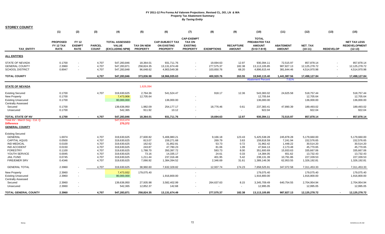| <b>STOREY COUNTY</b>                                                                              |                                             |                                              |                               |                                                   |                                      |                                                                 |                                                                          |                                       |                                   |                                                                 |                                       |                                             |                                                              |                                                          |
|---------------------------------------------------------------------------------------------------|---------------------------------------------|----------------------------------------------|-------------------------------|---------------------------------------------------|--------------------------------------|-----------------------------------------------------------------|--------------------------------------------------------------------------|---------------------------------------|-----------------------------------|-----------------------------------------------------------------|---------------------------------------|---------------------------------------------|--------------------------------------------------------------|----------------------------------------------------------|
|                                                                                                   | (1)                                         | (2)                                          | (3)                           | (4)                                               | (5)                                  | (6)                                                             | (7)                                                                      | (8)                                   | (9)                               | (10)                                                            | (11)                                  | (12)                                        | (13)                                                         | (15)                                                     |
| <b>TAX ENTITY</b>                                                                                 | <b>PROPOSED</b><br>FY 12 TAX<br><b>RATE</b> | <b>FY 12</b><br><b>EXEMPT</b><br><b>RATE</b> | <b>PARCEL</b><br><b>COUNT</b> | <b>TOTAL ASSESSED</b><br>VALUE<br>(EXCLUDING NPM) | <b>TAX ON NEW</b><br><b>PROPERTY</b> | <b>CAP-SUBJECT TAX</b><br><b>ON EXISTING</b><br><b>PROPERTY</b> | <b>CAP-EXEMPT</b><br><b>TAX ON</b><br><b>EXISTING</b><br><b>PROPERTY</b> | <b>EXEMPTIONS</b>                     | <b>RECAPTURE</b><br><b>AMOUNT</b> | <b>TOTAL</b><br>PREABATED TAX<br><b>AMOUNT</b><br>$(5+6+7-8+9)$ | <b>ABATEMENT</b><br><b>AMOUNT</b>     | NET_TAX<br>$(10-11)$                        | <b>REDEVELOP</b>                                             | <b>NET TAX LESS</b><br><b>REDEVELOPMENT</b><br>$(12-13)$ |
| <b>ALL ENTITIES</b>                                                                               |                                             |                                              |                               |                                                   |                                      |                                                                 |                                                                          |                                       |                                   |                                                                 |                                       |                                             |                                                              |                                                          |
| <b>STATE OF NEVADA</b><br><b>GENERAL COUNTY</b><br><b>SCHOOL DISTRICT</b>                         | 0.1700<br>2.3960<br>0.8947                  | $\sim$<br>$\sim$                             | 4,707<br>4,707<br>4,707       | 547,283,846<br>547,283,871<br>547,283,848         | 18,364.01<br>258,824.35<br>96,648.62 | 931,711.76<br>13,131,674.49<br>4,903,549.38                     | $\sim$                                                                   | 19,694.63<br>277,575.37<br>103,650.76 | 12.97<br>182.38<br>68.20          | 930,394.11<br>13,113,105.85<br>4,896,615.44                     | 72,515.97<br>987,827.13<br>381,644.46 | 857,878.14<br>12,125,278.72<br>4,514,970.98 | $\blacksquare$<br>$\blacksquare$<br>$\overline{\phantom{a}}$ | 857,878.14<br>12,125,278.72<br>4,514,970.98              |
| <b>TOTAL COUNTY</b>                                                                               |                                             |                                              | 4,707                         | 547,283,846                                       | 373,836.98                           | 18,966,935.63                                                   | $\sim$                                                                   | 400,920.76                            | 263.55                            | 18,940,115.40                                                   | 1,441,987.56                          | 17,498,127.84                               | $\overline{\phantom{a}}$                                     | 17,498,127.84                                            |
|                                                                                                   |                                             |                                              |                               |                                                   |                                      |                                                                 |                                                                          |                                       |                                   | <b>Abatement Percent</b>                                        | 7.61%                                 |                                             |                                                              |                                                          |
| <b>STATE OF NEVADA</b>                                                                            |                                             |                                              |                               |                                                   | 1,626,094                            |                                                                 |                                                                          |                                       |                                   |                                                                 |                                       |                                             |                                                              |                                                          |
| <b>Existing Secured</b><br>New Property<br><b>Existing Unsecured</b><br><b>Centrally Assessed</b> | 0.1700<br>0.1700<br>0.1700                  |                                              | 4,707                         | 319,630,625<br>7,473,906<br>80,000,000            | 2,764.36<br>12,705.64                | 541,524.47<br>136,000.00                                        |                                                                          | 918.17                                | 12.36                             | 543,383.02<br>12,705.64<br>136,000.00                           | 24,625.58                             | 518,757.44<br>12,705.64<br>136,000.00       |                                                              | 518,757.44<br>12,705.64<br>136,000.00                    |
| Secured<br>Unsecured                                                                              | 0.1700<br>0.1700                            |                                              |                               | 139,636,950<br>542,365                            | 1,982.09<br>911.92                   | 254,177.17<br>10.12                                             |                                                                          | 18,776.46                             | 0.61<br>$\sim$                    | 237,383.41<br>922.04                                            | 47,890.39                             | 189,493.02<br>922.04                        |                                                              | 189,493.02<br>922.04                                     |
| <b>TOTAL STATE OF NV</b>                                                                          | 0.1700                                      |                                              | 4,707                         | 547,283,846                                       | 18,364.01                            | 931,711.76                                                      |                                                                          | 19,694.63                             | 12.97                             | 930,394.11                                                      | 72,515.97                             | 857,878.14                                  | $\blacksquare$                                               | 857,878.14                                               |
| Total AV - March Seg - Col. Q<br><b>Difference</b><br><b>GENERAL COUNTY</b>                       |                                             |                                              |                               | 547,013,474<br>270,372                            |                                      |                                                                 |                                                                          |                                       |                                   |                                                                 |                                       |                                             |                                                              |                                                          |
| <b>Existing Secured</b>                                                                           |                                             |                                              |                               |                                                   |                                      |                                                                 |                                                                          |                                       |                                   |                                                                 |                                       |                                             |                                                              |                                                          |
| <b>GENERAL</b><br><b>CAPITAL AQUIS</b><br><b>IND MEDICAL</b>                                      | 1.6974<br>0.0500<br>0.0100                  |                                              | 4,707<br>4,707<br>4,707       | 319,630,625<br>319,630,625<br>319,630,625         | 27,600.82<br>813.07<br>162.62        | 5,406,980.21<br>159,271.68<br>31,852.81                         |                                                                          | 9,166.18<br>269.79<br>53.73           | 123.43<br>3.63<br>0.72            | 5,425,538.28<br>159,818.59<br>31,962.42                         | 245,878.28<br>7,241.94<br>1,448.22    | 5,179,660.00<br>152,576.65<br>30,514.20     |                                                              | 5,179,660.00<br>152,576.65<br>30,514.20                  |
| <b>IND ACCIDENT</b><br><b>FORESTRY</b><br>YOUTH SERVICE                                           | 0.0150<br>0.1100<br>0.0045                  |                                              | 4,707<br>4,707<br>4,707       | 319,630,625<br>319,630,625<br>319,630,625         | 243.87<br>1,788.70<br>73.16          | 47,780.23<br>350,397.72<br>14,335.17                            |                                                                          | 81.06<br>593.73<br>24.61              | 1.09<br>8.00<br>0.33              | 47,944.13<br>351,600.69<br>14,384.05                            | 2,173.48<br>15,933.63<br>651.62       | 45,770.65<br>335,667.06<br>13,732.43        |                                                              | 45,770.65<br>335,667.06<br>13,732.43                     |
| <b>JAIL FUND</b><br>FIRE/EMER SRV                                                                 | 0.0745<br>0.4346                            |                                              | 4,707<br>4,707                | 319,630,625<br>319,630,625                        | 1,211.44<br>7,066.92                 | 237,316.48<br>1,384,394.52                                      |                                                                          | 401.95<br>2,346.69                    | 5.42<br>31.61                     | 238,131.39<br>1,389,146.36                                      | 10,791.86<br>62,953.55                | 227,339.53<br>1,326,192.81                  |                                                              | 227,339.53<br>1,326,192.81                               |
| <b>GENERAL TOTAL</b>                                                                              | 2.3960                                      |                                              | 4,707                         | 319,630,625                                       | 38,960.60                            | 7,632,328.82                                                    | $\sim$                                                                   | 12,937.74                             | 174.23                            | 7,658,525.91                                                    | 347,072.58                            | 7,311,453.33                                | $\sim$                                                       | 7,311,453.33                                             |
| <b>New Property</b><br><b>Existing Unsecured</b><br><b>Centrally Assessed</b>                     | 2.3960<br>2.3960                            |                                              |                               | 7,473,932<br>80,000,000                           | 179,075.40                           | 1,916,800.00                                                    |                                                                          |                                       |                                   | 179,075.40<br>1,916,800.00                                      |                                       | 179,075.40<br>1,916,800.00                  |                                                              | 179,075.40<br>1,916,800.00                               |
| Secured<br>Unsecured                                                                              | 2.3960<br>2.3960                            |                                              |                               | 139,636,950<br>542,365                            | 27,935.98<br>12,852.37               | 3,582,402.99<br>142.68                                          |                                                                          | 264,637.63                            | 8.15<br>$\sim$                    | 3,345,709.49<br>12,995.05                                       | 640,754.55                            | 2,704,954.94<br>12,995.05                   |                                                              | 2,704,954.94<br>12,995.05                                |
| <b>TOTAL GENERAL COUNTY</b>                                                                       | 2.3960                                      |                                              | 4,707                         | 547,283,871                                       | 258,824.35                           | 13,131,674.49                                                   |                                                                          | 277,575.37                            | 182.38                            | 13,113,105.85                                                   | 987,827.13                            | 12,125,278.72                               |                                                              | 12,125,278.72                                            |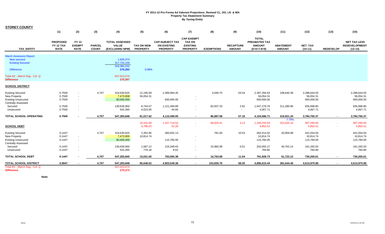| <b>STOREY COUNTY</b>                                                                                     |                                             |                                              |                               |                                                          |                                      |                                                                 |                                                                          |                     |                                   |                                                                 |                                   |                                         |                  |                                                          |
|----------------------------------------------------------------------------------------------------------|---------------------------------------------|----------------------------------------------|-------------------------------|----------------------------------------------------------|--------------------------------------|-----------------------------------------------------------------|--------------------------------------------------------------------------|---------------------|-----------------------------------|-----------------------------------------------------------------|-----------------------------------|-----------------------------------------|------------------|----------------------------------------------------------|
|                                                                                                          | (1)                                         | (2)                                          | (3)                           | (4)                                                      | (5)                                  | (6)                                                             | (7)                                                                      | (8)                 | (9)                               | (10)                                                            | (11)                              | (12)                                    | (13)             | (15)                                                     |
| <b>TAX ENTITY</b>                                                                                        | <b>PROPOSED</b><br>FY 12 TAX<br><b>RATE</b> | <b>FY 12</b><br><b>EXEMPT</b><br><b>RATE</b> | <b>PARCEL</b><br><b>COUNT</b> | <b>TOTAL ASSESSED</b><br><b>VALUE</b><br>(EXCLUDING NPM) | <b>TAX ON NEW</b><br><b>PROPERTY</b> | <b>CAP-SUBJECT TAX</b><br><b>ON EXISTING</b><br><b>PROPERTY</b> | <b>CAP-EXEMPT</b><br><b>TAX ON</b><br><b>EXISTING</b><br><b>PROPERTY</b> | <b>EXEMPTIONS</b>   | <b>RECAPTURE</b><br><b>AMOUNT</b> | <b>TOTAL</b><br>PREABATED TAX<br><b>AMOUNT</b><br>$(5+6+7-8+9)$ | <b>ABATEMENT</b><br><b>AMOUNT</b> | <b>NET TAX</b><br>$(10-11)$             | <b>REDEVELOP</b> | <b>NET TAX LESS</b><br><b>REDEVELOPMENT</b><br>$(12-13)$ |
| <b>March Assessors Report:</b><br>New secured<br><b>Existing Secured</b><br><b>Difference</b>            |                                             |                                              |                               | 1,626,073<br>317,734,159<br>319,360,232<br>270,393       | 0.08%                                |                                                                 |                                                                          |                     |                                   |                                                                 |                                   |                                         |                  |                                                          |
| Total AV - March Seg - Col. Q<br><b>Difference</b>                                                       |                                             |                                              |                               | 547,013,474<br>270,397                                   |                                      |                                                                 |                                                                          |                     |                                   |                                                                 |                                   |                                         |                  |                                                          |
| <b>SCHOOL DISTRICT</b>                                                                                   |                                             |                                              |                               |                                                          |                                      |                                                                 |                                                                          |                     |                                   |                                                                 |                                   |                                         |                  |                                                          |
| <b>Existing Secured</b><br><b>New Property</b><br><b>Existing Unsecured</b><br><b>Centrally Assessed</b> | 0.7500<br>0.7500<br>0.7500                  | $\sim$<br>$\sim$<br>$\sim$                   | 4,707                         | 319,630,625<br>7,473,908<br>80,000,000                   | 12,195.69<br>56,054.31               | 2,389,084.45<br>600,000.00                                      | $\sim$                                                                   | 4,049.75            | 54.54                             | 2,397,284.93<br>56,054.31<br>600,000.00                         | 108,640.38                        | 2,288,644.55<br>56,054.31<br>600,000.00 |                  | 2,288,644.55<br>56,054.31<br>600,000.00                  |
| Secured<br>Unsecured                                                                                     | 0.7500<br>0.7500                            |                                              |                               | 139,636,950<br>542,365                                   | 8,744.57<br>4,023.05                 | 1,121,369.89<br>44.66                                           | $\sim$                                                                   | 82,837.33<br>$\sim$ | 2.62<br>$\sim$                    | 1,047,279.76<br>4,067.71                                        | 211,280.96                        | 835,998.80<br>4,067.71                  |                  | 835,998.80<br>4,067.71                                   |
| <b>TOTAL SCHOOL OPERATING</b>                                                                            | 0.7500                                      |                                              | 4,707                         | 547,283,848                                              | 81,017.62                            | 4,110,499.00                                                    | $\sim$                                                                   | 86,887.08           | 57.16                             | 4,104,686.71                                                    | 319,921.34<br>7.79%               | 3,784,765.37                            | $\sim$           | 3,784,765.37                                             |
| <b>SCHOOL DEBT</b>                                                                                       |                                             |                                              |                               |                                                          | 10,431.69<br>4,799.23                | 1,337,719.52<br>53.28                                           | $\sim$                                                                   | 98,819.41<br>$\sim$ | 3.13<br>a.                        | 1,249,334.93<br>4,852.51                                        | 252,044.10<br>$\sim$              | 997,290.83<br>4,852.51                  | $\sim$<br>$\sim$ | 997,290.83<br>4,852.51                                   |
| <b>Existing Secured</b><br><b>New Property</b><br><b>Existing Unsecured</b><br><b>Centrally Assessed</b> | 0.1447<br>0.1447<br>0.1447                  | $\sim$<br>$\sim$                             | 4,707                         | 319,630,625<br>7,473,905<br>80,000,000                   | 2,352.96<br>10,814.74                | 460,932.13<br>115,760.00                                        | $\sim$                                                                   | 781.60              | 10.53                             | 462,514.02<br>10,814.74<br>115,760.00                           | 20,959.98                         | 441,554.04<br>10,814.74<br>115,760.00   |                  | 441,554.04<br>10,814.74<br>115,760.00                    |
| Secured<br>Unsecured                                                                                     | 0.1447<br>0.1447                            | $\sim$<br>$\sim$                             |                               | 139,636,950<br>542,365                                   | 1,687.12<br>776.18                   | 216,349.63<br>8.62                                              | $\blacksquare$<br>$\blacksquare$                                         | 15,982.08<br>$\sim$ | 0.51<br>$\sim$                    | 202,055.17<br>784.80                                            | 40,763.14                         | 161,292.03<br>784.80                    |                  | 161,292.03<br>784.80                                     |
| <b>TOTAL SCHOOL DEBT</b>                                                                                 | 0.1447                                      |                                              | 4,707                         | 547,283,845                                              | 15,631.00                            | 793,050.38                                                      | $\overline{\phantom{a}}$                                                 | 16,763.68           | 11.04                             | 791,928.73                                                      | 61,723.12                         | 730,205.61                              | $\blacksquare$   | 730,205.61                                               |
| <b>TOTAL SCHOOL DISTRICT</b>                                                                             | 0.8947                                      |                                              | 4,707                         | 547,283,848                                              | 96,648.62                            | 4,903,549.38                                                    | $\sim$                                                                   | 103,650.76          | 68.20                             | 4,896,615.44                                                    | 381,644.46                        | 4,514,970.98                            | $\sim$           | 4,514,970.98                                             |
| Total AV - March Seg - Col. Q<br><b>Difference</b>                                                       |                                             |                                              |                               | 547,013,474<br>270,374                                   |                                      |                                                                 |                                                                          |                     |                                   |                                                                 |                                   |                                         |                  |                                                          |

**Note:**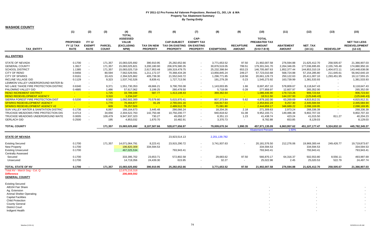| <b>WASHOE COUNTY</b> |  |
|----------------------|--|
|----------------------|--|

| ו ואוטטע בעווטמיו                                                                                                                                                                                                                                                                                                                                                                                                                         | (1)                                                                                                                       | (2)                                                                                                                        | (3)                                                                                                                     | (4)                                                                                                                                                                                                          | (5)                                                                                                                                                     | (6)                                                                                                                                                                                               | (7)                                                                                                                            | (8)                                                                                                                                                                              | (9)                                                                                               | (10)                                                                                                                                                                                                                     | (11)                                                                                                                                                                                         | (12)                                                                                                                                                                                                                                           | (13)                                                                                                                                                                     | (15)                                                                                                                                                                                                             |
|-------------------------------------------------------------------------------------------------------------------------------------------------------------------------------------------------------------------------------------------------------------------------------------------------------------------------------------------------------------------------------------------------------------------------------------------|---------------------------------------------------------------------------------------------------------------------------|----------------------------------------------------------------------------------------------------------------------------|-------------------------------------------------------------------------------------------------------------------------|--------------------------------------------------------------------------------------------------------------------------------------------------------------------------------------------------------------|---------------------------------------------------------------------------------------------------------------------------------------------------------|---------------------------------------------------------------------------------------------------------------------------------------------------------------------------------------------------|--------------------------------------------------------------------------------------------------------------------------------|----------------------------------------------------------------------------------------------------------------------------------------------------------------------------------|---------------------------------------------------------------------------------------------------|--------------------------------------------------------------------------------------------------------------------------------------------------------------------------------------------------------------------------|----------------------------------------------------------------------------------------------------------------------------------------------------------------------------------------------|------------------------------------------------------------------------------------------------------------------------------------------------------------------------------------------------------------------------------------------------|--------------------------------------------------------------------------------------------------------------------------------------------------------------------------|------------------------------------------------------------------------------------------------------------------------------------------------------------------------------------------------------------------|
| <b>TAX ENTITY</b>                                                                                                                                                                                                                                                                                                                                                                                                                         | <b>PROPOSED</b><br>FY 12 TAX<br><b>RATE</b>                                                                               | <b>FY 12</b><br><b>EXEMPT</b><br><b>RATE</b>                                                                               | <b>PARCEL</b><br><b>COUNT</b>                                                                                           | <b>TOTAL</b><br><b>ASSESSED</b><br><b>VALUE</b><br>(EXCLUDING<br>NPM)                                                                                                                                        | <b>TAX ON NEW</b><br><b>PROPERTY</b>                                                                                                                    | <b>CAP-SUBJECT</b><br>TAX ON EXISTING ON EXISTING<br><b>PROPERTY</b>                                                                                                                              | CAP-<br><b>EXEMPT TAX</b><br><b>PROPERTY</b>                                                                                   | <b>EXEMPTIONS</b>                                                                                                                                                                | <b>RECAPTURE</b><br><b>AMOUNT</b>                                                                 | <b>TOTAL</b><br><b>PREABATED TAX</b><br><b>AMOUNT</b><br>$(5+6+7-8+9)$                                                                                                                                                   | <b>ABATEMENT</b><br><b>AMOUNT</b>                                                                                                                                                            | NET_TAX<br>$(10-11)$                                                                                                                                                                                                                           | <b>REDEVELOP</b>                                                                                                                                                         | <b>NET TAX LESS</b><br><b>REDEVELOPMENT</b><br>$(12-13)$                                                                                                                                                         |
| <b>ALL ENTITIES</b>                                                                                                                                                                                                                                                                                                                                                                                                                       |                                                                                                                           |                                                                                                                            |                                                                                                                         |                                                                                                                                                                                                              |                                                                                                                                                         |                                                                                                                                                                                                   |                                                                                                                                |                                                                                                                                                                                  |                                                                                                   |                                                                                                                                                                                                                          |                                                                                                                                                                                              |                                                                                                                                                                                                                                                |                                                                                                                                                                          |                                                                                                                                                                                                                  |
| STATE OF NEVADA<br><b>GENERAL COUNTY</b><br><b>SCHOOL DISTRICT</b><br>CITY OF RENO<br><b>CITY OF SPARKS</b><br><b>INCLINE VILLAGE GID</b><br>LEMMON VALLEY UNDERGROUND WATER B<br>NO LAKE TAHOE FIRE PROTECTION DISTRIC<br>PALOMINO VALLEY GID<br><b>RENO INCREMENT DISTRICT</b><br><b>RENO REDEVELOPMENT AGENCY</b><br>SIERRA FOREST FIRE PROTECTION DIST<br><b>SPARKS REDEVELOPMENT AGENCY</b><br><b>SPARKS REDEVELOPMENT AGENCY #2</b> | 0.1700<br>1.3917<br>1.1385<br>0.9456<br>0.9161<br>0.1129<br>$\sim$<br>0.6340<br>0.4885<br>$\sim$<br><b>Page</b><br>0.5200 | $\overline{\phantom{a}}$<br>$\sim$<br>$\sim$<br>$\sim$<br>$\sim$<br>$\sim$<br>$\sim$<br>$\overline{\phantom{a}}$<br>$\sim$ | 171,357<br>171,357<br>171,357<br>80,594<br>33.415<br>9,323<br>9,371<br>1,486<br>1,725<br>3,310<br>8,582<br>1,770<br>609 | 15,083,025,692<br>15,083,025,821<br>15,083,025,719<br>7,562,529,591<br>2,394,525,862<br>1,537,742,526<br>1,551,730,353<br>57,617,062<br>33,789,348<br>1,234,247<br>1,092,502,300<br>76,464,877<br>76,257,503 | 390,910.95<br>3,200,180.90<br>2,617,953.48<br>1,211,172.37<br>405,739.30<br>8,839.41<br>$\sim$<br>49,666.21<br>3,199.25<br>587.77<br>70,579.80<br>81.29 | 25,282,652.66<br>206,976,580.35<br>169,319,479.75<br>70,368,434.28<br>21,552,043.72<br>1,727,713.56<br>9,790,793.08<br>280,478.50<br>1,413,148.43<br>5,615,970.41<br>2,765,041.16<br>2,489,512.78 | $\overline{\phantom{a}}$<br>$\overline{\phantom{a}}$<br>$\blacksquare$<br>$\blacksquare$<br>$\overline{\phantom{a}}$<br>$\sim$ | 3,771,653.52<br>30,876,519.05<br>25,232,398.84<br>13,856,845.24<br>1,296,771.85<br>191,279.28<br>1,143,003.85<br>5,718.06<br>369,362.64<br>807,373.84<br>416,917.63<br>71,081.80 | 97.50<br>799.51<br>653.23<br>249.27<br>118.56<br>0.23<br>$\sim$<br>1.66<br>0.28<br>$\sim$<br>5.62 | 21,902,007.58<br>179,301,041.70<br>146,705,687.63<br>57,723,010.68<br>20,661,129.73<br>1,545,273.92<br>$\sim$<br>8,697,457.10<br>277,959.97<br>1,086,446.90<br>18,511.50<br>4,879,182.00<br>2,454,842.24<br>2,444,859.17 | 276,594.88<br>2,264,346.05<br>1,852,377.44<br>568,724.88<br>250,122.63<br>163,739.99<br>$\sim$<br>578,809.67<br>12,607.97<br>179,723.26<br>144,157.93<br>63,269.69<br>9,257.30<br>346,689.22 | 21,625,412.70<br>177,036,695.65<br>144,853,310.19<br>57, 154, 285.80<br>20,411,007.10<br>1,381,533.93<br>$\overline{\phantom{a}}$<br>8,118,647.43<br>265,352.00<br>906,723.64<br>(125, 646.43)<br>4,815,912.31<br>2,445,584.94<br>2,098,169.95 | 258,505.67<br>2,155,745.49<br>1,404,672.11<br>211,645.61<br>1,293,451.95<br>$\sim$<br>$\sim$<br>$\overline{\phantom{a}}$<br>$\blacksquare$<br>$\sim$<br>$\sim$<br>$\sim$ | 21,366,907.03<br>174,880,950.16<br>143,448,638.08<br>56,942,640.19<br>19,117,555.15<br>1,381,533.93<br>8,118,647.43<br>265,352.00<br>906,723.64<br>(125, 646.43)<br>4,815,912.31<br>2,445,584.94<br>2,098,169.95 |
| SUN VALLEY WATER & SANITATION DISTRIC<br>TRUCKEE MEADOWS FIRE PROTECTION DIS<br>TRUCKEE MEADOWS UNDERGROUND WATE<br><b>GERLACH GID</b>                                                                                                                                                                                                                                                                                                    | 0.1736<br>0.4713<br>0.0005<br>0.2500                                                                                      | $\sim$<br>$\sim$<br>$\sim$                                                                                                 | 6,067<br>34,656<br>109,479<br>195                                                                                       | 166, 164, 673<br>2,304,522,763<br>9,947,937,323<br>4,853,032                                                                                                                                                 | 3,445.48<br>142,750.48<br>730.27<br>1,670.70                                                                                                            | 286,066.24<br>10,750,200.77<br>49,058.37<br>10,482.91                                                                                                                                             | $\sim$<br>$\overline{\phantom{a}}$<br>$\overline{\phantom{a}}$<br>$\blacksquare$                                               | 18,204.26<br>940,818.62<br>8,351.13<br>3,370.73                                                                                                                                  | 2.18<br>61.08<br>1.23<br>$\sim$                                                                   | 271,309.63<br>9,952,193.71<br>41,438.74<br>8,782.88                                                                                                                                                                      | 2,973.24<br>149,486.38<br>423.24<br>653.85                                                                                                                                                   | 268,336.39<br>9,802,707.33<br>41,015.50<br>8,129.03                                                                                                                                                                                            | $\sim$<br>$\sim$<br>811.27                                                                                                                                               | 268,336.39<br>9,802,707.33<br>40,204.23<br>8,129.03                                                                                                                                                              |
| <b>TOTAL COUNTY</b>                                                                                                                                                                                                                                                                                                                                                                                                                       |                                                                                                                           |                                                                                                                            | 171,357                                                                                                                 | 15,083,025,692                                                                                                                                                                                               | 8,107,507.66                                                                                                                                            | 528,677,656.97                                                                                                                                                                                    | $\blacksquare$                                                                                                                 | 79,009,670.34                                                                                                                                                                    | 1,990.35                                                                                          | 457,971,135.09                                                                                                                                                                                                           | 6,863,957.62                                                                                                                                                                                 | 451, 107, 177. 47                                                                                                                                                                                                                              | 5,324,832.10                                                                                                                                                             | 445,782,345.37                                                                                                                                                                                                   |
|                                                                                                                                                                                                                                                                                                                                                                                                                                           |                                                                                                                           |                                                                                                                            |                                                                                                                         |                                                                                                                                                                                                              |                                                                                                                                                         |                                                                                                                                                                                                   |                                                                                                                                |                                                                                                                                                                                  |                                                                                                   | <b>Abatement Percent</b>                                                                                                                                                                                                 | 1.50%                                                                                                                                                                                        |                                                                                                                                                                                                                                                |                                                                                                                                                                          |                                                                                                                                                                                                                  |
| <b>STATE OF NEVADA</b>                                                                                                                                                                                                                                                                                                                                                                                                                    |                                                                                                                           |                                                                                                                            |                                                                                                                         |                                                                                                                                                                                                              |                                                                                                                                                         | 23,923,514.13                                                                                                                                                                                     |                                                                                                                                | 2,201,139,782                                                                                                                                                                    |                                                                                                   |                                                                                                                                                                                                                          |                                                                                                                                                                                              |                                                                                                                                                                                                                                                |                                                                                                                                                                          |                                                                                                                                                                                                                  |
| <b>Existing Secured</b><br><b>New Property</b><br><b>Existing Unsecured</b><br><b>Centrally Assessed</b>                                                                                                                                                                                                                                                                                                                                  | 0.1700<br>0.1700<br>0.1700                                                                                                |                                                                                                                            | 171,357                                                                                                                 | 14,071,064,791<br>196,820,309<br>467,025,534                                                                                                                                                                 | 8,223.41<br>334,594.53                                                                                                                                  | 23,915,290.72<br>793,943.41                                                                                                                                                                       | $\blacksquare$<br>$\overline{\phantom{a}}$                                                                                     | 3,741,937.63                                                                                                                                                                     |                                                                                                   | 20, 181, 576.50<br>334,594.53<br>793,943.41                                                                                                                                                                              | 212,276.06                                                                                                                                                                                   | 19,969,300.44<br>334,594.53<br>793,943.41                                                                                                                                                                                                      | 249,426.77                                                                                                                                                               | 19,719,873.67<br>334,594.53<br>793,943.41                                                                                                                                                                        |
| Secured<br>Unsecured                                                                                                                                                                                                                                                                                                                                                                                                                      | 0.1700<br>0.1700                                                                                                          |                                                                                                                            |                                                                                                                         | 333,395,702<br>14,719,356                                                                                                                                                                                    | 23,653.71<br>24,439.30                                                                                                                                  | 572,802.58<br>615.95                                                                                                                                                                              | $\blacksquare$<br>$\blacksquare$                                                                                               | 29,683.62<br>32.27                                                                                                                                                               | 97.50                                                                                             | 566,870.17<br>25,022.98                                                                                                                                                                                                  | 64,316.37<br>2.45                                                                                                                                                                            | 502,553.80<br>25,020.53                                                                                                                                                                                                                        | 8,556.11<br>522.79                                                                                                                                                       | 493,997.69<br>24,497.74                                                                                                                                                                                          |
| <b>TOTAL STATE OF NV</b>                                                                                                                                                                                                                                                                                                                                                                                                                  | 0.1700                                                                                                                    |                                                                                                                            | 171,357                                                                                                                 | 15,083,025,692                                                                                                                                                                                               | 390,910.95                                                                                                                                              | 25,282,652.66                                                                                                                                                                                     | $\sim$                                                                                                                         | 3,771,653.52                                                                                                                                                                     | 97.50                                                                                             | 21,902,007.58                                                                                                                                                                                                            | 276,594.88                                                                                                                                                                                   | 21,625,412.70                                                                                                                                                                                                                                  | 258,505.67                                                                                                                                                               | 21,366,907.03                                                                                                                                                                                                    |
| Total AV - March Seg - Col. Q<br><b>Difference</b><br><b>GENERAL COUNTY</b>                                                                                                                                                                                                                                                                                                                                                               |                                                                                                                           |                                                                                                                            |                                                                                                                         | 12,675,216,318<br>206,669,592                                                                                                                                                                                |                                                                                                                                                         |                                                                                                                                                                                                   |                                                                                                                                |                                                                                                                                                                                  |                                                                                                   |                                                                                                                                                                                                                          |                                                                                                                                                                                              |                                                                                                                                                                                                                                                |                                                                                                                                                                          |                                                                                                                                                                                                                  |
| <b>Existing Secured</b><br>AB104 Fair Share<br>Ag. Extension<br><b>Animal Shelter Operating</b><br><b>Capital Facilities</b><br><b>Child Protection</b><br><b>County General</b><br><b>District Court</b><br>Indigent Health                                                                                                                                                                                                              |                                                                                                                           |                                                                                                                            |                                                                                                                         |                                                                                                                                                                                                              |                                                                                                                                                         |                                                                                                                                                                                                   |                                                                                                                                |                                                                                                                                                                                  |                                                                                                   |                                                                                                                                                                                                                          |                                                                                                                                                                                              |                                                                                                                                                                                                                                                |                                                                                                                                                                          |                                                                                                                                                                                                                  |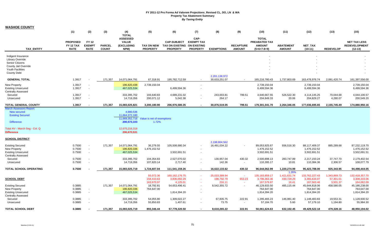| <b>WASHOE COUNTY</b> |  |
|----------------------|--|
|----------------------|--|

|                                                  | (1)                                                | (2)                                          | (3)                           | (4)<br><b>TOTAL</b>                                          | (5)                                  | (6)                                                             | (7)                                                                | (8)                            | (9)                               | (10)                                                                   | (11)                              | (12)                         | (13)             | (15)                                                     |
|--------------------------------------------------|----------------------------------------------------|----------------------------------------------|-------------------------------|--------------------------------------------------------------|--------------------------------------|-----------------------------------------------------------------|--------------------------------------------------------------------|--------------------------------|-----------------------------------|------------------------------------------------------------------------|-----------------------------------|------------------------------|------------------|----------------------------------------------------------|
| <b>TAX ENTITY</b>                                | <b>PROPOSED</b><br><b>FY 12 TAX</b><br><b>RATE</b> | <b>FY 12</b><br><b>EXEMPT</b><br><b>RATE</b> | <b>PARCEL</b><br><b>COUNT</b> | <b>ASSESSED</b><br><b>VALUE</b><br><b>(EXCLUDING</b><br>NPM) | <b>TAX ON NEW</b><br><b>PROPERTY</b> | <b>CAP-SUBJECT</b><br><b>TAX ON EXISTING</b><br><b>PROPERTY</b> | CAP-<br><b>EXEMPT TAX</b><br><b>ON EXISTING</b><br><b>PROPERTY</b> | <b>EXEMPTIONS</b>              | <b>RECAPTURE</b><br><b>AMOUNT</b> | <b>TOTAL</b><br><b>PREABATED TAX</b><br><b>AMOUNT</b><br>$(5+6+7-8+9)$ | <b>ABATEMENT</b><br><b>AMOUNT</b> | <b>NET TAX</b><br>$(10-11)$  | <b>REDEVELOP</b> | <b>NET TAX LESS</b><br><b>REDEVELOPMENT</b><br>$(12-13)$ |
| Indigent Insurance                               |                                                    |                                              |                               |                                                              |                                      |                                                                 |                                                                    |                                |                                   |                                                                        |                                   |                              |                  |                                                          |
| Library Override<br>Senior Citizens              |                                                    |                                              |                               |                                                              |                                      |                                                                 |                                                                    |                                |                                   |                                                                        |                                   |                              |                  |                                                          |
| County Jail Override                             |                                                    |                                              |                               |                                                              |                                      |                                                                 |                                                                    |                                |                                   |                                                                        |                                   |                              |                  |                                                          |
| Youth Facilities                                 |                                                    |                                              |                               |                                                              |                                      |                                                                 |                                                                    |                                |                                   |                                                                        |                                   |                              |                  |                                                          |
| <b>County Debt</b>                               |                                                    |                                              |                               |                                                              |                                      |                                                                 |                                                                    |                                |                                   |                                                                        |                                   |                              |                  |                                                          |
| <b>GENERAL TOTAL</b>                             | 1.3917                                             |                                              | 171,357                       | 14,071,064,791                                               | 67,318.91                            | 195,782,712.59                                                  |                                                                    | 2,201,138,972<br>30,633,251.07 | $\sim$                            | 165,216,780.43                                                         | 1,737,803.69                      | 163,478,976.74               | 2,081,420.74     | 161,397,556.00                                           |
|                                                  |                                                    |                                              |                               |                                                              |                                      |                                                                 |                                                                    |                                |                                   |                                                                        |                                   |                              |                  |                                                          |
| <b>New Property</b><br><b>Existing Unsecured</b> | 1.3917<br>1.3917                                   | $\blacksquare$<br>$\overline{\phantom{a}}$   |                               | 196,820,438<br>467,025,534                                   | 2,739,150.04                         | 6,499,594.36                                                    | $\sim$<br>$\overline{\phantom{a}}$                                 |                                |                                   | 2,739,150.04<br>6,499,594.36                                           |                                   | 2,739,150.04<br>6,499,594.36 |                  | 2,739,150.04<br>6,499,594.36                             |
| <b>Centrally Assessed</b>                        |                                                    |                                              |                               |                                                              |                                      |                                                                 |                                                                    |                                |                                   |                                                                        |                                   |                              |                  |                                                          |
| Secured                                          | 1.3917                                             | $\overline{\phantom{a}}$                     |                               | 333,395,702                                                  | 193,640.83                           | 4,689,231.02                                                    |                                                                    | 243,003.81                     | 799.51                            | 4,640,667.55                                                           | 526,522.30                        | 4,114,145.25                 | 70,044.68        | 4,044,100.57                                             |
| Unsecured                                        | 1.3917                                             | $\sim$                                       |                               | 14,719,356                                                   | 200,071.12                           | 5,042.38                                                        | $\blacksquare$                                                     | 264.17                         | $\sim$                            | 204,849.33                                                             | 20.06                             | 204,829.27                   | 4,280.07         | 200,549.20                                               |
| <b>TOTAL GENERAL COUNTY</b>                      | 1.3917                                             | $\overline{\phantom{a}}$                     | 171,357                       | 15,083,025,821                                               | 3,200,180.90                         | 206,976,580.35                                                  | $\sim$                                                             | 30,876,519.05                  | 799.51                            | 179,301,041.70                                                         | 2,264,346.05                      | 177,036,695.65               | 2,155,745.49     | 174,880,950.16                                           |
| March Assessors Report:<br>New secured           |                                                    |                                              |                               | 4,980,536                                                    |                                      |                                                                 |                                                                    |                                |                                   |                                                                        |                                   |                              |                  |                                                          |
| <b>Existing Secured</b>                          |                                                    |                                              |                               | 11,664,372,180                                               |                                      |                                                                 |                                                                    |                                |                                   |                                                                        |                                   |                              |                  |                                                          |
|                                                  |                                                    |                                              |                               | 11,669,352,716                                               | Value is net of exemptions           |                                                                 |                                                                    |                                |                                   |                                                                        |                                   |                              |                  |                                                          |
| <b>Difference</b>                                |                                                    |                                              |                               | 200,573,103                                                  | 1.72%                                |                                                                 |                                                                    |                                |                                   |                                                                        |                                   |                              |                  |                                                          |
| Total AV - March Seg - Col. Q                    |                                                    |                                              |                               | 12,675,216,318                                               |                                      |                                                                 |                                                                    |                                |                                   |                                                                        |                                   |                              |                  |                                                          |
| <b>Difference</b>                                |                                                    |                                              |                               | 206,670,531                                                  |                                      |                                                                 |                                                                    |                                |                                   |                                                                        |                                   |                              |                  |                                                          |
| <b>SCHOOL DISTRICT</b>                           |                                                    |                                              |                               |                                                              |                                      |                                                                 |                                                                    |                                |                                   |                                                                        |                                   |                              |                  |                                                          |
|                                                  |                                                    |                                              |                               |                                                              |                                      |                                                                 |                                                                    | 2.198.804.562                  |                                   |                                                                        |                                   |                              |                  |                                                          |
| <b>Existing Secured</b>                          | 0.7500<br>0.7500                                   | $\blacksquare$                               | 171,357                       | 14,071,064,791                                               | 36,279.55                            | 105,508,680.34                                                  |                                                                    | 16,491,034.22                  | $\overline{\phantom{a}}$          | 89,053,925.67                                                          | 936,516.30                        | 88,117,409.37                | 885,289.68       | 87,232,119.70                                            |
| New Property<br><b>Existing Unsecured</b>        | 0.7500                                             | $\sim$<br>$\sim$                             |                               | 196,820,336<br>467,025,534                                   | 1,476,152.52                         | 3,502,691.51                                                    | $\overline{\phantom{a}}$                                           |                                |                                   | 1,476,152.52<br>3,502,691.51                                           |                                   | 1,476,152.52<br>3,502,691.51 |                  | 1,476,152.52<br>3,502,691.51                             |
| <b>Centrally Assessed</b>                        |                                                    |                                              |                               |                                                              |                                      |                                                                 |                                                                    |                                |                                   |                                                                        |                                   |                              |                  |                                                          |
| Secured                                          | 0.7500                                             | $\sim$                                       |                               | 333,395,702                                                  | 104,354.83                           | 2,527,070.02                                                    | $\overline{\phantom{a}}$                                           | 130,957.04                     | 430.32                            | 2,500,898.13                                                           | 283,747.89                        | 2,217,150.24                 | 37,747.70        | 2,179,402.54                                             |
| Unsecured                                        | 0.7500                                             | $\sim$                                       |                               | 14,719,356                                                   | 107,820.14                           | 2,717.40                                                        | $\overline{\phantom{a}}$                                           | 142.36                         | $\sim$                            | 110,395.17                                                             | 10.81                             | 110,384.36                   | 2,306.57         | 108,077.79                                               |
| TOTAL SCHOOL OPERATING                           | 0.7500                                             |                                              | 171,357                       | 15,083,025,719                                               | 1,724,607.04                         | 111,541,159.26                                                  | $\sim$                                                             | 16,622,133.62                  | 430.32                            | 96,644,062.99                                                          | 1,220,274.99                      | 95,423,788.00                | 925,343.95       | 94,498,444.05                                            |
|                                                  |                                                    |                                              |                               |                                                              | 55,072.36                            | 160, 162, 176. 75                                               | o a                                                                | 25,033,389.94                  | $\sim$                            | 135, 183, 859. 17                                                      | 1.26%<br>1,421,631.74             | 133,762,227.43               | 1,343,869.73     | 132,418,357.70                                           |
| <b>SCHOOL DEBT</b>                               |                                                    |                                              |                               |                                                              | 158,410.63                           | 3,836,092.29                                                    |                                                                    | 198,792.79                     | 653.23                            | 3,796,363.36                                                           | 430,729.29                        | 3,365,634.07                 | 57,301.01        | 3,308,333.06                                             |
|                                                  |                                                    |                                              |                               |                                                              | 163,670.97                           | 4,125.01                                                        | $\sim$                                                             | 216.11                         | $\sim$                            | 167,579.87                                                             | 16.41                             | 167,563.46                   | 3,501.37         | 164,062.09                                               |
| <b>Existing Secured</b><br>New Property          | 0.3885<br>0.3885                                   |                                              | 171,357                       | 14,071,064,791<br>196,820,336                                | 18,792.81                            | 54,653,496.41                                                   |                                                                    | 8,542,355.72                   |                                   | 46,129,933.50<br>764,647.00                                            | 485,115.44                        | 45,644,818.06<br>764,647.00  | 458,580.05       | 45,186,238.00<br>764,647.00                              |
| <b>Existing Unsecured</b>                        | 0.3885                                             | $\blacksquare$                               |                               | 467,025,534                                                  | 764,647.00                           | 1,814,394.20                                                    | $\overline{\phantom{a}}$                                           |                                |                                   | 1,814,394.20                                                           |                                   | 1,814,394.20                 |                  | 1,814,394.20                                             |
| <b>Centrally Assessed</b>                        |                                                    |                                              |                               |                                                              |                                      |                                                                 |                                                                    |                                |                                   |                                                                        |                                   |                              |                  |                                                          |
| Secured                                          | 0.3885                                             | $\ddot{\phantom{0}}$                         |                               | 333,395,702                                                  | 54,055.80                            | 1,309,022.27                                                    | $\blacksquare$                                                     | 67,835.75                      | 222.91                            | 1,295,465.23                                                           | 146,981.40                        | 1,148,483.83                 | 19,553.31        | 1,128,930.52                                             |
| Unsecured                                        | 0.3885                                             |                                              |                               | 14,719,356                                                   | 55,850.83                            | 1,407.61                                                        | $\sim$                                                             | 73.75                          | $\sim$                            | 57,184.70                                                              | 5.60                              | 57,179.10                    | 1,194.80         | 55,984.30                                                |
| <b>TOTAL SCHOOL DEBT</b>                         | 0.3885                                             |                                              | 171,357                       | 15,083,025,719                                               | 893,346.44                           | 57,778,320.50                                                   |                                                                    | 8,610,265.22                   | 222.91                            | 50,061,624.63                                                          | 632,102.45                        | 49,429,522.18                | 479,328.16       | 48,950,194.02                                            |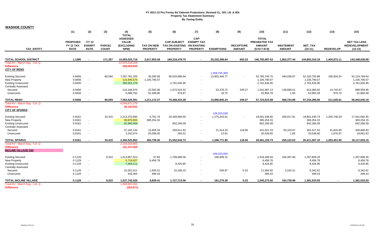| <b>WASHOE COUNTY</b>                                   |                                                    |                                              |                               |                                                              |                                      |                                                                      |                                              |                   |                                   |                                                                        |                                   |                             |                  |                                                          |
|--------------------------------------------------------|----------------------------------------------------|----------------------------------------------|-------------------------------|--------------------------------------------------------------|--------------------------------------|----------------------------------------------------------------------|----------------------------------------------|-------------------|-----------------------------------|------------------------------------------------------------------------|-----------------------------------|-----------------------------|------------------|----------------------------------------------------------|
|                                                        | (1)                                                | (2)                                          | (3)                           | (4)<br><b>TOTAL</b>                                          | (5)                                  | (6)                                                                  | (7)                                          | (8)               | (9)                               | (10)                                                                   | (11)                              | (12)                        | (13)             | (15)                                                     |
| <b>TAX ENTITY</b>                                      | <b>PROPOSED</b><br><b>FY 12 TAX</b><br><b>RATE</b> | <b>FY 12</b><br><b>EXEMPT</b><br><b>RATE</b> | <b>PARCEL</b><br><b>COUNT</b> | <b>ASSESSED</b><br><b>VALUE</b><br><b>(EXCLUDING</b><br>NPM) | <b>TAX ON NEW</b><br><b>PROPERTY</b> | <b>CAP-SUBJECT</b><br>TAX ON EXISTING ON EXISTING<br><b>PROPERTY</b> | CAP-<br><b>EXEMPT TAX</b><br><b>PROPERTY</b> | <b>EXEMPTIONS</b> | <b>RECAPTURE</b><br><b>AMOUNT</b> | <b>TOTAL</b><br><b>PREABATED TAX</b><br><b>AMOUNT</b><br>$(5+6+7-8+9)$ | <b>ABATEMENT</b><br><b>AMOUNT</b> | <b>NET TAX</b><br>$(10-11)$ | <b>REDEVELOP</b> | <b>NET TAX LESS</b><br><b>REDEVELOPMENT</b><br>$(12-13)$ |
| <b>TOTAL SCHOOL DISTRICT</b>                           | 1.1385                                             |                                              | 171,357                       | 15,083,025,719                                               | 2,617,953.48                         | 169,319,479.75                                                       |                                              | 25,232,398.84     | 653.23                            | 146,705,687.63                                                         | 1,852,377.44                      | 144,853,310.19              | 1,404,672.11     | 143,448,638.08                                           |
| Total AV - March Seq - Col. Q                          |                                                    |                                              |                               | 12,675,216,318                                               |                                      |                                                                      |                                              |                   |                                   |                                                                        |                                   |                             |                  |                                                          |
| <b>Difference</b>                                      |                                                    |                                              |                               | 209,004,839                                                  |                                      |                                                                      |                                              |                   |                                   |                                                                        |                                   |                             |                  |                                                          |
| <b>CITY OF RENO</b>                                    |                                                    |                                              |                               |                                                              |                                      |                                                                      |                                              |                   |                                   |                                                                        |                                   |                             |                  |                                                          |
|                                                        |                                                    |                                              |                               |                                                              |                                      |                                                                      |                                              | 1,459,755,369     |                                   |                                                                        |                                   |                             |                  |                                                          |
| <b>Existing Secured</b>                                | 0.9456                                             |                                              | 80,594                        | 7,037,781,205                                                | 30,290.58                            | 66,533,896.94                                                        | $\sim$                                       | 13,803,446.77     | $\sim$                            | 52,760,740.75                                                          | 440,036.87                        | 52,320,703.88               | 195,934.24       | 52,124,769.64                                            |
| <b>New Property</b>                                    | 0.9456                                             | $\sim$                                       |                               | 116,940,575                                                  | 1,105,790.07                         |                                                                      |                                              |                   |                                   | 1,105,790.07                                                           |                                   | 1,105,790.07                |                  | 1,105,790.07                                             |
| <b>Existing Unsecured</b>                              | 0.9456                                             | $\sim$                                       |                               | 292,051,179                                                  |                                      | 2,761,635.95                                                         | $\sim$                                       |                   |                                   | 2,761,635.95                                                           |                                   | 2,761,635.95                |                  | 2,761,635.95                                             |
| <b>Centrally Assessed</b>                              |                                                    |                                              |                               |                                                              |                                      |                                                                      |                                              |                   |                                   |                                                                        |                                   |                             |                  |                                                          |
| Secured                                                | 0.9456                                             | $\sim$                                       |                               | 110,166,870                                                  | 22,592.06                            | 1,072,524.52                                                         | $\sim$                                       | 53,378.72         | 249.27                            | 1,041,987.13                                                           | 128,686.51                        | 913,300.62                  | 14,740.67        | 898,559.95                                               |
| Unsecured                                              | 0.9456                                             |                                              |                               | 5,589,762                                                    | 52,499.66                            | 376.87                                                               |                                              | 19.75             | $\sim$                            | 52,856.78                                                              | 1.50                              | 52,855.28                   | 970.70           | 51,884.58                                                |
| <b>TOTAL RENO</b>                                      | 0.9456                                             |                                              | 80,594                        | 7,562,529,591                                                | 1,211,172.37                         | 70,368,434.28                                                        | $\sim$                                       | 13,856,845.24     | 249.27                            | 57,723,010.68                                                          | 568,724.88                        | 57,154,285.80               | 211,645.61       | 56,942,640.19                                            |
| Total AV - March Seg - Col. Q                          |                                                    |                                              |                               | 6,046,671,279                                                |                                      |                                                                      |                                              |                   |                                   |                                                                        |                                   |                             |                  |                                                          |
| <b>Difference</b>                                      |                                                    |                                              |                               | 56,102,943                                                   |                                      |                                                                      |                                              |                   |                                   |                                                                        |                                   |                             |                  |                                                          |
| <b>CITY OF SPARKS</b>                                  |                                                    |                                              |                               |                                                              |                                      |                                                                      |                                              |                   |                                   |                                                                        |                                   |                             |                  |                                                          |
|                                                        |                                                    |                                              |                               |                                                              |                                      |                                                                      |                                              | 139,203,538       |                                   |                                                                        |                                   |                             |                  |                                                          |
| <b>Existing Secured</b>                                | 0.9161                                             |                                              | 33,415                        | 2,213,370,690                                                | 6,791.76                             | 20,269,900.50                                                        |                                              | 1,275,243.61      | $\sim$                            | 19,001,448.65                                                          | 200,017.91                        | 18,801,430.74               | 1,259,748.29     | 17,541,682.45                                            |
| <b>New Property</b>                                    | 0.9161                                             | $\sim$                                       |                               | 39,870,555                                                   | 365,254.15                           |                                                                      |                                              |                   |                                   | 365,254.15                                                             |                                   | 365,254.15                  |                  | 365,254.15                                               |
| <b>Existing Unsecured</b><br><b>Centrally Assessed</b> | 0.9161                                             | $\sim$                                       |                               | 91,940,409                                                   |                                      | 842,266.09                                                           | $\sim$                                       |                   |                                   | 842,266.09                                                             |                                   | 842,266.09                  |                  | 842,266.09                                               |
| Secured                                                | 0.9161                                             | $\sim$                                       |                               | 47,102,134                                                   | 13,405.34                            | 439,611.62                                                           | $\sim$                                       | 21,514.33         | 118.56                            | 431,621.19                                                             | 50,103.67                         | 381,517.52                  | 31,826.69        | 349,690.83                                               |
| Unsecured                                              | 0.9161                                             | $\sim$                                       |                               | 2,242,074                                                    | 20,288.05                            | 265.51                                                               | $\sim$                                       | 13.91             | $\sim$                            | 20,539.65                                                              | 1.05                              | 20,538.60                   | 1,876.97         | 18,661.63                                                |
|                                                        |                                                    |                                              |                               |                                                              |                                      |                                                                      |                                              |                   |                                   |                                                                        |                                   |                             |                  |                                                          |
| <b>TOTAL SPARKS</b>                                    | 0.9161                                             |                                              | 33,415                        | 2,394,525,862                                                | 405,739.30                           | 21,552,043.72                                                        | $\sim$                                       | 1,296,771.85      | 118.56                            | 20,661,129.73                                                          | 250.122.63                        | 20.411.007.10               | 1,293,451.95     | 19,117,555.15                                            |
| Total AV - March Seg - Col. Q                          |                                                    |                                              |                               | 2,104,164,855                                                |                                      |                                                                      |                                              |                   |                                   |                                                                        |                                   |                             |                  |                                                          |
| <b>Difference</b>                                      |                                                    |                                              |                               | 151, 157, 469                                                |                                      |                                                                      |                                              |                   |                                   |                                                                        |                                   |                             |                  |                                                          |
| <b>INCLINE VILLAGE GID</b>                             |                                                    |                                              |                               |                                                              |                                      |                                                                      |                                              | 169,033,933       |                                   |                                                                        |                                   |                             |                  |                                                          |
| <b>Existing Secured</b>                                | 0.1129                                             |                                              | 9,323                         | 1,513,857,013                                                | 47.69                                | 1,709,098.56                                                         |                                              | 190,839.31        |                                   | 1,518,306.94                                                           | 160,497.68                        | 1,357,809.26                |                  | 1,357,809.26                                             |
| New Property                                           | 0.1129                                             | $\sim$                                       |                               | 5,719,027                                                    | 6,456.78                             |                                                                      |                                              |                   |                                   | 6,456.78                                                               |                                   | 6,456.78                    |                  | 6,456.78                                                 |
| <b>Existing Unsecured</b>                              | 0.1129                                             | $\sim$                                       |                               | 7,463,111                                                    |                                      | 8,425.85                                                             | $\sim$                                       |                   |                                   | 8,425.85                                                               |                                   | 8,425.85                    |                  | 8,425.85                                                 |
| <b>Centrally Assessed</b>                              |                                                    |                                              |                               |                                                              |                                      |                                                                      |                                              |                   |                                   |                                                                        |                                   |                             |                  |                                                          |
| Secured                                                | 0.1129                                             | $\sim$                                       |                               | 10,261,011                                                   | 1,835.51                             | 10,189.15                                                            |                                              | 439.97            | 0.23                              | 11,584.92                                                              | 3,242.31                          | 8,342.61                    |                  | 8,342.61                                                 |
| Unsecured                                              | 0.1129                                             | $\sim$                                       |                               | 442,364                                                      | 499.43                               |                                                                      |                                              |                   | $\sim$                            | 499.43                                                                 |                                   | 499.43                      |                  | 499.43                                                   |
| <b>TOTAL INCLINE VILLAGE</b>                           | 0.1129                                             |                                              | 9,323                         | 1,537,742,526                                                | 8,839.41                             | 1,727,713.56                                                         | $\sim$                                       | 191,279.28        | 0.23                              | 1,545,273.92                                                           | 163,739.99                        | 1,381,533.93                |                  | 1,381,533.93                                             |
| Total AV - March Seg - Col. Q                          |                                                    |                                              |                               | 1,368,961,464                                                |                                      |                                                                      |                                              |                   |                                   |                                                                        |                                   |                             |                  |                                                          |
| <b>Difference</b>                                      |                                                    |                                              |                               | (252, 871)                                                   |                                      |                                                                      |                                              |                   |                                   |                                                                        |                                   |                             |                  |                                                          |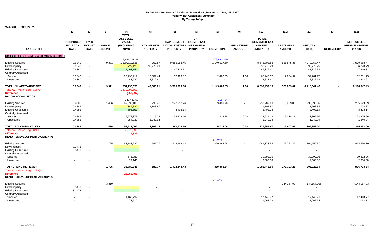#### **WASHOE COUNTY**

|                                                          | (1)                                         | (2)                                          | (3)                           | (4)<br><b>TOTAL</b>                                          | (5)                           | (6)                                                             | (7)                                                                | (8)               | (9)                               | (10)                                                                   | (11)                              | (12)                 | (13)                     | (15)                                                     |
|----------------------------------------------------------|---------------------------------------------|----------------------------------------------|-------------------------------|--------------------------------------------------------------|-------------------------------|-----------------------------------------------------------------|--------------------------------------------------------------------|-------------------|-----------------------------------|------------------------------------------------------------------------|-----------------------------------|----------------------|--------------------------|----------------------------------------------------------|
| <b>TAX ENTITY</b>                                        | <b>PROPOSED</b><br>FY 12 TAX<br><b>RATE</b> | <b>FY 12</b><br><b>EXEMPT</b><br><b>RATE</b> | <b>PARCEL</b><br><b>COUNT</b> | <b>ASSESSED</b><br><b>VALUE</b><br><b>(EXCLUDING</b><br>NPM) | TAX ON NEW<br><b>PROPERTY</b> | <b>CAP-SUBJECT</b><br><b>TAX ON EXISTING</b><br><b>PROPERTY</b> | CAP-<br><b>EXEMPT TAX</b><br><b>ON EXISTING</b><br><b>PROPERTY</b> | <b>EXEMPTIONS</b> | <b>RECAPTURE</b><br><b>AMOUNT</b> | <b>TOTAL</b><br><b>PREABATED TAX</b><br><b>AMOUNT</b><br>$(5+6+7-8+9)$ | <b>ABATEMENT</b><br><b>AMOUNT</b> | NET_TAX<br>$(10-11)$ | <b>REDEVELOP</b>         | <b>NET TAX LESS</b><br><b>REDEVELOPMENT</b><br>$(12-13)$ |
| NO LAKE TAHOE FIRE PROTECTION DISTRICT                   |                                             |                                              |                               |                                                              |                               |                                                                 |                                                                    |                   |                                   |                                                                        |                                   |                      |                          |                                                          |
|                                                          |                                             |                                              |                               | 9,686,318.81                                                 |                               |                                                                 |                                                                    | 179,892,350       |                                   |                                                                        |                                   |                      |                          |                                                          |
| <b>Existing Secured</b>                                  | 0.6340                                      |                                              | 9,371                         | 1,527,810,538                                                | 267.87                        | 9,686,053.45                                                    |                                                                    | 1,140,517.50      |                                   | 8,545,803.82                                                           | 565,845.35                        | 7,979,958.47         |                          | 7,979,958.47                                             |
| New Property                                             | 0.6340                                      | $\sim$                                       |                               | 5,722,128                                                    | 36,278.29                     |                                                                 |                                                                    |                   |                                   | 36,278.29                                                              |                                   | 36,278.29            |                          | 36,278.29                                                |
| <b>Existing Unsecured</b>                                | 0.6340                                      | $\blacksquare$                               |                               | 7,463,140                                                    |                               | 47,316.31                                                       | $\blacksquare$                                                     |                   |                                   | 47,316.31                                                              |                                   | 47,316.31            |                          | 47,316.31                                                |
| <b>Centrally Assessed</b>                                |                                             |                                              |                               |                                                              |                               |                                                                 |                                                                    |                   |                                   |                                                                        |                                   |                      |                          |                                                          |
| Secured                                                  | 0.6340                                      | $\sim$                                       |                               | 10,290,917                                                   | 10,307.44                     | 57,423.32                                                       | $\sim$                                                             | 2,486.35          | 1.66                              | 65,246.07                                                              | 12,964.32                         | 52,281.75            |                          | 52,281.75                                                |
| Unsecured                                                | 0.6340                                      | $\blacksquare$                               |                               | 443,630                                                      | 2,812.61                      |                                                                 |                                                                    |                   | $\sim$                            | 2,812.61                                                               |                                   | 2,812.61             |                          | 2,812.61                                                 |
| TOTAL N LAKE TAHOE FIRE                                  | 0.6340                                      | $\overline{\phantom{a}}$                     | 9,371                         | 1,551,730,353                                                | 49,666.21                     | 9,790,793.08                                                    | $\sim$                                                             | 1,143,003.85      | 1.66                              | 8,697,457.10                                                           | 578,809.67                        | 8,118,647.43         | $\sim$                   | 8,118,647.43                                             |
| Total AV - March Seg - Col. Q                            |                                             |                                              |                               | 1,372,090,599                                                |                               |                                                                 |                                                                    |                   |                                   |                                                                        |                                   |                      |                          |                                                          |
| <b>Difference</b>                                        |                                             |                                              |                               | (252, 597)                                                   |                               |                                                                 |                                                                    |                   |                                   |                                                                        |                                   |                      |                          |                                                          |
| PALOMINO VALLEY GID                                      |                                             |                                              |                               |                                                              |                               |                                                                 |                                                                    |                   |                                   |                                                                        |                                   |                      |                          |                                                          |
|                                                          |                                             |                                              |                               | 242,482.53                                                   |                               |                                                                 |                                                                    | 716,434           |                                   |                                                                        |                                   |                      |                          |                                                          |
| <b>Existing Secured</b>                                  | 0.4885                                      |                                              | 1,486                         | 49,638,185                                                   | 230.41                        | 242,252.26                                                      |                                                                    | 3,499.78          |                                   | 238,982.89                                                             | 3,289.80                          | 235,693.09           |                          | 235,693.09                                               |
| <b>New Property</b>                                      | 0.4885                                      | $\sim$                                       |                               | 349,820                                                      | 1,708.87                      |                                                                 |                                                                    |                   |                                   | 1,708.87                                                               |                                   | 1,708.87             |                          | 1,708.87                                                 |
| <b>Existing Unsecured</b>                                | 0.4885                                      | $\blacksquare$                               |                               | 696,651                                                      |                               | 3,403.14                                                        | $\sim$                                                             |                   |                                   | 3,403.14                                                               |                                   | 3,403.14             |                          | 3,403.14                                                 |
| <b>Centrally Assessed</b>                                |                                             |                                              |                               |                                                              |                               |                                                                 |                                                                    |                   |                                   |                                                                        |                                   |                      |                          |                                                          |
| Secured                                                  | 0.4885                                      | $\sim$                                       |                               | 6,678,373                                                    | 19.03                         | 34,823.10                                                       | $\blacksquare$                                                     | 2,218.28          | 0.28                              | 32,624.13                                                              | 9,318.17                          | 23,305.96            |                          | 23,305.96                                                |
| Unsecured                                                | 0.4885                                      | $\blacksquare$                               |                               | 254,033                                                      | 1,240.94                      |                                                                 | $\overline{\phantom{a}}$                                           |                   | $\sim$                            | 1,240.94                                                               |                                   | 1,240.94             |                          | 1,240.94                                                 |
| <b>TOTAL PALOMINO VALLEY</b>                             | 0.4885                                      |                                              | 1,486                         | 57,617,062                                                   | 3,199.25                      | 280,478.50                                                      | $\sim$                                                             | 5,718.06          | 0.28                              | 277,959.97                                                             | 12,607.97                         | 265,352.00           | $\blacksquare$           | 265,352.00                                               |
| Total AV - March Seg - Col. Q                            |                                             |                                              |                               | 56,875,295                                                   |                               |                                                                 |                                                                    |                   |                                   |                                                                        |                                   |                      |                          |                                                          |
| <b>Difference</b>                                        |                                             |                                              |                               | 25,333                                                       |                               |                                                                 |                                                                    |                   |                                   |                                                                        |                                   |                      |                          |                                                          |
| <b>RENO REDEVELOPMENT AGENCY #1</b>                      |                                             |                                              |                               |                                                              |                               |                                                                 |                                                                    |                   |                                   |                                                                        |                                   |                      |                          |                                                          |
|                                                          |                                             |                                              |                               |                                                              |                               |                                                                 |                                                                    | #DIV/0!           |                                   |                                                                        |                                   |                      |                          |                                                          |
| <b>Existing Secured</b>                                  |                                             |                                              | 1,725                         | 33,183,222                                                   | 587.77                        | 1,413,148.43                                                    |                                                                    | 369,362.64        |                                   | 1,044,373.56                                                           | 179,723.26                        | 864,650.30           |                          | 864,650.30                                               |
| <b>New Property</b>                                      | 3.1473                                      | $\blacksquare$                               |                               |                                                              |                               |                                                                 |                                                                    |                   |                                   |                                                                        |                                   |                      |                          |                                                          |
| <b>Existing Unsecured</b>                                | 3.1473                                      | $\sim$                                       |                               |                                                              |                               |                                                                 |                                                                    |                   |                                   |                                                                        |                                   |                      |                          | $\sim$                                                   |
| <b>Centrally Assessed</b>                                |                                             |                                              |                               |                                                              |                               |                                                                 |                                                                    |                   |                                   |                                                                        |                                   |                      |                          |                                                          |
| Secured                                                  |                                             |                                              |                               | 576,980                                                      |                               |                                                                 |                                                                    |                   |                                   | 39,392.96                                                              |                                   | 39,392.96            |                          | 39,392.96                                                |
| Unsecured                                                |                                             |                                              |                               | 29,146                                                       |                               |                                                                 |                                                                    |                   |                                   | 2,680.38                                                               |                                   | 2,680.38             |                          | 2,680.38                                                 |
| <b>TOTAL RENO INCREMENT</b>                              |                                             |                                              | 1,725                         | 33,789,348                                                   | 587.77                        | 1,413,148.43                                                    | $\sim$                                                             | 369,362.64        |                                   | 1,086,446.90                                                           | 179,723.26                        | 906,723.64           | $\overline{\phantom{a}}$ | 906,723.64                                               |
| Total AV - March Seg - Col. Q                            |                                             |                                              |                               |                                                              |                               |                                                                 |                                                                    |                   |                                   |                                                                        |                                   |                      |                          |                                                          |
| <b>Difference</b><br><b>RENO REDEVELOPMENT AGENCY #2</b> |                                             |                                              |                               | 22,053,491                                                   |                               |                                                                 |                                                                    |                   |                                   |                                                                        |                                   |                      |                          |                                                          |
| <b>Existing Secured</b>                                  |                                             |                                              | 3,310                         |                                                              |                               |                                                                 |                                                                    | #DIV/0!           |                                   |                                                                        | 144, 157.93                       | (144, 157.93)        |                          | (144, 157.93)                                            |
| New Property                                             | 3.1473                                      | $\sim$                                       |                               |                                                              |                               |                                                                 |                                                                    |                   |                                   |                                                                        |                                   |                      |                          |                                                          |
| <b>Existing Unsecured</b>                                | 3.1473                                      | $\sim$                                       |                               |                                                              |                               |                                                                 |                                                                    |                   |                                   |                                                                        |                                   | $\blacksquare$       |                          | $\sim$                                                   |
| <b>Centrally Assessed</b>                                |                                             |                                              |                               |                                                              |                               |                                                                 |                                                                    |                   |                                   |                                                                        |                                   |                      |                          |                                                          |
| Secured                                                  | $\overline{\phantom{a}}$                    |                                              |                               | 1,160,737                                                    |                               |                                                                 |                                                                    |                   |                                   | 17,448.77                                                              |                                   | 17,448.77            |                          | 17,448.77                                                |
| Unsecured                                                | $\sim$                                      | $\sim$                                       |                               | 73,510                                                       |                               |                                                                 |                                                                    |                   |                                   | 1,062.73                                                               |                                   | 1,062.73             |                          | 1,062.73                                                 |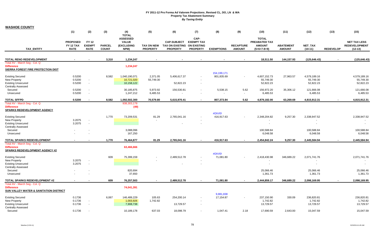| <b>WASHOE COUNTY</b>                                                                                                                            |                                                    |                                       |                               |                                                                       |                               |                                                                      |                                              |                        |                                   |                                                                 |                                   |                                           |                  |                                                          |
|-------------------------------------------------------------------------------------------------------------------------------------------------|----------------------------------------------------|---------------------------------------|-------------------------------|-----------------------------------------------------------------------|-------------------------------|----------------------------------------------------------------------|----------------------------------------------|------------------------|-----------------------------------|-----------------------------------------------------------------|-----------------------------------|-------------------------------------------|------------------|----------------------------------------------------------|
|                                                                                                                                                 | (1)                                                | (2)                                   | (3)                           | (4)                                                                   | (5)                           | (6)                                                                  | (7)                                          | (8)                    | (9)                               | (10)                                                            | (11)                              | (12)                                      | (13)             | (15)                                                     |
| <b>TAX ENTITY</b>                                                                                                                               | <b>PROPOSED</b><br><b>FY 12 TAX</b><br><b>RATE</b> | FY 12<br><b>EXEMPT</b><br><b>RATE</b> | <b>PARCEL</b><br><b>COUNT</b> | <b>TOTAL</b><br><b>ASSESSED</b><br><b>VALUE</b><br>(EXCLUDING<br>NPM) | TAX ON NEW<br><b>PROPERTY</b> | <b>CAP-SUBJECT</b><br>TAX ON EXISTING ON EXISTING<br><b>PROPERTY</b> | CAP-<br><b>EXEMPT TAX</b><br><b>PROPERTY</b> | <b>EXEMPTIONS</b>      | <b>RECAPTURE</b><br><b>AMOUNT</b> | <b>TOTAL</b><br>PREABATED TAX<br><b>AMOUNT</b><br>$(5+6+7-8+9)$ | <b>ABATEMENT</b><br><b>AMOUNT</b> | NET_TAX<br>$(10-11)$                      | <b>REDEVELOP</b> | <b>NET TAX LESS</b><br><b>REDEVELOPMENT</b><br>$(12-13)$ |
| TOTAL RENO REDEVELOPMENT                                                                                                                        |                                                    |                                       | 3,310                         | 1,234,247                                                             |                               |                                                                      |                                              |                        |                                   | 18,511.50                                                       | 144,157.93                        | (125, 646.43)                             |                  | (125, 646.43)                                            |
| Total AV - March Seg - Col. Q                                                                                                                   |                                                    |                                       |                               |                                                                       |                               |                                                                      |                                              |                        |                                   |                                                                 |                                   |                                           |                  |                                                          |
| <b>Difference</b><br>SIERRA FOREST FIRE PROTECTION DIST                                                                                         |                                                    |                                       |                               | 1,234,247                                                             |                               |                                                                      |                                              | 154,199,171            |                                   |                                                                 |                                   |                                           |                  |                                                          |
| <b>Existing Secured</b><br><b>New Property</b><br><b>Existing Unsecured</b>                                                                     | 0.5200<br>0.5200<br>0.5200                         | $\sim$<br>$\sim$                      | 8,582                         | 1,040,190,071<br>10,721,020<br>10,158,122                             | 2,371.05<br>55,749.30         | 5,406,617.37<br>52,822.23                                            | $\overline{\phantom{a}}$                     | 801,835.69             | $\blacksquare$                    | 4,607,152.73<br>55,749.30<br>52,822.23                          | 27,963.57                         | 4,579,189.16<br>55,749.30<br>52,822.23    |                  | 4,579,189.16<br>55,749.30<br>52,822.23                   |
| <b>Centrally Assessed</b><br>Secured<br>Unsecured                                                                                               | 0.5200<br>0.5200                                   | $\sim$<br>$\overline{\phantom{a}}$    |                               | 30,185,875<br>1,247,212                                               | 5,973.92<br>6,485.53          | 156,530.81<br>$\blacksquare$                                         | $\blacksquare$<br>$\sim$                     | 5,538.15<br>$\sim$     | 5.62<br>$\omega$                  | 156,972.20<br>6,485.53                                          | 35,306.12                         | 121,666.08<br>6,485.53                    |                  | 121,666.08<br>6,485.53                                   |
| <b>TOTAL SFFPD</b>                                                                                                                              | 0.5200                                             |                                       | 8,582                         | 1,092,502,300                                                         | 70,579.80                     | 5,615,970.41                                                         |                                              | 807,373.84             | 5.62                              | 4,879,182.00                                                    | 63,269.69                         | 4,815,912.31                              |                  | 4,815,912.31                                             |
| Total AV - March Seg - Col. Q<br><b>Difference</b><br><b>SPARKS REDEVELOPMENT AGENCY</b>                                                        |                                                    |                                       |                               | 938, 303, 178<br>(49)                                                 |                               |                                                                      |                                              |                        |                                   |                                                                 |                                   |                                           |                  |                                                          |
| <b>Existing Secured</b><br><b>New Property</b><br><b>Existing Unsecured</b><br><b>Centrally Assessed</b>                                        | 3.2075<br>3.2075                                   | $\sim$<br>$\sim$                      | 1,770                         | 73,209,531                                                            | 81.29                         | 2,765,041.16                                                         |                                              | #DIV/0!<br>416,917.63  |                                   | 2,348,204.82                                                    | 9,257.30                          | 2,338,947.52<br>$\mathbf{r}$              |                  | 2,338,947.52<br>$\sim$<br>$\sim$                         |
| Secured<br>Unsecured                                                                                                                            |                                                    |                                       |                               | 3,088,096<br>167,250                                                  |                               |                                                                      |                                              |                        |                                   | 100,588.84<br>6,048.58                                          |                                   | 100,588.84<br>6,048.58                    |                  | 100,588.84<br>6,048.58                                   |
| TOTAL SPARKS REDEVELOPMENT                                                                                                                      |                                                    |                                       | 1,770                         | 76,464,877                                                            | 81.29                         | 2,765,041.16                                                         | $\sim$                                       | 416,917.63             |                                   | 2,454,842.24                                                    | 9,257.30                          | 2,445,584.94                              | $\blacksquare$   | 2,445,584.94                                             |
| Total AV - March Seg - Col. Q<br><b>Difference</b><br><b>SPARKS REDEVELOPMENT AGENCY #2</b>                                                     |                                                    |                                       |                               | 63,466,666                                                            |                               |                                                                      |                                              | #DIV/0!                |                                   |                                                                 |                                   |                                           |                  |                                                          |
| <b>Existing Secured</b><br><b>New Property</b><br><b>Existing Unsecured</b><br><b>Centrally Assessed</b><br>Secured                             | 3.2075<br>3.2075                                   | $\overline{\phantom{a}}$<br>$\sim$    | 609                           | 75,399,159<br>820,694                                                 |                               | 2,489,512.78                                                         |                                              | 71,081.80              |                                   | 2,418,430.98<br>25,066.46                                       | 346,689.22                        | 2,071,741.76<br>$\mathbf{r}$<br>25,066.46 |                  | 2,071,741.76<br>$\sim$<br>$\sim$<br>25,066.46            |
| Unsecured                                                                                                                                       |                                                    |                                       |                               | 37,650                                                                |                               |                                                                      |                                              |                        |                                   | 1,361.73                                                        |                                   | 1,361.73                                  |                  | 1,361.73                                                 |
| <b>TOTAL SPARKS REDEVELOPMENT #2</b><br>Total AV - March Seg - Col. Q<br><b>Difference</b><br><b>SUN VALLEY WATER &amp; SANITATION DISTRICT</b> |                                                    |                                       | 609                           | 76,257,503<br>74,041,391                                              |                               | 2,489,512.78                                                         | $\sim$                                       | 71,081.80              |                                   | 2,444,859.17                                                    | 346,689.22                        | 2,098,169.95                              |                  | 2,098,169.95                                             |
| <b>Existing Secured</b><br><b>New Property</b><br><b>Existing Unsecured</b><br><b>Centrally Assessed</b>                                        | 0.1736<br>0.1736<br>0.1736                         | $\overline{\phantom{a}}$<br>$\sim$    | 6,067                         | 146,489,229<br>1,003,926<br>7,908,738                                 | 105.63<br>1,742.82            | 254,200.14<br>13,729.57                                              | $\sim$<br>$\overline{\phantom{a}}$           | 9,881,838<br>17,154.87 |                                   | 237,150.90<br>1,742.82<br>13,729.57                             | 330.09                            | 236,820.81<br>1,742.82<br>13,729.57       |                  | 236,820.81<br>1,742.82<br>13,729.57                      |
| Secured                                                                                                                                         | 0.1736                                             |                                       |                               | 10,189,178                                                            | 637.03                        | 18,098.79                                                            |                                              | 1.047.41               | 2.18                              | 17,690.59                                                       | 2.643.00                          | 15,047.59                                 |                  | 15,047.59                                                |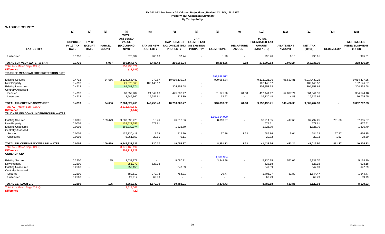**WASHOE COUNTY**

|                                                                                                   | (1)                                         | (2)                                          | (3)                           | (4)<br><b>TOTAL</b>                                   | (5)                                  | (6)                                                                  | (7)                                          | (8)                       | (9)                               | (10)                                                            | (11)                              | (12)                                     | (13)             | (15)                                                     |
|---------------------------------------------------------------------------------------------------|---------------------------------------------|----------------------------------------------|-------------------------------|-------------------------------------------------------|--------------------------------------|----------------------------------------------------------------------|----------------------------------------------|---------------------------|-----------------------------------|-----------------------------------------------------------------|-----------------------------------|------------------------------------------|------------------|----------------------------------------------------------|
| <b>TAX ENTITY</b>                                                                                 | <b>PROPOSED</b><br>FY 12 TAX<br><b>RATE</b> | <b>FY 12</b><br><b>EXEMPT</b><br><b>RATE</b> | <b>PARCEL</b><br><b>COUNT</b> | <b>ASSESSED</b><br><b>VALUE</b><br>(EXCLUDING<br>NPM) | <b>TAX ON NEW</b><br><b>PROPERTY</b> | <b>CAP-SUBJECT</b><br>TAX ON EXISTING ON EXISTING<br><b>PROPERTY</b> | CAP-<br><b>EXEMPT TAX</b><br><b>PROPERTY</b> | <b>EXEMPTIONS</b>         | <b>RECAPTURE</b><br><b>AMOUNT</b> | <b>TOTAL</b><br>PREABATED TAX<br><b>AMOUNT</b><br>$(5+6+7-8+9)$ | <b>ABATEMENT</b><br><b>AMOUNT</b> | <b>NET TAX</b><br>$(10-11)$              | <b>REDEVELOP</b> | <b>NET TAX LESS</b><br><b>REDEVELOPMENT</b><br>$(12-13)$ |
| Unsecured                                                                                         | 0.1736                                      | $\sim$                                       |                               | 573,602                                               | 960.00                               | 37.74                                                                |                                              | 1.98                      | $\mathbf{r}$                      | 995.76                                                          | 0.15                              | 995.61                                   |                  | 995.61                                                   |
| <b>TOTAL SUN VLLY WATER &amp; SANI</b>                                                            | 0.1736                                      | $\blacksquare$                               | 6,067                         | 166,164,673                                           | 3,445.48                             | 286,066.24                                                           | $\sim$                                       | 18,204.26                 | 2.18                              | 271,309.63                                                      | 2,973.24                          | 268,336.39                               | $\sim$           | 268,336.39                                               |
| Total AV - March Seg - Col. Q<br><b>Difference</b><br>TRUCKEE MEADOWS FIRE PROTECTION DIST        |                                             |                                              |                               | 156,295,521<br>(12,686)                               |                                      |                                                                      |                                              |                           |                                   |                                                                 |                                   |                                          |                  |                                                          |
| <b>Existing Secured</b><br>New Property<br><b>Existing Unsecured</b>                              | 0.4713<br>0.4713<br>0.4713                  | $\omega$<br>$\sim$                           | 34,656                        | 2,126,056,482<br>21,673,365<br>64,683,574             | 972.67<br>102,146.57                 | 10,019,132.23<br>304,853.68                                          | $\blacksquare$                               | 192,888,572<br>909,083.84 | $\sim$                            | 9,111,021.06<br>102,146.57<br>304,853.68                        | 96,583.81                         | 9,014,437.25<br>102,146.57<br>304,853.68 |                  | 9,014,437.25<br>102,146.57<br>304,853.68                 |
| <b>Centrally Assessed</b><br>Secured<br>Unsecured                                                 | 0.4713<br>0.4713                            | $\blacksquare$<br>$\tilde{\phantom{a}}$      |                               | 88,559,482<br>3,549,860                               | 24,049.63<br>15,581.61               | 425,002.47<br>1,212.39                                               | $\sim$<br>$\blacksquare$                     | 31,671.26<br>63.52        | 61.08<br>$\sim$                   | 417,441.92<br>16,730.48                                         | 52,897.74<br>4.83                 | 364,544.18<br>16,725.65                  |                  | 364,544.18<br>16,725.65                                  |
| <b>TOTAL TRUCKEE MEADOWS FIRE</b>                                                                 | 0.4713                                      | $\blacksquare$                               | 34,656                        | 2,304,522,763                                         | 142,750.48                           | 10,750,200.77                                                        | $\sim$                                       | 940,818.62                | 61.08                             | 9,952,193.71                                                    | 149,486.38                        | 9,802,707.33                             | $\sim$           | 9,802,707.33                                             |
| Total AV - March Seg - Col. Q<br><b>Difference</b><br>TRUCKEE MEADOWS UNDERGROUND WATER           |                                             |                                              |                               | 2,111,638,639<br>(4, 447)                             |                                      |                                                                      |                                              |                           |                                   |                                                                 |                                   |                                          |                  |                                                          |
| <b>Existing Secured</b><br><b>New Property</b><br><b>Existing Unsecured</b>                       | 0.0005<br>0.0005<br>0.0005                  | $\blacksquare$<br>$\sim$                     | 109,479                       | 9,303,393,428<br>135,522,551<br>365,339,074           | 15.76<br>677.61                      | 46,512.36<br>1,826.70                                                | $\sim$                                       | 1,662,654,000<br>8,313.27 | $\mathbf{r}$                      | 38,214.85<br>677.61<br>1,826.70                                 | 417.60                            | 37,797.25<br>677.61<br>1,826.70          | 781.88           | 37,015.37<br>677.61<br>1,826.70                          |
| <b>Centrally Assessed</b><br>Secured<br>Unsecured                                                 | 0.0005<br>0.0005                            | $\blacksquare$<br>$\sim$                     |                               | 137,730,418<br>5,951,852                              | 7.29<br>29.61                        | 719.20<br>0.11                                                       | $\sim$<br>$\overline{\phantom{a}}$           | 37.86                     | 1.23<br>$\sim$                    | 689.86<br>29.72                                                 | 5.64                              | 684.22<br>29.72                          | 27.87<br>1.52    | 656.35<br>28.20                                          |
| TOTAL TRUCKEE MEADOWS UND WATER                                                                   | 0.0005                                      | $\blacksquare$                               | 109,479                       | 9,947,937,323                                         | 730.27                               | 49,058.37                                                            | $\sim$                                       | 8,351.13                  | 1.23                              | 41,438.74                                                       | 423.24                            | 41,015.50                                | 811.27           | 40,204.23                                                |
| Total AV - March Seg - Col. Q<br><b>Difference</b><br><b>GERLACH GID</b>                          |                                             |                                              |                               | 8,076,166,194<br>209,117,129                          |                                      |                                                                      |                                              |                           |                                   |                                                                 |                                   |                                          |                  |                                                          |
| <b>Existing Secured</b><br>New Property<br><b>Existing Unsecured</b><br><b>Centrally Assessed</b> | 0.2500<br>0.2500<br>0.2500                  | $\sim$<br>$\mathbf{r}$                       | 195                           | 3,632,178<br>251,272<br>259,156                       | $\sim$<br>628.18                     | 9,080.71<br>647.89                                                   | $\overline{\phantom{a}}$                     | 1,339,984<br>3.349.96     |                                   | 5,730.75<br>628.18<br>647.89                                    | 592.05                            | 5,138.70<br>628.18<br>647.89             |                  | 5,138.70<br>628.18<br>647.89                             |
| Secured<br>Unsecured                                                                              | 0.2500<br>0.2500                            | $\blacksquare$<br>$\sim$                     |                               | 682,510<br>27,917                                     | 972.73<br>69.79                      | 754.31                                                               | $\overline{\phantom{a}}$                     | 20.77<br>$\sim$           | $\overline{\phantom{a}}$          | 1,706.27<br>69.79                                               | 61.80                             | 1,644.47<br>69.79                        |                  | 1,644.47<br>69.79                                        |
| <b>TOTAL GERLACH GID</b>                                                                          | 0.2500                                      | $\overline{\phantom{a}}$                     | 195                           | 4,853,032                                             | 1,670.70                             | 10,482.91                                                            | $\sim$                                       | 3,370.73                  | $\sim$                            | 8,782.88                                                        | 653.85                            | 8,129.03                                 | $\blacksquare$   | 8,129.03                                                 |
| Total AV - March Seg - Col. Q<br><b>Difference</b>                                                |                                             |                                              |                               | 3,513,068<br>(20)                                     |                                      |                                                                      |                                              |                           |                                   |                                                                 |                                   |                                          |                  |                                                          |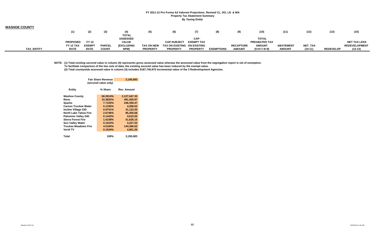| <b>WASHOE COUNTY</b> |                 |              |               |                   |                 |                             |                   |                   |                  |                      |                  |                |                  |                      |
|----------------------|-----------------|--------------|---------------|-------------------|-----------------|-----------------------------|-------------------|-------------------|------------------|----------------------|------------------|----------------|------------------|----------------------|
|                      | (1)             | (2)          | (3)           | (4)               | (5)             | (6)                         | (7)               | (8)               | (9)              | (10)                 | (11)             | (12)           | (13)             | (15)                 |
|                      |                 |              |               | <b>TOTAL</b>      |                 |                             |                   |                   |                  |                      |                  |                |                  |                      |
|                      |                 |              |               | <b>ASSESSED</b>   |                 |                             | CAP-              |                   |                  | <b>TOTAL</b>         |                  |                |                  |                      |
|                      | <b>PROPOSED</b> | <b>FY 12</b> |               | <b>VALUE</b>      |                 | <b>CAP-SUBJECT</b>          | <b>EXEMPT TAX</b> |                   |                  | <b>PREABATED TAX</b> |                  |                |                  | <b>NET TAX LESS</b>  |
|                      | FY 12 TAX       | <b>EXEMP</b> | <b>PARCEL</b> | <b>(EXCLUDING</b> | TAX ON NEW      | TAX ON EXISTING ON EXISTING |                   |                   | <b>RECAPTURE</b> | <b>AMOUNT</b>        | <b>ABATEMENT</b> | <b>NET TAX</b> |                  | <b>REDEVELOPMENT</b> |
| <b>TAX ENTITY</b>    | <b>RATE</b>     | <b>RATE</b>  | <b>COUNT</b>  | NPM)              | <b>PROPERTY</b> | <b>PROPERTY</b>             | <b>PROPERTY</b>   | <b>EXEMPTIONS</b> | <b>AMOUNT</b>    | $(5+6+7-8+9)$        | <b>AMOUNT</b>    | $(10-11)$      | <b>REDEVELOP</b> | $(12-13)$            |

NOTE: (1) Total existing secured value in column (4) represents gross assessed value whereas the assessed value from the segregation report is net of exemption. **To facilitate comparison of the two sets of data, the existing secured value has been reduced by the exempt value. (2) Total countywide assessed value in column (4) includes \$187,745,975 incremental value of the 3 Redevelopment Agencies.**

|                       | <b>Fair Share Revenue</b><br>(secured value only) | 3,195,083          |
|-----------------------|---------------------------------------------------|--------------------|
| Entity                | % Share                                           | <b>Rev. Amount</b> |
| <b>Washoe County</b>  | 66.5914%                                          | 2,127,647.35       |
| Reno                  | 15.3832%                                          | 491,505.97         |
| Sparks                | 7.7103%                                           | 246,350.47         |
| Carson Truckee Water  | 0.1336%                                           | 4,268.63           |
| Incline Village GID   | 0.9741%                                           | 31,123.30          |
| North Lake Tahoe Fire | 2.6746%                                           | 85,455.68          |
| Palomino Valley GID   | 0.1443%                                           | 4,610.50           |
| Sierra Forest Fire    | 1.6158%                                           | 51.626.15          |
| Sun Valley Water      | 0.1010%                                           | 3,227.03           |
| Truckee Meadows Fire  | 4.5184%                                           | 144.366.62         |
| Verdi TV              | 0.1534%                                           | 4,901.26           |
| Total                 | 100%                                              | 3,195,083          |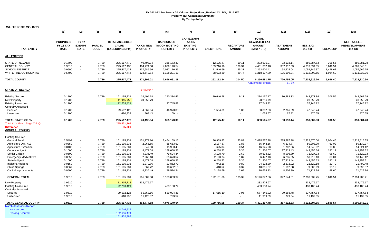| <b>WHITE PINE COUNTY</b>                                                                          |                                                    |                                                      |                                  |                                                            |                                                     |                                                                 |                                                                          |                                                   |                                   |                                                                 |                                                     |                                                            |                                            |                                                            |
|---------------------------------------------------------------------------------------------------|----------------------------------------------------|------------------------------------------------------|----------------------------------|------------------------------------------------------------|-----------------------------------------------------|-----------------------------------------------------------------|--------------------------------------------------------------------------|---------------------------------------------------|-----------------------------------|-----------------------------------------------------------------|-----------------------------------------------------|------------------------------------------------------------|--------------------------------------------|------------------------------------------------------------|
|                                                                                                   | (1)                                                | (2)                                                  | (3)                              | (4)                                                        | (5)                                                 | (6)                                                             | (7)                                                                      | (8)                                               | (9)                               | (10)                                                            | (11)                                                | (12)                                                       | (13)                                       | (15)                                                       |
| <b>TAX ENTITY</b>                                                                                 | <b>PROPOSED</b><br><b>FY 12 TAX</b><br><b>RATE</b> | <b>FY 12</b><br><b>EXEMPT</b><br><b>RATE</b>         | <b>PARCEL</b><br><b>COUNT</b>    | <b>TOTAL ASSESSED</b><br><b>VALUE</b><br>(EXCLUDING NPM)   | <b>TAX ON NEW</b><br><b>PROPERTY</b>                | <b>CAP-SUBJECT</b><br><b>TAX ON EXISTING</b><br><b>PROPERTY</b> | <b>CAP-EXEMPT</b><br><b>TAX ON</b><br><b>EXISTING</b><br><b>PROPERTY</b> | <b>EXEMPTIONS</b>                                 | <b>RECAPTURE</b><br><b>AMOUNT</b> | <b>TOTAL</b><br>PREABATED TAX<br><b>AMOUNT</b><br>$(5+6+7-8+9)$ | <b>ABATEMENT</b><br><b>AMOUNT</b>                   | <b>NET TAX</b><br>$(10-11)$                                | <b>REDEVELOP</b>                           | <b>NET TAX LESS</b><br><b>REDEVELOPMENT</b><br>$(12-13)$   |
| <b>ALL ENTITIES</b>                                                                               |                                                    |                                                      |                                  |                                                            |                                                     |                                                                 |                                                                          |                                                   |                                   |                                                                 |                                                     |                                                            |                                            |                                                            |
| STATE OF NEVADA<br><b>GENERAL COUNTY</b><br><b>SCHOOL DISTRICT</b><br>WHITE PINE CO HOSPITAL      | 0.1700<br>1.9510<br>0.9990<br>0.5400               | $\sim$<br>$\sim$<br>$\blacksquare$<br>$\blacksquare$ | 7,789<br>7,789<br>7,789<br>7,789 | 225,517,472<br>225,517,435<br>225,517,432<br>225,517,444   | 40,498.04<br>464,774.58<br>237,985.56<br>128,640.84 | 355,173.30<br>4,076,140.54<br>2,087,176.23<br>1,128,201.11      | $\sim$                                                                   | 12,175.47<br>139,716.98<br>71,546.69<br>38,673.80 | 10.11<br>109.34<br>55.31<br>29.74 | 383,505.97<br>4,401,307.48<br>2,253,670.41<br>1,218,197.89      | 33,118.14<br>387,912.63<br>194,525.04<br>105,199.24 | 350,387.83<br>4,013,394.85<br>2,059,145.37<br>1,112,998.65 | 306.55<br>3,846.54<br>1,478.62<br>1,064.69 | 350,081.28<br>4,009,548.31<br>2,057,666.75<br>1,111,933.96 |
| <b>TOTAL COUNTY</b>                                                                               |                                                    |                                                      | 7,789                            | 225,517,472                                                | 871,899.01                                          | 7,646,691.18                                                    |                                                                          | 262,112.94                                        | 204.50                            | 8,256,681.75                                                    | 720,755.05                                          | 7,535,926.70                                               | 6,696.40                                   | 7,529,230.30                                               |
| <b>STATE OF NEVADA</b>                                                                            |                                                    |                                                      |                                  |                                                            | 8,473,047                                           |                                                                 |                                                                          |                                                   |                                   | <b>Abatement Percent</b>                                        | 8.73%                                               |                                                            |                                            |                                                            |
| <b>Existing Secured</b><br>New Property<br><b>Existing Unsecured</b><br><b>Centrally Assessed</b> | 0.1700<br>0.1700<br>0.1700                         |                                                      | 7,789                            | 161,195,231<br>11,915,756<br>22,203,421                    | 14,404.18<br>20,256.79<br>4,867.64                  | 270.384.46<br>37,745.82                                         | $\sim$                                                                   | 10,640.58                                         | 9.11<br>1.00                      | 274,157.17<br>20,256.79<br>37,745.82                            | 30,283.33                                           | 243,873.84<br>20,256.79<br>37,745.82<br>47,540.74          | 306.55                                     | 243,567.29<br>20,256.79<br>37,745.82<br>47,540.74          |
| Secured<br>Unsecured                                                                              | 0.1700<br>0.1700                                   |                                                      |                                  | 29,592,126<br>610,938                                      | 969.43                                              | 46,973.88<br>69.14                                              | $\sim$                                                                   | 1,534.89                                          | $\sim$                            | 50,307.63<br>1,038.57                                           | 2,766.89<br>67.92                                   | 970.65                                                     |                                            | 970.65                                                     |
| <b>TOTAL STATE OF NV</b><br>Total AV - March Seg - Col. Q                                         | 0.1700                                             |                                                      | 7.789                            | 225,517,472<br>225,451,763                                 | 40.498.04                                           | 355,173.30                                                      |                                                                          | 12,175.47                                         | 10.11                             | 383,505.97                                                      | 33.118.14                                           | 350,387.83                                                 | 306.55                                     | 350,081.28                                                 |
| <b>Difference</b><br><b>GENERAL COUNTY</b>                                                        |                                                    |                                                      |                                  | 65,709                                                     |                                                     |                                                                 |                                                                          |                                                   |                                   |                                                                 |                                                     |                                                            |                                            |                                                            |
| <b>Existing Secured</b>                                                                           |                                                    |                                                      |                                  |                                                            |                                                     |                                                                 |                                                                          |                                                   |                                   |                                                                 |                                                     |                                                            |                                            |                                                            |
| General Fund<br>Agriculture Dist. #13<br><b>Agriculture Extension</b><br>County Indigent          | 1.5493<br>0.0350<br>0.0100<br>0.1000               | $\blacksquare$<br>$\omega$<br>$\omega$<br>$\sim$     | 7,789<br>7,789<br>7,789<br>7,789 | 161, 195, 231<br>161,195,231<br>161,195,231<br>161,195,231 | 131,273.80<br>2,965.55<br>847.33<br>8,473.08        | 2,464,159.17<br>55,663.60<br>15,903.45<br>159,050.35            |                                                                          | 96,959.42<br>2,187.87<br>625.34<br>6,258.72       | 83.83<br>1.88<br>0.54<br>5.36     | 2,498,557.38<br>56,443.16<br>16,125.98<br>161,270.07            | 275,987.38<br>6,234.77<br>1,782.06<br>17,813.43     | 2,222,570.00<br>50,208.39<br>14,343.92<br>143,456.64       | 3,054.45<br>69.02<br>19.80<br>197.12       | 2,219,515.55<br>50,139.37<br>14,324.12<br>143,259.52       |
| Senior Citizen<br><b>Emergency Medical Svc</b><br>State Indigent                                  | 0.0500<br>0.0350<br>0.1000                         | $\sim$<br>$\sim$<br>$\sim$                           | 7,789<br>7,789<br>7.789          | 161,195,231<br>161,195,231<br>161, 195, 231                | 4,236.49<br>2,965.48<br>8.473.08                    | 79,524.34<br>55,673.57<br>159.050.35                            |                                                                          | 3,128.70<br>2,193.74<br>6,258.72                  | 2.69<br>1.87<br>5.36              | 80,634.82<br>56,447.18<br>161,270.07                            | 8,906.89<br>6,235.05<br>17.813.44                   | 71,727.93<br>50,212.13<br>143,456.63                       | 98.60<br>69.01<br>197.12                   | 71,629.33<br>50,143.12<br>143,259.51                       |
| Indigent Accident<br>China Springs<br>Capital Improvements                                        | 0.0150<br>0.0067<br>0.0500                         | $\omega$<br>$\mathcal{L}^{\mathcal{A}}$<br>$\sim$    | 7,789<br>7,789<br>7,789          | 161,195,231<br>161,195,231<br>161,195,231                  | 1,270.86<br>567.72<br>4,236.49                      | 23,862.70<br>10,652.10<br>79,524.34                             | $\sim$                                                                   | 942.16<br>418.52<br>3,128.69                      | 0.80<br>0.37<br>2.69              | 24,192.20<br>10,801.67<br>80,634.83                             | 2,672.02<br>1,192.68<br>8,906.89                    | 21,520.18<br>9,608.99<br>71,727.94                         | 29.70<br>13.12<br>98.60                    | 21,490.48<br>9,595.87<br>71,629.34                         |
| <b>GENERAL TOTAL</b>                                                                              | 1.9510                                             |                                                      | 7.789                            | 161,195,231                                                | 165,309.88                                          | 3,103,063.97                                                    |                                                                          | 122,101.88                                        | 105.39                            | 3,146,377.36                                                    | 347,544.61                                          | 2,798,832.75                                               | 3,846.54                                   | 2,794,986.21                                               |
| New Property<br><b>Existing Unsecured</b><br><b>Centrally Assessed</b>                            | 1.9510<br>1.9510                                   |                                                      |                                  | 11,915,718<br>22,203,421                                   | 232,475.67                                          | 433,188.74                                                      |                                                                          |                                                   |                                   | 232,475.67<br>433,188.74                                        |                                                     | 232,475.67<br>433,188.74                                   |                                            | 232,475.67<br>433,188.74                                   |
| Secured<br>Unsecured                                                                              | 1.9510<br>1.9510                                   |                                                      |                                  | 29,592,126<br>610,938                                      | 55,863.16<br>11,125.87                              | 539,094.31<br>793.52                                            | $\sim$                                                                   | 17,615.10<br>$\sim$                               | 3.95<br>$\sim$                    | 577,346.32<br>11,919.39                                         | 39,588.48<br>779.54                                 | 537,757.84<br>11,139.85                                    |                                            | 537,757.84<br>11,139.85                                    |
| <b>TOTAL GENERAL COUNTY</b>                                                                       | 1.9510                                             |                                                      | 7,789                            | 225,517,435                                                | 464,774.58                                          | 4,076,140.54                                                    | $\sim$                                                                   | 139,716.98                                        | 109.34                            | 4,401,307.48                                                    | 387,912.63                                          | 4,013,394.85                                               | 3,846.54                                   | 4,009,548.31                                               |
| <b>March Assessors Report:</b><br><b>New secured</b><br><b>Existing Secured</b>                   |                                                    |                                                      |                                  | 8,746,515<br>152,656,474<br>161,402,989                    |                                                     |                                                                 |                                                                          |                                                   |                                   |                                                                 |                                                     |                                                            |                                            |                                                            |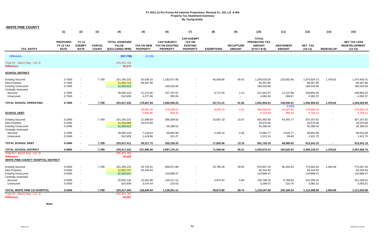| <b>WHITE PINE COUNTY</b>                               |                                             |                                              |                               |                                                          |                                      |                                                                 |                                                                          |                          |                                   |                                                                 |                                   |                             |                  |                                                          |
|--------------------------------------------------------|---------------------------------------------|----------------------------------------------|-------------------------------|----------------------------------------------------------|--------------------------------------|-----------------------------------------------------------------|--------------------------------------------------------------------------|--------------------------|-----------------------------------|-----------------------------------------------------------------|-----------------------------------|-----------------------------|------------------|----------------------------------------------------------|
|                                                        | (1)                                         | (2)                                          | (3)                           | (4)                                                      | (5)                                  | (6)                                                             | (7)                                                                      | (8)                      | (9)                               | (10)                                                            | (11)                              | (12)                        | (13)             | (15)                                                     |
| <b>TAX ENTITY</b>                                      | <b>PROPOSED</b><br>FY 12 TAX<br><b>RATE</b> | <b>FY 12</b><br><b>EXEMPT</b><br><b>RATE</b> | <b>PARCEL</b><br><b>COUNT</b> | <b>TOTAL ASSESSED</b><br><b>VALUE</b><br>(EXCLUDING NPM) | <b>TAX ON NEW</b><br><b>PROPERTY</b> | <b>CAP-SUBJECT</b><br><b>TAX ON EXISTING</b><br><b>PROPERTY</b> | <b>CAP-EXEMPT</b><br><b>TAX ON</b><br><b>EXISTING</b><br><b>PROPERTY</b> | <b>EXEMPTIONS</b>        | <b>RECAPTURE</b><br><b>AMOUNT</b> | <b>TOTAL</b><br>PREABATED TAX<br><b>AMOUNT</b><br>$(5+6+7-8+9)$ | <b>ABATEMENT</b><br><b>AMOUNT</b> | <b>NET TAX</b><br>$(10-11)$ | <b>REDEVELOP</b> | <b>NET TAX LESS</b><br><b>REDEVELOPMENT</b><br>$(12-13)$ |
| <b>Difference</b>                                      |                                             |                                              |                               | (207, 758)                                               | $-0.13%$                             |                                                                 |                                                                          |                          |                                   |                                                                 |                                   |                             |                  |                                                          |
|                                                        |                                             |                                              |                               |                                                          |                                      |                                                                 |                                                                          |                          |                                   |                                                                 |                                   |                             |                  |                                                          |
| Total AV - March Seg - Col. Q<br><b>Difference</b>     |                                             |                                              |                               | 225,451,763<br>65,672                                    |                                      |                                                                 |                                                                          |                          |                                   |                                                                 |                                   |                             |                  |                                                          |
| <b>SCHOOL DISTRICT</b>                                 |                                             |                                              |                               |                                                          |                                      |                                                                 |                                                                          |                          |                                   |                                                                 |                                   |                             |                  |                                                          |
| <b>Existing Secured</b>                                | 0.7500                                      |                                              | 7,789                         | 161,195,231                                              | 63,548.16                            | 1,192,877.66                                                    |                                                                          | 46,939.66                | 40.43                             | 1,209,526.59                                                    | 133,602.46                        | 1,075,924.13                | 1,478.62         | 1,074,445.51                                             |
| <b>New Property</b>                                    | 0.7500                                      | $\sim$                                       |                               | 11,915,715                                               | 89,367.86                            |                                                                 |                                                                          |                          |                                   | 89,367.86                                                       |                                   | 89,367.86                   |                  | 89,367.86                                                |
| <b>Existing Unsecured</b><br><b>Centrally Assessed</b> | 0.7500                                      | $\sim$                                       |                               | 22,203,421                                               |                                      | 166,525.66                                                      |                                                                          |                          |                                   | 166,525.66                                                      |                                   | 166,525.66                  |                  | 166,525.66                                               |
| Secured                                                | 0.7500                                      | $\sim$                                       |                               | 29.592.126                                               | 21.474.82                            | 207.237.67                                                      |                                                                          | 6,771.55                 | 1.13                              | 221,942.07                                                      | 12,137.88                         | 209.804.20                  |                  | 209,804.20                                               |
| Unsecured                                              | 0.7500                                      |                                              |                               | 610,938                                                  | 4,277.00                             | 305.05                                                          |                                                                          |                          | $\sim$                            | 4,582.04                                                        | 299.67                            | 4,282.37                    |                  | 4,282.37                                                 |
|                                                        |                                             |                                              |                               |                                                          |                                      |                                                                 |                                                                          |                          |                                   |                                                                 |                                   |                             |                  |                                                          |
| TOTAL SCHOOL OPERATING                                 | 0.7500                                      |                                              | 7,789                         | 225,517,432                                              | 178,667.84                           | 1,566,946.03                                                    | $\blacksquare$                                                           | 53,711.21                | 41.56                             | 1,691,944.22                                                    | 146,040.01                        | 1,545,904.22                | 1,478.62         | 1,544,425.60                                             |
|                                                        |                                             |                                              |                               |                                                          |                                      |                                                                 |                                                                          |                          |                                   |                                                                 | 8.63%                             |                             |                  |                                                          |
|                                                        |                                             |                                              |                               |                                                          | 28,604.46                            | 276,040.57                                                      |                                                                          | 9,019.70                 | 1.51                              | 295,626.84                                                      | 16,167.65                         | 279,459.19                  |                  | 279,459.19                                               |
| <b>SCHOOL DEBT</b>                                     |                                             |                                              |                               |                                                          | 5,696.96                             | 406.32                                                          |                                                                          | $\overline{\phantom{a}}$ | $\sim$                            | 6,103.28                                                        | 399.16                            | 5,704.12                    | $\sim$           | 5,704.12                                                 |
| <b>Existing Secured</b>                                | 0.2490                                      |                                              | 7,789                         | 161,195,231                                              | 21,098.04                            | 396,039.50                                                      |                                                                          | 15,587.33                | 13.37                             | 401,563.58                                                      | 44,355.77                         | 357,207.81                  | $\sim$           | 357,207.81                                               |
| New Property                                           | 0.2490                                      |                                              |                               | 11,915,695                                               | 29,670.08                            |                                                                 |                                                                          |                          |                                   | 29,670.08                                                       |                                   | 29,670.08                   |                  | 29,670.08                                                |
| <b>Existing Unsecured</b>                              | 0.2490                                      | $\sim$                                       |                               | 22,203,421                                               |                                      | 55,286.52                                                       |                                                                          |                          |                                   | 55,286.52                                                       |                                   | 55,286.52                   |                  | 55,286.52                                                |
| <b>Centrally Assessed</b>                              |                                             |                                              |                               |                                                          |                                      |                                                                 |                                                                          |                          |                                   |                                                                 |                                   |                             |                  |                                                          |
| Secured                                                | 0.2490                                      | $\sim$                                       |                               | 29,592,126                                               | 7,129.64                             | 68,802.90                                                       |                                                                          | 2,248.15                 | 0.38                              | 73,684.77                                                       | 4,029.77                          | 69,654.99                   |                  | 69,654.99                                                |
| Unsecured                                              | 0.2490                                      | $\sim$                                       |                               | 610,938                                                  | 1,419.96                             | 101.27                                                          |                                                                          |                          | $\sim$                            | 1,521.24                                                        | 99.49                             | 1,421.75                    |                  | 1,421.75                                                 |
|                                                        |                                             |                                              |                               |                                                          |                                      |                                                                 |                                                                          |                          |                                   |                                                                 |                                   |                             |                  |                                                          |
| <b>TOTAL SCHOOL DEBT</b>                               | 0.2490                                      |                                              | 7,789                         | 225,517,411                                              | 59,317.72                            | 520,230.20                                                      | $\blacksquare$                                                           | 17,835.48                | 13.75                             | 561,726.18                                                      | 48,485.03                         | 513,241.15                  |                  | 513,241.15                                               |
| <b>TOTAL SCHOOL DISTRICT</b>                           | 0.9990                                      |                                              | 7,789                         | 225,517,432                                              | 237,985.56                           | 2,087,176.23                                                    | $\overline{\phantom{a}}$                                                 | 71,546.69                | 55.31                             | 2,253,670.41                                                    | 194,525.04                        | 2,059,145.37                | 1,478.62         | 2,057,666.75                                             |
| Total AV - March Seg - Col. Q                          |                                             |                                              |                               | 225,451,763                                              |                                      |                                                                 |                                                                          |                          |                                   |                                                                 |                                   |                             |                  |                                                          |
| <b>Difference</b>                                      |                                             |                                              |                               | 65,669                                                   |                                      |                                                                 |                                                                          |                          |                                   |                                                                 |                                   |                             |                  |                                                          |
| <b>WHITE PINE COUNTY HOSPITAL DISTRICT</b>             |                                             |                                              |                               |                                                          |                                      |                                                                 |                                                                          |                          |                                   |                                                                 |                                   |                             |                  |                                                          |
| <b>Existing Secured</b>                                | 0.5400                                      |                                              | 7,789                         | 161,195,231                                              | 45,754.61                            | 858,871.88                                                      |                                                                          | 33,798.28                | 29.05                             | 870,857.26                                                      | 96,194.64                         | 774,662.62                  | 1,064.69         | 773,597.93                                               |
| <b>New Property</b>                                    | 0.5400                                      | $\sim$                                       |                               | 11,915,727                                               | 64,344.93                            |                                                                 |                                                                          |                          |                                   | 64,344.93                                                       |                                   | 64,344.93                   |                  | 64,344.93                                                |
| <b>Existing Unsecured</b>                              | 0.5400                                      | $\sim$                                       |                               | 22,203,421                                               |                                      | 119,898.47                                                      |                                                                          |                          |                                   | 119,898.47                                                      |                                   | 119,898.47                  |                  | 119,898.47                                               |
| <b>Centrally Assessed</b>                              |                                             |                                              |                               |                                                          |                                      |                                                                 |                                                                          |                          |                                   |                                                                 |                                   |                             |                  |                                                          |
| Secured                                                | 0.5400                                      | $\sim$                                       |                               | 29,592,126                                               | 15,461.86                            | 149,211.13                                                      |                                                                          | 4,875.52                 | 0.69                              | 159,798.16                                                      | 8,788.84                          | 151,009.32                  |                  | 151,009.32                                               |
| Unsecured                                              | 0.5400                                      | $\sim$                                       |                               | 610,938                                                  | 3,079.44                             | 219.63                                                          |                                                                          |                          | $\sim$                            | 3,299.07                                                        | 215.76                            | 3,083.31                    |                  | 3,083.31                                                 |
| TOTAL WHITE PINE CO HOSPITAL                           | 0.5400                                      |                                              | 7,789                         | 225,517,444                                              | 128,640.84                           | 1,128,201.11                                                    |                                                                          | 38,673.80                | 29.74                             | 1,218,197.89                                                    | 105,199.24                        | 1,112,998.65                | 1,064.69         | 1,111,933.96                                             |
| Total AV - March Seg - Col. Q                          |                                             |                                              |                               | 225.451.763                                              |                                      |                                                                 |                                                                          |                          |                                   |                                                                 |                                   |                             |                  |                                                          |
| <b>Difference</b>                                      |                                             |                                              |                               | 65.681                                                   |                                      |                                                                 |                                                                          |                          |                                   |                                                                 |                                   |                             |                  |                                                          |

**Note:**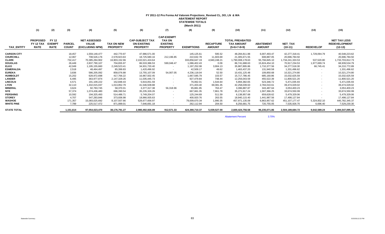# **FY 2011-12 Pro Forma Ad Valorem Projections\_Revised CL, DO, LN & WA ABATEMENT REPORT STATEWIDE TOTALS (March 2011)**

|                    | (1)                                         | (2)                                          | (3)                           | (4)                                                    | (5)                                  | (6)                                                             | (7)                                                                      | (8)               | (9)                               | (10)                                                         | (11)                              | (12)                        | (13)             | (15)                                                     |
|--------------------|---------------------------------------------|----------------------------------------------|-------------------------------|--------------------------------------------------------|--------------------------------------|-----------------------------------------------------------------|--------------------------------------------------------------------------|-------------------|-----------------------------------|--------------------------------------------------------------|-----------------------------------|-----------------------------|------------------|----------------------------------------------------------|
| <b>TAX_ENTITY</b>  | <b>PROPOSED</b><br>FY 12 TAX<br><b>RATE</b> | <b>FY 12</b><br><b>EXEMPT</b><br><b>RATE</b> | <b>PARCEL</b><br><b>COUNT</b> | <b>NET ASSESSED</b><br><b>VALUE</b><br>(EXCLUDING NPM) | <b>TAX ON NEW</b><br><b>PROPERTY</b> | <b>CAP-SUBJECT TAX</b><br><b>ON EXISTING</b><br><b>PROPERTY</b> | <b>CAP-EXEMPT</b><br><b>TAX ON</b><br><b>EXISTING</b><br><b>PROPERTY</b> | <b>EXEMPTIONS</b> | <b>RECAPTURE</b><br><b>AMOUNT</b> | <b>TOTAL PREABATED</b><br><b>TAX AMOUNT</b><br>$(5+6+7-8+9)$ | <b>ABATEMENT</b><br><b>AMOUNT</b> | <b>NET TAX</b><br>$(10-11)$ | <b>REDEVELOP</b> | <b>NET TAX LESS</b><br><b>REDEVELOPMENT</b><br>$(12-13)$ |
| <b>CARSON CITY</b> |                                             |                                              | 18,457                        | 1,559,149,477                                          | 442,770.97                           | 47,986,571.00                                                   |                                                                          | 145,125.61        | 595.52                            | 48,284,811.88                                                | 6,007,493.47                      | 42,277,318.41               | 1,729,094.79     | 40,548,223.62                                            |
| <b>CHURCHILL</b>   |                                             |                                              | 12,067                        | 708,526,176                                            | 2,578,923.63                         | 18,725,580.16                                                   | 212,196.85                                                               | 222,632.78        | 11,603.69                         | 21,305,671.55                                                | 608,887.05                        | 20,696,784.50               |                  | 20,696,784.50                                            |
| <b>CLARK</b>       |                                             |                                              | 732,417                       | 70,385,284,902                                         | 16,903,152.96                        | 2,102,021,424.64                                                | $\sim$                                                                   | 333,856,647.19    | 4,940,248.21                      | 1,790,008,178.63                                             | 55,766,845.10                     | 1,734,241,333.53            | 537,520.80       | 1,733,703,812.73                                         |
| <b>DOUGLAS</b>     |                                             |                                              | 26,449                        | 2,837,790,107                                          | 704,655.97                           | 86,533,386.53                                                   | 590,048.47                                                               | 1,086,402.43      | 0.09                              | 86,741,688.63                                                | 15,824,454.10                     | 70,917,234.53               | 1,977,699.74     | 68,939,534.79                                            |
| <b>ELKO</b>        |                                             |                                              | 42,049                        | 1,195,155,660                                          | 2,249,523.41                         | 34,931,720.40                                                   | $\sim$                                                                   | 1,197,252.08      | 3,904.13                          | 35,987,895.86                                                | 1,710,377.56                      | 34,277,518.30               | 66,745.41        | 34,210,772.89                                            |
| <b>ESMERALDA</b>   |                                             |                                              | 2,518                         | 48,464,497                                             | 85,399.83                            | 1,420,496.92                                                    |                                                                          | 42,509.17         | 49.62                             | 1,463,437.20                                                 | 131,940.58                        | 1,331,496.62                |                  | 1,331,496.62                                             |
| <b>EUREKA</b>      |                                             |                                              | 3,836                         | 586,205,092                                            | 858,076.88                           | 13,755,107.09                                                   | 54,007.05                                                                | 4,236,118.04      | 52.50                             | 10,431,125.48                                                | 109,850.68                        | 10,321,274.80               |                  | 10,321,274.80                                            |
| <b>HUMBOLDT</b>    |                                             |                                              | 15,202                        | 628,972,698                                            | 417,766.22                           | 16,967,502.45                                                   | $\sim$                                                                   | 1,667,585.79      | 103.57                            | 15,717,786.45                                                | 685,160.86                        | 15,032,625.59               |                  | 15,032,625.59                                            |
| <b>LANDER</b>      |                                             |                                              | 6,495                         | 363,977,874                                            | 2,147,329.26                         | 11,035,445.73                                                   |                                                                          | 927,479.84        | 748.44                            | 12,256,043.59                                                | 455,522.39                        | 11,800,521.20               |                  | 11,800,521.20                                            |
| <b>LINCOLN</b>     |                                             |                                              | 4,571                         | 191,109,222                                            | 152,848.43                           | 5,916,051.59                                                    |                                                                          | 76,062.01         | 1,544.64                          | 5,994,382.65                                                 | 523,346.72                        | 5,471,035.93                |                  | 5,471,035.93                                             |
| <b>LYON</b>        |                                             |                                              | 32,110                        | 1,332,015,037                                          | 1,013,852.79                         | 41,546,508.88                                                   |                                                                          | 371,403.40        | 69,081.35                         | 42,258,039.63                                                | 2,784,010.61                      | 39,474,029.02               |                  | 39,474,029.02                                            |
| <b>MINERAL</b>     |                                             |                                              | 3,624                         | 92,783,745                                             | 58,370.01                            | 3,377,317.38                                                    | 56,318.96                                                                | 95,881.95         | 763.47                            | 3,396,887.87                                                 | 343,487.64                        | 3,053,400.23                |                  | 3,053,400.23                                             |
| <b>NYE</b>         |                                             |                                              | 57,374                        | 1,074,436,480                                          | 696,390.54                           | 35,235,326.26                                                   |                                                                          | 667,661.35        | 7,861.78                          | 35,271,917.24                                                | 1,597,366.25                      | 33,674,550.99               |                  | 33,674,550.99                                            |
| <b>PERSHING</b>    |                                             |                                              | 10,592                        | 194,325,493                                            | 514,486.71                           | 5,749,204.07                                                    |                                                                          | 125,244.69        | 511.59                            | 6,138,957.68                                                 | 659,628.62                        | 5,479,329.06                |                  | 5,479,329.06                                             |
| <b>STOREY</b>      |                                             |                                              | 4,707                         | 547,283,846                                            | 373,836.98                           | 18,966,935.63                                                   | $\sim$                                                                   | 400,920.76        | 263.55                            | 18,940,115.40                                                | 1,441,987.56                      | 17.498.127.84               |                  | 17,498,127.84                                            |
| WASHOE             |                                             |                                              | 171,357                       | 15,083,025,692                                         | 8,107,507.66                         | 528,677,656.97                                                  |                                                                          | 79,009,670.34     | 1,990.35                          | 457,971,135.09                                               | 6,863,957.62                      | 451, 107, 177. 47           | 5,324,832.10     | 445,782,345.37                                           |
| <b>WHITE PINE</b>  |                                             |                                              | 7,789                         | 225,517,472                                            | 871,899.01                           | 7,646,691.18                                                    |                                                                          | 262,112.94        | 204.50                            | 8,256,681.75                                                 | 720,755.05                        | 7,535,926.70                | 6,696.40         | 7,529,230.30                                             |
| <b>STATE TOTAL</b> |                                             |                                              | 1,151,614                     | 97,054,023,470                                         | 38,176,791.27                        | 2,980,492,926.89                                                | 912,571.33                                                               | 424,390,710.37    | 5,039,527.00                      | 2,600,424,756.58                                             | 96,235,071.86                     | 2,504,189,684.72            | 9,642,589.24     | 2,494,547,095.48                                         |

Abatement Percent $\frac{3.70\%}{2.5\%}$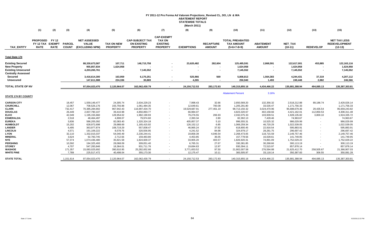# **FY 2011-12 Pro Forma Ad Valorem Projections\_Revised CL, DO, LN & WA ABATEMENT REPORT STATEWIDE TOTALS (March 2011)**

|                                                                                                          | (1)                                         | (2)                                          | (3)                           | (4)                                                    | (5)                                              | (6)                                                             | (7)                                                                      | (8)                                | (9)                               | (10)                                                         | (11)                                 | (12)                                       | (13)                    | (15)                                                     |
|----------------------------------------------------------------------------------------------------------|---------------------------------------------|----------------------------------------------|-------------------------------|--------------------------------------------------------|--------------------------------------------------|-----------------------------------------------------------------|--------------------------------------------------------------------------|------------------------------------|-----------------------------------|--------------------------------------------------------------|--------------------------------------|--------------------------------------------|-------------------------|----------------------------------------------------------|
| <b>TAX ENTITY</b>                                                                                        | <b>PROPOSED</b><br>FY 12 TAX<br><b>RATE</b> | <b>FY 12</b><br><b>EXEMPT</b><br><b>RATE</b> | <b>PARCEL</b><br><b>COUNT</b> | <b>NET ASSESSED</b><br><b>VALUE</b><br>(EXCLUDING NPM) | <b>TAX ON NEW</b><br><b>PROPERTY</b>             | <b>CAP-SUBJECT TAX</b><br><b>ON EXISTING</b><br><b>PROPERTY</b> | <b>CAP-EXEMPT</b><br><b>TAX ON</b><br><b>EXISTING</b><br><b>PROPERTY</b> | <b>EXEMPTIONS</b>                  | <b>RECAPTURE</b><br><b>AMOUNT</b> | <b>TOTAL PREABATED</b><br><b>TAX AMOUNT</b><br>$(5+6+7-8+9)$ | <b>ABATEMENT</b><br><b>AMOUNT</b>    | NET_TAX<br>$(10-11)$                       | <b>REDEVELOP</b>        | <b>NET TAX LESS</b><br><b>REDEVELOPMENT</b><br>$(12-13)$ |
| Total State 17¢                                                                                          |                                             |                                              |                               |                                                        |                                                  |                                                                 |                                                                          |                                    |                                   |                                                              |                                      |                                            |                         |                                                          |
| <b>Existing Secured</b><br><b>New Property</b><br><b>Existing Unsecured</b><br><b>Centrally Assessed</b> |                                             |                                              |                               | 88,330,673,587<br>955,857,834<br>4,203,265,761         | 107,711<br>1,624,958<br>$\overline{\phantom{a}}$ | 148,715,758<br>7,145,552                                        |                                                                          | 23,620,482<br>$\blacksquare$       | 282,604                           | 125,485,591<br>1,624,958<br>7,145,552                        | 2,868,591<br>$\blacksquare$          | 122,617,001<br>1,624,958<br>7,145,552      | 453,885                 | 122, 163, 116<br>1,624,958<br>7,145,552                  |
| Secured<br><b>Unsecured</b>                                                                              |                                             |                                              |                               | 3,416,614,300<br>147,611,988                           | 163,959<br>224,336                               | 6,170,251<br>30,869                                             |                                                                          | 525,966<br>4.265                   | 569                               | 5,808,813<br>250,940                                         | 1,564,383<br>1,493                   | 4,244,431<br>249,448                       | 37,319<br>2,882         | 4,207,112<br>246,566                                     |
| <b>TOTAL STATE OF NV</b>                                                                                 |                                             |                                              |                               | 97,054,023,470                                         | 2,120,964.07                                     | 162,062,430.79                                                  |                                                                          | 24,150,712.53                      | 283,172.83                        | 140,315,855.16                                               | 4,434,466.22                         | 135,881,388.94                             | 494,085.13              | 135,387,303.81                                           |
| <b>STATE 17¢ BY COUNTY</b>                                                                               |                                             |                                              |                               |                                                        |                                                  |                                                                 |                                                                          |                                    |                                   | <b>Abatement Percent</b>                                     | 3.16%                                |                                            |                         |                                                          |
| <b>CARSON CITY</b><br><b>CHURCHILL</b>                                                                   |                                             |                                              | 18,457<br>12,067              | 1,559,149,477<br>708,526,176                           | 24,305.74<br>155,756.98                          | 2,634,229.23<br>1,061,484.35                                    |                                                                          | 7,998.43<br>12,649.61              | 32.66<br>700.08                   | 2,650,569.20<br>1,205,291.80                                 | 132,356.32<br>33,535.47              | 2,518,212.88<br>1,171,756.33               | 89,186.74               | 2,429,026.14<br>1,171,756.33                             |
| <b>CLARK</b><br><b>DOUGLAS</b>                                                                           |                                             |                                              | 732,417<br>26,449             | 70,385,284,902<br>2,837,790,107                        | 967,942.43<br>39,410.98                          | 116,997,434.70<br>4,850,893.77                                  | $\overline{\phantom{a}}$                                                 | 19,529,687.91<br>66,984.07         | 277,461.10<br>$\sim$              | 98,713,150.32<br>4,823,320.67                                | 3,024,470.96<br>402,158.66           | 95,688,679.36<br>4,421,162.01              | 29,435.54<br>112,850.53 | 95,659,243.82<br>4,308,311.48                            |
| <b>ELKO</b><br><b>ESMERALDA</b>                                                                          |                                             |                                              | 42,049<br>2,518               | 1,195,155,660<br>48,464,497                            | 128,954.02<br>4,808.07                           | 1,982,190.93<br>79,974.60                                       |                                                                          | 79,276.55<br>2,393.34              | 206.93<br>2.80                    | 2,032,075.33<br>82,392.13                                    | 103,939.51<br>7,428.46               | 1,928,135.82<br>74,963.67                  | 3,800.10                | 1,924,335.72<br>74,963.67                                |
| <b>EUREKA</b><br><b>HUMBOLDT</b>                                                                         |                                             |                                              | 3,836<br>15,202               | 586,205,092<br>628,972,698                             | 82,083.40<br>29,988.69                           | 1,320,324.18<br>1,165,415.92                                    |                                                                          | 405,857.37<br>126, 152. 12         | 5.10<br>6.85                      | 996,555.31<br>1,069,259.34                                   | 10,525.32<br>46,720.29               | 986,029.99<br>1,022,539.05                 |                         | 986,029.99<br>1,022,539.05                               |
| <b>LANDER</b><br><b>LINCOLN</b>                                                                          |                                             |                                              | 6,495<br>4,571                | 363,977,874<br>191,109,222                             | 108,719.29<br>8,578.76                           | 557,008.47<br>320,556.95                                        | $\overline{\phantom{a}}$                                                 | 46,965.24<br>4,241.52              | 37.92<br>84.98                    | 618,800.45<br>324,979.17                                     | 22,916.54<br>28,281.75               | 595,883.91<br>296,697.42                   |                         | 595,883.91<br>296,697.42                                 |
| LYON<br><b>MINERAL</b><br><b>NYE</b>                                                                     |                                             |                                              | 32,110<br>3,624<br>57,374     | 1,332,015,037<br>92,783,745<br>1,074,436,480           | 54,040.49<br>2,712.56<br>35,821.58               | 2,230,244.41<br>159,483.80<br>1,824,600.37                      |                                                                          | 19,858.39<br>4,453.85<br>33,905.20 | 4,046.54<br>36.05<br>403.57       | 2,268,473.05<br>157,778.56<br>1,826,920.31                   | 118,715.59<br>16,028.61<br>74,891.09 | 2,149,757.46<br>141,749.95<br>1,752,029.22 |                         | 2,149,757.46<br>141,749.95<br>1,752,029.22               |
| <b>PERSHING</b><br><b>STOREY</b>                                                                         |                                             |                                              | 10,592<br>4,707               | 194,325,493<br>547,283,846                             | 28,068.09<br>18,364.01                           | 309,051.40<br>931,711.76                                        |                                                                          | 6,765.31<br>19,694.63              | 27.67<br>12.97                    | 330,381.85<br>930,394.11                                     | 30,268.66<br>72,515.97               | 300,113.19<br>857,878.14                   |                         | 300,113.19<br>857,878.14                                 |
| <b>WASHOE</b><br><b>WHITE PINE</b>                                                                       |                                             |                                              | 171,357<br>7,789              | 15,083,025,692<br>225,517,472                          | 390,910.95<br>40,498.04                          | 25,282,652.66<br>355, 173.30                                    |                                                                          | 3,771,653.52<br>12,175.47          | 97.50<br>10.11                    | 21,902,007.58<br>383,505.97                                  | 276,594.88<br>33,118.14              | 21,625,412.70<br>350,387.83                | 258,505.67<br>306.55    | 21,366,907.03<br>350,081.28                              |
| <b>STATE TOTAL</b>                                                                                       |                                             |                                              | 1,151,614                     | 97,054,023,470                                         | 2,120,964.07                                     | 162,062,430.79                                                  |                                                                          | 24, 150, 712. 53                   | 283,172.83                        | 140,315,855.16                                               | 4,434,466.22                         | 135,881,388.94                             | 494,085.13              | 135,387,303.81                                           |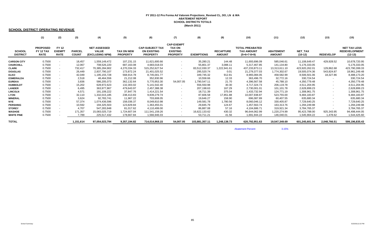# **FY 2011-12 Pro Forma Ad Valorem Projections\_Revised CL, DO, LN & WA ABATEMENT REPORT SCHOOL DISTRICTS TOTALS (March 2011)**

#### **SCHOOL DISTRICT OPERATING REVENUE**

|                                  | (1)                                                | (2)                                          | (3)                           | (4)                                                    | (5)                                  | (6)                                                             | (7)                                                                      | (8)               | (9)                               | (10)                                                         | (11)                              | (12)                        | (13)             | (15)                                                     |
|----------------------------------|----------------------------------------------------|----------------------------------------------|-------------------------------|--------------------------------------------------------|--------------------------------------|-----------------------------------------------------------------|--------------------------------------------------------------------------|-------------------|-----------------------------------|--------------------------------------------------------------|-----------------------------------|-----------------------------|------------------|----------------------------------------------------------|
| <b>SCHOOL</b><br><b>DISTRICT</b> | <b>PROPOSED</b><br><b>FY 12 TAX</b><br><b>RATE</b> | <b>FY 12</b><br><b>EXEMPT</b><br><b>RATE</b> | <b>PARCEL</b><br><b>COUNT</b> | <b>NET ASSESSED</b><br><b>VALUE</b><br>(EXCLUDING NPM) | <b>TAX ON NEW</b><br><b>PROPERTY</b> | <b>CAP-SUBJECT TAX</b><br><b>ON EXISTING</b><br><b>PROPERTY</b> | <b>CAP-EXEMPT</b><br><b>TAX ON</b><br><b>EXISTING</b><br><b>PROPERTY</b> | <b>EXEMPTIONS</b> | <b>RECAPTURE</b><br><b>AMOUNT</b> | <b>TOTAL PREABATED</b><br><b>TAX AMOUNT</b><br>$(5+6+7-8+9)$ | <b>ABATEMENT</b><br><b>AMOUNT</b> | <b>NET TAX</b><br>$(10-12)$ | <b>REDEVELOP</b> | <b>NET TAX LESS</b><br><b>REDEVELOPMENT</b><br>$(12-13)$ |
| <b>CARSON CITY</b>               | 0.7500                                             |                                              | 18,457                        | 1,559,149,472                                          | 107,231.15                           | 11,621,600.66                                                   |                                                                          | 35,280.21         | 144.48                            | 11,693,696.09                                                | 585,046.61                        | 11,108,649.47               | 429,928.52       | 10,678,720.95                                            |
|                                  | 0.7500                                             |                                              | 12,067                        | 708,526,220                                            | 687,163.08                           |                                                                 | $\sim$                                                                   | 55,801.37         | 3,088.11                          | 5,317,467.85                                                 |                                   |                             |                  | 5,176,333.05                                             |
| <b>CHURCHILL</b>                 |                                                    |                                              |                               |                                                        |                                      | 4,683,018.03                                                    | $\sim$                                                                   |                   |                                   |                                                              | 141,134.80                        | 5,176,333.05                | $\sim$           |                                                          |
| <b>CLARK</b>                     | 0.7500                                             |                                              | 732,417                       | 70,385,284,902                                         | 4,270,334.33                         | 515,252,627.54                                                  | $\sim$                                                                   | 83,512,030.37     | 1,222,941.61                      | 437,233,873.11                                               | 13,313,611.10                     | 423,920,262.01              | 129,862.68       | 423,790,399.33                                           |
| <b>DOUGLAS</b>                   | 0.7500                                             |                                              | 26,449                        | 2,837,790,107                                          | 173,872.24                           | 21,401,025.52                                                   | $\sim$                                                                   | 295,520.74        | 0.01                              | 21,279,377.03                                                | 1,774,302.67                      | 19,505,074.36               | 543,824.87       | 18,961,249.48                                            |
| <b>ELKO</b>                      | 0.7500                                             |                                              | 42,049                        | 1,195,155,728                                          | 568,914.78                           | 8,745,001.77                                                    | $\sim$                                                                   | 349,745.32        | 912.81                            | 8,965,084.05                                                 | 458,582.99                        | 8,506,501.06                | 18,327.86        | 8,488,173.20                                             |
| <b>ESMERALDA</b>                 | 0.7500                                             |                                              | 2,518                         | 48,464,556                                             | 21,212.08                            | 352,830.96                                                      |                                                                          | 10,558.66         | 12.33                             | 363,496.70                                                   | 32,772.16                         | 330,724.54                  | $\sim$           | 330,724.54                                               |
| <b>EUREKA</b>                    | 0.7500                                             |                                              | 3,836                         | 586,205,073                                            | 362,132.64                           | 5,770,953.30                                                    | 54,007.05                                                                | 1,790,547.11      | 21.70                             | 4,396,567.58                                                 | 45,788.10                         | 4,350,779.48                | $\sim$           | 4,350,779.48                                             |
| <b>HUMBOLDT</b>                  | 0.7500                                             |                                              | 15,202                        | 628,972,623                                            | 132,303.02                           | 5,141,542.40                                                    | $\sim$                                                                   | 556,550.98        | 30.30                             | 4,717,324.73                                                 | 206,119.78                        | 4,511,204.95                | $\sim$           | 4,511,204.95                                             |
| <b>LANDER</b>                    | 0.7500                                             |                                              | 6,495                         | 363,977,867                                            | 479,643.97                           | 2,457,388.38                                                    | $\sim$                                                                   | 207,198.63        | 167.29                            | 2,730,001.01                                                 | 101,101.78                        | 2,628,899.23                | $\sim$           | 2,628,899.23                                             |
| <b>LINCOLN</b>                   | 0.7500                                             |                                              | 4,571                         | 191,109,222                                            | 37,847.76                            | 1,414,221.54                                                    | $\sim$                                                                   | 18,711.39         | 375.04                            | 1,433,732.94                                                 | 124,771.19                        | 1,308,961.75                | $\sim$           | 1,308,961.75                                             |
| <b>LYON</b>                      | 0.7500                                             |                                              | 32,110                        | 1,332,015,185                                          | 238,413.83                           | 9,839,279.74                                                    | $\sim$                                                                   | 87,606.58         | 17,851.88                         | 10,007,938.87                                                | 523,755.00                        | 9,484,183.87                | $\sim$           | 9,484,183.87                                             |
| <b>MINERAL</b>                   | 0.7500                                             |                                              | 3,624                         | 92,783,741                                             | 11,967.22                            | 703,608.05                                                      | $\sim$                                                                   | 19,646.27         | 158.90                            | 696,087.89                                                   | 60,407.55                         | 635,680.34                  | $\sim$           | 635,680.34                                               |
| <b>NYE</b>                       | 0.7500                                             |                                              | 57,374                        | 1,074,436,596                                          | 158,036.37                           | 8,049,810.98                                                    | $\sim$                                                                   | 149,581.78        | 1,780.56                          | 8,060,046.12                                                 | 330,405.87                        | 7,729,640.25                | $\sim$           | 7,729,640.25                                             |
| <b>PERSHING</b>                  | 0.7500                                             |                                              | 10,592                        | 194,325,503                                            | 123,829.84                           | 1,363,455.01                                                    | $\sim$                                                                   | 29,845.79         | 124.67                            | 1,457,563.74                                                 | 163,313.76                        | 1,294,249.98                | $\sim$           | 1,294,249.98                                             |
| <b>STOREY</b>                    | 0.7500                                             |                                              | 4,707                         | 547,283,848                                            | 81,017.62                            | 4,110,499.00                                                    | $\sim$                                                                   | 86,887.08         | 57.16                             | 4,104,686.71                                                 | 319,921.34                        | 3,784,765.37                | $\sim$           | 3,784,765.37                                             |
| <b>WASHOE</b>                    | 0.7500                                             |                                              | 171,357                       | 15,083,025,719                                         | 1,724,607.04                         | 111,541,159.26                                                  | $\sim$                                                                   | 16,622,133.62     | 430.32                            | 96,644,062.99                                                | 1,220,274.99                      | 95,423,788.00               | 925,343.95       | 94,498,444.05                                            |
| <b>WHITE PINE</b>                | 0.7500                                             |                                              | 7,789                         | 225,517,432                                            | 178,667.84                           | 1,566,946.03                                                    | $\sim$                                                                   | 53,711.21         | 41.56                             | 1.691.944.22                                                 | 146,040.01                        | 1,545,904.22                | 1,478.62         | 1,544,425.60                                             |
| <b>TOTAL</b>                     |                                                    |                                              | 1,151,614                     | 97,054,023,794                                         | 9,357,194.82                         | 714,014,968.15                                                  | 54,007.05                                                                | 103,881,357.11    | 1,248,138.73                      | 620,792,951.63                                               | 19,547,349.69                     | 601,245,601.94              | 2,048,766.51     | 599,196,835.43                                           |

Abatement Percent $\frac{3.15\%}{2.15\%}$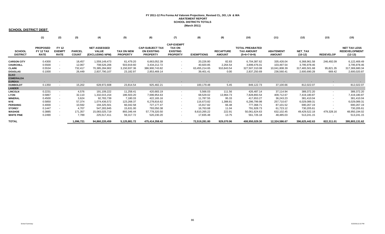# **FY 2011-12 Pro Forma Ad Valorem Projections\_Revised CL, DO, LN & WA ABATEMENT REPORT SCHOOL DISTRICTS TOTALS (March 2011)**

#### **SCHOOL DISTRICT DEBT**

|                                  | (1)                                         | (2)                                          | (3)                           | (4)                                                    | (5)                                  | (6)                                                             | (7)                                                                      | (8)               | (9)                               | (10)                                                         | (11)                              | (12)                        | (13)             | (15)                                                     |
|----------------------------------|---------------------------------------------|----------------------------------------------|-------------------------------|--------------------------------------------------------|--------------------------------------|-----------------------------------------------------------------|--------------------------------------------------------------------------|-------------------|-----------------------------------|--------------------------------------------------------------|-----------------------------------|-----------------------------|------------------|----------------------------------------------------------|
| <b>SCHOOL</b><br><b>DISTRICT</b> | <b>PROPOSED</b><br>FY 12 TAX<br><b>RATE</b> | <b>FY 12</b><br><b>EXEMPT</b><br><b>RATE</b> | <b>PARCEL</b><br><b>COUNT</b> | <b>NET ASSESSED</b><br><b>VALUE</b><br>(EXCLUDING NPM) | <b>TAX ON NEW</b><br><b>PROPERTY</b> | <b>CAP-SUBJECT TAX</b><br><b>ON EXISTING</b><br><b>PROPERTY</b> | <b>CAP-EXEMPT</b><br><b>TAX ON</b><br><b>EXISTING</b><br><b>PROPERTY</b> | <b>EXEMPTIONS</b> | <b>RECAPTURE</b><br><b>AMOUNT</b> | <b>TOTAL PREABATED</b><br><b>TAX AMOUNT</b><br>$(5+6+7-8+9)$ | <b>ABATEMENT</b><br><b>AMOUNT</b> | <b>NET TAX</b><br>$(10-12)$ | <b>REDEVELOP</b> | <b>NET TAX LESS</b><br><b>REDEVELOPMENT</b><br>$(12-13)$ |
| <b>CARSON CITY</b>               | 0.4300                                      |                                              | 18,457                        | 1,559,149,473                                          | 61,479.20                            | 6,663,052.39                                                    | $\sim$                                                                   | 20,226.80         | 82.83                             | 6,704,387.62                                                 | 335,426.04                        | 6,368,961.58                | 246,492.09       | 6,122,469.49                                             |
| <b>CHURCHILL</b>                 | 0.5500                                      | $\sim$                                       | 12,067                        | 708,526,206                                            | 503,919.60                           | 3,434,212.72                                                    | $\sim$                                                                   | 40,920.85         | 2,264.54                          | 3,899,476.01                                                 | 103,497.54                        | 3,795,978.46                | $\sim$           | 3,795,978.46                                             |
| <b>CLARK</b>                     | 0.5534                                      |                                              | 732,417                       | 70,385,284,902                                         | 3,150,937.36                         | 386,900,743.82                                                  | $\sim$                                                                   | 63,455,214.65     | 910,843.54                        | 327,507,310.08                                               | 10,041,808.39                     | 317,465,501.68              | 95,821.35        | 317,369,680.34                                           |
| <b>DOUGLAS</b>                   | 0.1000                                      |                                              | 26,449                        | 2,837,790,107                                          | 23,182.97                            | 2,853,469.14                                                    | $\sim$                                                                   | 39,401.41         | 0.00                              | 2,837,250.69                                                 | 236,560.41                        | 2,600,690.28                | 669.42           | 2,600,020.87                                             |
| <b>ELKO</b>                      |                                             |                                              |                               |                                                        |                                      |                                                                 |                                                                          |                   |                                   |                                                              |                                   |                             |                  |                                                          |
| <b>ESMERALDA</b>                 |                                             |                                              |                               |                                                        |                                      |                                                                 |                                                                          |                   |                                   |                                                              |                                   |                             |                  |                                                          |
| <b>EUREKA</b>                    |                                             |                                              |                               |                                                        |                                      |                                                                 |                                                                          |                   |                                   |                                                              |                                   |                             |                  |                                                          |
| <b>HUMBOLDT</b>                  | 0.1350                                      |                                              | 15,202                        | 628,972,608                                            | 23,814.54                            | 925,482.21                                                      | $\sim$                                                                   | 100,179.48        | 5.45                              | 849,122.73                                                   | 37,100.66                         | 812,022.07                  | $\sim$           | 812,022.07                                               |
| <b>LANDER</b>                    |                                             |                                              |                               |                                                        |                                      |                                                                 |                                                                          |                   |                                   |                                                              |                                   |                             |                  |                                                          |
| <b>LINCOLN</b>                   | 0.2231                                      | $\sim$                                       | 4,576                         | 191,109,222                                            | 11,258.41                            | 420,683.19                                                      | $\overline{\phantom{a}}$                                                 | 5,566.03          | 111.56                            | 426,487.14                                                   | 37,114.94                         | 389,372.20                  | $\sim$           | 389,372.20                                               |
| <b>LYON</b>                      | 0.5867                                      |                                              | 32,110                        | 1,332,015,154                                          | 186,503.20                           | 7,696,954.63                                                    | $\sim$                                                                   | 68,529.02         | 13,964.73                         | 7,828,893.54                                                 | 409,712.67                        | 7,419,180.87                | $\sim$           | 7,419,180.87                                             |
| <b>MINERAL</b>                   | 0.4500                                      |                                              | 3,624                         | 92,783,739                                             | 7,180.33                             | 422,165.16                                                      | $\sim$                                                                   | 11,787.55         | 95.33                             | 417,653.27                                                   | 36,243.23                         | 381,410.04                  | $\sim$           | 381,410.04                                               |
| <b>NYE</b>                       | 0.5850                                      |                                              | 57,374                        | 1,074,436,572                                          | 123,268.37                           | 6,278,816.62                                                    | $\sim$                                                                   | 116,673.82        | 1,388.81                          | 6,286,799.98                                                 | 257,710.67                        | 6,029,089.31                | $\blacksquare$   | 6,029,089.31                                             |
| <b>PERSHING</b>                  | 0.4000                                      |                                              | 10,592                        | 194,325,501                                            | 66,042.58                            | 727,177.47                                                      | $\overline{\phantom{a}}$                                                 | 15,917.82         | 66.48                             | 777,368.71                                                   | 87,101.52                         | 690,267.19                  | $\blacksquare$   | 690,267.19                                               |
| <b>STOREY</b>                    | 0.1447                                      |                                              | 4,707                         | 547,283,845                                            | 15,631.00                            | 793,050.38                                                      | $\sim$                                                                   | 16,763.68         | 11.04                             | 791,928.73                                                   | 61,723.12                         | 730,205.61                  |                  | 730,205.61                                               |
| <b>WASHOE</b>                    | 0.3885                                      |                                              | 171,357                       | 15,083,025,719                                         | 893,346.44                           | 57,778,320.50                                                   | $\sim$                                                                   | 8,610,265.22      | 222.91                            | 50,061,624.63                                                | 632,102.45                        | 49,429,522.18               | 479,328.16       | 48,950,194.02                                            |
| <b>WHITE PINE</b>                | 0.2490                                      |                                              | 7,789                         | 225,517,411                                            | 59,317.72                            | 520,230.20                                                      | $\sim$                                                                   | 17,835.48         | 13.75                             | 561,726.18                                                   | 48,485.03                         | 513,241.15                  |                  | 513,241.15                                               |
| <b>TOTAL</b>                     |                                             |                                              | 1,096,721                     | 94,860,220,459                                         | 5,125,881.72                         | 475,414,358.42                                                  | $\sim$                                                                   | 72,519,281.80     | 929,070.96                        | 408,950,029.30                                               | 12,324,586.67                     | 396,625,442.63              | 822,311.01       | 395,803,131.62                                           |